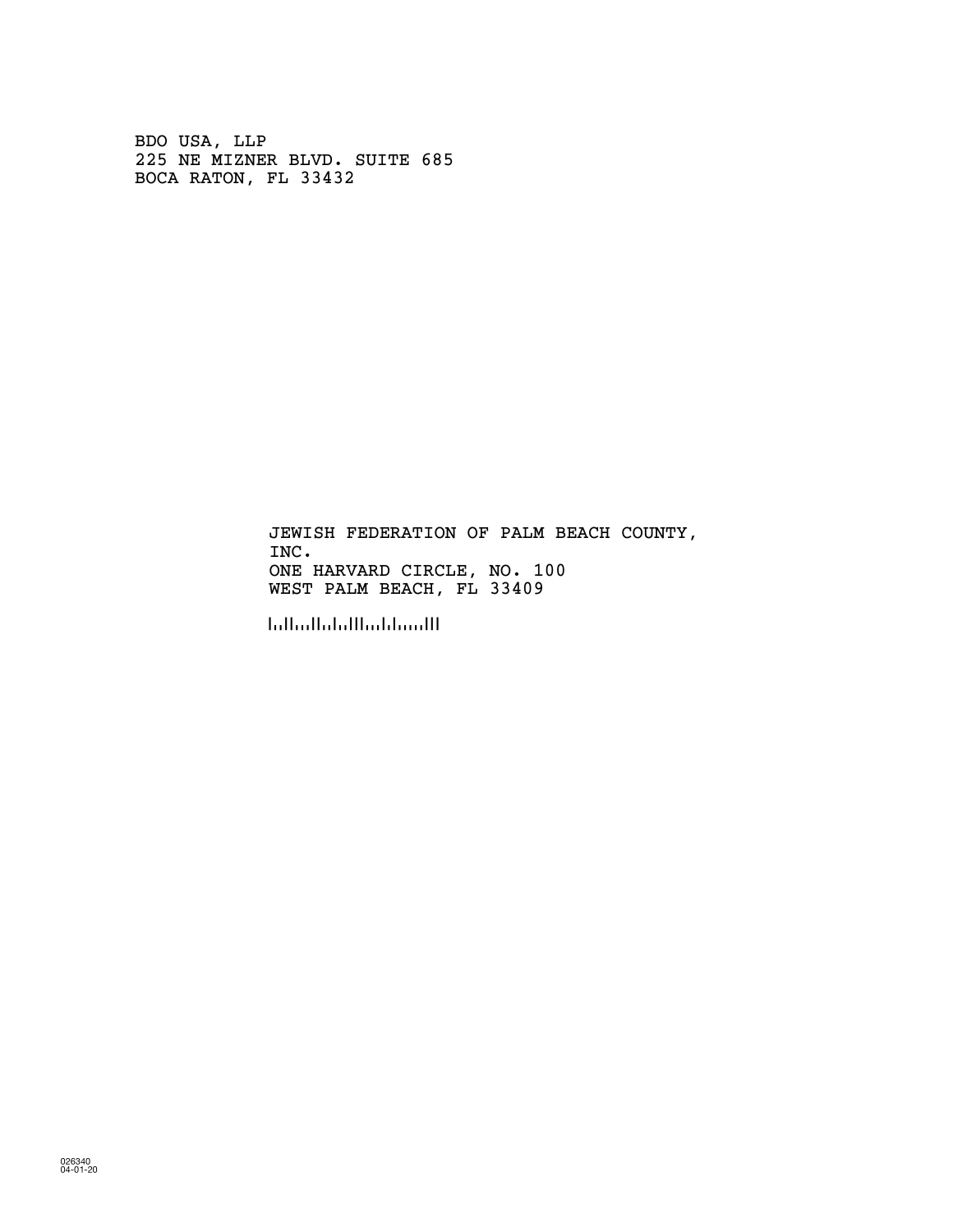BDO USA, LLP 225 NE MIZNER BLVD. SUITE 685 BOCA RATON, FL 33432

> INC. ONE HARVARD CIRCLE, NO. 100 JEWISH FEDERATION OF PALM BEACH COUNTY, WEST PALM BEACH, FL 33409

!334091!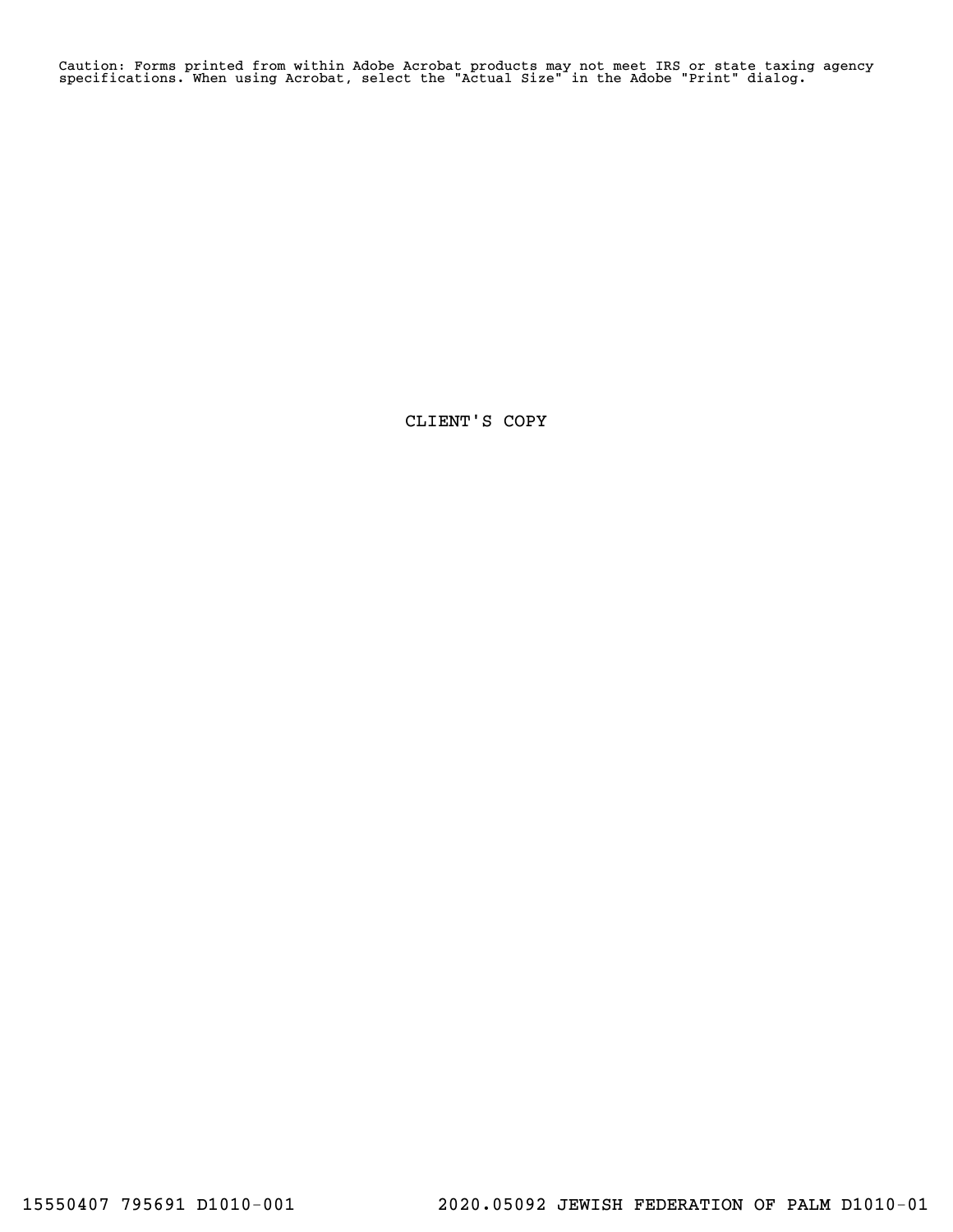Caution: Forms printed from within Adobe Acrobat products may not meet IRS or state taxing agency specifications. When using Acrobat, select the "Actual Size" in the Adobe "Print" dialog.

CLIENT'S COPY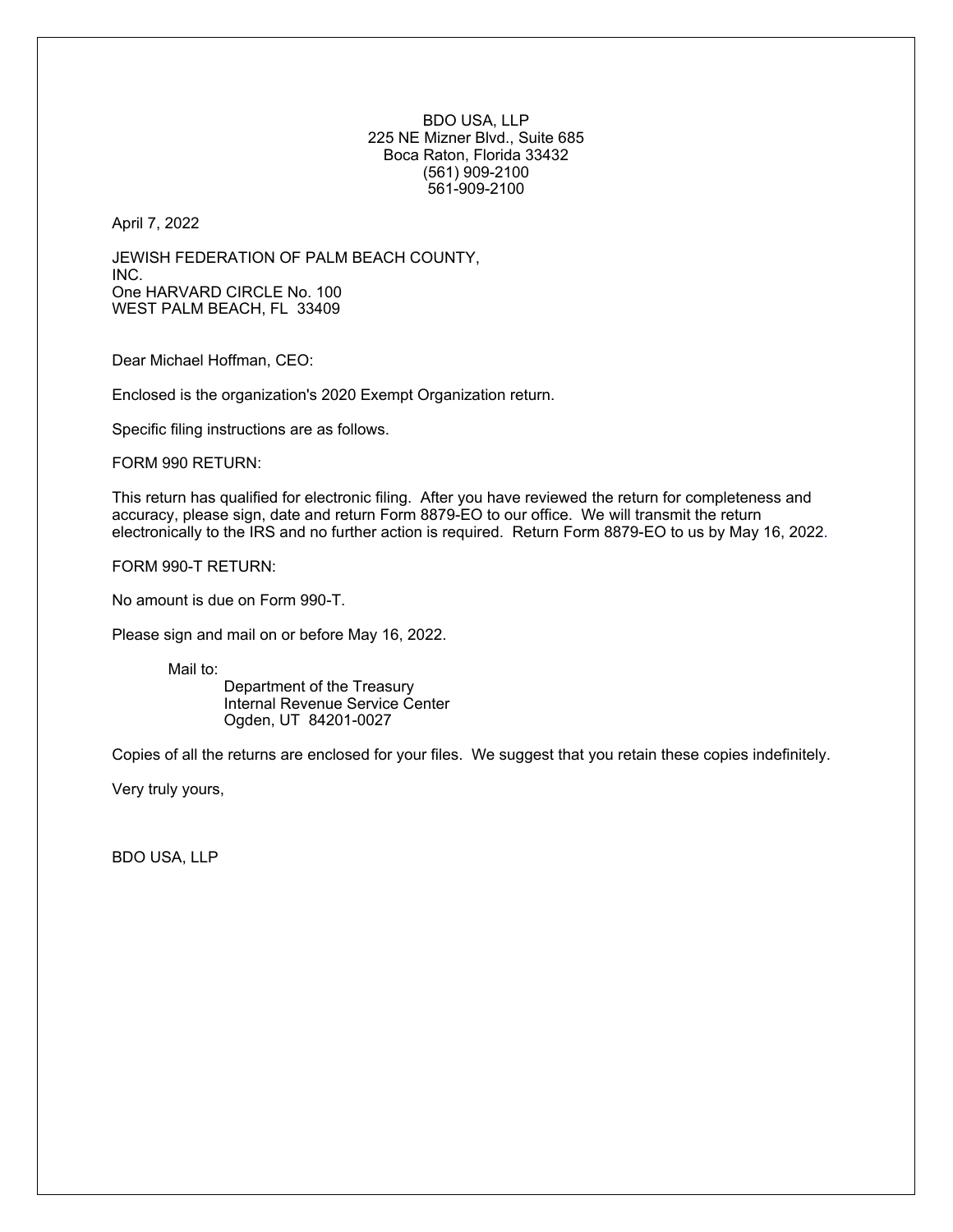#### BDO USA, LLP 225 NE Mizner Blvd., Suite 685 Boca Raton, Florida 33432 (561) 909-2100 561-909-2100

April 7, 2022

JEWISH FEDERATION OF PALM BEACH COUNTY, INC. One HARVARD CIRCLE No. 100 WEST PALM BEACH, FL 33409

Dear Michael Hoffman, CEO:

Enclosed is the organization's 2020 Exempt Organization return.

Specific filing instructions are as follows.

FORM 990 RETURN:

This return has qualified for electronic filing. After you have reviewed the return for completeness and accuracy, please sign, date and return Form 8879-EO to our office. We will transmit the return electronically to the IRS and no further action is required. Return Form 8879-EO to us by May 16, 2022.

FORM 990-T RETURN:

No amount is due on Form 990-T.

Please sign and mail on or before May 16, 2022.

Mail to:

Department of the Treasury Internal Revenue Service Center Ogden, UT 84201-0027

Copies of all the returns are enclosed for your files. We suggest that you retain these copies indefinitely.

Very truly yours,

BDO USA, LLP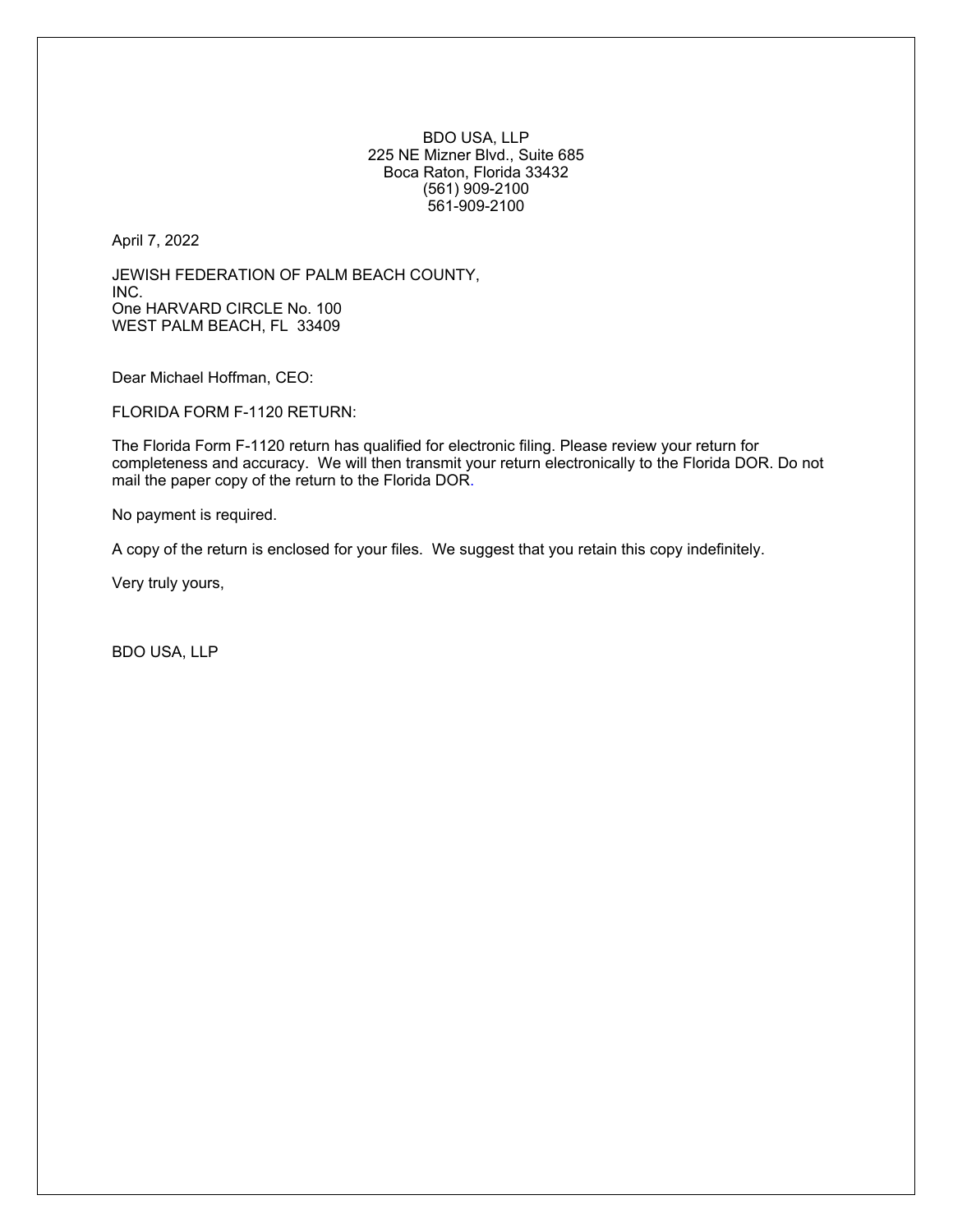#### BDO USA, LLP 225 NE Mizner Blvd., Suite 685 Boca Raton, Florida 33432 (561) 909-2100 561-909-2100

April 7, 2022

JEWISH FEDERATION OF PALM BEACH COUNTY, INC. One HARVARD CIRCLE No. 100 WEST PALM BEACH, FL 33409

Dear Michael Hoffman, CEO:

FLORIDA FORM F-1120 RETURN:

The Florida Form F-1120 return has qualified for electronic filing. Please review your return for completeness and accuracy. We will then transmit your return electronically to the Florida DOR. Do not mail the paper copy of the return to the Florida DOR.

No payment is required.

A copy of the return is enclosed for your files. We suggest that you retain this copy indefinitely.

Very truly yours,

BDO USA, LLP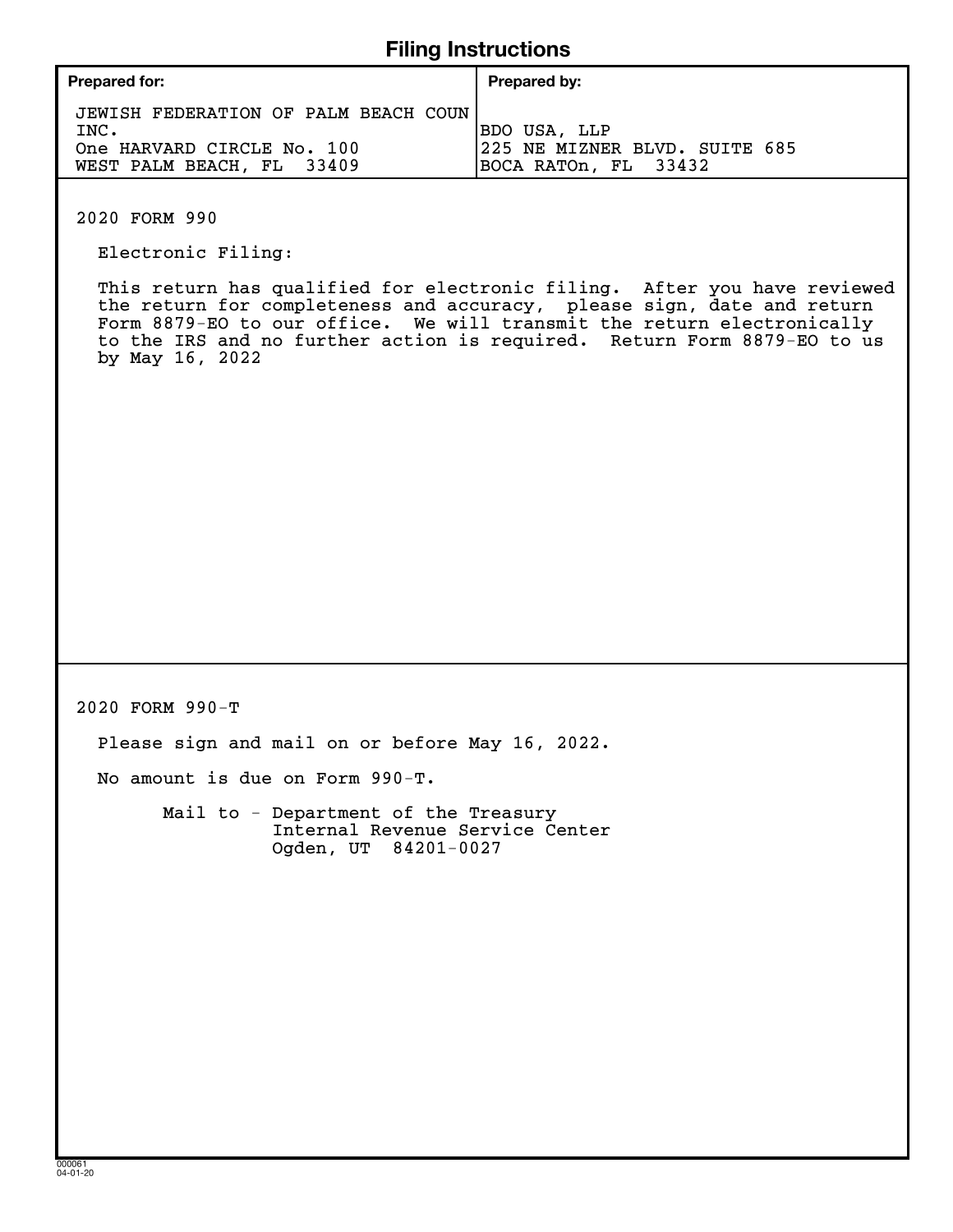# **Filing Instructions**

| <b>Prepared for:</b>                                                                                    | Prepared by:                                                           |
|---------------------------------------------------------------------------------------------------------|------------------------------------------------------------------------|
| JEWISH FEDERATION OF PALM BEACH COUN<br>INC.<br>One HARVARD CIRCLE No. 100<br>WEST PALM BEACH, FL 33409 | IBDO USA, LLP<br>225 NE MIZNER BLVD. SUITE 685<br>BOCA RATOn, FL 33432 |

2020 FORM 990

Electronic Filing:

 This return has qualified for electronic filing. After you have reviewed the return for completeness and accuracy, please sign, date and return Form 8879-EO to our office. We will transmit the return electronically to the IRS and no further action is required. Return Form 8879-EO to us by May 16, 2022

2020 FORM 990-T

Please sign and mail on or before May 16, 2022.

No amount is due on Form 990-T.

 Mail to - Department of the Treasury Internal Revenue Service Center Ogden, UT 84201-0027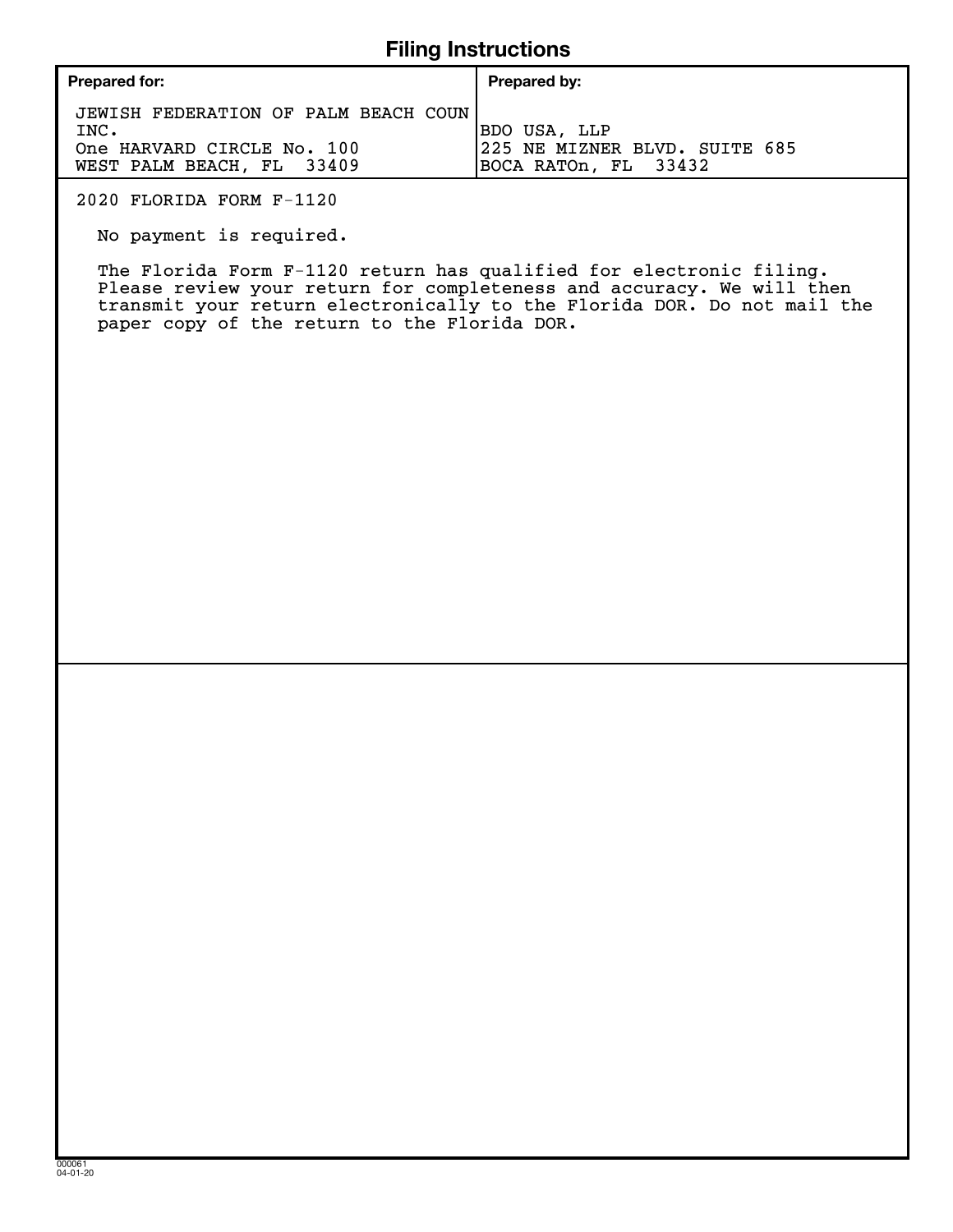# **Filing Instructions**

| <b>Prepared for:</b>                                                                                    | <b>Prepared by:</b>                                                   |
|---------------------------------------------------------------------------------------------------------|-----------------------------------------------------------------------|
| JEWISH FEDERATION OF PALM BEACH COUN<br>INC.<br>One HARVARD CIRCLE No. 100<br>WEST PALM BEACH, FL 33409 | BDO USA, LLP<br>225 NE MIZNER BLVD. SUITE 685<br>BOCA RATOn, FL 33432 |

2020 FLORIDA FORM F-1120

No payment is required.

 The Florida Form F-1120 return has qualified for electronic filing. Please review your return for completeness and accuracy. We will then transmit your return electronically to the Florida DOR. Do not mail the paper copy of the return to the Florida DOR.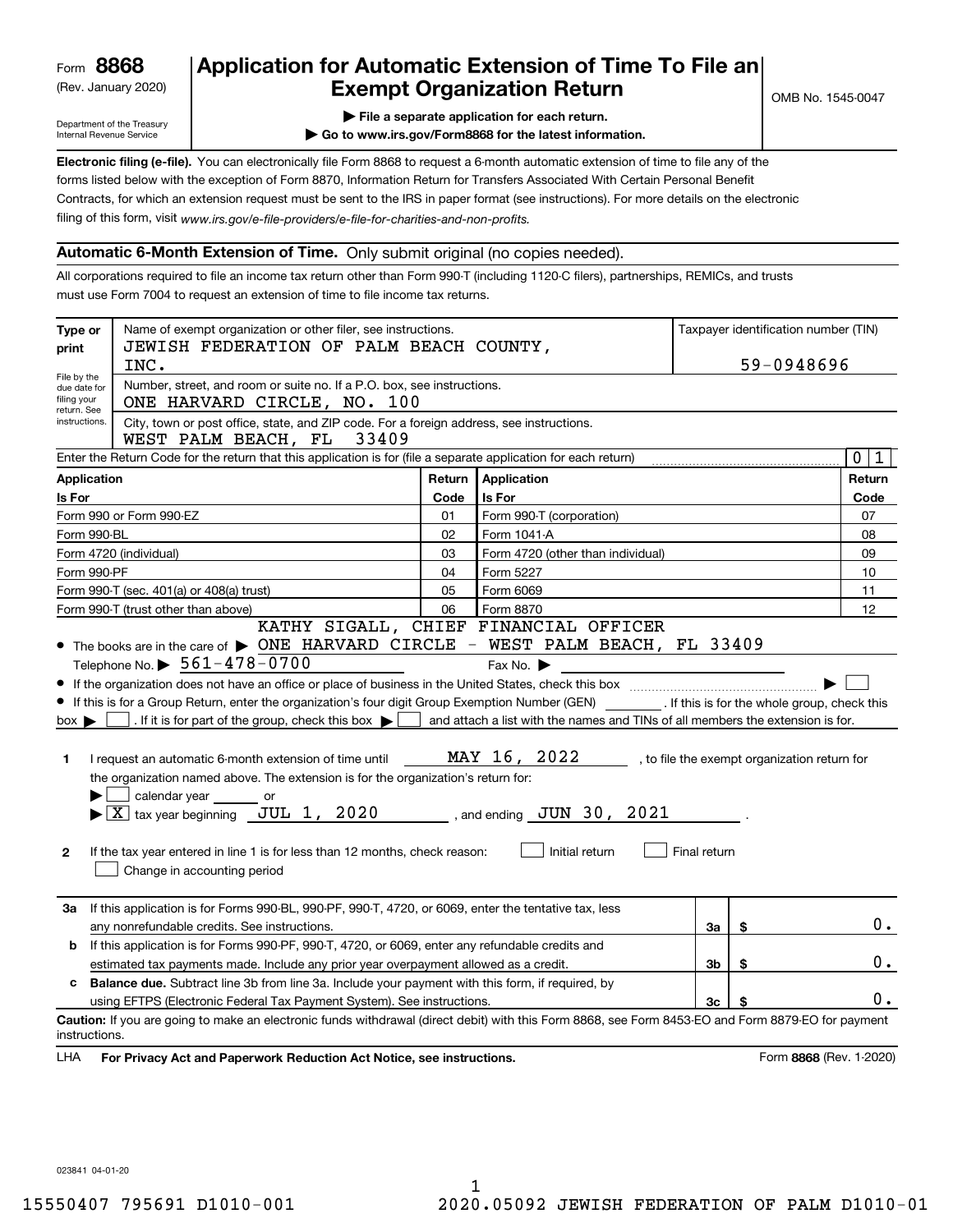(Rev. January 2020)

## **Application for Automatic Extension of Time To File an Exempt Organization Return**

Department of the Treasury Internal Revenue Service

**| File a separate application for each return.**

**| Go to www.irs.gov/Form8868 for the latest information.**

**Electronic filing (e-file).**  You can electronically file Form 8868 to request a 6-month automatic extension of time to file any of the filing of this form, visit www.irs.gov/e-file-providers/e-file-for-charities-and-non-profits. forms listed below with the exception of Form 8870, Information Return for Transfers Associated With Certain Personal Benefit Contracts, for which an extension request must be sent to the IRS in paper format (see instructions). For more details on the electronic

#### **Automatic 6-Month Extension of Time.** Only submit original (no copies needed).

All corporations required to file an income tax return other than Form 990-T (including 1120-C filers), partnerships, REMICs, and trusts must use Form 7004 to request an extension of time to file income tax returns.

| Type or<br>print                                                                                                                          | Name of exempt organization or other filer, see instructions.<br>JEWISH FEDERATION OF PALM BEACH COUNTY,<br>INC.                                                                                                                                                                                                                                                                                                                                                                                                                                                                                       |        |                                                                                                                                                                        | Taxpayer identification number (TIN)<br>59-0948696 |                                              |                         |                  |
|-------------------------------------------------------------------------------------------------------------------------------------------|--------------------------------------------------------------------------------------------------------------------------------------------------------------------------------------------------------------------------------------------------------------------------------------------------------------------------------------------------------------------------------------------------------------------------------------------------------------------------------------------------------------------------------------------------------------------------------------------------------|--------|------------------------------------------------------------------------------------------------------------------------------------------------------------------------|----------------------------------------------------|----------------------------------------------|-------------------------|------------------|
| File by the<br>due date for<br>filing your<br>return. See                                                                                 | Number, street, and room or suite no. If a P.O. box, see instructions.<br>ONE HARVARD CIRCLE, NO. 100                                                                                                                                                                                                                                                                                                                                                                                                                                                                                                  |        |                                                                                                                                                                        |                                                    |                                              |                         |                  |
| City, town or post office, state, and ZIP code. For a foreign address, see instructions.<br>instructions.<br>WEST PALM BEACH, FL<br>33409 |                                                                                                                                                                                                                                                                                                                                                                                                                                                                                                                                                                                                        |        |                                                                                                                                                                        |                                                    |                                              |                         |                  |
|                                                                                                                                           | Enter the Return Code for the return that this application is for (file a separate application for each return)                                                                                                                                                                                                                                                                                                                                                                                                                                                                                        |        |                                                                                                                                                                        |                                                    |                                              |                         | $\mathbf 0$<br>1 |
| <b>Application</b>                                                                                                                        |                                                                                                                                                                                                                                                                                                                                                                                                                                                                                                                                                                                                        | Return | Application                                                                                                                                                            |                                                    |                                              |                         | Return           |
| Is For                                                                                                                                    |                                                                                                                                                                                                                                                                                                                                                                                                                                                                                                                                                                                                        | Code   | Is For                                                                                                                                                                 |                                                    |                                              |                         | Code             |
|                                                                                                                                           | Form 990 or Form 990-EZ                                                                                                                                                                                                                                                                                                                                                                                                                                                                                                                                                                                | 01     | Form 990-T (corporation)                                                                                                                                               |                                                    |                                              |                         | 07               |
| Form 990-BL                                                                                                                               |                                                                                                                                                                                                                                                                                                                                                                                                                                                                                                                                                                                                        | 02     | Form 1041-A                                                                                                                                                            |                                                    |                                              |                         | 08               |
|                                                                                                                                           | Form 4720 (individual)                                                                                                                                                                                                                                                                                                                                                                                                                                                                                                                                                                                 | 03     | Form 4720 (other than individual)                                                                                                                                      |                                                    |                                              |                         | 09               |
| Form 990-PF                                                                                                                               |                                                                                                                                                                                                                                                                                                                                                                                                                                                                                                                                                                                                        | 04     | Form 5227                                                                                                                                                              |                                                    |                                              |                         | 10               |
|                                                                                                                                           | Form 990-T (sec. 401(a) or 408(a) trust)                                                                                                                                                                                                                                                                                                                                                                                                                                                                                                                                                               | 05     | Form 6069                                                                                                                                                              |                                                    |                                              |                         | 11               |
|                                                                                                                                           | Form 990-T (trust other than above)                                                                                                                                                                                                                                                                                                                                                                                                                                                                                                                                                                    | 06     | Form 8870                                                                                                                                                              |                                                    |                                              |                         | 12               |
| $box \blacktriangleright$<br>1<br>2                                                                                                       | If this is for a Group Return, enter the organization's four digit Group Exemption Number (GEN) __________. If this is for the whole group, check this<br>. If it is for part of the group, check this box $\blacktriangleright$<br>I request an automatic 6-month extension of time until<br>the organization named above. The extension is for the organization's return for:<br>calendar year ______<br>or<br>$\blacktriangleright$ $\boxed{\text{X}}$ tax year beginning JUL 1, 2020<br>If the tax year entered in line 1 is for less than 12 months, check reason:<br>Change in accounting period |        | and attach a list with the names and TINs of all members the extension is for.<br>MAY 16, 2022<br>$\frac{1}{2}$ , and ending $\frac{JUN}{30}$ , 2021<br>Initial return | Final return                                       | , to file the exempt organization return for |                         |                  |
| За                                                                                                                                        | If this application is for Forms 990-BL, 990-PF, 990-T, 4720, or 6069, enter the tentative tax, less<br>any nonrefundable credits. See instructions.                                                                                                                                                                                                                                                                                                                                                                                                                                                   |        |                                                                                                                                                                        | За                                                 | \$                                           |                         | 0.               |
| b                                                                                                                                         | If this application is for Forms 990-PF, 990-T, 4720, or 6069, enter any refundable credits and                                                                                                                                                                                                                                                                                                                                                                                                                                                                                                        |        |                                                                                                                                                                        |                                                    |                                              |                         |                  |
|                                                                                                                                           | estimated tax payments made. Include any prior year overpayment allowed as a credit.                                                                                                                                                                                                                                                                                                                                                                                                                                                                                                                   |        |                                                                                                                                                                        | 3 <sub>b</sub>                                     | \$                                           |                         | 0.               |
| c                                                                                                                                         | <b>Balance due.</b> Subtract line 3b from line 3a. Include your payment with this form, if required, by                                                                                                                                                                                                                                                                                                                                                                                                                                                                                                |        |                                                                                                                                                                        |                                                    |                                              |                         |                  |
|                                                                                                                                           | using EFTPS (Electronic Federal Tax Payment System). See instructions.                                                                                                                                                                                                                                                                                                                                                                                                                                                                                                                                 |        |                                                                                                                                                                        | 3c                                                 | S                                            |                         | 0.               |
| instructions.<br>LHA                                                                                                                      | Caution: If you are going to make an electronic funds withdrawal (direct debit) with this Form 8868, see Form 8453-EO and Form 8879-EO for payment<br>For Privacy Act and Paperwork Reduction Act Notice, see instructions.                                                                                                                                                                                                                                                                                                                                                                            |        |                                                                                                                                                                        |                                                    |                                              | Form 8868 (Rev. 1-2020) |                  |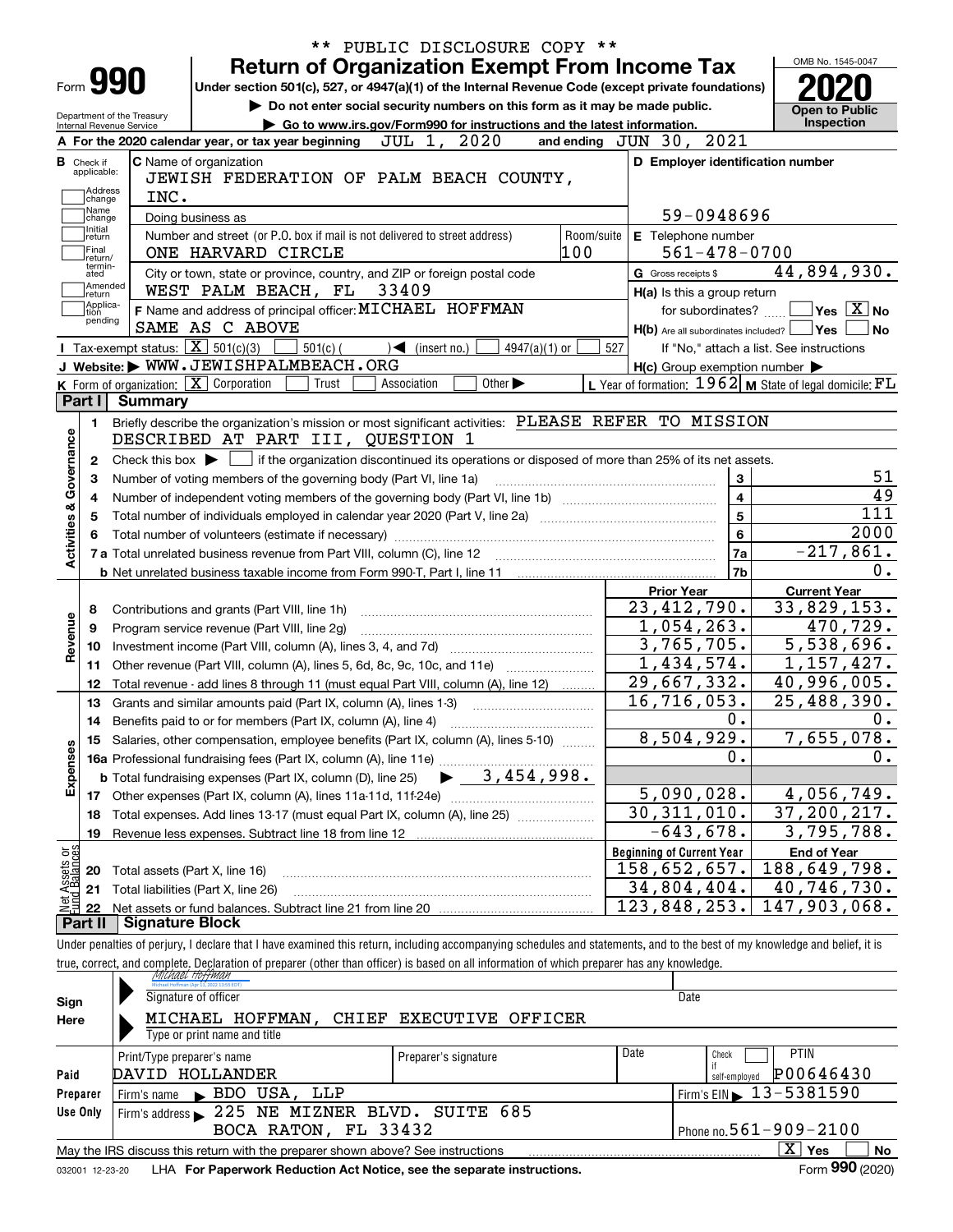|                                                        |         |                                                                                                     |                                                                                                                                             |                         |                                  |                             |                         |                                  |                             |                                                             | OMB No. 1545-0047                                                |
|--------------------------------------------------------|---------|-----------------------------------------------------------------------------------------------------|---------------------------------------------------------------------------------------------------------------------------------------------|-------------------------|----------------------------------|-----------------------------|-------------------------|----------------------------------|-----------------------------|-------------------------------------------------------------|------------------------------------------------------------------|
| Form 990                                               |         | Under section 501(c), 527, or 4947(a)(1) of the Internal Revenue Code (except private foundations)  | <b>Return of Organization Exempt From Income Tax</b>                                                                                        |                         |                                  |                             |                         |                                  |                             |                                                             |                                                                  |
|                                                        |         |                                                                                                     | Do not enter social security numbers on this form as it may be made public.                                                                 |                         |                                  |                             |                         |                                  |                             |                                                             |                                                                  |
| Department of the Treasury<br>Internal Revenue Service |         |                                                                                                     | Go to www.irs.gov/Form990 for instructions and the latest information.                                                                      |                         |                                  |                             |                         |                                  |                             | <b>Open to Public</b>                                       | <b>Inspection</b>                                                |
|                                                        |         | A For the 2020 calendar year, or tax year beginning                                                 |                                                                                                                                             | JUL 1,                  | 2020                             |                             | and ending JUN 30, 2021 |                                  |                             |                                                             |                                                                  |
| <b>B</b> Check if                                      |         | <b>C</b> Name of organization                                                                       |                                                                                                                                             |                         |                                  |                             |                         |                                  |                             | D Employer identification number                            |                                                                  |
| applicable:                                            |         | JEWISH FEDERATION OF PALM BEACH COUNTY,                                                             |                                                                                                                                             |                         |                                  |                             |                         |                                  |                             |                                                             |                                                                  |
| Address<br>change                                      | INC.    |                                                                                                     |                                                                                                                                             |                         |                                  |                             |                         |                                  |                             |                                                             |                                                                  |
| Name<br>change                                         |         | Doing business as                                                                                   |                                                                                                                                             |                         |                                  |                             |                         |                                  | 59-0948696                  |                                                             |                                                                  |
| Initial<br>return                                      |         | Number and street (or P.O. box if mail is not delivered to street address)                          |                                                                                                                                             |                         |                                  |                             | Room/suite              |                                  | E Telephone number          |                                                             |                                                                  |
| Final<br>return/                                       |         | ONE HARVARD CIRCLE                                                                                  |                                                                                                                                             |                         |                                  |                             | 100                     |                                  | $561 - 478 - 0700$          |                                                             |                                                                  |
| termin-<br>ated                                        |         | City or town, state or province, country, and ZIP or foreign postal code                            |                                                                                                                                             |                         |                                  |                             |                         | G Gross receipts \$              |                             | 44,894,930.                                                 |                                                                  |
| Amended<br> return                                     |         | WEST PALM BEACH, FL 33409                                                                           |                                                                                                                                             |                         |                                  |                             |                         |                                  | H(a) Is this a group return |                                                             |                                                                  |
| Applica-<br>tion<br>pending                            |         | F Name and address of principal officer: MICHAEL HOFFMAN                                            |                                                                                                                                             |                         |                                  |                             |                         |                                  | for subordinates?           |                                                             | $ {\mathsf Y}{\mathsf e}{\mathsf s} \ \overline{{\mathsf X}}$ No |
|                                                        |         | SAME AS C ABOVE                                                                                     |                                                                                                                                             |                         |                                  |                             |                         |                                  |                             | $H(b)$ Are all subordinates included? $\Box$ Yes            | <b>No</b>                                                        |
|                                                        |         | Tax-exempt status: $\boxed{\mathbf{X}}$ 501(c)(3)                                                   | $501(c)$ (                                                                                                                                  | $\sqrt{ }$ (insert no.) |                                  | $4947(a)(1)$ or             | 527                     |                                  |                             | If "No," attach a list. See instructions                    |                                                                  |
|                                                        |         | J Website: WWW.JEWISHPALMBEACH.ORG                                                                  |                                                                                                                                             |                         |                                  |                             |                         |                                  |                             | $H(c)$ Group exemption number $\blacktriangleright$         |                                                                  |
|                                                        |         | K Form of organization: X Corporation                                                               | Trust                                                                                                                                       | Association             |                                  | Other $\blacktriangleright$ |                         |                                  |                             | L Year of formation: $1962$ M State of legal domicile: $FL$ |                                                                  |
| Part I                                                 | Summary |                                                                                                     |                                                                                                                                             |                         |                                  |                             |                         |                                  |                             |                                                             |                                                                  |
| 1.                                                     |         | Briefly describe the organization's mission or most significant activities: PLEASE REFER TO MISSION |                                                                                                                                             |                         |                                  |                             |                         |                                  |                             |                                                             |                                                                  |
|                                                        |         | DESCRIBED AT PART III, QUESTION 1                                                                   |                                                                                                                                             |                         |                                  |                             |                         |                                  |                             |                                                             |                                                                  |
|                                                        |         |                                                                                                     |                                                                                                                                             |                         |                                  |                             |                         |                                  |                             |                                                             |                                                                  |
| 2                                                      |         |                                                                                                     | Check this box $\blacktriangleright$ $\Box$ if the organization discontinued its operations or disposed of more than 25% of its net assets. |                         |                                  |                             |                         |                                  |                             |                                                             |                                                                  |
| з                                                      |         | Number of voting members of the governing body (Part VI, line 1a)                                   |                                                                                                                                             |                         |                                  |                             |                         |                                  | 3                           |                                                             |                                                                  |
| 4                                                      |         |                                                                                                     |                                                                                                                                             |                         |                                  |                             |                         |                                  | $\overline{\mathbf{4}}$     |                                                             |                                                                  |
| 5                                                      |         |                                                                                                     |                                                                                                                                             |                         |                                  |                             |                         |                                  | 5                           |                                                             |                                                                  |
|                                                        |         |                                                                                                     |                                                                                                                                             |                         |                                  |                             |                         |                                  | 6                           |                                                             |                                                                  |
|                                                        |         |                                                                                                     |                                                                                                                                             |                         |                                  |                             |                         |                                  | 7a                          | $-217,861.$                                                 |                                                                  |
|                                                        |         |                                                                                                     |                                                                                                                                             |                         |                                  |                             |                         |                                  | 7b                          |                                                             |                                                                  |
|                                                        |         |                                                                                                     |                                                                                                                                             |                         |                                  |                             |                         | <b>Prior Year</b>                |                             | <b>Current Year</b>                                         |                                                                  |
| 8                                                      |         | Contributions and grants (Part VIII, line 1h)                                                       |                                                                                                                                             |                         |                                  |                             |                         | $\overline{23,412,790}$ .        |                             | 33,829,153.                                                 |                                                                  |
| 9                                                      |         | Program service revenue (Part VIII, line 2g)                                                        |                                                                                                                                             |                         |                                  |                             |                         |                                  | 1,054,263.                  |                                                             |                                                                  |
| 10                                                     |         |                                                                                                     |                                                                                                                                             |                         |                                  |                             |                         |                                  | 3,765,705.                  | 5,538,696.                                                  |                                                                  |
| 11                                                     |         | Other revenue (Part VIII, column (A), lines 5, 6d, 8c, 9c, 10c, and 11e)                            |                                                                                                                                             |                         |                                  |                             |                         |                                  | 1,434,574.                  | 1, 157, 427.                                                |                                                                  |
| 12                                                     |         | Total revenue - add lines 8 through 11 (must equal Part VIII, column (A), line 12)                  |                                                                                                                                             |                         |                                  |                             |                         | 29,667,332.                      |                             | 40,996,005.                                                 |                                                                  |
| 13                                                     |         | Grants and similar amounts paid (Part IX, column (A), lines 1-3)                                    |                                                                                                                                             |                         |                                  |                             |                         | 16, 716, 053.                    |                             | 25,488,390.                                                 |                                                                  |
|                                                        |         |                                                                                                     |                                                                                                                                             |                         |                                  |                             |                         |                                  | 0.                          |                                                             |                                                                  |
| 15                                                     |         | Salaries, other compensation, employee benefits (Part IX, column (A), lines 5-10)                   |                                                                                                                                             |                         |                                  |                             |                         |                                  | 8,504,929.                  | 7,655,078.                                                  |                                                                  |
|                                                        |         | 16a Professional fundraising fees (Part IX, column (A), line 11e)                                   |                                                                                                                                             |                         |                                  |                             |                         |                                  | $\mathbf 0$ .               |                                                             |                                                                  |
|                                                        |         | <b>b</b> Total fundraising expenses (Part IX, column (D), line 25)                                  |                                                                                                                                             |                         | $\blacktriangleright$ 3,454,998. |                             |                         |                                  |                             |                                                             |                                                                  |
| 17                                                     |         |                                                                                                     |                                                                                                                                             |                         |                                  |                             |                         |                                  | 5,090,028.                  | 4,056,749.                                                  |                                                                  |
| 18                                                     |         | Total expenses. Add lines 13-17 (must equal Part IX, column (A), line 25) [                         |                                                                                                                                             |                         |                                  |                             |                         | 30,311,010.                      |                             | 37,200,217.                                                 |                                                                  |
| 19                                                     |         |                                                                                                     |                                                                                                                                             |                         |                                  |                             |                         |                                  | $-643,678.$                 | 3,795,788.                                                  |                                                                  |
|                                                        |         |                                                                                                     |                                                                                                                                             |                         |                                  |                             |                         | <b>Beginning of Current Year</b> |                             | <b>End of Year</b>                                          |                                                                  |
| Activities & Governance<br>Revenue<br>Expenses<br>20   |         | Total assets (Part X, line 16)                                                                      |                                                                                                                                             |                         |                                  |                             |                         | 158,652,657.                     |                             | 188,649,798.                                                | 51<br>111<br>2000<br>0.<br>470, 729.<br>0.<br>0.                 |
| t Assets or<br>d Balances<br>21<br>혏<br>22             |         | Total liabilities (Part X, line 26)                                                                 |                                                                                                                                             |                         |                                  |                             |                         | 34,804,404.<br>123,848,253.      |                             | 40,746,730.<br>147,903,068.                                 |                                                                  |

true, correct, and complete. Declaration of preparer (other than officer) is based on all information of which preparer has any knowledge.<br>[Michael Hoffman](https://na3.documents.adobe.com/verifier?tx=CBJCHBCAABAAr9CFI76ee4ORclatN0-r4jGtBavWVHtq)

|                    | VIIU/IULU 11077/MULLI<br>Michael Hoffman (Apr 11, 2022 13:55 EDT)                 |                              |                                             |
|--------------------|-----------------------------------------------------------------------------------|------------------------------|---------------------------------------------|
| Sign               | Signature of officer                                                              |                              | Date                                        |
| Here               | HOFFMAN.<br>MICHAEL                                                               | CHIEF EXECUTIVE OFFICER      |                                             |
|                    | Type or print name and title                                                      |                              |                                             |
|                    | Print/Type preparer's name                                                        | Preparer's signature         | Date<br><b>PTIN</b><br>Check                |
| Paid               | DAVID HOLLANDER                                                                   |                              | P00646430<br>self-emploved                  |
| Preparer           | BDO USA, LLP<br>Firm's name                                                       |                              | Firm's EIN $\blacktriangleright$ 13-5381590 |
| Use Only           | Firm's address 225 NE MIZNER BLVD. SUITE 685                                      |                              |                                             |
|                    | BOCA RATON, FL 33432                                                              | Phone no. $561 - 909 - 2100$ |                                             |
|                    | May the IRS discuss this return with the preparer shown above? See instructions   |                              | x<br>Yes<br>No                              |
| $000001$ $10.0000$ | $1 \text{ H}$ . Ear Danarwark Baduation Act Nation, see the concrete instructions |                              | $F_{\text{arm}}$ 990 (2020)                 |

032001 12-23-20 LHA **For Paperwork Reduction Act Notice, see the separate instructions.** Form 990 (2020)

**990**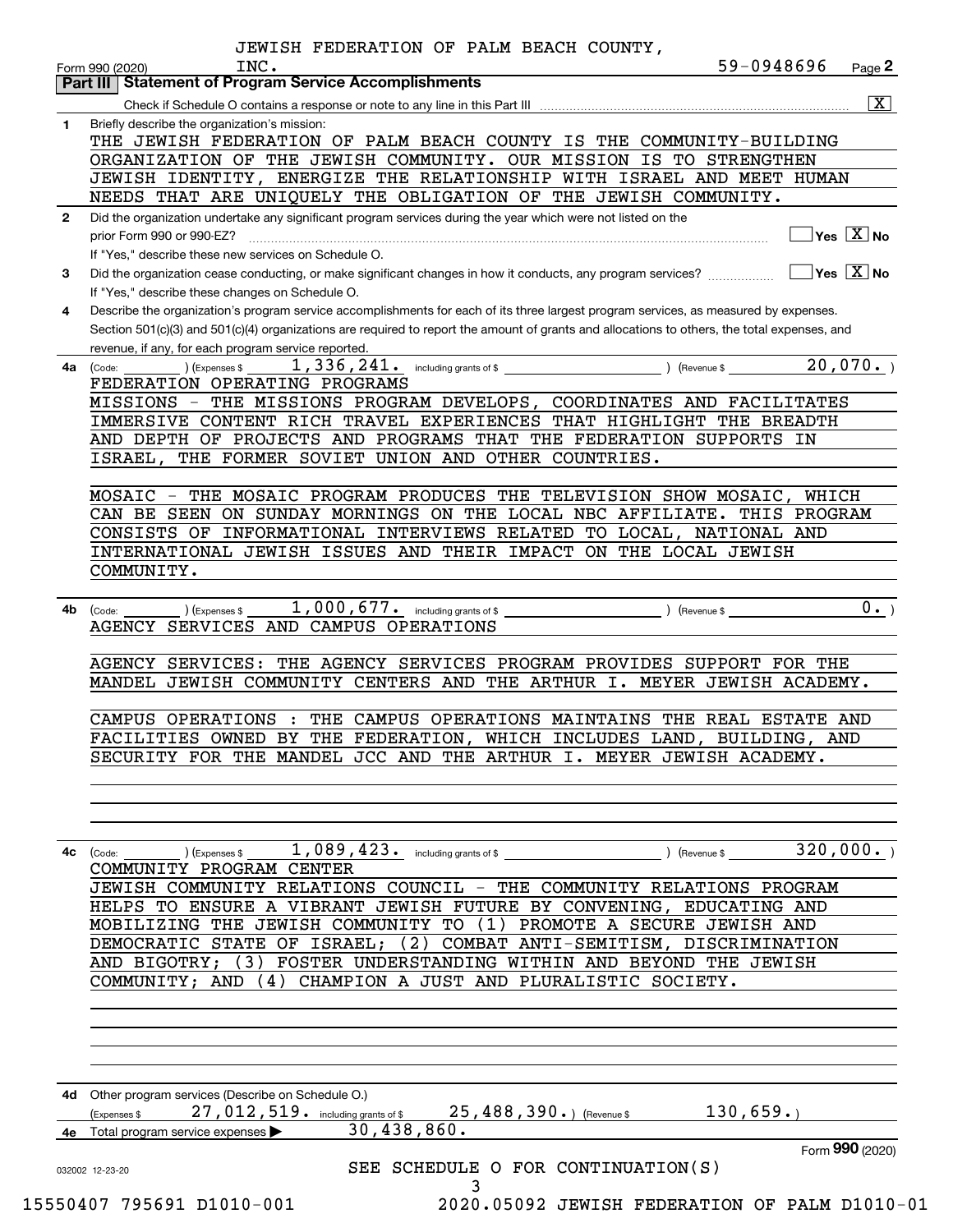|              | 59-0948696<br>INC.<br>Page 2<br>Form 990 (2020)<br>Part III   Statement of Program Service Accomplishments                                                                                                                                    |
|--------------|-----------------------------------------------------------------------------------------------------------------------------------------------------------------------------------------------------------------------------------------------|
|              | $\overline{\mathbf{x}}$                                                                                                                                                                                                                       |
| 1            | Briefly describe the organization's mission:                                                                                                                                                                                                  |
|              | THE JEWISH FEDERATION OF PALM BEACH COUNTY IS THE COMMUNITY-BUILDING                                                                                                                                                                          |
|              | ORGANIZATION OF THE JEWISH COMMUNITY. OUR MISSION IS TO STRENGTHEN                                                                                                                                                                            |
|              | JEWISH IDENTITY, ENERGIZE THE RELATIONSHIP WITH ISRAEL AND MEET HUMAN                                                                                                                                                                         |
|              | NEEDS THAT ARE UNIQUELY THE OBLIGATION OF THE JEWISH COMMUNITY.                                                                                                                                                                               |
| $\mathbf{2}$ | Did the organization undertake any significant program services during the year which were not listed on the                                                                                                                                  |
|              | $\sqrt{}$ Yes $\sqrt{X}$ No<br>prior Form 990 or 990-EZ?                                                                                                                                                                                      |
|              | If "Yes," describe these new services on Schedule O.                                                                                                                                                                                          |
| 3            | $\overline{\mathsf{Y}}$ es $\overline{\mathsf{X}}$ No<br>Did the organization cease conducting, or make significant changes in how it conducts, any program services?                                                                         |
|              | If "Yes," describe these changes on Schedule O.                                                                                                                                                                                               |
| 4            | Describe the organization's program service accomplishments for each of its three largest program services, as measured by expenses.                                                                                                          |
|              | Section 501(c)(3) and 501(c)(4) organizations are required to report the amount of grants and allocations to others, the total expenses, and                                                                                                  |
|              | revenue, if any, for each program service reported.                                                                                                                                                                                           |
| 4a           | 20,070.<br>(Expenses \$<br>(Code:                                                                                                                                                                                                             |
|              | FEDERATION OPERATING PROGRAMS                                                                                                                                                                                                                 |
|              | MISSIONS - THE MISSIONS PROGRAM DEVELOPS, COORDINATES AND FACILITATES                                                                                                                                                                         |
|              | IMMERSIVE CONTENT RICH TRAVEL EXPERIENCES THAT HIGHLIGHT THE BREADTH                                                                                                                                                                          |
|              | AND DEPTH OF PROJECTS AND PROGRAMS THAT THE FEDERATION SUPPORTS IN                                                                                                                                                                            |
|              | ISRAEL, THE FORMER SOVIET UNION AND OTHER COUNTRIES.                                                                                                                                                                                          |
|              |                                                                                                                                                                                                                                               |
|              | THE MOSAIC PROGRAM PRODUCES THE TELEVISION SHOW MOSAIC, WHICH<br>MOSAIC -                                                                                                                                                                     |
|              | ON SUNDAY MORNINGS ON THE LOCAL NBC AFFILIATE.<br>CAN BE SEEN<br>THIS PROGRAM                                                                                                                                                                 |
|              | INFORMATIONAL INTERVIEWS RELATED TO LOCAL, NATIONAL AND<br>CONSISTS OF                                                                                                                                                                        |
|              | INTERNATIONAL JEWISH ISSUES AND THEIR IMPACT ON THE LOCAL JEWISH                                                                                                                                                                              |
|              | COMMUNITY.                                                                                                                                                                                                                                    |
|              |                                                                                                                                                                                                                                               |
| 4b           | 0.<br>(Expenses \$<br>(Code:<br>AGENCY SERVICES AND CAMPUS OPERATIONS                                                                                                                                                                         |
|              |                                                                                                                                                                                                                                               |
|              | AGENCY SERVICES: THE AGENCY SERVICES PROGRAM PROVIDES SUPPORT FOR THE                                                                                                                                                                         |
|              | MANDEL JEWISH COMMUNITY CENTERS AND THE ARTHUR I. MEYER JEWISH ACADEMY.                                                                                                                                                                       |
|              |                                                                                                                                                                                                                                               |
|              | CAMPUS OPERATIONS : THE CAMPUS OPERATIONS MAINTAINS THE REAL ESTATE AND                                                                                                                                                                       |
|              | FACILITIES OWNED BY THE FEDERATION, WHICH INCLUDES LAND, BUILDING, AND                                                                                                                                                                        |
|              | SECURITY FOR THE MANDEL JCC AND THE ARTHUR I. MEYER JEWISH ACADEMY.                                                                                                                                                                           |
|              |                                                                                                                                                                                                                                               |
|              |                                                                                                                                                                                                                                               |
|              |                                                                                                                                                                                                                                               |
|              |                                                                                                                                                                                                                                               |
| 4c           | $(\text{Code:}\_\_)$ (Expenses \$1,089,423. including grants of \$1,089,423. including grants of \$1,089,199. including grants of \$1,000. including grants of \$1,000. including grants of \$1,000. including grants of \$1,000. including g |
|              | COMMUNITY PROGRAM CENTER                                                                                                                                                                                                                      |
|              | JEWISH COMMUNITY RELATIONS COUNCIL - THE COMMUNITY RELATIONS PROGRAM                                                                                                                                                                          |
|              | HELPS TO ENSURE A VIBRANT JEWISH FUTURE BY CONVENING, EDUCATING AND                                                                                                                                                                           |
|              | MOBILIZING THE JEWISH COMMUNITY TO (1) PROMOTE A SECURE JEWISH AND                                                                                                                                                                            |
|              | DEMOCRATIC STATE OF ISRAEL; (2) COMBAT ANTI-SEMITISM, DISCRIMINATION                                                                                                                                                                          |
|              | (3) FOSTER UNDERSTANDING WITHIN AND BEYOND THE JEWISH<br>AND BIGOTRY;                                                                                                                                                                         |
|              | COMMUNITY; AND (4) CHAMPION A JUST AND PLURALISTIC SOCIETY.                                                                                                                                                                                   |
|              |                                                                                                                                                                                                                                               |
|              |                                                                                                                                                                                                                                               |
|              |                                                                                                                                                                                                                                               |
|              |                                                                                                                                                                                                                                               |
|              |                                                                                                                                                                                                                                               |
|              |                                                                                                                                                                                                                                               |
|              | 4d Other program services (Describe on Schedule O.)<br>(Expenses \$                                                                                                                                                                           |
|              | 27, 012, 519. including grants of \$ $25$ , $488$ , $390$ .) (Revenue \$ 130, 659.)<br>30,438,860.                                                                                                                                            |
|              | 4e Total program service expenses<br>Form 990 (2020)                                                                                                                                                                                          |
|              | SEE SCHEDULE O FOR CONTINUATION(S)<br>032002 12-23-20                                                                                                                                                                                         |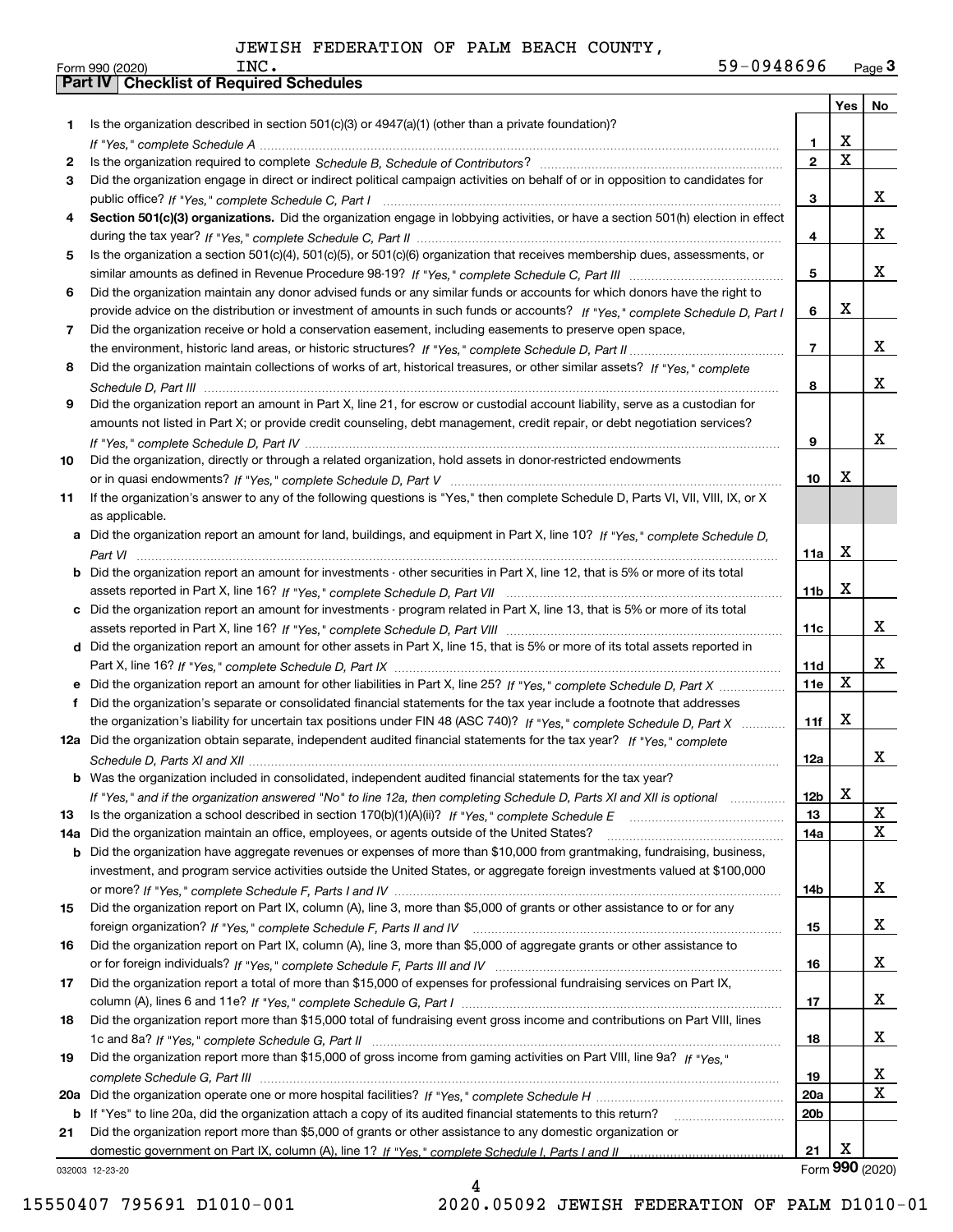|     |                                                                                                                                       |                 | Yes                     | No          |
|-----|---------------------------------------------------------------------------------------------------------------------------------------|-----------------|-------------------------|-------------|
| 1.  | Is the organization described in section $501(c)(3)$ or $4947(a)(1)$ (other than a private foundation)?                               |                 |                         |             |
|     |                                                                                                                                       | 1.              | х                       |             |
| 2   |                                                                                                                                       | $\mathbf{2}$    | $\overline{\mathbf{x}}$ |             |
| 3   | Did the organization engage in direct or indirect political campaign activities on behalf of or in opposition to candidates for       |                 |                         |             |
|     |                                                                                                                                       | 3               |                         | x           |
| 4   | Section 501(c)(3) organizations. Did the organization engage in lobbying activities, or have a section 501(h) election in effect      |                 |                         |             |
|     |                                                                                                                                       | 4               |                         | x           |
| 5   | Is the organization a section 501(c)(4), 501(c)(5), or 501(c)(6) organization that receives membership dues, assessments, or          |                 |                         |             |
|     |                                                                                                                                       | 5               |                         | x           |
| 6   | Did the organization maintain any donor advised funds or any similar funds or accounts for which donors have the right to             |                 |                         |             |
|     | provide advice on the distribution or investment of amounts in such funds or accounts? If "Yes," complete Schedule D, Part I          | 6               | X                       |             |
| 7   | Did the organization receive or hold a conservation easement, including easements to preserve open space,                             |                 |                         |             |
|     |                                                                                                                                       | $\overline{7}$  |                         | x           |
| 8   | Did the organization maintain collections of works of art, historical treasures, or other similar assets? If "Yes," complete          |                 |                         |             |
|     |                                                                                                                                       | 8               |                         | x           |
| 9   | Did the organization report an amount in Part X, line 21, for escrow or custodial account liability, serve as a custodian for         |                 |                         |             |
|     | amounts not listed in Part X; or provide credit counseling, debt management, credit repair, or debt negotiation services?             |                 |                         |             |
|     | If "Yes," complete Schedule D, Part IV …………………………………………………………………………………………                                                             | 9               |                         | x           |
| 10  | Did the organization, directly or through a related organization, hold assets in donor-restricted endowments                          |                 |                         |             |
|     |                                                                                                                                       | 10              | X                       |             |
| 11  | If the organization's answer to any of the following questions is "Yes," then complete Schedule D, Parts VI, VIII, VIII, IX, or X     |                 |                         |             |
|     | as applicable.                                                                                                                        |                 |                         |             |
|     | a Did the organization report an amount for land, buildings, and equipment in Part X, line 10? If "Yes," complete Schedule D,         |                 |                         |             |
|     |                                                                                                                                       | 11a             | X                       |             |
|     | <b>b</b> Did the organization report an amount for investments - other securities in Part X, line 12, that is 5% or more of its total |                 |                         |             |
|     |                                                                                                                                       | 11 <sub>b</sub> | X                       |             |
|     | c Did the organization report an amount for investments - program related in Part X, line 13, that is 5% or more of its total         |                 |                         | x           |
|     |                                                                                                                                       | 11c             |                         |             |
|     | d Did the organization report an amount for other assets in Part X, line 15, that is 5% or more of its total assets reported in       |                 |                         | x           |
|     |                                                                                                                                       | 11d<br>11e      | $\mathbf X$             |             |
| f   | Did the organization's separate or consolidated financial statements for the tax year include a footnote that addresses               |                 |                         |             |
|     | the organization's liability for uncertain tax positions under FIN 48 (ASC 740)? If "Yes," complete Schedule D, Part X                | 11f             | X                       |             |
|     | 12a Did the organization obtain separate, independent audited financial statements for the tax year? If "Yes," complete               |                 |                         |             |
|     |                                                                                                                                       | 12a             |                         | x           |
|     | <b>b</b> Was the organization included in consolidated, independent audited financial statements for the tax year?                    |                 |                         |             |
|     | If "Yes," and if the organization answered "No" to line 12a, then completing Schedule D, Parts XI and XII is optional                 | 12b             | x                       |             |
| 13  |                                                                                                                                       | 13              |                         | X           |
| 14a | Did the organization maintain an office, employees, or agents outside of the United States?                                           | 14a             |                         | X           |
| b   | Did the organization have aggregate revenues or expenses of more than \$10,000 from grantmaking, fundraising, business,               |                 |                         |             |
|     | investment, and program service activities outside the United States, or aggregate foreign investments valued at \$100,000            |                 |                         |             |
|     |                                                                                                                                       | 14b             |                         | X           |
| 15  | Did the organization report on Part IX, column (A), line 3, more than \$5,000 of grants or other assistance to or for any             |                 |                         |             |
|     |                                                                                                                                       | 15              |                         | X           |
| 16  | Did the organization report on Part IX, column (A), line 3, more than \$5,000 of aggregate grants or other assistance to              |                 |                         |             |
|     |                                                                                                                                       | 16              |                         | X           |
| 17  | Did the organization report a total of more than \$15,000 of expenses for professional fundraising services on Part IX,               |                 |                         |             |
|     |                                                                                                                                       | 17              |                         | X           |
| 18  | Did the organization report more than \$15,000 total of fundraising event gross income and contributions on Part VIII, lines          |                 |                         |             |
|     |                                                                                                                                       | 18              |                         | X           |
| 19  | Did the organization report more than \$15,000 of gross income from gaming activities on Part VIII, line 9a? If "Yes."                |                 |                         |             |
|     |                                                                                                                                       | 19              |                         | х           |
| 20a |                                                                                                                                       | <b>20a</b>      |                         | $\mathbf X$ |
| b   | If "Yes" to line 20a, did the organization attach a copy of its audited financial statements to this return?                          | 20 <sub>b</sub> |                         |             |
| 21  | Did the organization report more than \$5,000 of grants or other assistance to any domestic organization or                           |                 |                         |             |
|     |                                                                                                                                       | 21              | X                       |             |
|     | 032003 12-23-20                                                                                                                       |                 | Form 990 (2020)         |             |

032003 12-23-20

4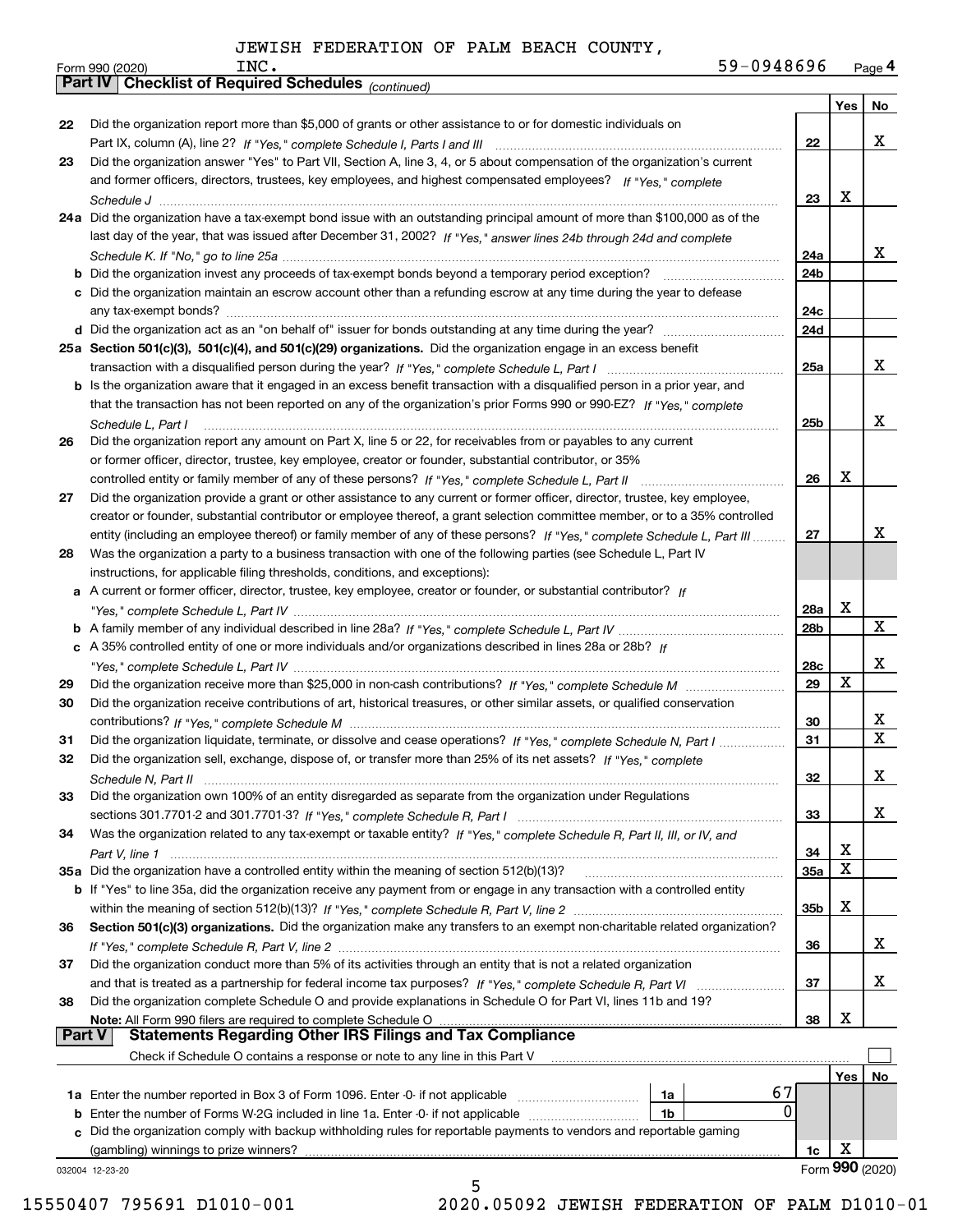| 59-0948696 | Page $4$ |
|------------|----------|
|------------|----------|

|               | 59-0948696<br>INC.<br>Form 990 (2020)                                                                                        |            |                              | Page 4                  |
|---------------|------------------------------------------------------------------------------------------------------------------------------|------------|------------------------------|-------------------------|
|               | Part IV   Checklist of Required Schedules (continued)                                                                        |            |                              |                         |
|               |                                                                                                                              |            | <b>Yes</b>                   | No                      |
| 22            | Did the organization report more than \$5,000 of grants or other assistance to or for domestic individuals on                |            |                              |                         |
|               |                                                                                                                              | 22         |                              | x                       |
| 23            | Did the organization answer "Yes" to Part VII, Section A, line 3, 4, or 5 about compensation of the organization's current   |            |                              |                         |
|               | and former officers, directors, trustees, key employees, and highest compensated employees? If "Yes," complete               |            |                              |                         |
|               |                                                                                                                              | 23         | х                            |                         |
|               | 24a Did the organization have a tax-exempt bond issue with an outstanding principal amount of more than \$100,000 as of the  |            |                              |                         |
|               | last day of the year, that was issued after December 31, 2002? If "Yes," answer lines 24b through 24d and complete           |            |                              |                         |
|               |                                                                                                                              | 24a        |                              | x                       |
|               | <b>b</b> Did the organization invest any proceeds of tax-exempt bonds beyond a temporary period exception?                   | 24b        |                              |                         |
|               | c Did the organization maintain an escrow account other than a refunding escrow at any time during the year to defease       |            |                              |                         |
|               |                                                                                                                              | 24c        |                              |                         |
|               | d Did the organization act as an "on behalf of" issuer for bonds outstanding at any time during the year?                    | 24d        |                              |                         |
|               | 25a Section 501(c)(3), 501(c)(4), and 501(c)(29) organizations. Did the organization engage in an excess benefit             | 25a        |                              | x                       |
|               | b Is the organization aware that it engaged in an excess benefit transaction with a disqualified person in a prior year, and |            |                              |                         |
|               | that the transaction has not been reported on any of the organization's prior Forms 990 or 990-EZ? If "Yes," complete        |            |                              |                         |
|               | Schedule L. Part I                                                                                                           | 25b        |                              | х                       |
| 26            | Did the organization report any amount on Part X, line 5 or 22, for receivables from or payables to any current              |            |                              |                         |
|               | or former officer, director, trustee, key employee, creator or founder, substantial contributor, or 35%                      |            |                              |                         |
|               |                                                                                                                              | 26         | х                            |                         |
| 27            | Did the organization provide a grant or other assistance to any current or former officer, director, trustee, key employee,  |            |                              |                         |
|               | creator or founder, substantial contributor or employee thereof, a grant selection committee member, or to a 35% controlled  |            |                              |                         |
|               | entity (including an employee thereof) or family member of any of these persons? If "Yes," complete Schedule L, Part III     | 27         |                              | x                       |
| 28            | Was the organization a party to a business transaction with one of the following parties (see Schedule L, Part IV            |            |                              |                         |
|               | instructions, for applicable filing thresholds, conditions, and exceptions):                                                 |            |                              |                         |
|               | a A current or former officer, director, trustee, key employee, creator or founder, or substantial contributor? If           |            |                              |                         |
|               |                                                                                                                              | 28a        | х                            |                         |
|               |                                                                                                                              | 28b        |                              | $\mathbf{x}$            |
|               | c A 35% controlled entity of one or more individuals and/or organizations described in lines 28a or 28b? If                  |            |                              |                         |
|               |                                                                                                                              | 28c        |                              | х                       |
| 29            |                                                                                                                              | 29         | X                            |                         |
| 30            | Did the organization receive contributions of art, historical treasures, or other similar assets, or qualified conservation  |            |                              |                         |
|               |                                                                                                                              | 30         |                              | X                       |
| 31            | Did the organization liquidate, terminate, or dissolve and cease operations? If "Yes," complete Schedule N, Part I           | 31         |                              | $\overline{\mathbf{x}}$ |
| 32            | Did the organization sell, exchange, dispose of, or transfer more than 25% of its net assets? If "Yes," complete             |            |                              |                         |
|               |                                                                                                                              | 32         |                              | х                       |
| 33            | Did the organization own 100% of an entity disregarded as separate from the organization under Regulations                   |            |                              |                         |
|               |                                                                                                                              | 33         |                              | x                       |
| 34            | Was the organization related to any tax-exempt or taxable entity? If "Yes," complete Schedule R, Part II, III, or IV, and    |            |                              |                         |
|               |                                                                                                                              | 34         | x<br>$\overline{\mathbf{x}}$ |                         |
|               | 35a Did the organization have a controlled entity within the meaning of section 512(b)(13)?                                  | <b>35a</b> |                              |                         |
|               | b If "Yes" to line 35a, did the organization receive any payment from or engage in any transaction with a controlled entity  |            | Х                            |                         |
|               |                                                                                                                              | 35b        |                              |                         |
| 36            | Section 501(c)(3) organizations. Did the organization make any transfers to an exempt non-charitable related organization?   |            |                              | X.                      |
| 37            | Did the organization conduct more than 5% of its activities through an entity that is not a related organization             | 36         |                              |                         |
|               |                                                                                                                              | 37         |                              | х                       |
| 38            | Did the organization complete Schedule O and provide explanations in Schedule O for Part VI, lines 11b and 19?               |            |                              |                         |
|               | Note: All Form 990 filers are required to complete Schedule O                                                                | 38         | х                            |                         |
| <b>Part V</b> | <b>Statements Regarding Other IRS Filings and Tax Compliance</b>                                                             |            |                              |                         |
|               | Check if Schedule O contains a response or note to any line in this Part V                                                   |            |                              |                         |
|               |                                                                                                                              |            | Yes                          | No                      |
|               | 67<br>1a                                                                                                                     |            |                              |                         |
|               | <b>b</b> Enter the number of Forms W-2G included in line 1a. Enter -0- if not applicable<br>1b                               | 0          |                              |                         |
|               | c Did the organization comply with backup withholding rules for reportable payments to vendors and reportable gaming         |            |                              |                         |
|               | (gambling) winnings to prize winners?                                                                                        | 1c         | x                            |                         |
|               | 032004 12-23-20                                                                                                              |            |                              | Form 990 (2020)         |
|               | 5                                                                                                                            |            |                              |                         |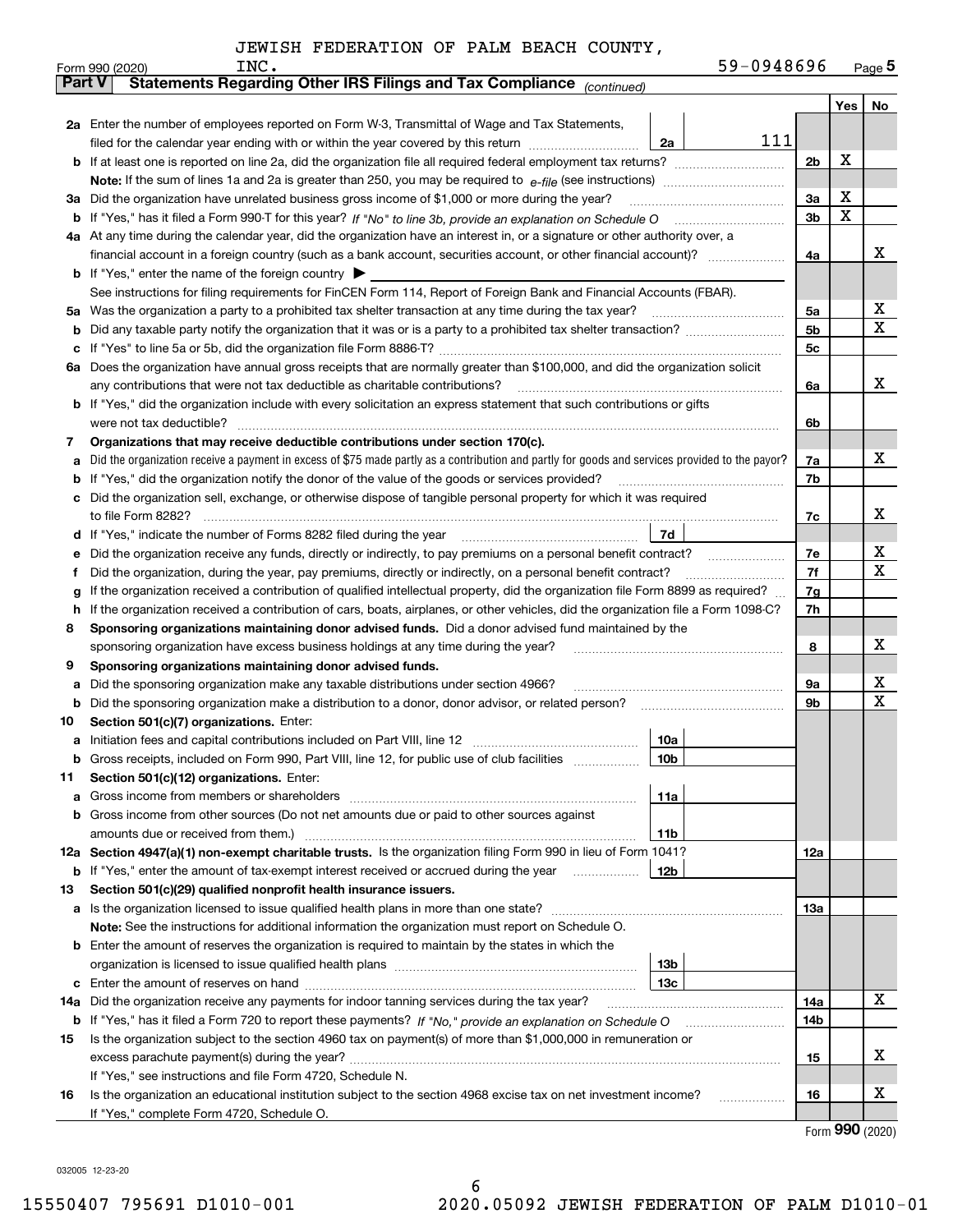|  |  | JEWISH FEDERATION OF PALM BEACH COUNTY. |  |  |  |  |
|--|--|-----------------------------------------|--|--|--|--|
|--|--|-----------------------------------------|--|--|--|--|

| <b>Part V</b><br><b>Yes</b><br>No<br>2a Enter the number of employees reported on Form W-3, Transmittal of Wage and Tax Statements,<br>111<br>filed for the calendar year ending with or within the year covered by this return<br>2a<br>х<br>2b<br>х<br>За<br>3a Did the organization have unrelated business gross income of \$1,000 or more during the year?<br>X<br>3b<br>4a At any time during the calendar year, did the organization have an interest in, or a signature or other authority over, a<br>х<br>4a<br>financial account in a foreign country (such as a bank account, securities account, or other financial account)?<br><b>b</b> If "Yes," enter the name of the foreign country $\blacktriangleright$<br>See instructions for filing requirements for FinCEN Form 114, Report of Foreign Bank and Financial Accounts (FBAR).<br>х<br>5a Was the organization a party to a prohibited tax shelter transaction at any time during the tax year?<br>5a<br>X<br>5b<br>b<br>5c<br>c<br>6a Does the organization have annual gross receipts that are normally greater than \$100,000, and did the organization solicit<br>х<br>6a<br><b>b</b> If "Yes," did the organization include with every solicitation an express statement that such contributions or gifts<br>6b<br>were not tax deductible?<br>Organizations that may receive deductible contributions under section 170(c).<br>7<br>х<br>Did the organization receive a payment in excess of \$75 made partly as a contribution and partly for goods and services provided to the payor?<br>7a<br>а<br>If "Yes," did the organization notify the donor of the value of the goods or services provided?<br>7b<br>b<br>c Did the organization sell, exchange, or otherwise dispose of tangible personal property for which it was required<br>х<br>7c<br>7d  <br>d If "Yes," indicate the number of Forms 8282 filed during the year [11] [11] No. 2010 [12] Henry Manuscover, 1<br>х<br>Did the organization receive any funds, directly or indirectly, to pay premiums on a personal benefit contract?<br>7e<br>е<br>х<br>7f<br>Did the organization, during the year, pay premiums, directly or indirectly, on a personal benefit contract?<br>f<br>If the organization received a contribution of qualified intellectual property, did the organization file Form 8899 as required?<br>7g<br>g<br>If the organization received a contribution of cars, boats, airplanes, or other vehicles, did the organization file a Form 1098-C?<br>7h<br>h.<br>Sponsoring organizations maintaining donor advised funds. Did a donor advised fund maintained by the<br>8<br>х<br>8<br>sponsoring organization have excess business holdings at any time during the year?<br>Sponsoring organizations maintaining donor advised funds.<br>9<br>х<br>Did the sponsoring organization make any taxable distributions under section 4966?<br>9а<br>а<br>Χ<br>9b<br>Did the sponsoring organization make a distribution to a donor, donor advisor, or related person?<br>b<br>Section 501(c)(7) organizations. Enter:<br>10<br>10a<br> 10 <sub>b</sub>  <br>Gross receipts, included on Form 990, Part VIII, line 12, for public use of club facilities<br>Section 501(c)(12) organizations. Enter:<br>11<br>11a<br>a<br>b Gross income from other sources (Do not net amounts due or paid to other sources against<br>11b<br>12a Section 4947(a)(1) non-exempt charitable trusts. Is the organization filing Form 990 in lieu of Form 1041?<br>12a<br>12b<br><b>b</b> If "Yes," enter the amount of tax-exempt interest received or accrued during the year <i>manument</i><br>Section 501(c)(29) qualified nonprofit health insurance issuers.<br>13<br>13a<br>a Is the organization licensed to issue qualified health plans in more than one state?<br>Note: See the instructions for additional information the organization must report on Schedule O.<br><b>b</b> Enter the amount of reserves the organization is required to maintain by the states in which the<br>13b<br>13с<br>х<br>Did the organization receive any payments for indoor tanning services during the tax year?<br>14a<br>14a<br>14b<br><b>b</b> If "Yes," has it filed a Form 720 to report these payments? If "No," provide an explanation on Schedule O<br>Is the organization subject to the section 4960 tax on payment(s) of more than \$1,000,000 in remuneration or<br>15<br>x<br>15<br>If "Yes," see instructions and file Form 4720, Schedule N.<br>х<br>Is the organization an educational institution subject to the section 4968 excise tax on net investment income?<br>16<br>16<br>If "Yes," complete Form 4720, Schedule O. | 59-0948696<br>INC.<br>Form 990 (2020)                                 |  |  | $_{\text{Page}}$ 5 |
|------------------------------------------------------------------------------------------------------------------------------------------------------------------------------------------------------------------------------------------------------------------------------------------------------------------------------------------------------------------------------------------------------------------------------------------------------------------------------------------------------------------------------------------------------------------------------------------------------------------------------------------------------------------------------------------------------------------------------------------------------------------------------------------------------------------------------------------------------------------------------------------------------------------------------------------------------------------------------------------------------------------------------------------------------------------------------------------------------------------------------------------------------------------------------------------------------------------------------------------------------------------------------------------------------------------------------------------------------------------------------------------------------------------------------------------------------------------------------------------------------------------------------------------------------------------------------------------------------------------------------------------------------------------------------------------------------------------------------------------------------------------------------------------------------------------------------------------------------------------------------------------------------------------------------------------------------------------------------------------------------------------------------------------------------------------------------------------------------------------------------------------------------------------------------------------------------------------------------------------------------------------------------------------------------------------------------------------------------------------------------------------------------------------------------------------------------------------------------------------------------------------------------------------------------------------------------------------------------------------------------------------------------------------------------------------------------------------------------------------------------------------------------------------------------------------------------------------------------------------------------------------------------------------------------------------------------------------------------------------------------------------------------------------------------------------------------------------------------------------------------------------------------------------------------------------------------------------------------------------------------------------------------------------------------------------------------------------------------------------------------------------------------------------------------------------------------------------------------------------------------------------------------------------------------------------------------------------------------------------------------------------------------------------------------------------------------------------------------------------------------------------------------------------------------------------------------------------------------------------------------------------------------------------------------------------------------------------------------------------------------------------------------------------------------------------------------------------------------------------------------------------------------------------------------------------------------------------------------------------------------------------------------------------------------------------------------------------------------------------------------------------------------------------------------------------------------------------------------------------------------------------------------------------------------------------------------------------------------------------------------------------------------------------------------------|-----------------------------------------------------------------------|--|--|--------------------|
|                                                                                                                                                                                                                                                                                                                                                                                                                                                                                                                                                                                                                                                                                                                                                                                                                                                                                                                                                                                                                                                                                                                                                                                                                                                                                                                                                                                                                                                                                                                                                                                                                                                                                                                                                                                                                                                                                                                                                                                                                                                                                                                                                                                                                                                                                                                                                                                                                                                                                                                                                                                                                                                                                                                                                                                                                                                                                                                                                                                                                                                                                                                                                                                                                                                                                                                                                                                                                                                                                                                                                                                                                                                                                                                                                                                                                                                                                                                                                                                                                                                                                                                                                                                                                                                                                                                                                                                                                                                                                                                                                                                                                                                                                    | Statements Regarding Other IRS Filings and Tax Compliance (continued) |  |  |                    |
|                                                                                                                                                                                                                                                                                                                                                                                                                                                                                                                                                                                                                                                                                                                                                                                                                                                                                                                                                                                                                                                                                                                                                                                                                                                                                                                                                                                                                                                                                                                                                                                                                                                                                                                                                                                                                                                                                                                                                                                                                                                                                                                                                                                                                                                                                                                                                                                                                                                                                                                                                                                                                                                                                                                                                                                                                                                                                                                                                                                                                                                                                                                                                                                                                                                                                                                                                                                                                                                                                                                                                                                                                                                                                                                                                                                                                                                                                                                                                                                                                                                                                                                                                                                                                                                                                                                                                                                                                                                                                                                                                                                                                                                                                    |                                                                       |  |  |                    |
|                                                                                                                                                                                                                                                                                                                                                                                                                                                                                                                                                                                                                                                                                                                                                                                                                                                                                                                                                                                                                                                                                                                                                                                                                                                                                                                                                                                                                                                                                                                                                                                                                                                                                                                                                                                                                                                                                                                                                                                                                                                                                                                                                                                                                                                                                                                                                                                                                                                                                                                                                                                                                                                                                                                                                                                                                                                                                                                                                                                                                                                                                                                                                                                                                                                                                                                                                                                                                                                                                                                                                                                                                                                                                                                                                                                                                                                                                                                                                                                                                                                                                                                                                                                                                                                                                                                                                                                                                                                                                                                                                                                                                                                                                    |                                                                       |  |  |                    |
|                                                                                                                                                                                                                                                                                                                                                                                                                                                                                                                                                                                                                                                                                                                                                                                                                                                                                                                                                                                                                                                                                                                                                                                                                                                                                                                                                                                                                                                                                                                                                                                                                                                                                                                                                                                                                                                                                                                                                                                                                                                                                                                                                                                                                                                                                                                                                                                                                                                                                                                                                                                                                                                                                                                                                                                                                                                                                                                                                                                                                                                                                                                                                                                                                                                                                                                                                                                                                                                                                                                                                                                                                                                                                                                                                                                                                                                                                                                                                                                                                                                                                                                                                                                                                                                                                                                                                                                                                                                                                                                                                                                                                                                                                    |                                                                       |  |  |                    |
|                                                                                                                                                                                                                                                                                                                                                                                                                                                                                                                                                                                                                                                                                                                                                                                                                                                                                                                                                                                                                                                                                                                                                                                                                                                                                                                                                                                                                                                                                                                                                                                                                                                                                                                                                                                                                                                                                                                                                                                                                                                                                                                                                                                                                                                                                                                                                                                                                                                                                                                                                                                                                                                                                                                                                                                                                                                                                                                                                                                                                                                                                                                                                                                                                                                                                                                                                                                                                                                                                                                                                                                                                                                                                                                                                                                                                                                                                                                                                                                                                                                                                                                                                                                                                                                                                                                                                                                                                                                                                                                                                                                                                                                                                    |                                                                       |  |  |                    |
|                                                                                                                                                                                                                                                                                                                                                                                                                                                                                                                                                                                                                                                                                                                                                                                                                                                                                                                                                                                                                                                                                                                                                                                                                                                                                                                                                                                                                                                                                                                                                                                                                                                                                                                                                                                                                                                                                                                                                                                                                                                                                                                                                                                                                                                                                                                                                                                                                                                                                                                                                                                                                                                                                                                                                                                                                                                                                                                                                                                                                                                                                                                                                                                                                                                                                                                                                                                                                                                                                                                                                                                                                                                                                                                                                                                                                                                                                                                                                                                                                                                                                                                                                                                                                                                                                                                                                                                                                                                                                                                                                                                                                                                                                    |                                                                       |  |  |                    |
|                                                                                                                                                                                                                                                                                                                                                                                                                                                                                                                                                                                                                                                                                                                                                                                                                                                                                                                                                                                                                                                                                                                                                                                                                                                                                                                                                                                                                                                                                                                                                                                                                                                                                                                                                                                                                                                                                                                                                                                                                                                                                                                                                                                                                                                                                                                                                                                                                                                                                                                                                                                                                                                                                                                                                                                                                                                                                                                                                                                                                                                                                                                                                                                                                                                                                                                                                                                                                                                                                                                                                                                                                                                                                                                                                                                                                                                                                                                                                                                                                                                                                                                                                                                                                                                                                                                                                                                                                                                                                                                                                                                                                                                                                    |                                                                       |  |  |                    |
|                                                                                                                                                                                                                                                                                                                                                                                                                                                                                                                                                                                                                                                                                                                                                                                                                                                                                                                                                                                                                                                                                                                                                                                                                                                                                                                                                                                                                                                                                                                                                                                                                                                                                                                                                                                                                                                                                                                                                                                                                                                                                                                                                                                                                                                                                                                                                                                                                                                                                                                                                                                                                                                                                                                                                                                                                                                                                                                                                                                                                                                                                                                                                                                                                                                                                                                                                                                                                                                                                                                                                                                                                                                                                                                                                                                                                                                                                                                                                                                                                                                                                                                                                                                                                                                                                                                                                                                                                                                                                                                                                                                                                                                                                    |                                                                       |  |  |                    |
|                                                                                                                                                                                                                                                                                                                                                                                                                                                                                                                                                                                                                                                                                                                                                                                                                                                                                                                                                                                                                                                                                                                                                                                                                                                                                                                                                                                                                                                                                                                                                                                                                                                                                                                                                                                                                                                                                                                                                                                                                                                                                                                                                                                                                                                                                                                                                                                                                                                                                                                                                                                                                                                                                                                                                                                                                                                                                                                                                                                                                                                                                                                                                                                                                                                                                                                                                                                                                                                                                                                                                                                                                                                                                                                                                                                                                                                                                                                                                                                                                                                                                                                                                                                                                                                                                                                                                                                                                                                                                                                                                                                                                                                                                    |                                                                       |  |  |                    |
|                                                                                                                                                                                                                                                                                                                                                                                                                                                                                                                                                                                                                                                                                                                                                                                                                                                                                                                                                                                                                                                                                                                                                                                                                                                                                                                                                                                                                                                                                                                                                                                                                                                                                                                                                                                                                                                                                                                                                                                                                                                                                                                                                                                                                                                                                                                                                                                                                                                                                                                                                                                                                                                                                                                                                                                                                                                                                                                                                                                                                                                                                                                                                                                                                                                                                                                                                                                                                                                                                                                                                                                                                                                                                                                                                                                                                                                                                                                                                                                                                                                                                                                                                                                                                                                                                                                                                                                                                                                                                                                                                                                                                                                                                    |                                                                       |  |  |                    |
|                                                                                                                                                                                                                                                                                                                                                                                                                                                                                                                                                                                                                                                                                                                                                                                                                                                                                                                                                                                                                                                                                                                                                                                                                                                                                                                                                                                                                                                                                                                                                                                                                                                                                                                                                                                                                                                                                                                                                                                                                                                                                                                                                                                                                                                                                                                                                                                                                                                                                                                                                                                                                                                                                                                                                                                                                                                                                                                                                                                                                                                                                                                                                                                                                                                                                                                                                                                                                                                                                                                                                                                                                                                                                                                                                                                                                                                                                                                                                                                                                                                                                                                                                                                                                                                                                                                                                                                                                                                                                                                                                                                                                                                                                    |                                                                       |  |  |                    |
|                                                                                                                                                                                                                                                                                                                                                                                                                                                                                                                                                                                                                                                                                                                                                                                                                                                                                                                                                                                                                                                                                                                                                                                                                                                                                                                                                                                                                                                                                                                                                                                                                                                                                                                                                                                                                                                                                                                                                                                                                                                                                                                                                                                                                                                                                                                                                                                                                                                                                                                                                                                                                                                                                                                                                                                                                                                                                                                                                                                                                                                                                                                                                                                                                                                                                                                                                                                                                                                                                                                                                                                                                                                                                                                                                                                                                                                                                                                                                                                                                                                                                                                                                                                                                                                                                                                                                                                                                                                                                                                                                                                                                                                                                    |                                                                       |  |  |                    |
|                                                                                                                                                                                                                                                                                                                                                                                                                                                                                                                                                                                                                                                                                                                                                                                                                                                                                                                                                                                                                                                                                                                                                                                                                                                                                                                                                                                                                                                                                                                                                                                                                                                                                                                                                                                                                                                                                                                                                                                                                                                                                                                                                                                                                                                                                                                                                                                                                                                                                                                                                                                                                                                                                                                                                                                                                                                                                                                                                                                                                                                                                                                                                                                                                                                                                                                                                                                                                                                                                                                                                                                                                                                                                                                                                                                                                                                                                                                                                                                                                                                                                                                                                                                                                                                                                                                                                                                                                                                                                                                                                                                                                                                                                    |                                                                       |  |  |                    |
|                                                                                                                                                                                                                                                                                                                                                                                                                                                                                                                                                                                                                                                                                                                                                                                                                                                                                                                                                                                                                                                                                                                                                                                                                                                                                                                                                                                                                                                                                                                                                                                                                                                                                                                                                                                                                                                                                                                                                                                                                                                                                                                                                                                                                                                                                                                                                                                                                                                                                                                                                                                                                                                                                                                                                                                                                                                                                                                                                                                                                                                                                                                                                                                                                                                                                                                                                                                                                                                                                                                                                                                                                                                                                                                                                                                                                                                                                                                                                                                                                                                                                                                                                                                                                                                                                                                                                                                                                                                                                                                                                                                                                                                                                    |                                                                       |  |  |                    |
|                                                                                                                                                                                                                                                                                                                                                                                                                                                                                                                                                                                                                                                                                                                                                                                                                                                                                                                                                                                                                                                                                                                                                                                                                                                                                                                                                                                                                                                                                                                                                                                                                                                                                                                                                                                                                                                                                                                                                                                                                                                                                                                                                                                                                                                                                                                                                                                                                                                                                                                                                                                                                                                                                                                                                                                                                                                                                                                                                                                                                                                                                                                                                                                                                                                                                                                                                                                                                                                                                                                                                                                                                                                                                                                                                                                                                                                                                                                                                                                                                                                                                                                                                                                                                                                                                                                                                                                                                                                                                                                                                                                                                                                                                    |                                                                       |  |  |                    |
|                                                                                                                                                                                                                                                                                                                                                                                                                                                                                                                                                                                                                                                                                                                                                                                                                                                                                                                                                                                                                                                                                                                                                                                                                                                                                                                                                                                                                                                                                                                                                                                                                                                                                                                                                                                                                                                                                                                                                                                                                                                                                                                                                                                                                                                                                                                                                                                                                                                                                                                                                                                                                                                                                                                                                                                                                                                                                                                                                                                                                                                                                                                                                                                                                                                                                                                                                                                                                                                                                                                                                                                                                                                                                                                                                                                                                                                                                                                                                                                                                                                                                                                                                                                                                                                                                                                                                                                                                                                                                                                                                                                                                                                                                    |                                                                       |  |  |                    |
|                                                                                                                                                                                                                                                                                                                                                                                                                                                                                                                                                                                                                                                                                                                                                                                                                                                                                                                                                                                                                                                                                                                                                                                                                                                                                                                                                                                                                                                                                                                                                                                                                                                                                                                                                                                                                                                                                                                                                                                                                                                                                                                                                                                                                                                                                                                                                                                                                                                                                                                                                                                                                                                                                                                                                                                                                                                                                                                                                                                                                                                                                                                                                                                                                                                                                                                                                                                                                                                                                                                                                                                                                                                                                                                                                                                                                                                                                                                                                                                                                                                                                                                                                                                                                                                                                                                                                                                                                                                                                                                                                                                                                                                                                    |                                                                       |  |  |                    |
|                                                                                                                                                                                                                                                                                                                                                                                                                                                                                                                                                                                                                                                                                                                                                                                                                                                                                                                                                                                                                                                                                                                                                                                                                                                                                                                                                                                                                                                                                                                                                                                                                                                                                                                                                                                                                                                                                                                                                                                                                                                                                                                                                                                                                                                                                                                                                                                                                                                                                                                                                                                                                                                                                                                                                                                                                                                                                                                                                                                                                                                                                                                                                                                                                                                                                                                                                                                                                                                                                                                                                                                                                                                                                                                                                                                                                                                                                                                                                                                                                                                                                                                                                                                                                                                                                                                                                                                                                                                                                                                                                                                                                                                                                    |                                                                       |  |  |                    |
|                                                                                                                                                                                                                                                                                                                                                                                                                                                                                                                                                                                                                                                                                                                                                                                                                                                                                                                                                                                                                                                                                                                                                                                                                                                                                                                                                                                                                                                                                                                                                                                                                                                                                                                                                                                                                                                                                                                                                                                                                                                                                                                                                                                                                                                                                                                                                                                                                                                                                                                                                                                                                                                                                                                                                                                                                                                                                                                                                                                                                                                                                                                                                                                                                                                                                                                                                                                                                                                                                                                                                                                                                                                                                                                                                                                                                                                                                                                                                                                                                                                                                                                                                                                                                                                                                                                                                                                                                                                                                                                                                                                                                                                                                    |                                                                       |  |  |                    |
|                                                                                                                                                                                                                                                                                                                                                                                                                                                                                                                                                                                                                                                                                                                                                                                                                                                                                                                                                                                                                                                                                                                                                                                                                                                                                                                                                                                                                                                                                                                                                                                                                                                                                                                                                                                                                                                                                                                                                                                                                                                                                                                                                                                                                                                                                                                                                                                                                                                                                                                                                                                                                                                                                                                                                                                                                                                                                                                                                                                                                                                                                                                                                                                                                                                                                                                                                                                                                                                                                                                                                                                                                                                                                                                                                                                                                                                                                                                                                                                                                                                                                                                                                                                                                                                                                                                                                                                                                                                                                                                                                                                                                                                                                    |                                                                       |  |  |                    |
|                                                                                                                                                                                                                                                                                                                                                                                                                                                                                                                                                                                                                                                                                                                                                                                                                                                                                                                                                                                                                                                                                                                                                                                                                                                                                                                                                                                                                                                                                                                                                                                                                                                                                                                                                                                                                                                                                                                                                                                                                                                                                                                                                                                                                                                                                                                                                                                                                                                                                                                                                                                                                                                                                                                                                                                                                                                                                                                                                                                                                                                                                                                                                                                                                                                                                                                                                                                                                                                                                                                                                                                                                                                                                                                                                                                                                                                                                                                                                                                                                                                                                                                                                                                                                                                                                                                                                                                                                                                                                                                                                                                                                                                                                    |                                                                       |  |  |                    |
|                                                                                                                                                                                                                                                                                                                                                                                                                                                                                                                                                                                                                                                                                                                                                                                                                                                                                                                                                                                                                                                                                                                                                                                                                                                                                                                                                                                                                                                                                                                                                                                                                                                                                                                                                                                                                                                                                                                                                                                                                                                                                                                                                                                                                                                                                                                                                                                                                                                                                                                                                                                                                                                                                                                                                                                                                                                                                                                                                                                                                                                                                                                                                                                                                                                                                                                                                                                                                                                                                                                                                                                                                                                                                                                                                                                                                                                                                                                                                                                                                                                                                                                                                                                                                                                                                                                                                                                                                                                                                                                                                                                                                                                                                    |                                                                       |  |  |                    |
|                                                                                                                                                                                                                                                                                                                                                                                                                                                                                                                                                                                                                                                                                                                                                                                                                                                                                                                                                                                                                                                                                                                                                                                                                                                                                                                                                                                                                                                                                                                                                                                                                                                                                                                                                                                                                                                                                                                                                                                                                                                                                                                                                                                                                                                                                                                                                                                                                                                                                                                                                                                                                                                                                                                                                                                                                                                                                                                                                                                                                                                                                                                                                                                                                                                                                                                                                                                                                                                                                                                                                                                                                                                                                                                                                                                                                                                                                                                                                                                                                                                                                                                                                                                                                                                                                                                                                                                                                                                                                                                                                                                                                                                                                    |                                                                       |  |  |                    |
|                                                                                                                                                                                                                                                                                                                                                                                                                                                                                                                                                                                                                                                                                                                                                                                                                                                                                                                                                                                                                                                                                                                                                                                                                                                                                                                                                                                                                                                                                                                                                                                                                                                                                                                                                                                                                                                                                                                                                                                                                                                                                                                                                                                                                                                                                                                                                                                                                                                                                                                                                                                                                                                                                                                                                                                                                                                                                                                                                                                                                                                                                                                                                                                                                                                                                                                                                                                                                                                                                                                                                                                                                                                                                                                                                                                                                                                                                                                                                                                                                                                                                                                                                                                                                                                                                                                                                                                                                                                                                                                                                                                                                                                                                    |                                                                       |  |  |                    |
|                                                                                                                                                                                                                                                                                                                                                                                                                                                                                                                                                                                                                                                                                                                                                                                                                                                                                                                                                                                                                                                                                                                                                                                                                                                                                                                                                                                                                                                                                                                                                                                                                                                                                                                                                                                                                                                                                                                                                                                                                                                                                                                                                                                                                                                                                                                                                                                                                                                                                                                                                                                                                                                                                                                                                                                                                                                                                                                                                                                                                                                                                                                                                                                                                                                                                                                                                                                                                                                                                                                                                                                                                                                                                                                                                                                                                                                                                                                                                                                                                                                                                                                                                                                                                                                                                                                                                                                                                                                                                                                                                                                                                                                                                    |                                                                       |  |  |                    |
|                                                                                                                                                                                                                                                                                                                                                                                                                                                                                                                                                                                                                                                                                                                                                                                                                                                                                                                                                                                                                                                                                                                                                                                                                                                                                                                                                                                                                                                                                                                                                                                                                                                                                                                                                                                                                                                                                                                                                                                                                                                                                                                                                                                                                                                                                                                                                                                                                                                                                                                                                                                                                                                                                                                                                                                                                                                                                                                                                                                                                                                                                                                                                                                                                                                                                                                                                                                                                                                                                                                                                                                                                                                                                                                                                                                                                                                                                                                                                                                                                                                                                                                                                                                                                                                                                                                                                                                                                                                                                                                                                                                                                                                                                    |                                                                       |  |  |                    |
|                                                                                                                                                                                                                                                                                                                                                                                                                                                                                                                                                                                                                                                                                                                                                                                                                                                                                                                                                                                                                                                                                                                                                                                                                                                                                                                                                                                                                                                                                                                                                                                                                                                                                                                                                                                                                                                                                                                                                                                                                                                                                                                                                                                                                                                                                                                                                                                                                                                                                                                                                                                                                                                                                                                                                                                                                                                                                                                                                                                                                                                                                                                                                                                                                                                                                                                                                                                                                                                                                                                                                                                                                                                                                                                                                                                                                                                                                                                                                                                                                                                                                                                                                                                                                                                                                                                                                                                                                                                                                                                                                                                                                                                                                    |                                                                       |  |  |                    |
|                                                                                                                                                                                                                                                                                                                                                                                                                                                                                                                                                                                                                                                                                                                                                                                                                                                                                                                                                                                                                                                                                                                                                                                                                                                                                                                                                                                                                                                                                                                                                                                                                                                                                                                                                                                                                                                                                                                                                                                                                                                                                                                                                                                                                                                                                                                                                                                                                                                                                                                                                                                                                                                                                                                                                                                                                                                                                                                                                                                                                                                                                                                                                                                                                                                                                                                                                                                                                                                                                                                                                                                                                                                                                                                                                                                                                                                                                                                                                                                                                                                                                                                                                                                                                                                                                                                                                                                                                                                                                                                                                                                                                                                                                    |                                                                       |  |  |                    |
|                                                                                                                                                                                                                                                                                                                                                                                                                                                                                                                                                                                                                                                                                                                                                                                                                                                                                                                                                                                                                                                                                                                                                                                                                                                                                                                                                                                                                                                                                                                                                                                                                                                                                                                                                                                                                                                                                                                                                                                                                                                                                                                                                                                                                                                                                                                                                                                                                                                                                                                                                                                                                                                                                                                                                                                                                                                                                                                                                                                                                                                                                                                                                                                                                                                                                                                                                                                                                                                                                                                                                                                                                                                                                                                                                                                                                                                                                                                                                                                                                                                                                                                                                                                                                                                                                                                                                                                                                                                                                                                                                                                                                                                                                    |                                                                       |  |  |                    |
|                                                                                                                                                                                                                                                                                                                                                                                                                                                                                                                                                                                                                                                                                                                                                                                                                                                                                                                                                                                                                                                                                                                                                                                                                                                                                                                                                                                                                                                                                                                                                                                                                                                                                                                                                                                                                                                                                                                                                                                                                                                                                                                                                                                                                                                                                                                                                                                                                                                                                                                                                                                                                                                                                                                                                                                                                                                                                                                                                                                                                                                                                                                                                                                                                                                                                                                                                                                                                                                                                                                                                                                                                                                                                                                                                                                                                                                                                                                                                                                                                                                                                                                                                                                                                                                                                                                                                                                                                                                                                                                                                                                                                                                                                    |                                                                       |  |  |                    |
|                                                                                                                                                                                                                                                                                                                                                                                                                                                                                                                                                                                                                                                                                                                                                                                                                                                                                                                                                                                                                                                                                                                                                                                                                                                                                                                                                                                                                                                                                                                                                                                                                                                                                                                                                                                                                                                                                                                                                                                                                                                                                                                                                                                                                                                                                                                                                                                                                                                                                                                                                                                                                                                                                                                                                                                                                                                                                                                                                                                                                                                                                                                                                                                                                                                                                                                                                                                                                                                                                                                                                                                                                                                                                                                                                                                                                                                                                                                                                                                                                                                                                                                                                                                                                                                                                                                                                                                                                                                                                                                                                                                                                                                                                    |                                                                       |  |  |                    |
|                                                                                                                                                                                                                                                                                                                                                                                                                                                                                                                                                                                                                                                                                                                                                                                                                                                                                                                                                                                                                                                                                                                                                                                                                                                                                                                                                                                                                                                                                                                                                                                                                                                                                                                                                                                                                                                                                                                                                                                                                                                                                                                                                                                                                                                                                                                                                                                                                                                                                                                                                                                                                                                                                                                                                                                                                                                                                                                                                                                                                                                                                                                                                                                                                                                                                                                                                                                                                                                                                                                                                                                                                                                                                                                                                                                                                                                                                                                                                                                                                                                                                                                                                                                                                                                                                                                                                                                                                                                                                                                                                                                                                                                                                    |                                                                       |  |  |                    |
|                                                                                                                                                                                                                                                                                                                                                                                                                                                                                                                                                                                                                                                                                                                                                                                                                                                                                                                                                                                                                                                                                                                                                                                                                                                                                                                                                                                                                                                                                                                                                                                                                                                                                                                                                                                                                                                                                                                                                                                                                                                                                                                                                                                                                                                                                                                                                                                                                                                                                                                                                                                                                                                                                                                                                                                                                                                                                                                                                                                                                                                                                                                                                                                                                                                                                                                                                                                                                                                                                                                                                                                                                                                                                                                                                                                                                                                                                                                                                                                                                                                                                                                                                                                                                                                                                                                                                                                                                                                                                                                                                                                                                                                                                    |                                                                       |  |  |                    |
|                                                                                                                                                                                                                                                                                                                                                                                                                                                                                                                                                                                                                                                                                                                                                                                                                                                                                                                                                                                                                                                                                                                                                                                                                                                                                                                                                                                                                                                                                                                                                                                                                                                                                                                                                                                                                                                                                                                                                                                                                                                                                                                                                                                                                                                                                                                                                                                                                                                                                                                                                                                                                                                                                                                                                                                                                                                                                                                                                                                                                                                                                                                                                                                                                                                                                                                                                                                                                                                                                                                                                                                                                                                                                                                                                                                                                                                                                                                                                                                                                                                                                                                                                                                                                                                                                                                                                                                                                                                                                                                                                                                                                                                                                    |                                                                       |  |  |                    |
|                                                                                                                                                                                                                                                                                                                                                                                                                                                                                                                                                                                                                                                                                                                                                                                                                                                                                                                                                                                                                                                                                                                                                                                                                                                                                                                                                                                                                                                                                                                                                                                                                                                                                                                                                                                                                                                                                                                                                                                                                                                                                                                                                                                                                                                                                                                                                                                                                                                                                                                                                                                                                                                                                                                                                                                                                                                                                                                                                                                                                                                                                                                                                                                                                                                                                                                                                                                                                                                                                                                                                                                                                                                                                                                                                                                                                                                                                                                                                                                                                                                                                                                                                                                                                                                                                                                                                                                                                                                                                                                                                                                                                                                                                    |                                                                       |  |  |                    |
|                                                                                                                                                                                                                                                                                                                                                                                                                                                                                                                                                                                                                                                                                                                                                                                                                                                                                                                                                                                                                                                                                                                                                                                                                                                                                                                                                                                                                                                                                                                                                                                                                                                                                                                                                                                                                                                                                                                                                                                                                                                                                                                                                                                                                                                                                                                                                                                                                                                                                                                                                                                                                                                                                                                                                                                                                                                                                                                                                                                                                                                                                                                                                                                                                                                                                                                                                                                                                                                                                                                                                                                                                                                                                                                                                                                                                                                                                                                                                                                                                                                                                                                                                                                                                                                                                                                                                                                                                                                                                                                                                                                                                                                                                    |                                                                       |  |  |                    |
|                                                                                                                                                                                                                                                                                                                                                                                                                                                                                                                                                                                                                                                                                                                                                                                                                                                                                                                                                                                                                                                                                                                                                                                                                                                                                                                                                                                                                                                                                                                                                                                                                                                                                                                                                                                                                                                                                                                                                                                                                                                                                                                                                                                                                                                                                                                                                                                                                                                                                                                                                                                                                                                                                                                                                                                                                                                                                                                                                                                                                                                                                                                                                                                                                                                                                                                                                                                                                                                                                                                                                                                                                                                                                                                                                                                                                                                                                                                                                                                                                                                                                                                                                                                                                                                                                                                                                                                                                                                                                                                                                                                                                                                                                    |                                                                       |  |  |                    |
|                                                                                                                                                                                                                                                                                                                                                                                                                                                                                                                                                                                                                                                                                                                                                                                                                                                                                                                                                                                                                                                                                                                                                                                                                                                                                                                                                                                                                                                                                                                                                                                                                                                                                                                                                                                                                                                                                                                                                                                                                                                                                                                                                                                                                                                                                                                                                                                                                                                                                                                                                                                                                                                                                                                                                                                                                                                                                                                                                                                                                                                                                                                                                                                                                                                                                                                                                                                                                                                                                                                                                                                                                                                                                                                                                                                                                                                                                                                                                                                                                                                                                                                                                                                                                                                                                                                                                                                                                                                                                                                                                                                                                                                                                    |                                                                       |  |  |                    |
|                                                                                                                                                                                                                                                                                                                                                                                                                                                                                                                                                                                                                                                                                                                                                                                                                                                                                                                                                                                                                                                                                                                                                                                                                                                                                                                                                                                                                                                                                                                                                                                                                                                                                                                                                                                                                                                                                                                                                                                                                                                                                                                                                                                                                                                                                                                                                                                                                                                                                                                                                                                                                                                                                                                                                                                                                                                                                                                                                                                                                                                                                                                                                                                                                                                                                                                                                                                                                                                                                                                                                                                                                                                                                                                                                                                                                                                                                                                                                                                                                                                                                                                                                                                                                                                                                                                                                                                                                                                                                                                                                                                                                                                                                    |                                                                       |  |  |                    |
|                                                                                                                                                                                                                                                                                                                                                                                                                                                                                                                                                                                                                                                                                                                                                                                                                                                                                                                                                                                                                                                                                                                                                                                                                                                                                                                                                                                                                                                                                                                                                                                                                                                                                                                                                                                                                                                                                                                                                                                                                                                                                                                                                                                                                                                                                                                                                                                                                                                                                                                                                                                                                                                                                                                                                                                                                                                                                                                                                                                                                                                                                                                                                                                                                                                                                                                                                                                                                                                                                                                                                                                                                                                                                                                                                                                                                                                                                                                                                                                                                                                                                                                                                                                                                                                                                                                                                                                                                                                                                                                                                                                                                                                                                    |                                                                       |  |  |                    |
|                                                                                                                                                                                                                                                                                                                                                                                                                                                                                                                                                                                                                                                                                                                                                                                                                                                                                                                                                                                                                                                                                                                                                                                                                                                                                                                                                                                                                                                                                                                                                                                                                                                                                                                                                                                                                                                                                                                                                                                                                                                                                                                                                                                                                                                                                                                                                                                                                                                                                                                                                                                                                                                                                                                                                                                                                                                                                                                                                                                                                                                                                                                                                                                                                                                                                                                                                                                                                                                                                                                                                                                                                                                                                                                                                                                                                                                                                                                                                                                                                                                                                                                                                                                                                                                                                                                                                                                                                                                                                                                                                                                                                                                                                    |                                                                       |  |  |                    |
|                                                                                                                                                                                                                                                                                                                                                                                                                                                                                                                                                                                                                                                                                                                                                                                                                                                                                                                                                                                                                                                                                                                                                                                                                                                                                                                                                                                                                                                                                                                                                                                                                                                                                                                                                                                                                                                                                                                                                                                                                                                                                                                                                                                                                                                                                                                                                                                                                                                                                                                                                                                                                                                                                                                                                                                                                                                                                                                                                                                                                                                                                                                                                                                                                                                                                                                                                                                                                                                                                                                                                                                                                                                                                                                                                                                                                                                                                                                                                                                                                                                                                                                                                                                                                                                                                                                                                                                                                                                                                                                                                                                                                                                                                    |                                                                       |  |  |                    |
|                                                                                                                                                                                                                                                                                                                                                                                                                                                                                                                                                                                                                                                                                                                                                                                                                                                                                                                                                                                                                                                                                                                                                                                                                                                                                                                                                                                                                                                                                                                                                                                                                                                                                                                                                                                                                                                                                                                                                                                                                                                                                                                                                                                                                                                                                                                                                                                                                                                                                                                                                                                                                                                                                                                                                                                                                                                                                                                                                                                                                                                                                                                                                                                                                                                                                                                                                                                                                                                                                                                                                                                                                                                                                                                                                                                                                                                                                                                                                                                                                                                                                                                                                                                                                                                                                                                                                                                                                                                                                                                                                                                                                                                                                    |                                                                       |  |  |                    |
|                                                                                                                                                                                                                                                                                                                                                                                                                                                                                                                                                                                                                                                                                                                                                                                                                                                                                                                                                                                                                                                                                                                                                                                                                                                                                                                                                                                                                                                                                                                                                                                                                                                                                                                                                                                                                                                                                                                                                                                                                                                                                                                                                                                                                                                                                                                                                                                                                                                                                                                                                                                                                                                                                                                                                                                                                                                                                                                                                                                                                                                                                                                                                                                                                                                                                                                                                                                                                                                                                                                                                                                                                                                                                                                                                                                                                                                                                                                                                                                                                                                                                                                                                                                                                                                                                                                                                                                                                                                                                                                                                                                                                                                                                    |                                                                       |  |  |                    |
|                                                                                                                                                                                                                                                                                                                                                                                                                                                                                                                                                                                                                                                                                                                                                                                                                                                                                                                                                                                                                                                                                                                                                                                                                                                                                                                                                                                                                                                                                                                                                                                                                                                                                                                                                                                                                                                                                                                                                                                                                                                                                                                                                                                                                                                                                                                                                                                                                                                                                                                                                                                                                                                                                                                                                                                                                                                                                                                                                                                                                                                                                                                                                                                                                                                                                                                                                                                                                                                                                                                                                                                                                                                                                                                                                                                                                                                                                                                                                                                                                                                                                                                                                                                                                                                                                                                                                                                                                                                                                                                                                                                                                                                                                    |                                                                       |  |  |                    |
|                                                                                                                                                                                                                                                                                                                                                                                                                                                                                                                                                                                                                                                                                                                                                                                                                                                                                                                                                                                                                                                                                                                                                                                                                                                                                                                                                                                                                                                                                                                                                                                                                                                                                                                                                                                                                                                                                                                                                                                                                                                                                                                                                                                                                                                                                                                                                                                                                                                                                                                                                                                                                                                                                                                                                                                                                                                                                                                                                                                                                                                                                                                                                                                                                                                                                                                                                                                                                                                                                                                                                                                                                                                                                                                                                                                                                                                                                                                                                                                                                                                                                                                                                                                                                                                                                                                                                                                                                                                                                                                                                                                                                                                                                    |                                                                       |  |  |                    |
|                                                                                                                                                                                                                                                                                                                                                                                                                                                                                                                                                                                                                                                                                                                                                                                                                                                                                                                                                                                                                                                                                                                                                                                                                                                                                                                                                                                                                                                                                                                                                                                                                                                                                                                                                                                                                                                                                                                                                                                                                                                                                                                                                                                                                                                                                                                                                                                                                                                                                                                                                                                                                                                                                                                                                                                                                                                                                                                                                                                                                                                                                                                                                                                                                                                                                                                                                                                                                                                                                                                                                                                                                                                                                                                                                                                                                                                                                                                                                                                                                                                                                                                                                                                                                                                                                                                                                                                                                                                                                                                                                                                                                                                                                    |                                                                       |  |  |                    |
|                                                                                                                                                                                                                                                                                                                                                                                                                                                                                                                                                                                                                                                                                                                                                                                                                                                                                                                                                                                                                                                                                                                                                                                                                                                                                                                                                                                                                                                                                                                                                                                                                                                                                                                                                                                                                                                                                                                                                                                                                                                                                                                                                                                                                                                                                                                                                                                                                                                                                                                                                                                                                                                                                                                                                                                                                                                                                                                                                                                                                                                                                                                                                                                                                                                                                                                                                                                                                                                                                                                                                                                                                                                                                                                                                                                                                                                                                                                                                                                                                                                                                                                                                                                                                                                                                                                                                                                                                                                                                                                                                                                                                                                                                    |                                                                       |  |  |                    |
|                                                                                                                                                                                                                                                                                                                                                                                                                                                                                                                                                                                                                                                                                                                                                                                                                                                                                                                                                                                                                                                                                                                                                                                                                                                                                                                                                                                                                                                                                                                                                                                                                                                                                                                                                                                                                                                                                                                                                                                                                                                                                                                                                                                                                                                                                                                                                                                                                                                                                                                                                                                                                                                                                                                                                                                                                                                                                                                                                                                                                                                                                                                                                                                                                                                                                                                                                                                                                                                                                                                                                                                                                                                                                                                                                                                                                                                                                                                                                                                                                                                                                                                                                                                                                                                                                                                                                                                                                                                                                                                                                                                                                                                                                    |                                                                       |  |  |                    |
|                                                                                                                                                                                                                                                                                                                                                                                                                                                                                                                                                                                                                                                                                                                                                                                                                                                                                                                                                                                                                                                                                                                                                                                                                                                                                                                                                                                                                                                                                                                                                                                                                                                                                                                                                                                                                                                                                                                                                                                                                                                                                                                                                                                                                                                                                                                                                                                                                                                                                                                                                                                                                                                                                                                                                                                                                                                                                                                                                                                                                                                                                                                                                                                                                                                                                                                                                                                                                                                                                                                                                                                                                                                                                                                                                                                                                                                                                                                                                                                                                                                                                                                                                                                                                                                                                                                                                                                                                                                                                                                                                                                                                                                                                    |                                                                       |  |  |                    |
|                                                                                                                                                                                                                                                                                                                                                                                                                                                                                                                                                                                                                                                                                                                                                                                                                                                                                                                                                                                                                                                                                                                                                                                                                                                                                                                                                                                                                                                                                                                                                                                                                                                                                                                                                                                                                                                                                                                                                                                                                                                                                                                                                                                                                                                                                                                                                                                                                                                                                                                                                                                                                                                                                                                                                                                                                                                                                                                                                                                                                                                                                                                                                                                                                                                                                                                                                                                                                                                                                                                                                                                                                                                                                                                                                                                                                                                                                                                                                                                                                                                                                                                                                                                                                                                                                                                                                                                                                                                                                                                                                                                                                                                                                    |                                                                       |  |  |                    |
|                                                                                                                                                                                                                                                                                                                                                                                                                                                                                                                                                                                                                                                                                                                                                                                                                                                                                                                                                                                                                                                                                                                                                                                                                                                                                                                                                                                                                                                                                                                                                                                                                                                                                                                                                                                                                                                                                                                                                                                                                                                                                                                                                                                                                                                                                                                                                                                                                                                                                                                                                                                                                                                                                                                                                                                                                                                                                                                                                                                                                                                                                                                                                                                                                                                                                                                                                                                                                                                                                                                                                                                                                                                                                                                                                                                                                                                                                                                                                                                                                                                                                                                                                                                                                                                                                                                                                                                                                                                                                                                                                                                                                                                                                    |                                                                       |  |  |                    |
|                                                                                                                                                                                                                                                                                                                                                                                                                                                                                                                                                                                                                                                                                                                                                                                                                                                                                                                                                                                                                                                                                                                                                                                                                                                                                                                                                                                                                                                                                                                                                                                                                                                                                                                                                                                                                                                                                                                                                                                                                                                                                                                                                                                                                                                                                                                                                                                                                                                                                                                                                                                                                                                                                                                                                                                                                                                                                                                                                                                                                                                                                                                                                                                                                                                                                                                                                                                                                                                                                                                                                                                                                                                                                                                                                                                                                                                                                                                                                                                                                                                                                                                                                                                                                                                                                                                                                                                                                                                                                                                                                                                                                                                                                    |                                                                       |  |  |                    |
|                                                                                                                                                                                                                                                                                                                                                                                                                                                                                                                                                                                                                                                                                                                                                                                                                                                                                                                                                                                                                                                                                                                                                                                                                                                                                                                                                                                                                                                                                                                                                                                                                                                                                                                                                                                                                                                                                                                                                                                                                                                                                                                                                                                                                                                                                                                                                                                                                                                                                                                                                                                                                                                                                                                                                                                                                                                                                                                                                                                                                                                                                                                                                                                                                                                                                                                                                                                                                                                                                                                                                                                                                                                                                                                                                                                                                                                                                                                                                                                                                                                                                                                                                                                                                                                                                                                                                                                                                                                                                                                                                                                                                                                                                    |                                                                       |  |  |                    |
|                                                                                                                                                                                                                                                                                                                                                                                                                                                                                                                                                                                                                                                                                                                                                                                                                                                                                                                                                                                                                                                                                                                                                                                                                                                                                                                                                                                                                                                                                                                                                                                                                                                                                                                                                                                                                                                                                                                                                                                                                                                                                                                                                                                                                                                                                                                                                                                                                                                                                                                                                                                                                                                                                                                                                                                                                                                                                                                                                                                                                                                                                                                                                                                                                                                                                                                                                                                                                                                                                                                                                                                                                                                                                                                                                                                                                                                                                                                                                                                                                                                                                                                                                                                                                                                                                                                                                                                                                                                                                                                                                                                                                                                                                    |                                                                       |  |  |                    |

Form (2020) **990**

032005 12-23-20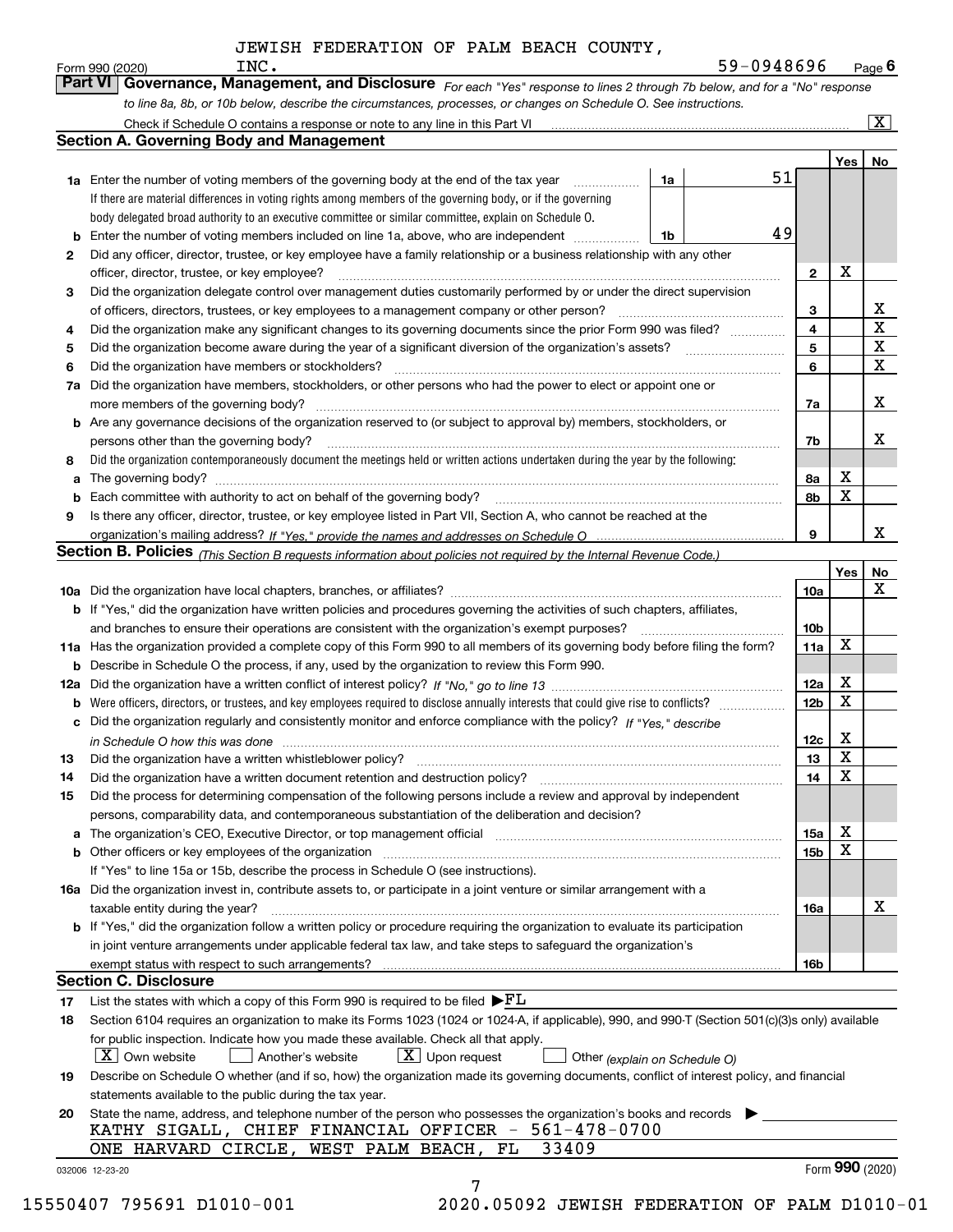|     | INC.<br>Form 990 (2020)                                                                                                                                                                                                      |    | 59-0948696 |                 |                         | Page $6$                |
|-----|------------------------------------------------------------------------------------------------------------------------------------------------------------------------------------------------------------------------------|----|------------|-----------------|-------------------------|-------------------------|
|     | <b>Part VI</b><br>Governance, Management, and Disclosure For each "Yes" response to lines 2 through 7b below, and for a "No" response                                                                                        |    |            |                 |                         |                         |
|     | to line 8a, 8b, or 10b below, describe the circumstances, processes, or changes on Schedule O. See instructions.                                                                                                             |    |            |                 |                         |                         |
|     |                                                                                                                                                                                                                              |    |            |                 |                         | $\overline{\mathbf{x}}$ |
|     | Section A. Governing Body and Management                                                                                                                                                                                     |    |            |                 |                         |                         |
|     |                                                                                                                                                                                                                              |    |            |                 | Yes                     | No                      |
|     | <b>1a</b> Enter the number of voting members of the governing body at the end of the tax year<br>and a complete the complete state of the                                                                                    | 1a | 51         |                 |                         |                         |
|     | If there are material differences in voting rights among members of the governing body, or if the governing                                                                                                                  |    |            |                 |                         |                         |
|     | body delegated broad authority to an executive committee or similar committee, explain on Schedule O.                                                                                                                        |    |            |                 |                         |                         |
| b   | Enter the number of voting members included on line 1a, above, who are independent                                                                                                                                           | 1b | 49         |                 |                         |                         |
| 2   | Did any officer, director, trustee, or key employee have a family relationship or a business relationship with any other                                                                                                     |    |            |                 |                         |                         |
|     | officer, director, trustee, or key employee?                                                                                                                                                                                 |    | .          | 2               | х                       |                         |
| 3   | Did the organization delegate control over management duties customarily performed by or under the direct supervision                                                                                                        |    |            |                 |                         |                         |
|     | of officers, directors, trustees, or key employees to a management company or other person?                                                                                                                                  |    |            | 3               |                         | х                       |
| 4   | Did the organization make any significant changes to its governing documents since the prior Form 990 was filed?                                                                                                             |    |            | 4               |                         | $\mathbf X$             |
| 5   | Did the organization become aware during the year of a significant diversion of the organization's assets?                                                                                                                   |    |            | 5               |                         | X                       |
| 6   | Did the organization have members or stockholders?                                                                                                                                                                           |    |            | 6               |                         | X                       |
| 7a  | Did the organization have members, stockholders, or other persons who had the power to elect or appoint one or                                                                                                               |    |            |                 |                         |                         |
|     | more members of the governing body?                                                                                                                                                                                          |    |            | 7a              |                         | х                       |
|     | <b>b</b> Are any governance decisions of the organization reserved to (or subject to approval by) members, stockholders, or                                                                                                  |    |            |                 |                         |                         |
|     | persons other than the governing body?                                                                                                                                                                                       |    |            | 7b              |                         | x                       |
| 8   | Did the organization contemporaneously document the meetings held or written actions undertaken during the year by the following:                                                                                            |    |            |                 |                         |                         |
| a   |                                                                                                                                                                                                                              |    |            | 8а              | х                       |                         |
| b   | Each committee with authority to act on behalf of the governing body?                                                                                                                                                        |    |            | 8b              | X                       |                         |
| 9   | Is there any officer, director, trustee, or key employee listed in Part VII, Section A, who cannot be reached at the                                                                                                         |    |            |                 |                         |                         |
|     |                                                                                                                                                                                                                              |    |            | 9               |                         | х                       |
|     | <b>Section B. Policies</b> (This Section B requests information about policies not required by the Internal Revenue Code.)                                                                                                   |    |            |                 |                         |                         |
|     |                                                                                                                                                                                                                              |    |            |                 | Yes∣                    | $No$                    |
|     |                                                                                                                                                                                                                              |    | .          | 10a             |                         | x                       |
|     | b If "Yes," did the organization have written policies and procedures governing the activities of such chapters, affiliates,                                                                                                 |    |            |                 |                         |                         |
|     | and branches to ensure their operations are consistent with the organization's exempt purposes?                                                                                                                              |    |            | 10 <sub>b</sub> | X                       |                         |
| 11a | Has the organization provided a complete copy of this Form 990 to all members of its governing body before filing the form?<br>Describe in Schedule O the process, if any, used by the organization to review this Form 990. |    |            | 11a             |                         |                         |
| b   |                                                                                                                                                                                                                              |    |            | 12a             | х                       |                         |
| b   |                                                                                                                                                                                                                              |    |            | 12 <sub>b</sub> | х                       |                         |
|     | Did the organization regularly and consistently monitor and enforce compliance with the policy? If "Yes." describe                                                                                                           |    |            |                 |                         |                         |
|     | in Schedule O how this was done measurements and the control of the state of the state of the state of the sta                                                                                                               |    |            | 12c             | X                       |                         |
| 13  |                                                                                                                                                                                                                              |    |            | 13              | $\overline{\textbf{X}}$ |                         |
| 14  | Did the organization have a written document retention and destruction policy?                                                                                                                                               |    |            | 14              | х                       |                         |
| 15  | Did the process for determining compensation of the following persons include a review and approval by independent                                                                                                           |    |            |                 |                         |                         |
|     | persons, comparability data, and contemporaneous substantiation of the deliberation and decision?                                                                                                                            |    |            |                 |                         |                         |
| a   | The organization's CEO, Executive Director, or top management official manufactured content of the organization's CEO, Executive Director, or top management official                                                        |    |            | 15a             | х                       |                         |
| b   | Other officers or key employees of the organization                                                                                                                                                                          |    |            | 15b             | х                       |                         |
|     | If "Yes" to line 15a or 15b, describe the process in Schedule O (see instructions).                                                                                                                                          |    |            |                 |                         |                         |
|     | 16a Did the organization invest in, contribute assets to, or participate in a joint venture or similar arrangement with a                                                                                                    |    |            |                 |                         |                         |
|     | taxable entity during the year?                                                                                                                                                                                              |    |            | 16a             |                         | х                       |
|     | b If "Yes," did the organization follow a written policy or procedure requiring the organization to evaluate its participation                                                                                               |    |            |                 |                         |                         |
|     | in joint venture arrangements under applicable federal tax law, and take steps to safeguard the organization's                                                                                                               |    |            |                 |                         |                         |
|     |                                                                                                                                                                                                                              |    |            | 16b             |                         |                         |
|     | <b>Section C. Disclosure</b>                                                                                                                                                                                                 |    |            |                 |                         |                         |
| 17  | List the states with which a copy of this Form 990 is required to be filed $\blacktriangleright$ FL                                                                                                                          |    |            |                 |                         |                         |
| 18  | Section 6104 requires an organization to make its Forms 1023 (1024 or 1024-A, if applicable), 990, and 990-T (Section 501(c)(3)s only) available                                                                             |    |            |                 |                         |                         |
|     | for public inspection. Indicate how you made these available. Check all that apply.<br>$X$ Own website<br>$\lfloor x \rfloor$ Upon request<br>Another's website<br>Other (explain on Schedule O)                             |    |            |                 |                         |                         |
| 19  | Describe on Schedule O whether (and if so, how) the organization made its governing documents, conflict of interest policy, and financial                                                                                    |    |            |                 |                         |                         |
|     | statements available to the public during the tax year.                                                                                                                                                                      |    |            |                 |                         |                         |
| 20  | State the name, address, and telephone number of the person who possesses the organization's books and records                                                                                                               |    |            |                 |                         |                         |
|     | KATHY SIGALL, CHIEF FINANCIAL OFFICER - 561-478-0700                                                                                                                                                                         |    |            |                 |                         |                         |
|     | 33409<br>ONE HARVARD CIRCLE, WEST PALM BEACH, FL                                                                                                                                                                             |    |            |                 |                         |                         |
|     | 032006 12-23-20                                                                                                                                                                                                              |    |            |                 | Form 990 (2020)         |                         |
|     | 7                                                                                                                                                                                                                            |    |            |                 |                         |                         |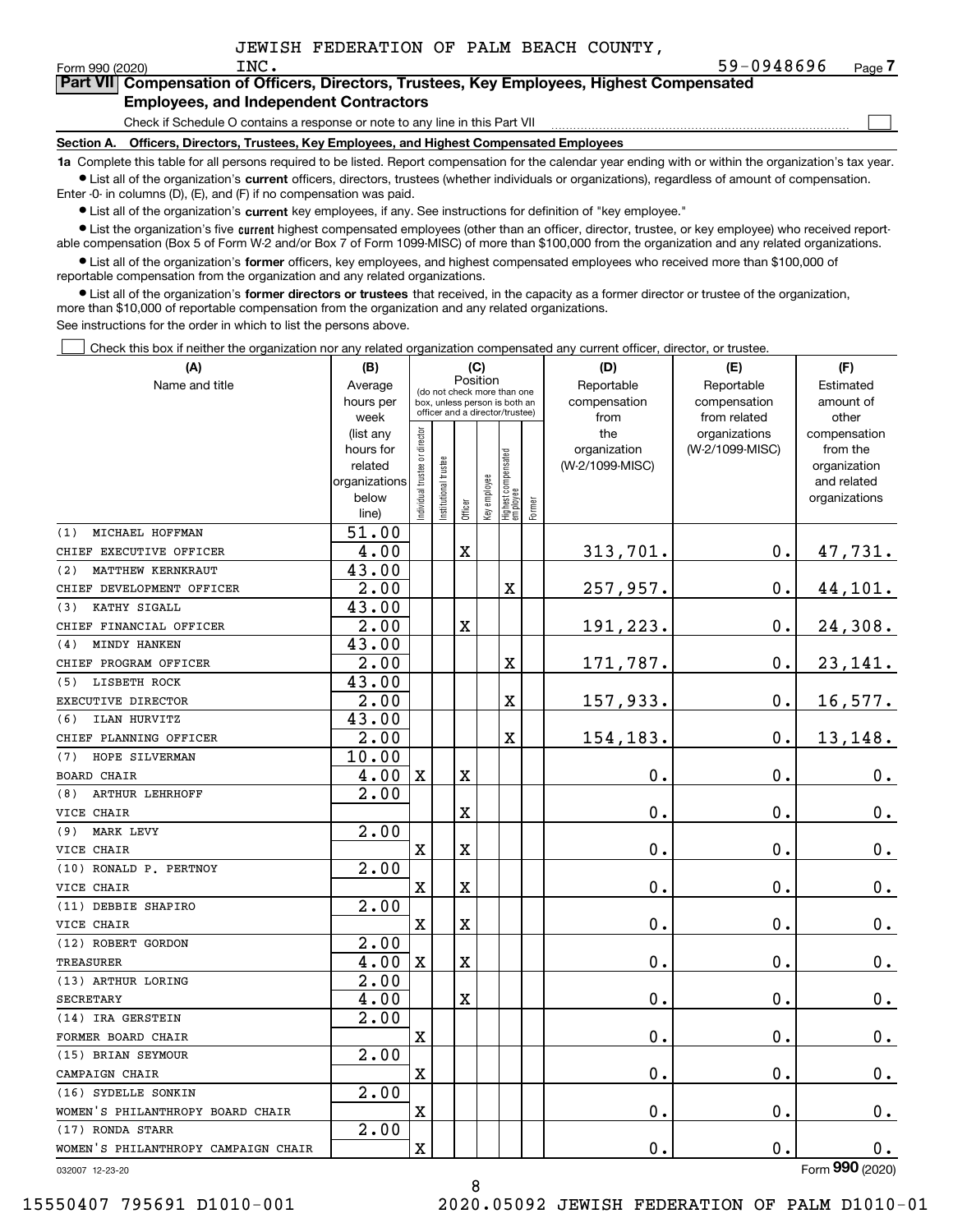$\mathcal{L}^{\text{max}}$ 

| Form 990 (2020) | INC.                                          | 59-0948696                                                                                 | Page <i>I</i> |
|-----------------|-----------------------------------------------|--------------------------------------------------------------------------------------------|---------------|
|                 |                                               | Part VII Compensation of Officers, Directors, Trustees, Key Employees, Highest Compensated |               |
|                 | <b>Employees, and Independent Contractors</b> |                                                                                            |               |

Check if Schedule O contains a response or note to any line in this Part VII

**Section A. Officers, Directors, Trustees, Key Employees, and Highest Compensated Employees**

**1a**  Complete this table for all persons required to be listed. Report compensation for the calendar year ending with or within the organization's tax year. **•** List all of the organization's current officers, directors, trustees (whether individuals or organizations), regardless of amount of compensation.

Enter -0- in columns (D), (E), and (F) if no compensation was paid.

 $\bullet$  List all of the organization's  $\,$ current key employees, if any. See instructions for definition of "key employee."

**•** List the organization's five current highest compensated employees (other than an officer, director, trustee, or key employee) who received reportable compensation (Box 5 of Form W-2 and/or Box 7 of Form 1099-MISC) of more than \$100,000 from the organization and any related organizations.

**•** List all of the organization's former officers, key employees, and highest compensated employees who received more than \$100,000 of reportable compensation from the organization and any related organizations.

**former directors or trustees**  ¥ List all of the organization's that received, in the capacity as a former director or trustee of the organization, more than \$10,000 of reportable compensation from the organization and any related organizations.

See instructions for the order in which to list the persons above.

Check this box if neither the organization nor any related organization compensated any current officer, director, or trustee.  $\mathcal{L}^{\text{max}}$ 

| (A)                                 | (B)                    |                               |                                                                  | (C)     |              |                                  |        | (D)                 | (E)                              | (F)                      |
|-------------------------------------|------------------------|-------------------------------|------------------------------------------------------------------|---------|--------------|----------------------------------|--------|---------------------|----------------------------------|--------------------------|
| Name and title                      | Average                |                               | (do not check more than one                                      |         | Position     |                                  |        | Reportable          | Reportable                       | Estimated                |
|                                     | hours per              |                               | box, unless person is both an<br>officer and a director/trustee) |         |              |                                  |        | compensation        | compensation                     | amount of                |
|                                     | week                   |                               |                                                                  |         |              |                                  |        | from                | from related                     | other                    |
|                                     | (list any<br>hours for |                               |                                                                  |         |              |                                  |        | the<br>organization | organizations<br>(W-2/1099-MISC) | compensation<br>from the |
|                                     | related                |                               |                                                                  |         |              |                                  |        | (W-2/1099-MISC)     |                                  | organization             |
|                                     | organizations          |                               |                                                                  |         |              |                                  |        |                     |                                  | and related              |
|                                     | below                  | ndividual trustee or director | nstitutional trustee                                             |         | Key employee |                                  |        |                     |                                  | organizations            |
|                                     | line)                  |                               |                                                                  | Officer |              | Highest compensated<br> employee | Former |                     |                                  |                          |
| MICHAEL HOFFMAN<br>(1)              | $\overline{51.00}$     |                               |                                                                  |         |              |                                  |        |                     |                                  |                          |
| CHIEF EXECUTIVE OFFICER             | 4.00                   |                               |                                                                  | Χ       |              |                                  |        | 313,701.            | 0.                               | 47,731.                  |
| MATTHEW KERNKRAUT<br>(2)            | 43.00                  |                               |                                                                  |         |              |                                  |        |                     |                                  |                          |
| CHIEF DEVELOPMENT OFFICER           | 2.00                   |                               |                                                                  |         |              | X                                |        | 257,957.            | 0.                               | 44,101.                  |
| KATHY SIGALL<br>(3)                 | 43.00                  |                               |                                                                  |         |              |                                  |        |                     |                                  |                          |
| CHIEF FINANCIAL OFFICER             | 2.00                   |                               |                                                                  | X       |              |                                  |        | 191,223.            | 0.                               | 24,308.                  |
| MINDY HANKEN<br>(4)                 | 43.00                  |                               |                                                                  |         |              |                                  |        |                     |                                  |                          |
| CHIEF PROGRAM OFFICER               | 2.00                   |                               |                                                                  |         |              | X                                |        | 171,787.            | 0.                               | 23,141.                  |
| LISBETH ROCK<br>(5)                 | 43.00                  |                               |                                                                  |         |              |                                  |        |                     |                                  |                          |
| EXECUTIVE DIRECTOR                  | 2.00                   |                               |                                                                  |         |              | X                                |        | 157,933.            | 0.                               | 16,577.                  |
| ILAN HURVITZ<br>(6)                 | 43.00                  |                               |                                                                  |         |              |                                  |        |                     |                                  |                          |
| CHIEF PLANNING OFFICER              | 2.00                   |                               |                                                                  |         |              | $\mathbf X$                      |        | 154,183.            | 0.                               | 13,148.                  |
| HOPE SILVERMAN<br>(7)               | 10.00                  |                               |                                                                  |         |              |                                  |        |                     |                                  |                          |
| <b>BOARD CHAIR</b>                  | 4.00                   | $\mathbf X$                   |                                                                  | X       |              |                                  |        | 0.                  | 0.                               | 0.                       |
| <b>ARTHUR LEHRHOFF</b><br>(8)       | 2.00                   |                               |                                                                  |         |              |                                  |        |                     |                                  |                          |
| VICE CHAIR                          |                        |                               |                                                                  | X       |              |                                  |        | 0.                  | 0.                               | $\mathbf 0$ .            |
| (9)<br>MARK LEVY                    | 2.00                   |                               |                                                                  |         |              |                                  |        |                     |                                  |                          |
| VICE CHAIR                          |                        | $\mathbf X$                   |                                                                  | Χ       |              |                                  |        | 0.                  | 0.                               | 0.                       |
| (10) RONALD P. PERTNOY              | 2.00                   |                               |                                                                  |         |              |                                  |        |                     |                                  |                          |
| VICE CHAIR                          |                        | X                             |                                                                  | X       |              |                                  |        | 0.                  | 0.                               | $0_{.}$                  |
| (11) DEBBIE SHAPIRO                 | 2.00                   |                               |                                                                  |         |              |                                  |        |                     |                                  |                          |
| VICE CHAIR                          |                        | $\overline{\textbf{X}}$       |                                                                  | X       |              |                                  |        | 0.                  | 0.                               | $\mathbf 0$ .            |
| (12) ROBERT GORDON                  | 2.00                   |                               |                                                                  |         |              |                                  |        |                     |                                  |                          |
| <b>TREASURER</b>                    | 4.00                   | $\mathbf X$                   |                                                                  | X       |              |                                  |        | 0.                  | 0.                               | 0.                       |
| (13) ARTHUR LORING                  | $\overline{2.00}$      |                               |                                                                  |         |              |                                  |        |                     |                                  |                          |
| <b>SECRETARY</b>                    | 4.00                   |                               |                                                                  | X       |              |                                  |        | 0.                  | 0.                               | 0.                       |
| (14) IRA GERSTEIN                   | 2.00                   |                               |                                                                  |         |              |                                  |        |                     |                                  |                          |
| FORMER BOARD CHAIR                  |                        | $\mathbf X$                   |                                                                  |         |              |                                  |        | 0.                  | 0.                               | 0.                       |
| (15) BRIAN SEYMOUR                  | 2.00                   |                               |                                                                  |         |              |                                  |        |                     |                                  |                          |
| CAMPAIGN CHAIR                      |                        | X                             |                                                                  |         |              |                                  |        | 0.                  | 0.                               | 0.                       |
| (16) SYDELLE SONKIN                 | 2.00                   |                               |                                                                  |         |              |                                  |        |                     |                                  |                          |
| WOMEN'S PHILANTHROPY BOARD CHAIR    |                        | X                             |                                                                  |         |              |                                  |        | 0.                  | 0.                               | $\mathbf 0$ .            |
| (17) RONDA STARR                    | 2.00                   |                               |                                                                  |         |              |                                  |        |                     |                                  |                          |
| WOMEN'S PHILANTHROPY CAMPAIGN CHAIR |                        | X                             |                                                                  |         |              |                                  |        | 0.                  | 0.                               | 0.<br>$000 - 1$          |

032007 12-23-20

Form (2020) **990**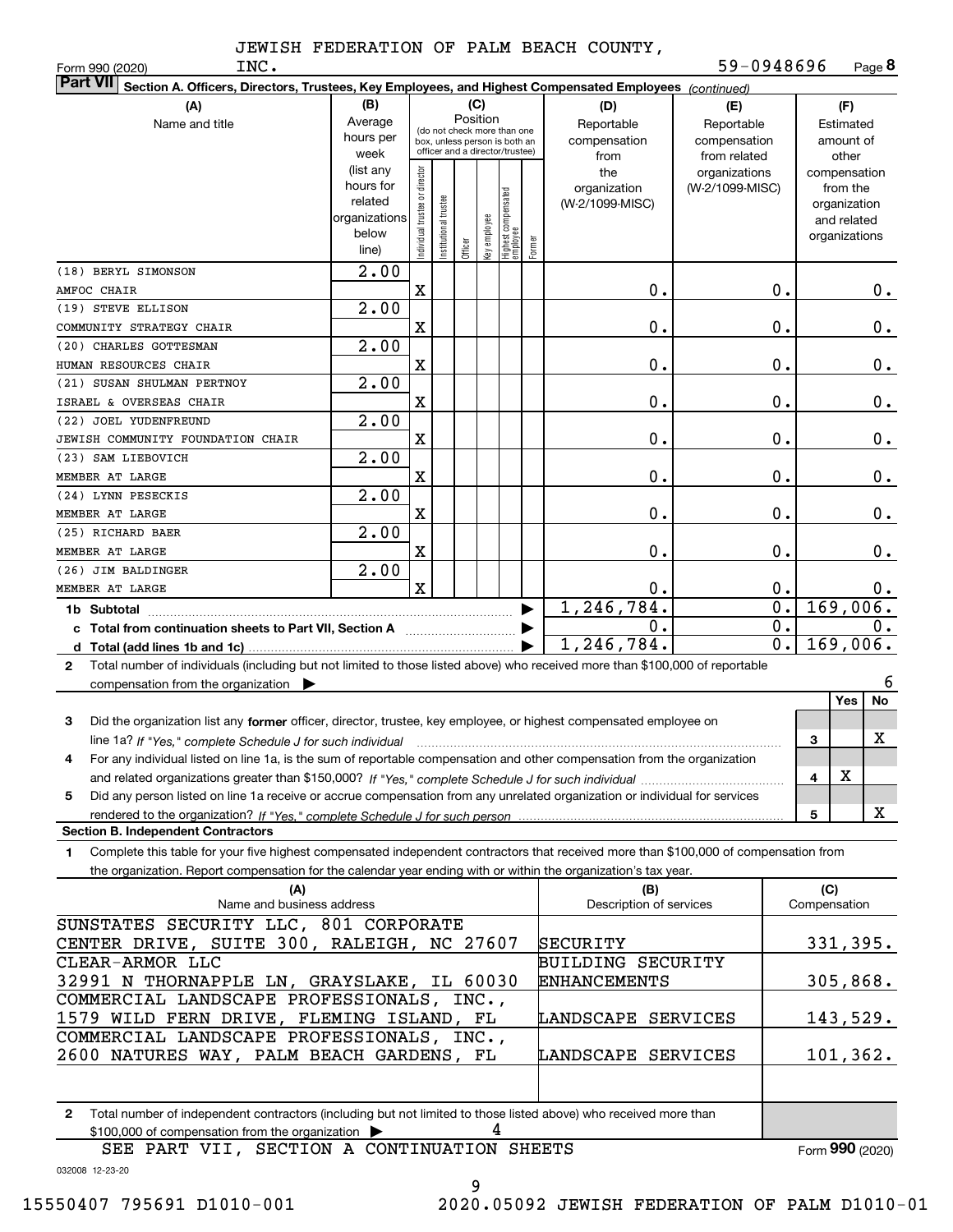| JEWISH FEDERATION OF PALM BEACH COUNTY, |  |  |  |  |  |
|-----------------------------------------|--|--|--|--|--|
|-----------------------------------------|--|--|--|--|--|

INC.

Form 990 (2020) Page **8** 59-0948696

| <b>Part VII</b><br>Section A. Officers, Directors, Trustees, Key Employees, and Highest Compensated Employees (continued)                    |                                         |                                |                                                                  |            |              |                                 |        |                         |                                  |                          |
|----------------------------------------------------------------------------------------------------------------------------------------------|-----------------------------------------|--------------------------------|------------------------------------------------------------------|------------|--------------|---------------------------------|--------|-------------------------|----------------------------------|--------------------------|
| (A)                                                                                                                                          | (B)                                     |                                | (D)                                                              | (E)        | (F)          |                                 |        |                         |                                  |                          |
| Name and title                                                                                                                               | Position<br>(do not check more than one |                                | Reportable                                                       | Reportable | Estimated    |                                 |        |                         |                                  |                          |
|                                                                                                                                              | hours per                               |                                | box, unless person is both an<br>officer and a director/trustee) |            |              |                                 |        | compensation            | compensation                     | amount of                |
|                                                                                                                                              | week                                    |                                |                                                                  |            |              |                                 |        | from                    | from related                     | other                    |
|                                                                                                                                              | (list any<br>hours for                  |                                |                                                                  |            |              |                                 |        | the<br>organization     | organizations<br>(W-2/1099-MISC) | compensation<br>from the |
|                                                                                                                                              | related                                 |                                |                                                                  |            |              |                                 |        | (W-2/1099-MISC)         |                                  | organization             |
|                                                                                                                                              | organizations                           |                                |                                                                  |            |              |                                 |        |                         |                                  | and related              |
|                                                                                                                                              | below                                   | Individual trustee or director | Institutional trustee                                            |            | key employee | Highest compensated<br>employee |        |                         |                                  | organizations            |
|                                                                                                                                              | line)                                   |                                |                                                                  | Officer    |              |                                 | Former |                         |                                  |                          |
| (18) BERYL SIMONSON                                                                                                                          | 2.00                                    |                                |                                                                  |            |              |                                 |        |                         |                                  |                          |
| AMFOC CHAIR                                                                                                                                  |                                         | X                              |                                                                  |            |              |                                 |        | 0.                      | $0$ .                            | 0.                       |
| (19) STEVE ELLISON                                                                                                                           | 2.00                                    |                                |                                                                  |            |              |                                 |        |                         |                                  |                          |
| COMMUNITY STRATEGY CHAIR                                                                                                                     |                                         | X                              |                                                                  |            |              |                                 |        | 0.                      | 0.                               | 0.                       |
| (20) CHARLES GOTTESMAN                                                                                                                       | 2.00                                    |                                |                                                                  |            |              |                                 |        |                         |                                  |                          |
| HUMAN RESOURCES CHAIR                                                                                                                        |                                         | X                              |                                                                  |            |              |                                 |        | 0.                      | 0.                               | 0.                       |
| (21) SUSAN SHULMAN PERTNOY                                                                                                                   | 2.00                                    |                                |                                                                  |            |              |                                 |        |                         |                                  |                          |
| ISRAEL & OVERSEAS CHAIR                                                                                                                      |                                         | X                              |                                                                  |            |              |                                 |        | 0.                      | 0.                               | 0.                       |
| (22) JOEL YUDENFREUND                                                                                                                        | 2.00                                    |                                |                                                                  |            |              |                                 |        |                         |                                  |                          |
| JEWISH COMMUNITY FOUNDATION CHAIR                                                                                                            |                                         | X                              |                                                                  |            |              |                                 |        | 0.                      | 0.                               | 0.                       |
| (23) SAM LIEBOVICH                                                                                                                           | 2.00                                    |                                |                                                                  |            |              |                                 |        |                         |                                  |                          |
| MEMBER AT LARGE                                                                                                                              |                                         | X                              |                                                                  |            |              |                                 |        | 0.                      | 0.                               | 0.                       |
| (24) LYNN PESECKIS                                                                                                                           | 2.00                                    |                                |                                                                  |            |              |                                 |        |                         |                                  |                          |
| MEMBER AT LARGE                                                                                                                              |                                         | X                              |                                                                  |            |              |                                 |        | 0.                      | 0.                               | 0.                       |
| (25) RICHARD BAER                                                                                                                            | 2.00                                    |                                |                                                                  |            |              |                                 |        |                         |                                  |                          |
| MEMBER AT LARGE                                                                                                                              |                                         | X                              |                                                                  |            |              |                                 |        | 0.                      | 0.                               | 0.                       |
| (26) JIM BALDINGER                                                                                                                           | 2.00                                    |                                |                                                                  |            |              |                                 |        |                         |                                  |                          |
| MEMBER AT LARGE                                                                                                                              |                                         | $\mathbf x$                    |                                                                  |            |              |                                 |        | 0.                      | 0.                               | 0.                       |
| 1b Subtotal                                                                                                                                  |                                         |                                |                                                                  |            |              |                                 |        | 1, 246, 784.            | $\overline{0}$ .                 | 169,006.                 |
| c Total from continuation sheets to Part VII, Section A manufactured and response to Total from example.                                     |                                         |                                |                                                                  |            |              |                                 |        | 0.                      | $\overline{0}$ .                 | 0.                       |
|                                                                                                                                              |                                         |                                |                                                                  |            |              |                                 |        | 1,246,784.              | $\overline{0}$ .                 | 169,006.                 |
| Total number of individuals (including but not limited to those listed above) who received more than \$100,000 of reportable<br>$\mathbf{2}$ |                                         |                                |                                                                  |            |              |                                 |        |                         |                                  |                          |
| compensation from the organization $\blacktriangleright$                                                                                     |                                         |                                |                                                                  |            |              |                                 |        |                         |                                  | 6                        |
|                                                                                                                                              |                                         |                                |                                                                  |            |              |                                 |        |                         |                                  | No<br>Yes                |
| Did the organization list any former officer, director, trustee, key employee, or highest compensated employee on<br>3                       |                                         |                                |                                                                  |            |              |                                 |        |                         |                                  |                          |
| line 1a? If "Yes," complete Schedule J for such individual                                                                                   |                                         |                                |                                                                  |            |              |                                 |        |                         |                                  | X<br>3                   |
| For any individual listed on line 1a, is the sum of reportable compensation and other compensation from the organization<br>4                |                                         |                                |                                                                  |            |              |                                 |        |                         |                                  |                          |
|                                                                                                                                              |                                         |                                |                                                                  |            |              |                                 |        |                         |                                  | X<br>4                   |
| Did any person listed on line 1a receive or accrue compensation from any unrelated organization or individual for services<br>5              |                                         |                                |                                                                  |            |              |                                 |        |                         |                                  |                          |
|                                                                                                                                              |                                         |                                |                                                                  |            |              |                                 |        |                         |                                  | X<br>5                   |
| <b>Section B. Independent Contractors</b>                                                                                                    |                                         |                                |                                                                  |            |              |                                 |        |                         |                                  |                          |
| Complete this table for your five highest compensated independent contractors that received more than \$100,000 of compensation from<br>1    |                                         |                                |                                                                  |            |              |                                 |        |                         |                                  |                          |
| the organization. Report compensation for the calendar year ending with or within the organization's tax year.                               |                                         |                                |                                                                  |            |              |                                 |        |                         |                                  |                          |
| (A)                                                                                                                                          |                                         |                                |                                                                  |            |              |                                 |        | (B)                     |                                  | (C)                      |
| Name and business address                                                                                                                    |                                         |                                |                                                                  |            |              |                                 |        | Description of services |                                  | Compensation             |
| SUNSTATES SECURITY LLC, 801 CORPORATE                                                                                                        |                                         |                                |                                                                  |            |              |                                 |        |                         |                                  |                          |
| CENTER DRIVE, SUITE 300, RALEIGH, NC 27607                                                                                                   |                                         |                                |                                                                  |            |              |                                 |        | SECURITY                |                                  | 331,395.                 |
| CLEAR-ARMOR LLC                                                                                                                              |                                         |                                |                                                                  |            |              |                                 |        | BUILDING SECURITY       |                                  |                          |
| 32991 N THORNAPPLE LN, GRAYSLAKE, IL 60030                                                                                                   |                                         |                                |                                                                  |            |              |                                 |        | <b>ENHANCEMENTS</b>     |                                  | 305,868.                 |
| COMMERCIAL LANDSCAPE PROFESSIONALS, INC.,                                                                                                    |                                         |                                |                                                                  |            |              |                                 |        |                         |                                  |                          |
| 1579 WILD FERN DRIVE, FLEMING ISLAND, FL                                                                                                     |                                         |                                |                                                                  |            |              |                                 |        | LANDSCAPE SERVICES      |                                  | 143,529.                 |
| COMMERCIAL LANDSCAPE PROFESSIONALS, INC.,                                                                                                    |                                         |                                |                                                                  |            |              |                                 |        |                         |                                  |                          |
| 2600 NATURES WAY, PALM BEACH GARDENS, FL                                                                                                     |                                         |                                |                                                                  |            |              |                                 |        | LANDSCAPE SERVICES      |                                  | 101, 362.                |
|                                                                                                                                              |                                         |                                |                                                                  |            |              |                                 |        |                         |                                  |                          |
|                                                                                                                                              |                                         |                                |                                                                  |            |              |                                 |        |                         |                                  |                          |
| Total number of independent contractors (including but not limited to those listed above) who received more than<br>$\mathbf{2}$             |                                         |                                |                                                                  |            |              |                                 |        |                         |                                  |                          |

\$100,000 of compensation from the organization

SEE PART VII, SECTION A CONTINUATION SHEETS

Form (2020) **990**

032008 12-23-20

9

4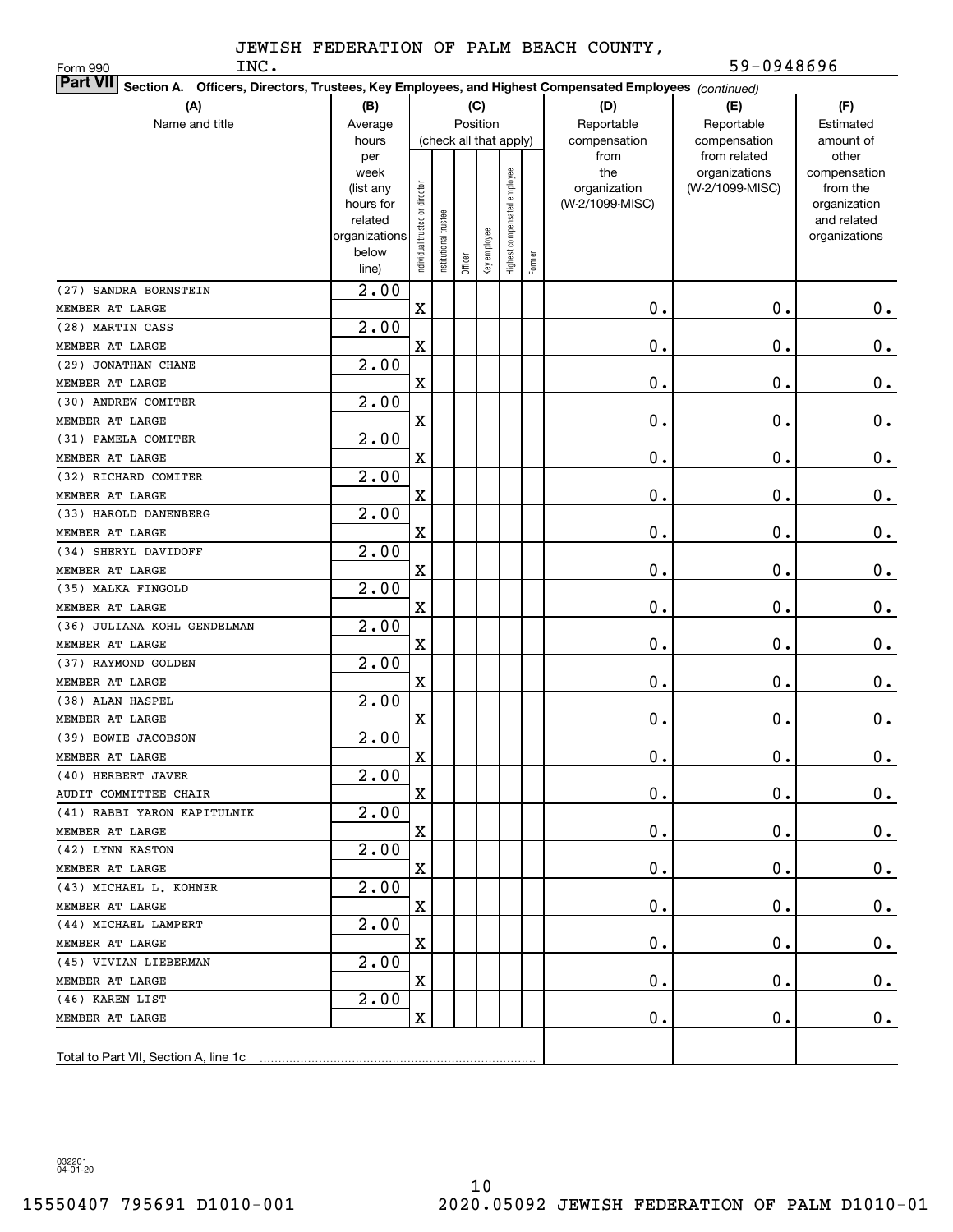Form 990

### INC. 59-0948696

| Part VII Section A. Officers, Directors, Trustees, Key Employees, and Highest Compensated Employees (continued) |                          |                                |                        |          |              |                              |        |                 |                 |               |
|-----------------------------------------------------------------------------------------------------------------|--------------------------|--------------------------------|------------------------|----------|--------------|------------------------------|--------|-----------------|-----------------|---------------|
| (A)                                                                                                             | (B)                      |                                |                        |          | (C)          |                              |        | (D)             | (E)             | (F)           |
| Name and title                                                                                                  | Average                  |                                |                        | Position |              |                              |        | Reportable      | Reportable      | Estimated     |
|                                                                                                                 | hours                    |                                | (check all that apply) |          |              |                              |        | compensation    | compensation    | amount of     |
|                                                                                                                 | per                      |                                |                        |          |              |                              |        | from            | from related    | other         |
|                                                                                                                 | week                     |                                |                        |          |              |                              |        | the             | organizations   | compensation  |
|                                                                                                                 | (list any                |                                |                        |          |              |                              |        | organization    | (W-2/1099-MISC) | from the      |
|                                                                                                                 | hours for                |                                |                        |          |              |                              |        | (W-2/1099-MISC) |                 | organization  |
|                                                                                                                 | related<br>organizations |                                |                        |          |              |                              |        |                 |                 | and related   |
|                                                                                                                 | below                    |                                |                        |          |              |                              |        |                 |                 | organizations |
|                                                                                                                 | line)                    | Individual trustee or director | nstitutional trustee   | Officer  | Key employee | Highest compensated employee | Former |                 |                 |               |
| (27) SANDRA BORNSTEIN                                                                                           | $\overline{2.00}$        |                                |                        |          |              |                              |        |                 |                 |               |
| MEMBER AT LARGE                                                                                                 |                          | $\mathbf x$                    |                        |          |              |                              |        | $\mathbf 0$ .   | $\mathbf 0$ .   | 0.            |
| (28) MARTIN CASS                                                                                                | 2.00                     |                                |                        |          |              |                              |        |                 |                 |               |
| MEMBER AT LARGE                                                                                                 |                          | X                              |                        |          |              |                              |        | 0.              | $\mathbf 0$ .   | $\mathbf 0$ . |
| (29) JONATHAN CHANE                                                                                             | 2.00                     |                                |                        |          |              |                              |        |                 |                 |               |
| MEMBER AT LARGE                                                                                                 |                          | $\mathbf x$                    |                        |          |              |                              |        | 0.              | $\mathbf 0$ .   | $0$ .         |
| (30) ANDREW COMITER                                                                                             | 2.00                     |                                |                        |          |              |                              |        |                 |                 |               |
| MEMBER AT LARGE                                                                                                 |                          | $\mathbf x$                    |                        |          |              |                              |        | 0.              | $\mathbf 0$ .   | $\mathbf 0$ . |
| (31) PAMELA COMITER                                                                                             | 2.00                     |                                |                        |          |              |                              |        |                 |                 |               |
| MEMBER AT LARGE                                                                                                 |                          | $\mathbf x$                    |                        |          |              |                              |        | 0.              | $\mathbf 0$ .   | 0.            |
| (32) RICHARD COMITER                                                                                            | 2.00                     |                                |                        |          |              |                              |        |                 |                 |               |
| MEMBER AT LARGE                                                                                                 |                          | X                              |                        |          |              |                              |        | 0.              | $\mathbf 0$ .   | 0.            |
| (33) HAROLD DANENBERG                                                                                           | 2.00                     |                                |                        |          |              |                              |        |                 |                 |               |
| MEMBER AT LARGE                                                                                                 |                          | X                              |                        |          |              |                              |        | 0.              | $\mathbf 0$ .   | $0$ .         |
| (34) SHERYL DAVIDOFF                                                                                            | 2.00                     |                                |                        |          |              |                              |        |                 |                 |               |
| MEMBER AT LARGE                                                                                                 |                          | $\mathbf x$                    |                        |          |              |                              |        | 0.              | $\mathbf 0$ .   | $\mathbf 0$ . |
| (35) MALKA FINGOLD                                                                                              | 2.00                     |                                |                        |          |              |                              |        |                 |                 |               |
| MEMBER AT LARGE                                                                                                 |                          | $\mathbf x$                    |                        |          |              |                              |        | 0.              | $\mathbf 0$ .   | $\mathbf 0$ . |
| (36) JULIANA KOHL GENDELMAN                                                                                     | 2.00                     |                                |                        |          |              |                              |        |                 |                 |               |
| MEMBER AT LARGE                                                                                                 |                          | $\mathbf x$                    |                        |          |              |                              |        | 0.              | $\mathbf 0$ .   | 0.            |
| (37) RAYMOND GOLDEN                                                                                             | 2.00                     |                                |                        |          |              |                              |        |                 |                 |               |
| MEMBER AT LARGE                                                                                                 |                          | $\mathbf x$                    |                        |          |              |                              |        | 0.              | $\mathbf 0$ .   | $\mathbf 0$ . |
| (38) ALAN HASPEL                                                                                                | 2.00                     |                                |                        |          |              |                              |        |                 |                 |               |
| MEMBER AT LARGE                                                                                                 |                          | $\mathbf x$                    |                        |          |              |                              |        | 0.              | $\mathbf 0$ .   | 0.            |
| (39) BOWIE JACOBSON                                                                                             | 2.00                     |                                |                        |          |              |                              |        |                 |                 |               |
| MEMBER AT LARGE                                                                                                 |                          | X                              |                        |          |              |                              |        | 0.              | $\mathbf 0$ .   | $\mathbf 0$ . |
| (40) HERBERT JAVER                                                                                              | 2.00                     |                                |                        |          |              |                              |        |                 |                 |               |
| AUDIT COMMITTEE CHAIR                                                                                           |                          | X                              |                        |          |              |                              |        | 0.              | $\mathbf 0$ .   | $0_{\cdot}$   |
| (41) RABBI YARON KAPITULNIK                                                                                     | 2.00                     |                                |                        |          |              |                              |        |                 |                 |               |
| MEMBER AT LARGE                                                                                                 |                          | X                              |                        |          |              |                              |        | $\mathbf 0$ .   | О.              | $0\cdot$      |
| (42) LYNN KASTON                                                                                                | 2.00                     |                                |                        |          |              |                              |        |                 |                 |               |
| MEMBER AT LARGE                                                                                                 |                          | X                              |                        |          |              |                              |        | 0.              | О.              | $0_{.}$       |
| (43) MICHAEL L. KOHNER                                                                                          | 2.00                     |                                |                        |          |              |                              |        |                 |                 |               |
| MEMBER AT LARGE                                                                                                 |                          | X                              |                        |          |              |                              |        | 0.              | О.              | $0_{.}$       |
| (44) MICHAEL LAMPERT                                                                                            | 2.00                     |                                |                        |          |              |                              |        |                 |                 |               |
| MEMBER AT LARGE                                                                                                 |                          | X                              |                        |          |              |                              |        | 0.              | О.              | $0_{.}$       |
| (45) VIVIAN LIEBERMAN                                                                                           | 2.00                     |                                |                        |          |              |                              |        |                 |                 |               |
| MEMBER AT LARGE                                                                                                 |                          | $\mathbf X$                    |                        |          |              |                              |        | 0.              | О.              | $0_{.}$       |
| (46) KAREN LIST                                                                                                 | 2.00                     |                                |                        |          |              |                              |        |                 |                 |               |
| MEMBER AT LARGE                                                                                                 |                          | X                              |                        |          |              |                              |        | 0.              | О.              | 0.            |
|                                                                                                                 |                          |                                |                        |          |              |                              |        |                 |                 |               |
|                                                                                                                 |                          |                                |                        |          |              |                              |        |                 |                 |               |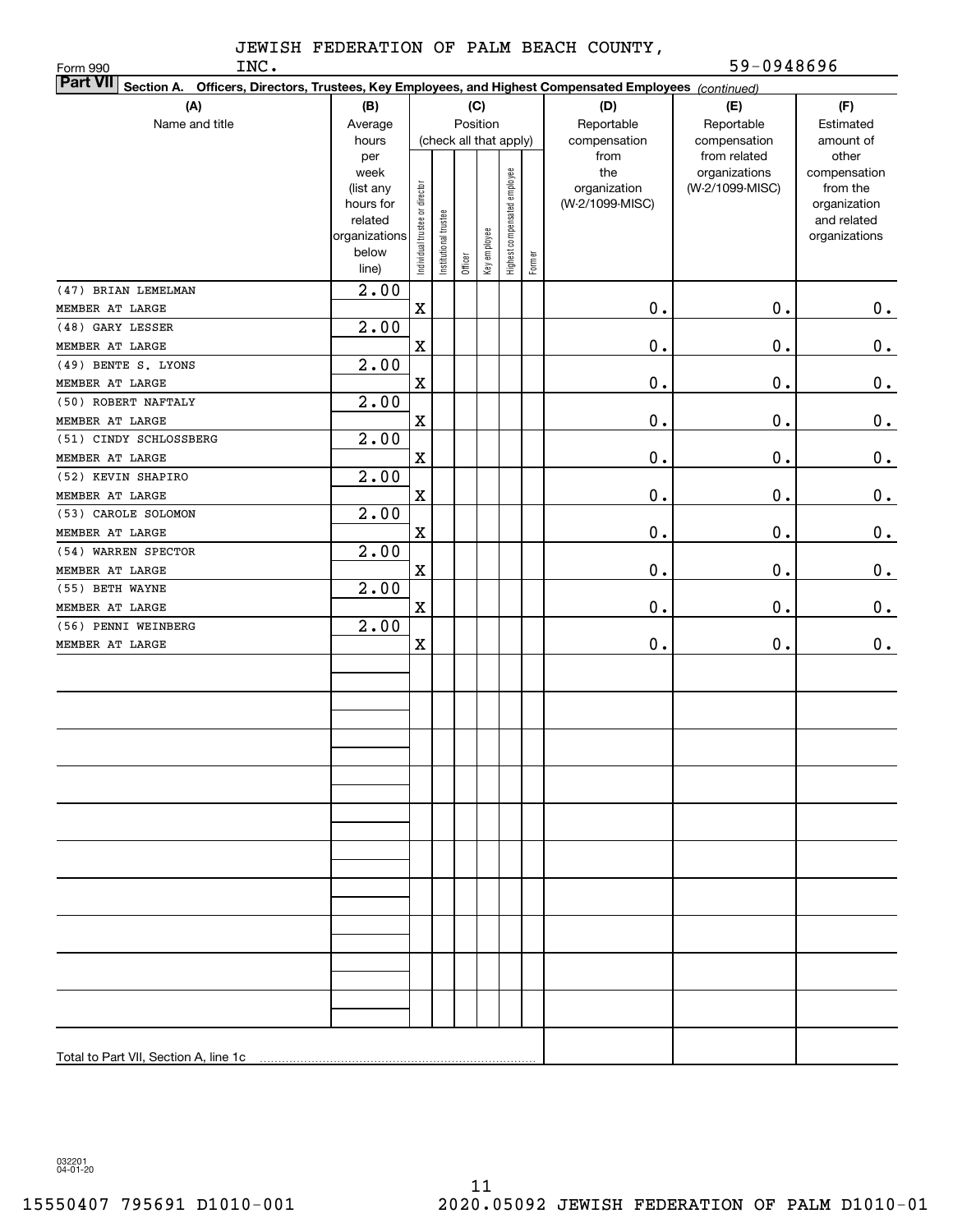| JEWISH FEDERATION OF PALM BEACH COUNTY, |  |  |
|-----------------------------------------|--|--|
|                                         |  |  |

Form 990

## INC. 59-0948696

| Part VII Section A. Officers, Directors, Trustees, Key Employees, and Highest Compensated Employees (continued) |                   |                                |                       |         |              |                              |              |                 |                               |                       |
|-----------------------------------------------------------------------------------------------------------------|-------------------|--------------------------------|-----------------------|---------|--------------|------------------------------|--------------|-----------------|-------------------------------|-----------------------|
| (A)                                                                                                             | (B)<br>(C)        |                                |                       |         |              |                              |              |                 | (E)                           | (F)                   |
| Name and title                                                                                                  | Average           | Position                       |                       |         |              |                              |              | Reportable      | Reportable                    | Estimated             |
|                                                                                                                 | hours             | (check all that apply)         |                       |         |              | compensation                 | compensation | amount of       |                               |                       |
|                                                                                                                 | per<br>week       |                                |                       |         |              |                              |              | from<br>the     | from related<br>organizations | other<br>compensation |
|                                                                                                                 | (list any         |                                |                       |         |              |                              |              | organization    | (W-2/1099-MISC)               | from the              |
|                                                                                                                 | hours for         |                                |                       |         |              |                              |              | (W-2/1099-MISC) |                               | organization          |
|                                                                                                                 | related           |                                |                       |         |              |                              |              |                 |                               | and related           |
|                                                                                                                 | organizations     |                                |                       |         |              |                              |              |                 |                               | organizations         |
|                                                                                                                 | below<br>line)    | Individual trustee or director | Institutional trustee | Officer | Key employee | Highest compensated employee | Former       |                 |                               |                       |
| (47) BRIAN LEMELMAN                                                                                             | $\overline{2.00}$ |                                |                       |         |              |                              |              |                 |                               |                       |
| MEMBER AT LARGE                                                                                                 |                   | $\mathbf X$                    |                       |         |              |                              |              | $\mathbf 0$ .   | $0$ .                         | $0_{.}$               |
| (48) GARY LESSER                                                                                                | 2.00              |                                |                       |         |              |                              |              |                 |                               |                       |
| MEMBER AT LARGE                                                                                                 |                   | $\mathbf X$                    |                       |         |              |                              |              | $\mathbf 0$ .   | $0$ .                         | 0.                    |
| (49) BENTE S. LYONS                                                                                             | 2.00              |                                |                       |         |              |                              |              |                 |                               |                       |
| MEMBER AT LARGE                                                                                                 |                   | $\mathbf x$                    |                       |         |              |                              |              | $\mathbf 0$ .   | $0$ .                         | 0.                    |
| (50) ROBERT NAFTALY                                                                                             | 2.00              |                                |                       |         |              |                              |              |                 |                               |                       |
| MEMBER AT LARGE                                                                                                 |                   | $\mathbf X$                    |                       |         |              |                              |              | $\mathbf 0$ .   | $0$ .                         | 0.                    |
| (51) CINDY SCHLOSSBERG                                                                                          | 2.00              |                                |                       |         |              |                              |              |                 |                               |                       |
| MEMBER AT LARGE                                                                                                 |                   | $\mathbf X$                    |                       |         |              |                              |              | $\mathbf 0$ .   | 0.                            | 0.                    |
| (52) KEVIN SHAPIRO                                                                                              | 2.00              |                                |                       |         |              |                              |              |                 |                               |                       |
| MEMBER AT LARGE                                                                                                 |                   | $\mathbf X$                    |                       |         |              |                              |              | $\mathbf 0$ .   | 0.                            | 0.                    |
| (53) CAROLE SOLOMON                                                                                             | 2.00              |                                |                       |         |              |                              |              |                 |                               |                       |
| MEMBER AT LARGE                                                                                                 |                   | $\mathbf X$                    |                       |         |              |                              |              | $\mathbf 0$ .   | 0.                            | 0.                    |
| (54) WARREN SPECTOR                                                                                             | 2.00              |                                |                       |         |              |                              |              |                 |                               |                       |
| MEMBER AT LARGE                                                                                                 |                   | $\mathbf X$                    |                       |         |              |                              |              | $\mathbf 0$ .   | 0.                            | 0.                    |
| (55) BETH WAYNE                                                                                                 | 2.00              |                                |                       |         |              |                              |              |                 |                               |                       |
| MEMBER AT LARGE                                                                                                 |                   | $\mathbf X$                    |                       |         |              |                              |              | $\mathbf 0$ .   | 0.                            | 0.                    |
| (56) PENNI WEINBERG                                                                                             | 2.00              |                                |                       |         |              |                              |              |                 |                               |                       |
| MEMBER AT LARGE                                                                                                 |                   | $\mathbf X$                    |                       |         |              |                              |              | $\mathbf 0$ .   | $\mathbf 0$ .                 | 0.                    |
|                                                                                                                 |                   |                                |                       |         |              |                              |              |                 |                               |                       |
|                                                                                                                 |                   |                                |                       |         |              |                              |              |                 |                               |                       |
|                                                                                                                 |                   |                                |                       |         |              |                              |              |                 |                               |                       |
|                                                                                                                 |                   |                                |                       |         |              |                              |              |                 |                               |                       |
|                                                                                                                 |                   |                                |                       |         |              |                              |              |                 |                               |                       |
|                                                                                                                 |                   |                                |                       |         |              |                              |              |                 |                               |                       |
|                                                                                                                 |                   |                                |                       |         |              |                              |              |                 |                               |                       |
|                                                                                                                 |                   |                                |                       |         |              |                              |              |                 |                               |                       |
|                                                                                                                 |                   |                                |                       |         |              |                              |              |                 |                               |                       |
|                                                                                                                 |                   |                                |                       |         |              |                              |              |                 |                               |                       |
|                                                                                                                 |                   |                                |                       |         |              |                              |              |                 |                               |                       |
|                                                                                                                 |                   |                                |                       |         |              |                              |              |                 |                               |                       |
|                                                                                                                 |                   |                                |                       |         |              |                              |              |                 |                               |                       |
|                                                                                                                 |                   |                                |                       |         |              |                              |              |                 |                               |                       |
|                                                                                                                 |                   |                                |                       |         |              |                              |              |                 |                               |                       |
|                                                                                                                 |                   |                                |                       |         |              |                              |              |                 |                               |                       |
|                                                                                                                 |                   |                                |                       |         |              |                              |              |                 |                               |                       |
|                                                                                                                 |                   |                                |                       |         |              |                              |              |                 |                               |                       |
|                                                                                                                 |                   |                                |                       |         |              |                              |              |                 |                               |                       |
|                                                                                                                 |                   |                                |                       |         |              |                              |              |                 |                               |                       |
|                                                                                                                 |                   |                                |                       |         |              |                              |              |                 |                               |                       |

032201 04-01-20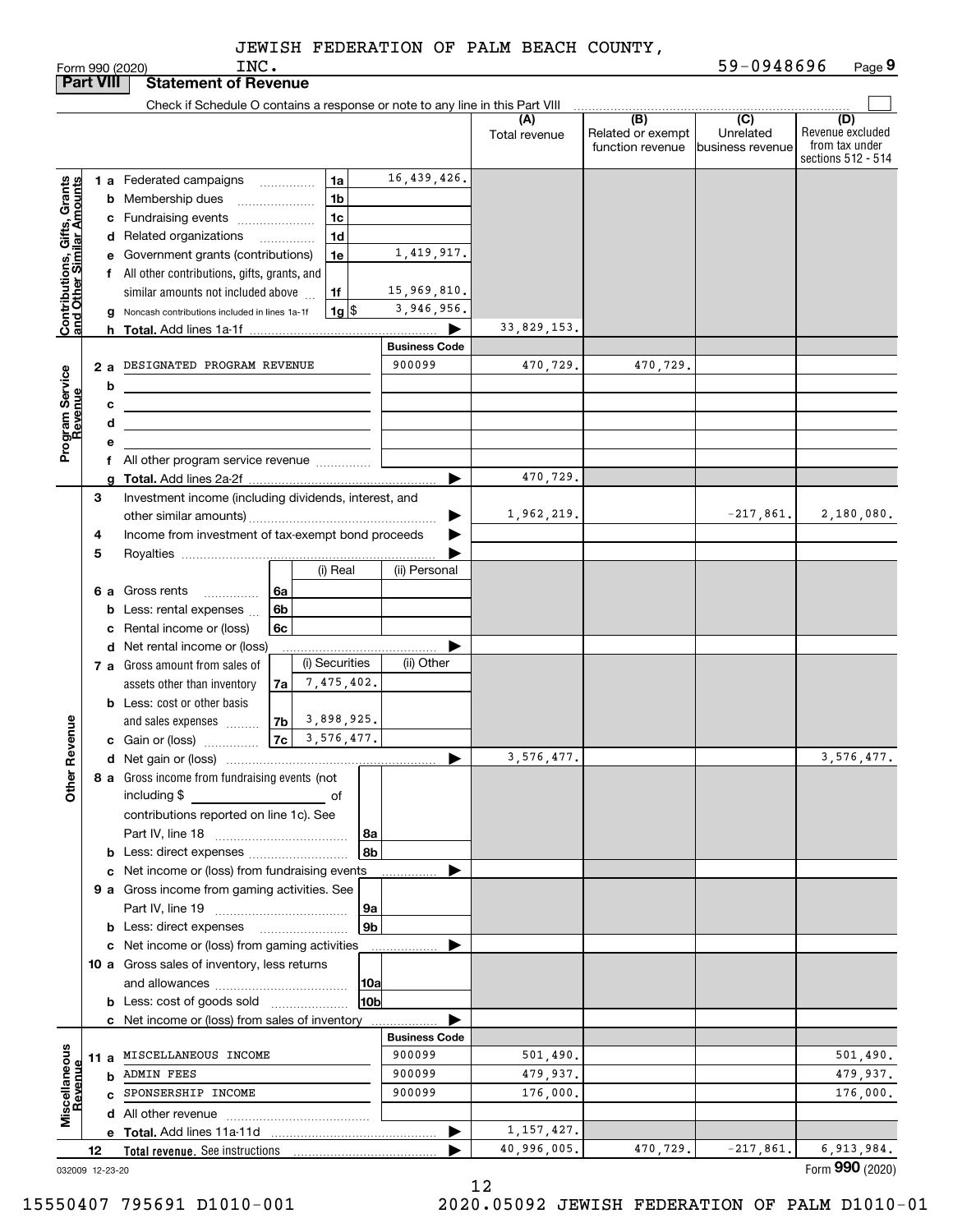INC.

|                                                           | <b>Part VIII</b> |   | <b>Statement of Revenue</b>                                                                    |    |                                 |                      |                             |                                                                    |                                                 |                                                                 |
|-----------------------------------------------------------|------------------|---|------------------------------------------------------------------------------------------------|----|---------------------------------|----------------------|-----------------------------|--------------------------------------------------------------------|-------------------------------------------------|-----------------------------------------------------------------|
|                                                           |                  |   | Check if Schedule O contains a response or note to any line in this Part VIII                  |    |                                 |                      |                             |                                                                    |                                                 |                                                                 |
|                                                           |                  |   |                                                                                                |    |                                 |                      | (A)<br>Total revenue        | $\overline{(\mathsf{B})}$<br>Related or exempt<br>function revenue | $\overline{C}$<br>Unrelated<br>business revenue | (D)<br>Revenue excluded<br>from tax under<br>sections 512 - 514 |
|                                                           |                  |   | 1 a Federated campaigns                                                                        |    | 1a                              | 16,439,426.          |                             |                                                                    |                                                 |                                                                 |
| Contributions, Gifts, Grants<br>and Other Similar Amounts |                  |   | <b>b</b> Membership dues                                                                       |    | 1 <sub>b</sub>                  |                      |                             |                                                                    |                                                 |                                                                 |
|                                                           |                  |   | $\ldots \ldots \ldots \ldots \ldots$<br>c Fundraising events                                   |    | 1c                              |                      |                             |                                                                    |                                                 |                                                                 |
|                                                           |                  |   | d Related organizations                                                                        |    | 1 <sub>d</sub>                  |                      |                             |                                                                    |                                                 |                                                                 |
|                                                           |                  |   | e Government grants (contributions)                                                            | .  | 1e                              | 1,419,917.           |                             |                                                                    |                                                 |                                                                 |
|                                                           |                  |   | f All other contributions, gifts, grants, and                                                  |    |                                 |                      |                             |                                                                    |                                                 |                                                                 |
|                                                           |                  |   | similar amounts not included above                                                             |    | 1f                              | 15,969,810.          |                             |                                                                    |                                                 |                                                                 |
|                                                           |                  |   |                                                                                                |    | $1g$ $\frac{1}{3}$              | 3,946,956.           |                             |                                                                    |                                                 |                                                                 |
|                                                           |                  |   | Noncash contributions included in lines 1a-1f                                                  |    |                                 | ▶                    | 33,829,153.                 |                                                                    |                                                 |                                                                 |
|                                                           |                  |   |                                                                                                |    |                                 | <b>Business Code</b> |                             |                                                                    |                                                 |                                                                 |
|                                                           |                  |   | DESIGNATED PROGRAM REVENUE                                                                     |    |                                 | 900099               | 470,729.                    | 470,729.                                                           |                                                 |                                                                 |
|                                                           | 2a               |   |                                                                                                |    |                                 |                      |                             |                                                                    |                                                 |                                                                 |
|                                                           |                  | b |                                                                                                |    |                                 |                      |                             |                                                                    |                                                 |                                                                 |
|                                                           |                  | с |                                                                                                |    |                                 |                      |                             |                                                                    |                                                 |                                                                 |
|                                                           |                  | d |                                                                                                |    |                                 |                      |                             |                                                                    |                                                 |                                                                 |
| Program Service<br>Revenue                                |                  | е |                                                                                                |    |                                 |                      |                             |                                                                    |                                                 |                                                                 |
|                                                           |                  |   | f All other program service revenue                                                            |    |                                 | ▶                    | 470,729.                    |                                                                    |                                                 |                                                                 |
|                                                           | 3                | a | Investment income (including dividends, interest, and                                          |    |                                 |                      |                             |                                                                    |                                                 |                                                                 |
|                                                           |                  |   |                                                                                                |    |                                 |                      | 1,962,219.                  |                                                                    | $-217,861.$                                     | 2,180,080.                                                      |
|                                                           |                  |   |                                                                                                |    |                                 |                      |                             |                                                                    |                                                 |                                                                 |
|                                                           | 4                |   | Income from investment of tax-exempt bond proceeds                                             |    |                                 |                      |                             |                                                                    |                                                 |                                                                 |
|                                                           | 5                |   |                                                                                                |    | (i) Real                        | (ii) Personal        |                             |                                                                    |                                                 |                                                                 |
|                                                           |                  |   |                                                                                                |    |                                 |                      |                             |                                                                    |                                                 |                                                                 |
|                                                           |                  |   | 6 a Gross rents<br>.                                                                           | 6a |                                 |                      |                             |                                                                    |                                                 |                                                                 |
|                                                           |                  |   | <b>b</b> Less: rental expenses                                                                 | 6b |                                 |                      |                             |                                                                    |                                                 |                                                                 |
|                                                           |                  |   | c Rental income or (loss)                                                                      | 6c |                                 |                      |                             |                                                                    |                                                 |                                                                 |
|                                                           |                  |   | d Net rental income or (loss)                                                                  |    | (i) Securities                  | (ii) Other           |                             |                                                                    |                                                 |                                                                 |
|                                                           |                  |   | 7 a Gross amount from sales of                                                                 |    |                                 |                      |                             |                                                                    |                                                 |                                                                 |
|                                                           |                  |   | assets other than inventory                                                                    | 7a | 7,475,402.                      |                      |                             |                                                                    |                                                 |                                                                 |
|                                                           |                  |   | <b>b</b> Less: cost or other basis                                                             |    |                                 |                      |                             |                                                                    |                                                 |                                                                 |
| Revenue                                                   |                  |   | and sales expenses                                                                             | 7b | 3,898,925.<br>$ 7c $ 3,576,477. |                      |                             |                                                                    |                                                 |                                                                 |
|                                                           |                  |   | c Gain or (loss)                                                                               |    |                                 |                      |                             |                                                                    |                                                 | 3,576,477.                                                      |
| 늦                                                         |                  |   |                                                                                                |    |                                 | ▶                    | 3,576,477.                  |                                                                    |                                                 |                                                                 |
| <b>Other</b>                                              |                  |   | 8 a Gross income from fundraising events (not                                                  |    |                                 |                      |                             |                                                                    |                                                 |                                                                 |
|                                                           |                  |   | including \$                                                                                   |    |                                 |                      |                             |                                                                    |                                                 |                                                                 |
|                                                           |                  |   | contributions reported on line 1c). See                                                        |    |                                 |                      |                             |                                                                    |                                                 |                                                                 |
|                                                           |                  |   |                                                                                                |    | 8a<br>8b                        |                      |                             |                                                                    |                                                 |                                                                 |
|                                                           |                  |   |                                                                                                |    |                                 |                      |                             |                                                                    |                                                 |                                                                 |
|                                                           |                  |   | c Net income or (loss) from fundraising events<br>9 a Gross income from gaming activities. See |    |                                 |                      |                             |                                                                    |                                                 |                                                                 |
|                                                           |                  |   |                                                                                                |    |                                 |                      |                             |                                                                    |                                                 |                                                                 |
|                                                           |                  |   |                                                                                                |    | ∣9a<br>9 <sub>b</sub>           |                      |                             |                                                                    |                                                 |                                                                 |
|                                                           |                  |   | <b>b</b> Less: direct expenses<br>c Net income or (loss) from gaming activities                |    |                                 |                      |                             |                                                                    |                                                 |                                                                 |
|                                                           |                  |   |                                                                                                |    |                                 |                      |                             |                                                                    |                                                 |                                                                 |
|                                                           |                  |   | 10 a Gross sales of inventory, less returns                                                    |    | 10a                             |                      |                             |                                                                    |                                                 |                                                                 |
|                                                           |                  |   |                                                                                                |    | 10b                             |                      |                             |                                                                    |                                                 |                                                                 |
|                                                           |                  |   | <b>b</b> Less: cost of goods sold                                                              |    |                                 |                      |                             |                                                                    |                                                 |                                                                 |
|                                                           |                  |   | c Net income or (loss) from sales of inventory                                                 |    |                                 | <b>Business Code</b> |                             |                                                                    |                                                 |                                                                 |
|                                                           |                  |   | 11 a MISCELLANEOUS INCOME                                                                      |    |                                 | 900099               | 501,490.                    |                                                                    |                                                 | 501,490.                                                        |
|                                                           |                  |   | <b>b</b> ADMIN FEES                                                                            |    |                                 | 900099               | 479,937.                    |                                                                    |                                                 | 479,937.                                                        |
| Miscellaneous<br>Revenue                                  |                  |   | C SPONSERSHIP INCOME                                                                           |    |                                 | 900099               | 176,000.                    |                                                                    |                                                 | 176,000.                                                        |
|                                                           |                  |   |                                                                                                |    |                                 |                      |                             |                                                                    |                                                 |                                                                 |
|                                                           |                  |   |                                                                                                |    |                                 |                      |                             |                                                                    |                                                 |                                                                 |
|                                                           |                  |   |                                                                                                |    |                                 | ▶                    | 1, 157, 427.<br>40,996,005. | 470,729.                                                           | $-217,861.$                                     | 6,913,984.                                                      |
|                                                           | 12               |   | Total revenue. See instructions                                                                |    |                                 |                      |                             |                                                                    |                                                 | Form 990 (2020)                                                 |
| 032009 12-23-20                                           |                  |   |                                                                                                |    |                                 |                      |                             |                                                                    |                                                 |                                                                 |

12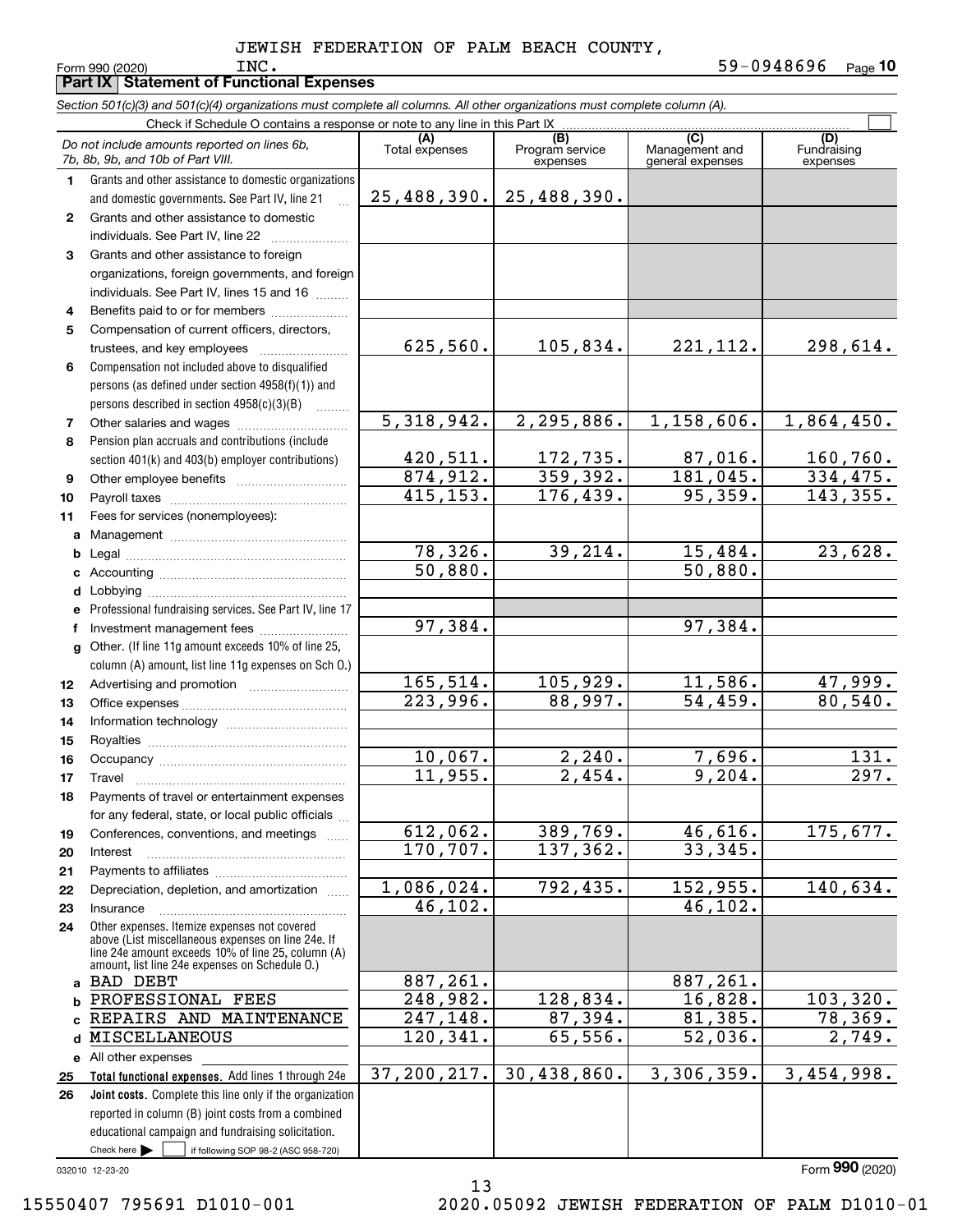*Section 501(c)(3) and 501(c)(4) organizations must complete all columns. All other organizations must complete column (A).* **Part IX Statement of Functional Expenses**

|              | Do not include amounts reported on lines 6b,<br>7b, 8b, 9b, and 10b of Part VIII.                        | (A)<br>Total expenses   | (B)<br>Program service<br>expenses | $\overline{C}$<br>Management and<br>general expenses | (D)<br>Fundraising<br>expenses |
|--------------|----------------------------------------------------------------------------------------------------------|-------------------------|------------------------------------|------------------------------------------------------|--------------------------------|
| 1.           | Grants and other assistance to domestic organizations                                                    |                         |                                    |                                                      |                                |
|              | and domestic governments. See Part IV, line 21                                                           | 25,488,390.             | 25,488,390.                        |                                                      |                                |
| $\mathbf{2}$ | Grants and other assistance to domestic                                                                  |                         |                                    |                                                      |                                |
|              | individuals. See Part IV, line 22                                                                        |                         |                                    |                                                      |                                |
| 3            | Grants and other assistance to foreign                                                                   |                         |                                    |                                                      |                                |
|              | organizations, foreign governments, and foreign                                                          |                         |                                    |                                                      |                                |
|              | individuals. See Part IV, lines 15 and 16                                                                |                         |                                    |                                                      |                                |
| 4            | Benefits paid to or for members                                                                          |                         |                                    |                                                      |                                |
| 5            | Compensation of current officers, directors,                                                             |                         |                                    |                                                      |                                |
|              |                                                                                                          | 625,560.                | 105,834.                           | 221, 112.                                            | 298,614.                       |
| 6            | Compensation not included above to disqualified                                                          |                         |                                    |                                                      |                                |
|              | persons (as defined under section 4958(f)(1)) and                                                        |                         |                                    |                                                      |                                |
|              | persons described in section 4958(c)(3)(B)                                                               |                         |                                    |                                                      |                                |
| 7            | Other salaries and wages                                                                                 | $\overline{5,318,942.}$ | 2, 295, 886.                       | 1,158,606.                                           | 1,864,450.                     |
| 8            | Pension plan accruals and contributions (include                                                         |                         |                                    |                                                      |                                |
|              | section 401(k) and 403(b) employer contributions)                                                        | 420,511.                | 172,735.                           | 87,016.                                              | 160,760.                       |
| 9            |                                                                                                          | 874,912.                | 359,392.                           | 181,045.                                             | 334, 475.                      |
| 10           |                                                                                                          | 415, 153.               | 176,439.                           | 95,359.                                              | 143,355.                       |
| 11           | Fees for services (nonemployees):                                                                        |                         |                                    |                                                      |                                |
| a            |                                                                                                          | 78,326.                 | 39,214.                            | 15,484.                                              | 23,628.                        |
| b            |                                                                                                          | 50,880.                 |                                    | 50,880.                                              |                                |
| c            |                                                                                                          |                         |                                    |                                                      |                                |
| d            |                                                                                                          |                         |                                    |                                                      |                                |
| е            | Professional fundraising services. See Part IV, line 17                                                  | 97,384.                 |                                    | 97,384.                                              |                                |
| f            | Investment management fees<br>Other. (If line 11g amount exceeds 10% of line 25,                         |                         |                                    |                                                      |                                |
| g            | column (A) amount, list line 11g expenses on Sch 0.)                                                     |                         |                                    |                                                      |                                |
| 12           |                                                                                                          | 165,514.                | 105,929.                           | 11,586.                                              | 47,999.                        |
| 13           |                                                                                                          | 223,996.                | 88,997.                            | 54,459.                                              | 80,540.                        |
| 14           |                                                                                                          |                         |                                    |                                                      |                                |
| 15           |                                                                                                          |                         |                                    |                                                      |                                |
| 16           |                                                                                                          | 10,067.                 | 2,240.                             | 7,696.                                               | 131.                           |
| 17           | Travel                                                                                                   | 11,955.                 | 2,454.                             | 9,204.                                               | 297.                           |
| 18           | Payments of travel or entertainment expenses                                                             |                         |                                    |                                                      |                                |
|              | for any federal, state, or local public officials                                                        |                         |                                    |                                                      |                                |
| 19           | Conferences, conventions, and meetings                                                                   | 612,062.                | 389,769.                           | 46,616.                                              | 175,677.                       |
| 20           | Interest                                                                                                 | 170, 707.               | 137, 362.                          | 33, 345.                                             |                                |
| 21           |                                                                                                          |                         |                                    |                                                      |                                |
| 22           | Depreciation, depletion, and amortization                                                                | 1,086,024.              | 792,435.                           | 152,955.                                             | 140,634.                       |
| 23           | Insurance                                                                                                | 46,102.                 |                                    | 46,102.                                              |                                |
| 24           | Other expenses. Itemize expenses not covered                                                             |                         |                                    |                                                      |                                |
|              | above (List miscellaneous expenses on line 24e. If<br>line 24e amount exceeds 10% of line 25, column (A) |                         |                                    |                                                      |                                |
|              | amount, list line 24e expenses on Schedule O.)                                                           |                         |                                    |                                                      |                                |
|              | a BAD DEBT                                                                                               | 887,261.                |                                    | 887,261.                                             |                                |
| b            | PROFESSIONAL FEES                                                                                        | 248,982.                | 128,834.                           | 16,828.                                              | 103,320.                       |
|              | c REPAIRS AND MAINTENANCE                                                                                | 247,148.                | 87,394.                            | 81,385.                                              | 78,369.                        |
| d            | MISCELLANEOUS                                                                                            | 120, 341.               | 65,556.                            | 52,036.                                              | 2,749.                         |
|              | e All other expenses                                                                                     |                         |                                    |                                                      |                                |
| 25           | Total functional expenses. Add lines 1 through 24e                                                       | 37,200,217.             | 30,438,860.                        | 3,306,359.                                           | 3,454,998.                     |
| 26           | Joint costs. Complete this line only if the organization                                                 |                         |                                    |                                                      |                                |
|              | reported in column (B) joint costs from a combined                                                       |                         |                                    |                                                      |                                |
|              | educational campaign and fundraising solicitation.                                                       |                         |                                    |                                                      |                                |
|              | Check here $\blacktriangleright$<br>if following SOP 98-2 (ASC 958-720)                                  |                         |                                    |                                                      | Form 990 (2020)                |
|              | 032010 12-23-20                                                                                          |                         |                                    |                                                      |                                |

032010 12-23-20

13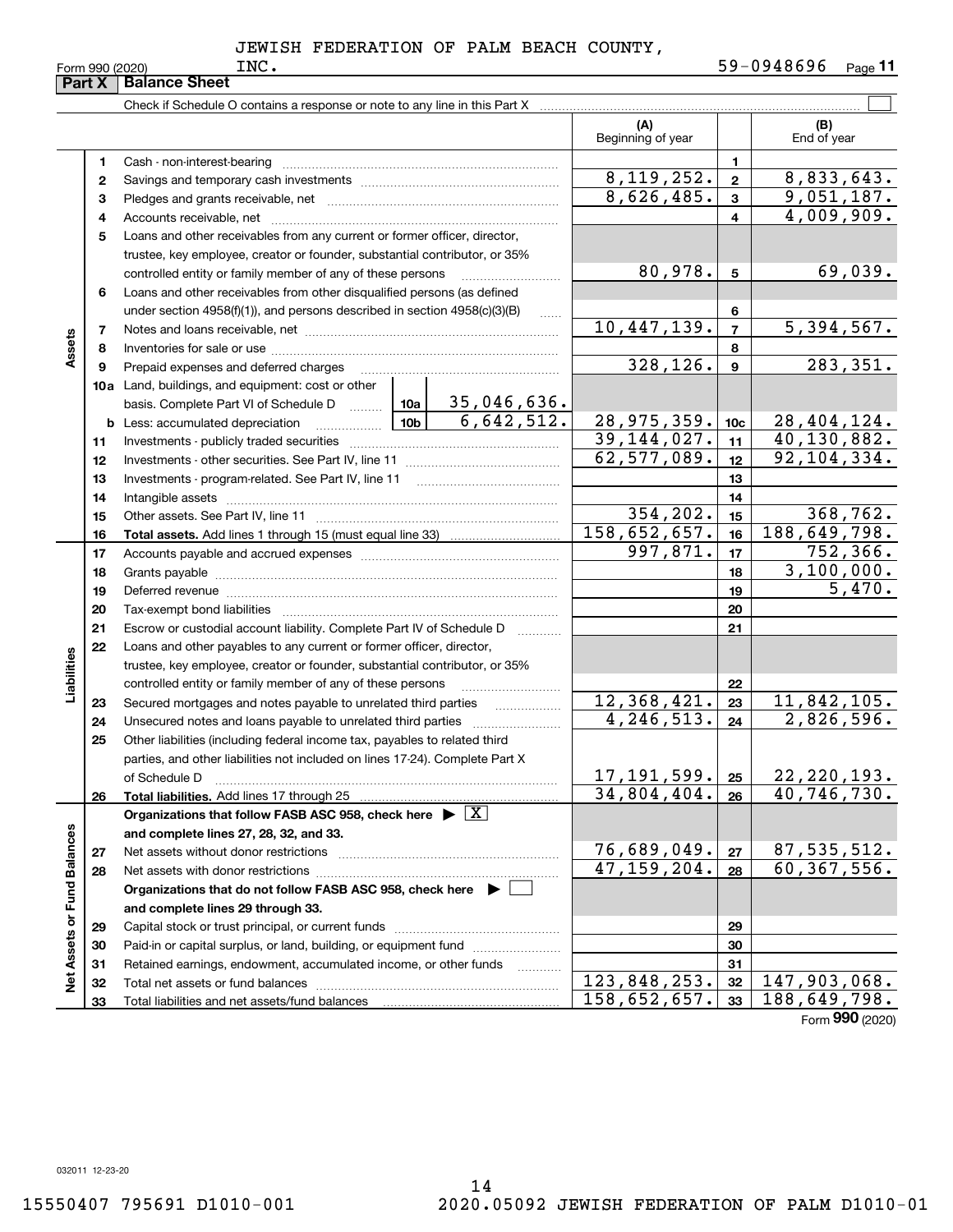|                             | Part X   | <b>Balance Sheet</b>                                                                                                                                                                                                           |                    |                          |                         |                           |  |  |  |
|-----------------------------|----------|--------------------------------------------------------------------------------------------------------------------------------------------------------------------------------------------------------------------------------|--------------------|--------------------------|-------------------------|---------------------------|--|--|--|
|                             |          |                                                                                                                                                                                                                                |                    |                          |                         |                           |  |  |  |
|                             |          |                                                                                                                                                                                                                                |                    | (A)<br>Beginning of year |                         | (B)<br>End of year        |  |  |  |
|                             | 1.       |                                                                                                                                                                                                                                |                    |                          | 1                       |                           |  |  |  |
|                             | 2        |                                                                                                                                                                                                                                |                    | 8, 119, 252.             | $\overline{\mathbf{2}}$ | 8,833,643.                |  |  |  |
|                             | З        |                                                                                                                                                                                                                                |                    | 8,626,485.               | $\overline{\mathbf{3}}$ | 9,051,187.                |  |  |  |
|                             | 4        |                                                                                                                                                                                                                                |                    |                          | 4                       | 4,009,909.                |  |  |  |
|                             | 5        | Loans and other receivables from any current or former officer, director,                                                                                                                                                      |                    |                          |                         |                           |  |  |  |
|                             |          | trustee, key employee, creator or founder, substantial contributor, or 35%                                                                                                                                                     |                    |                          |                         |                           |  |  |  |
|                             |          | controlled entity or family member of any of these persons                                                                                                                                                                     |                    | 80,978.                  | 5                       | 69,039.                   |  |  |  |
|                             | 6        | Loans and other receivables from other disqualified persons (as defined                                                                                                                                                        |                    |                          |                         |                           |  |  |  |
|                             |          | under section $4958(f)(1)$ , and persons described in section $4958(c)(3)(B)$                                                                                                                                                  | .                  |                          | 6                       |                           |  |  |  |
|                             | 7        |                                                                                                                                                                                                                                |                    | 10,447,139.              | $\overline{7}$          | 5,394,567.                |  |  |  |
| Assets                      | 8        |                                                                                                                                                                                                                                |                    |                          | 8                       |                           |  |  |  |
|                             | 9        | Prepaid expenses and deferred charges                                                                                                                                                                                          |                    | 328, 126.                | $\boldsymbol{9}$        | 283,351.                  |  |  |  |
|                             |          | 10a Land, buildings, and equipment: cost or other                                                                                                                                                                              | <u>35,046,636.</u> |                          |                         |                           |  |  |  |
|                             |          | basis. Complete Part VI of Schedule D  10a                                                                                                                                                                                     |                    |                          |                         |                           |  |  |  |
|                             |          | $\frac{10b}{10b}$<br><b>b</b> Less: accumulated depreciation                                                                                                                                                                   | 6,642,512.         | 28,975,359.              | 10 <sub>c</sub>         | 28, 404, 124.             |  |  |  |
|                             | 11       |                                                                                                                                                                                                                                |                    | 39, 144, 027.            | 11                      | 40,130,882.               |  |  |  |
|                             | 12       |                                                                                                                                                                                                                                |                    | 62,577,089.              | 12                      | 92,104,334.               |  |  |  |
|                             | 13       |                                                                                                                                                                                                                                |                    |                          | 13                      |                           |  |  |  |
|                             | 14       |                                                                                                                                                                                                                                |                    |                          | 14                      |                           |  |  |  |
|                             | 15       |                                                                                                                                                                                                                                |                    | 354,202.                 | 15                      | 368,762.                  |  |  |  |
|                             | 16       |                                                                                                                                                                                                                                |                    | 158,652,657.<br>997,871. | 16                      | 188,649,798.<br>752, 366. |  |  |  |
|                             | 17       |                                                                                                                                                                                                                                |                    |                          | 17                      | 3,100,000.                |  |  |  |
|                             | 18       |                                                                                                                                                                                                                                |                    |                          | 18<br>19                | 5,470.                    |  |  |  |
|                             | 19       | Deferred revenue manual contracts and contracts are contracted and contract and contract are contracted and contract are contracted and contract are contracted and contract are contracted and contract are contracted and co |                    |                          | 20                      |                           |  |  |  |
|                             | 20<br>21 | Escrow or custodial account liability. Complete Part IV of Schedule D                                                                                                                                                          |                    |                          | 21                      |                           |  |  |  |
|                             | 22       | Loans and other payables to any current or former officer, director,                                                                                                                                                           | .                  |                          |                         |                           |  |  |  |
| Liabilities                 |          | trustee, key employee, creator or founder, substantial contributor, or 35%                                                                                                                                                     |                    |                          |                         |                           |  |  |  |
|                             |          | controlled entity or family member of any of these persons                                                                                                                                                                     |                    |                          | 22                      |                           |  |  |  |
|                             | 23       | Secured mortgages and notes payable to unrelated third parties                                                                                                                                                                 |                    | 12,368,421.              | 23                      | 11,842,105.               |  |  |  |
|                             | 24       | Unsecured notes and loans payable to unrelated third parties                                                                                                                                                                   |                    | 4, 246, 513.             | 24                      | 2,826,596.                |  |  |  |
|                             | 25       | Other liabilities (including federal income tax, payables to related third                                                                                                                                                     |                    |                          |                         |                           |  |  |  |
|                             |          | parties, and other liabilities not included on lines 17-24). Complete Part X                                                                                                                                                   |                    |                          |                         |                           |  |  |  |
|                             |          | of Schedule D                                                                                                                                                                                                                  |                    | <u>17,191,599.</u>       | 25                      | 22, 220, 193.             |  |  |  |
|                             | 26       | Total liabilities. Add lines 17 through 25                                                                                                                                                                                     |                    | 34,804,404.              | 26                      | 40,746,730.               |  |  |  |
|                             |          | Organizations that follow FASB ASC 958, check here $\blacktriangleright \boxed{X}$                                                                                                                                             |                    |                          |                         |                           |  |  |  |
|                             |          | and complete lines 27, 28, 32, and 33.                                                                                                                                                                                         |                    |                          |                         |                           |  |  |  |
|                             | 27       |                                                                                                                                                                                                                                |                    | 76,689,049.              | 27                      | 87,535,512.               |  |  |  |
|                             | 28       | Net assets with donor restrictions                                                                                                                                                                                             |                    | 47, 159, 204.            | 28                      | 60, 367, 556.             |  |  |  |
|                             |          | Organizations that do not follow FASB ASC 958, check here $\blacktriangleright$                                                                                                                                                |                    |                          |                         |                           |  |  |  |
|                             |          | and complete lines 29 through 33.                                                                                                                                                                                              |                    |                          |                         |                           |  |  |  |
| Net Assets or Fund Balances | 29       |                                                                                                                                                                                                                                |                    |                          | 29                      |                           |  |  |  |
|                             | 30       | Paid-in or capital surplus, or land, building, or equipment fund                                                                                                                                                               |                    |                          | 30                      |                           |  |  |  |
|                             | 31       | Retained earnings, endowment, accumulated income, or other funds                                                                                                                                                               | .                  |                          | 31                      |                           |  |  |  |
|                             | 32       | Total net assets or fund balances                                                                                                                                                                                              |                    | 123,848,253.             | 32                      | 147,903,068.              |  |  |  |
|                             | 33       |                                                                                                                                                                                                                                |                    | 158,652,657.             | 33                      | 188,649,798.              |  |  |  |

Form (2020) **990**

032011 12-23-20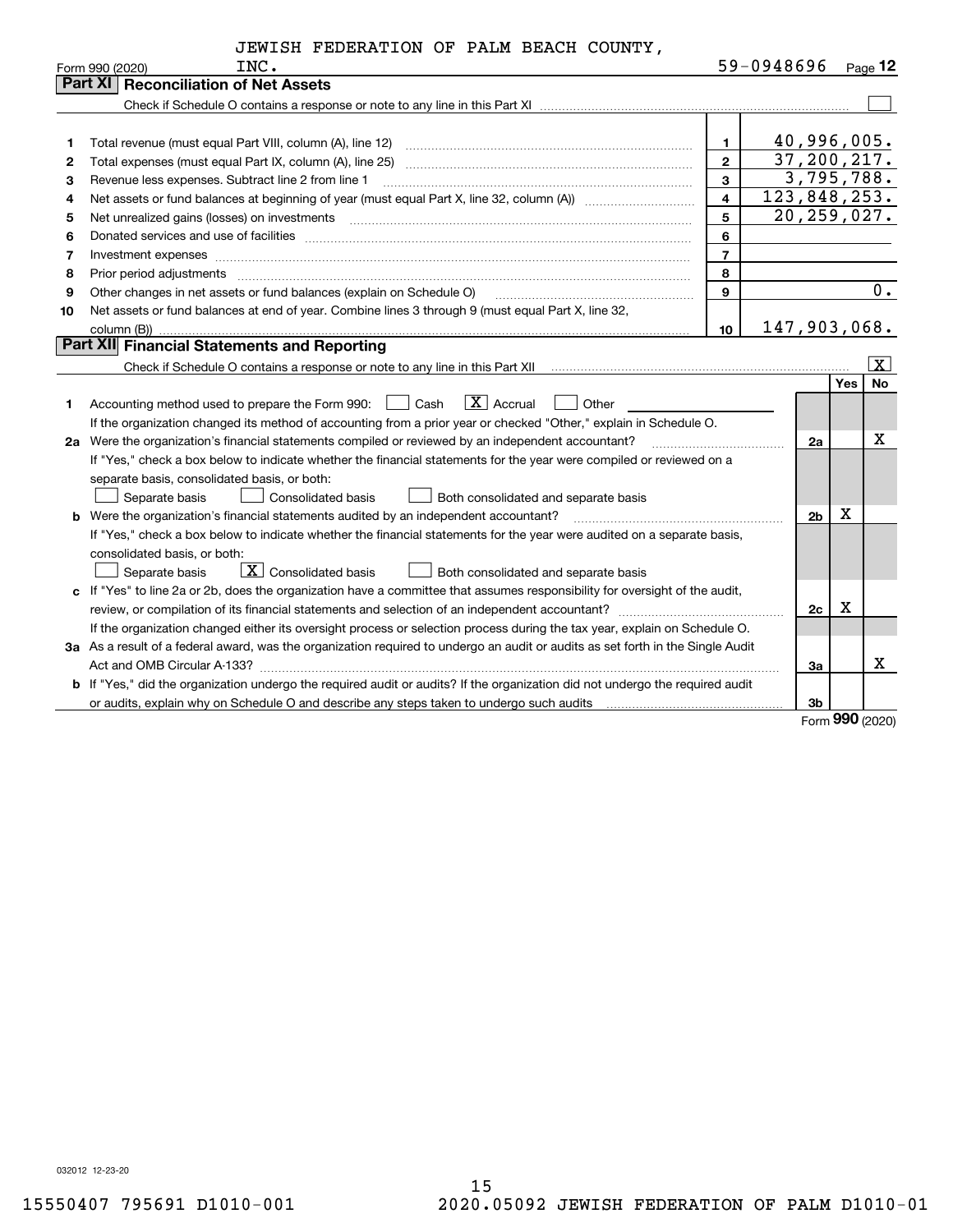|      | JEWISH FEDERATION OF PALM BEACH COUNTY. |  |  |               |
|------|-----------------------------------------|--|--|---------------|
| הזרד |                                         |  |  | 50 - NQ 18696 |

|    | Form 990 (2020)<br>INC.                                                                                                                                                                 |                         | 59-0948696   |                |     | $Page$ <sup>12</sup> |
|----|-----------------------------------------------------------------------------------------------------------------------------------------------------------------------------------------|-------------------------|--------------|----------------|-----|----------------------|
|    | Part XI   Reconciliation of Net Assets                                                                                                                                                  |                         |              |                |     |                      |
|    |                                                                                                                                                                                         |                         |              |                |     |                      |
|    |                                                                                                                                                                                         |                         |              |                |     |                      |
| 1  | Total revenue (must equal Part VIII, column (A), line 12)                                                                                                                               | $\mathbf 1$             |              | 40,996,005.    |     |                      |
| 2  | Total expenses (must equal Part IX, column (A), line 25)                                                                                                                                | $\overline{2}$          |              | 37,200,217.    |     |                      |
| 3  | Revenue less expenses. Subtract line 2 from line 1                                                                                                                                      | $\mathbf{3}$            |              | 3,795,788.     |     |                      |
| 4  | Net assets or fund balances at beginning of year (must equal Part X, line 32, column (A)) <i>massets</i> or fund balances at beginning of year (must equal Part X, line 32, column (A)) | $\overline{\mathbf{4}}$ | 123,848,253. |                |     |                      |
| 5  |                                                                                                                                                                                         | 5                       |              | 20, 259, 027.  |     |                      |
| 6  |                                                                                                                                                                                         | 6                       |              |                |     |                      |
| 7  | Investment expenses www.communication.com/www.communication.com/www.communication.com/www.com                                                                                           | $\overline{7}$          |              |                |     |                      |
| 8  | Prior period adjustments                                                                                                                                                                | 8                       |              |                |     |                      |
| 9  | Other changes in net assets or fund balances (explain on Schedule O)                                                                                                                    | $\mathbf{9}$            |              |                |     | 0.                   |
| 10 | Net assets or fund balances at end of year. Combine lines 3 through 9 (must equal Part X, line 32,                                                                                      |                         |              |                |     |                      |
|    | column (B))                                                                                                                                                                             | 10 <sup>10</sup>        | 147,903,068. |                |     |                      |
|    | Part XII Financial Statements and Reporting                                                                                                                                             |                         |              |                |     |                      |
|    |                                                                                                                                                                                         |                         |              |                |     | $\boxed{\text{X}}$   |
|    |                                                                                                                                                                                         |                         |              |                | Yes | <b>No</b>            |
| 1. | $ X $ Accrual<br>Accounting method used to prepare the Form 990: [16] Cash<br>Other                                                                                                     |                         |              |                |     |                      |
|    | If the organization changed its method of accounting from a prior year or checked "Other," explain in Schedule O.                                                                       |                         |              |                |     |                      |
|    | 2a Were the organization's financial statements compiled or reviewed by an independent accountant?                                                                                      |                         |              | 2a             |     | х                    |
|    | If "Yes," check a box below to indicate whether the financial statements for the year were compiled or reviewed on a                                                                    |                         |              |                |     |                      |
|    | separate basis, consolidated basis, or both:                                                                                                                                            |                         |              |                |     |                      |
|    | Separate basis<br>Consolidated basis<br>Both consolidated and separate basis                                                                                                            |                         |              |                |     |                      |
|    | <b>b</b> Were the organization's financial statements audited by an independent accountant?                                                                                             |                         |              | 2 <sub>b</sub> | Х   |                      |
|    | If "Yes," check a box below to indicate whether the financial statements for the year were audited on a separate basis,                                                                 |                         |              |                |     |                      |
|    | consolidated basis, or both:                                                                                                                                                            |                         |              |                |     |                      |
|    | $\overline{X}$ Consolidated basis<br>Separate basis<br>Both consolidated and separate basis                                                                                             |                         |              |                |     |                      |
|    | c If "Yes" to line 2a or 2b, does the organization have a committee that assumes responsibility for oversight of the audit,                                                             |                         |              |                |     |                      |
|    |                                                                                                                                                                                         |                         |              | 2c             | X   |                      |
|    | If the organization changed either its oversight process or selection process during the tax year, explain on Schedule O.                                                               |                         |              |                |     |                      |
|    | 3a As a result of a federal award, was the organization required to undergo an audit or audits as set forth in the Single Audit                                                         |                         |              |                |     |                      |
|    |                                                                                                                                                                                         |                         |              | За             |     | x                    |
|    | b If "Yes," did the organization undergo the required audit or audits? If the organization did not undergo the required audit                                                           |                         |              |                |     |                      |
|    |                                                                                                                                                                                         |                         |              | 3b             |     |                      |

Form (2020) **990**

032012 12-23-20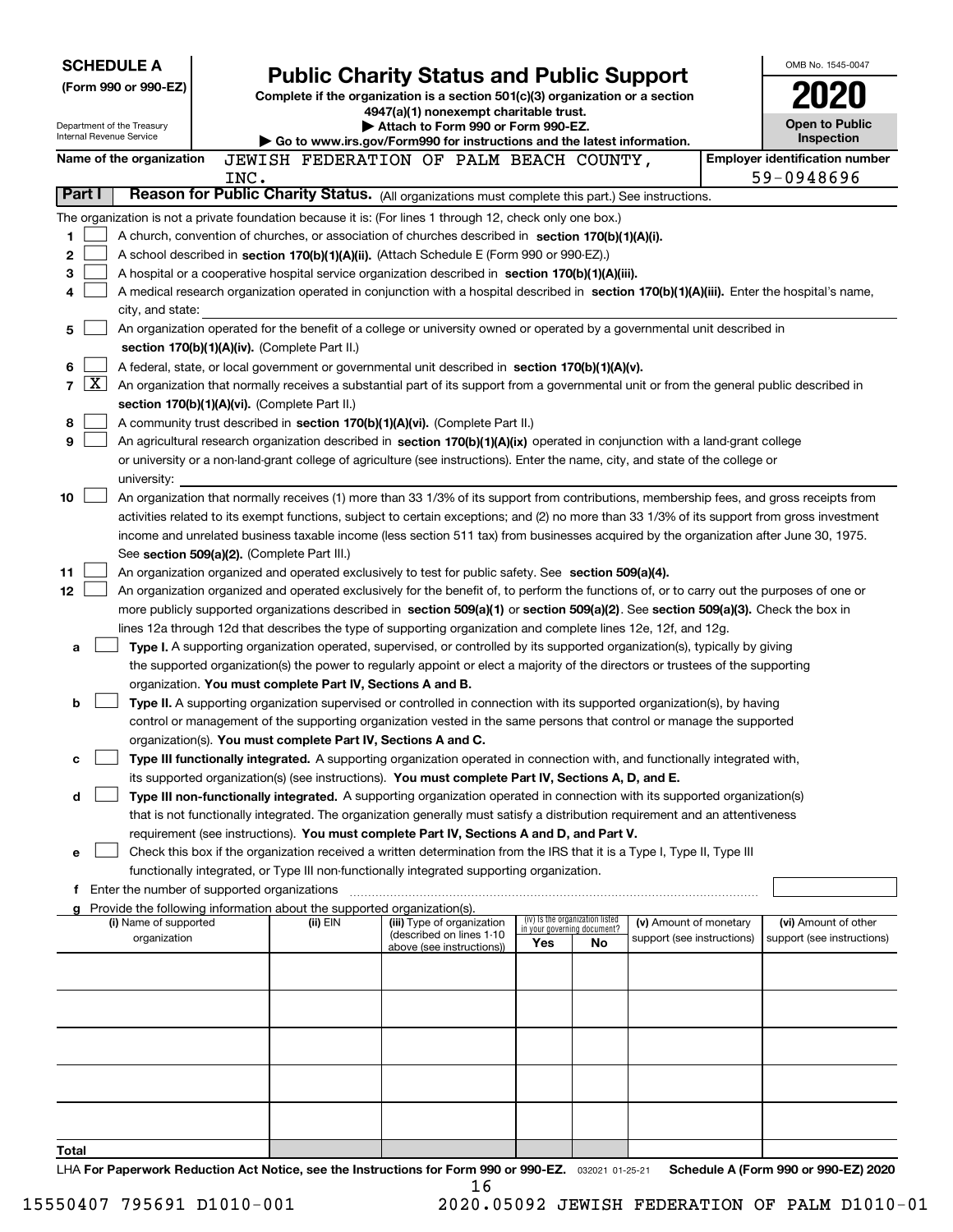| <b>SCHEDULE A</b>    |                                                                                                                                            |                                                                        |                                                                                                                         |      |  |                                                               |  | OMB No. 1545-0047                                                                                                                                                                                                                                              |  |      |                                                                |                            |  |                                                                                                                                              |  |
|----------------------|--------------------------------------------------------------------------------------------------------------------------------------------|------------------------------------------------------------------------|-------------------------------------------------------------------------------------------------------------------------|------|--|---------------------------------------------------------------|--|----------------------------------------------------------------------------------------------------------------------------------------------------------------------------------------------------------------------------------------------------------------|--|------|----------------------------------------------------------------|----------------------------|--|----------------------------------------------------------------------------------------------------------------------------------------------|--|
| (Form 990 or 990-EZ) |                                                                                                                                            | <b>Public Charity Status and Public Support</b>                        |                                                                                                                         |      |  |                                                               |  |                                                                                                                                                                                                                                                                |  |      |                                                                |                            |  |                                                                                                                                              |  |
|                      |                                                                                                                                            |                                                                        | Complete if the organization is a section 501(c)(3) organization or a section<br>4947(a)(1) nonexempt charitable trust. |      |  |                                                               |  |                                                                                                                                                                                                                                                                |  |      |                                                                |                            |  |                                                                                                                                              |  |
|                      |                                                                                                                                            | Department of the Treasury                                             |                                                                                                                         |      |  |                                                               |  | Attach to Form 990 or Form 990-EZ.                                                                                                                                                                                                                             |  |      |                                                                |                            |  | <b>Open to Public</b>                                                                                                                        |  |
|                      |                                                                                                                                            | Internal Revenue Service                                               |                                                                                                                         |      |  |                                                               |  | Go to www.irs.gov/Form990 for instructions and the latest information.                                                                                                                                                                                         |  |      |                                                                |                            |  | Inspection                                                                                                                                   |  |
|                      |                                                                                                                                            | Name of the organization                                               |                                                                                                                         |      |  |                                                               |  | JEWISH FEDERATION OF PALM BEACH COUNTY,                                                                                                                                                                                                                        |  |      |                                                                |                            |  | <b>Employer identification number</b>                                                                                                        |  |
|                      | Part I                                                                                                                                     |                                                                        |                                                                                                                         | INC. |  |                                                               |  | Reason for Public Charity Status. (All organizations must complete this part.) See instructions.                                                                                                                                                               |  |      |                                                                |                            |  | 59-0948696                                                                                                                                   |  |
|                      |                                                                                                                                            |                                                                        |                                                                                                                         |      |  |                                                               |  |                                                                                                                                                                                                                                                                |  |      |                                                                |                            |  |                                                                                                                                              |  |
| 1                    |                                                                                                                                            |                                                                        |                                                                                                                         |      |  |                                                               |  | The organization is not a private foundation because it is: (For lines 1 through 12, check only one box.)<br>A church, convention of churches, or association of churches described in section 170(b)(1)(A)(i).                                                |  |      |                                                                |                            |  |                                                                                                                                              |  |
| 2                    |                                                                                                                                            |                                                                        |                                                                                                                         |      |  |                                                               |  | A school described in section 170(b)(1)(A)(ii). (Attach Schedule E (Form 990 or 990-EZ).)                                                                                                                                                                      |  |      |                                                                |                            |  |                                                                                                                                              |  |
| з                    |                                                                                                                                            |                                                                        |                                                                                                                         |      |  |                                                               |  | A hospital or a cooperative hospital service organization described in section 170(b)(1)(A)(iii).                                                                                                                                                              |  |      |                                                                |                            |  |                                                                                                                                              |  |
| 4                    | A medical research organization operated in conjunction with a hospital described in section 170(b)(1)(A)(iii). Enter the hospital's name, |                                                                        |                                                                                                                         |      |  |                                                               |  |                                                                                                                                                                                                                                                                |  |      |                                                                |                            |  |                                                                                                                                              |  |
|                      |                                                                                                                                            | city, and state:                                                       |                                                                                                                         |      |  |                                                               |  |                                                                                                                                                                                                                                                                |  |      |                                                                |                            |  |                                                                                                                                              |  |
| 5                    |                                                                                                                                            |                                                                        |                                                                                                                         |      |  |                                                               |  | An organization operated for the benefit of a college or university owned or operated by a governmental unit described in                                                                                                                                      |  |      |                                                                |                            |  |                                                                                                                                              |  |
|                      |                                                                                                                                            | section 170(b)(1)(A)(iv). (Complete Part II.)                          |                                                                                                                         |      |  |                                                               |  |                                                                                                                                                                                                                                                                |  |      |                                                                |                            |  |                                                                                                                                              |  |
| 6                    |                                                                                                                                            |                                                                        |                                                                                                                         |      |  |                                                               |  | A federal, state, or local government or governmental unit described in section 170(b)(1)(A)(v).                                                                                                                                                               |  |      |                                                                |                            |  |                                                                                                                                              |  |
| 7                    | $\lfloor x \rfloor$                                                                                                                        |                                                                        |                                                                                                                         |      |  |                                                               |  |                                                                                                                                                                                                                                                                |  |      |                                                                |                            |  | An organization that normally receives a substantial part of its support from a governmental unit or from the general public described in    |  |
|                      |                                                                                                                                            | section 170(b)(1)(A)(vi). (Complete Part II.)                          |                                                                                                                         |      |  |                                                               |  |                                                                                                                                                                                                                                                                |  |      |                                                                |                            |  |                                                                                                                                              |  |
| 8<br>9               |                                                                                                                                            |                                                                        |                                                                                                                         |      |  |                                                               |  | A community trust described in section 170(b)(1)(A)(vi). (Complete Part II.)<br>An agricultural research organization described in section 170(b)(1)(A)(ix) operated in conjunction with a land-grant college                                                  |  |      |                                                                |                            |  |                                                                                                                                              |  |
|                      |                                                                                                                                            |                                                                        |                                                                                                                         |      |  |                                                               |  | or university or a non-land-grant college of agriculture (see instructions). Enter the name, city, and state of the college or                                                                                                                                 |  |      |                                                                |                            |  |                                                                                                                                              |  |
|                      |                                                                                                                                            | university:                                                            |                                                                                                                         |      |  |                                                               |  |                                                                                                                                                                                                                                                                |  |      |                                                                |                            |  |                                                                                                                                              |  |
| 10                   |                                                                                                                                            |                                                                        |                                                                                                                         |      |  |                                                               |  |                                                                                                                                                                                                                                                                |  |      |                                                                |                            |  | An organization that normally receives (1) more than 33 1/3% of its support from contributions, membership fees, and gross receipts from     |  |
|                      |                                                                                                                                            |                                                                        |                                                                                                                         |      |  |                                                               |  |                                                                                                                                                                                                                                                                |  |      |                                                                |                            |  | activities related to its exempt functions, subject to certain exceptions; and (2) no more than 33 1/3% of its support from gross investment |  |
|                      |                                                                                                                                            |                                                                        |                                                                                                                         |      |  |                                                               |  |                                                                                                                                                                                                                                                                |  |      |                                                                |                            |  | income and unrelated business taxable income (less section 511 tax) from businesses acquired by the organization after June 30, 1975.        |  |
|                      |                                                                                                                                            | See section 509(a)(2). (Complete Part III.)                            |                                                                                                                         |      |  |                                                               |  |                                                                                                                                                                                                                                                                |  |      |                                                                |                            |  |                                                                                                                                              |  |
| 11                   |                                                                                                                                            |                                                                        |                                                                                                                         |      |  |                                                               |  | An organization organized and operated exclusively to test for public safety. See section 509(a)(4).                                                                                                                                                           |  |      |                                                                |                            |  |                                                                                                                                              |  |
| 12 <sub>2</sub>      |                                                                                                                                            |                                                                        |                                                                                                                         |      |  |                                                               |  |                                                                                                                                                                                                                                                                |  |      |                                                                |                            |  | An organization organized and operated exclusively for the benefit of, to perform the functions of, or to carry out the purposes of one or   |  |
|                      |                                                                                                                                            |                                                                        |                                                                                                                         |      |  |                                                               |  | more publicly supported organizations described in section 509(a)(1) or section 509(a)(2). See section 509(a)(3). Check the box in                                                                                                                             |  |      |                                                                |                            |  |                                                                                                                                              |  |
|                      |                                                                                                                                            |                                                                        |                                                                                                                         |      |  |                                                               |  | lines 12a through 12d that describes the type of supporting organization and complete lines 12e, 12f, and 12g.                                                                                                                                                 |  |      |                                                                |                            |  |                                                                                                                                              |  |
| a                    |                                                                                                                                            |                                                                        |                                                                                                                         |      |  |                                                               |  | Type I. A supporting organization operated, supervised, or controlled by its supported organization(s), typically by giving<br>the supported organization(s) the power to regularly appoint or elect a majority of the directors or trustees of the supporting |  |      |                                                                |                            |  |                                                                                                                                              |  |
|                      |                                                                                                                                            |                                                                        |                                                                                                                         |      |  | organization. You must complete Part IV, Sections A and B.    |  |                                                                                                                                                                                                                                                                |  |      |                                                                |                            |  |                                                                                                                                              |  |
| b                    |                                                                                                                                            |                                                                        |                                                                                                                         |      |  |                                                               |  | Type II. A supporting organization supervised or controlled in connection with its supported organization(s), by having                                                                                                                                        |  |      |                                                                |                            |  |                                                                                                                                              |  |
|                      |                                                                                                                                            |                                                                        |                                                                                                                         |      |  |                                                               |  | control or management of the supporting organization vested in the same persons that control or manage the supported                                                                                                                                           |  |      |                                                                |                            |  |                                                                                                                                              |  |
|                      |                                                                                                                                            |                                                                        |                                                                                                                         |      |  | organization(s). You must complete Part IV, Sections A and C. |  |                                                                                                                                                                                                                                                                |  |      |                                                                |                            |  |                                                                                                                                              |  |
| с                    |                                                                                                                                            |                                                                        |                                                                                                                         |      |  |                                                               |  | Type III functionally integrated. A supporting organization operated in connection with, and functionally integrated with,                                                                                                                                     |  |      |                                                                |                            |  |                                                                                                                                              |  |
|                      |                                                                                                                                            |                                                                        |                                                                                                                         |      |  |                                                               |  | its supported organization(s) (see instructions). You must complete Part IV, Sections A, D, and E.                                                                                                                                                             |  |      |                                                                |                            |  |                                                                                                                                              |  |
| d                    |                                                                                                                                            |                                                                        |                                                                                                                         |      |  |                                                               |  | Type III non-functionally integrated. A supporting organization operated in connection with its supported organization(s)                                                                                                                                      |  |      |                                                                |                            |  |                                                                                                                                              |  |
|                      |                                                                                                                                            |                                                                        |                                                                                                                         |      |  |                                                               |  | that is not functionally integrated. The organization generally must satisfy a distribution requirement and an attentiveness                                                                                                                                   |  |      |                                                                |                            |  |                                                                                                                                              |  |
| е                    |                                                                                                                                            |                                                                        |                                                                                                                         |      |  |                                                               |  | requirement (see instructions). You must complete Part IV, Sections A and D, and Part V.<br>Check this box if the organization received a written determination from the IRS that it is a Type I, Type II, Type III                                            |  |      |                                                                |                            |  |                                                                                                                                              |  |
|                      |                                                                                                                                            |                                                                        |                                                                                                                         |      |  |                                                               |  | functionally integrated, or Type III non-functionally integrated supporting organization.                                                                                                                                                                      |  |      |                                                                |                            |  |                                                                                                                                              |  |
|                      |                                                                                                                                            | f Enter the number of supported organizations                          |                                                                                                                         |      |  |                                                               |  |                                                                                                                                                                                                                                                                |  |      |                                                                |                            |  |                                                                                                                                              |  |
|                      |                                                                                                                                            | Provide the following information about the supported organization(s). |                                                                                                                         |      |  |                                                               |  |                                                                                                                                                                                                                                                                |  |      |                                                                |                            |  |                                                                                                                                              |  |
|                      |                                                                                                                                            | (i) Name of supported                                                  |                                                                                                                         |      |  | (ii) EIN                                                      |  | (iii) Type of organization<br>(described on lines 1-10                                                                                                                                                                                                         |  |      | (iv) Is the organization listed<br>in your governing document? | (v) Amount of monetary     |  | (vi) Amount of other                                                                                                                         |  |
|                      |                                                                                                                                            | organization                                                           |                                                                                                                         |      |  |                                                               |  | above (see instructions))                                                                                                                                                                                                                                      |  | Yes  | No                                                             | support (see instructions) |  | support (see instructions)                                                                                                                   |  |
|                      |                                                                                                                                            |                                                                        |                                                                                                                         |      |  |                                                               |  |                                                                                                                                                                                                                                                                |  |      |                                                                |                            |  |                                                                                                                                              |  |
|                      |                                                                                                                                            |                                                                        |                                                                                                                         |      |  |                                                               |  |                                                                                                                                                                                                                                                                |  |      |                                                                |                            |  |                                                                                                                                              |  |
|                      |                                                                                                                                            |                                                                        |                                                                                                                         |      |  |                                                               |  |                                                                                                                                                                                                                                                                |  |      |                                                                |                            |  |                                                                                                                                              |  |
|                      |                                                                                                                                            |                                                                        |                                                                                                                         |      |  |                                                               |  |                                                                                                                                                                                                                                                                |  |      |                                                                |                            |  |                                                                                                                                              |  |
|                      |                                                                                                                                            |                                                                        |                                                                                                                         |      |  |                                                               |  |                                                                                                                                                                                                                                                                |  |      |                                                                |                            |  |                                                                                                                                              |  |
|                      |                                                                                                                                            |                                                                        |                                                                                                                         |      |  |                                                               |  |                                                                                                                                                                                                                                                                |  |      |                                                                |                            |  |                                                                                                                                              |  |
|                      |                                                                                                                                            |                                                                        |                                                                                                                         |      |  |                                                               |  |                                                                                                                                                                                                                                                                |  |      |                                                                |                            |  |                                                                                                                                              |  |
|                      |                                                                                                                                            |                                                                        |                                                                                                                         |      |  |                                                               |  |                                                                                                                                                                                                                                                                |  |      |                                                                |                            |  |                                                                                                                                              |  |
|                      |                                                                                                                                            |                                                                        |                                                                                                                         |      |  |                                                               |  |                                                                                                                                                                                                                                                                |  |      |                                                                |                            |  |                                                                                                                                              |  |
| Total                |                                                                                                                                            |                                                                        |                                                                                                                         |      |  |                                                               |  |                                                                                                                                                                                                                                                                |  | 000E |                                                                |                            |  | $0.00 - 0.000$ $E71.0000$                                                                                                                    |  |

LHA For Paperwork Reduction Act Notice, see the Instructions for Form 990 or 990-EZ. <sub>032021</sub> o1-25-21 Schedule A (Form 990 or 990-EZ) 2020 16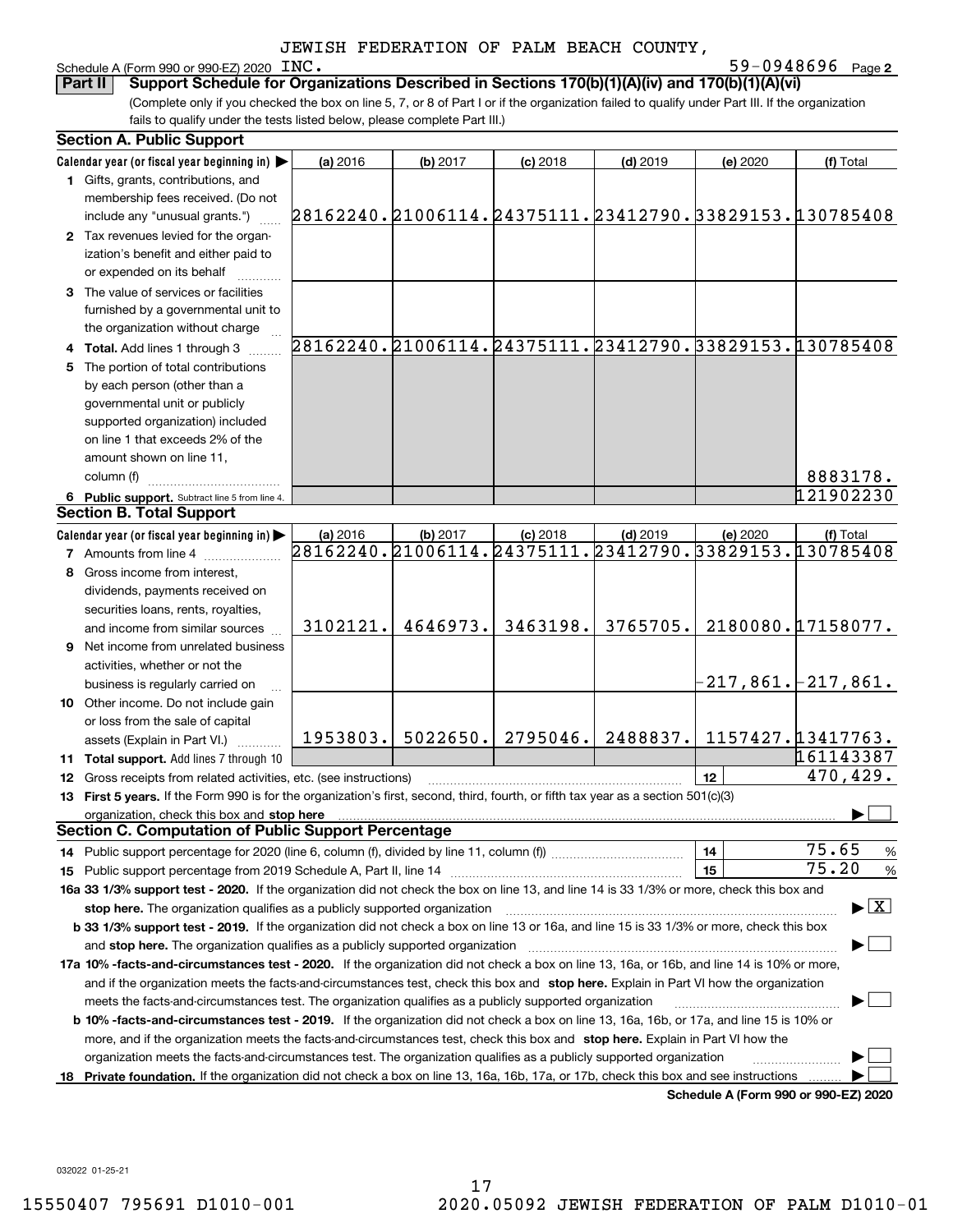#### **2** Schedule A (Form 990 or 990-EZ) 2020 Page

INC. 59-0948696

| Part II  Support Schedule for Organizations Described in Sections 170(b)(1)(A)(iv) and 170(b)(1)(A)(vi)                                         |
|-------------------------------------------------------------------------------------------------------------------------------------------------|
| (Complete only if you checked the box on line 5, 7, or 8 of Part I or if the organization failed to qualify under Part III. If the organization |
| fails to qualify under the tests listed below, please complete Part III.)                                                                       |

|     | <b>Section A. Public Support</b>                                                                                                                                                                                               |                                                        |            |            |            |                                      |                                          |  |
|-----|--------------------------------------------------------------------------------------------------------------------------------------------------------------------------------------------------------------------------------|--------------------------------------------------------|------------|------------|------------|--------------------------------------|------------------------------------------|--|
|     | Calendar year (or fiscal year beginning in)                                                                                                                                                                                    | (a) 2016                                               | $(b)$ 2017 | $(c)$ 2018 | $(d)$ 2019 | (e) 2020                             | (f) Total                                |  |
|     | 1 Gifts, grants, contributions, and                                                                                                                                                                                            |                                                        |            |            |            |                                      |                                          |  |
|     | membership fees received. (Do not                                                                                                                                                                                              |                                                        |            |            |            |                                      |                                          |  |
|     | include any "unusual grants.")                                                                                                                                                                                                 | 28162240.21006114.24375111.23412790.33829153.130785408 |            |            |            |                                      |                                          |  |
|     | 2 Tax revenues levied for the organ-                                                                                                                                                                                           |                                                        |            |            |            |                                      |                                          |  |
|     | ization's benefit and either paid to                                                                                                                                                                                           |                                                        |            |            |            |                                      |                                          |  |
|     | or expended on its behalf                                                                                                                                                                                                      |                                                        |            |            |            |                                      |                                          |  |
|     | 3 The value of services or facilities                                                                                                                                                                                          |                                                        |            |            |            |                                      |                                          |  |
|     | furnished by a governmental unit to                                                                                                                                                                                            |                                                        |            |            |            |                                      |                                          |  |
|     | the organization without charge                                                                                                                                                                                                |                                                        |            |            |            |                                      |                                          |  |
|     | 4 Total. Add lines 1 through 3                                                                                                                                                                                                 | 28162240.21006114.24375111.23412790.33829153.130785408 |            |            |            |                                      |                                          |  |
|     | The portion of total contributions                                                                                                                                                                                             |                                                        |            |            |            |                                      |                                          |  |
|     | by each person (other than a                                                                                                                                                                                                   |                                                        |            |            |            |                                      |                                          |  |
|     | governmental unit or publicly                                                                                                                                                                                                  |                                                        |            |            |            |                                      |                                          |  |
|     | supported organization) included                                                                                                                                                                                               |                                                        |            |            |            |                                      |                                          |  |
|     | on line 1 that exceeds 2% of the                                                                                                                                                                                               |                                                        |            |            |            |                                      |                                          |  |
|     | amount shown on line 11,                                                                                                                                                                                                       |                                                        |            |            |            |                                      |                                          |  |
|     | column (f)                                                                                                                                                                                                                     |                                                        |            |            |            |                                      | 8883178.                                 |  |
|     | 6 Public support. Subtract line 5 from line 4.                                                                                                                                                                                 |                                                        |            |            |            |                                      | 121902230                                |  |
|     | <b>Section B. Total Support</b>                                                                                                                                                                                                |                                                        |            |            |            |                                      |                                          |  |
|     | Calendar year (or fiscal year beginning in)                                                                                                                                                                                    | (a) 2016                                               | (b) 2017   | $(c)$ 2018 | $(d)$ 2019 | (e) 2020                             | (f) Total                                |  |
|     | <b>7</b> Amounts from line 4                                                                                                                                                                                                   | 28162240.21006114.24375111.23412790.33829153.130785408 |            |            |            |                                      |                                          |  |
| 8   | Gross income from interest,                                                                                                                                                                                                    |                                                        |            |            |            |                                      |                                          |  |
|     | dividends, payments received on                                                                                                                                                                                                |                                                        |            |            |            |                                      |                                          |  |
|     | securities loans, rents, royalties,                                                                                                                                                                                            |                                                        |            |            |            |                                      |                                          |  |
|     | and income from similar sources                                                                                                                                                                                                | 3102121.                                               | 4646973.   | 3463198.   | 3765705.   |                                      | 2180080.17158077.                        |  |
|     | 9 Net income from unrelated business                                                                                                                                                                                           |                                                        |            |            |            |                                      |                                          |  |
|     | activities, whether or not the                                                                                                                                                                                                 |                                                        |            |            |            |                                      |                                          |  |
|     | business is regularly carried on                                                                                                                                                                                               |                                                        |            |            |            |                                      | $-217,861.+217,861.$                     |  |
|     | 10 Other income. Do not include gain                                                                                                                                                                                           |                                                        |            |            |            |                                      |                                          |  |
|     | or loss from the sale of capital                                                                                                                                                                                               |                                                        |            |            |            |                                      |                                          |  |
|     | assets (Explain in Part VI.)                                                                                                                                                                                                   | 1953803.                                               | 5022650.   | 2795046.   | 2488837.   |                                      | 1157427.13417763.                        |  |
|     | <b>11 Total support.</b> Add lines 7 through 10                                                                                                                                                                                |                                                        |            |            |            |                                      | 161143387                                |  |
|     | 12 Gross receipts from related activities, etc. (see instructions)                                                                                                                                                             |                                                        |            |            |            | 12                                   | 470,429.                                 |  |
|     | 13 First 5 years. If the Form 990 is for the organization's first, second, third, fourth, or fifth tax year as a section 501(c)(3)                                                                                             |                                                        |            |            |            |                                      |                                          |  |
|     | organization, check this box and stop here manufactured and according to the state of the state of the state of the state of the state of the state of the state of the state of the state of the state of the state of the st |                                                        |            |            |            |                                      |                                          |  |
|     | <b>Section C. Computation of Public Support Percentage</b>                                                                                                                                                                     |                                                        |            |            |            |                                      |                                          |  |
|     |                                                                                                                                                                                                                                |                                                        |            |            |            | 14                                   | 75.65<br>$\frac{9}{6}$                   |  |
|     |                                                                                                                                                                                                                                |                                                        |            |            |            | 15                                   | 75.20<br>%                               |  |
|     | 16a 33 1/3% support test - 2020. If the organization did not check the box on line 13, and line 14 is 33 1/3% or more, check this box and                                                                                      |                                                        |            |            |            |                                      |                                          |  |
|     | stop here. The organization qualifies as a publicly supported organization                                                                                                                                                     |                                                        |            |            |            |                                      | $\blacktriangleright$ $\boxed{\text{X}}$ |  |
|     | b 33 1/3% support test - 2019. If the organization did not check a box on line 13 or 16a, and line 15 is 33 1/3% or more, check this box                                                                                       |                                                        |            |            |            |                                      |                                          |  |
|     | and stop here. The organization qualifies as a publicly supported organization                                                                                                                                                 |                                                        |            |            |            |                                      |                                          |  |
|     | 17a 10% -facts-and-circumstances test - 2020. If the organization did not check a box on line 13, 16a, or 16b, and line 14 is 10% or more,                                                                                     |                                                        |            |            |            |                                      |                                          |  |
|     | and if the organization meets the facts-and-circumstances test, check this box and stop here. Explain in Part VI how the organization                                                                                          |                                                        |            |            |            |                                      |                                          |  |
|     | meets the facts-and-circumstances test. The organization qualifies as a publicly supported organization                                                                                                                        |                                                        |            |            |            |                                      |                                          |  |
|     | <b>b 10% -facts-and-circumstances test - 2019.</b> If the organization did not check a box on line 13, 16a, 16b, or 17a, and line 15 is 10% or                                                                                 |                                                        |            |            |            |                                      |                                          |  |
|     | more, and if the organization meets the facts-and-circumstances test, check this box and stop here. Explain in Part VI how the                                                                                                 |                                                        |            |            |            |                                      |                                          |  |
|     | organization meets the facts-and-circumstances test. The organization qualifies as a publicly supported organization                                                                                                           |                                                        |            |            |            |                                      |                                          |  |
| 18. | Private foundation. If the organization did not check a box on line 13, 16a, 16b, 17a, or 17b, check this box and see instructions                                                                                             |                                                        |            |            |            |                                      |                                          |  |
|     |                                                                                                                                                                                                                                |                                                        |            |            |            | Schedule A (Form 990 or 990-F7) 2020 |                                          |  |

**Schedule A (Form 990 or 990-EZ) 2020**

032022 01-25-21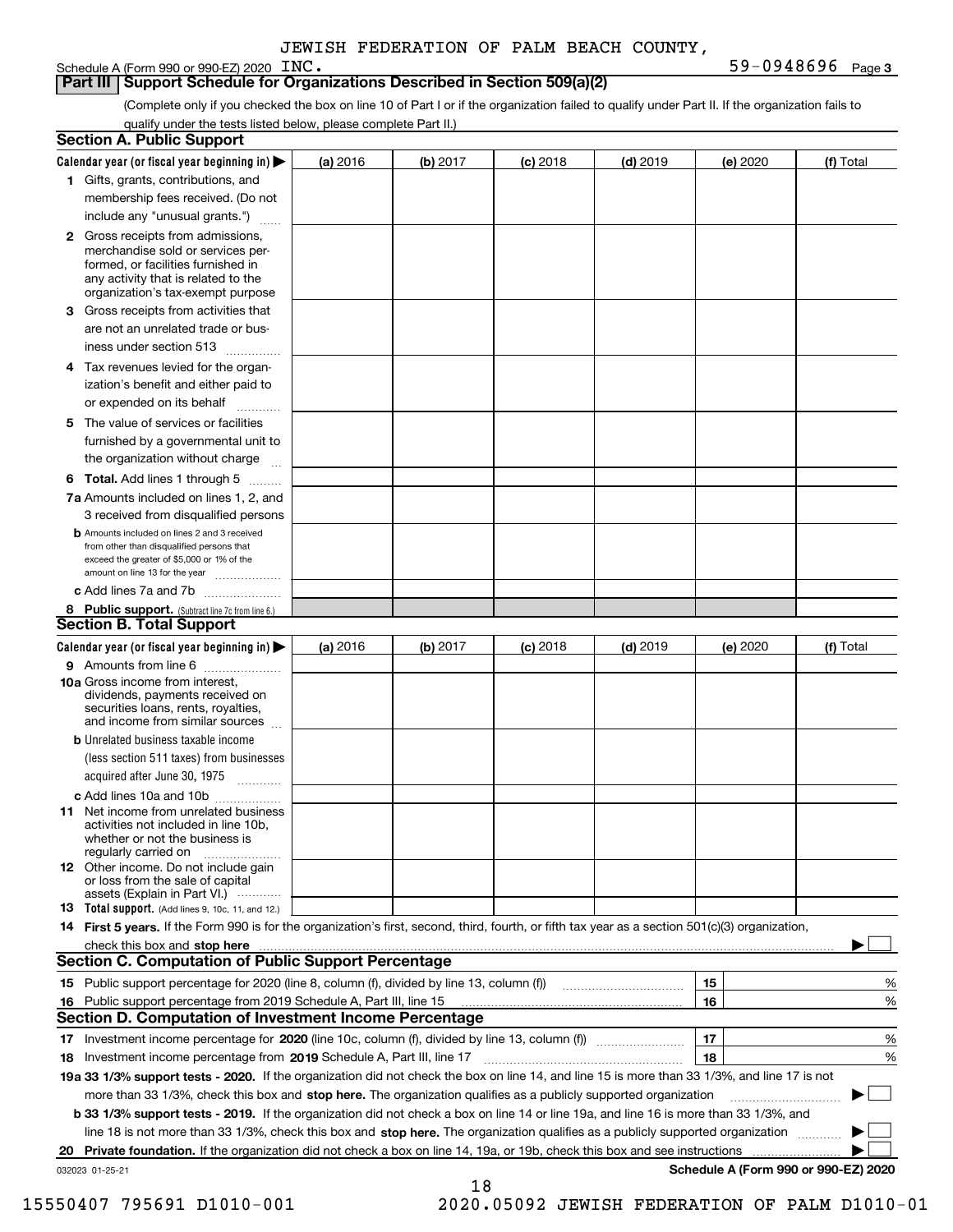#### **Part III Support Schedule for Organizations Described in Section 509(a)(2)**

(Complete only if you checked the box on line 10 of Part I or if the organization failed to qualify under Part II. If the organization fails to qualify under the tests listed below, please complete Part II.)

| <b>Section A. Public Support</b>                                                                                                                                                                                               |          |          |            |            |          |                                      |
|--------------------------------------------------------------------------------------------------------------------------------------------------------------------------------------------------------------------------------|----------|----------|------------|------------|----------|--------------------------------------|
| Calendar year (or fiscal year beginning in) $\blacktriangleright$                                                                                                                                                              | (a) 2016 | (b) 2017 | $(c)$ 2018 | $(d)$ 2019 | (e) 2020 | (f) Total                            |
| 1 Gifts, grants, contributions, and                                                                                                                                                                                            |          |          |            |            |          |                                      |
| membership fees received. (Do not                                                                                                                                                                                              |          |          |            |            |          |                                      |
| include any "unusual grants.")                                                                                                                                                                                                 |          |          |            |            |          |                                      |
| 2 Gross receipts from admissions,<br>merchandise sold or services per-<br>formed, or facilities furnished in<br>any activity that is related to the<br>organization's tax-exempt purpose                                       |          |          |            |            |          |                                      |
| 3 Gross receipts from activities that<br>are not an unrelated trade or bus-                                                                                                                                                    |          |          |            |            |          |                                      |
| iness under section 513                                                                                                                                                                                                        |          |          |            |            |          |                                      |
| 4 Tax revenues levied for the organ-<br>ization's benefit and either paid to<br>or expended on its behalf                                                                                                                      |          |          |            |            |          |                                      |
| .<br>5 The value of services or facilities<br>furnished by a governmental unit to                                                                                                                                              |          |          |            |            |          |                                      |
| the organization without charge                                                                                                                                                                                                |          |          |            |            |          |                                      |
| <b>6 Total.</b> Add lines 1 through 5                                                                                                                                                                                          |          |          |            |            |          |                                      |
| 7a Amounts included on lines 1, 2, and<br>3 received from disqualified persons                                                                                                                                                 |          |          |            |            |          |                                      |
| <b>b</b> Amounts included on lines 2 and 3 received<br>from other than disqualified persons that<br>exceed the greater of \$5,000 or 1% of the<br>amount on line 13 for the year                                               |          |          |            |            |          |                                      |
| c Add lines 7a and 7b                                                                                                                                                                                                          |          |          |            |            |          |                                      |
| 8 Public support. (Subtract line 7c from line 6.)<br><b>Section B. Total Support</b>                                                                                                                                           |          |          |            |            |          |                                      |
| Calendar year (or fiscal year beginning in)                                                                                                                                                                                    | (a) 2016 | (b) 2017 | $(c)$ 2018 | $(d)$ 2019 | (e) 2020 | (f) Total                            |
| 9 Amounts from line 6                                                                                                                                                                                                          |          |          |            |            |          |                                      |
| 10a Gross income from interest,<br>dividends, payments received on<br>securities loans, rents, royalties,<br>and income from similar sources                                                                                   |          |          |            |            |          |                                      |
| <b>b</b> Unrelated business taxable income<br>(less section 511 taxes) from businesses<br>acquired after June 30, 1975                                                                                                         |          |          |            |            |          |                                      |
| c Add lines 10a and 10b                                                                                                                                                                                                        |          |          |            |            |          |                                      |
| <b>11</b> Net income from unrelated business<br>activities not included in line 10b,<br>whether or not the business is<br>regularly carried on                                                                                 |          |          |            |            |          |                                      |
| <b>12</b> Other income. Do not include gain<br>or loss from the sale of capital<br>assets (Explain in Part VI.)                                                                                                                |          |          |            |            |          |                                      |
| <b>13 Total support.</b> (Add lines 9, 10c, 11, and 12.)                                                                                                                                                                       |          |          |            |            |          |                                      |
| 14 First 5 years. If the Form 990 is for the organization's first, second, third, fourth, or fifth tax year as a section 501(c)(3) organization,                                                                               |          |          |            |            |          |                                      |
| check this box and stop here measurements and contact the contract of the contract of the contract of the contract of the contract of the contract of the contract of the contract of the contract of the contract of the cont |          |          |            |            |          |                                      |
| <b>Section C. Computation of Public Support Percentage</b>                                                                                                                                                                     |          |          |            |            |          |                                      |
|                                                                                                                                                                                                                                |          |          |            |            | 15       | %                                    |
| 16 Public support percentage from 2019 Schedule A, Part III, line 15                                                                                                                                                           |          |          |            |            | 16       | %                                    |
| <b>Section D. Computation of Investment Income Percentage</b>                                                                                                                                                                  |          |          |            |            |          |                                      |
| 17 Investment income percentage for 2020 (line 10c, column (f), divided by line 13, column (f))<br>18 Investment income percentage from 2019 Schedule A, Part III, line 17                                                     |          |          |            |            | 17<br>18 | %<br>%                               |
| 19a 33 1/3% support tests - 2020. If the organization did not check the box on line 14, and line 15 is more than 33 1/3%, and line 17 is not                                                                                   |          |          |            |            |          |                                      |
| more than 33 1/3%, check this box and stop here. The organization qualifies as a publicly supported organization                                                                                                               |          |          |            |            |          | ▶                                    |
| b 33 1/3% support tests - 2019. If the organization did not check a box on line 14 or line 19a, and line 16 is more than 33 1/3%, and                                                                                          |          |          |            |            |          |                                      |
| line 18 is not more than 33 1/3%, check this box and stop here. The organization qualifies as a publicly supported organization                                                                                                |          |          |            |            |          |                                      |
| 20 Private foundation. If the organization did not check a box on line 14, 19a, or 19b, check this box and see instructions                                                                                                    |          |          |            |            |          |                                      |
| 032023 01-25-21                                                                                                                                                                                                                |          |          |            |            |          | Schedule A (Form 990 or 990-EZ) 2020 |
|                                                                                                                                                                                                                                |          | 18       |            |            |          |                                      |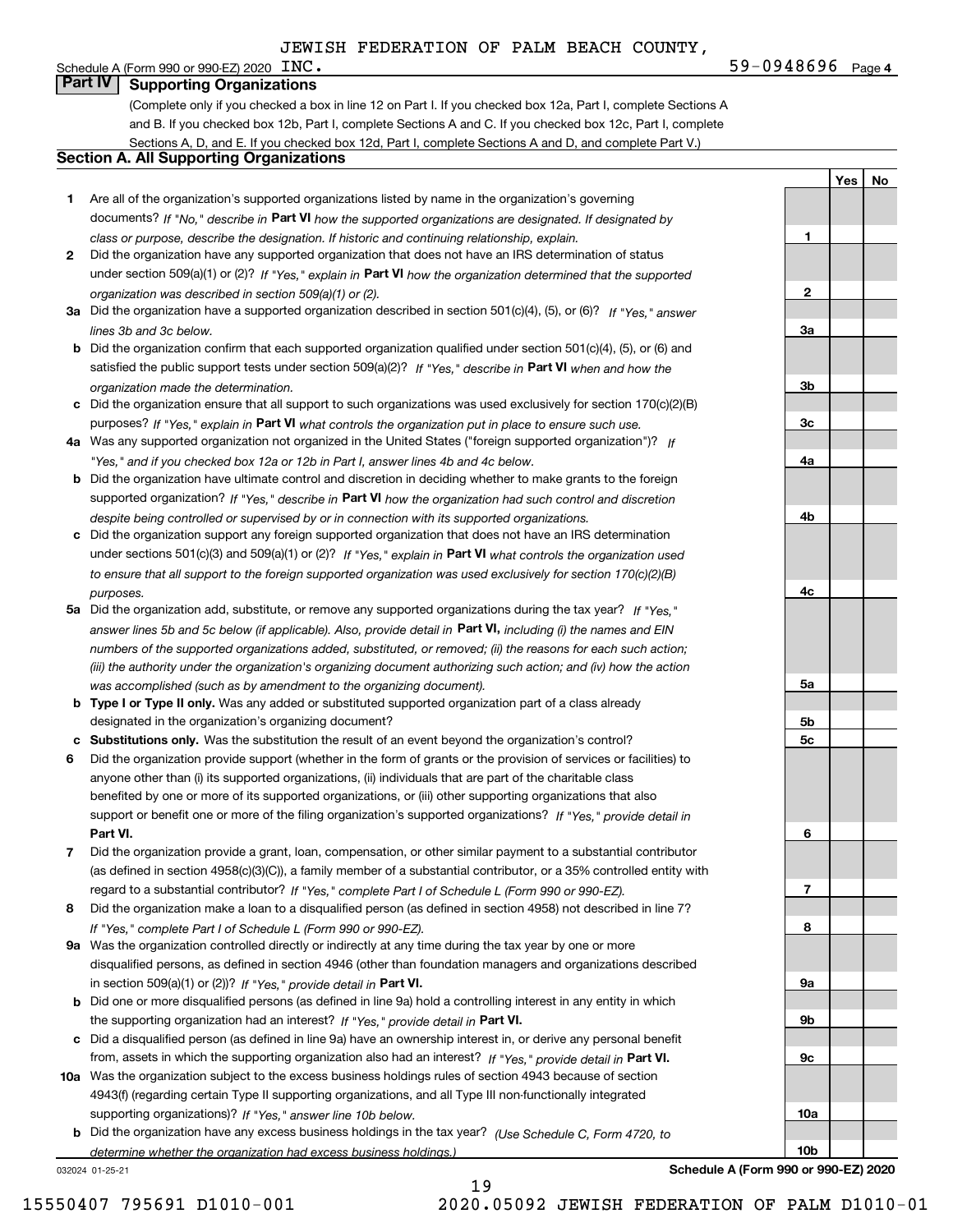**1**

**2**

**3a**

**3b**

**3c**

**4a**

**4b**

**4c**

**5a**

**5b5c**

**6**

**7**

**8**

**9a**

**9b**

**9c**

**10a**

**10b**

**YesNo**

#### Schedule A (Form 990 or 990-EZ) 2020  $\text{INC}$ . **Part IV Supporting Organizations**

(Complete only if you checked a box in line 12 on Part I. If you checked box 12a, Part I, complete Sections A and B. If you checked box 12b, Part I, complete Sections A and C. If you checked box 12c, Part I, complete Sections A, D, and E. If you checked box 12d, Part I, complete Sections A and D, and complete Part V.)

#### **Section A. All Supporting Organizations**

- **1** Are all of the organization's supported organizations listed by name in the organization's governing documents? If "No," describe in **Part VI** how the supported organizations are designated. If designated by *class or purpose, describe the designation. If historic and continuing relationship, explain.*
- **2** Did the organization have any supported organization that does not have an IRS determination of status under section 509(a)(1) or (2)? If "Yes," explain in Part VI how the organization determined that the supported *organization was described in section 509(a)(1) or (2).*
- **3a** Did the organization have a supported organization described in section 501(c)(4), (5), or (6)? If "Yes," answer *lines 3b and 3c below.*
- **b** Did the organization confirm that each supported organization qualified under section 501(c)(4), (5), or (6) and satisfied the public support tests under section 509(a)(2)? If "Yes," describe in **Part VI** when and how the *organization made the determination.*
- **c**Did the organization ensure that all support to such organizations was used exclusively for section 170(c)(2)(B) purposes? If "Yes," explain in **Part VI** what controls the organization put in place to ensure such use.
- **4a***If* Was any supported organization not organized in the United States ("foreign supported organization")? *"Yes," and if you checked box 12a or 12b in Part I, answer lines 4b and 4c below.*
- **b** Did the organization have ultimate control and discretion in deciding whether to make grants to the foreign supported organization? If "Yes," describe in **Part VI** how the organization had such control and discretion *despite being controlled or supervised by or in connection with its supported organizations.*
- **c** Did the organization support any foreign supported organization that does not have an IRS determination under sections 501(c)(3) and 509(a)(1) or (2)? If "Yes," explain in **Part VI** what controls the organization used *to ensure that all support to the foreign supported organization was used exclusively for section 170(c)(2)(B) purposes.*
- **5a** Did the organization add, substitute, or remove any supported organizations during the tax year? If "Yes," answer lines 5b and 5c below (if applicable). Also, provide detail in **Part VI,** including (i) the names and EIN *numbers of the supported organizations added, substituted, or removed; (ii) the reasons for each such action; (iii) the authority under the organization's organizing document authorizing such action; and (iv) how the action was accomplished (such as by amendment to the organizing document).*
- **b** Type I or Type II only. Was any added or substituted supported organization part of a class already designated in the organization's organizing document?
- **cSubstitutions only.**  Was the substitution the result of an event beyond the organization's control?
- **6** Did the organization provide support (whether in the form of grants or the provision of services or facilities) to **Part VI.** *If "Yes," provide detail in* support or benefit one or more of the filing organization's supported organizations? anyone other than (i) its supported organizations, (ii) individuals that are part of the charitable class benefited by one or more of its supported organizations, or (iii) other supporting organizations that also
- **7**Did the organization provide a grant, loan, compensation, or other similar payment to a substantial contributor *If "Yes," complete Part I of Schedule L (Form 990 or 990-EZ).* regard to a substantial contributor? (as defined in section 4958(c)(3)(C)), a family member of a substantial contributor, or a 35% controlled entity with
- **8** Did the organization make a loan to a disqualified person (as defined in section 4958) not described in line 7? *If "Yes," complete Part I of Schedule L (Form 990 or 990-EZ).*
- **9a** Was the organization controlled directly or indirectly at any time during the tax year by one or more in section 509(a)(1) or (2))? If "Yes," *provide detail in* <code>Part VI.</code> disqualified persons, as defined in section 4946 (other than foundation managers and organizations described
- **b** Did one or more disqualified persons (as defined in line 9a) hold a controlling interest in any entity in which the supporting organization had an interest? If "Yes," provide detail in P**art VI**.
- **c**Did a disqualified person (as defined in line 9a) have an ownership interest in, or derive any personal benefit from, assets in which the supporting organization also had an interest? If "Yes," provide detail in P**art VI.**
- **10a** Was the organization subject to the excess business holdings rules of section 4943 because of section supporting organizations)? If "Yes," answer line 10b below. 4943(f) (regarding certain Type II supporting organizations, and all Type III non-functionally integrated
- **b** Did the organization have any excess business holdings in the tax year? (Use Schedule C, Form 4720, to *determine whether the organization had excess business holdings.)*

19

032024 01-25-21

**Schedule A (Form 990 or 990-EZ) 2020**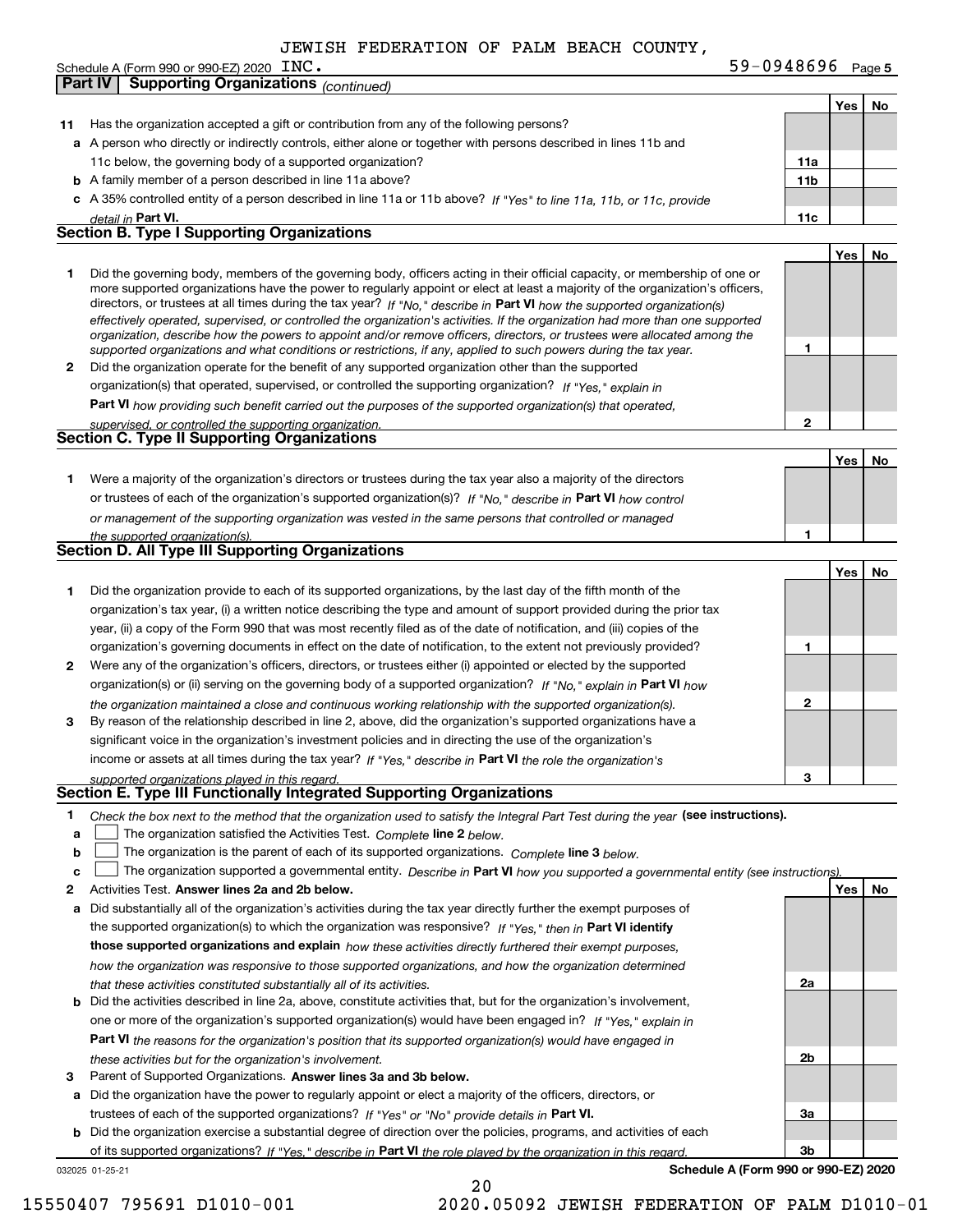| INC. | 59-0948696 <sub>Page 5</sub> |  |
|------|------------------------------|--|
|      |                              |  |

|    | <b>Supporting Organizations (continued)</b><br>Part IV                                                                                                                                                                                                    |                |     |    |
|----|-----------------------------------------------------------------------------------------------------------------------------------------------------------------------------------------------------------------------------------------------------------|----------------|-----|----|
|    |                                                                                                                                                                                                                                                           |                | Yes | No |
| 11 | Has the organization accepted a gift or contribution from any of the following persons?                                                                                                                                                                   |                |     |    |
|    | a A person who directly or indirectly controls, either alone or together with persons described in lines 11b and                                                                                                                                          |                |     |    |
|    | 11c below, the governing body of a supported organization?                                                                                                                                                                                                | 11a            |     |    |
|    | <b>b</b> A family member of a person described in line 11a above?                                                                                                                                                                                         | 11b            |     |    |
|    | c A 35% controlled entity of a person described in line 11a or 11b above? If "Yes" to line 11a, 11b, or 11c, provide                                                                                                                                      |                |     |    |
|    | detail in Part VI.                                                                                                                                                                                                                                        | 11c            |     |    |
|    | <b>Section B. Type I Supporting Organizations</b>                                                                                                                                                                                                         |                |     |    |
|    |                                                                                                                                                                                                                                                           |                | Yes | No |
| 1  | Did the governing body, members of the governing body, officers acting in their official capacity, or membership of one or                                                                                                                                |                |     |    |
|    | more supported organizations have the power to regularly appoint or elect at least a majority of the organization's officers,                                                                                                                             |                |     |    |
|    | directors, or trustees at all times during the tax year? If "No," describe in Part VI how the supported organization(s)<br>effectively operated, supervised, or controlled the organization's activities. If the organization had more than one supported |                |     |    |
|    | organization, describe how the powers to appoint and/or remove officers, directors, or trustees were allocated among the                                                                                                                                  |                |     |    |
|    | supported organizations and what conditions or restrictions, if any, applied to such powers during the tax year.                                                                                                                                          | 1              |     |    |
| 2  | Did the organization operate for the benefit of any supported organization other than the supported                                                                                                                                                       |                |     |    |
|    | organization(s) that operated, supervised, or controlled the supporting organization? If "Yes," explain in                                                                                                                                                |                |     |    |
|    | <b>Part VI</b> how providing such benefit carried out the purposes of the supported organization(s) that operated.                                                                                                                                        |                |     |    |
|    | supervised, or controlled the supporting organization.                                                                                                                                                                                                    | $\overline{2}$ |     |    |
|    | <b>Section C. Type II Supporting Organizations</b>                                                                                                                                                                                                        |                |     |    |
|    |                                                                                                                                                                                                                                                           |                | Yes | No |
| 1  | Were a majority of the organization's directors or trustees during the tax year also a majority of the directors                                                                                                                                          |                |     |    |
|    | or trustees of each of the organization's supported organization(s)? If "No." describe in Part VI how control                                                                                                                                             |                |     |    |
|    | or management of the supporting organization was vested in the same persons that controlled or managed                                                                                                                                                    |                |     |    |
|    | the supported organization(s).<br><b>Section D. All Type III Supporting Organizations</b>                                                                                                                                                                 | 1              |     |    |
|    |                                                                                                                                                                                                                                                           |                |     | No |
|    |                                                                                                                                                                                                                                                           |                | Yes |    |
| 1  | Did the organization provide to each of its supported organizations, by the last day of the fifth month of the<br>organization's tax year, (i) a written notice describing the type and amount of support provided during the prior tax                   |                |     |    |
|    | year, (ii) a copy of the Form 990 that was most recently filed as of the date of notification, and (iii) copies of the                                                                                                                                    |                |     |    |
|    | organization's governing documents in effect on the date of notification, to the extent not previously provided?                                                                                                                                          | 1              |     |    |
| 2  | Were any of the organization's officers, directors, or trustees either (i) appointed or elected by the supported                                                                                                                                          |                |     |    |
|    | organization(s) or (ii) serving on the governing body of a supported organization? If "No," explain in Part VI how                                                                                                                                        |                |     |    |
|    | the organization maintained a close and continuous working relationship with the supported organization(s).                                                                                                                                               | $\mathbf{2}$   |     |    |
| 3  | By reason of the relationship described in line 2, above, did the organization's supported organizations have a                                                                                                                                           |                |     |    |
|    | significant voice in the organization's investment policies and in directing the use of the organization's                                                                                                                                                |                |     |    |
|    | income or assets at all times during the tax year? If "Yes," describe in Part VI the role the organization's                                                                                                                                              |                |     |    |
|    | supported organizations played in this regard.                                                                                                                                                                                                            | 3              |     |    |
|    | Section E. Type III Functionally Integrated Supporting Organizations                                                                                                                                                                                      |                |     |    |
| 1  | Check the box next to the method that the organization used to satisfy the Integral Part Test during the year (see instructions).                                                                                                                         |                |     |    |
| a  | The organization satisfied the Activities Test. Complete line 2 below.                                                                                                                                                                                    |                |     |    |
| b  | The organization is the parent of each of its supported organizations. Complete line 3 below.                                                                                                                                                             |                |     |    |
| c  | The organization supported a governmental entity. Describe in Part VI how you supported a governmental entity (see instructions)                                                                                                                          |                |     |    |
| 2  | Activities Test. Answer lines 2a and 2b below.                                                                                                                                                                                                            |                | Yes | No |
| а  | Did substantially all of the organization's activities during the tax year directly further the exempt purposes of                                                                                                                                        |                |     |    |
|    | the supported organization(s) to which the organization was responsive? If "Yes," then in Part VI identify                                                                                                                                                |                |     |    |
|    | those supported organizations and explain how these activities directly furthered their exempt purposes,                                                                                                                                                  |                |     |    |
|    | how the organization was responsive to those supported organizations, and how the organization determined                                                                                                                                                 |                |     |    |
|    | that these activities constituted substantially all of its activities.                                                                                                                                                                                    | 2a             |     |    |
|    | <b>b</b> Did the activities described in line 2a, above, constitute activities that, but for the organization's involvement,                                                                                                                              |                |     |    |
|    | one or more of the organization's supported organization(s) would have been engaged in? If "Yes," explain in                                                                                                                                              |                |     |    |
|    | <b>Part VI</b> the reasons for the organization's position that its supported organization(s) would have engaged in                                                                                                                                       |                |     |    |
|    | these activities but for the organization's involvement.                                                                                                                                                                                                  | 2b             |     |    |
| з  | Parent of Supported Organizations. Answer lines 3a and 3b below.                                                                                                                                                                                          |                |     |    |
|    | a Did the organization have the power to regularly appoint or elect a majority of the officers, directors, or                                                                                                                                             |                |     |    |
|    | trustees of each of the supported organizations? If "Yes" or "No" provide details in Part VI.<br><b>b</b> Did the organization exercise a substantial degree of direction over the policies, programs, and activities of each                             | За             |     |    |
|    | of its supported organizations? If "Yes," describe in Part VI the role played by the organization in this regard.                                                                                                                                         | 3b             |     |    |
|    | Schedule A (Form 990 or 990-EZ) 2020<br>032025 01-25-21                                                                                                                                                                                                   |                |     |    |
|    | 20                                                                                                                                                                                                                                                        |                |     |    |

Schedule A (Form 990 or 990-EZ) 2020 INC.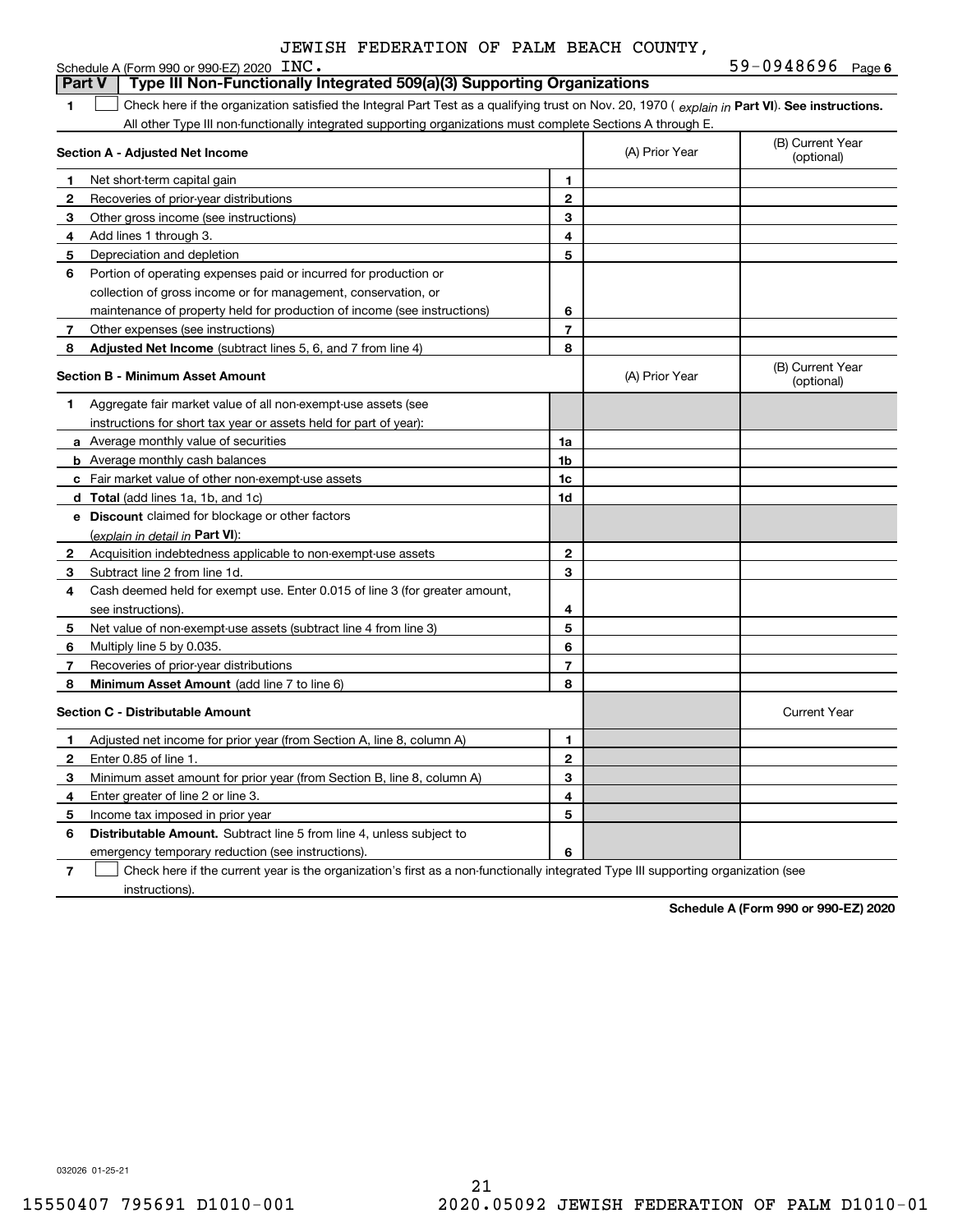|  | 59-0948696 | Page 6 |
|--|------------|--------|
|--|------------|--------|

|                | Schedule A (Form 990 or 990-EZ) 2020 INC.                                                                                                      |                | $59 - 0948696$ Page 6 |                                |  |
|----------------|------------------------------------------------------------------------------------------------------------------------------------------------|----------------|-----------------------|--------------------------------|--|
|                | Type III Non-Functionally Integrated 509(a)(3) Supporting Organizations<br><b>Part V</b>                                                       |                |                       |                                |  |
| 1              | Check here if the organization satisfied the Integral Part Test as a qualifying trust on Nov. 20, 1970 (explain in Part VI). See instructions. |                |                       |                                |  |
|                | All other Type III non-functionally integrated supporting organizations must complete Sections A through E.                                    |                |                       |                                |  |
|                | Section A - Adjusted Net Income                                                                                                                |                | (A) Prior Year        | (B) Current Year<br>(optional) |  |
| 1.             | Net short-term capital gain                                                                                                                    | 1              |                       |                                |  |
| $\mathbf{2}$   | Recoveries of prior-year distributions                                                                                                         | $\mathbf{2}$   |                       |                                |  |
| 3              | Other gross income (see instructions)                                                                                                          | 3              |                       |                                |  |
| 4              | Add lines 1 through 3.                                                                                                                         | 4              |                       |                                |  |
| 5              | Depreciation and depletion                                                                                                                     | 5              |                       |                                |  |
| 6              | Portion of operating expenses paid or incurred for production or                                                                               |                |                       |                                |  |
|                | collection of gross income or for management, conservation, or                                                                                 |                |                       |                                |  |
|                | maintenance of property held for production of income (see instructions)                                                                       | 6              |                       |                                |  |
| $\overline{7}$ | Other expenses (see instructions)                                                                                                              | $\overline{7}$ |                       |                                |  |
| 8              | Adjusted Net Income (subtract lines 5, 6, and 7 from line 4)                                                                                   | 8              |                       |                                |  |
|                | Section B - Minimum Asset Amount                                                                                                               |                | (A) Prior Year        | (B) Current Year<br>(optional) |  |
| 1              | Aggregate fair market value of all non-exempt-use assets (see                                                                                  |                |                       |                                |  |
|                | instructions for short tax year or assets held for part of year):                                                                              |                |                       |                                |  |
|                | a Average monthly value of securities                                                                                                          | 1a             |                       |                                |  |
|                | <b>b</b> Average monthly cash balances                                                                                                         | 1b             |                       |                                |  |
|                | c Fair market value of other non-exempt-use assets                                                                                             | 1c             |                       |                                |  |
|                | d Total (add lines 1a, 1b, and 1c)                                                                                                             | 1d             |                       |                                |  |
|                | <b>e</b> Discount claimed for blockage or other factors                                                                                        |                |                       |                                |  |
|                | (explain in detail in Part VI):                                                                                                                |                |                       |                                |  |
| 2              | Acquisition indebtedness applicable to non-exempt-use assets                                                                                   | $\mathbf{2}$   |                       |                                |  |
| 3              | Subtract line 2 from line 1d.                                                                                                                  | 3              |                       |                                |  |
| 4              | Cash deemed held for exempt use. Enter 0.015 of line 3 (for greater amount,                                                                    |                |                       |                                |  |
|                | see instructions).                                                                                                                             | 4              |                       |                                |  |
| 5              | Net value of non-exempt-use assets (subtract line 4 from line 3)                                                                               | 5              |                       |                                |  |
| 6              | Multiply line 5 by 0.035.                                                                                                                      | 6              |                       |                                |  |
| 7              | Recoveries of prior-year distributions                                                                                                         | $\overline{7}$ |                       |                                |  |
| 8              | Minimum Asset Amount (add line 7 to line 6)                                                                                                    | 8              |                       |                                |  |
|                | <b>Section C - Distributable Amount</b>                                                                                                        |                |                       | <b>Current Year</b>            |  |
| 1              | Adjusted net income for prior year (from Section A, line 8, column A)                                                                          | 1              |                       |                                |  |
| 2              | Enter 0.85 of line 1.                                                                                                                          | $\overline{2}$ |                       |                                |  |
| 3              | Minimum asset amount for prior year (from Section B, line 8, column A)                                                                         | 3              |                       |                                |  |
| 4              | Enter greater of line 2 or line 3.                                                                                                             | 4              |                       |                                |  |
| 5              | Income tax imposed in prior year                                                                                                               | 5              |                       |                                |  |
| 6              | <b>Distributable Amount.</b> Subtract line 5 from line 4, unless subject to                                                                    |                |                       |                                |  |
|                | emergency temporary reduction (see instructions).                                                                                              | 6              |                       |                                |  |

**7** Check here if the current year is the organization's first as a non-functionally integrated Type III supporting organization (see instructions).

**Schedule A (Form 990 or 990-EZ) 2020**

032026 01-25-21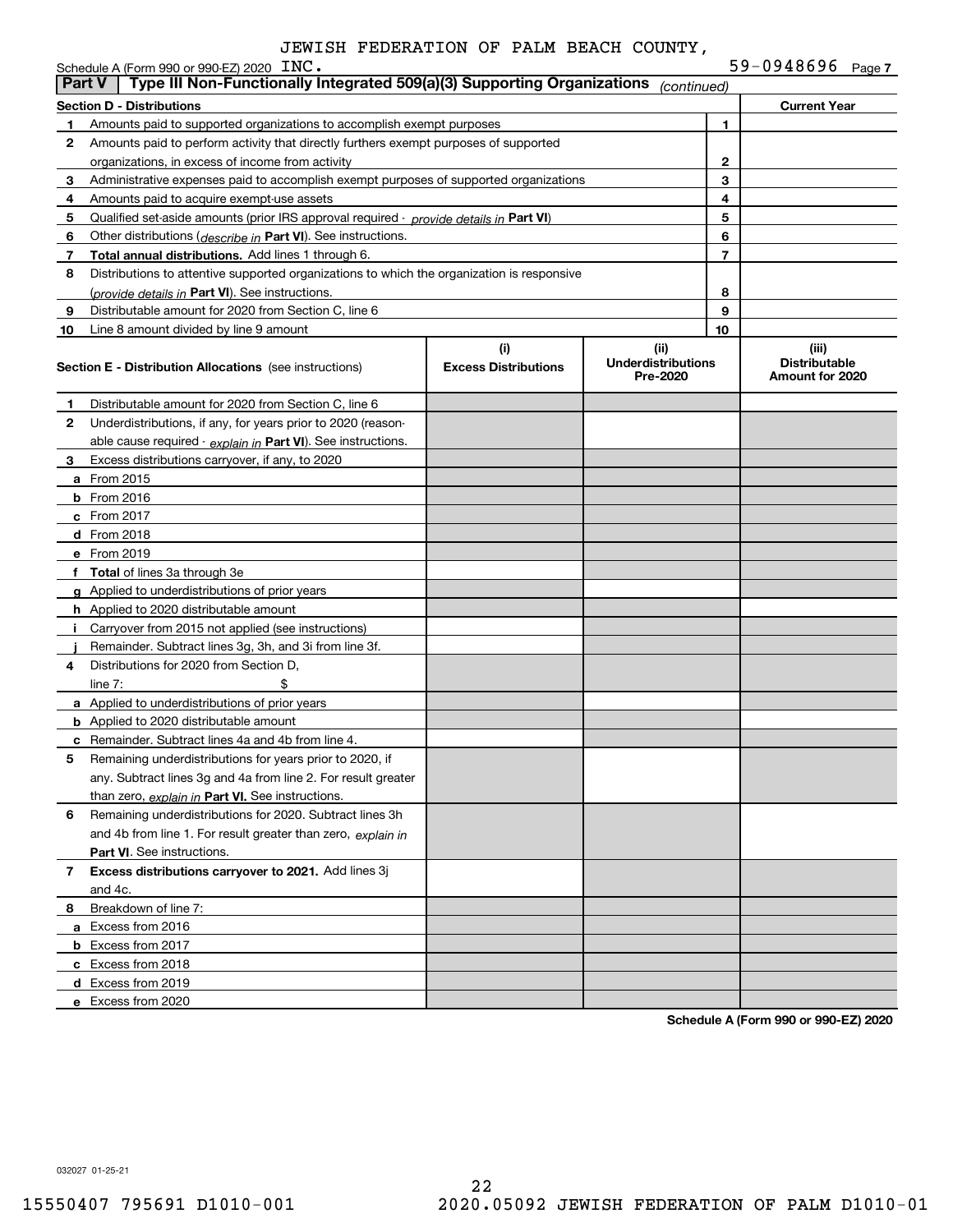| 59-0948696 Page 7<br>Schedule A (Form 990 or 990-EZ) 2020 INC.<br>Type III Non-Functionally Integrated 509(a)(3) Supporting Organizations<br><b>Part V</b> |                                                                                               |                                    |                                               |                |                                                  |  |
|------------------------------------------------------------------------------------------------------------------------------------------------------------|-----------------------------------------------------------------------------------------------|------------------------------------|-----------------------------------------------|----------------|--------------------------------------------------|--|
|                                                                                                                                                            |                                                                                               |                                    | (continued)                                   |                |                                                  |  |
|                                                                                                                                                            | <b>Section D - Distributions</b>                                                              |                                    |                                               |                | <b>Current Year</b>                              |  |
| 1                                                                                                                                                          | Amounts paid to supported organizations to accomplish exempt purposes                         |                                    |                                               | 1              |                                                  |  |
| 2                                                                                                                                                          | Amounts paid to perform activity that directly furthers exempt purposes of supported          |                                    |                                               |                |                                                  |  |
|                                                                                                                                                            | organizations, in excess of income from activity                                              |                                    |                                               | 2              |                                                  |  |
| 3                                                                                                                                                          | Administrative expenses paid to accomplish exempt purposes of supported organizations         |                                    |                                               | 3              |                                                  |  |
| 4                                                                                                                                                          | Amounts paid to acquire exempt-use assets                                                     |                                    |                                               | 4              |                                                  |  |
| 5                                                                                                                                                          | Qualified set-aside amounts (prior IRS approval required - <i>provide details in</i> Part VI) |                                    | 5                                             |                |                                                  |  |
| 6                                                                                                                                                          | Other distributions ( <i>describe in</i> Part VI). See instructions.                          |                                    | 6                                             |                |                                                  |  |
| 7                                                                                                                                                          | Total annual distributions. Add lines 1 through 6.                                            |                                    |                                               | $\overline{7}$ |                                                  |  |
| 8                                                                                                                                                          | Distributions to attentive supported organizations to which the organization is responsive    |                                    |                                               |                |                                                  |  |
|                                                                                                                                                            | (provide details in Part VI). See instructions.                                               |                                    |                                               | 8              |                                                  |  |
| 9                                                                                                                                                          | Distributable amount for 2020 from Section C, line 6                                          |                                    |                                               | 9              |                                                  |  |
| 10                                                                                                                                                         | Line 8 amount divided by line 9 amount                                                        |                                    |                                               | 10             |                                                  |  |
|                                                                                                                                                            | <b>Section E - Distribution Allocations</b> (see instructions)                                | (i)<br><b>Excess Distributions</b> | (ii)<br><b>Underdistributions</b><br>Pre-2020 |                | (iii)<br><b>Distributable</b><br>Amount for 2020 |  |
| 1                                                                                                                                                          | Distributable amount for 2020 from Section C, line 6                                          |                                    |                                               |                |                                                  |  |
| 2                                                                                                                                                          | Underdistributions, if any, for years prior to 2020 (reason-                                  |                                    |                                               |                |                                                  |  |
|                                                                                                                                                            | able cause required - explain in Part VI). See instructions.                                  |                                    |                                               |                |                                                  |  |
| З                                                                                                                                                          | Excess distributions carryover, if any, to 2020                                               |                                    |                                               |                |                                                  |  |
|                                                                                                                                                            | <b>a</b> From 2015                                                                            |                                    |                                               |                |                                                  |  |
|                                                                                                                                                            | <b>b</b> From 2016                                                                            |                                    |                                               |                |                                                  |  |
|                                                                                                                                                            | c From 2017                                                                                   |                                    |                                               |                |                                                  |  |
|                                                                                                                                                            | d From 2018                                                                                   |                                    |                                               |                |                                                  |  |
|                                                                                                                                                            | e From 2019                                                                                   |                                    |                                               |                |                                                  |  |
|                                                                                                                                                            | f Total of lines 3a through 3e                                                                |                                    |                                               |                |                                                  |  |
|                                                                                                                                                            | g Applied to underdistributions of prior years                                                |                                    |                                               |                |                                                  |  |
|                                                                                                                                                            | <b>h</b> Applied to 2020 distributable amount                                                 |                                    |                                               |                |                                                  |  |
| Ť.                                                                                                                                                         | Carryover from 2015 not applied (see instructions)                                            |                                    |                                               |                |                                                  |  |
|                                                                                                                                                            | Remainder. Subtract lines 3g, 3h, and 3i from line 3f.                                        |                                    |                                               |                |                                                  |  |
| 4                                                                                                                                                          | Distributions for 2020 from Section D,                                                        |                                    |                                               |                |                                                  |  |
|                                                                                                                                                            | line $7:$                                                                                     |                                    |                                               |                |                                                  |  |
|                                                                                                                                                            | a Applied to underdistributions of prior years                                                |                                    |                                               |                |                                                  |  |
|                                                                                                                                                            | <b>b</b> Applied to 2020 distributable amount                                                 |                                    |                                               |                |                                                  |  |
|                                                                                                                                                            | <b>c</b> Remainder. Subtract lines 4a and 4b from line 4.                                     |                                    |                                               |                |                                                  |  |
|                                                                                                                                                            | 5 Remaining underdistributions for years prior to 2020, if                                    |                                    |                                               |                |                                                  |  |
|                                                                                                                                                            | any. Subtract lines 3g and 4a from line 2. For result greater                                 |                                    |                                               |                |                                                  |  |
|                                                                                                                                                            | than zero, explain in Part VI. See instructions.                                              |                                    |                                               |                |                                                  |  |
| 6                                                                                                                                                          | Remaining underdistributions for 2020. Subtract lines 3h                                      |                                    |                                               |                |                                                  |  |
|                                                                                                                                                            | and 4b from line 1. For result greater than zero, explain in                                  |                                    |                                               |                |                                                  |  |
|                                                                                                                                                            | <b>Part VI.</b> See instructions.                                                             |                                    |                                               |                |                                                  |  |
| 7                                                                                                                                                          | Excess distributions carryover to 2021. Add lines 3j                                          |                                    |                                               |                |                                                  |  |
|                                                                                                                                                            | and 4c.                                                                                       |                                    |                                               |                |                                                  |  |
| 8.                                                                                                                                                         | Breakdown of line 7:                                                                          |                                    |                                               |                |                                                  |  |
|                                                                                                                                                            | a Excess from 2016                                                                            |                                    |                                               |                |                                                  |  |
|                                                                                                                                                            | <b>b</b> Excess from 2017                                                                     |                                    |                                               |                |                                                  |  |
|                                                                                                                                                            | c Excess from 2018                                                                            |                                    |                                               |                |                                                  |  |
|                                                                                                                                                            | d Excess from 2019                                                                            |                                    |                                               |                |                                                  |  |
|                                                                                                                                                            | e Excess from 2020                                                                            |                                    |                                               |                |                                                  |  |

**Schedule A (Form 990 or 990-EZ) 2020**

032027 01-25-21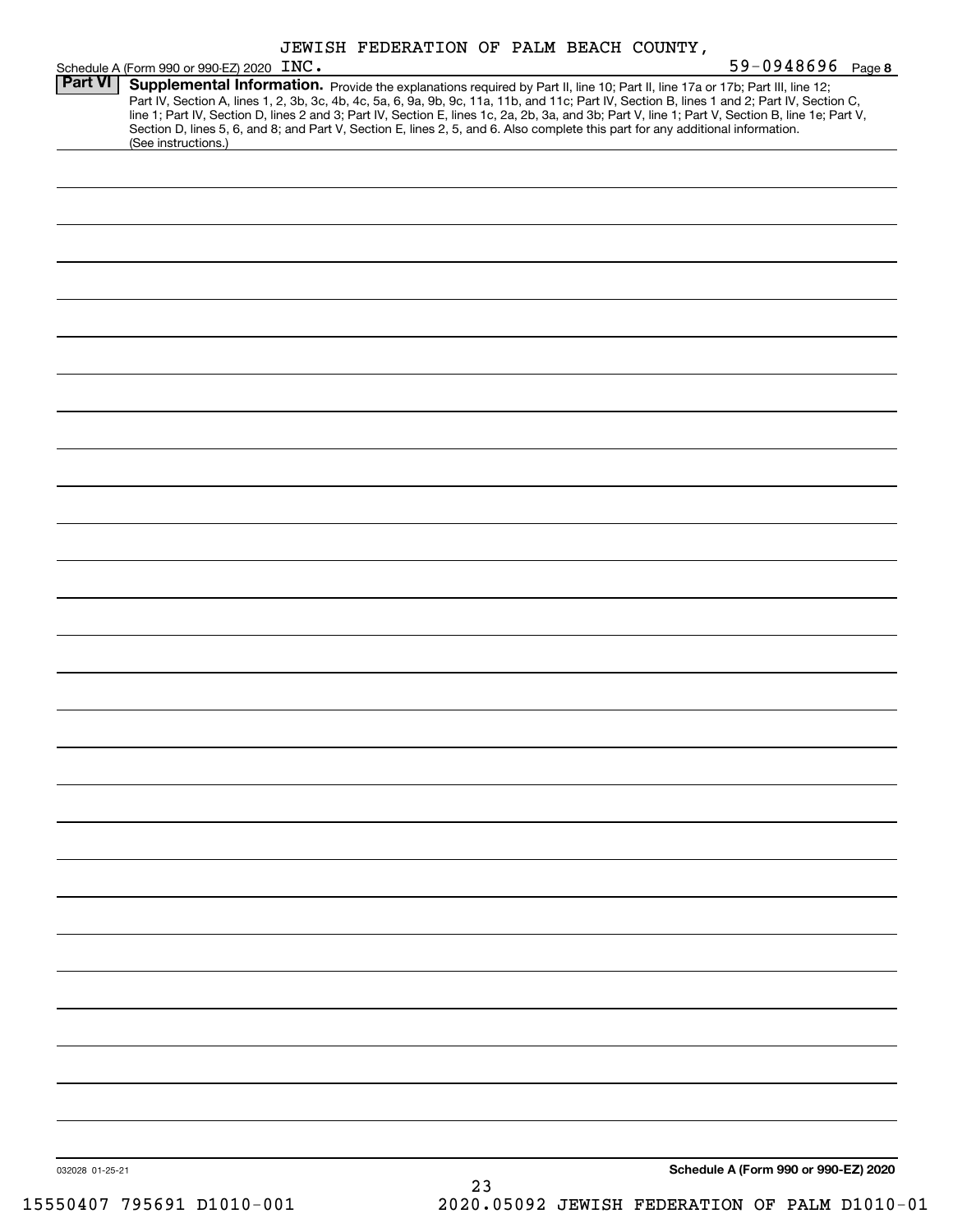|                 |                                                                                                                                                                                                                                                                                                                                                                                                                  | JEWISH FEDERATION OF PALM BEACH COUNTY, |    |  |                                                                                                                                                  |
|-----------------|------------------------------------------------------------------------------------------------------------------------------------------------------------------------------------------------------------------------------------------------------------------------------------------------------------------------------------------------------------------------------------------------------------------|-----------------------------------------|----|--|--------------------------------------------------------------------------------------------------------------------------------------------------|
|                 | Schedule A (Form 990 or 990-EZ) 2020 INC.                                                                                                                                                                                                                                                                                                                                                                        |                                         |    |  | 59-0948696 Page 8                                                                                                                                |
| <b>Part VI</b>  | Supplemental Information. Provide the explanations required by Part II, line 10; Part II, line 17a or 17b; Part III, line 12;<br>Part IV, Section A, lines 1, 2, 3b, 3c, 4b, 4c, 5a, 6, 9a, 9b, 9c, 11a, 11b, and 11c; Part IV, Section B, lines 1 and 2; Part IV, Section C,<br>Section D, lines 5, 6, and 8; and Part V, Section E, lines 2, 5, and 6. Also complete this part for any additional information. |                                         |    |  | line 1; Part IV, Section D, lines 2 and 3; Part IV, Section E, lines 1c, 2a, 2b, 3a, and 3b; Part V, line 1; Part V, Section B, line 1e; Part V, |
|                 | (See instructions.)                                                                                                                                                                                                                                                                                                                                                                                              |                                         |    |  |                                                                                                                                                  |
|                 |                                                                                                                                                                                                                                                                                                                                                                                                                  |                                         |    |  |                                                                                                                                                  |
|                 |                                                                                                                                                                                                                                                                                                                                                                                                                  |                                         |    |  |                                                                                                                                                  |
|                 |                                                                                                                                                                                                                                                                                                                                                                                                                  |                                         |    |  |                                                                                                                                                  |
|                 |                                                                                                                                                                                                                                                                                                                                                                                                                  |                                         |    |  |                                                                                                                                                  |
|                 |                                                                                                                                                                                                                                                                                                                                                                                                                  |                                         |    |  |                                                                                                                                                  |
|                 |                                                                                                                                                                                                                                                                                                                                                                                                                  |                                         |    |  |                                                                                                                                                  |
|                 |                                                                                                                                                                                                                                                                                                                                                                                                                  |                                         |    |  |                                                                                                                                                  |
|                 |                                                                                                                                                                                                                                                                                                                                                                                                                  |                                         |    |  |                                                                                                                                                  |
|                 |                                                                                                                                                                                                                                                                                                                                                                                                                  |                                         |    |  |                                                                                                                                                  |
|                 |                                                                                                                                                                                                                                                                                                                                                                                                                  |                                         |    |  |                                                                                                                                                  |
|                 |                                                                                                                                                                                                                                                                                                                                                                                                                  |                                         |    |  |                                                                                                                                                  |
|                 |                                                                                                                                                                                                                                                                                                                                                                                                                  |                                         |    |  |                                                                                                                                                  |
|                 |                                                                                                                                                                                                                                                                                                                                                                                                                  |                                         |    |  |                                                                                                                                                  |
|                 |                                                                                                                                                                                                                                                                                                                                                                                                                  |                                         |    |  |                                                                                                                                                  |
|                 |                                                                                                                                                                                                                                                                                                                                                                                                                  |                                         |    |  |                                                                                                                                                  |
|                 |                                                                                                                                                                                                                                                                                                                                                                                                                  |                                         |    |  |                                                                                                                                                  |
|                 |                                                                                                                                                                                                                                                                                                                                                                                                                  |                                         |    |  |                                                                                                                                                  |
|                 |                                                                                                                                                                                                                                                                                                                                                                                                                  |                                         |    |  |                                                                                                                                                  |
|                 |                                                                                                                                                                                                                                                                                                                                                                                                                  |                                         |    |  |                                                                                                                                                  |
|                 |                                                                                                                                                                                                                                                                                                                                                                                                                  |                                         |    |  |                                                                                                                                                  |
|                 |                                                                                                                                                                                                                                                                                                                                                                                                                  |                                         |    |  |                                                                                                                                                  |
|                 |                                                                                                                                                                                                                                                                                                                                                                                                                  |                                         |    |  |                                                                                                                                                  |
|                 |                                                                                                                                                                                                                                                                                                                                                                                                                  |                                         |    |  |                                                                                                                                                  |
|                 |                                                                                                                                                                                                                                                                                                                                                                                                                  |                                         |    |  |                                                                                                                                                  |
|                 |                                                                                                                                                                                                                                                                                                                                                                                                                  |                                         |    |  |                                                                                                                                                  |
|                 |                                                                                                                                                                                                                                                                                                                                                                                                                  |                                         |    |  |                                                                                                                                                  |
|                 |                                                                                                                                                                                                                                                                                                                                                                                                                  |                                         |    |  |                                                                                                                                                  |
|                 |                                                                                                                                                                                                                                                                                                                                                                                                                  |                                         |    |  |                                                                                                                                                  |
|                 |                                                                                                                                                                                                                                                                                                                                                                                                                  |                                         |    |  |                                                                                                                                                  |
|                 |                                                                                                                                                                                                                                                                                                                                                                                                                  |                                         |    |  |                                                                                                                                                  |
|                 |                                                                                                                                                                                                                                                                                                                                                                                                                  |                                         |    |  |                                                                                                                                                  |
|                 |                                                                                                                                                                                                                                                                                                                                                                                                                  |                                         |    |  |                                                                                                                                                  |
|                 |                                                                                                                                                                                                                                                                                                                                                                                                                  |                                         |    |  |                                                                                                                                                  |
|                 |                                                                                                                                                                                                                                                                                                                                                                                                                  |                                         |    |  |                                                                                                                                                  |
|                 |                                                                                                                                                                                                                                                                                                                                                                                                                  |                                         |    |  |                                                                                                                                                  |
|                 |                                                                                                                                                                                                                                                                                                                                                                                                                  |                                         |    |  |                                                                                                                                                  |
|                 |                                                                                                                                                                                                                                                                                                                                                                                                                  |                                         |    |  |                                                                                                                                                  |
|                 |                                                                                                                                                                                                                                                                                                                                                                                                                  |                                         |    |  |                                                                                                                                                  |
| 032028 01-25-21 |                                                                                                                                                                                                                                                                                                                                                                                                                  |                                         |    |  | Schedule A (Form 990 or 990-EZ) 2020                                                                                                             |
|                 |                                                                                                                                                                                                                                                                                                                                                                                                                  |                                         | 23 |  |                                                                                                                                                  |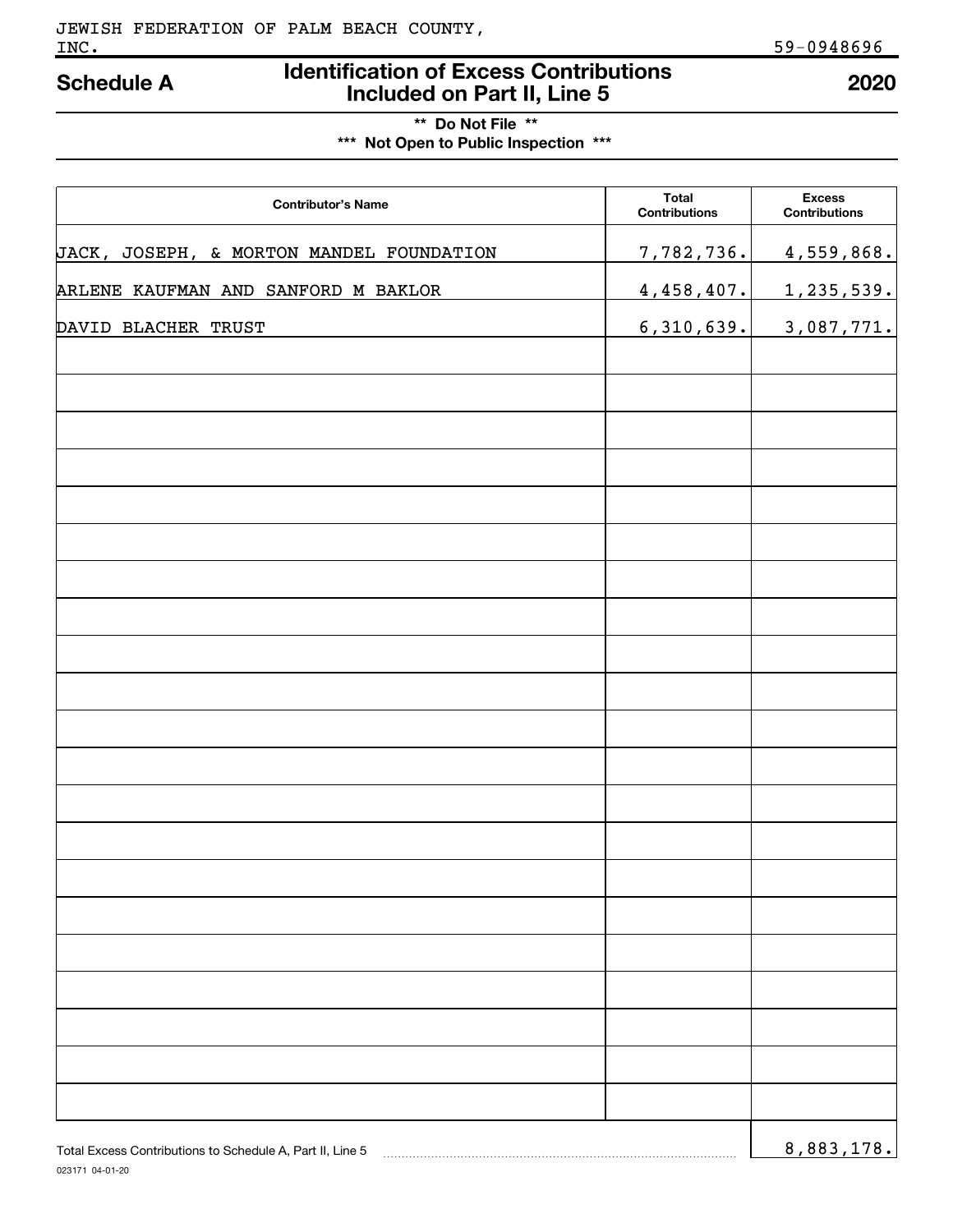# **Identification of Excess Contributions Included on Part II, Line 5 Schedule A 2020**

INC. 59-0948696

# **\*\* Do Not File \*\* \*\*\* Not Open to Public Inspection \*\*\***

| <b>Contributor's Name</b>                | <b>Total</b><br><b>Contributions</b> | <b>Excess</b><br><b>Contributions</b> |
|------------------------------------------|--------------------------------------|---------------------------------------|
| JACK, JOSEPH, & MORTON MANDEL FOUNDATION | 7,782,736.                           | 4,559,868.                            |
| ARLENE KAUFMAN AND SANFORD M BAKLOR      | 4,458,407.                           | 1,235,539.                            |
| DAVID BLACHER TRUST                      | 6, 310, 639.                         | 3,087,771.                            |
|                                          |                                      |                                       |
|                                          |                                      |                                       |
|                                          |                                      |                                       |
|                                          |                                      |                                       |
|                                          |                                      |                                       |
|                                          |                                      |                                       |
|                                          |                                      |                                       |
|                                          |                                      |                                       |
|                                          |                                      |                                       |
|                                          |                                      |                                       |
|                                          |                                      |                                       |
|                                          |                                      |                                       |
|                                          |                                      |                                       |
|                                          |                                      |                                       |
|                                          |                                      |                                       |
|                                          |                                      |                                       |
|                                          |                                      |                                       |
|                                          |                                      |                                       |
|                                          |                                      |                                       |
|                                          |                                      |                                       |
|                                          |                                      |                                       |
|                                          |                                      | 1 m c                                 |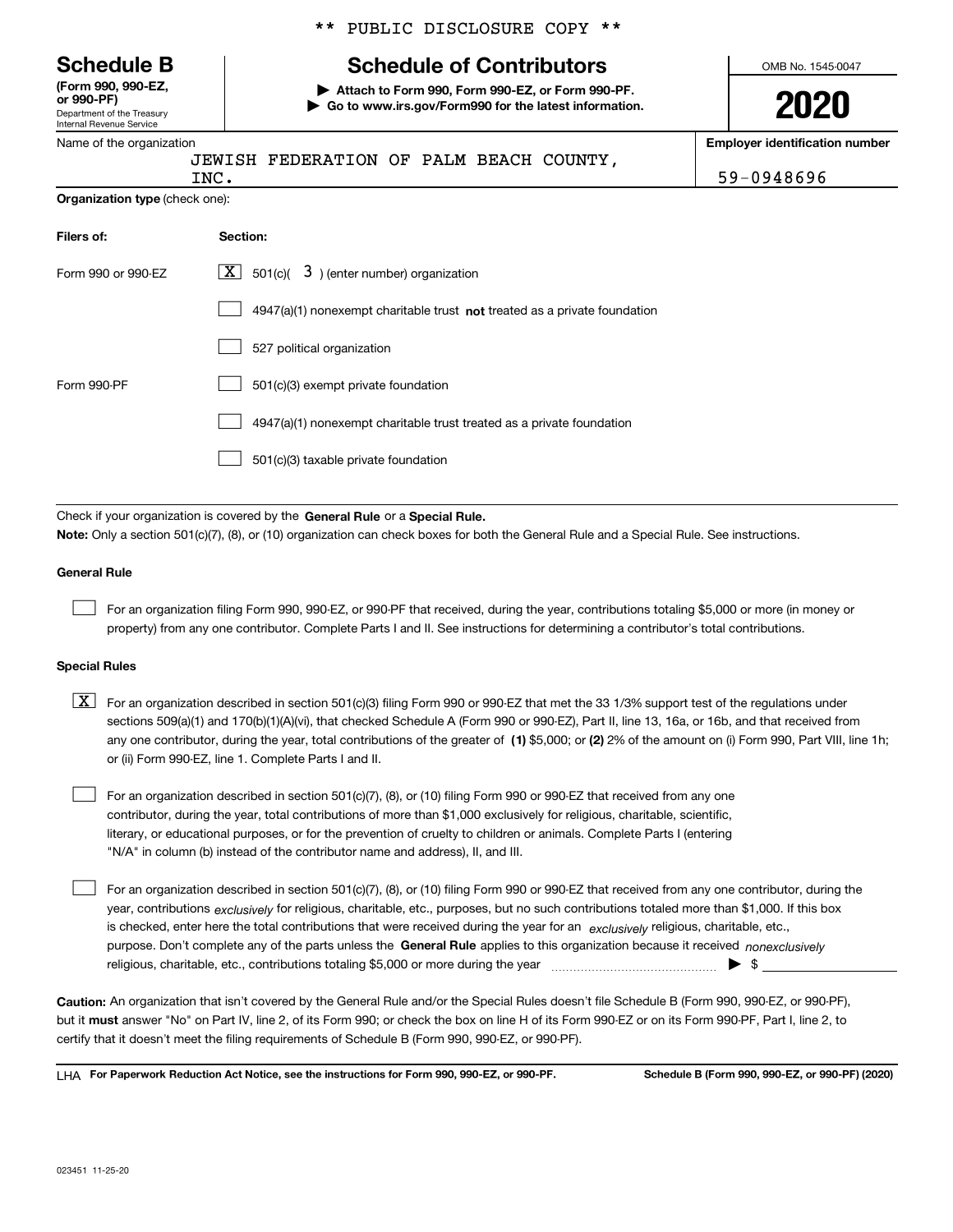Department of the Treasury Internal Revenue Service **(Form 990, 990-EZ, or 990-PF)**

#### Name of the organization

|  |  | ** PUBLIC DISCLOSURE COPY ** |  |  |
|--|--|------------------------------|--|--|
|--|--|------------------------------|--|--|

# **Schedule B Schedule of Contributors**

**| Attach to Form 990, Form 990-EZ, or Form 990-PF. | Go to www.irs.gov/Form990 for the latest information.** OMB No. 1545-0047

**2020**

**Employer identification number**

|                                       | JEWISH FEDERATION OF PALM BEACH COUNTY,<br>INC.                                    | 59-0948696 |
|---------------------------------------|------------------------------------------------------------------------------------|------------|
| <b>Organization type (check one):</b> |                                                                                    |            |
| Filers of:                            | Section:                                                                           |            |
| Form 990 or 990-EZ                    | $X$ 501(c)( 3) (enter number) organization                                         |            |
|                                       | $4947(a)(1)$ nonexempt charitable trust <b>not</b> treated as a private foundation |            |
|                                       | 527 political organization                                                         |            |
| Form 990-PF                           | 501(c)(3) exempt private foundation                                                |            |
|                                       | 4947(a)(1) nonexempt charitable trust treated as a private foundation              |            |

501(c)(3) taxable private foundation  $\mathcal{L}^{\text{max}}$ 

Check if your organization is covered by the **General Rule** or a **Special Rule. Note:**  Only a section 501(c)(7), (8), or (10) organization can check boxes for both the General Rule and a Special Rule. See instructions.

#### **General Rule**

 $\mathcal{L}^{\text{max}}$ 

For an organization filing Form 990, 990-EZ, or 990-PF that received, during the year, contributions totaling \$5,000 or more (in money or property) from any one contributor. Complete Parts I and II. See instructions for determining a contributor's total contributions.

#### **Special Rules**

any one contributor, during the year, total contributions of the greater of  $\,$  (1) \$5,000; or **(2)** 2% of the amount on (i) Form 990, Part VIII, line 1h;  $\boxed{\textbf{X}}$  For an organization described in section 501(c)(3) filing Form 990 or 990-EZ that met the 33 1/3% support test of the regulations under sections 509(a)(1) and 170(b)(1)(A)(vi), that checked Schedule A (Form 990 or 990-EZ), Part II, line 13, 16a, or 16b, and that received from or (ii) Form 990-EZ, line 1. Complete Parts I and II.

For an organization described in section 501(c)(7), (8), or (10) filing Form 990 or 990-EZ that received from any one contributor, during the year, total contributions of more than \$1,000 exclusively for religious, charitable, scientific, literary, or educational purposes, or for the prevention of cruelty to children or animals. Complete Parts I (entering "N/A" in column (b) instead of the contributor name and address), II, and III.  $\mathcal{L}^{\text{max}}$ 

purpose. Don't complete any of the parts unless the **General Rule** applies to this organization because it received *nonexclusively* year, contributions <sub>exclusively</sub> for religious, charitable, etc., purposes, but no such contributions totaled more than \$1,000. If this box is checked, enter here the total contributions that were received during the year for an  $\;$ exclusively religious, charitable, etc., For an organization described in section 501(c)(7), (8), or (10) filing Form 990 or 990-EZ that received from any one contributor, during the religious, charitable, etc., contributions totaling \$5,000 or more during the year  $\Box$ — $\Box$   $\Box$  $\mathcal{L}^{\text{max}}$ 

**Caution:**  An organization that isn't covered by the General Rule and/or the Special Rules doesn't file Schedule B (Form 990, 990-EZ, or 990-PF),  **must** but it answer "No" on Part IV, line 2, of its Form 990; or check the box on line H of its Form 990-EZ or on its Form 990-PF, Part I, line 2, to certify that it doesn't meet the filing requirements of Schedule B (Form 990, 990-EZ, or 990-PF).

**For Paperwork Reduction Act Notice, see the instructions for Form 990, 990-EZ, or 990-PF. Schedule B (Form 990, 990-EZ, or 990-PF) (2020)** LHA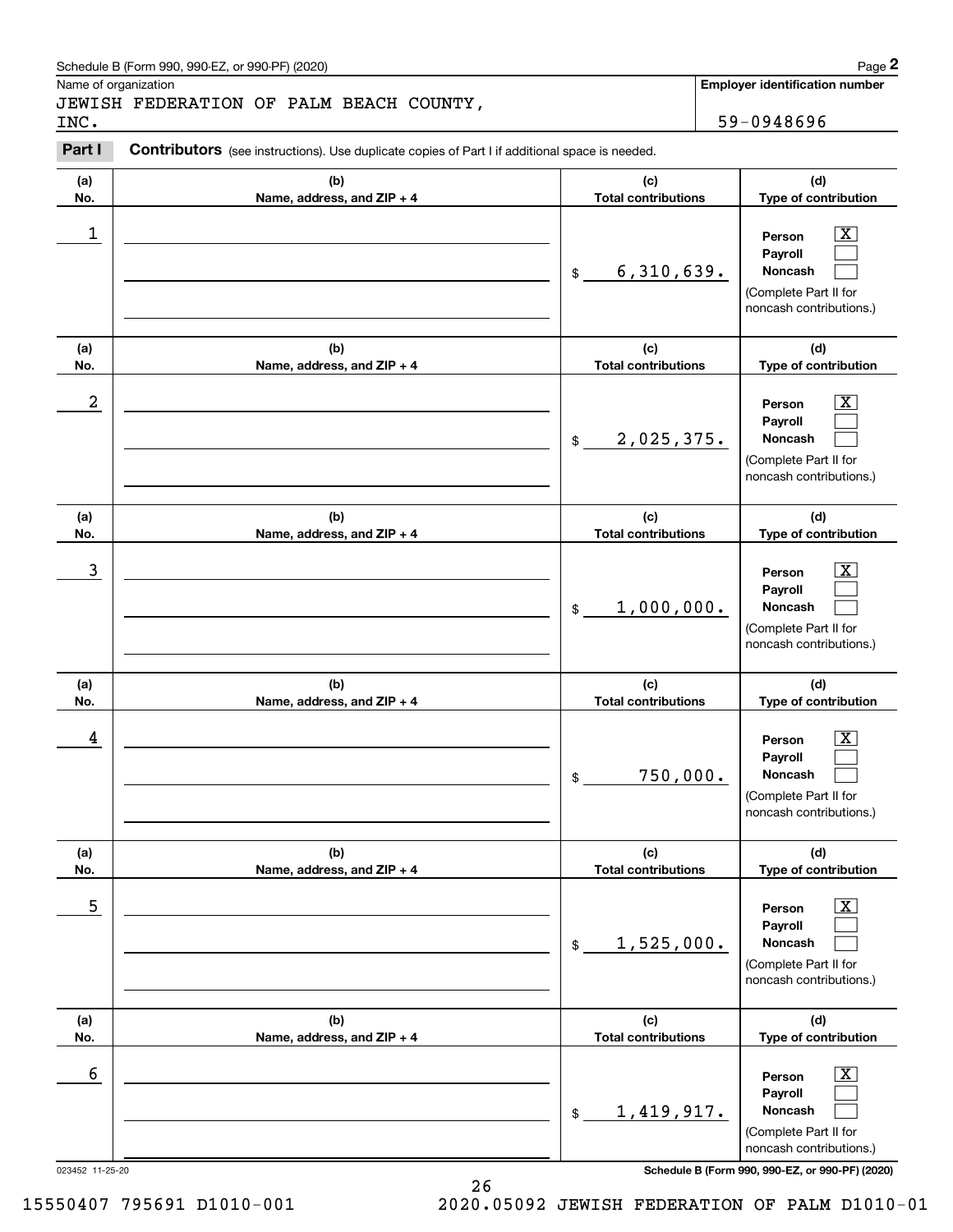### Schedule B (Form 990, 990-EZ, or 990-PF) (2020) **Page 2** Page 2

### JEWISH FEDERATION OF PALM BEACH COUNTY, INC. 59-0948696

|                              | Schedule B (Form 990, 990-EZ, or 990-PF) (2020)                                                |                                   |                             | Page 2                                                                                                      |
|------------------------------|------------------------------------------------------------------------------------------------|-----------------------------------|-----------------------------|-------------------------------------------------------------------------------------------------------------|
| Name of organization<br>INC. | JEWISH FEDERATION OF PALM BEACH COUNTY,                                                        |                                   |                             | <b>Employer identification number</b><br>59-0948696                                                         |
| Part I                       | Contributors (see instructions). Use duplicate copies of Part I if additional space is needed. |                                   |                             |                                                                                                             |
| (a)<br>No.                   | (b)<br>Name, address, and ZIP + 4                                                              | <b>Total contributions</b>        | (d)<br>Type of contribution |                                                                                                             |
| $\mathbf 1$                  |                                                                                                | 6,310,639.<br>\$                  |                             | $\mathbf{X}$<br>Person<br>Payroll<br>Noncash<br>(Complete Part II for<br>noncash contributions.)            |
| (a)<br>No.                   | (b)<br>Name, address, and ZIP + 4                                                              | (c)<br><b>Total contributions</b> |                             | (d)<br>Type of contribution                                                                                 |
| $\boldsymbol{2}$             |                                                                                                | 2,025,375.<br>\$                  |                             | $\mathbf{X}$<br>Person<br>Payroll<br>Noncash<br>(Complete Part II for<br>noncash contributions.)            |
| (a)<br>No.                   | (b)<br>Name, address, and ZIP + 4                                                              | (c)<br><b>Total contributions</b> |                             | (d)<br>Type of contribution                                                                                 |
| $\mathbf{3}$                 |                                                                                                | 1,000,000.<br>\$                  |                             | $\overline{\mathbf{X}}$<br>Person<br>Payroll<br>Noncash<br>(Complete Part II for<br>noncash contributions.) |
| (a)<br>No.                   | (b)<br>Name, address, and ZIP + 4                                                              | (c)<br><b>Total contributions</b> |                             | (d)<br>Type of contribution                                                                                 |
| 4                            |                                                                                                | 750,000.<br>\$                    |                             | $\mathbf{X}$<br>Person<br>Payroll<br>Noncash<br>(Complete Part II for<br>noncash contributions.)            |
| (a)<br>No.                   | (b)<br>Name, address, and ZIP + 4                                                              | (c)<br><b>Total contributions</b> |                             | (d)<br>Type of contribution                                                                                 |
| 5                            |                                                                                                | 1,525,000.<br>\$                  |                             | $\boxed{\text{X}}$<br>Person<br>Payroll<br>Noncash<br>(Complete Part II for<br>noncash contributions.)      |
| (a)<br>No.                   | (b)<br>Name, address, and ZIP + 4                                                              | (c)<br><b>Total contributions</b> |                             | (d)<br>Type of contribution                                                                                 |
| 6                            |                                                                                                | 1,419,917.<br>\$                  |                             | $\boxed{\text{X}}$<br>Person<br>Payroll<br>Noncash<br>(Complete Part II for<br>noncash contributions.)      |

023452 11-25-20 **Schedule B (Form 990, 990-EZ, or 990-PF) (2020)**

26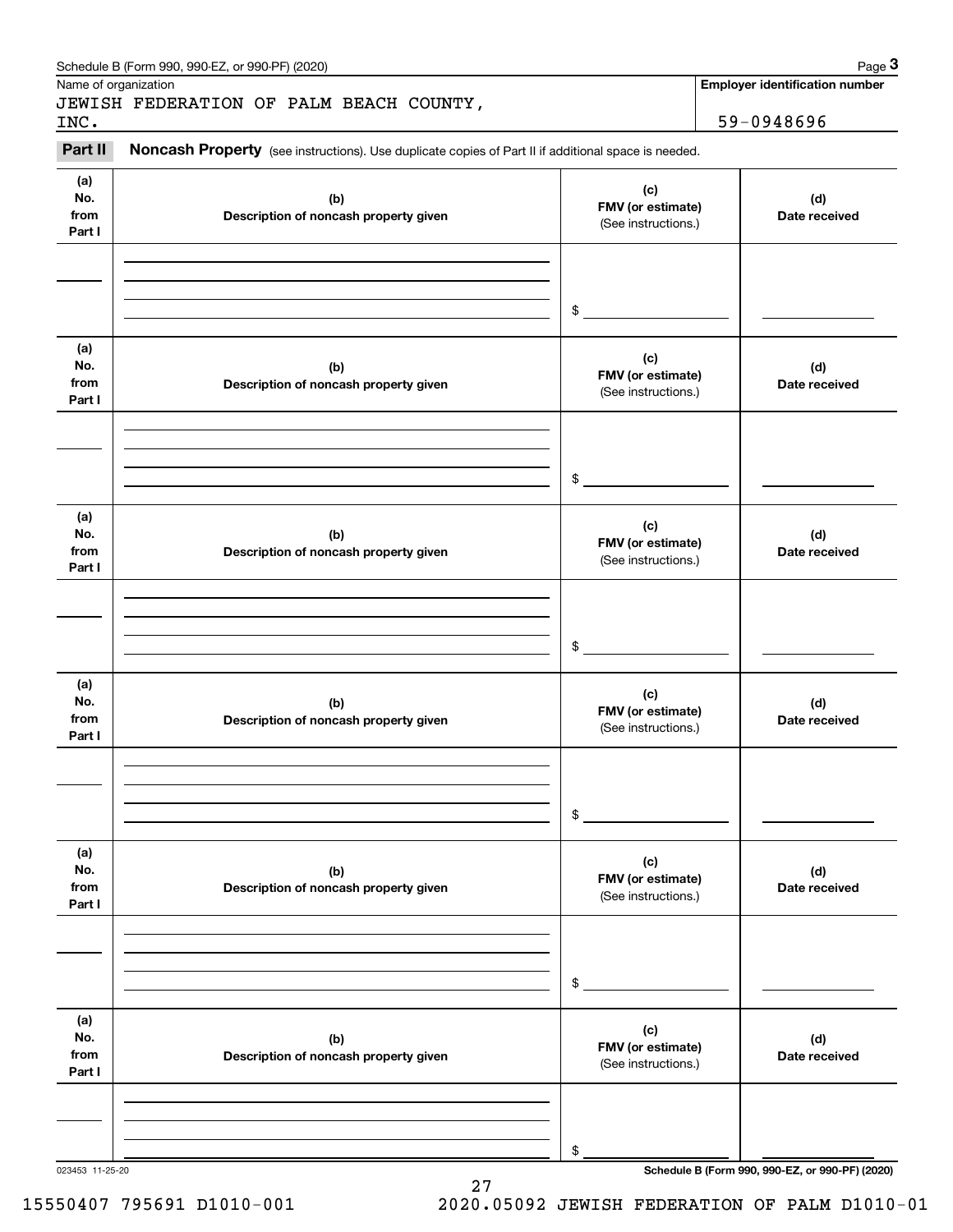|                              | Schedule B (Form 990, 990-EZ, or 990-PF) (2020)                                                     |                                                 | Page 3                                              |
|------------------------------|-----------------------------------------------------------------------------------------------------|-------------------------------------------------|-----------------------------------------------------|
| Name of organization<br>INC. | JEWISH FEDERATION OF PALM BEACH COUNTY,                                                             |                                                 | <b>Employer identification number</b><br>59-0948696 |
| Part II                      | Noncash Property (see instructions). Use duplicate copies of Part II if additional space is needed. |                                                 |                                                     |
| (a)<br>No.<br>from<br>Part I | (c)<br>(b)<br>FMV (or estimate)<br>Description of noncash property given<br>(See instructions.)     |                                                 | (d)<br>Date received                                |
|                              |                                                                                                     | \$                                              |                                                     |
| (a)<br>No.<br>from<br>Part I | (b)<br>Description of noncash property given                                                        | (c)<br>FMV (or estimate)<br>(See instructions.) | (d)<br>Date received                                |
|                              |                                                                                                     | \$                                              |                                                     |
| (a)<br>No.<br>from<br>Part I | (b)<br>Description of noncash property given                                                        | (c)<br>FMV (or estimate)<br>(See instructions.) | (d)<br>Date received                                |
|                              |                                                                                                     | \$                                              |                                                     |
| (a)<br>No.<br>from<br>Part I | (b)<br>Description of noncash property given                                                        | (c)<br>FMV (or estimate)<br>(See instructions.) | (d)<br>Date received                                |
|                              |                                                                                                     | \$                                              |                                                     |
| (a)<br>No.<br>from<br>Part I | (b)<br>Description of noncash property given                                                        | (c)<br>FMV (or estimate)<br>(See instructions.) | (d)<br>Date received                                |
|                              |                                                                                                     | \$                                              |                                                     |
| (a)<br>No.<br>from<br>Part I | (b)<br>Description of noncash property given                                                        | (c)<br>FMV (or estimate)<br>(See instructions.) | (d)<br>Date received                                |
|                              |                                                                                                     | \$                                              |                                                     |
| 023453 11-25-20              |                                                                                                     |                                                 | Schedule B (Form 990, 990-EZ, or 990-PF) (2020)     |

## 15550407 795691 D1010-001 2020.05092 JEWISH FEDERATION OF PALM D1010-01

27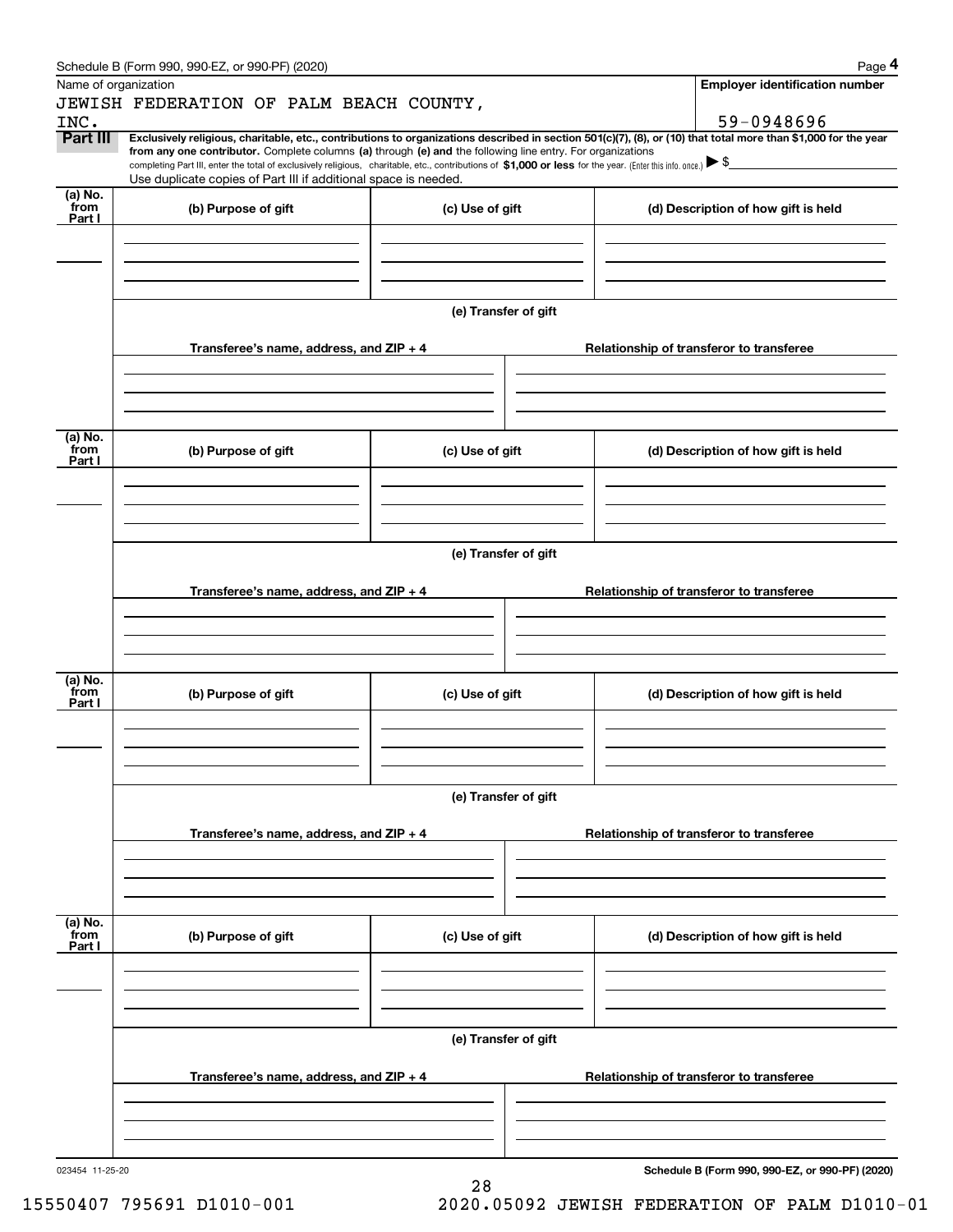|                      | Schedule B (Form 990, 990-EZ, or 990-PF) (2020)                                                                                                                                   |                      |  | Page 4                                                                                                                                                         |  |  |  |  |
|----------------------|-----------------------------------------------------------------------------------------------------------------------------------------------------------------------------------|----------------------|--|----------------------------------------------------------------------------------------------------------------------------------------------------------------|--|--|--|--|
| Name of organization |                                                                                                                                                                                   |                      |  | <b>Employer identification number</b>                                                                                                                          |  |  |  |  |
|                      | JEWISH FEDERATION OF PALM BEACH COUNTY,                                                                                                                                           |                      |  |                                                                                                                                                                |  |  |  |  |
| INC.                 |                                                                                                                                                                                   |                      |  | 59-0948696                                                                                                                                                     |  |  |  |  |
| Part III             | from any one contributor. Complete columns (a) through (e) and the following line entry. For organizations                                                                        |                      |  | Exclusively religious, charitable, etc., contributions to organizations described in section 501(c)(7), (8), or (10) that total more than \$1,000 for the year |  |  |  |  |
|                      | completing Part III, enter the total of exclusively religious, charitable, etc., contributions of \$1,000 or less for the year. (Enter this info. once.) $\blacktriangleright$ \$ |                      |  |                                                                                                                                                                |  |  |  |  |
| (a) No.              | Use duplicate copies of Part III if additional space is needed.                                                                                                                   |                      |  |                                                                                                                                                                |  |  |  |  |
| from                 | (b) Purpose of gift                                                                                                                                                               | (c) Use of gift      |  | (d) Description of how gift is held                                                                                                                            |  |  |  |  |
| Part I               |                                                                                                                                                                                   |                      |  |                                                                                                                                                                |  |  |  |  |
|                      |                                                                                                                                                                                   |                      |  |                                                                                                                                                                |  |  |  |  |
|                      |                                                                                                                                                                                   |                      |  |                                                                                                                                                                |  |  |  |  |
|                      |                                                                                                                                                                                   |                      |  |                                                                                                                                                                |  |  |  |  |
|                      |                                                                                                                                                                                   | (e) Transfer of gift |  |                                                                                                                                                                |  |  |  |  |
|                      |                                                                                                                                                                                   |                      |  |                                                                                                                                                                |  |  |  |  |
|                      | Transferee's name, address, and ZIP + 4                                                                                                                                           |                      |  | Relationship of transferor to transferee                                                                                                                       |  |  |  |  |
|                      |                                                                                                                                                                                   |                      |  |                                                                                                                                                                |  |  |  |  |
|                      |                                                                                                                                                                                   |                      |  |                                                                                                                                                                |  |  |  |  |
|                      |                                                                                                                                                                                   |                      |  |                                                                                                                                                                |  |  |  |  |
|                      |                                                                                                                                                                                   |                      |  |                                                                                                                                                                |  |  |  |  |
| (a) No.<br>from      | (b) Purpose of gift                                                                                                                                                               | (c) Use of gift      |  | (d) Description of how gift is held                                                                                                                            |  |  |  |  |
| Part I               |                                                                                                                                                                                   |                      |  |                                                                                                                                                                |  |  |  |  |
|                      |                                                                                                                                                                                   |                      |  |                                                                                                                                                                |  |  |  |  |
|                      |                                                                                                                                                                                   |                      |  |                                                                                                                                                                |  |  |  |  |
|                      |                                                                                                                                                                                   |                      |  |                                                                                                                                                                |  |  |  |  |
|                      |                                                                                                                                                                                   |                      |  |                                                                                                                                                                |  |  |  |  |
|                      | (e) Transfer of gift                                                                                                                                                              |                      |  |                                                                                                                                                                |  |  |  |  |
|                      | Transferee's name, address, and ZIP + 4                                                                                                                                           |                      |  | Relationship of transferor to transferee                                                                                                                       |  |  |  |  |
|                      |                                                                                                                                                                                   |                      |  |                                                                                                                                                                |  |  |  |  |
|                      |                                                                                                                                                                                   |                      |  |                                                                                                                                                                |  |  |  |  |
|                      |                                                                                                                                                                                   |                      |  |                                                                                                                                                                |  |  |  |  |
|                      |                                                                                                                                                                                   |                      |  |                                                                                                                                                                |  |  |  |  |
| (a) No.<br>from      | (b) Purpose of gift                                                                                                                                                               | (c) Use of gift      |  | (d) Description of how gift is held                                                                                                                            |  |  |  |  |
| Part I               |                                                                                                                                                                                   |                      |  |                                                                                                                                                                |  |  |  |  |
|                      |                                                                                                                                                                                   |                      |  |                                                                                                                                                                |  |  |  |  |
|                      |                                                                                                                                                                                   |                      |  |                                                                                                                                                                |  |  |  |  |
|                      |                                                                                                                                                                                   |                      |  |                                                                                                                                                                |  |  |  |  |
|                      |                                                                                                                                                                                   | (e) Transfer of gift |  |                                                                                                                                                                |  |  |  |  |
|                      |                                                                                                                                                                                   |                      |  |                                                                                                                                                                |  |  |  |  |
|                      | Transferee's name, address, and $ZIP + 4$                                                                                                                                         |                      |  | Relationship of transferor to transferee                                                                                                                       |  |  |  |  |
|                      |                                                                                                                                                                                   |                      |  |                                                                                                                                                                |  |  |  |  |
|                      |                                                                                                                                                                                   |                      |  |                                                                                                                                                                |  |  |  |  |
|                      |                                                                                                                                                                                   |                      |  |                                                                                                                                                                |  |  |  |  |
|                      |                                                                                                                                                                                   |                      |  |                                                                                                                                                                |  |  |  |  |
| (a) No.<br>from      | (b) Purpose of gift                                                                                                                                                               | (c) Use of gift      |  | (d) Description of how gift is held                                                                                                                            |  |  |  |  |
| Part I               |                                                                                                                                                                                   |                      |  |                                                                                                                                                                |  |  |  |  |
|                      |                                                                                                                                                                                   |                      |  |                                                                                                                                                                |  |  |  |  |
|                      |                                                                                                                                                                                   |                      |  |                                                                                                                                                                |  |  |  |  |
|                      |                                                                                                                                                                                   |                      |  |                                                                                                                                                                |  |  |  |  |
|                      |                                                                                                                                                                                   |                      |  |                                                                                                                                                                |  |  |  |  |
|                      | (e) Transfer of gift                                                                                                                                                              |                      |  |                                                                                                                                                                |  |  |  |  |
|                      | Transferee's name, address, and $ZIP + 4$                                                                                                                                         |                      |  | Relationship of transferor to transferee                                                                                                                       |  |  |  |  |
|                      |                                                                                                                                                                                   |                      |  |                                                                                                                                                                |  |  |  |  |
|                      |                                                                                                                                                                                   |                      |  |                                                                                                                                                                |  |  |  |  |
|                      |                                                                                                                                                                                   |                      |  |                                                                                                                                                                |  |  |  |  |
|                      |                                                                                                                                                                                   |                      |  |                                                                                                                                                                |  |  |  |  |

28

**Schedule B (Form 990, 990-EZ, or 990-PF) (2020)**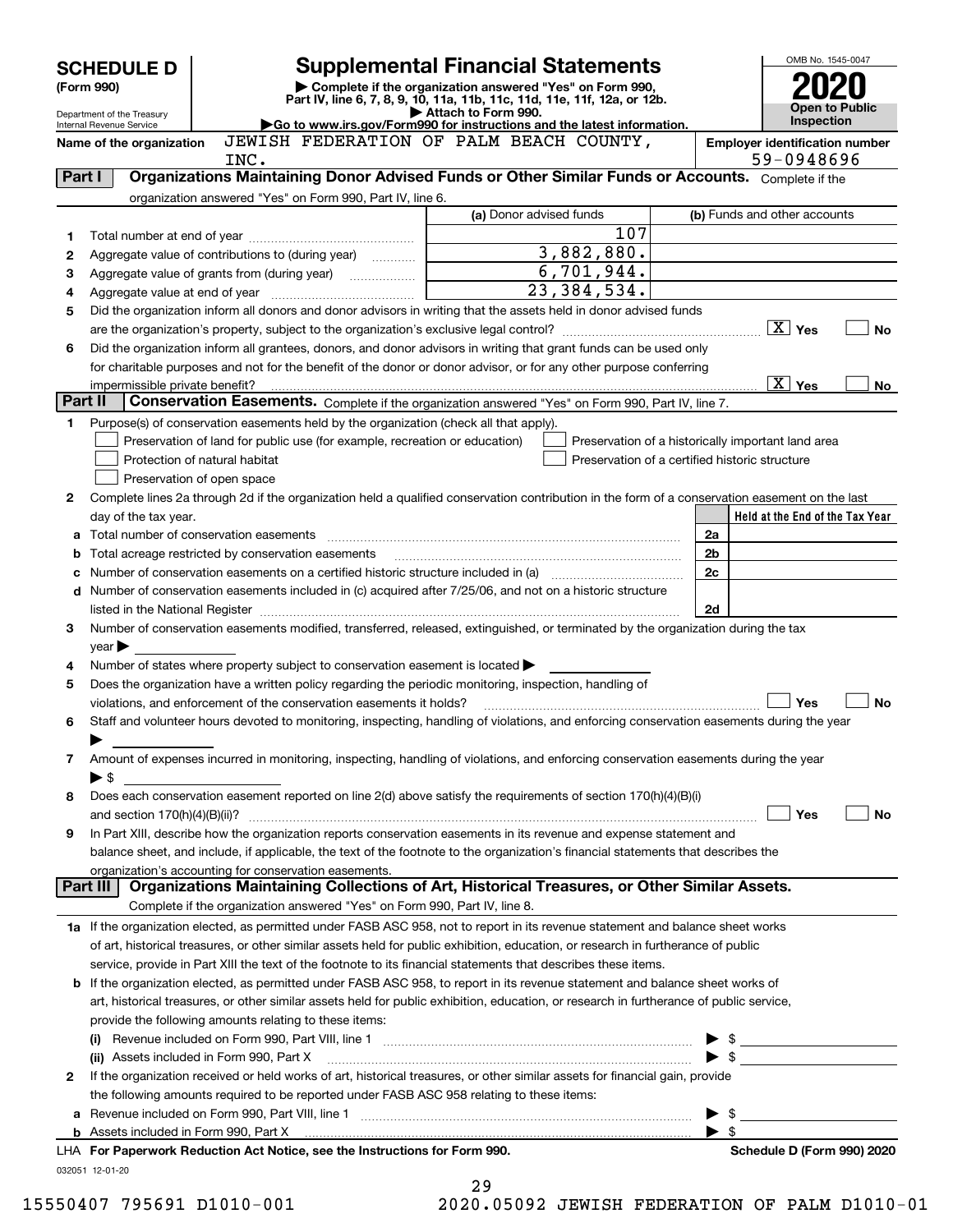|         | <b>SCHEDULE D</b>                                                                                                                                  |                                                                                                                                                                     | <b>Supplemental Financial Statements</b>                                                                                                       |                          | OMB No. 1545-0047                                                                                                                                                                                                                                                                                                   |
|---------|----------------------------------------------------------------------------------------------------------------------------------------------------|---------------------------------------------------------------------------------------------------------------------------------------------------------------------|------------------------------------------------------------------------------------------------------------------------------------------------|--------------------------|---------------------------------------------------------------------------------------------------------------------------------------------------------------------------------------------------------------------------------------------------------------------------------------------------------------------|
|         | Complete if the organization answered "Yes" on Form 990,<br>(Form 990)<br>Part IV, line 6, 7, 8, 9, 10, 11a, 11b, 11c, 11d, 11e, 11f, 12a, or 12b. |                                                                                                                                                                     |                                                                                                                                                |                          |                                                                                                                                                                                                                                                                                                                     |
|         | Department of the Treasury                                                                                                                         |                                                                                                                                                                     | Attach to Form 990.                                                                                                                            |                          | Open to Public                                                                                                                                                                                                                                                                                                      |
|         | Internal Revenue Service                                                                                                                           | Go to www.irs.gov/Form990 for instructions and the latest information.                                                                                              | <b>Inspection</b>                                                                                                                              |                          |                                                                                                                                                                                                                                                                                                                     |
|         | Name of the organization                                                                                                                           | INC.                                                                                                                                                                | JEWISH FEDERATION OF PALM BEACH COUNTY,                                                                                                        |                          | <b>Employer identification number</b><br>59-0948696                                                                                                                                                                                                                                                                 |
| Part I  |                                                                                                                                                    |                                                                                                                                                                     | Organizations Maintaining Donor Advised Funds or Other Similar Funds or Accounts. Complete if the                                              |                          |                                                                                                                                                                                                                                                                                                                     |
|         |                                                                                                                                                    | organization answered "Yes" on Form 990, Part IV, line 6.                                                                                                           |                                                                                                                                                |                          |                                                                                                                                                                                                                                                                                                                     |
|         |                                                                                                                                                    |                                                                                                                                                                     | (a) Donor advised funds                                                                                                                        |                          | (b) Funds and other accounts                                                                                                                                                                                                                                                                                        |
| 1       |                                                                                                                                                    |                                                                                                                                                                     | 107                                                                                                                                            |                          |                                                                                                                                                                                                                                                                                                                     |
| 2       |                                                                                                                                                    | Aggregate value of contributions to (during year)                                                                                                                   | 3,882,880.                                                                                                                                     |                          |                                                                                                                                                                                                                                                                                                                     |
| 3       |                                                                                                                                                    |                                                                                                                                                                     | 6,701,944.                                                                                                                                     |                          |                                                                                                                                                                                                                                                                                                                     |
| 4       |                                                                                                                                                    |                                                                                                                                                                     | $\overline{23,384,534}$ .                                                                                                                      |                          |                                                                                                                                                                                                                                                                                                                     |
| 5       |                                                                                                                                                    |                                                                                                                                                                     | Did the organization inform all donors and donor advisors in writing that the assets held in donor advised funds                               |                          |                                                                                                                                                                                                                                                                                                                     |
|         |                                                                                                                                                    |                                                                                                                                                                     |                                                                                                                                                |                          | $\boxed{\text{X}}$ Yes<br><b>No</b>                                                                                                                                                                                                                                                                                 |
| 6       |                                                                                                                                                    |                                                                                                                                                                     | Did the organization inform all grantees, donors, and donor advisors in writing that grant funds can be used only                              |                          |                                                                                                                                                                                                                                                                                                                     |
|         |                                                                                                                                                    |                                                                                                                                                                     | for charitable purposes and not for the benefit of the donor or donor advisor, or for any other purpose conferring                             |                          | $\overline{X}$ Yes                                                                                                                                                                                                                                                                                                  |
| Part II |                                                                                                                                                    |                                                                                                                                                                     | Conservation Easements. Complete if the organization answered "Yes" on Form 990, Part IV, line 7.                                              |                          | No                                                                                                                                                                                                                                                                                                                  |
|         |                                                                                                                                                    |                                                                                                                                                                     |                                                                                                                                                |                          |                                                                                                                                                                                                                                                                                                                     |
| 1       |                                                                                                                                                    | Purpose(s) of conservation easements held by the organization (check all that apply).<br>Preservation of land for public use (for example, recreation or education) | Preservation of a historically important land area                                                                                             |                          |                                                                                                                                                                                                                                                                                                                     |
|         |                                                                                                                                                    | Protection of natural habitat                                                                                                                                       | Preservation of a certified historic structure                                                                                                 |                          |                                                                                                                                                                                                                                                                                                                     |
|         |                                                                                                                                                    | Preservation of open space                                                                                                                                          |                                                                                                                                                |                          |                                                                                                                                                                                                                                                                                                                     |
| 2       |                                                                                                                                                    |                                                                                                                                                                     | Complete lines 2a through 2d if the organization held a qualified conservation contribution in the form of a conservation easement on the last |                          |                                                                                                                                                                                                                                                                                                                     |
|         | day of the tax year.                                                                                                                               |                                                                                                                                                                     |                                                                                                                                                |                          | Held at the End of the Tax Year                                                                                                                                                                                                                                                                                     |
| а       |                                                                                                                                                    |                                                                                                                                                                     |                                                                                                                                                | 2a                       |                                                                                                                                                                                                                                                                                                                     |
| b       |                                                                                                                                                    | Total acreage restricted by conservation easements                                                                                                                  |                                                                                                                                                | 2b                       |                                                                                                                                                                                                                                                                                                                     |
| с       |                                                                                                                                                    |                                                                                                                                                                     |                                                                                                                                                | 2c                       |                                                                                                                                                                                                                                                                                                                     |
| d       |                                                                                                                                                    |                                                                                                                                                                     | Number of conservation easements included in (c) acquired after 7/25/06, and not on a historic structure                                       |                          |                                                                                                                                                                                                                                                                                                                     |
|         |                                                                                                                                                    |                                                                                                                                                                     |                                                                                                                                                | 2d                       |                                                                                                                                                                                                                                                                                                                     |
| 3       |                                                                                                                                                    |                                                                                                                                                                     | Number of conservation easements modified, transferred, released, extinguished, or terminated by the organization during the tax               |                          |                                                                                                                                                                                                                                                                                                                     |
|         | $\gamma$ ear                                                                                                                                       |                                                                                                                                                                     |                                                                                                                                                |                          |                                                                                                                                                                                                                                                                                                                     |
| 4       |                                                                                                                                                    | Number of states where property subject to conservation easement is located >                                                                                       |                                                                                                                                                |                          |                                                                                                                                                                                                                                                                                                                     |
| 5       |                                                                                                                                                    |                                                                                                                                                                     | Does the organization have a written policy regarding the periodic monitoring, inspection, handling of                                         |                          |                                                                                                                                                                                                                                                                                                                     |
|         |                                                                                                                                                    | violations, and enforcement of the conservation easements it holds?                                                                                                 |                                                                                                                                                |                          | No<br>Yes                                                                                                                                                                                                                                                                                                           |
| 6       |                                                                                                                                                    |                                                                                                                                                                     | Staff and volunteer hours devoted to monitoring, inspecting, handling of violations, and enforcing conservation easements during the year      |                          |                                                                                                                                                                                                                                                                                                                     |
|         |                                                                                                                                                    |                                                                                                                                                                     |                                                                                                                                                |                          |                                                                                                                                                                                                                                                                                                                     |
| 7       |                                                                                                                                                    |                                                                                                                                                                     | Amount of expenses incurred in monitoring, inspecting, handling of violations, and enforcing conservation easements during the year            |                          |                                                                                                                                                                                                                                                                                                                     |
|         | $\blacktriangleright$ \$                                                                                                                           |                                                                                                                                                                     |                                                                                                                                                |                          |                                                                                                                                                                                                                                                                                                                     |
| 8       |                                                                                                                                                    |                                                                                                                                                                     | Does each conservation easement reported on line 2(d) above satisfy the requirements of section 170(h)(4)(B)(i)                                |                          |                                                                                                                                                                                                                                                                                                                     |
|         |                                                                                                                                                    |                                                                                                                                                                     |                                                                                                                                                |                          | Yes<br>No                                                                                                                                                                                                                                                                                                           |
| 9       |                                                                                                                                                    |                                                                                                                                                                     | In Part XIII, describe how the organization reports conservation easements in its revenue and expense statement and                            |                          |                                                                                                                                                                                                                                                                                                                     |
|         |                                                                                                                                                    |                                                                                                                                                                     | balance sheet, and include, if applicable, the text of the footnote to the organization's financial statements that describes the              |                          |                                                                                                                                                                                                                                                                                                                     |
|         |                                                                                                                                                    | organization's accounting for conservation easements.                                                                                                               |                                                                                                                                                |                          |                                                                                                                                                                                                                                                                                                                     |
|         | Part III                                                                                                                                           |                                                                                                                                                                     | Organizations Maintaining Collections of Art, Historical Treasures, or Other Similar Assets.                                                   |                          |                                                                                                                                                                                                                                                                                                                     |
|         |                                                                                                                                                    | Complete if the organization answered "Yes" on Form 990, Part IV, line 8.                                                                                           |                                                                                                                                                |                          |                                                                                                                                                                                                                                                                                                                     |
|         |                                                                                                                                                    |                                                                                                                                                                     | 1a If the organization elected, as permitted under FASB ASC 958, not to report in its revenue statement and balance sheet works                |                          |                                                                                                                                                                                                                                                                                                                     |
|         |                                                                                                                                                    |                                                                                                                                                                     | of art, historical treasures, or other similar assets held for public exhibition, education, or research in furtherance of public              |                          |                                                                                                                                                                                                                                                                                                                     |
|         |                                                                                                                                                    |                                                                                                                                                                     | service, provide in Part XIII the text of the footnote to its financial statements that describes these items.                                 |                          |                                                                                                                                                                                                                                                                                                                     |
| b       |                                                                                                                                                    |                                                                                                                                                                     | If the organization elected, as permitted under FASB ASC 958, to report in its revenue statement and balance sheet works of                    |                          |                                                                                                                                                                                                                                                                                                                     |
|         |                                                                                                                                                    |                                                                                                                                                                     | art, historical treasures, or other similar assets held for public exhibition, education, or research in furtherance of public service,        |                          |                                                                                                                                                                                                                                                                                                                     |
|         |                                                                                                                                                    | provide the following amounts relating to these items:                                                                                                              |                                                                                                                                                |                          |                                                                                                                                                                                                                                                                                                                     |
|         |                                                                                                                                                    |                                                                                                                                                                     |                                                                                                                                                |                          | $\frac{1}{2}$ $\frac{1}{2}$ $\frac{1}{2}$ $\frac{1}{2}$ $\frac{1}{2}$ $\frac{1}{2}$ $\frac{1}{2}$ $\frac{1}{2}$ $\frac{1}{2}$ $\frac{1}{2}$ $\frac{1}{2}$ $\frac{1}{2}$ $\frac{1}{2}$ $\frac{1}{2}$ $\frac{1}{2}$ $\frac{1}{2}$ $\frac{1}{2}$ $\frac{1}{2}$ $\frac{1}{2}$ $\frac{1}{2}$ $\frac{1}{2}$ $\frac{1}{2}$ |
|         |                                                                                                                                                    | (ii) Assets included in Form 990, Part X                                                                                                                            |                                                                                                                                                | $\blacktriangleright$ \$ |                                                                                                                                                                                                                                                                                                                     |
| 2       |                                                                                                                                                    |                                                                                                                                                                     | If the organization received or held works of art, historical treasures, or other similar assets for financial gain, provide                   |                          |                                                                                                                                                                                                                                                                                                                     |
|         |                                                                                                                                                    | the following amounts required to be reported under FASB ASC 958 relating to these items:                                                                           |                                                                                                                                                |                          |                                                                                                                                                                                                                                                                                                                     |
| а       |                                                                                                                                                    |                                                                                                                                                                     |                                                                                                                                                | \$                       |                                                                                                                                                                                                                                                                                                                     |
|         |                                                                                                                                                    |                                                                                                                                                                     |                                                                                                                                                | \$                       |                                                                                                                                                                                                                                                                                                                     |
|         |                                                                                                                                                    | LHA For Paperwork Reduction Act Notice, see the Instructions for Form 990.                                                                                          |                                                                                                                                                |                          | Schedule D (Form 990) 2020                                                                                                                                                                                                                                                                                          |
|         | 032051 12-01-20                                                                                                                                    |                                                                                                                                                                     |                                                                                                                                                |                          |                                                                                                                                                                                                                                                                                                                     |
|         |                                                                                                                                                    |                                                                                                                                                                     | 29                                                                                                                                             |                          |                                                                                                                                                                                                                                                                                                                     |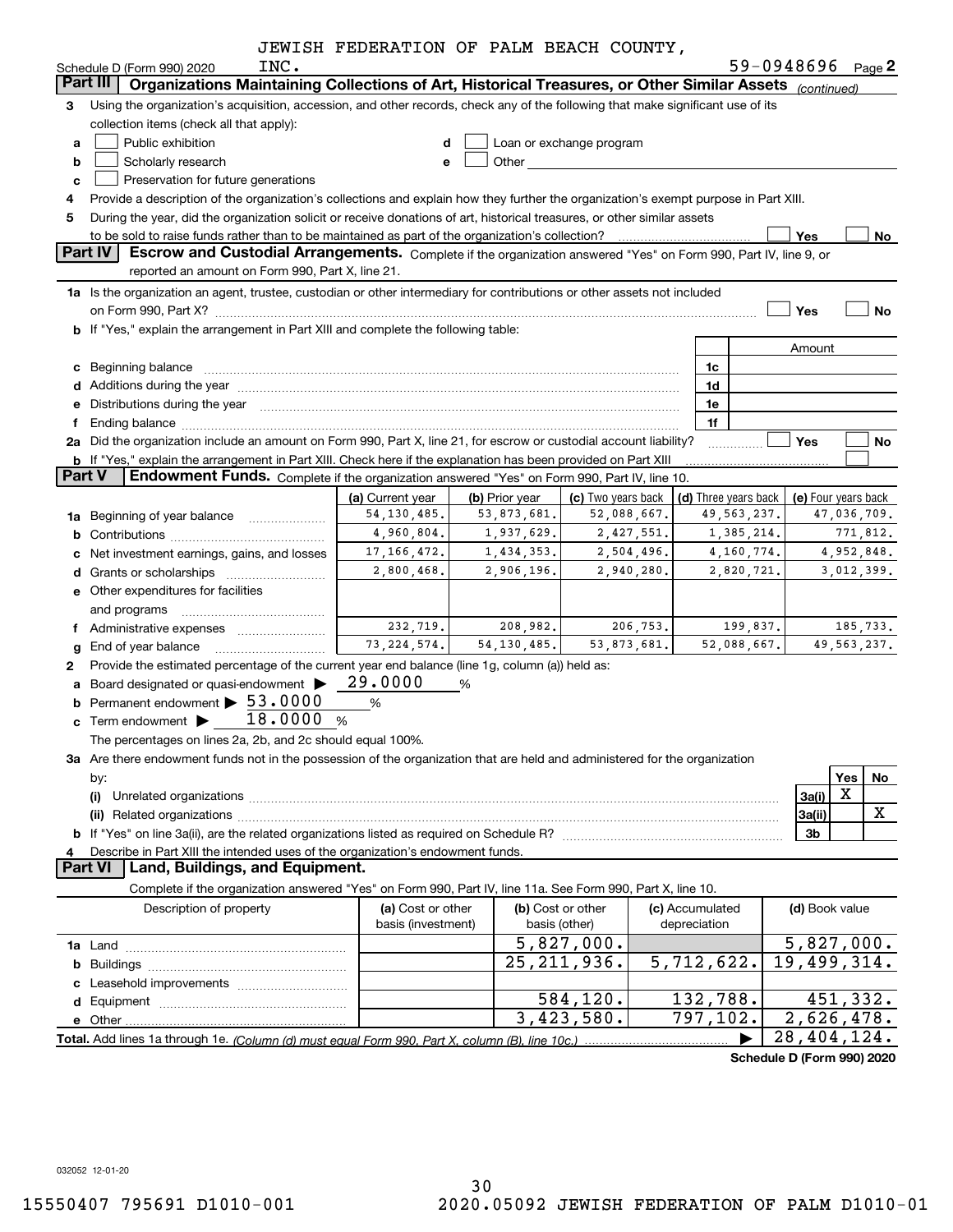|    |                                                                                                                                                                                                                                | JEWISH FEDERATION OF PALM BEACH COUNTY, |                                                                                                                                                                                                                                |                    |  |                      |             |                          |                              |
|----|--------------------------------------------------------------------------------------------------------------------------------------------------------------------------------------------------------------------------------|-----------------------------------------|--------------------------------------------------------------------------------------------------------------------------------------------------------------------------------------------------------------------------------|--------------------|--|----------------------|-------------|--------------------------|------------------------------|
|    | INC.<br>Schedule D (Form 990) 2020                                                                                                                                                                                             |                                         |                                                                                                                                                                                                                                |                    |  |                      |             | 59-0948696 Page 2        |                              |
|    | Organizations Maintaining Collections of Art, Historical Treasures, or Other Similar Assets (continued)<br>Part III                                                                                                            |                                         |                                                                                                                                                                                                                                |                    |  |                      |             |                          |                              |
| 3  | Using the organization's acquisition, accession, and other records, check any of the following that make significant use of its                                                                                                |                                         |                                                                                                                                                                                                                                |                    |  |                      |             |                          |                              |
|    | collection items (check all that apply):                                                                                                                                                                                       |                                         |                                                                                                                                                                                                                                |                    |  |                      |             |                          |                              |
| a  | Public exhibition<br>Loan or exchange program<br>d                                                                                                                                                                             |                                         |                                                                                                                                                                                                                                |                    |  |                      |             |                          |                              |
| b  | Scholarly research                                                                                                                                                                                                             | е                                       | Other the contract of the contract of the contract of the contract of the contract of the contract of the contract of the contract of the contract of the contract of the contract of the contract of the contract of the cont |                    |  |                      |             |                          |                              |
| c  | Preservation for future generations                                                                                                                                                                                            |                                         |                                                                                                                                                                                                                                |                    |  |                      |             |                          |                              |
| 4  | Provide a description of the organization's collections and explain how they further the organization's exempt purpose in Part XIII.                                                                                           |                                         |                                                                                                                                                                                                                                |                    |  |                      |             |                          |                              |
| 5  | During the year, did the organization solicit or receive donations of art, historical treasures, or other similar assets                                                                                                       |                                         |                                                                                                                                                                                                                                |                    |  |                      |             |                          |                              |
|    | Part IV                                                                                                                                                                                                                        |                                         |                                                                                                                                                                                                                                |                    |  |                      |             | Yes                      | No                           |
|    | Escrow and Custodial Arrangements. Complete if the organization answered "Yes" on Form 990, Part IV, line 9, or<br>reported an amount on Form 990, Part X, line 21.                                                            |                                         |                                                                                                                                                                                                                                |                    |  |                      |             |                          |                              |
|    |                                                                                                                                                                                                                                |                                         |                                                                                                                                                                                                                                |                    |  |                      |             |                          |                              |
|    | 1a Is the organization an agent, trustee, custodian or other intermediary for contributions or other assets not included                                                                                                       |                                         |                                                                                                                                                                                                                                |                    |  |                      |             | Yes                      | No                           |
|    | b If "Yes," explain the arrangement in Part XIII and complete the following table:                                                                                                                                             |                                         |                                                                                                                                                                                                                                |                    |  |                      |             |                          |                              |
|    |                                                                                                                                                                                                                                |                                         |                                                                                                                                                                                                                                |                    |  |                      |             | Amount                   |                              |
|    | c Beginning balance measurements and the contract of the contract of the contract of the contract of the contract of the contract of the contract of the contract of the contract of the contract of the contract of the contr |                                         |                                                                                                                                                                                                                                |                    |  | 1c                   |             |                          |                              |
|    |                                                                                                                                                                                                                                |                                         |                                                                                                                                                                                                                                |                    |  | 1d                   |             |                          |                              |
| е  | Distributions during the year manufactured and an intervention of the year manufactured and the year                                                                                                                           |                                         |                                                                                                                                                                                                                                |                    |  | 1e                   |             |                          |                              |
| f. | Ending balance manufactured and a series of the contract of the contract of the contract of the contract of the                                                                                                                |                                         |                                                                                                                                                                                                                                |                    |  | 1f                   |             |                          |                              |
|    | 2a Did the organization include an amount on Form 990, Part X, line 21, for escrow or custodial account liability?                                                                                                             |                                         |                                                                                                                                                                                                                                |                    |  |                      |             | <b>Yes</b>               | No                           |
|    | b If "Yes," explain the arrangement in Part XIII. Check here if the explanation has been provided on Part XIII                                                                                                                 |                                         |                                                                                                                                                                                                                                |                    |  |                      |             |                          |                              |
|    | <b>Part V</b><br>Endowment Funds. Complete if the organization answered "Yes" on Form 990, Part IV, line 10.                                                                                                                   |                                         |                                                                                                                                                                                                                                |                    |  |                      |             |                          |                              |
|    |                                                                                                                                                                                                                                | (a) Current year                        | (b) Prior year                                                                                                                                                                                                                 | (c) Two years back |  | (d) Three years back |             | (e) Four years back      |                              |
|    | 1a Beginning of year balance                                                                                                                                                                                                   | 54, 130, 485.                           | 53,873,681.                                                                                                                                                                                                                    | 52,088,667.        |  | 49, 563, 237.        |             |                          | 47,036,709.                  |
| b  |                                                                                                                                                                                                                                | 4,960,804.                              | 1,937,629.                                                                                                                                                                                                                     | 2,427,551.         |  |                      | 1,385,214.  |                          | 771,812.                     |
|    | Net investment earnings, gains, and losses                                                                                                                                                                                     | 17, 166, 472.                           | 1,434,353.                                                                                                                                                                                                                     | 2,504,496.         |  |                      | 4,160,774.  | 4,952,848.               |                              |
| d  |                                                                                                                                                                                                                                | 2,800,468.                              | 2,906,196.                                                                                                                                                                                                                     | 2,940,280.         |  |                      | 2,820,721.  | 3,012,399.               |                              |
|    | e Other expenditures for facilities                                                                                                                                                                                            |                                         |                                                                                                                                                                                                                                |                    |  |                      |             |                          |                              |
|    | and programs                                                                                                                                                                                                                   |                                         |                                                                                                                                                                                                                                |                    |  |                      |             |                          |                              |
|    | f Administrative expenses                                                                                                                                                                                                      | 232,719.                                | 208,982.                                                                                                                                                                                                                       | 206,753.           |  |                      | 199,837.    |                          | 185,733.                     |
|    | End of year balance                                                                                                                                                                                                            | 73, 224, 574.                           | 54, 130, 485.                                                                                                                                                                                                                  | 53,873,681.        |  |                      | 52,088,667. |                          | 49, 563, 237.                |
| 2  | Provide the estimated percentage of the current year end balance (line 1g, column (a)) held as:                                                                                                                                | 29.0000                                 |                                                                                                                                                                                                                                |                    |  |                      |             |                          |                              |
| a  | Board designated or quasi-endowment ><br>Permanent endowment > 53.0000                                                                                                                                                         |                                         | %                                                                                                                                                                                                                              |                    |  |                      |             |                          |                              |
|    | c Term endowment $\blacktriangleright$ 18.0000 %                                                                                                                                                                               | %                                       |                                                                                                                                                                                                                                |                    |  |                      |             |                          |                              |
|    | The percentages on lines 2a, 2b, and 2c should equal 100%.                                                                                                                                                                     |                                         |                                                                                                                                                                                                                                |                    |  |                      |             |                          |                              |
|    | 3a Are there endowment funds not in the possession of the organization that are held and administered for the organization                                                                                                     |                                         |                                                                                                                                                                                                                                |                    |  |                      |             |                          |                              |
|    | by:                                                                                                                                                                                                                            |                                         |                                                                                                                                                                                                                                |                    |  |                      |             |                          | Yes<br>No                    |
|    | (i)                                                                                                                                                                                                                            |                                         |                                                                                                                                                                                                                                |                    |  |                      |             | 3a(i)                    | X                            |
|    |                                                                                                                                                                                                                                |                                         |                                                                                                                                                                                                                                |                    |  |                      |             | 3a(ii)                   | X                            |
|    |                                                                                                                                                                                                                                |                                         |                                                                                                                                                                                                                                |                    |  |                      |             | 3 <sub>b</sub>           |                              |
| 4  | Describe in Part XIII the intended uses of the organization's endowment funds.                                                                                                                                                 |                                         |                                                                                                                                                                                                                                |                    |  |                      |             |                          |                              |
|    | <b>Part VI</b><br>Land, Buildings, and Equipment.                                                                                                                                                                              |                                         |                                                                                                                                                                                                                                |                    |  |                      |             |                          |                              |
|    | Complete if the organization answered "Yes" on Form 990, Part IV, line 11a. See Form 990, Part X, line 10.                                                                                                                     |                                         |                                                                                                                                                                                                                                |                    |  |                      |             |                          |                              |
|    | Description of property                                                                                                                                                                                                        | (a) Cost or other                       |                                                                                                                                                                                                                                | (b) Cost or other  |  | (c) Accumulated      |             | (d) Book value           |                              |
|    |                                                                                                                                                                                                                                | basis (investment)                      |                                                                                                                                                                                                                                | basis (other)      |  | depreciation         |             |                          |                              |
|    |                                                                                                                                                                                                                                |                                         |                                                                                                                                                                                                                                | 5,827,000.         |  |                      |             | 5,827,000.               |                              |
|    |                                                                                                                                                                                                                                |                                         |                                                                                                                                                                                                                                | 25, 211, 936.      |  | 5,712,622.           |             | 19,499,314.              |                              |
|    |                                                                                                                                                                                                                                |                                         |                                                                                                                                                                                                                                |                    |  |                      |             |                          |                              |
|    |                                                                                                                                                                                                                                |                                         |                                                                                                                                                                                                                                | 584,120.           |  | 132,788.             |             |                          | 451,332.                     |
|    |                                                                                                                                                                                                                                |                                         |                                                                                                                                                                                                                                | 3,423,580.         |  | 797, 102.            |             | $\overline{2,626,478}$ . |                              |
|    |                                                                                                                                                                                                                                |                                         |                                                                                                                                                                                                                                |                    |  |                      |             | 28,404,124.              | Calcabile D (Fause 000) 0000 |

**Schedule D (Form 990) 2020**

032052 12-01-20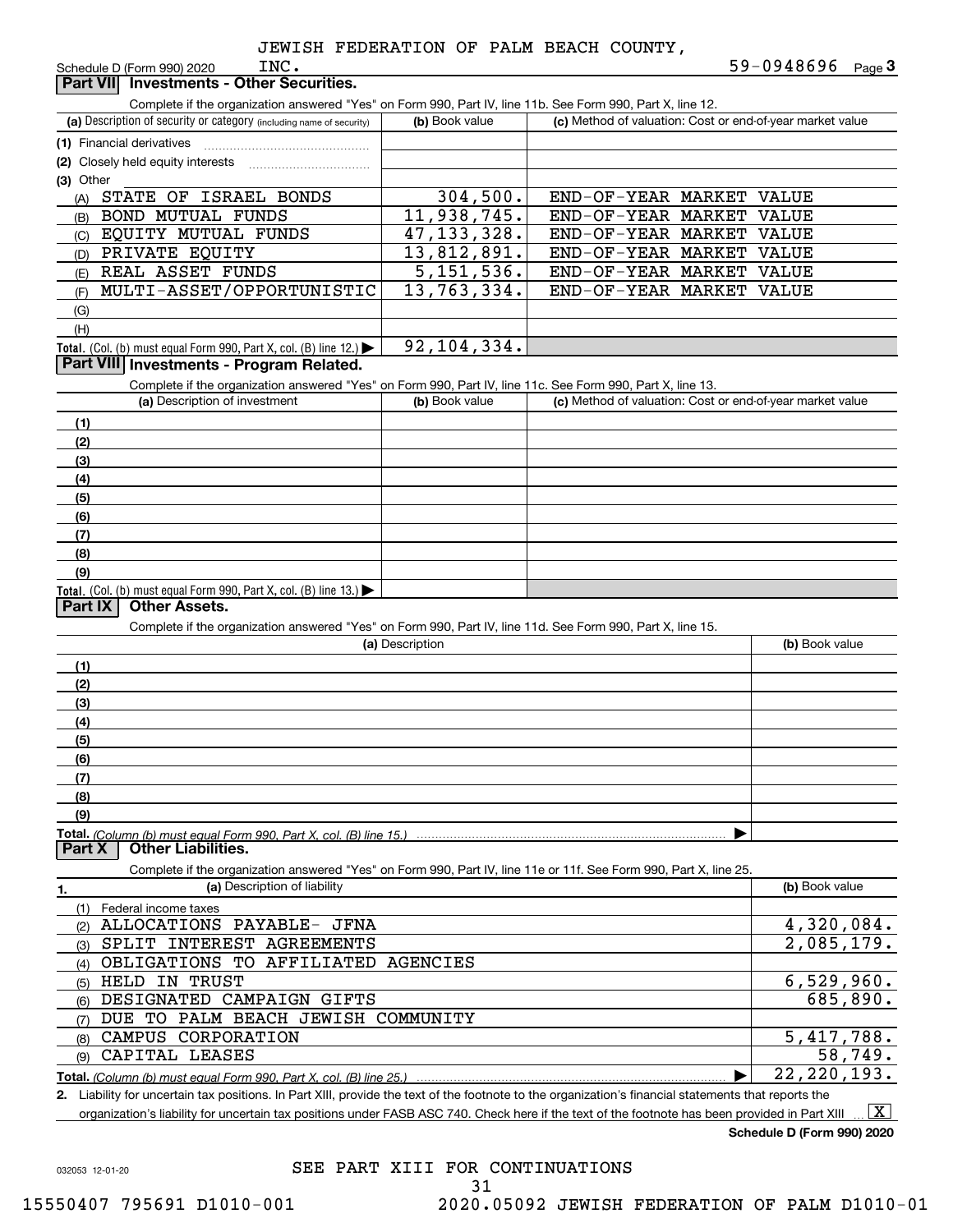Schedule D (Form 990) 2020

#### **Part VII Investments - Other Securities.**

Complete if the organization answered "Yes" on Form 990, Part IV, line 11b. See Form 990, Part X, line 12.

| (a) Description of security or category (including name of security)                   | (b) Book value | (c) Method of valuation: Cost or end-of-year market value |  |  |  |
|----------------------------------------------------------------------------------------|----------------|-----------------------------------------------------------|--|--|--|
| (1) Financial derivatives                                                              |                |                                                           |  |  |  |
|                                                                                        |                |                                                           |  |  |  |
| $(3)$ Other                                                                            |                |                                                           |  |  |  |
| STATE OF ISRAEL BONDS<br>(A)                                                           | 304,500.       | END-OF-YEAR MARKET VALUE                                  |  |  |  |
| BOND MUTUAL FUNDS<br>(B)                                                               | 11,938,745.    | END-OF-YEAR MARKET VALUE                                  |  |  |  |
| EQUITY MUTUAL FUNDS<br>(C)                                                             | 47, 133, 328.  | END-OF-YEAR MARKET VALUE                                  |  |  |  |
| PRIVATE EQUITY<br>(D)                                                                  | 13,812,891.    | END-OF-YEAR MARKET VALUE                                  |  |  |  |
| REAL ASSET FUNDS<br>(E)                                                                | 5, 151, 536.   | END-OF-YEAR MARKET VALUE                                  |  |  |  |
| MULTI-ASSET/OPPORTUNISTIC<br>(F)                                                       | 13, 763, 334.  | END-OF-YEAR MARKET VALUE                                  |  |  |  |
| (G)                                                                                    |                |                                                           |  |  |  |
| (H)                                                                                    |                |                                                           |  |  |  |
| Total. (Col. (b) must equal Form 990, Part X, col. (B) line 12.) $\blacktriangleright$ | 92, 104, 334.  |                                                           |  |  |  |
| $P_{\text{out}}(0,0)$                                                                  |                |                                                           |  |  |  |

#### **Part VIII Investments - Program Related.**

Complete if the organization answered "Yes" on Form 990, Part IV, line 11c. See Form 990, Part X, line 13.

| (a) Description of investment                                    | (b) Book value | (c) Method of valuation: Cost or end-of-year market value |
|------------------------------------------------------------------|----------------|-----------------------------------------------------------|
| (1)                                                              |                |                                                           |
| (2)                                                              |                |                                                           |
| $\frac{1}{2}$                                                    |                |                                                           |
| (4)                                                              |                |                                                           |
| $\frac{1}{2}$                                                    |                |                                                           |
| (6)                                                              |                |                                                           |
| (7)                                                              |                |                                                           |
| (8)                                                              |                |                                                           |
| (9)                                                              |                |                                                           |
| Total. (Col. (b) must equal Form 990, Part X, col. (B) line 13.) |                |                                                           |

#### **Part IX Other Assets.**

Complete if the organization answered "Yes" on Form 990, Part IV, line 11d. See Form 990, Part X, line 15.

| (a) Description                                                                                    | (b) Book value |
|----------------------------------------------------------------------------------------------------|----------------|
| (1)                                                                                                |                |
| (2)                                                                                                |                |
| (3)                                                                                                |                |
| (4)                                                                                                |                |
| (5)                                                                                                |                |
| (6)                                                                                                |                |
| (7)                                                                                                |                |
| (8)                                                                                                |                |
| (9)                                                                                                |                |
| Total. (Column (b) must equal Form 990, Part X, col. (B) line 15.)<br>I Dort V   Othor Lichilitics |                |

**Part X Other Liabilities.**

Complete if the organization answered "Yes" on Form 990, Part IV, line 11e or 11f. See Form 990, Part X, line 25.

| 1.  | (a) Description of liability       |               |  |  |  |  |
|-----|------------------------------------|---------------|--|--|--|--|
|     | Federal income taxes               |               |  |  |  |  |
| (2) | ALLOCATIONS PAYABLE- JFNA          | 4,320,084.    |  |  |  |  |
| (3) | SPLIT INTEREST AGREEMENTS          | 2,085,179.    |  |  |  |  |
| (4) | OBLIGATIONS TO AFFILIATED AGENCIES |               |  |  |  |  |
| (5) | TRUST<br>IN<br>HELD                | 6,529,960.    |  |  |  |  |
| (6) | CAMPAIGN GIFTS<br>DESIGNATED       | 685,890.      |  |  |  |  |
| (7) | DUE TO PALM BEACH JEWISH COMMUNITY |               |  |  |  |  |
| (8) | CAMPUS CORPORATION                 | 5,417,788.    |  |  |  |  |
| (9) | CAPITAL LEASES                     | 58,749.       |  |  |  |  |
|     |                                    | 22, 220, 193. |  |  |  |  |

**2.** Liability for uncertain tax positions. In Part XIII, provide the text of the footnote to the organization's financial statements that reports the

organization's liability for uncertain tax positions under FASB ASC 740. Check here if the text of the footnote has been provided in Part XIII  $\boxed{\text{X}}$ 

**Schedule D (Form 990) 2020**

032053 12-01-20

#### SEE PART XIII FOR CONTINUATIONS 31 15550407 795691 D1010-001 2020.05092 JEWISH FEDERATION OF PALM D1010-01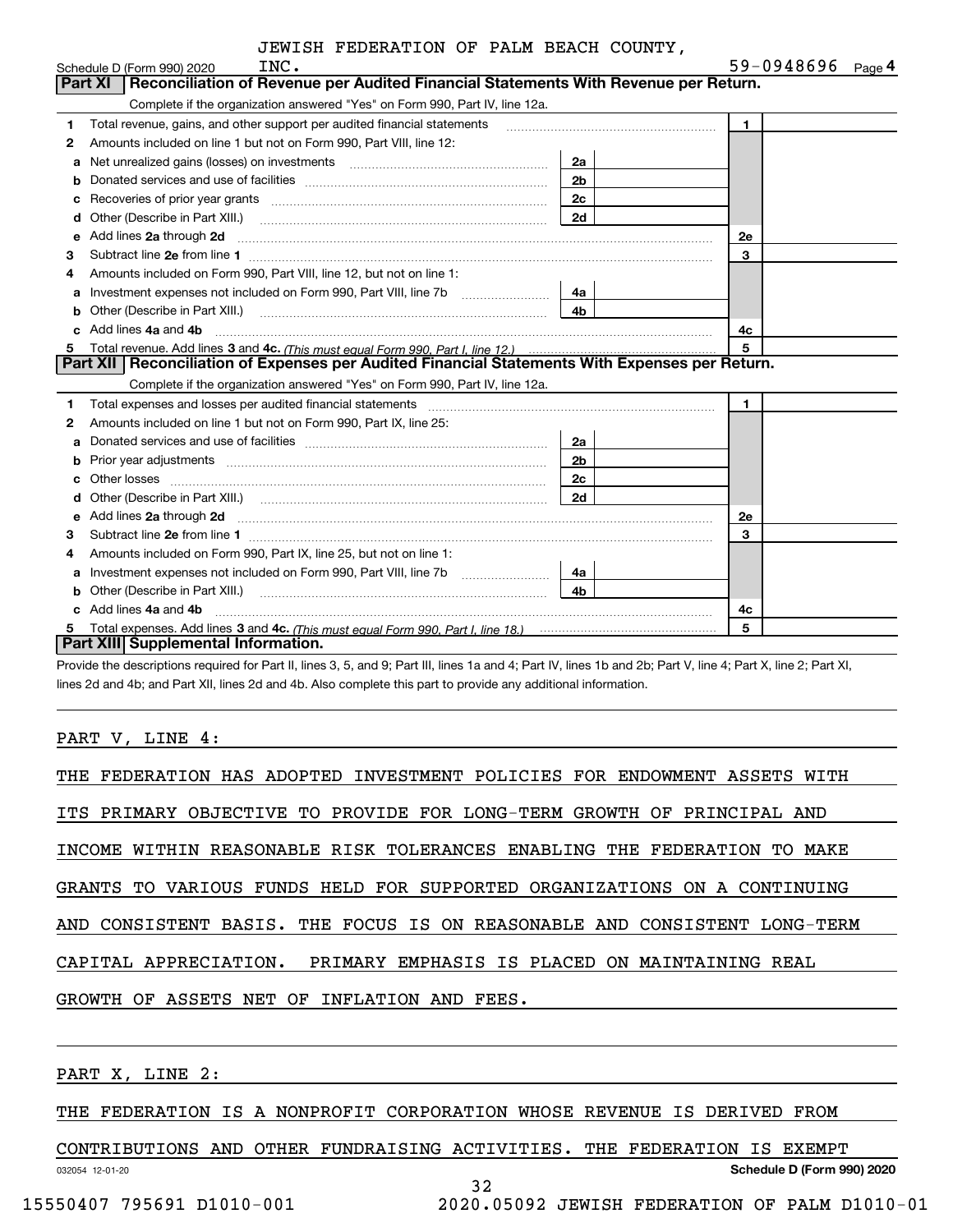|    | INC.<br>Schedule D (Form 990) 2020                                                                                                                                                                                                   |                | 59-0948696<br>Page $4$ |
|----|--------------------------------------------------------------------------------------------------------------------------------------------------------------------------------------------------------------------------------------|----------------|------------------------|
|    | Reconciliation of Revenue per Audited Financial Statements With Revenue per Return.<br>Part XI                                                                                                                                       |                |                        |
|    | Complete if the organization answered "Yes" on Form 990, Part IV, line 12a.                                                                                                                                                          |                |                        |
| 1  | Total revenue, gains, and other support per audited financial statements                                                                                                                                                             |                | $\blacksquare$         |
| 2  | Amounts included on line 1 but not on Form 990, Part VIII, line 12:                                                                                                                                                                  |                |                        |
| a  | Net unrealized gains (losses) on investments [11] [12] matter and all the unrealized gains (losses) on investments                                                                                                                   | 2a             |                        |
| b  |                                                                                                                                                                                                                                      | 2 <sub>b</sub> |                        |
| c  | Recoveries of prior year grants [111] [12] Recoveries of prior year grants [14] [14] Recoveries of prior year grants                                                                                                                 | 2c             |                        |
| d  |                                                                                                                                                                                                                                      | 2d             |                        |
| е  | Add lines 2a through 2d                                                                                                                                                                                                              |                | <b>2e</b>              |
| 3  |                                                                                                                                                                                                                                      |                | 3                      |
| 4  | Amounts included on Form 990, Part VIII, line 12, but not on line 1:                                                                                                                                                                 |                |                        |
| a  |                                                                                                                                                                                                                                      | 4a             |                        |
| b  | Other (Describe in Part XIII.) <b>Construction Contract Construction</b> Chern Construction Construction Construction                                                                                                                | 4 <sub>b</sub> |                        |
|    | Add lines 4a and 4b                                                                                                                                                                                                                  |                | 4c                     |
| 5. |                                                                                                                                                                                                                                      |                | 5                      |
|    | Part XII   Reconciliation of Expenses per Audited Financial Statements With Expenses per Return.                                                                                                                                     |                |                        |
|    | Complete if the organization answered "Yes" on Form 990, Part IV, line 12a.                                                                                                                                                          |                |                        |
| 1. | Total expenses and losses per audited financial statements [11] [12] contain an according to the statements [11] [12] and the statements [12] and the statements [12] and the statements and the statements and the statements       |                | $\mathbf{1}$           |
| 2  | Amounts included on line 1 but not on Form 990, Part IX, line 25:                                                                                                                                                                    |                |                        |
| a  |                                                                                                                                                                                                                                      | 2a             |                        |
| b  |                                                                                                                                                                                                                                      | 2 <sub>b</sub> |                        |
|    | Other losses                                                                                                                                                                                                                         | 2c             |                        |
| d  |                                                                                                                                                                                                                                      |                |                        |
| е  | Add lines 2a through 2d <b>contained a contained a contained a contained a contained a contained a contained a contained a contact a contact a contact a contact a contact a contact a contact a contact a contact a contact a c</b> |                | 2e                     |
| З. | Subtract line 2e from line 1                                                                                                                                                                                                         |                | 3                      |
| 4  | Amounts included on Form 990, Part IX, line 25, but not on line 1:                                                                                                                                                                   |                |                        |
| a  |                                                                                                                                                                                                                                      | 4a             |                        |
| b  | Other (Describe in Part XIII.)                                                                                                                                                                                                       | 4 <sub>b</sub> |                        |
| c. | Add lines 4a and 4b                                                                                                                                                                                                                  |                | 4c                     |
| 5. |                                                                                                                                                                                                                                      |                | 5                      |
|    | Part XIII Supplemental Information.                                                                                                                                                                                                  |                |                        |

Provide the descriptions required for Part II, lines 3, 5, and 9; Part III, lines 1a and 4; Part IV, lines 1b and 2b; Part V, line 4; Part X, line 2; Part XI, lines 2d and 4b; and Part XII, lines 2d and 4b. Also complete this part to provide any additional information.

PART V, LINE 4:

| THE FEDERATION HAS ADOPTED INVESTMENT POLICIES FOR ENDOWMENT ASSETS WITH  |  |
|---------------------------------------------------------------------------|--|
| ITS PRIMARY OBJECTIVE TO PROVIDE FOR LONG-TERM GROWTH OF PRINCIPAL AND    |  |
| INCOME WITHIN REASONABLE RISK TOLERANCES ENABLING THE FEDERATION TO MAKE  |  |
| GRANTS TO VARIOUS FUNDS HELD FOR SUPPORTED ORGANIZATIONS ON A CONTINUING  |  |
| AND CONSISTENT BASIS. THE FOCUS IS ON REASONABLE AND CONSISTENT LONG-TERM |  |
| CAPITAL APPRECIATION. PRIMARY EMPHASIS IS PLACED ON MAINTAINING REAL      |  |
| GROWTH OF ASSETS NET OF INFLATION AND FEES.                               |  |
|                                                                           |  |

PART X, LINE 2:

#### THE FEDERATION IS A NONPROFIT CORPORATION WHOSE REVENUE IS DERIVED FROM

CONTRIBUTIONS AND OTHER FUNDRAISING ACTIVITIES. THE FEDERATION IS EXEMPT

32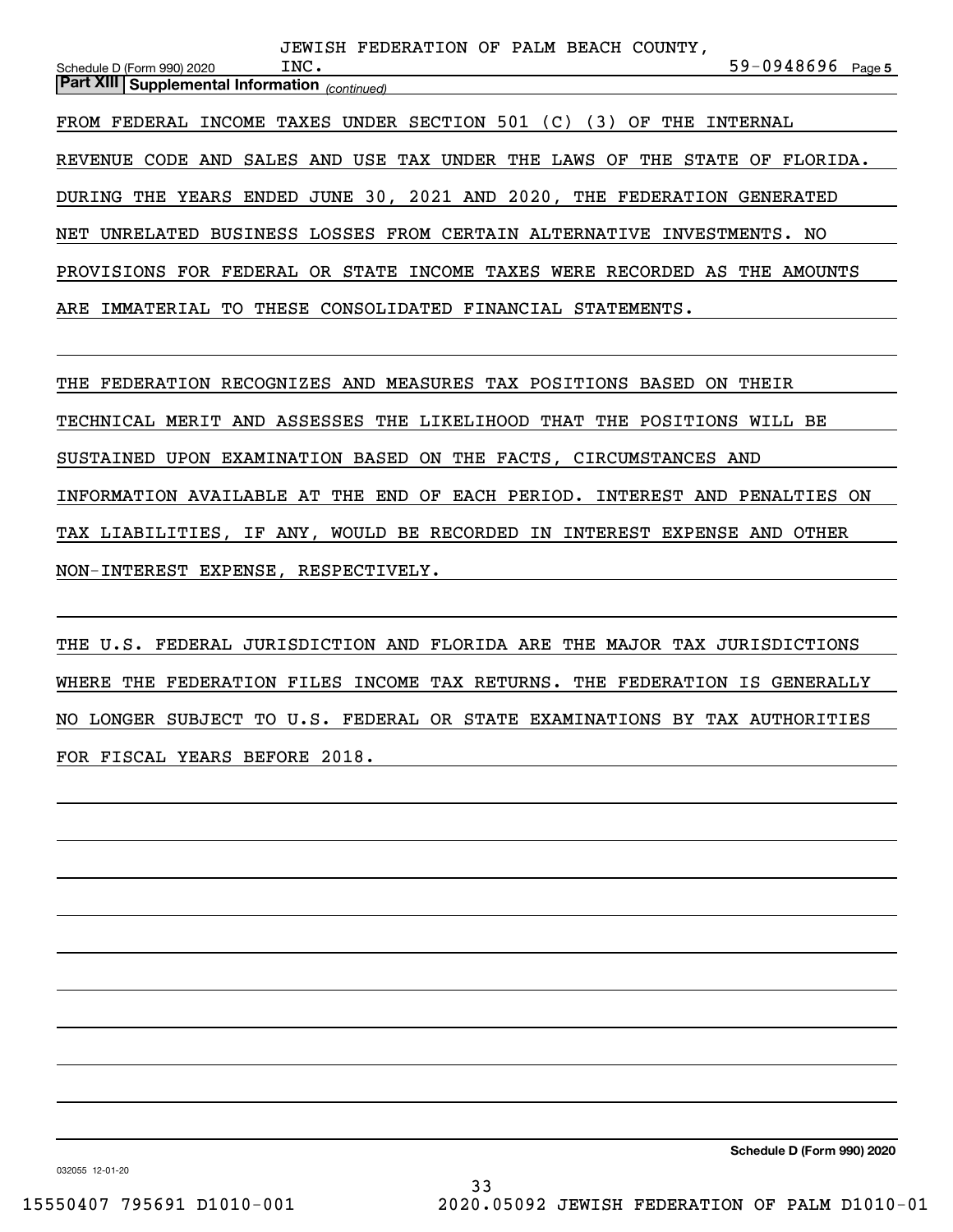**5**INC. 59-0948696 *(continued)* **Part XIII Supplemental Information**  Schedule D (Form 990) 2020  $INC$ . FROM FEDERAL INCOME TAXES UNDER SECTION 501 (C) (3) OF THE INTERNAL REVENUE CODE AND SALES AND USE TAX UNDER THE LAWS OF THE STATE OF FLORIDA. DURING THE YEARS ENDED JUNE 30, 2021 AND 2020, THE FEDERATION GENERATED NET UNRELATED BUSINESS LOSSES FROM CERTAIN ALTERNATIVE INVESTMENTS. NO PROVISIONS FOR FEDERAL OR STATE INCOME TAXES WERE RECORDED AS THE AMOUNTS ARE IMMATERIAL TO THESE CONSOLIDATED FINANCIAL STATEMENTS. JEWISH FEDERATION OF PALM BEACH COUNTY,

THE FEDERATION RECOGNIZES AND MEASURES TAX POSITIONS BASED ON THEIR TECHNICAL MERIT AND ASSESSES THE LIKELIHOOD THAT THE POSITIONS WILL BE SUSTAINED UPON EXAMINATION BASED ON THE FACTS, CIRCUMSTANCES AND INFORMATION AVAILABLE AT THE END OF EACH PERIOD. INTEREST AND PENALTIES ON TAX LIABILITIES, IF ANY, WOULD BE RECORDED IN INTEREST EXPENSE AND OTHER NON-INTEREST EXPENSE, RESPECTIVELY.

THE U.S. FEDERAL JURISDICTION AND FLORIDA ARE THE MAJOR TAX JURISDICTIONS WHERE THE FEDERATION FILES INCOME TAX RETURNS. THE FEDERATION IS GENERALLY NO LONGER SUBJECT TO U.S. FEDERAL OR STATE EXAMINATIONS BY TAX AUTHORITIES FOR FISCAL YEARS BEFORE 2018.

**Schedule D (Form 990) 2020**

032055 12-01-20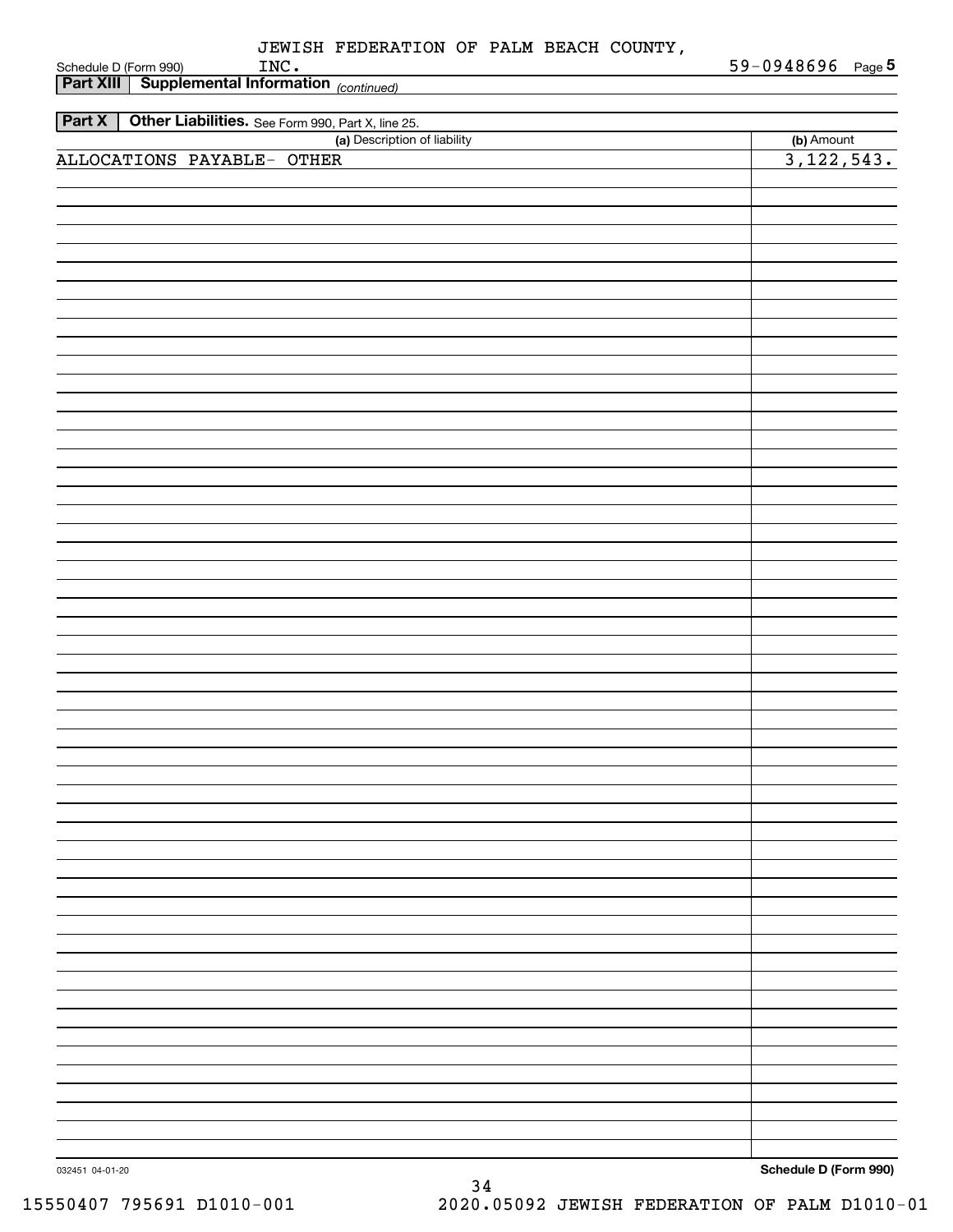| JEWISH FEDERATION OF PALM BEACH COUNTY, |  |  |
|-----------------------------------------|--|--|
|                                         |  |  |

*(continued)* **Part XIII Supplemental Information**  Schedule D (Form 990) **INC .** 5 9 – 0 9 4 8 6 9 6 Page **5** 

| <b>Part X</b>   Other Liabilities. See Form 990, Part X, line 25. |                              |
|-------------------------------------------------------------------|------------------------------|
| (a) Description of liability                                      | (b) Amount<br>3, $122, 543.$ |
| ALLOCATIONS PAYABLE- OTHER                                        |                              |
|                                                                   |                              |
|                                                                   |                              |
|                                                                   |                              |
|                                                                   |                              |
|                                                                   |                              |
|                                                                   |                              |
|                                                                   |                              |
|                                                                   |                              |
|                                                                   |                              |
|                                                                   |                              |
|                                                                   |                              |
|                                                                   |                              |
|                                                                   |                              |
|                                                                   |                              |
|                                                                   |                              |
|                                                                   |                              |
|                                                                   |                              |
|                                                                   |                              |
|                                                                   |                              |
|                                                                   |                              |
|                                                                   |                              |
|                                                                   |                              |
|                                                                   |                              |
|                                                                   |                              |
|                                                                   |                              |
|                                                                   |                              |
|                                                                   |                              |
|                                                                   |                              |
|                                                                   |                              |
|                                                                   |                              |
|                                                                   |                              |
|                                                                   |                              |
|                                                                   |                              |
|                                                                   |                              |
|                                                                   |                              |
|                                                                   |                              |
|                                                                   |                              |
|                                                                   |                              |
|                                                                   |                              |
|                                                                   |                              |
|                                                                   |                              |
|                                                                   |                              |
|                                                                   |                              |
|                                                                   |                              |
|                                                                   |                              |
|                                                                   |                              |
|                                                                   |                              |
|                                                                   |                              |
|                                                                   |                              |
|                                                                   |                              |
|                                                                   |                              |
|                                                                   |                              |
|                                                                   | -                            |

**Schedule D (Form 990)**

032451 04-01-20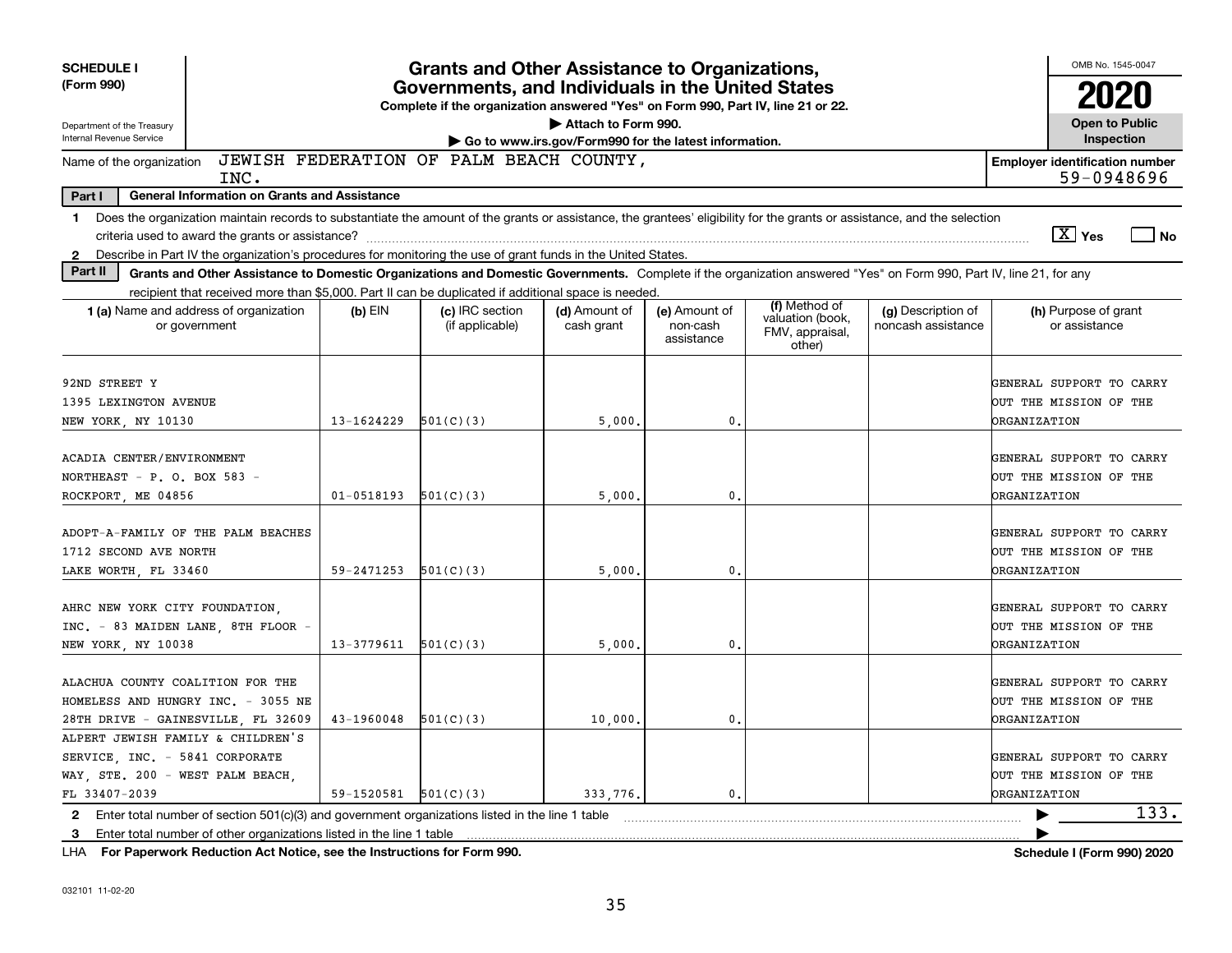| <b>SCHEDULE I</b>                                                                                                                                                                                                                                                         |                                                                                                                                       | <b>Grants and Other Assistance to Organizations,</b> |                                                       |                                         |                                                                |                                          | OMB No. 1545-0047                                                         |
|---------------------------------------------------------------------------------------------------------------------------------------------------------------------------------------------------------------------------------------------------------------------------|---------------------------------------------------------------------------------------------------------------------------------------|------------------------------------------------------|-------------------------------------------------------|-----------------------------------------|----------------------------------------------------------------|------------------------------------------|---------------------------------------------------------------------------|
| (Form 990)                                                                                                                                                                                                                                                                | Governments, and Individuals in the United States<br>Complete if the organization answered "Yes" on Form 990, Part IV, line 21 or 22. |                                                      |                                                       |                                         |                                                                |                                          |                                                                           |
| Department of the Treasury<br>Internal Revenue Service                                                                                                                                                                                                                    |                                                                                                                                       |                                                      | Attach to Form 990.                                   |                                         |                                                                |                                          | <b>Open to Public</b>                                                     |
|                                                                                                                                                                                                                                                                           |                                                                                                                                       | JEWISH FEDERATION OF PALM BEACH COUNTY,              | Go to www.irs.gov/Form990 for the latest information. |                                         |                                                                |                                          | Inspection                                                                |
| Name of the organization<br>INC.                                                                                                                                                                                                                                          |                                                                                                                                       |                                                      |                                                       |                                         |                                                                |                                          | <b>Employer identification number</b><br>59-0948696                       |
| <b>General Information on Grants and Assistance</b><br>Part I                                                                                                                                                                                                             |                                                                                                                                       |                                                      |                                                       |                                         |                                                                |                                          |                                                                           |
| Does the organization maintain records to substantiate the amount of the grants or assistance, the grantees' eligibility for the grants or assistance, and the selection<br>1.                                                                                            |                                                                                                                                       |                                                      |                                                       |                                         |                                                                |                                          | $\boxed{\text{X}}$ Yes<br>  No                                            |
| Describe in Part IV the organization's procedures for monitoring the use of grant funds in the United States.<br>$\mathbf{2}$<br>Part II                                                                                                                                  |                                                                                                                                       |                                                      |                                                       |                                         |                                                                |                                          |                                                                           |
| Grants and Other Assistance to Domestic Organizations and Domestic Governments. Complete if the organization answered "Yes" on Form 990, Part IV, line 21, for any<br>recipient that received more than \$5,000. Part II can be duplicated if additional space is needed. |                                                                                                                                       |                                                      |                                                       |                                         |                                                                |                                          |                                                                           |
| 1 (a) Name and address of organization<br>or government                                                                                                                                                                                                                   | $(b)$ EIN                                                                                                                             | (c) IRC section<br>(if applicable)                   | (d) Amount of<br>cash grant                           | (e) Amount of<br>non-cash<br>assistance | (f) Method of<br>valuation (book,<br>FMV, appraisal,<br>other) | (g) Description of<br>noncash assistance | (h) Purpose of grant<br>or assistance                                     |
| 92ND STREET Y<br>1395 LEXINGTON AVENUE<br>NEW YORK, NY 10130                                                                                                                                                                                                              | 13-1624229                                                                                                                            | 501(C)(3)                                            | 5,000.                                                | 0.                                      |                                                                |                                          | GENERAL SUPPORT TO CARRY<br>OUT THE MISSION OF THE<br><b>ORGANIZATION</b> |
| ACADIA CENTER/ENVIRONMENT<br>NORTHEAST - P. O. BOX 583 -<br>ROCKPORT, ME 04856                                                                                                                                                                                            | 01-0518193                                                                                                                            | 501(C)(3)                                            | 5,000                                                 | 0.                                      |                                                                |                                          | GENERAL SUPPORT TO CARRY<br>OUT THE MISSION OF THE<br><b>ORGANIZATION</b> |
| ADOPT-A-FAMILY OF THE PALM BEACHES<br>1712 SECOND AVE NORTH<br>LAKE WORTH, FL 33460                                                                                                                                                                                       | 59-2471253                                                                                                                            | 501(C)(3)                                            | 5,000                                                 | $\mathbf{0}$ .                          |                                                                |                                          | GENERAL SUPPORT TO CARRY<br>OUT THE MISSION OF THE<br><b>DRGANIZATION</b> |
| AHRC NEW YORK CITY FOUNDATION,<br>INC. - 83 MAIDEN LANE, 8TH FLOOR -<br>NEW YORK, NY 10038                                                                                                                                                                                | 13-3779611                                                                                                                            | 501(C)(3)                                            | 5,000                                                 | 0                                       |                                                                |                                          | GENERAL SUPPORT TO CARRY<br>OUT THE MISSION OF THE<br>ORGANIZATION        |
| ALACHUA COUNTY COALITION FOR THE<br>HOMELESS AND HUNGRY INC. - 3055 NE<br>28TH DRIVE - GAINESVILLE, FL 32609                                                                                                                                                              | 43-1960048                                                                                                                            | 501(C)(3)                                            | 10,000                                                | 0.                                      |                                                                |                                          | GENERAL SUPPORT TO CARRY<br>OUT THE MISSION OF THE<br><b>ORGANIZATION</b> |
| ALPERT JEWISH FAMILY & CHILDREN'S<br>SERVICE, INC. - 5841 CORPORATE<br>WAY, STE. 200 - WEST PALM BEACH,<br>FL 33407-2039                                                                                                                                                  | 59-1520581                                                                                                                            | 501(C)(3)                                            | 333.776.                                              | 0.                                      |                                                                |                                          | GENERAL SUPPORT TO CARRY<br>OUT THE MISSION OF THE<br><b>ORGANIZATION</b> |
| 2 Enter total number of section $501(c)(3)$ and government organizations listed in the line 1 table                                                                                                                                                                       |                                                                                                                                       |                                                      |                                                       |                                         |                                                                |                                          | 133.                                                                      |
| Enter total number of other organizations listed in the line 1 table<br>3                                                                                                                                                                                                 |                                                                                                                                       |                                                      |                                                       |                                         |                                                                |                                          |                                                                           |

**For Paperwork Reduction Act Notice, see the Instructions for Form 990. Schedule I (Form 990) 2020** LHA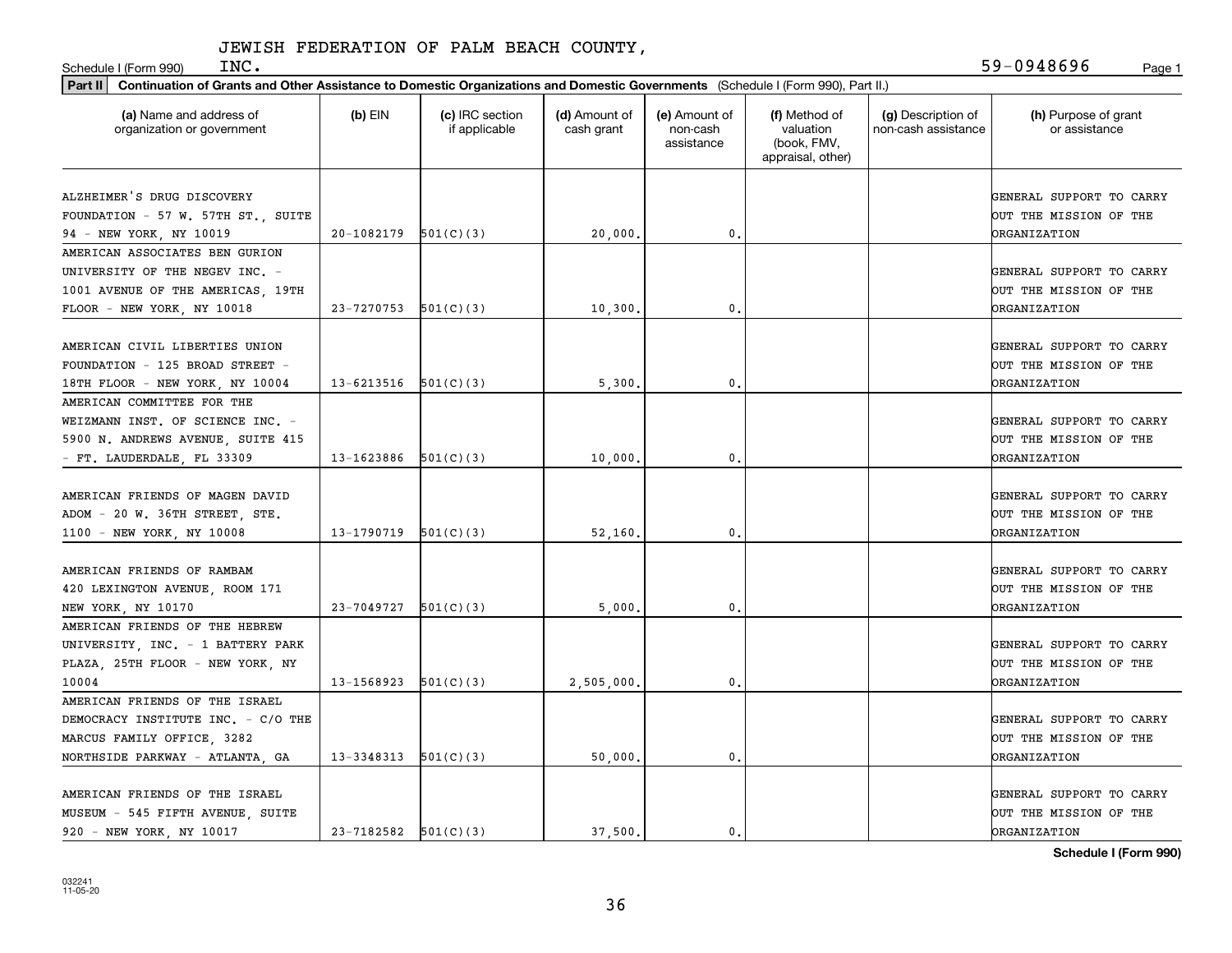| Part II   Continuation of Grants and Other Assistance to Domestic Organizations and Domestic Governments (Schedule I (Form 990), Part II.) |            |                                  |                             |                                         |                                                                |                                           |                                       |
|--------------------------------------------------------------------------------------------------------------------------------------------|------------|----------------------------------|-----------------------------|-----------------------------------------|----------------------------------------------------------------|-------------------------------------------|---------------------------------------|
| (a) Name and address of<br>organization or government                                                                                      | $(b)$ EIN  | (c) IRC section<br>if applicable | (d) Amount of<br>cash grant | (e) Amount of<br>non-cash<br>assistance | (f) Method of<br>valuation<br>(book, FMV,<br>appraisal, other) | (g) Description of<br>non-cash assistance | (h) Purpose of grant<br>or assistance |
| ALZHEIMER'S DRUG DISCOVERY                                                                                                                 |            |                                  |                             |                                         |                                                                |                                           | GENERAL SUPPORT TO CARRY              |
| FOUNDATION - 57 W. 57TH ST., SUITE                                                                                                         |            |                                  |                             |                                         |                                                                |                                           | OUT THE MISSION OF THE                |
| 94 - NEW YORK, NY 10019                                                                                                                    | 20-1082179 | 501(C)(3)                        | 20,000.                     | $\mathfrak o$ .                         |                                                                |                                           | <b>DRGANIZATION</b>                   |
| AMERICAN ASSOCIATES BEN GURION                                                                                                             |            |                                  |                             |                                         |                                                                |                                           |                                       |
| UNIVERSITY OF THE NEGEV INC. -                                                                                                             |            |                                  |                             |                                         |                                                                |                                           | GENERAL SUPPORT TO CARRY              |
| 1001 AVENUE OF THE AMERICAS, 19TH                                                                                                          |            |                                  |                             |                                         |                                                                |                                           | OUT THE MISSION OF THE                |
| FLOOR - NEW YORK, NY 10018                                                                                                                 | 23-7270753 | 501(C)(3)                        | 10,300                      | $\mathbf{0}$                            |                                                                |                                           | <b>DRGANIZATION</b>                   |
|                                                                                                                                            |            |                                  |                             |                                         |                                                                |                                           |                                       |
| AMERICAN CIVIL LIBERTIES UNION                                                                                                             |            |                                  |                             |                                         |                                                                |                                           | GENERAL SUPPORT TO CARRY              |
| FOUNDATION - 125 BROAD STREET -                                                                                                            |            |                                  |                             |                                         |                                                                |                                           | OUT THE MISSION OF THE                |
| 18TH FLOOR - NEW YORK, NY 10004                                                                                                            | 13-6213516 | 501(C)(3)                        | 5,300.                      | 0.                                      |                                                                |                                           | <b>DRGANIZATION</b>                   |
| AMERICAN COMMITTEE FOR THE                                                                                                                 |            |                                  |                             |                                         |                                                                |                                           |                                       |
| WEIZMANN INST. OF SCIENCE INC. -                                                                                                           |            |                                  |                             |                                         |                                                                |                                           | GENERAL SUPPORT TO CARRY              |
| 5900 N. ANDREWS AVENUE, SUITE 415                                                                                                          |            |                                  |                             |                                         |                                                                |                                           | OUT THE MISSION OF THE                |
| - FT. LAUDERDALE, FL 33309                                                                                                                 | 13-1623886 | 501(C)(3)                        | 10,000                      | $\mathbf{0}$                            |                                                                |                                           | <b>DRGANIZATION</b>                   |
|                                                                                                                                            |            |                                  |                             |                                         |                                                                |                                           |                                       |
| AMERICAN FRIENDS OF MAGEN DAVID                                                                                                            |            |                                  |                             |                                         |                                                                |                                           | GENERAL SUPPORT TO CARRY              |
| ADOM - 20 W. 36TH STREET STE.                                                                                                              |            |                                  |                             |                                         |                                                                |                                           | OUT THE MISSION OF THE                |
| 1100 - NEW YORK, NY 10008                                                                                                                  | 13-1790719 | 501(C)(3)                        | 52,160.                     | $\mathbf{0}$                            |                                                                |                                           | <b>DRGANIZATION</b>                   |
|                                                                                                                                            |            |                                  |                             |                                         |                                                                |                                           |                                       |
| AMERICAN FRIENDS OF RAMBAM                                                                                                                 |            |                                  |                             |                                         |                                                                |                                           | GENERAL SUPPORT TO CARRY              |
| 420 LEXINGTON AVENUE, ROOM 171                                                                                                             |            |                                  |                             |                                         |                                                                |                                           | OUT THE MISSION OF THE                |
| NEW YORK, NY 10170                                                                                                                         | 23-7049727 | 501(C)(3)                        | 5,000                       | 0.                                      |                                                                |                                           | <b>DRGANIZATION</b>                   |
| AMERICAN FRIENDS OF THE HEBREW                                                                                                             |            |                                  |                             |                                         |                                                                |                                           |                                       |
| UNIVERSITY, INC. - 1 BATTERY PARK                                                                                                          |            |                                  |                             |                                         |                                                                |                                           | GENERAL SUPPORT TO CARRY              |
| PLAZA, 25TH FLOOR - NEW YORK, NY                                                                                                           |            |                                  |                             |                                         |                                                                |                                           | OUT THE MISSION OF THE                |
| 10004                                                                                                                                      | 13-1568923 | 501(C)(3)                        | 2,505,000.                  | 0.                                      |                                                                |                                           | <b>DRGANIZATION</b>                   |
| AMERICAN FRIENDS OF THE ISRAEL                                                                                                             |            |                                  |                             |                                         |                                                                |                                           |                                       |
| DEMOCRACY INSTITUTE INC. - C/O THE                                                                                                         |            |                                  |                             |                                         |                                                                |                                           | GENERAL SUPPORT TO CARRY              |
| MARCUS FAMILY OFFICE, 3282                                                                                                                 |            |                                  |                             |                                         |                                                                |                                           | OUT THE MISSION OF THE                |
| NORTHSIDE PARKWAY - ATLANTA, GA                                                                                                            | 13-3348313 | 501(C)(3)                        | 50,000                      | $\mathbf{0}$                            |                                                                |                                           | <b>DRGANIZATION</b>                   |
|                                                                                                                                            |            |                                  |                             |                                         |                                                                |                                           |                                       |
| AMERICAN FRIENDS OF THE ISRAEL                                                                                                             |            |                                  |                             |                                         |                                                                |                                           | GENERAL SUPPORT TO CARRY              |
| MUSEUM - 545 FIFTH AVENUE, SUITE                                                                                                           |            |                                  |                             |                                         |                                                                |                                           | OUT THE MISSION OF THE                |
| 920 - NEW YORK, NY 10017                                                                                                                   | 23-7182582 | 501(C)(3)                        | 37,500.                     | $\mathbf{0}$ .                          |                                                                |                                           | <b>DRGANIZATION</b>                   |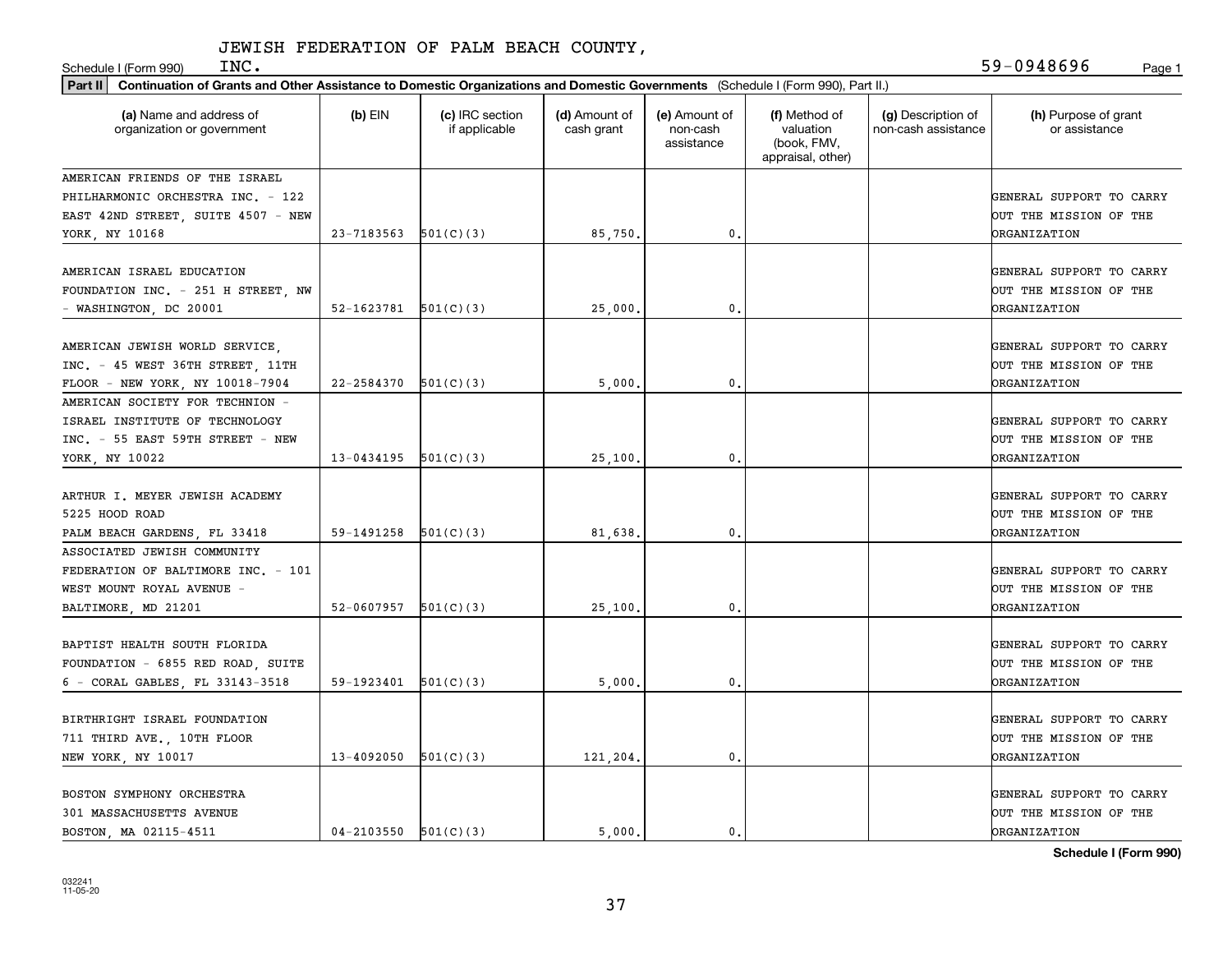| (h) Purpose of grant<br>or assistance                                     |
|---------------------------------------------------------------------------|
|                                                                           |
| GENERAL SUPPORT TO CARRY                                                  |
| OUT THE MISSION OF THE                                                    |
| <b>DRGANIZATION</b>                                                       |
| GENERAL SUPPORT TO CARRY<br>OUT THE MISSION OF THE<br><b>DRGANIZATION</b> |
|                                                                           |
| GENERAL SUPPORT TO CARRY                                                  |
| OUT THE MISSION OF THE                                                    |
| <b>DRGANIZATION</b>                                                       |
| GENERAL SUPPORT TO CARRY                                                  |
| OUT THE MISSION OF THE                                                    |
| <b>DRGANIZATION</b>                                                       |
|                                                                           |
| GENERAL SUPPORT TO CARRY                                                  |
| OUT THE MISSION OF THE                                                    |
| <b>DRGANIZATION</b>                                                       |
|                                                                           |
| GENERAL SUPPORT TO CARRY                                                  |
| OUT THE MISSION OF THE                                                    |
| <b>DRGANIZATION</b>                                                       |
| GENERAL SUPPORT TO CARRY<br>OUT THE MISSION OF THE<br><b>DRGANIZATION</b> |
|                                                                           |
| GENERAL SUPPORT TO CARRY                                                  |
| OUT THE MISSION OF THE                                                    |
| <b>ORGANIZATION</b>                                                       |
| GENERAL SUPPORT TO CARRY                                                  |
|                                                                           |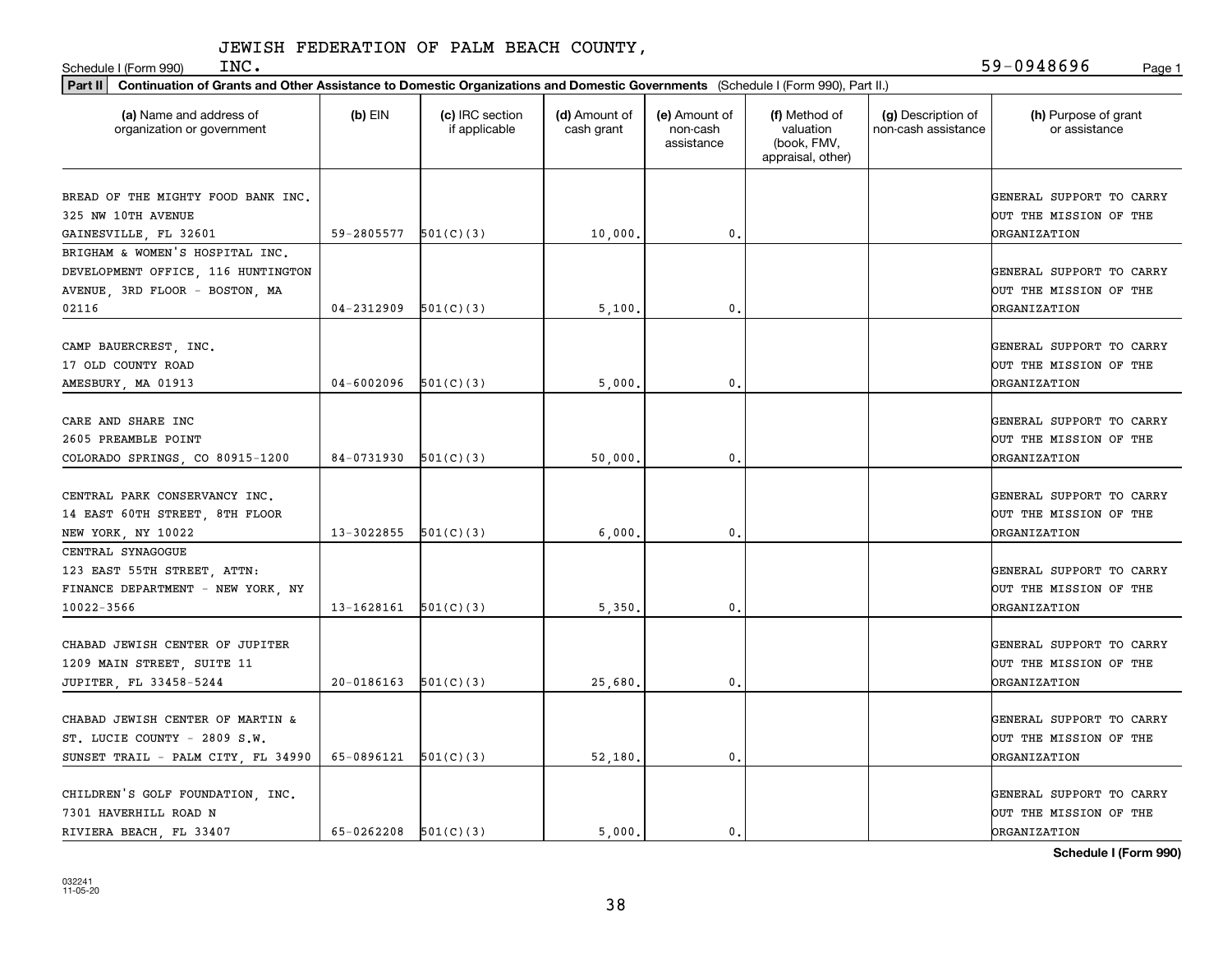| Part II   Continuation of Grants and Other Assistance to Domestic Organizations and Domestic Governments (Schedule I (Form 990), Part II.) |                          |                                  |                             |                                         |                                                                |                                           |                                                                           |
|--------------------------------------------------------------------------------------------------------------------------------------------|--------------------------|----------------------------------|-----------------------------|-----------------------------------------|----------------------------------------------------------------|-------------------------------------------|---------------------------------------------------------------------------|
| (a) Name and address of<br>organization or government                                                                                      | $(b)$ EIN                | (c) IRC section<br>if applicable | (d) Amount of<br>cash grant | (e) Amount of<br>non-cash<br>assistance | (f) Method of<br>valuation<br>(book, FMV,<br>appraisal, other) | (g) Description of<br>non-cash assistance | (h) Purpose of grant<br>or assistance                                     |
| BREAD OF THE MIGHTY FOOD BANK INC.<br>325 NW 10TH AVENUE<br>GAINESVILLE, FL 32601                                                          | 59-2805577               | 501(C)(3)                        | 10,000.                     | $\mathbf 0$ .                           |                                                                |                                           | GENERAL SUPPORT TO CARRY<br>OUT THE MISSION OF THE<br><b>DRGANIZATION</b> |
| BRIGHAM & WOMEN'S HOSPITAL INC.<br>DEVELOPMENT OFFICE, 116 HUNTINGTON<br>AVENUE, 3RD FLOOR - BOSTON, MA<br>02116                           | 04-2312909               | 501(C)(3)                        | 5,100                       | $\mathbf{0}$ .                          |                                                                |                                           | GENERAL SUPPORT TO CARRY<br>OUT THE MISSION OF THE<br><b>DRGANIZATION</b> |
| CAMP BAUERCREST, INC.<br>17 OLD COUNTY ROAD<br>AMESBURY, MA 01913                                                                          | 04-6002096               | 501(C)(3)                        | 5,000                       | $\mathbf{0}$                            |                                                                |                                           | GENERAL SUPPORT TO CARRY<br>OUT THE MISSION OF THE<br><b>DRGANIZATION</b> |
| CARE AND SHARE INC<br>2605 PREAMBLE POINT<br>COLORADO SPRINGS, CO 80915-1200                                                               | 84-0731930               | 501(C)(3)                        | 50,000                      | $\mathbf 0$ .                           |                                                                |                                           | GENERAL SUPPORT TO CARRY<br>OUT THE MISSION OF THE<br><b>DRGANIZATION</b> |
| CENTRAL PARK CONSERVANCY INC.<br>14 EAST 60TH STREET, 8TH FLOOR<br>NEW YORK, NY 10022                                                      | 13-3022855               | 501(C)(3)                        | 6,000                       | $\mathbf{0}$                            |                                                                |                                           | GENERAL SUPPORT TO CARRY<br>OUT THE MISSION OF THE<br><b>DRGANIZATION</b> |
| CENTRAL SYNAGOGUE<br>123 EAST 55TH STREET, ATTN:<br>FINANCE DEPARTMENT - NEW YORK, NY<br>10022-3566                                        | 13-1628161               | 501(C)(3)                        | 5,350                       | 0.                                      |                                                                |                                           | GENERAL SUPPORT TO CARRY<br>OUT THE MISSION OF THE<br><b>DRGANIZATION</b> |
| CHABAD JEWISH CENTER OF JUPITER<br>1209 MAIN STREET, SUITE 11<br>JUPITER, FL 33458-5244                                                    | $20-0186163$ $501(C)(3)$ |                                  | 25,680.                     | 0.                                      |                                                                |                                           | GENERAL SUPPORT TO CARRY<br>OUT THE MISSION OF THE<br><b>DRGANIZATION</b> |
| CHABAD JEWISH CENTER OF MARTIN &<br>ST. LUCIE COUNTY - 2809 S.W.<br>SUNSET TRAIL - PALM CITY, FL 34990                                     | 65-0896121               | 501(C)(3)                        | 52,180                      | 0.                                      |                                                                |                                           | GENERAL SUPPORT TO CARRY<br>OUT THE MISSION OF THE<br><b>DRGANIZATION</b> |
| CHILDREN'S GOLF FOUNDATION, INC.<br>7301 HAVERHILL ROAD N<br>RIVIERA BEACH, FL 33407                                                       | 65-0262208               | 501(C)(3)                        | 5,000.                      | $\mathbf{0}$ .                          |                                                                |                                           | GENERAL SUPPORT TO CARRY<br>OUT THE MISSION OF THE<br><b>DRGANIZATION</b> |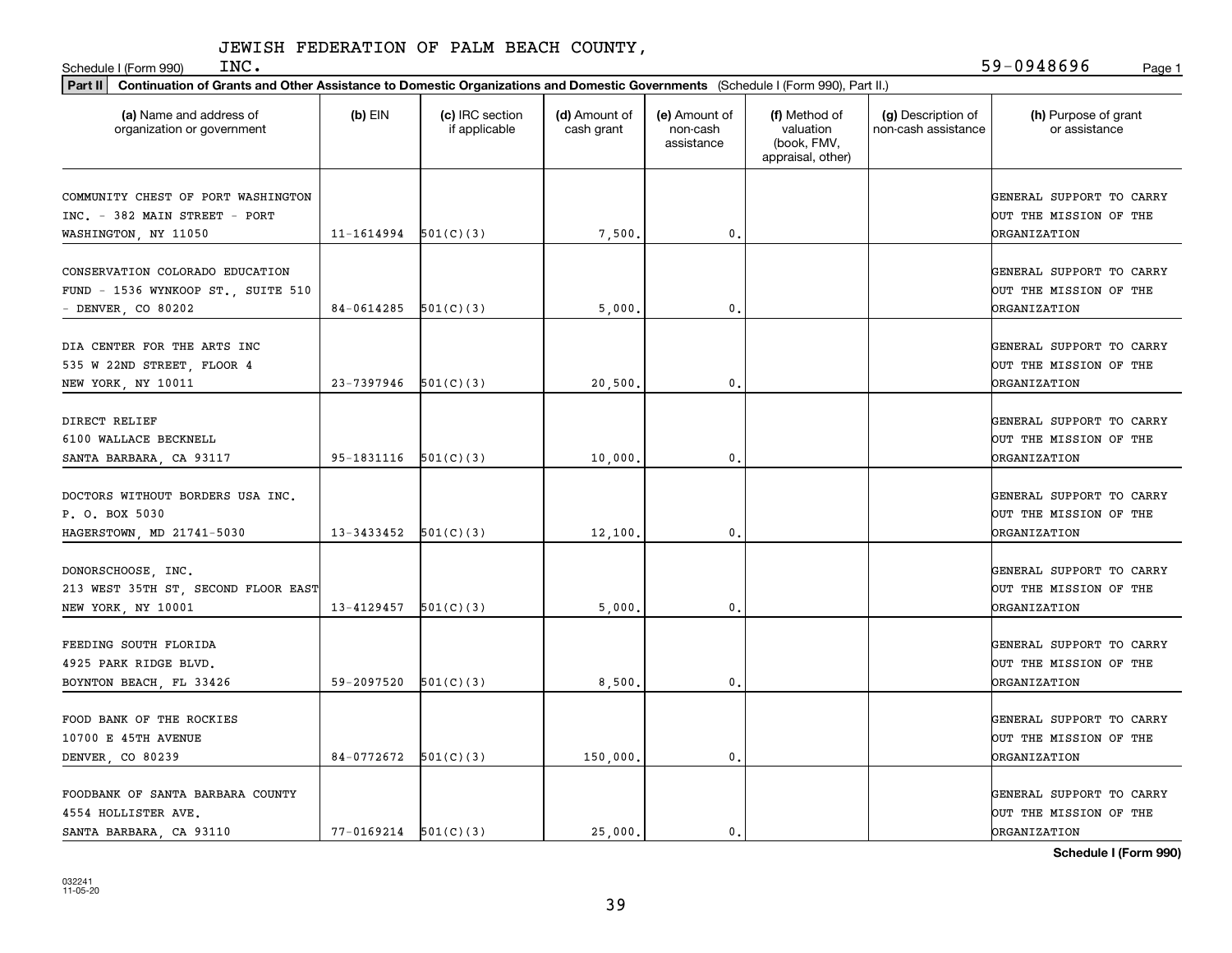| Part II   Continuation of Grants and Other Assistance to Domestic Organizations and Domestic Governments (Schedule I (Form 990), Part II.) |                            |                                  |                             |                                         |                                                                |                                           |                                                                           |
|--------------------------------------------------------------------------------------------------------------------------------------------|----------------------------|----------------------------------|-----------------------------|-----------------------------------------|----------------------------------------------------------------|-------------------------------------------|---------------------------------------------------------------------------|
| (a) Name and address of<br>organization or government                                                                                      | $(b)$ EIN                  | (c) IRC section<br>if applicable | (d) Amount of<br>cash grant | (e) Amount of<br>non-cash<br>assistance | (f) Method of<br>valuation<br>(book, FMV,<br>appraisal, other) | (g) Description of<br>non-cash assistance | (h) Purpose of grant<br>or assistance                                     |
| COMMUNITY CHEST OF PORT WASHINGTON<br>INC. - 382 MAIN STREET - PORT<br>WASHINGTON, NY 11050                                                | $11-1614994$ $501(C)(3)$   |                                  | 7,500.                      | 0.                                      |                                                                |                                           | GENERAL SUPPORT TO CARRY<br>OUT THE MISSION OF THE<br><b>DRGANIZATION</b> |
| CONSERVATION COLORADO EDUCATION<br>FUND - 1536 WYNKOOP ST., SUITE 510<br>$-$ DENVER, CO 80202                                              | 84-0614285                 | 501(C)(3)                        | 5,000                       | 0.                                      |                                                                |                                           | GENERAL SUPPORT TO CARRY<br>OUT THE MISSION OF THE<br><b>DRGANIZATION</b> |
| DIA CENTER FOR THE ARTS INC<br>535 W 22ND STREET, FLOOR 4<br>NEW YORK, NY 10011                                                            | 23-7397946                 | 501(C)(3)                        | 20,500.                     | $^{\circ}$ .                            |                                                                |                                           | GENERAL SUPPORT TO CARRY<br>OUT THE MISSION OF THE<br><b>DRGANIZATION</b> |
| DIRECT RELIEF<br>6100 WALLACE BECKNELL<br>SANTA BARBARA, CA 93117                                                                          | $95-1831116$ $501(C)(3)$   |                                  | 10,000                      | $\mathbf{0}$ .                          |                                                                |                                           | GENERAL SUPPORT TO CARRY<br>OUT THE MISSION OF THE<br><b>DRGANIZATION</b> |
| DOCTORS WITHOUT BORDERS USA INC.<br>P. O. BOX 5030<br>HAGERSTOWN, MD 21741-5030                                                            | $13 - 3433452$ $501(C)(3)$ |                                  | 12,100.                     | 0.                                      |                                                                |                                           | GENERAL SUPPORT TO CARRY<br>OUT THE MISSION OF THE<br><b>DRGANIZATION</b> |
| DONORSCHOOSE, INC.<br>213 WEST 35TH ST, SECOND FLOOR EAST<br>NEW YORK, NY 10001                                                            | 13-4129457                 | 501(C)(3)                        | 5,000                       | $\mathbf{0}$                            |                                                                |                                           | GENERAL SUPPORT TO CARRY<br>OUT THE MISSION OF THE<br><b>DRGANIZATION</b> |
| FEEDING SOUTH FLORIDA<br>4925 PARK RIDGE BLVD.<br>BOYNTON BEACH, FL 33426                                                                  | 59-2097520                 | 501(C)(3)                        | 8,500                       | 0.                                      |                                                                |                                           | GENERAL SUPPORT TO CARRY<br>OUT THE MISSION OF THE<br><b>DRGANIZATION</b> |
| FOOD BANK OF THE ROCKIES<br>10700 E 45TH AVENUE<br>DENVER, CO 80239                                                                        | 84-0772672 $501(C)(3)$     |                                  | 150,000.                    | 0.                                      |                                                                |                                           | GENERAL SUPPORT TO CARRY<br>OUT THE MISSION OF THE<br><b>ORGANIZATION</b> |
| FOODBANK OF SANTA BARBARA COUNTY<br>4554 HOLLISTER AVE.<br>SANTA BARBARA, CA 93110                                                         | $77-0169214$ $501(C)(3)$   |                                  | 25,000.                     | $\mathbf{0}$ .                          |                                                                |                                           | GENERAL SUPPORT TO CARRY<br>OUT THE MISSION OF THE<br><b>DRGANIZATION</b> |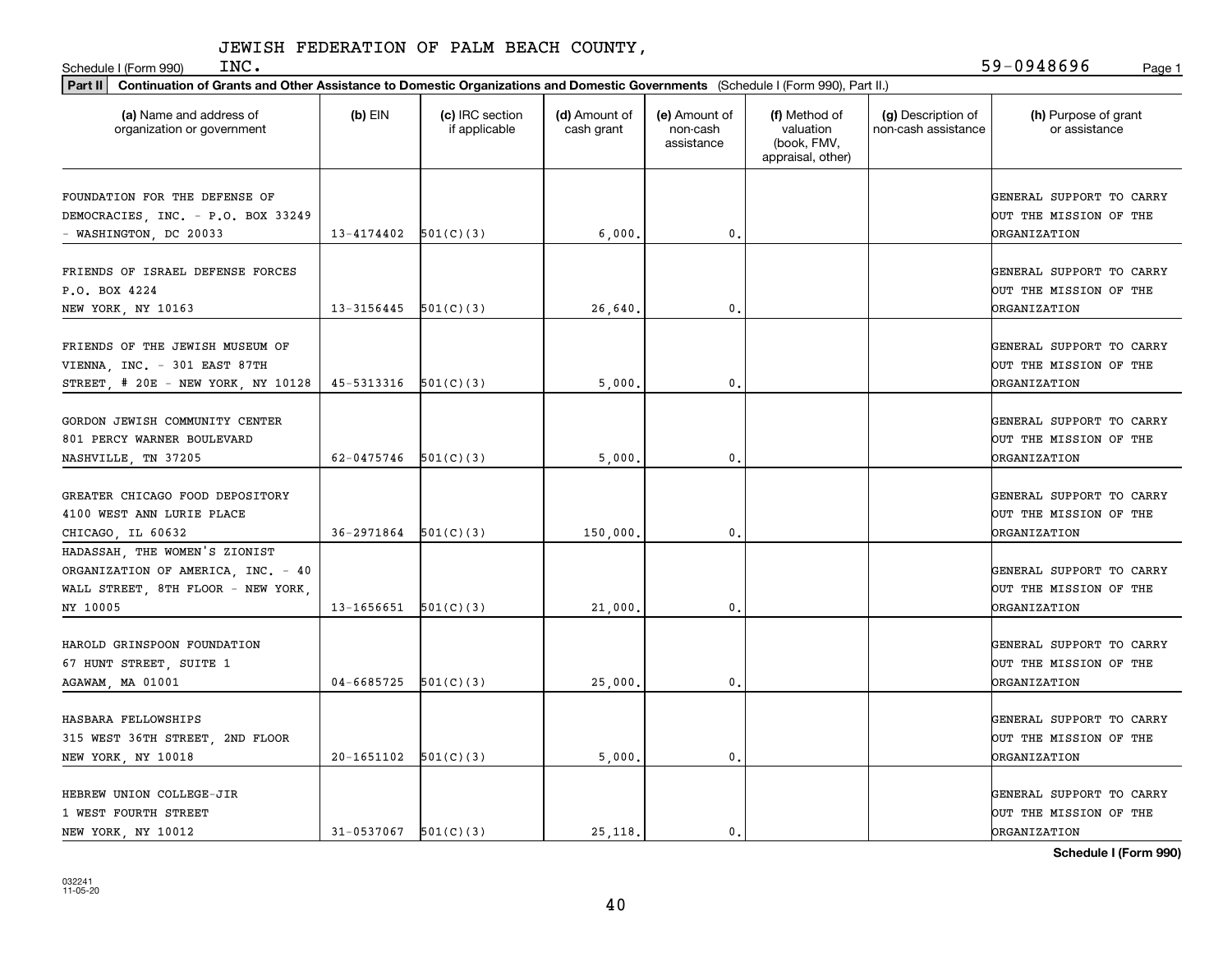| Part II   Continuation of Grants and Other Assistance to Domestic Organizations and Domestic Governments (Schedule I (Form 990), Part II.) |            |                                  |                             |                                         |                                                                |                                           |                                                                           |
|--------------------------------------------------------------------------------------------------------------------------------------------|------------|----------------------------------|-----------------------------|-----------------------------------------|----------------------------------------------------------------|-------------------------------------------|---------------------------------------------------------------------------|
| (a) Name and address of<br>organization or government                                                                                      | $(b)$ EIN  | (c) IRC section<br>if applicable | (d) Amount of<br>cash grant | (e) Amount of<br>non-cash<br>assistance | (f) Method of<br>valuation<br>(book, FMV,<br>appraisal, other) | (g) Description of<br>non-cash assistance | (h) Purpose of grant<br>or assistance                                     |
| FOUNDATION FOR THE DEFENSE OF<br>DEMOCRACIES, INC. - P.O. BOX 33249<br>- WASHINGTON, DC 20033                                              | 13-4174402 | 501(C)(3)                        | 6,000,                      | 0.                                      |                                                                |                                           | GENERAL SUPPORT TO CARRY<br>OUT THE MISSION OF THE<br><b>DRGANIZATION</b> |
| FRIENDS OF ISRAEL DEFENSE FORCES<br>P.O. BOX 4224<br>NEW YORK, NY 10163                                                                    | 13-3156445 | 501(C)(3)                        | 26,640.                     | 0.                                      |                                                                |                                           | GENERAL SUPPORT TO CARRY<br>OUT THE MISSION OF THE<br><b>DRGANIZATION</b> |
| FRIENDS OF THE JEWISH MUSEUM OF<br>VIENNA, INC. - 301 EAST 87TH<br>STREET, # 20E - NEW YORK, NY 10128                                      | 45-5313316 | 501(C)(3)                        | 5,000                       | $\mathfrak{o}$ .                        |                                                                |                                           | GENERAL SUPPORT TO CARRY<br>OUT THE MISSION OF THE<br><b>DRGANIZATION</b> |
| GORDON JEWISH COMMUNITY CENTER<br>801 PERCY WARNER BOULEVARD<br>NASHVILLE, TN 37205                                                        | 62-0475746 | 501(C)(3)                        | 5,000                       | $\mathbf{0}$                            |                                                                |                                           | GENERAL SUPPORT TO CARRY<br>OUT THE MISSION OF THE<br><b>DRGANIZATION</b> |
| GREATER CHICAGO FOOD DEPOSITORY<br>4100 WEST ANN LURIE PLACE<br>CHICAGO, IL 60632                                                          | 36-2971864 | 501(C)(3)                        | 150,000.                    | $\mathfrak o$ .                         |                                                                |                                           | GENERAL SUPPORT TO CARRY<br>OUT THE MISSION OF THE<br><b>ORGANIZATION</b> |
| HADASSAH, THE WOMEN'S ZIONIST<br>ORGANIZATION OF AMERICA, INC. - 40<br>WALL STREET, 8TH FLOOR - NEW YORK,<br>NY 10005                      | 13-1656651 | 501(C)(3)                        | 21,000                      | 0.                                      |                                                                |                                           | GENERAL SUPPORT TO CARRY<br>OUT THE MISSION OF THE<br><b>ORGANIZATION</b> |
| HAROLD GRINSPOON FOUNDATION<br>67 HUNT STREET, SUITE 1<br>AGAWAM, MA 01001                                                                 | 04-6685725 | 501(C)(3)                        | 25,000.                     | $^{\circ}$ .                            |                                                                |                                           | GENERAL SUPPORT TO CARRY<br>OUT THE MISSION OF THE<br><b>DRGANIZATION</b> |
| HASBARA FELLOWSHIPS<br>315 WEST 36TH STREET, 2ND FLOOR<br>NEW YORK, NY 10018                                                               | 20-1651102 | 501(C)(3)                        | 5,000.                      | 0.                                      |                                                                |                                           | GENERAL SUPPORT TO CARRY<br>OUT THE MISSION OF THE<br><b>DRGANIZATION</b> |
| HEBREW UNION COLLEGE-JIR<br>1 WEST FOURTH STREET<br>NEW YORK, NY 10012                                                                     | 31-0537067 | 501(C)(3)                        | 25,118.                     | $\mathbf{0}$ .                          |                                                                |                                           | GENERAL SUPPORT TO CARRY<br>OUT THE MISSION OF THE<br><b>DRGANIZATION</b> |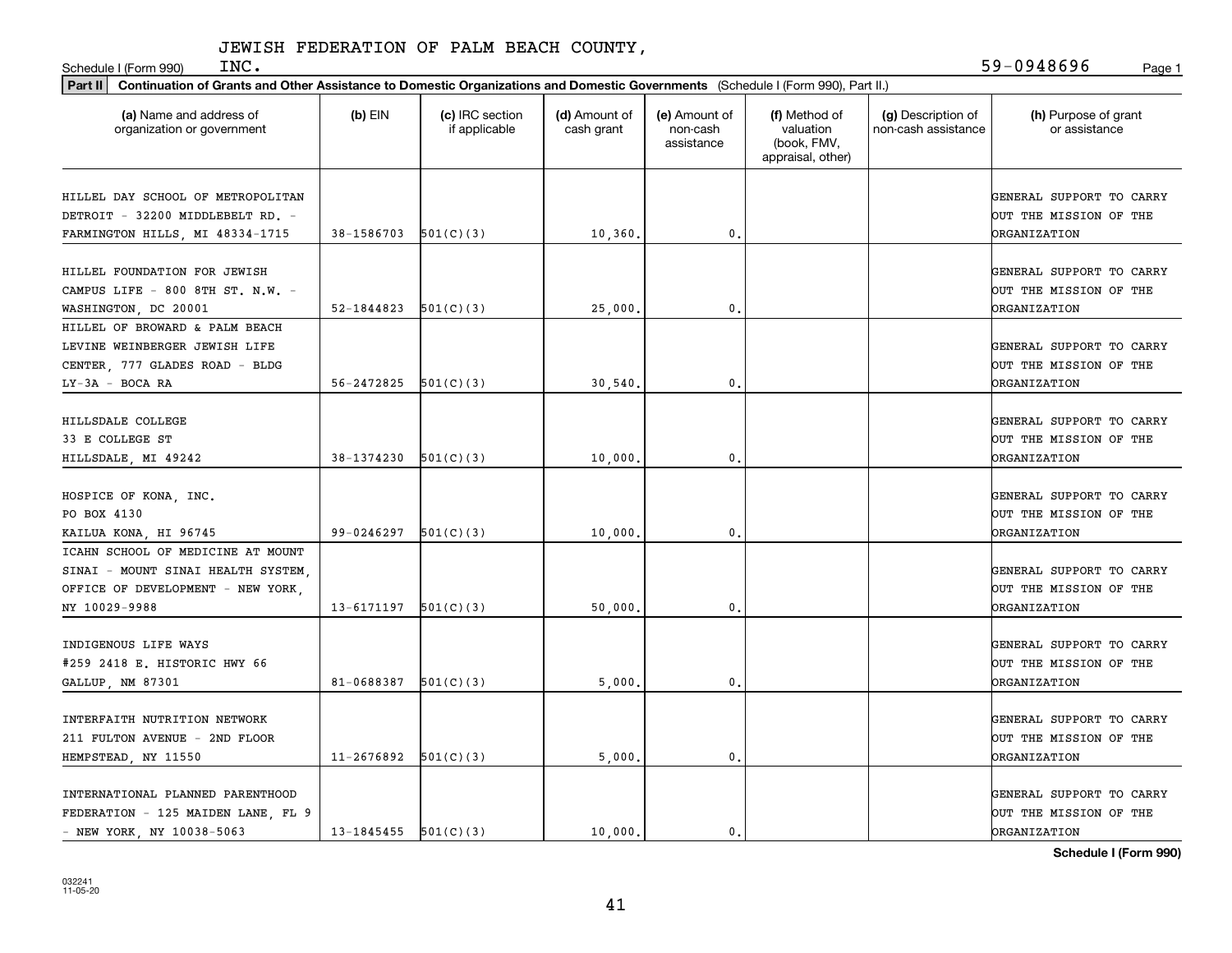|                                                                                                                              | Part II   Continuation of Grants and Other Assistance to Domestic Organizations and Domestic Governments (Schedule I (Form 990), Part II.) |                                  |                             |                                         |                                                                |                                           |                                                                           |  |  |  |
|------------------------------------------------------------------------------------------------------------------------------|--------------------------------------------------------------------------------------------------------------------------------------------|----------------------------------|-----------------------------|-----------------------------------------|----------------------------------------------------------------|-------------------------------------------|---------------------------------------------------------------------------|--|--|--|
| (a) Name and address of<br>organization or government                                                                        | $(b)$ EIN                                                                                                                                  | (c) IRC section<br>if applicable | (d) Amount of<br>cash grant | (e) Amount of<br>non-cash<br>assistance | (f) Method of<br>valuation<br>(book, FMV,<br>appraisal, other) | (g) Description of<br>non-cash assistance | (h) Purpose of grant<br>or assistance                                     |  |  |  |
| HILLEL DAY SCHOOL OF METROPOLITAN<br>DETROIT - 32200 MIDDLEBELT RD. -<br>FARMINGTON HILLS, MI 48334-1715                     | 38-1586703                                                                                                                                 | 501(C)(3)                        | 10,360.                     | 0.                                      |                                                                |                                           | GENERAL SUPPORT TO CARRY<br>OUT THE MISSION OF THE<br><b>DRGANIZATION</b> |  |  |  |
| HILLEL FOUNDATION FOR JEWISH<br>CAMPUS LIFE - 800 8TH ST. N.W. -<br>WASHINGTON, DC 20001                                     | 52-1844823                                                                                                                                 | 501(C)(3)                        | 25,000,                     | 0.                                      |                                                                |                                           | GENERAL SUPPORT TO CARRY<br>OUT THE MISSION OF THE<br><b>DRGANIZATION</b> |  |  |  |
| HILLEL OF BROWARD & PALM BEACH<br>LEVINE WEINBERGER JEWISH LIFE<br>CENTER, 777 GLADES ROAD - BLDG<br>LY-3A - BOCA RA         | 56-2472825                                                                                                                                 | 501(C)(3)                        | 30,540.                     | $\mathbf{0}$ .                          |                                                                |                                           | GENERAL SUPPORT TO CARRY<br>OUT THE MISSION OF THE<br><b>DRGANIZATION</b> |  |  |  |
| HILLSDALE COLLEGE<br>33 E COLLEGE ST<br>HILLSDALE, MI 49242                                                                  | 38-1374230                                                                                                                                 | 501(C)(3)                        | 10,000                      | $\mathbf{0}$ .                          |                                                                |                                           | GENERAL SUPPORT TO CARRY<br>OUT THE MISSION OF THE<br><b>ORGANIZATION</b> |  |  |  |
| HOSPICE OF KONA, INC.<br>PO BOX 4130<br>KAILUA KONA, HI 96745                                                                | 99-0246297                                                                                                                                 | 501(C)(3)                        | 10,000,                     | 0.                                      |                                                                |                                           | GENERAL SUPPORT TO CARRY<br>OUT THE MISSION OF THE<br><b>DRGANIZATION</b> |  |  |  |
| ICAHN SCHOOL OF MEDICINE AT MOUNT<br>SINAI - MOUNT SINAI HEALTH SYSTEM<br>OFFICE OF DEVELOPMENT - NEW YORK,<br>NY 10029-9988 | 13-6171197                                                                                                                                 | 501(C)(3)                        | 50,000.                     | 0.                                      |                                                                |                                           | GENERAL SUPPORT TO CARRY<br>OUT THE MISSION OF THE<br><b>DRGANIZATION</b> |  |  |  |
| INDIGENOUS LIFE WAYS<br>#259 2418 E. HISTORIC HWY 66<br>GALLUP, NM 87301                                                     | 81-0688387                                                                                                                                 | 501(C)(3)                        | 5,000                       | $^{\circ}$ .                            |                                                                |                                           | GENERAL SUPPORT TO CARRY<br>OUT THE MISSION OF THE<br><b>DRGANIZATION</b> |  |  |  |
| INTERFAITH NUTRITION NETWORK<br>211 FULTON AVENUE - 2ND FLOOR<br>HEMPSTEAD, NY 11550                                         | 11-2676892                                                                                                                                 | 501(C)(3)                        | 5,000.                      | $\mathbf{0}$ .                          |                                                                |                                           | GENERAL SUPPORT TO CARRY<br>OUT THE MISSION OF THE<br><b>ORGANIZATION</b> |  |  |  |
| INTERNATIONAL PLANNED PARENTHOOD<br>FEDERATION - 125 MAIDEN LANE, FL 9<br>- NEW YORK, NY 10038-5063                          | 13-1845455                                                                                                                                 | 501(C)(3)                        | 10,000.                     | $\mathfrak{o}$ .                        |                                                                |                                           | GENERAL SUPPORT TO CARRY<br>OUT THE MISSION OF THE<br><b>DRGANIZATION</b> |  |  |  |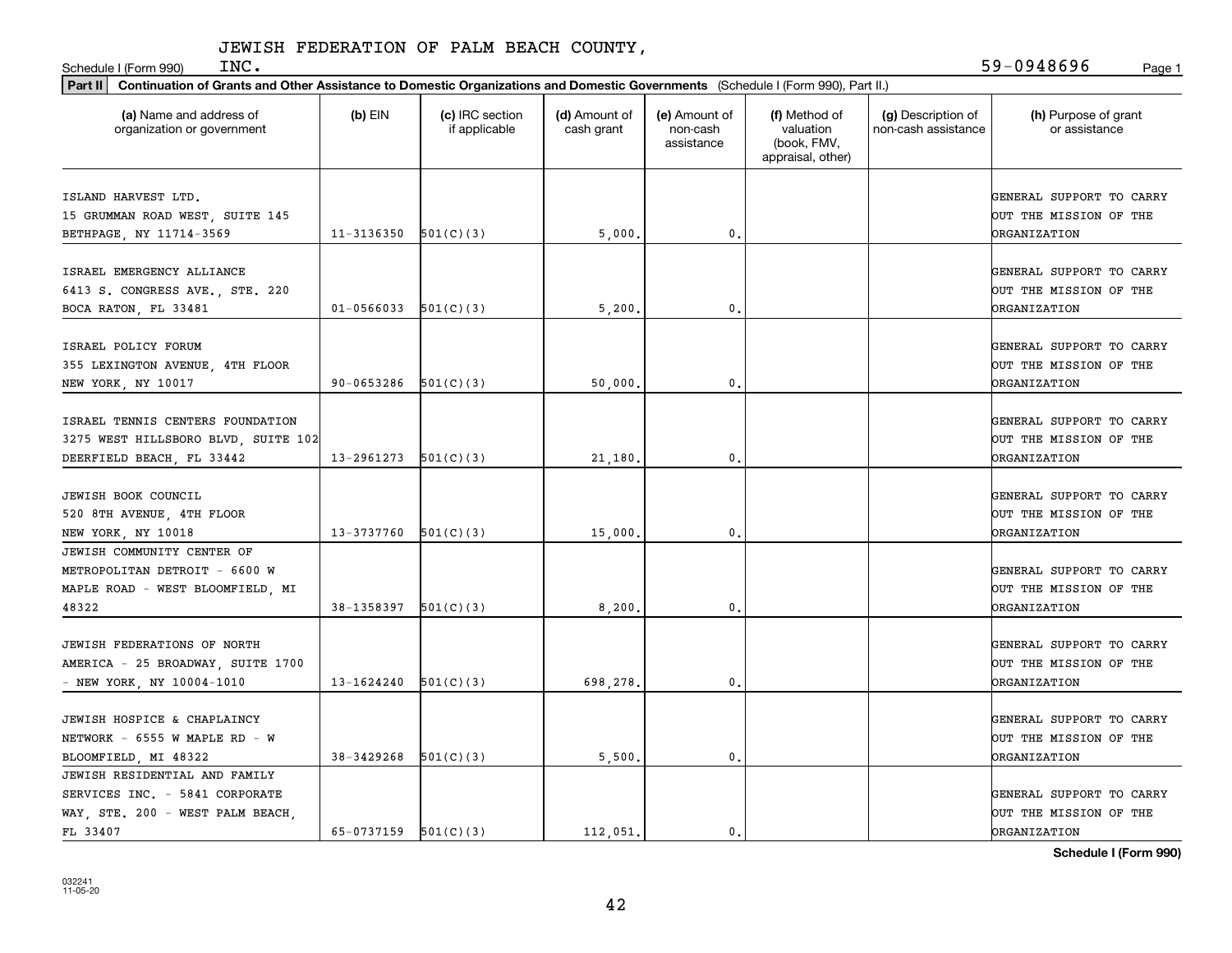| INC.<br>Schedule I (Form 990)                                                                                                               |                          |                                  |                             |                                         |                                                                |                                           | 59-0948696                                                                | Page 1 |
|---------------------------------------------------------------------------------------------------------------------------------------------|--------------------------|----------------------------------|-----------------------------|-----------------------------------------|----------------------------------------------------------------|-------------------------------------------|---------------------------------------------------------------------------|--------|
| Continuation of Grants and Other Assistance to Domestic Organizations and Domestic Governments (Schedule I (Form 990), Part II.)<br>Part II |                          |                                  |                             |                                         |                                                                |                                           |                                                                           |        |
| (a) Name and address of<br>organization or government                                                                                       | $(b)$ EIN                | (c) IRC section<br>if applicable | (d) Amount of<br>cash grant | (e) Amount of<br>non-cash<br>assistance | (f) Method of<br>valuation<br>(book, FMV,<br>appraisal, other) | (g) Description of<br>non-cash assistance | (h) Purpose of grant<br>or assistance                                     |        |
| ISLAND HARVEST LTD.<br>15 GRUMMAN ROAD WEST, SUITE 145<br>BETHPAGE, NY 11714-3569                                                           | 11-3136350               | 501(C)(3)                        | 5,000                       | 0.                                      |                                                                |                                           | GENERAL SUPPORT TO CARRY<br>OUT THE MISSION OF THE<br><b>ORGANIZATION</b> |        |
| ISRAEL EMERGENCY ALLIANCE<br>6413 S. CONGRESS AVE., STE. 220<br>BOCA RATON, FL 33481                                                        | 01-0566033               | 501(C)(3)                        | 5,200.                      | 0.                                      |                                                                |                                           | GENERAL SUPPORT TO CARRY<br>OUT THE MISSION OF THE<br><b>DRGANIZATION</b> |        |
| ISRAEL POLICY FORUM<br>355 LEXINGTON AVENUE, 4TH FLOOR<br>NEW YORK, NY 10017                                                                | 90-0653286               | 501(C)(3)                        | 50,000.                     | 0.                                      |                                                                |                                           | GENERAL SUPPORT TO CARRY<br>OUT THE MISSION OF THE<br><b>ORGANIZATION</b> |        |
| ISRAEL TENNIS CENTERS FOUNDATION<br>3275 WEST HILLSBORO BLVD, SUITE 102<br>DEERFIELD BEACH, FL 33442                                        | 13-2961273               | 501(C)(3)                        | 21,180                      | 0.                                      |                                                                |                                           | GENERAL SUPPORT TO CARRY<br>OUT THE MISSION OF THE<br>ORGANIZATION        |        |
| <b>JEWISH BOOK COUNCIL</b><br>520 8TH AVENUE, 4TH FLOOR<br><b>NEW YORK, NY 10018</b>                                                        | 13-3737760               | 501(C)(3)                        | 15,000                      | 0.                                      |                                                                |                                           | GENERAL SUPPORT TO CARRY<br>OUT THE MISSION OF THE<br><b>ORGANIZATION</b> |        |
| JEWISH COMMUNITY CENTER OF<br>METROPOLITAN DETROIT - 6600 W<br>MAPLE ROAD - WEST BLOOMFIELD, MI<br>48322                                    | $38-1358397$ $501(C)(3)$ |                                  | 8,200.                      | 0.                                      |                                                                |                                           | GENERAL SUPPORT TO CARRY<br>OUT THE MISSION OF THE<br><b>ORGANIZATION</b> |        |
| <b>JEWISH FEDERATIONS OF NORTH</b><br>AMERICA - 25 BROADWAY, SUITE 1700<br>$-$ NEW YORK, NY 10004-1010                                      | 13-1624240               | 501(C)(3)                        | 698,278                     | 0.                                      |                                                                |                                           | GENERAL SUPPORT TO CARRY<br>OUT THE MISSION OF THE<br><b>DRGANIZATION</b> |        |
| JEWISH HOSPICE & CHAPLAINCY<br>NETWORK - 6555 W MAPLE RD - W<br>BLOOMFIELD, MI 48322                                                        | 38-3429268               | 501(C)(3)                        | 5,500.                      | $\mathbf{0}$ .                          |                                                                |                                           | GENERAL SUPPORT TO CARRY<br>OUT THE MISSION OF THE<br><b>ORGANIZATION</b> |        |
| JEWISH RESIDENTIAL AND FAMILY<br>SERVICES INC. - 5841 CORPORATE<br>WAY, STE. 200 - WEST PALM BEACH,<br>FL 33407                             | $65-0737159$ $501(C)(3)$ |                                  | 112,051.                    | 0.                                      |                                                                |                                           | GENERAL SUPPORT TO CARRY<br>OUT THE MISSION OF THE<br><b>ORGANIZATION</b> |        |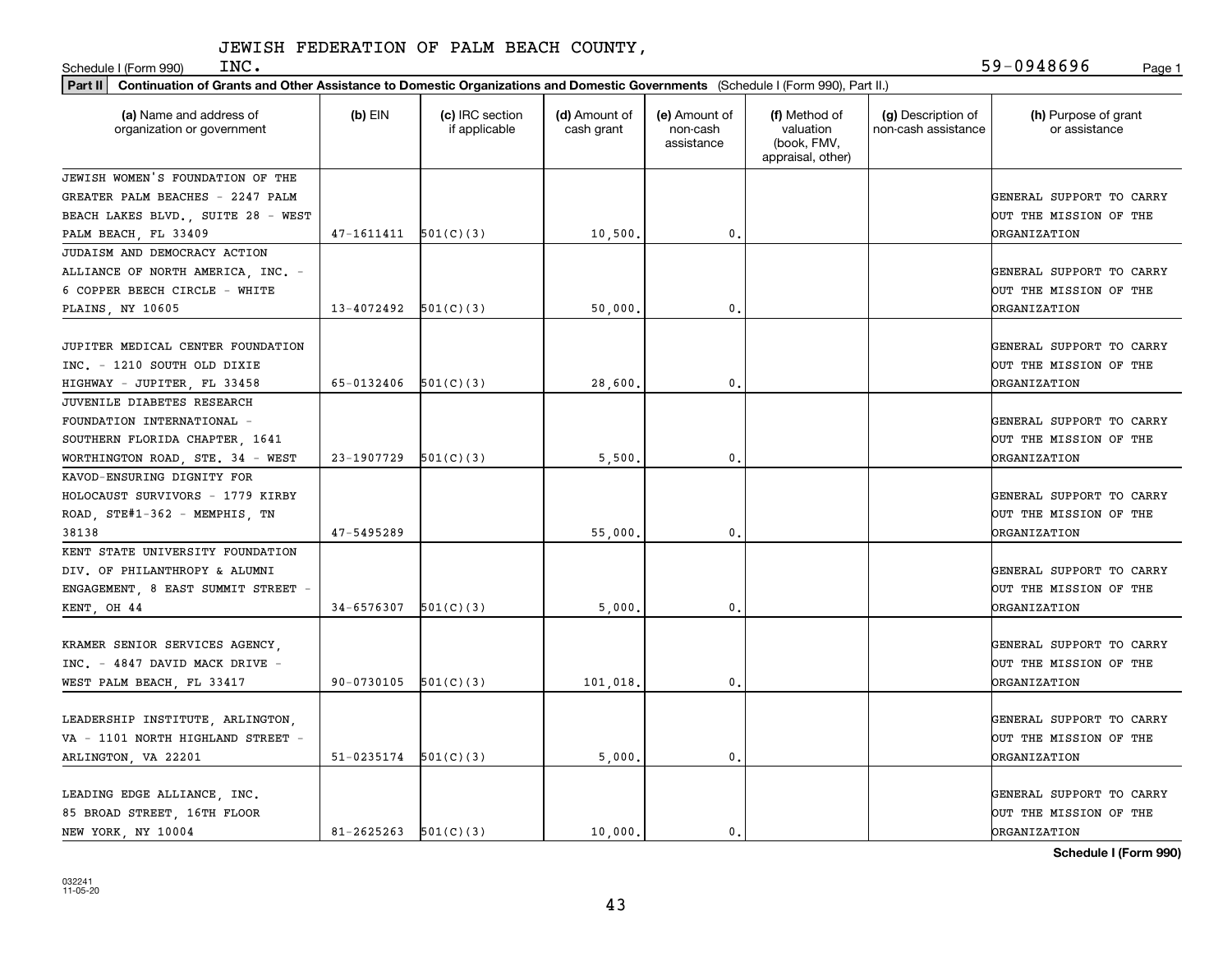| Part II   Continuation of Grants and Other Assistance to Domestic Organizations and Domestic Governments (Schedule I (Form 990), Part II.) |            |                                  |                             |                                         |                                                                |                                           |                                       |
|--------------------------------------------------------------------------------------------------------------------------------------------|------------|----------------------------------|-----------------------------|-----------------------------------------|----------------------------------------------------------------|-------------------------------------------|---------------------------------------|
| (a) Name and address of<br>organization or government                                                                                      | $(b)$ EIN  | (c) IRC section<br>if applicable | (d) Amount of<br>cash grant | (e) Amount of<br>non-cash<br>assistance | (f) Method of<br>valuation<br>(book, FMV,<br>appraisal, other) | (g) Description of<br>non-cash assistance | (h) Purpose of grant<br>or assistance |
| JEWISH WOMEN'S FOUNDATION OF THE                                                                                                           |            |                                  |                             |                                         |                                                                |                                           |                                       |
| GREATER PALM BEACHES - 2247 PALM                                                                                                           |            |                                  |                             |                                         |                                                                |                                           | GENERAL SUPPORT TO CARRY              |
| BEACH LAKES BLVD., SUITE 28 - WEST                                                                                                         |            |                                  |                             |                                         |                                                                |                                           | OUT THE MISSION OF THE                |
| PALM BEACH, FL 33409                                                                                                                       | 47-1611411 | 501(C)(3)                        | 10,500.                     | 0.                                      |                                                                |                                           | <b>DRGANIZATION</b>                   |
| JUDAISM AND DEMOCRACY ACTION                                                                                                               |            |                                  |                             |                                         |                                                                |                                           |                                       |
| ALLIANCE OF NORTH AMERICA, INC. -                                                                                                          |            |                                  |                             |                                         |                                                                |                                           | GENERAL SUPPORT TO CARRY              |
| 6 COPPER BEECH CIRCLE - WHITE                                                                                                              |            |                                  |                             |                                         |                                                                |                                           | OUT THE MISSION OF THE                |
| PLAINS, NY 10605                                                                                                                           | 13-4072492 | 501(C)(3)                        | 50,000                      | 0.                                      |                                                                |                                           | <b>DRGANIZATION</b>                   |
| JUPITER MEDICAL CENTER FOUNDATION                                                                                                          |            |                                  |                             |                                         |                                                                |                                           | GENERAL SUPPORT TO CARRY              |
| INC. - 1210 SOUTH OLD DIXIE                                                                                                                |            |                                  |                             |                                         |                                                                |                                           | OUT THE MISSION OF THE                |
| HIGHWAY - JUPITER, FL 33458                                                                                                                | 65-0132406 | 501(C)(3)                        | 28,600                      | 0.                                      |                                                                |                                           | <b>DRGANIZATION</b>                   |
| JUVENILE DIABETES RESEARCH                                                                                                                 |            |                                  |                             |                                         |                                                                |                                           |                                       |
| FOUNDATION INTERNATIONAL -                                                                                                                 |            |                                  |                             |                                         |                                                                |                                           | GENERAL SUPPORT TO CARRY              |
| SOUTHERN FLORIDA CHAPTER, 1641                                                                                                             |            |                                  |                             |                                         |                                                                |                                           | OUT THE MISSION OF THE                |
| WORTHINGTON ROAD, STE. 34 - WEST                                                                                                           | 23-1907729 | 501(C)(3)                        | 5,500                       | 0.                                      |                                                                |                                           | <b>ORGANIZATION</b>                   |
| KAVOD-ENSURING DIGNITY FOR                                                                                                                 |            |                                  |                             |                                         |                                                                |                                           |                                       |
| HOLOCAUST SURVIVORS - 1779 KIRBY                                                                                                           |            |                                  |                             |                                         |                                                                |                                           | GENERAL SUPPORT TO CARRY              |
| ROAD, STE#1-362 - MEMPHIS, TN                                                                                                              |            |                                  |                             |                                         |                                                                |                                           | OUT THE MISSION OF THE                |
| 38138                                                                                                                                      | 47-5495289 |                                  | 55,000                      | $\mathbf{0}$                            |                                                                |                                           | <b>ORGANIZATION</b>                   |
| KENT STATE UNIVERSITY FOUNDATION                                                                                                           |            |                                  |                             |                                         |                                                                |                                           |                                       |
| DIV. OF PHILANTHROPY & ALUMNI                                                                                                              |            |                                  |                             |                                         |                                                                |                                           | GENERAL SUPPORT TO CARRY              |
| ENGAGEMENT, 8 EAST SUMMIT STREET -                                                                                                         |            |                                  |                             |                                         |                                                                |                                           | OUT THE MISSION OF THE                |
| KENT, OH 44                                                                                                                                | 34-6576307 | 501(C)(3)                        | 5,000                       | 0.                                      |                                                                |                                           | <b>DRGANIZATION</b>                   |
|                                                                                                                                            |            |                                  |                             |                                         |                                                                |                                           |                                       |
| KRAMER SENIOR SERVICES AGENCY,                                                                                                             |            |                                  |                             |                                         |                                                                |                                           | GENERAL SUPPORT TO CARRY              |
| $INC. - 4847$ DAVID MACK DRIVE -                                                                                                           |            |                                  |                             |                                         |                                                                |                                           | OUT THE MISSION OF THE                |
| WEST PALM BEACH, FL 33417                                                                                                                  | 90-0730105 | 501(C)(3)                        | 101,018,                    | 0.                                      |                                                                |                                           | <b>DRGANIZATION</b>                   |
|                                                                                                                                            |            |                                  |                             |                                         |                                                                |                                           |                                       |
| LEADERSHIP INSTITUTE, ARLINGTON,                                                                                                           |            |                                  |                             |                                         |                                                                |                                           | GENERAL SUPPORT TO CARRY              |
| VA - 1101 NORTH HIGHLAND STREET -                                                                                                          |            |                                  |                             |                                         |                                                                |                                           | OUT THE MISSION OF THE                |
| ARLINGTON, VA 22201                                                                                                                        | 51-0235174 | 501(C)(3)                        | 5,000.                      | $\mathbf{0}$ .                          |                                                                |                                           | <b>ORGANIZATION</b>                   |
|                                                                                                                                            |            |                                  |                             |                                         |                                                                |                                           |                                       |
| LEADING EDGE ALLIANCE, INC.                                                                                                                |            |                                  |                             |                                         |                                                                |                                           | GENERAL SUPPORT TO CARRY              |
| 85 BROAD STREET, 16TH FLOOR                                                                                                                |            |                                  |                             |                                         |                                                                |                                           | OUT THE MISSION OF THE                |
| NEW YORK, NY 10004                                                                                                                         | 81-2625263 | 501(C)(3)                        | 10,000.                     | 0.                                      |                                                                |                                           | <b>DRGANIZATION</b>                   |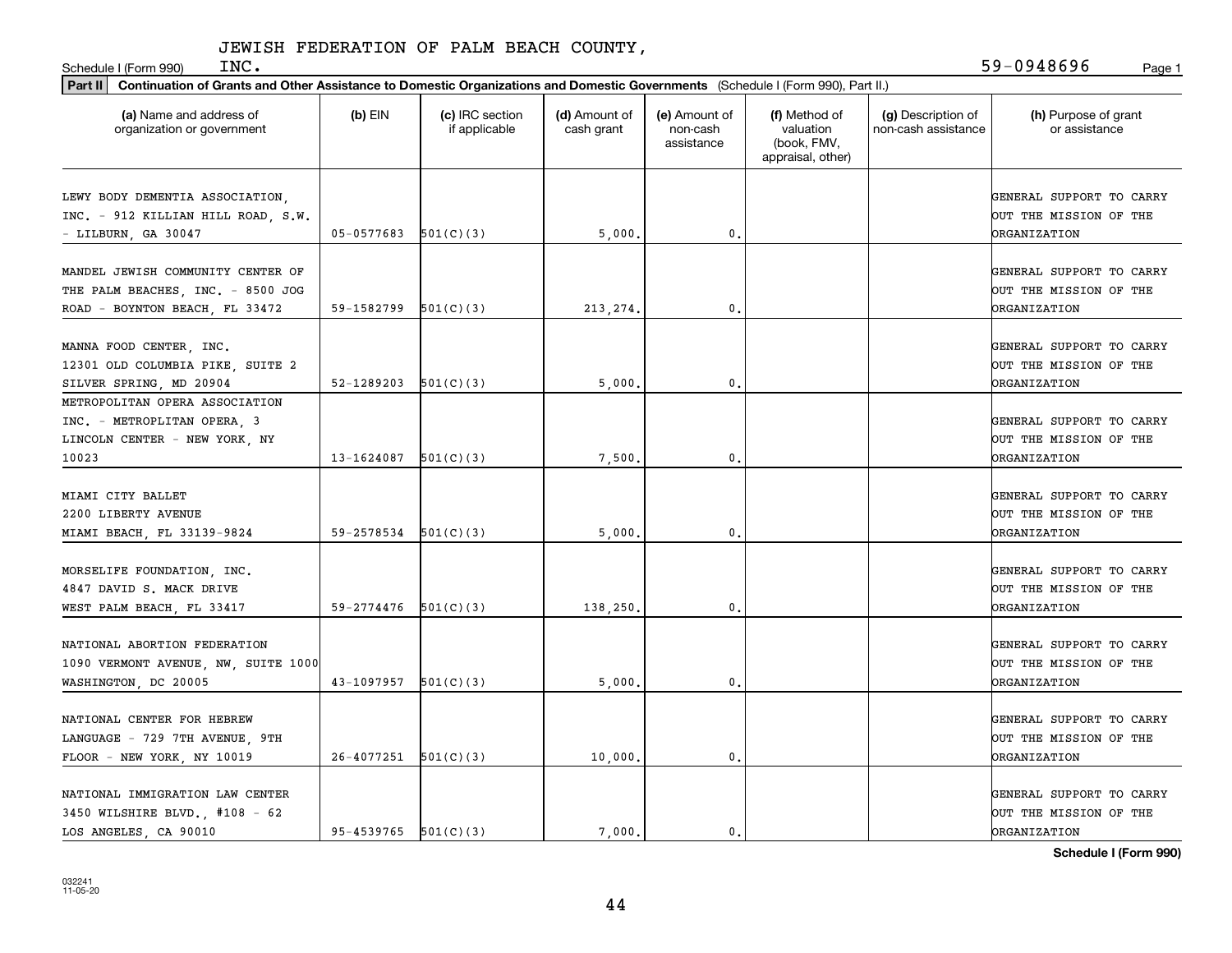| Part II   Continuation of Grants and Other Assistance to Domestic Organizations and Domestic Governments (Schedule I (Form 990), Part II.) |                          |                                  |                             |                                         |                                                                |                                           |                                                                           |
|--------------------------------------------------------------------------------------------------------------------------------------------|--------------------------|----------------------------------|-----------------------------|-----------------------------------------|----------------------------------------------------------------|-------------------------------------------|---------------------------------------------------------------------------|
| (a) Name and address of<br>organization or government                                                                                      | $(b)$ EIN                | (c) IRC section<br>if applicable | (d) Amount of<br>cash grant | (e) Amount of<br>non-cash<br>assistance | (f) Method of<br>valuation<br>(book, FMV,<br>appraisal, other) | (g) Description of<br>non-cash assistance | (h) Purpose of grant<br>or assistance                                     |
| LEWY BODY DEMENTIA ASSOCIATION,<br>INC. - 912 KILLIAN HILL ROAD, S.W.<br>- LILBURN, GA 30047                                               | 05-0577683               | 501(C)(3)                        | 5,000.                      | 0.                                      |                                                                |                                           | GENERAL SUPPORT TO CARRY<br>OUT THE MISSION OF THE<br><b>DRGANIZATION</b> |
| MANDEL JEWISH COMMUNITY CENTER OF<br>THE PALM BEACHES, INC. - 8500 JOG<br>ROAD - BOYNTON BEACH, FL 33472                                   | 59-1582799               | 501(C)(3)                        | 213, 274.                   | $\mathbf{0}$                            |                                                                |                                           | GENERAL SUPPORT TO CARRY<br>OUT THE MISSION OF THE<br><b>DRGANIZATION</b> |
| MANNA FOOD CENTER, INC.<br>12301 OLD COLUMBIA PIKE, SUITE 2<br>SILVER SPRING, MD 20904                                                     | 52-1289203               | 501(C)(3)                        | 5,000                       | $\mathfrak{o}$ .                        |                                                                |                                           | GENERAL SUPPORT TO CARRY<br>OUT THE MISSION OF THE<br><b>DRGANIZATION</b> |
| METROPOLITAN OPERA ASSOCIATION<br>INC. - METROPLITAN OPERA, 3<br>LINCOLN CENTER - NEW YORK, NY<br>10023                                    | 13-1624087               | 501(C)(3)                        | 7,500                       | $\mathbf{0}$                            |                                                                |                                           | GENERAL SUPPORT TO CARRY<br>OUT THE MISSION OF THE<br><b>DRGANIZATION</b> |
| MIAMI CITY BALLET<br>2200 LIBERTY AVENUE<br>MIAMI BEACH, FL 33139-9824                                                                     | 59-2578534               | 501(C)(3)                        | 5,000                       | 0.                                      |                                                                |                                           | GENERAL SUPPORT TO CARRY<br>OUT THE MISSION OF THE<br><b>DRGANIZATION</b> |
| MORSELIFE FOUNDATION, INC.<br>4847 DAVID S. MACK DRIVE<br>WEST PALM BEACH, FL 33417                                                        | 59-2774476               | 501(C)(3)                        | 138,250,                    | $\mathbf{0}$                            |                                                                |                                           | GENERAL SUPPORT TO CARRY<br>OUT THE MISSION OF THE<br><b>DRGANIZATION</b> |
| NATIONAL ABORTION FEDERATION<br>1090 VERMONT AVENUE, NW, SUITE 1000<br>WASHINGTON, DC 20005                                                | 43-1097957               | 501(C)(3)                        | 5,000                       | 0.                                      |                                                                |                                           | GENERAL SUPPORT TO CARRY<br>OUT THE MISSION OF THE<br><b>DRGANIZATION</b> |
| NATIONAL CENTER FOR HEBREW<br>LANGUAGE - 729 7TH AVENUE, 9TH<br>FLOOR - NEW YORK, NY 10019                                                 | $26-4077251$ $501(C)(3)$ |                                  | 10,000.                     | $^{\circ}$ .                            |                                                                |                                           | GENERAL SUPPORT TO CARRY<br>OUT THE MISSION OF THE<br><b>ORGANIZATION</b> |
| NATIONAL IMMIGRATION LAW CENTER<br>3450 WILSHIRE BLVD., #108 - 62<br>LOS ANGELES, CA 90010                                                 | 95-4539765               | 501(C)(3)                        | 7.000.                      | $\mathfrak{o}$ .                        |                                                                |                                           | GENERAL SUPPORT TO CARRY<br>OUT THE MISSION OF THE<br><b>DRGANIZATION</b> |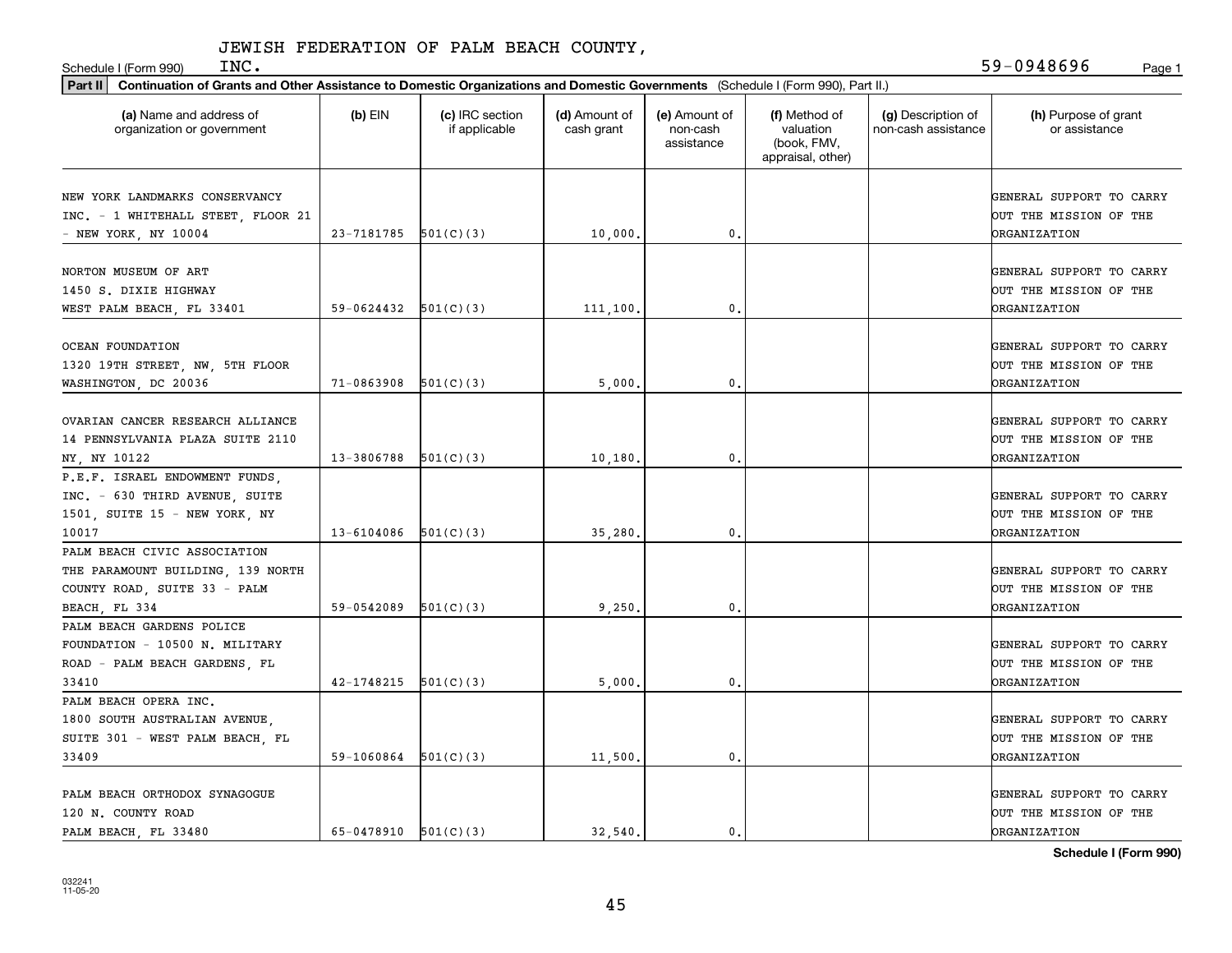| (a) Name and address of<br>organization or government                                                              | $(b)$ EIN  | (c) IRC section<br>if applicable | (d) Amount of<br>cash grant | (e) Amount of<br>non-cash<br>assistance | (f) Method of<br>valuation<br>(book, FMV,<br>appraisal, other) | (g) Description of<br>non-cash assistance | (h) Purpose of grant<br>or assistance                                     |
|--------------------------------------------------------------------------------------------------------------------|------------|----------------------------------|-----------------------------|-----------------------------------------|----------------------------------------------------------------|-------------------------------------------|---------------------------------------------------------------------------|
| NEW YORK LANDMARKS CONSERVANCY<br>INC. - 1 WHITEHALL STEET, FLOOR 21<br>- NEW YORK, NY 10004                       | 23-7181785 | 501(C)(3)                        | 10,000,                     | 0.                                      |                                                                |                                           | GENERAL SUPPORT TO CARRY<br>OUT THE MISSION OF THE<br><b>DRGANIZATION</b> |
| NORTON MUSEUM OF ART<br>1450 S. DIXIE HIGHWAY<br>WEST PALM BEACH, FL 33401                                         | 59-0624432 | 501(C)(3)                        | 111,100                     | 0.                                      |                                                                |                                           | GENERAL SUPPORT TO CARRY<br>OUT THE MISSION OF THE<br><b>ORGANIZATION</b> |
| <b>OCEAN FOUNDATION</b><br>1320 19TH STREET, NW, 5TH FLOOR<br>WASHINGTON, DC 20036                                 | 71-0863908 | 501(C)(3)                        | 5,000                       | $\mathfrak o$ .                         |                                                                |                                           | GENERAL SUPPORT TO CARRY<br>OUT THE MISSION OF THE<br><b>DRGANIZATION</b> |
| OVARIAN CANCER RESEARCH ALLIANCE<br>14 PENNSYLVANIA PLAZA SUITE 2110<br>NY, NY 10122                               | 13-3806788 | 501(C)(3)                        | 10,180                      | $\mathbf{0}$                            |                                                                |                                           | GENERAL SUPPORT TO CARRY<br>OUT THE MISSION OF THE<br><b>DRGANIZATION</b> |
| P.E.F. ISRAEL ENDOWMENT FUNDS,<br>INC. - 630 THIRD AVENUE, SUITE<br>1501, SUITE 15 - NEW YORK, NY<br>10017         | 13-6104086 | 501(C)(3)                        | 35,280                      | $\mathsf 0$ .                           |                                                                |                                           | GENERAL SUPPORT TO CARRY<br>OUT THE MISSION OF THE<br><b>ORGANIZATION</b> |
| PALM BEACH CIVIC ASSOCIATION<br>THE PARAMOUNT BUILDING, 139 NORTH<br>COUNTY ROAD, SUITE 33 - PALM<br>BEACH, FL 334 | 59-0542089 | 501(C)(3)                        | 9,250                       | $\mathbf{0}$ .                          |                                                                |                                           | GENERAL SUPPORT TO CARRY<br>OUT THE MISSION OF THE<br><b>ORGANIZATION</b> |
| PALM BEACH GARDENS POLICE<br>FOUNDATION - 10500 N. MILITARY<br>ROAD - PALM BEACH GARDENS, FL<br>33410              | 42-1748215 | 501(C)(3)                        | 5,000                       | $\mathfrak o$ .                         |                                                                |                                           | GENERAL SUPPORT TO CARRY<br>OUT THE MISSION OF THE<br><b>DRGANIZATION</b> |
| PALM BEACH OPERA INC.<br>1800 SOUTH AUSTRALIAN AVENUE,<br>SUITE 301 - WEST PALM BEACH FL<br>33409                  | 59-1060864 | 501(C)(3)                        | 11,500                      | $\mathbf{0}$                            |                                                                |                                           | GENERAL SUPPORT TO CARRY<br>OUT THE MISSION OF THE<br><b>DRGANIZATION</b> |
| PALM BEACH ORTHODOX SYNAGOGUE<br>120 N. COUNTY ROAD<br>PALM BEACH, FL 33480                                        | 65-0478910 | 501(C)(3)                        | 32,540.                     | $\mathbf{0}$ .                          |                                                                |                                           | GENERAL SUPPORT TO CARRY<br>OUT THE MISSION OF THE<br><b>DRGANIZATION</b> |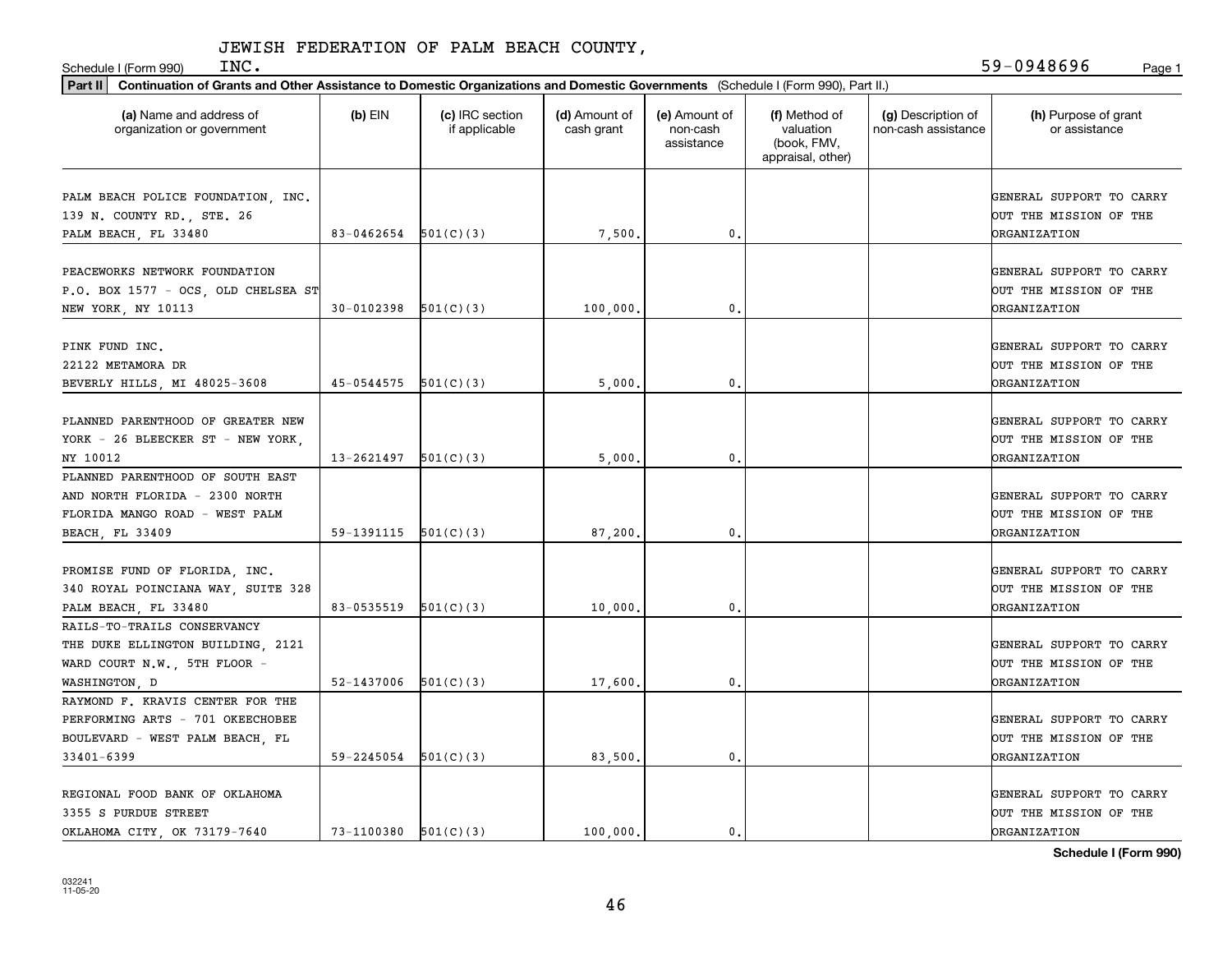| Part II   Continuation of Grants and Other Assistance to Domestic Organizations and Domestic Governments (Schedule I (Form 990), Part II.) |                            |                                  |                             |                                         |                                                                |                                           |                                                                           |
|--------------------------------------------------------------------------------------------------------------------------------------------|----------------------------|----------------------------------|-----------------------------|-----------------------------------------|----------------------------------------------------------------|-------------------------------------------|---------------------------------------------------------------------------|
| (a) Name and address of<br>organization or government                                                                                      | $(b)$ EIN                  | (c) IRC section<br>if applicable | (d) Amount of<br>cash grant | (e) Amount of<br>non-cash<br>assistance | (f) Method of<br>valuation<br>(book, FMV,<br>appraisal, other) | (g) Description of<br>non-cash assistance | (h) Purpose of grant<br>or assistance                                     |
| PALM BEACH POLICE FOUNDATION, INC.<br>139 N. COUNTY RD., STE. 26<br>PALM BEACH, FL 33480                                                   | 83-0462654                 | 501(C)(3)                        | 7,500.                      | $\mathsf 0$ .                           |                                                                |                                           | GENERAL SUPPORT TO CARRY<br>OUT THE MISSION OF THE<br><b>ORGANIZATION</b> |
| PEACEWORKS NETWORK FOUNDATION<br>P.O. BOX 1577 - OCS, OLD CHELSEA ST<br>NEW YORK, NY 10113                                                 | 30-0102398                 | 501(C)(3)                        | 100,000                     | 0.                                      |                                                                |                                           | GENERAL SUPPORT TO CARRY<br>OUT THE MISSION OF THE<br><b>DRGANIZATION</b> |
| PINK FUND INC.<br>22122 METAMORA DR<br>BEVERLY HILLS, MI 48025-3608                                                                        | 45-0544575                 | 501(C)(3)                        | 5,000                       | 0.                                      |                                                                |                                           | GENERAL SUPPORT TO CARRY<br>OUT THE MISSION OF THE<br><b>DRGANIZATION</b> |
| PLANNED PARENTHOOD OF GREATER NEW<br>YORK - 26 BLEECKER ST - NEW YORK,<br>NY 10012                                                         | $13 - 2621497$ $501(C)(3)$ |                                  | 5,000                       | 0                                       |                                                                |                                           | GENERAL SUPPORT TO CARRY<br>OUT THE MISSION OF THE<br><b>DRGANIZATION</b> |
| PLANNED PARENTHOOD OF SOUTH EAST<br>AND NORTH FLORIDA - 2300 NORTH<br>FLORIDA MANGO ROAD - WEST PALM<br>BEACH, FL 33409                    | 59-1391115                 | 501(C)(3)                        | 87,200                      | $\mathbf{0}$                            |                                                                |                                           | GENERAL SUPPORT TO CARRY<br>OUT THE MISSION OF THE<br><b>ORGANIZATION</b> |
| PROMISE FUND OF FLORIDA, INC.<br>340 ROYAL POINCIANA WAY, SUITE 328<br>PALM BEACH, FL 33480                                                | 83-0535519                 | 501(C)(3)                        | 10,000                      | 0.                                      |                                                                |                                           | GENERAL SUPPORT TO CARRY<br>OUT THE MISSION OF THE<br><b>DRGANIZATION</b> |
| RAILS-TO-TRAILS CONSERVANCY<br>THE DUKE ELLINGTON BUILDING, 2121<br>WARD COURT N.W., 5TH FLOOR -<br>WASHINGTON, D                          | 52-1437006                 | 501(C)(3)                        | 17,600                      | 0.                                      |                                                                |                                           | GENERAL SUPPORT TO CARRY<br>OUT THE MISSION OF THE<br><b>ORGANIZATION</b> |
| RAYMOND F. KRAVIS CENTER FOR THE<br>PERFORMING ARTS - 701 OKEECHOBEE<br>BOULEVARD - WEST PALM BEACH, FL<br>33401-6399                      | 59-2245054                 | 501(C)(3)                        | 83,500                      | $\mathbf{0}$                            |                                                                |                                           | GENERAL SUPPORT TO CARRY<br>OUT THE MISSION OF THE<br><b>DRGANIZATION</b> |
| REGIONAL FOOD BANK OF OKLAHOMA<br>3355 S PURDUE STREET<br>OKLAHOMA CITY, OK 73179-7640                                                     | 73-1100380                 | 501(C)(3)                        | 100,000.                    | $\mathbf{0}$ .                          |                                                                |                                           | GENERAL SUPPORT TO CARRY<br>OUT THE MISSION OF THE<br><b>ORGANIZATION</b> |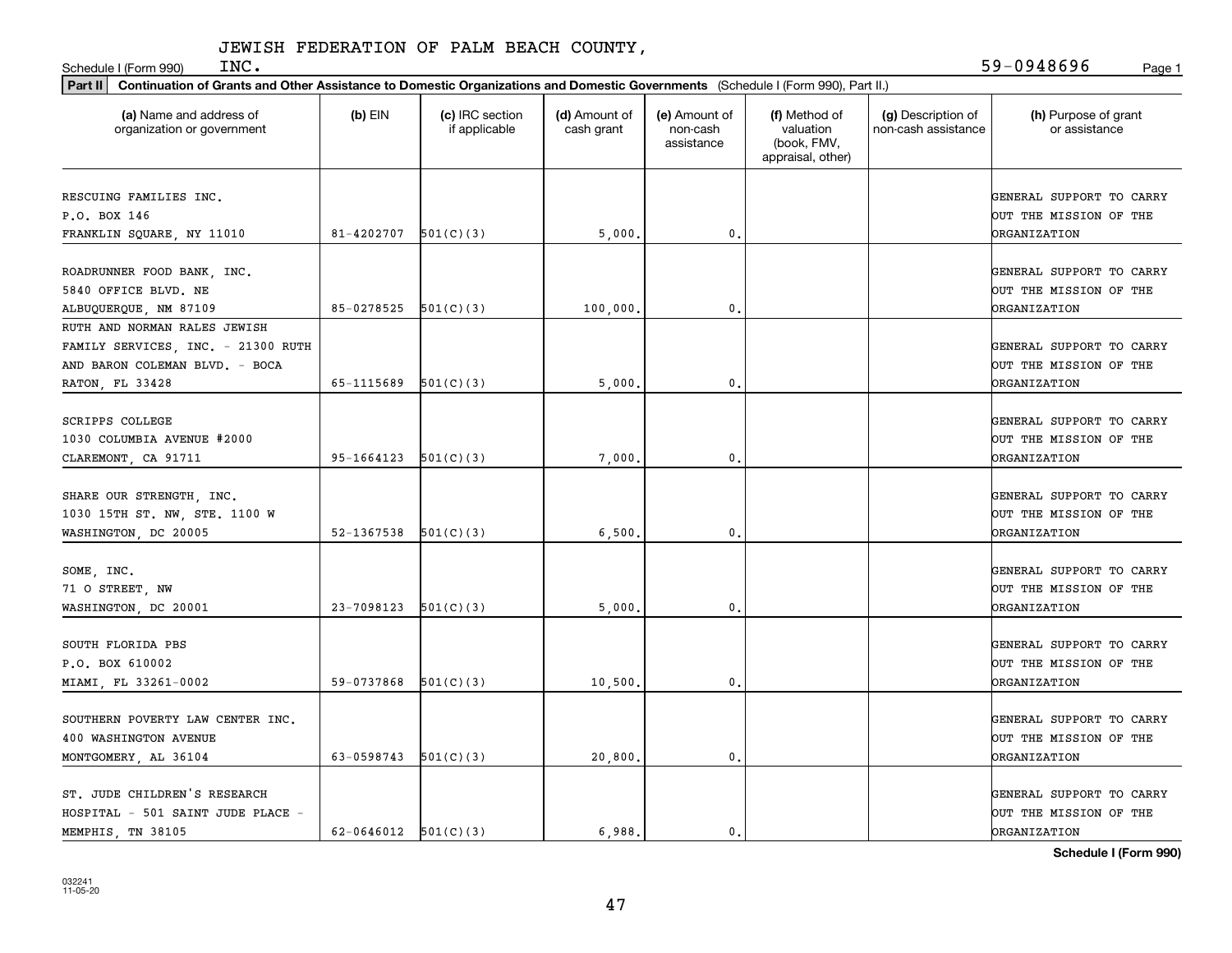| Part II   Continuation of Grants and Other Assistance to Domestic Organizations and Domestic Governments (Schedule I (Form 990), Part II.) |                                    |                                  |                             |                                         |                                                                |                                           |                                       |
|--------------------------------------------------------------------------------------------------------------------------------------------|------------------------------------|----------------------------------|-----------------------------|-----------------------------------------|----------------------------------------------------------------|-------------------------------------------|---------------------------------------|
| (a) Name and address of<br>organization or government                                                                                      | $(b)$ EIN                          | (c) IRC section<br>if applicable | (d) Amount of<br>cash grant | (e) Amount of<br>non-cash<br>assistance | (f) Method of<br>valuation<br>(book, FMV,<br>appraisal, other) | (g) Description of<br>non-cash assistance | (h) Purpose of grant<br>or assistance |
| RESCUING FAMILIES INC.                                                                                                                     |                                    |                                  |                             |                                         |                                                                |                                           | GENERAL SUPPORT TO CARRY              |
| P.O. BOX 146                                                                                                                               |                                    |                                  |                             |                                         |                                                                |                                           | OUT THE MISSION OF THE                |
| FRANKLIN SQUARE, NY 11010                                                                                                                  | 81-4202707                         | 501(C)(3)                        | 5,000.                      | 0.                                      |                                                                |                                           | <b>DRGANIZATION</b>                   |
|                                                                                                                                            |                                    |                                  |                             |                                         |                                                                |                                           |                                       |
| ROADRUNNER FOOD BANK, INC.                                                                                                                 |                                    |                                  |                             |                                         |                                                                |                                           | GENERAL SUPPORT TO CARRY              |
| 5840 OFFICE BLVD. NE                                                                                                                       |                                    |                                  |                             |                                         |                                                                |                                           | OUT THE MISSION OF THE                |
| ALBUQUERQUE, NM 87109                                                                                                                      | 85-0278525                         | 501(C)(3)                        | 100,000                     | 0.                                      |                                                                |                                           | <b>DRGANIZATION</b>                   |
| RUTH AND NORMAN RALES JEWISH                                                                                                               |                                    |                                  |                             |                                         |                                                                |                                           |                                       |
| FAMILY SERVICES, INC. - 21300 RUTH                                                                                                         |                                    |                                  |                             |                                         |                                                                |                                           | GENERAL SUPPORT TO CARRY              |
| AND BARON COLEMAN BLVD. - BOCA                                                                                                             |                                    |                                  |                             |                                         |                                                                |                                           | OUT THE MISSION OF THE                |
| RATON, FL 33428                                                                                                                            | 65-1115689                         | 501(C)(3)                        | 5,000                       | $\mathfrak{o}$ .                        |                                                                |                                           | <b>DRGANIZATION</b>                   |
|                                                                                                                                            |                                    |                                  |                             |                                         |                                                                |                                           |                                       |
| <b>SCRIPPS COLLEGE</b>                                                                                                                     |                                    |                                  |                             |                                         |                                                                |                                           | GENERAL SUPPORT TO CARRY              |
| 1030 COLUMBIA AVENUE #2000                                                                                                                 |                                    |                                  |                             |                                         |                                                                |                                           | OUT THE MISSION OF THE                |
| CLAREMONT, CA 91711                                                                                                                        | 95-1664123                         | 501(C)(3)                        | 7,000                       | 0.                                      |                                                                |                                           | <b>ORGANIZATION</b>                   |
|                                                                                                                                            |                                    |                                  |                             |                                         |                                                                |                                           |                                       |
| SHARE OUR STRENGTH, INC.                                                                                                                   |                                    |                                  |                             |                                         |                                                                |                                           | GENERAL SUPPORT TO CARRY              |
| 1030 15TH ST. NW, STE. 1100 W                                                                                                              |                                    |                                  |                             |                                         |                                                                |                                           | OUT THE MISSION OF THE                |
| WASHINGTON, DC 20005                                                                                                                       | 52-1367538                         | 501(C)(3)                        | 6,500                       | 0.                                      |                                                                |                                           | <b>ORGANIZATION</b>                   |
|                                                                                                                                            |                                    |                                  |                             |                                         |                                                                |                                           | GENERAL SUPPORT TO CARRY              |
| SOME, INC.                                                                                                                                 |                                    |                                  |                             |                                         |                                                                |                                           | OUT THE MISSION OF THE                |
| 71 O STREET, NW                                                                                                                            | 23-7098123                         |                                  |                             | 0.                                      |                                                                |                                           |                                       |
| WASHINGTON, DC 20001                                                                                                                       |                                    | 501(C)(3)                        | 5,000                       |                                         |                                                                |                                           | <b>DRGANIZATION</b>                   |
| SOUTH FLORIDA PBS                                                                                                                          |                                    |                                  |                             |                                         |                                                                |                                           | GENERAL SUPPORT TO CARRY              |
| P.O. BOX 610002                                                                                                                            |                                    |                                  |                             |                                         |                                                                |                                           | OUT THE MISSION OF THE                |
|                                                                                                                                            | 59-0737868                         | 501(C)(3)                        |                             | $\mathfrak{o}$ .                        |                                                                |                                           | <b>DRGANIZATION</b>                   |
| MIAMI, FL 33261-0002                                                                                                                       |                                    |                                  | 10,500.                     |                                         |                                                                |                                           |                                       |
| SOUTHERN POVERTY LAW CENTER INC.                                                                                                           |                                    |                                  |                             |                                         |                                                                |                                           | GENERAL SUPPORT TO CARRY              |
| 400 WASHINGTON AVENUE                                                                                                                      |                                    |                                  |                             |                                         |                                                                |                                           | OUT THE MISSION OF THE                |
| MONTGOMERY, AL 36104                                                                                                                       | 63-0598743 $\vert 501(C)(3) \vert$ |                                  | 20,800.                     | $\mathbf{0}$ .                          |                                                                |                                           | <b>ORGANIZATION</b>                   |
|                                                                                                                                            |                                    |                                  |                             |                                         |                                                                |                                           |                                       |
| ST. JUDE CHILDREN'S RESEARCH                                                                                                               |                                    |                                  |                             |                                         |                                                                |                                           | GENERAL SUPPORT TO CARRY              |
| HOSPITAL - 501 SAINT JUDE PLACE -                                                                                                          |                                    |                                  |                             |                                         |                                                                |                                           | OUT THE MISSION OF THE                |
| MEMPHIS, TN 38105                                                                                                                          | $62 - 0646012$ $501(C)(3)$         |                                  | 6,988.                      | 0.                                      |                                                                |                                           | <b>DRGANIZATION</b>                   |
|                                                                                                                                            |                                    |                                  |                             |                                         |                                                                |                                           |                                       |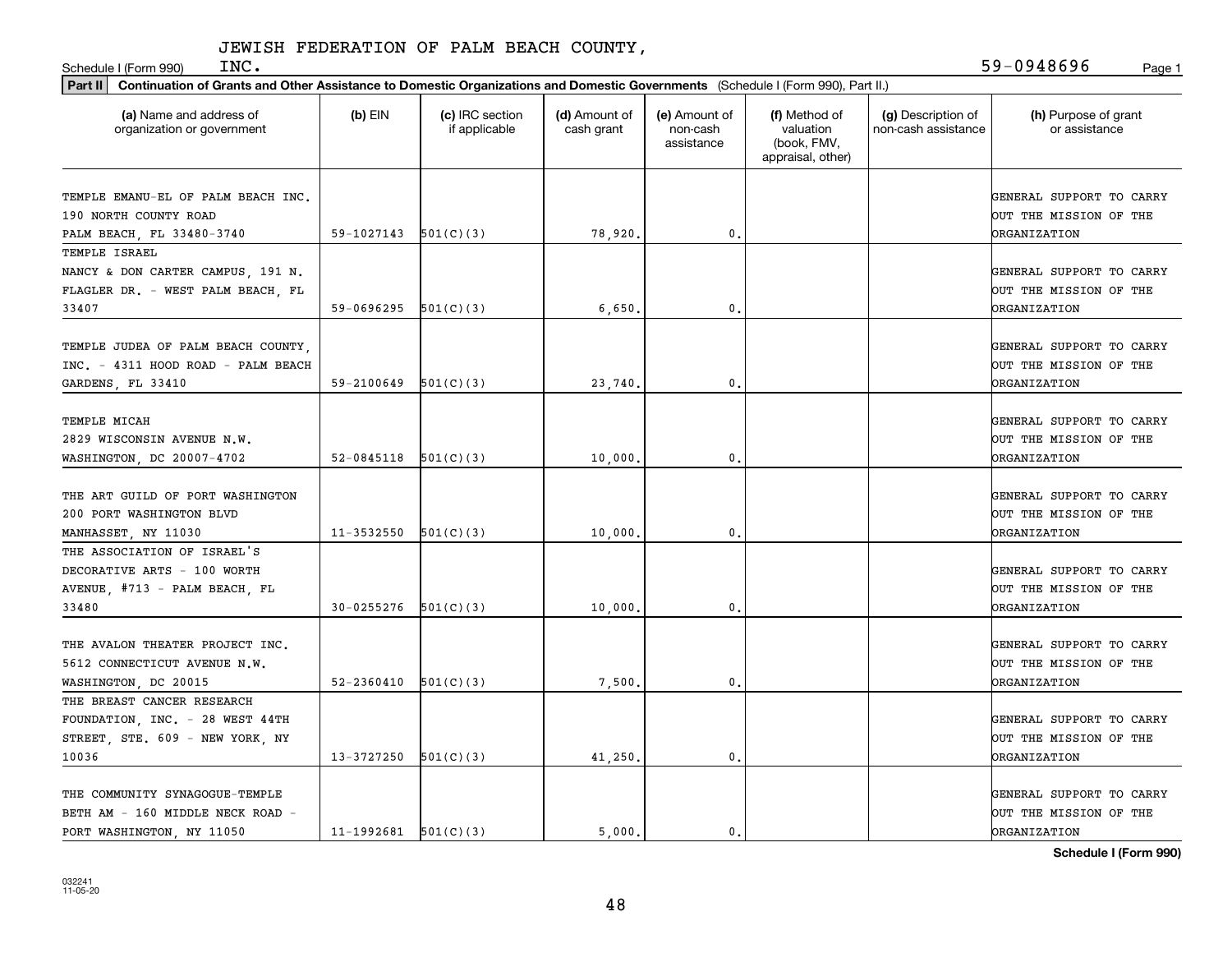| Part II   Continuation of Grants and Other Assistance to Domestic Organizations and Domestic Governments (Schedule I (Form 990), Part II.) |                          |                                  |                             |                                         |                                                                |                                           |                                                                           |
|--------------------------------------------------------------------------------------------------------------------------------------------|--------------------------|----------------------------------|-----------------------------|-----------------------------------------|----------------------------------------------------------------|-------------------------------------------|---------------------------------------------------------------------------|
| (a) Name and address of<br>organization or government                                                                                      | $(b)$ EIN                | (c) IRC section<br>if applicable | (d) Amount of<br>cash grant | (e) Amount of<br>non-cash<br>assistance | (f) Method of<br>valuation<br>(book, FMV,<br>appraisal, other) | (g) Description of<br>non-cash assistance | (h) Purpose of grant<br>or assistance                                     |
| TEMPLE EMANU-EL OF PALM BEACH INC.<br>190 NORTH COUNTY ROAD<br>PALM BEACH, FL 33480-3740                                                   | 59-1027143               | 501(C)(3)                        | 78,920.                     | 0.                                      |                                                                |                                           | GENERAL SUPPORT TO CARRY<br>OUT THE MISSION OF THE<br><b>DRGANIZATION</b> |
| TEMPLE ISRAEL<br>NANCY & DON CARTER CAMPUS, 191 N.<br>FLAGLER DR. - WEST PALM BEACH, FL<br>33407                                           | 59-0696295               | 501(C)(3)                        | 6,650                       | $\mathbf{0}$                            |                                                                |                                           | GENERAL SUPPORT TO CARRY<br>OUT THE MISSION OF THE<br><b>DRGANIZATION</b> |
| TEMPLE JUDEA OF PALM BEACH COUNTY,<br>INC. - 4311 HOOD ROAD - PALM BEACH<br>GARDENS, FL 33410                                              | 59-2100649               | 501(C)(3)                        | 23,740.                     | $\mathfrak{o}$ .                        |                                                                |                                           | GENERAL SUPPORT TO CARRY<br>OUT THE MISSION OF THE<br><b>DRGANIZATION</b> |
| TEMPLE MICAH<br>2829 WISCONSIN AVENUE N.W.<br>WASHINGTON, DC 20007-4702                                                                    | 52-0845118               | 501(C)(3)                        | 10,000                      | $\mathbf{0}$ .                          |                                                                |                                           | GENERAL SUPPORT TO CARRY<br>OUT THE MISSION OF THE<br><b>DRGANIZATION</b> |
| THE ART GUILD OF PORT WASHINGTON<br>200 PORT WASHINGTON BLVD<br>MANHASSET, NY 11030                                                        | 11-3532550               | 501(C)(3)                        | 10,000,                     | 0.                                      |                                                                |                                           | GENERAL SUPPORT TO CARRY<br>OUT THE MISSION OF THE<br><b>DRGANIZATION</b> |
| THE ASSOCIATION OF ISRAEL'S<br>DECORATIVE ARTS - 100 WORTH<br>AVENUE, #713 - PALM BEACH, FL<br>33480                                       | 30-0255276               | 501(C)(3)                        | 10,000                      | $\mathbf{0}$                            |                                                                |                                           | GENERAL SUPPORT TO CARRY<br>OUT THE MISSION OF THE<br><b>DRGANIZATION</b> |
| THE AVALON THEATER PROJECT INC.<br>5612 CONNECTICUT AVENUE N.W.<br>WASHINGTON, DC 20015                                                    | 52-2360410               | 501(C)(3)                        | 7,500                       | 0.                                      |                                                                |                                           | GENERAL SUPPORT TO CARRY<br>OUT THE MISSION OF THE<br><b>DRGANIZATION</b> |
| THE BREAST CANCER RESEARCH<br>FOUNDATION, INC. - 28 WEST 44TH<br>STREET, STE. 609 - NEW YORK, NY<br>10036                                  | 13-3727250               | 501(C)(3)                        | 41,250.                     | 0.                                      |                                                                |                                           | GENERAL SUPPORT TO CARRY<br>OUT THE MISSION OF THE<br><b>ORGANIZATION</b> |
| THE COMMUNITY SYNAGOGUE-TEMPLE<br>BETH AM - 160 MIDDLE NECK ROAD -<br>PORT WASHINGTON, NY 11050                                            | $11-1992681$ $501(C)(3)$ |                                  | 5.000.                      | $\mathbf{0}$ .                          |                                                                |                                           | GENERAL SUPPORT TO CARRY<br>OUT THE MISSION OF THE<br><b>DRGANIZATION</b> |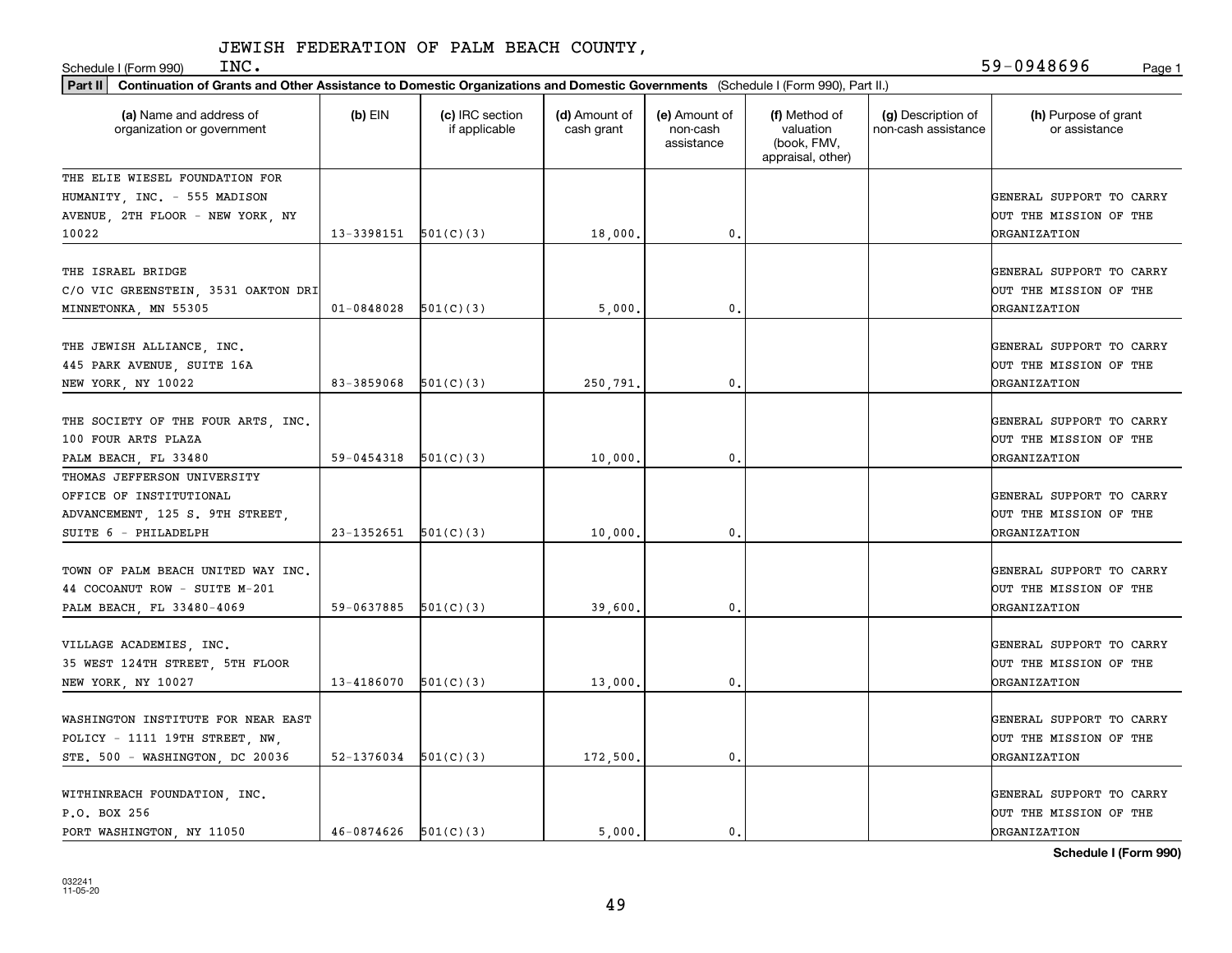|                                                       | Part II   Continuation of Grants and Other Assistance to Domestic Organizations and Domestic Governments (Schedule I (Form 990), Part II.) |                                  |                             |                                         |                                                                |                                           |                                                    |  |  |  |
|-------------------------------------------------------|--------------------------------------------------------------------------------------------------------------------------------------------|----------------------------------|-----------------------------|-----------------------------------------|----------------------------------------------------------------|-------------------------------------------|----------------------------------------------------|--|--|--|
| (a) Name and address of<br>organization or government | $(b)$ EIN                                                                                                                                  | (c) IRC section<br>if applicable | (d) Amount of<br>cash grant | (e) Amount of<br>non-cash<br>assistance | (f) Method of<br>valuation<br>(book, FMV,<br>appraisal, other) | (g) Description of<br>non-cash assistance | (h) Purpose of grant<br>or assistance              |  |  |  |
| THE ELIE WIESEL FOUNDATION FOR                        |                                                                                                                                            |                                  |                             |                                         |                                                                |                                           |                                                    |  |  |  |
| HUMANITY, INC. - 555 MADISON                          |                                                                                                                                            |                                  |                             |                                         |                                                                |                                           | GENERAL SUPPORT TO CARRY                           |  |  |  |
| AVENUE, 2TH FLOOR - NEW YORK, NY                      |                                                                                                                                            |                                  |                             |                                         |                                                                |                                           | OUT THE MISSION OF THE                             |  |  |  |
| 10022                                                 | $13-3398151$ $501(C)(3)$                                                                                                                   |                                  | 18,000.                     | $\mathsf 0$ .                           |                                                                |                                           | <b>ORGANIZATION</b>                                |  |  |  |
| THE ISRAEL BRIDGE                                     |                                                                                                                                            |                                  |                             |                                         |                                                                |                                           | GENERAL SUPPORT TO CARRY                           |  |  |  |
|                                                       |                                                                                                                                            |                                  |                             |                                         |                                                                |                                           | OUT THE MISSION OF THE                             |  |  |  |
| C/O VIC GREENSTEIN, 3531 OAKTON DRI                   | 01-0848028                                                                                                                                 | 501(C)(3)                        |                             | 0.                                      |                                                                |                                           | <b>DRGANIZATION</b>                                |  |  |  |
| MINNETONKA, MN 55305                                  |                                                                                                                                            |                                  | 5,000                       |                                         |                                                                |                                           |                                                    |  |  |  |
| THE JEWISH ALLIANCE, INC.                             |                                                                                                                                            |                                  |                             |                                         |                                                                |                                           | GENERAL SUPPORT TO CARRY                           |  |  |  |
| 445 PARK AVENUE, SUITE 16A                            |                                                                                                                                            |                                  |                             |                                         |                                                                |                                           | OUT THE MISSION OF THE                             |  |  |  |
| NEW YORK, NY 10022                                    | 83-3859068                                                                                                                                 | 501(C)(3)                        | 250,791                     | 0.                                      |                                                                |                                           | <b>DRGANIZATION</b>                                |  |  |  |
|                                                       |                                                                                                                                            |                                  |                             |                                         |                                                                |                                           |                                                    |  |  |  |
| THE SOCIETY OF THE FOUR ARTS, INC.                    |                                                                                                                                            |                                  |                             |                                         |                                                                |                                           | GENERAL SUPPORT TO CARRY                           |  |  |  |
| 100 FOUR ARTS PLAZA                                   |                                                                                                                                            |                                  |                             |                                         |                                                                |                                           | OUT THE MISSION OF THE                             |  |  |  |
| PALM BEACH, FL 33480                                  | 59-0454318                                                                                                                                 | 501(C)(3)                        | 10,000                      | 0                                       |                                                                |                                           | <b>DRGANIZATION</b>                                |  |  |  |
| THOMAS JEFFERSON UNIVERSITY                           |                                                                                                                                            |                                  |                             |                                         |                                                                |                                           |                                                    |  |  |  |
| OFFICE OF INSTITUTIONAL                               |                                                                                                                                            |                                  |                             |                                         |                                                                |                                           | GENERAL SUPPORT TO CARRY                           |  |  |  |
| ADVANCEMENT, 125 S. 9TH STREET,                       |                                                                                                                                            |                                  |                             |                                         |                                                                |                                           | OUT THE MISSION OF THE                             |  |  |  |
| SUITE 6 - PHILADELPH                                  | 23-1352651                                                                                                                                 | 501(C)(3)                        | 10,000                      | $\mathbf{0}$                            |                                                                |                                           | <b>ORGANIZATION</b>                                |  |  |  |
| TOWN OF PALM BEACH UNITED WAY INC.                    |                                                                                                                                            |                                  |                             |                                         |                                                                |                                           |                                                    |  |  |  |
|                                                       |                                                                                                                                            |                                  |                             |                                         |                                                                |                                           | GENERAL SUPPORT TO CARRY<br>OUT THE MISSION OF THE |  |  |  |
| 44 COCOANUT ROW - SUITE M-201                         | 59-0637885                                                                                                                                 |                                  |                             | 0.                                      |                                                                |                                           |                                                    |  |  |  |
| PALM BEACH, FL 33480-4069                             |                                                                                                                                            | 501(C)(3)                        | 39,600                      |                                         |                                                                |                                           | <b>DRGANIZATION</b>                                |  |  |  |
| VILLAGE ACADEMIES, INC.                               |                                                                                                                                            |                                  |                             |                                         |                                                                |                                           | GENERAL SUPPORT TO CARRY                           |  |  |  |
| 35 WEST 124TH STREET, 5TH FLOOR                       |                                                                                                                                            |                                  |                             |                                         |                                                                |                                           | OUT THE MISSION OF THE                             |  |  |  |
| NEW YORK, NY 10027                                    | 13-4186070                                                                                                                                 | 501(C)(3)                        | 13,000                      | 0.                                      |                                                                |                                           | <b>ORGANIZATION</b>                                |  |  |  |
|                                                       |                                                                                                                                            |                                  |                             |                                         |                                                                |                                           |                                                    |  |  |  |
| WASHINGTON INSTITUTE FOR NEAR EAST                    |                                                                                                                                            |                                  |                             |                                         |                                                                |                                           | GENERAL SUPPORT TO CARRY                           |  |  |  |
| POLICY - 1111 19TH STREET, NW,                        |                                                                                                                                            |                                  |                             |                                         |                                                                |                                           | OUT THE MISSION OF THE                             |  |  |  |
| STE. 500 - WASHINGTON, DC 20036                       | 52-1376034                                                                                                                                 | 501(C)(3)                        | 172,500                     | $\mathfrak o$ .                         |                                                                |                                           | <b>DRGANIZATION</b>                                |  |  |  |
|                                                       |                                                                                                                                            |                                  |                             |                                         |                                                                |                                           |                                                    |  |  |  |
| WITHINREACH FOUNDATION, INC.                          |                                                                                                                                            |                                  |                             |                                         |                                                                |                                           | GENERAL SUPPORT TO CARRY                           |  |  |  |
| P.O. BOX 256                                          |                                                                                                                                            |                                  |                             |                                         |                                                                |                                           | OUT THE MISSION OF THE                             |  |  |  |
| PORT WASHINGTON, NY 11050                             | 46-0874626                                                                                                                                 | 501(C)(3)                        | 5.000.                      | $\mathbf{0}$ .                          |                                                                |                                           | <b>ORGANIZATION</b>                                |  |  |  |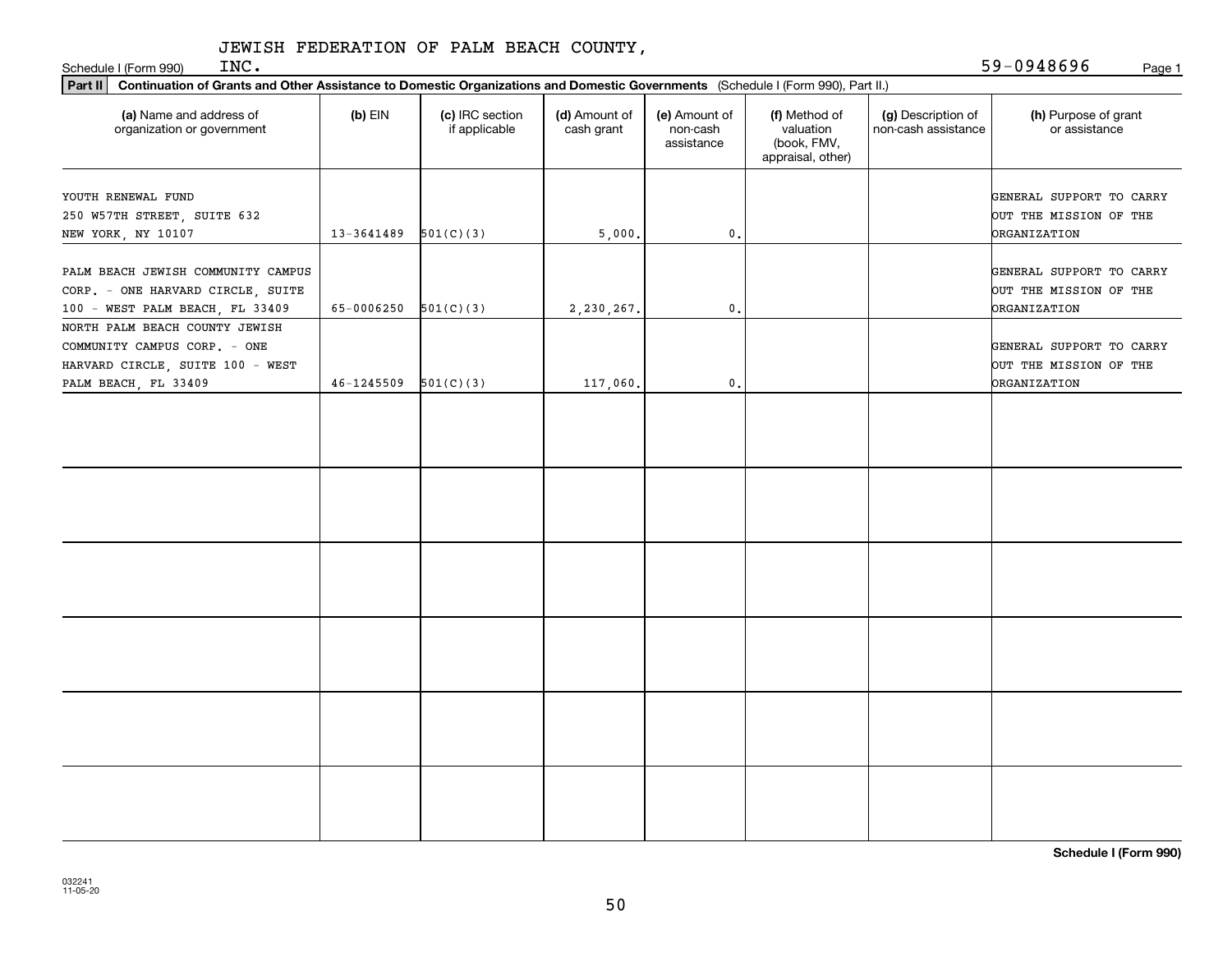59-0948696

| INC.<br>Schedule I (Form 990)                                                                                                               |            |                                  |                             |                                         |                                                                |                                           | 59-0948696<br>Page 1                                                      |  |  |
|---------------------------------------------------------------------------------------------------------------------------------------------|------------|----------------------------------|-----------------------------|-----------------------------------------|----------------------------------------------------------------|-------------------------------------------|---------------------------------------------------------------------------|--|--|
| Continuation of Grants and Other Assistance to Domestic Organizations and Domestic Governments (Schedule I (Form 990), Part II.)<br>Part II |            |                                  |                             |                                         |                                                                |                                           |                                                                           |  |  |
| (a) Name and address of<br>organization or government                                                                                       | $(b)$ EIN  | (c) IRC section<br>if applicable | (d) Amount of<br>cash grant | (e) Amount of<br>non-cash<br>assistance | (f) Method of<br>valuation<br>(book, FMV,<br>appraisal, other) | (g) Description of<br>non-cash assistance | (h) Purpose of grant<br>or assistance                                     |  |  |
| YOUTH RENEWAL FUND<br>250 W57TH STREET, SUITE 632<br>NEW YORK, NY 10107                                                                     | 13-3641489 | 501(C)(3)                        | 5,000.                      | $^{\circ}$ .                            |                                                                |                                           | GENERAL SUPPORT TO CARRY<br>OUT THE MISSION OF THE<br><b>DRGANIZATION</b> |  |  |
| PALM BEACH JEWISH COMMUNITY CAMPUS<br>CORP. - ONE HARVARD CIRCLE, SUITE<br>100 - WEST PALM BEACH, FL 33409                                  | 65-0006250 | 501(C)(3)                        | 2,230,267.                  | $\mathbf{0}$                            |                                                                |                                           | GENERAL SUPPORT TO CARRY<br>OUT THE MISSION OF THE<br><b>ORGANIZATION</b> |  |  |
| NORTH PALM BEACH COUNTY JEWISH<br>COMMUNITY CAMPUS CORP. - ONE<br>HARVARD CIRCLE, SUITE 100 - WEST<br>PALM BEACH, FL 33409                  | 46-1245509 | 501(C)(3)                        | 117,060.                    | $\mathfrak{o}$ .                        |                                                                |                                           | GENERAL SUPPORT TO CARRY<br>OUT THE MISSION OF THE<br><b>ORGANIZATION</b> |  |  |
|                                                                                                                                             |            |                                  |                             |                                         |                                                                |                                           |                                                                           |  |  |
|                                                                                                                                             |            |                                  |                             |                                         |                                                                |                                           |                                                                           |  |  |
|                                                                                                                                             |            |                                  |                             |                                         |                                                                |                                           |                                                                           |  |  |
|                                                                                                                                             |            |                                  |                             |                                         |                                                                |                                           |                                                                           |  |  |
|                                                                                                                                             |            |                                  |                             |                                         |                                                                |                                           |                                                                           |  |  |
|                                                                                                                                             |            |                                  |                             |                                         |                                                                |                                           |                                                                           |  |  |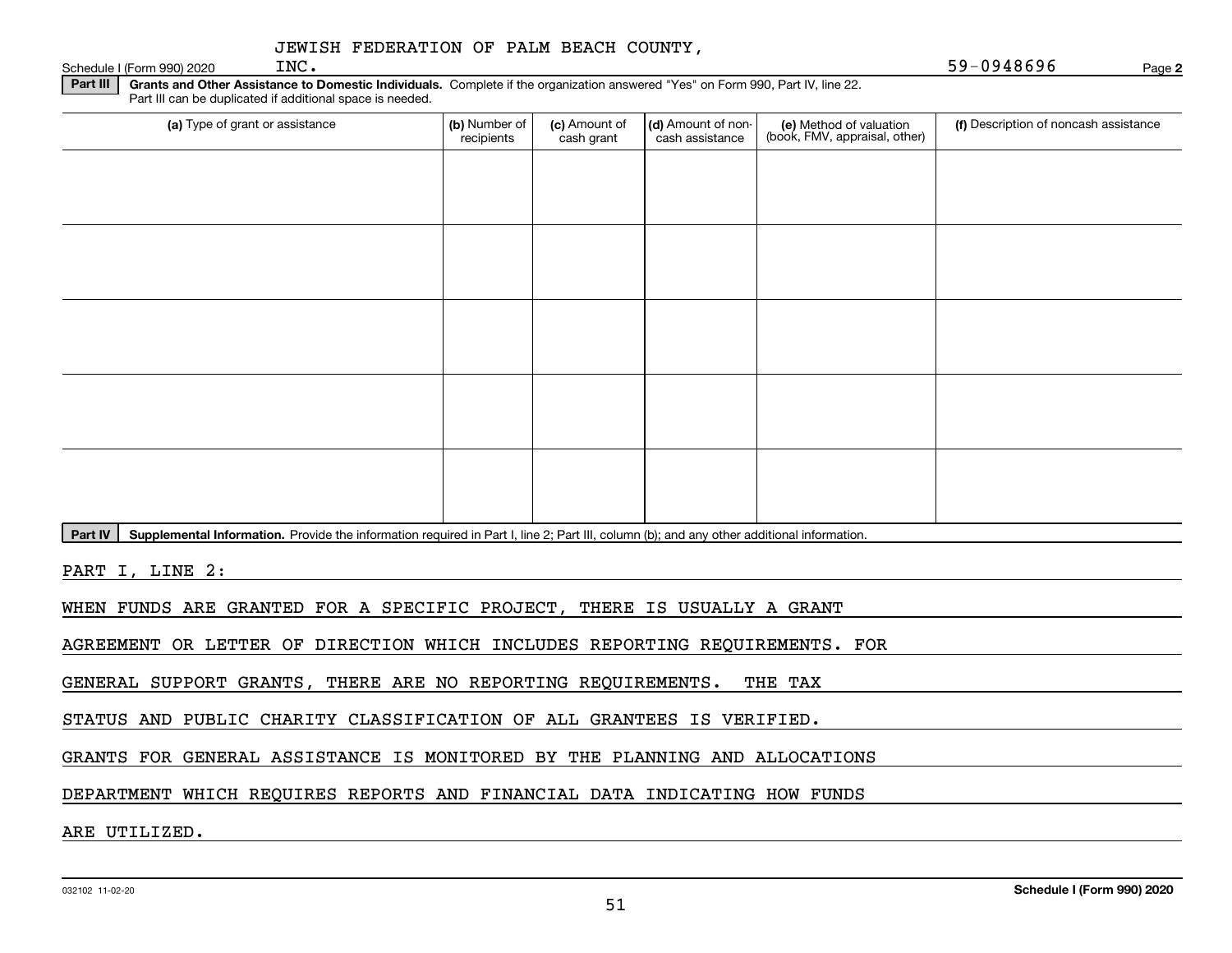|                            |      | JEWISH FEDERATION OF PALM BEACH COUNTY, |  |  |
|----------------------------|------|-----------------------------------------|--|--|
| Schedule I (Form 990) 2020 | INC. |                                         |  |  |

**2**INC. 59-0948696

**Part III | Grants and Other Assistance to Domestic Individuals. Complete if the organization answered "Yes" on Form 990, Part IV, line 22.** Part III can be duplicated if additional space is needed.

| (a) Type of grant or assistance                                                                                                                      | (b) Number of<br>recipients | (c) Amount of<br>cash grant | (d) Amount of non-<br>cash assistance | (e) Method of valuation<br>(book, FMV, appraisal, other) | (f) Description of noncash assistance |
|------------------------------------------------------------------------------------------------------------------------------------------------------|-----------------------------|-----------------------------|---------------------------------------|----------------------------------------------------------|---------------------------------------|
|                                                                                                                                                      |                             |                             |                                       |                                                          |                                       |
|                                                                                                                                                      |                             |                             |                                       |                                                          |                                       |
|                                                                                                                                                      |                             |                             |                                       |                                                          |                                       |
|                                                                                                                                                      |                             |                             |                                       |                                                          |                                       |
|                                                                                                                                                      |                             |                             |                                       |                                                          |                                       |
|                                                                                                                                                      |                             |                             |                                       |                                                          |                                       |
|                                                                                                                                                      |                             |                             |                                       |                                                          |                                       |
|                                                                                                                                                      |                             |                             |                                       |                                                          |                                       |
|                                                                                                                                                      |                             |                             |                                       |                                                          |                                       |
|                                                                                                                                                      |                             |                             |                                       |                                                          |                                       |
| Supplemental Information. Provide the information required in Part I, line 2; Part III, column (b); and any other additional information.<br>Part IV |                             |                             |                                       |                                                          |                                       |

PART I, LINE 2:

WHEN FUNDS ARE GRANTED FOR A SPECIFIC PROJECT, THERE IS USUALLY A GRANT

AGREEMENT OR LETTER OF DIRECTION WHICH INCLUDES REPORTING REQUIREMENTS. FOR

GENERAL SUPPORT GRANTS, THERE ARE NO REPORTING REQUIREMENTS. THE TAX

STATUS AND PUBLIC CHARITY CLASSIFICATION OF ALL GRANTEES IS VERIFIED.

GRANTS FOR GENERAL ASSISTANCE IS MONITORED BY THE PLANNING AND ALLOCATIONS

DEPARTMENT WHICH REQUIRES REPORTS AND FINANCIAL DATA INDICATING HOW FUNDS

ARE UTILIZED.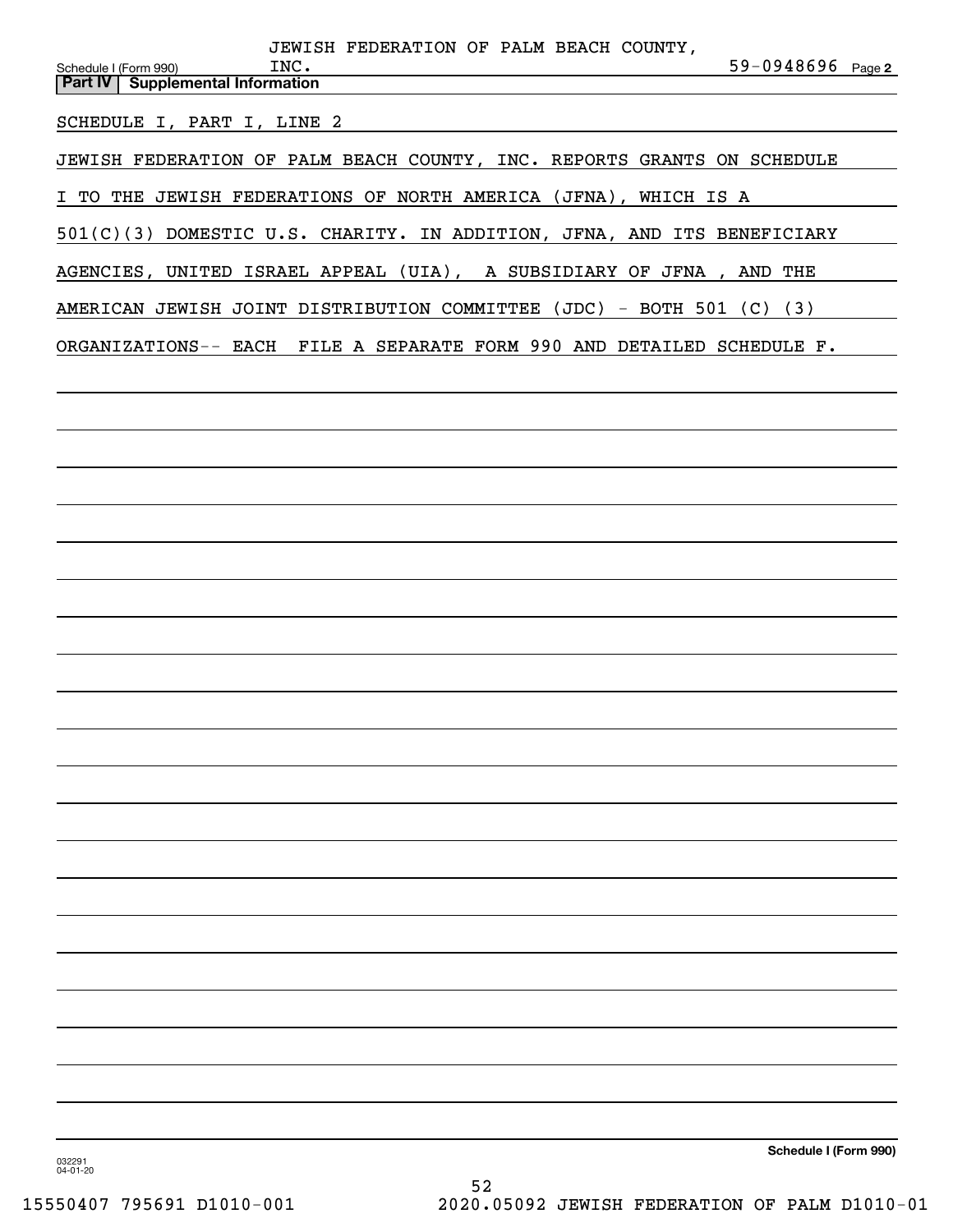| JEWISH FEDERATION OF PALM BEACH COUNTY,<br>59-0948696 Page 2<br>INC.      |
|---------------------------------------------------------------------------|
| Schedule I (Form 990)<br><b>Part IV   Supplemental Information</b>        |
| SCHEDULE I, PART I, LINE 2                                                |
| JEWISH FEDERATION OF PALM BEACH COUNTY, INC. REPORTS GRANTS ON SCHEDULE   |
| I TO THE JEWISH FEDERATIONS OF NORTH AMERICA (JFNA), WHICH IS A           |
| 501(C)(3) DOMESTIC U.S. CHARITY. IN ADDITION, JFNA, AND ITS BENEFICIARY   |
| AGENCIES, UNITED ISRAEL APPEAL (UIA), A SUBSIDIARY OF JFNA, AND THE       |
| AMERICAN JEWISH JOINT DISTRIBUTION COMMITTEE (JDC) - BOTH 501 (C) (3)     |
| FILE A SEPARATE FORM 990 AND DETAILED SCHEDULE F.<br>ORGANIZATIONS-- EACH |
|                                                                           |
|                                                                           |
|                                                                           |
|                                                                           |
|                                                                           |
|                                                                           |
|                                                                           |
|                                                                           |
|                                                                           |
|                                                                           |
|                                                                           |
|                                                                           |
|                                                                           |
|                                                                           |
|                                                                           |
|                                                                           |
|                                                                           |
|                                                                           |
|                                                                           |
|                                                                           |
| Schedule I (Form 990)<br>nonnn.                                           |

032291 04-01-20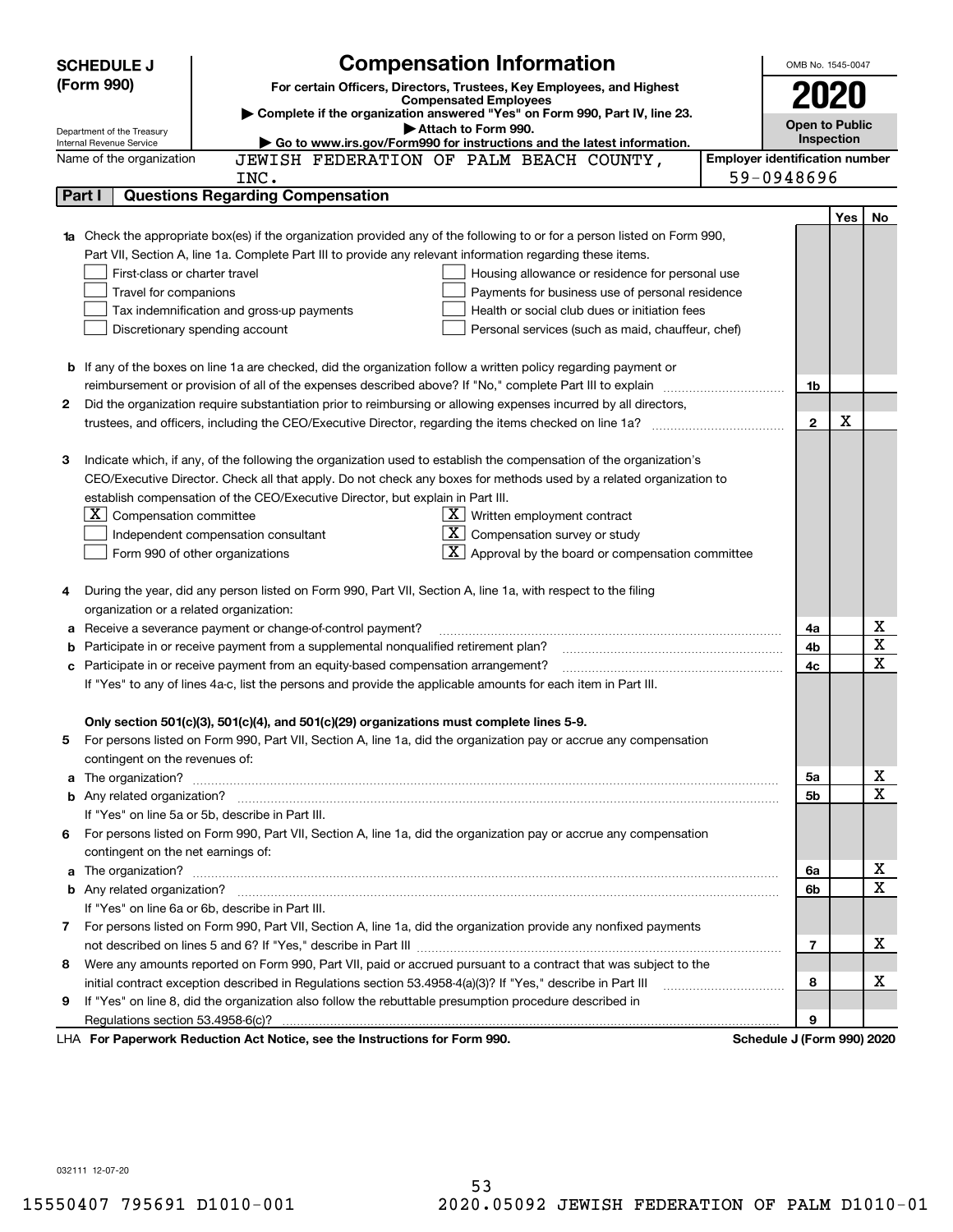|    | <b>Compensation Information</b><br><b>SCHEDULE J</b>                                                                                                                                                                                 |                                       | OMB No. 1545-0047     |            |                                                    |  |  |
|----|--------------------------------------------------------------------------------------------------------------------------------------------------------------------------------------------------------------------------------------|---------------------------------------|-----------------------|------------|----------------------------------------------------|--|--|
|    | (Form 990)<br>For certain Officers, Directors, Trustees, Key Employees, and Highest                                                                                                                                                  |                                       | 2020                  |            |                                                    |  |  |
|    | <b>Compensated Employees</b>                                                                                                                                                                                                         |                                       |                       |            |                                                    |  |  |
|    | Complete if the organization answered "Yes" on Form 990, Part IV, line 23.<br>Attach to Form 990.                                                                                                                                    |                                       | <b>Open to Public</b> |            |                                                    |  |  |
|    | Department of the Treasury<br>Go to www.irs.gov/Form990 for instructions and the latest information.<br>Internal Revenue Service                                                                                                     |                                       | Inspection            |            |                                                    |  |  |
|    | JEWISH FEDERATION OF PALM BEACH COUNTY,<br>Name of the organization                                                                                                                                                                  | <b>Employer identification number</b> |                       |            |                                                    |  |  |
|    | INC.                                                                                                                                                                                                                                 | 59-0948696                            |                       |            |                                                    |  |  |
|    | <b>Questions Regarding Compensation</b><br>Part I                                                                                                                                                                                    |                                       |                       |            |                                                    |  |  |
|    |                                                                                                                                                                                                                                      |                                       |                       | <b>Yes</b> | No                                                 |  |  |
|    | 1a Check the appropriate box(es) if the organization provided any of the following to or for a person listed on Form 990,                                                                                                            |                                       |                       |            |                                                    |  |  |
|    | Part VII, Section A, line 1a. Complete Part III to provide any relevant information regarding these items.                                                                                                                           |                                       |                       |            |                                                    |  |  |
|    | First-class or charter travel<br>Housing allowance or residence for personal use                                                                                                                                                     |                                       |                       |            |                                                    |  |  |
|    | Travel for companions<br>Payments for business use of personal residence                                                                                                                                                             |                                       |                       |            |                                                    |  |  |
|    | Tax indemnification and gross-up payments<br>Health or social club dues or initiation fees                                                                                                                                           |                                       |                       |            |                                                    |  |  |
|    | Discretionary spending account<br>Personal services (such as maid, chauffeur, chef)                                                                                                                                                  |                                       |                       |            |                                                    |  |  |
|    |                                                                                                                                                                                                                                      |                                       |                       |            |                                                    |  |  |
|    | <b>b</b> If any of the boxes on line 1a are checked, did the organization follow a written policy regarding payment or                                                                                                               |                                       |                       |            |                                                    |  |  |
|    | reimbursement or provision of all of the expenses described above? If "No," complete Part III to explain                                                                                                                             |                                       | 1b                    |            |                                                    |  |  |
| 2  | Did the organization require substantiation prior to reimbursing or allowing expenses incurred by all directors,                                                                                                                     |                                       |                       |            |                                                    |  |  |
|    | trustees, and officers, including the CEO/Executive Director, regarding the items checked on line 1a?                                                                                                                                |                                       | $\mathbf{2}$          | х          |                                                    |  |  |
|    |                                                                                                                                                                                                                                      |                                       |                       |            |                                                    |  |  |
| 3  | Indicate which, if any, of the following the organization used to establish the compensation of the organization's                                                                                                                   |                                       |                       |            |                                                    |  |  |
|    | CEO/Executive Director. Check all that apply. Do not check any boxes for methods used by a related organization to                                                                                                                   |                                       |                       |            |                                                    |  |  |
|    | establish compensation of the CEO/Executive Director, but explain in Part III.                                                                                                                                                       |                                       |                       |            |                                                    |  |  |
|    | $ \mathbf{X} $ Compensation committee<br>$X$ Written employment contract                                                                                                                                                             |                                       |                       |            |                                                    |  |  |
|    | $X$ Compensation survey or study<br>Independent compensation consultant                                                                                                                                                              |                                       |                       |            |                                                    |  |  |
|    | $\mathbf{X}$ Approval by the board or compensation committee<br>Form 990 of other organizations                                                                                                                                      |                                       |                       |            |                                                    |  |  |
|    |                                                                                                                                                                                                                                      |                                       |                       |            |                                                    |  |  |
|    | During the year, did any person listed on Form 990, Part VII, Section A, line 1a, with respect to the filing                                                                                                                         |                                       |                       |            |                                                    |  |  |
|    | organization or a related organization:                                                                                                                                                                                              |                                       |                       |            |                                                    |  |  |
|    | Receive a severance payment or change-of-control payment?                                                                                                                                                                            |                                       | 4a                    |            | х                                                  |  |  |
|    | Participate in or receive payment from a supplemental nonqualified retirement plan?                                                                                                                                                  |                                       | 4b                    |            | $\overline{\textbf{X}}$<br>$\overline{\mathbf{x}}$ |  |  |
| c  | Participate in or receive payment from an equity-based compensation arrangement?                                                                                                                                                     |                                       | 4c                    |            |                                                    |  |  |
|    | If "Yes" to any of lines 4a-c, list the persons and provide the applicable amounts for each item in Part III.                                                                                                                        |                                       |                       |            |                                                    |  |  |
|    |                                                                                                                                                                                                                                      |                                       |                       |            |                                                    |  |  |
|    | Only section 501(c)(3), 501(c)(4), and 501(c)(29) organizations must complete lines 5-9.                                                                                                                                             |                                       |                       |            |                                                    |  |  |
|    | For persons listed on Form 990, Part VII, Section A, line 1a, did the organization pay or accrue any compensation                                                                                                                    |                                       |                       |            |                                                    |  |  |
|    | contingent on the revenues of:                                                                                                                                                                                                       |                                       |                       |            | x                                                  |  |  |
|    | a The organization? <b>Entitation</b> and the organization?                                                                                                                                                                          |                                       | 5а                    |            | $\overline{\mathbf{x}}$                            |  |  |
|    |                                                                                                                                                                                                                                      |                                       | 5b                    |            |                                                    |  |  |
| 6. | If "Yes" on line 5a or 5b, describe in Part III.<br>For persons listed on Form 990, Part VII, Section A, line 1a, did the organization pay or accrue any compensation                                                                |                                       |                       |            |                                                    |  |  |
|    | contingent on the net earnings of:                                                                                                                                                                                                   |                                       |                       |            |                                                    |  |  |
|    |                                                                                                                                                                                                                                      |                                       |                       |            | x                                                  |  |  |
|    | a The organization? <b>Entitled Strategies and Strategies and Strategies and Strategies and Strategies and Strategies and Strategies and Strategies and Strategies and Strategies and Strategies and Strategies and Strategies a</b> |                                       | 6a                    |            | $\overline{\mathbf{x}}$                            |  |  |
|    | If "Yes" on line 6a or 6b, describe in Part III.                                                                                                                                                                                     |                                       | 6b                    |            |                                                    |  |  |
|    | 7 For persons listed on Form 990, Part VII, Section A, line 1a, did the organization provide any nonfixed payments                                                                                                                   |                                       |                       |            |                                                    |  |  |
|    |                                                                                                                                                                                                                                      |                                       | 7                     |            | x                                                  |  |  |
|    | Were any amounts reported on Form 990, Part VII, paid or accrued pursuant to a contract that was subject to the                                                                                                                      |                                       |                       |            |                                                    |  |  |
| 8  |                                                                                                                                                                                                                                      |                                       | 8                     |            | х                                                  |  |  |
| 9  | initial contract exception described in Regulations section 53.4958-4(a)(3)? If "Yes," describe in Part III<br>If "Yes" on line 8, did the organization also follow the rebuttable presumption procedure described in                |                                       |                       |            |                                                    |  |  |
|    |                                                                                                                                                                                                                                      |                                       | 9                     |            |                                                    |  |  |
|    | LHA For Paperwork Reduction Act Notice, see the Instructions for Form 990.                                                                                                                                                           | Schedule J (Form 990) 2020            |                       |            |                                                    |  |  |
|    |                                                                                                                                                                                                                                      |                                       |                       |            |                                                    |  |  |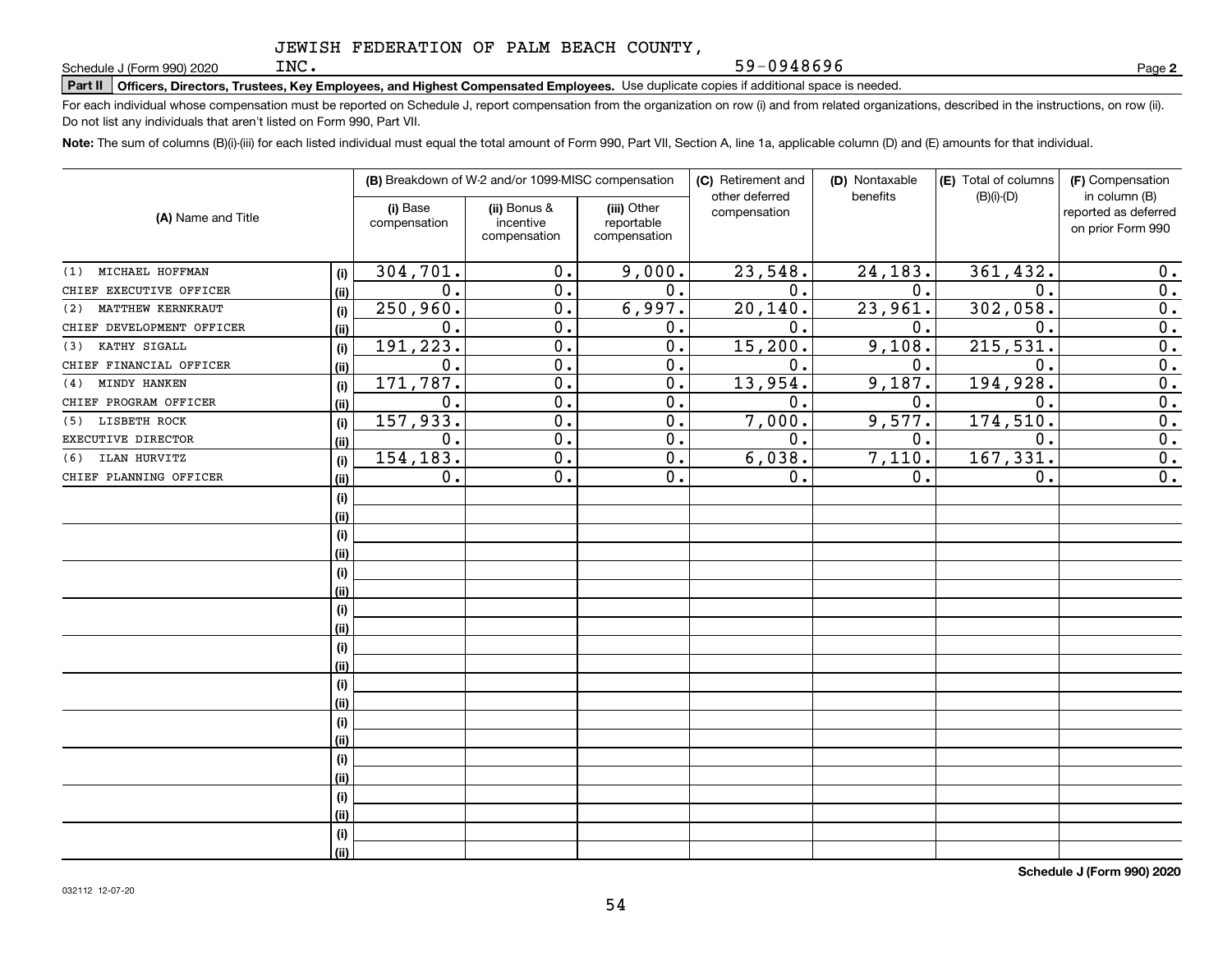**Part II Officers, Directors, Trustees, Key Employees, and Highest Compensated Employees.**  Schedule J (Form 990) 2020 Page Use duplicate copies if additional space is needed.

For each individual whose compensation must be reported on Schedule J, report compensation from the organization on row (i) and from related organizations, described in the instructions, on row (ii). Do not list any individuals that aren't listed on Form 990, Part VII.

59-0948696

**Note:**  The sum of columns (B)(i)-(iii) for each listed individual must equal the total amount of Form 990, Part VII, Section A, line 1a, applicable column (D) and (E) amounts for that individual.

| (A) Name and Title        |             |                          | (B) Breakdown of W-2 and/or 1099-MISC compensation |                                           | (C) Retirement and<br>other deferred | (D) Nontaxable<br>benefits | (E) Total of columns<br>$(B)(i)-(D)$ | (F) Compensation<br>in column (B)         |  |  |
|---------------------------|-------------|--------------------------|----------------------------------------------------|-------------------------------------------|--------------------------------------|----------------------------|--------------------------------------|-------------------------------------------|--|--|
|                           |             | (i) Base<br>compensation | (ii) Bonus &<br>incentive<br>compensation          | (iii) Other<br>reportable<br>compensation | compensation                         |                            |                                      | reported as deferred<br>on prior Form 990 |  |  |
| MICHAEL HOFFMAN<br>(1)    | (i)         | 304, 701.                | 0.                                                 | 9,000.                                    | 23,548.                              | 24, 183.                   | 361,432.                             | 0.                                        |  |  |
| CHIEF EXECUTIVE OFFICER   | (ii)        | 0.                       | 0.                                                 | $\overline{0}$ .                          | 0.                                   | 0.                         | $\mathbf 0$ .                        | $\overline{0}$ .                          |  |  |
| MATTHEW KERNKRAUT<br>(2)  | (i)         | 250,960.                 | 0.                                                 | 6,997.                                    | 20, 140.                             | 23,961.                    | 302,058.                             | 0.                                        |  |  |
| CHIEF DEVELOPMENT OFFICER | (ii)        | 0.                       | 0.                                                 | 0.                                        | 0.                                   | 0.                         | $\mathbf 0$ .                        | $\overline{0}$ .                          |  |  |
| KATHY SIGALL<br>(3)       | (i)         | 191,223.                 | 0.                                                 | 0.                                        | 15,200.                              | 9,108.                     | 215,531.                             | $\overline{0}$ .                          |  |  |
| CHIEF FINANCIAL OFFICER   | (ii)        | 0.                       | 0.                                                 | 0.                                        | 0.                                   | 0.                         | $\mathbf 0$ .                        | $\overline{0}$ .                          |  |  |
| MINDY HANKEN<br>(4)       | (i)         | 171,787.                 | 0.                                                 | 0.                                        | 13,954.                              | 9,187.                     | 194,928.                             | 0.                                        |  |  |
| CHIEF PROGRAM OFFICER     | (ii)        | 0.                       | 0.                                                 | 0.                                        | $\mathbf 0$ .                        | 0.                         | $\mathbf 0$ .                        | 0.                                        |  |  |
| LISBETH ROCK<br>(5)       | (i)         | 157,933.                 | $\overline{0}$ .                                   | $\overline{0}$ .                          | 7,000.                               | 9,577.                     | 174,510                              | $\overline{0}$ .                          |  |  |
| EXECUTIVE DIRECTOR        | (ii)        | 0.                       | $\overline{0}$ .                                   | $\overline{0}$ .                          | $\overline{0}$ .                     | 0.                         | $\overline{0}$ .                     | $\overline{0}$ .                          |  |  |
| ILAN HURVITZ<br>(6)       | (i)         | 154,183.                 | $\overline{0}$ .                                   | $\overline{0}$ .                          | 6,038.                               | 7,110.                     | 167, 331.                            | $\overline{0}$ .                          |  |  |
| CHIEF PLANNING OFFICER    | (ii)        | 0.                       | 0.                                                 | 0.                                        | 0.                                   | 0.                         | 0.                                   | $\overline{0}$ .                          |  |  |
|                           | (i)         |                          |                                                    |                                           |                                      |                            |                                      |                                           |  |  |
|                           | (ii)        |                          |                                                    |                                           |                                      |                            |                                      |                                           |  |  |
|                           | (i)         |                          |                                                    |                                           |                                      |                            |                                      |                                           |  |  |
|                           | (ii)        |                          |                                                    |                                           |                                      |                            |                                      |                                           |  |  |
|                           | (i)         |                          |                                                    |                                           |                                      |                            |                                      |                                           |  |  |
|                           | (ii)        |                          |                                                    |                                           |                                      |                            |                                      |                                           |  |  |
|                           | (i)         |                          |                                                    |                                           |                                      |                            |                                      |                                           |  |  |
|                           | (ii)        |                          |                                                    |                                           |                                      |                            |                                      |                                           |  |  |
|                           | (i)         |                          |                                                    |                                           |                                      |                            |                                      |                                           |  |  |
|                           | (ii)        |                          |                                                    |                                           |                                      |                            |                                      |                                           |  |  |
|                           | (i)         |                          |                                                    |                                           |                                      |                            |                                      |                                           |  |  |
|                           | (ii)        |                          |                                                    |                                           |                                      |                            |                                      |                                           |  |  |
|                           | (i)         |                          |                                                    |                                           |                                      |                            |                                      |                                           |  |  |
|                           | (ii)        |                          |                                                    |                                           |                                      |                            |                                      |                                           |  |  |
|                           | (i)<br>(ii) |                          |                                                    |                                           |                                      |                            |                                      |                                           |  |  |
|                           | (i)         |                          |                                                    |                                           |                                      |                            |                                      |                                           |  |  |
|                           | (ii)        |                          |                                                    |                                           |                                      |                            |                                      |                                           |  |  |
|                           | (i)         |                          |                                                    |                                           |                                      |                            |                                      |                                           |  |  |
|                           | (ii)        |                          |                                                    |                                           |                                      |                            |                                      |                                           |  |  |
|                           |             |                          |                                                    |                                           |                                      |                            |                                      |                                           |  |  |

**Schedule J (Form 990) 2020**

**2**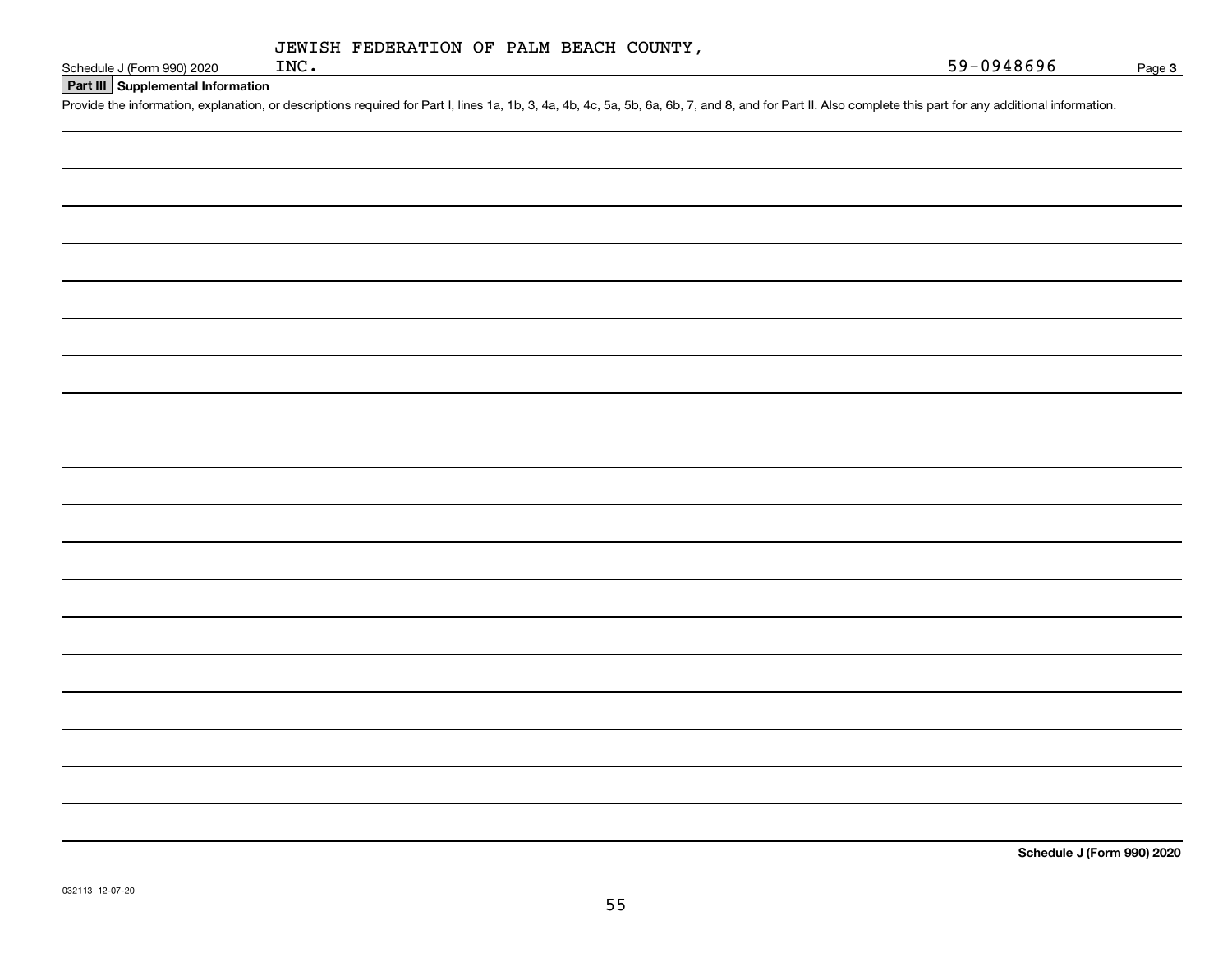**Part III Supplemental Information**

Schedule J (Form 990) 2020 INC.<br>Part III Supplemental Information<br>Provide the information, explanation, or descriptions required for Part I, lines 1a, 1b, 3, 4a, 4b, 4c, 5a, 5b, 6a, 6b, 7, and 8, and for Part II. Also comp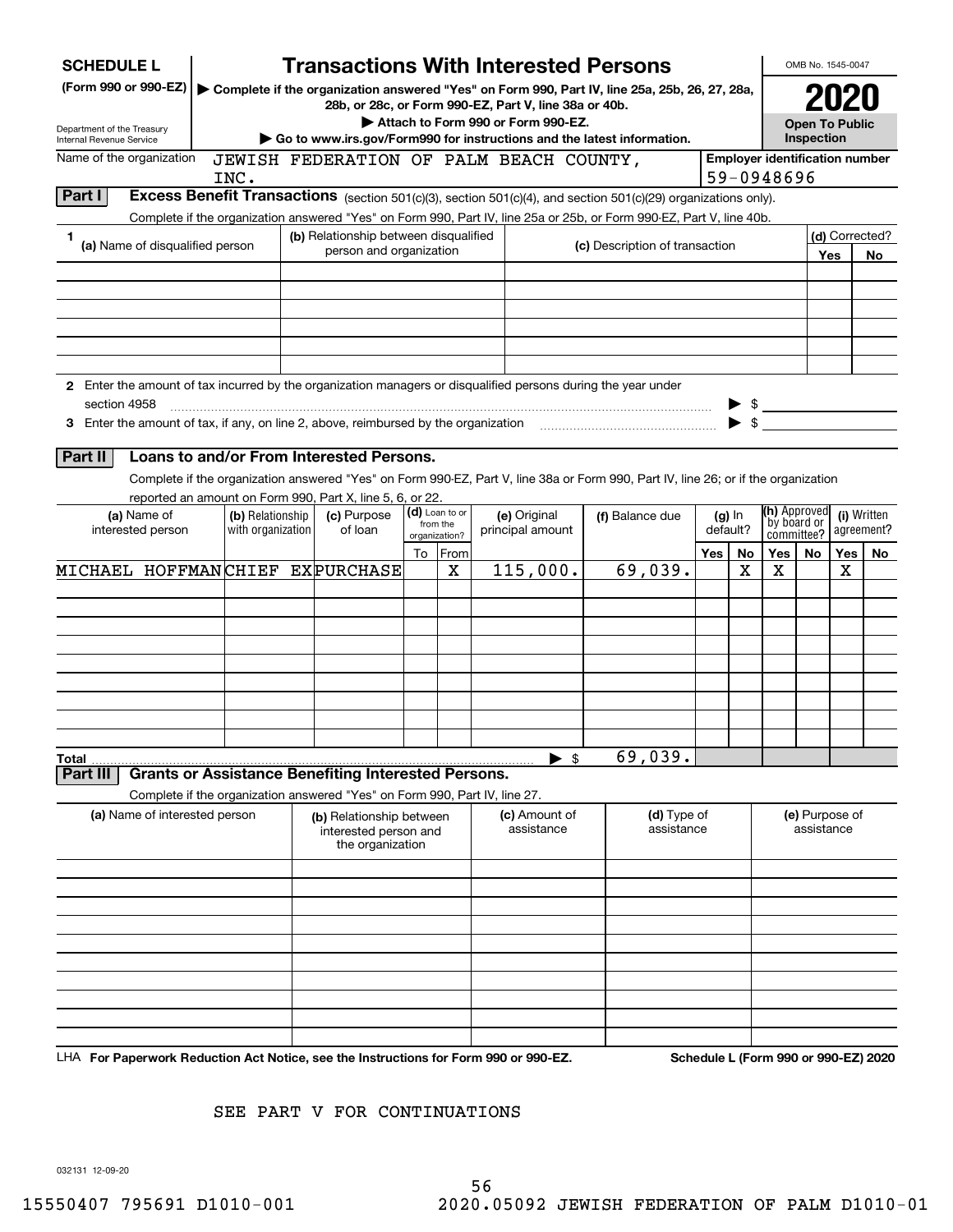| <b>SCHEDULE L</b>                                                                                                  |  |                                       |                                                                            |                            |                       | <b>Transactions With Interested Persons</b>                                                                                                            |                                |                      |    |                                       | OMB No. 1545-0047            |            |                                      |
|--------------------------------------------------------------------------------------------------------------------|--|---------------------------------------|----------------------------------------------------------------------------|----------------------------|-----------------------|--------------------------------------------------------------------------------------------------------------------------------------------------------|--------------------------------|----------------------|----|---------------------------------------|------------------------------|------------|--------------------------------------|
| (Form 990 or 990-EZ)                                                                                               |  |                                       |                                                                            |                            |                       | Complete if the organization answered "Yes" on Form 990, Part IV, line 25a, 25b, 26, 27, 28a,<br>28b, or 28c, or Form 990-EZ, Part V, line 38a or 40b. |                                |                      |    |                                       |                              |            |                                      |
| Department of the Treasury                                                                                         |  |                                       |                                                                            |                            |                       | Attach to Form 990 or Form 990-EZ.                                                                                                                     |                                |                      |    |                                       | <b>Open To Public</b>        |            |                                      |
| Internal Revenue Service                                                                                           |  |                                       |                                                                            |                            |                       | Go to www.irs.gov/Form990 for instructions and the latest information.                                                                                 |                                |                      |    |                                       | <b>Inspection</b>            |            |                                      |
| Name of the organization                                                                                           |  |                                       |                                                                            |                            |                       | JEWISH FEDERATION OF PALM BEACH COUNTY,                                                                                                                |                                |                      |    | <b>Employer identification number</b> |                              |            |                                      |
| Part I                                                                                                             |  | INC.                                  |                                                                            |                            |                       | Excess Benefit Transactions (section 501(c)(3), section 501(c)(4), and section 501(c)(29) organizations only).                                         |                                |                      |    | 59-0948696                            |                              |            |                                      |
|                                                                                                                    |  |                                       |                                                                            |                            |                       |                                                                                                                                                        |                                |                      |    |                                       |                              |            |                                      |
| $\mathbf{1}$                                                                                                       |  |                                       | (b) Relationship between disqualified                                      |                            |                       | Complete if the organization answered "Yes" on Form 990, Part IV, line 25a or 25b, or Form 990-EZ, Part V, line 40b.                                   |                                |                      |    |                                       |                              |            | (d) Corrected?                       |
| (a) Name of disqualified person                                                                                    |  |                                       | person and organization                                                    |                            |                       |                                                                                                                                                        | (c) Description of transaction |                      |    |                                       |                              | Yes        | No                                   |
|                                                                                                                    |  |                                       |                                                                            |                            |                       |                                                                                                                                                        |                                |                      |    |                                       |                              |            |                                      |
|                                                                                                                    |  |                                       |                                                                            |                            |                       |                                                                                                                                                        |                                |                      |    |                                       |                              |            |                                      |
|                                                                                                                    |  |                                       |                                                                            |                            |                       |                                                                                                                                                        |                                |                      |    |                                       |                              |            |                                      |
|                                                                                                                    |  |                                       |                                                                            |                            |                       |                                                                                                                                                        |                                |                      |    |                                       |                              |            |                                      |
|                                                                                                                    |  |                                       |                                                                            |                            |                       |                                                                                                                                                        |                                |                      |    |                                       |                              |            |                                      |
| 2 Enter the amount of tax incurred by the organization managers or disqualified persons during the year under      |  |                                       |                                                                            |                            |                       |                                                                                                                                                        |                                |                      |    |                                       |                              |            |                                      |
| section 4958                                                                                                       |  |                                       |                                                                            |                            |                       |                                                                                                                                                        |                                |                      |    |                                       |                              |            |                                      |
| 3 Enter the amount of tax, if any, on line 2, above, reimbursed by the organization <i>manumenon communicanous</i> |  |                                       |                                                                            |                            |                       |                                                                                                                                                        |                                |                      |    |                                       |                              |            |                                      |
|                                                                                                                    |  |                                       |                                                                            |                            |                       |                                                                                                                                                        |                                |                      |    |                                       |                              |            |                                      |
| <b>Part II</b>                                                                                                     |  |                                       | Loans to and/or From Interested Persons.                                   |                            |                       |                                                                                                                                                        |                                |                      |    |                                       |                              |            |                                      |
|                                                                                                                    |  |                                       |                                                                            |                            |                       | Complete if the organization answered "Yes" on Form 990-EZ, Part V, line 38a or Form 990, Part IV, line 26; or if the organization                     |                                |                      |    |                                       |                              |            |                                      |
|                                                                                                                    |  |                                       | reported an amount on Form 990, Part X, line 5, 6, or 22.                  |                            |                       |                                                                                                                                                        |                                |                      |    | <b>(h)</b> Approved                   |                              |            | (i) Written                          |
| (a) Name of<br>interested person                                                                                   |  | (b) Relationship<br>with organization | (c) Purpose<br>of loan                                                     | (d) Loan to or<br>from the |                       | (e) Original<br>principal amount                                                                                                                       | (f) Balance due                | $(g)$ In<br>default? |    | `by board or<br>committee?            |                              | agreement? |                                      |
|                                                                                                                    |  |                                       |                                                                            | To                         | organization?<br>From |                                                                                                                                                        |                                |                      | No | Yes                                   | No                           |            | Yes   No                             |
| MICHAEL HOFFMANCHIEF EXPURCHASE                                                                                    |  |                                       |                                                                            |                            | x                     | 115,000.                                                                                                                                               | 69,039.                        | Yes                  | х  | X                                     |                              | X          |                                      |
|                                                                                                                    |  |                                       |                                                                            |                            |                       |                                                                                                                                                        |                                |                      |    |                                       |                              |            |                                      |
|                                                                                                                    |  |                                       |                                                                            |                            |                       |                                                                                                                                                        |                                |                      |    |                                       |                              |            |                                      |
|                                                                                                                    |  |                                       |                                                                            |                            |                       |                                                                                                                                                        |                                |                      |    |                                       |                              |            |                                      |
|                                                                                                                    |  |                                       |                                                                            |                            |                       |                                                                                                                                                        |                                |                      |    |                                       |                              |            |                                      |
|                                                                                                                    |  |                                       |                                                                            |                            |                       |                                                                                                                                                        |                                |                      |    |                                       |                              |            |                                      |
|                                                                                                                    |  |                                       |                                                                            |                            |                       |                                                                                                                                                        |                                |                      |    |                                       |                              |            |                                      |
|                                                                                                                    |  |                                       |                                                                            |                            |                       |                                                                                                                                                        |                                |                      |    |                                       |                              |            |                                      |
|                                                                                                                    |  |                                       |                                                                            |                            |                       |                                                                                                                                                        |                                |                      |    |                                       |                              |            |                                      |
| Total                                                                                                              |  |                                       |                                                                            |                            |                       | $\blacktriangleright$ \$                                                                                                                               | 69,039.                        |                      |    |                                       |                              |            |                                      |
| Part II                                                                                                            |  |                                       | <b>Grants or Assistance Benefiting Interested Persons.</b>                 |                            |                       |                                                                                                                                                        |                                |                      |    |                                       |                              |            |                                      |
|                                                                                                                    |  |                                       | Complete if the organization answered "Yes" on Form 990, Part IV, line 27. |                            |                       |                                                                                                                                                        |                                |                      |    |                                       |                              |            |                                      |
| (a) Name of interested person                                                                                      |  |                                       | (b) Relationship between<br>interested person and                          |                            |                       | (c) Amount of<br>assistance                                                                                                                            | (d) Type of<br>assistance      |                      |    |                                       | (e) Purpose of<br>assistance |            |                                      |
|                                                                                                                    |  |                                       | the organization                                                           |                            |                       |                                                                                                                                                        |                                |                      |    |                                       |                              |            |                                      |
|                                                                                                                    |  |                                       |                                                                            |                            |                       |                                                                                                                                                        |                                |                      |    |                                       |                              |            |                                      |
|                                                                                                                    |  |                                       |                                                                            |                            |                       |                                                                                                                                                        |                                |                      |    |                                       |                              |            |                                      |
|                                                                                                                    |  |                                       |                                                                            |                            |                       |                                                                                                                                                        |                                |                      |    |                                       |                              |            |                                      |
|                                                                                                                    |  |                                       |                                                                            |                            |                       |                                                                                                                                                        |                                |                      |    |                                       |                              |            |                                      |
|                                                                                                                    |  |                                       |                                                                            |                            |                       |                                                                                                                                                        |                                |                      |    |                                       |                              |            |                                      |
|                                                                                                                    |  |                                       |                                                                            |                            |                       |                                                                                                                                                        |                                |                      |    |                                       |                              |            |                                      |
|                                                                                                                    |  |                                       |                                                                            |                            |                       |                                                                                                                                                        |                                |                      |    |                                       |                              |            |                                      |
|                                                                                                                    |  |                                       |                                                                            |                            |                       |                                                                                                                                                        |                                |                      |    |                                       |                              |            |                                      |
|                                                                                                                    |  |                                       |                                                                            |                            |                       |                                                                                                                                                        |                                |                      |    |                                       |                              |            |                                      |
| LHA For Paperwork Reduction Act Notice, see the Instructions for Form 990 or 990-EZ.                               |  |                                       |                                                                            |                            |                       |                                                                                                                                                        |                                |                      |    |                                       |                              |            | Schedule L (Form 990 or 990-EZ) 2020 |

#### SEE PART V FOR CONTINUATIONS

032131 12-09-20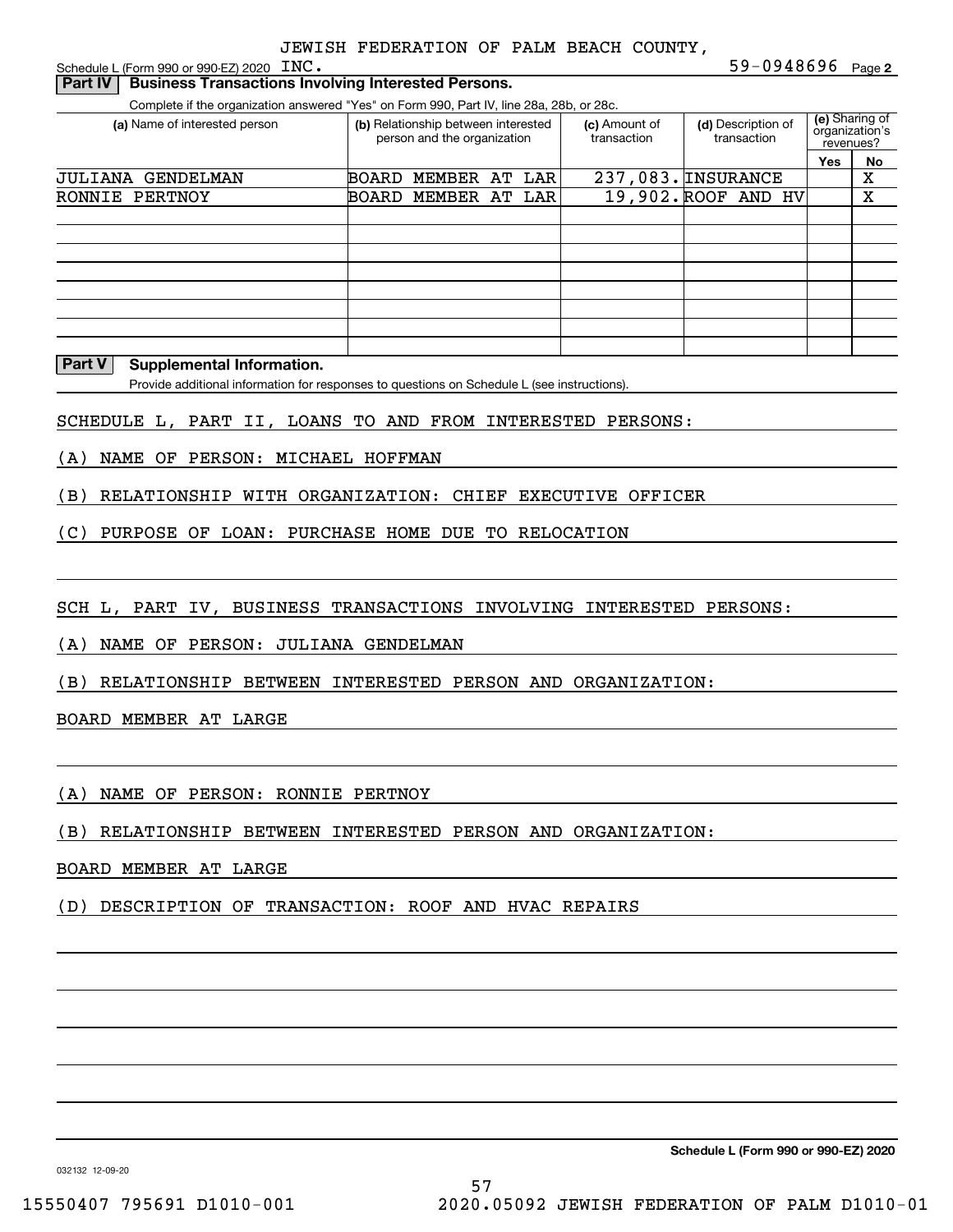|                                                                                                                           | JEWISH FEDERATION OF PALM BEACH COUNTY,                                                     |                              | $59 - 0948696$ Page 2             |                                               |             |  |
|---------------------------------------------------------------------------------------------------------------------------|---------------------------------------------------------------------------------------------|------------------------------|-----------------------------------|-----------------------------------------------|-------------|--|
| Schedule L (Form 990 or 990-EZ) 2020 INC.<br><b>Business Transactions Involving Interested Persons.</b><br><b>Part IV</b> |                                                                                             |                              |                                   |                                               |             |  |
|                                                                                                                           | Complete if the organization answered "Yes" on Form 990, Part IV, line 28a, 28b, or 28c.    |                              |                                   |                                               |             |  |
| (a) Name of interested person                                                                                             | (b) Relationship between interested<br>person and the organization                          | (c) Amount of<br>transaction | (d) Description of<br>transaction | (e) Sharing of<br>organization's<br>revenues? |             |  |
|                                                                                                                           |                                                                                             |                              |                                   | Yes                                           | No          |  |
| JULIANA GENDELMAN                                                                                                         | LAR<br>MEMBER AT<br>BOARD                                                                   |                              | 237,083. INSURANCE                |                                               | $\mathbf x$ |  |
| RONNIE PERTNOY                                                                                                            | BOARD MEMBER AT<br>LAR                                                                      |                              | 19,902. ROOF AND HV               |                                               | $\mathbf X$ |  |
|                                                                                                                           |                                                                                             |                              |                                   |                                               |             |  |
|                                                                                                                           |                                                                                             |                              |                                   |                                               |             |  |
|                                                                                                                           |                                                                                             |                              |                                   |                                               |             |  |
|                                                                                                                           |                                                                                             |                              |                                   |                                               |             |  |
|                                                                                                                           |                                                                                             |                              |                                   |                                               |             |  |
|                                                                                                                           |                                                                                             |                              |                                   |                                               |             |  |
|                                                                                                                           |                                                                                             |                              |                                   |                                               |             |  |
| Part V<br><b>Supplemental Information.</b>                                                                                |                                                                                             |                              |                                   |                                               |             |  |
|                                                                                                                           | Provide additional information for responses to questions on Schedule L (see instructions). |                              |                                   |                                               |             |  |
| SCHEDULE L, PART II,                                                                                                      | LOANS TO AND FROM INTERESTED PERSONS:                                                       |                              |                                   |                                               |             |  |
|                                                                                                                           |                                                                                             |                              |                                   |                                               |             |  |
| PERSON: MICHAEL HOFFMAN<br>NAME OF<br>(A)                                                                                 |                                                                                             |                              |                                   |                                               |             |  |
|                                                                                                                           |                                                                                             |                              |                                   |                                               |             |  |
| (B)<br>RELATIONSHIP WITH ORGANIZATION:                                                                                    | <b>CHIEF</b>                                                                                | <b>EXECUTIVE OFFICER</b>     |                                   |                                               |             |  |
|                                                                                                                           |                                                                                             |                              |                                   |                                               |             |  |
| (C)<br>PURPOSE OF LOAN: PURCHASE HOME DUE TO RELOCATION                                                                   |                                                                                             |                              |                                   |                                               |             |  |
|                                                                                                                           |                                                                                             |                              |                                   |                                               |             |  |
|                                                                                                                           |                                                                                             |                              |                                   |                                               |             |  |
| SCH L, PART IV, BUSINESS TRANSACTIONS INVOLVING INTERESTED PERSONS:                                                       |                                                                                             |                              |                                   |                                               |             |  |
|                                                                                                                           |                                                                                             |                              |                                   |                                               |             |  |
| NAME OF<br>PERSON:<br>(A)                                                                                                 | JULIANA GENDELMAN                                                                           |                              |                                   |                                               |             |  |
|                                                                                                                           |                                                                                             |                              |                                   |                                               |             |  |
| RELATIONSHIP BETWEEN INTERESTED PERSON AND ORGANIZATION:<br>(B)                                                           |                                                                                             |                              |                                   |                                               |             |  |
|                                                                                                                           |                                                                                             |                              |                                   |                                               |             |  |
| BOARD MEMBER AT LARGE                                                                                                     |                                                                                             |                              |                                   |                                               |             |  |
|                                                                                                                           |                                                                                             |                              |                                   |                                               |             |  |
|                                                                                                                           |                                                                                             |                              |                                   |                                               |             |  |
| NAME OF PERSON: RONNIE PERTNOY<br>(A)                                                                                     |                                                                                             |                              |                                   |                                               |             |  |
|                                                                                                                           |                                                                                             |                              |                                   |                                               |             |  |
| RELATIONSHIP BETWEEN INTERESTED PERSON AND ORGANIZATION:<br>(B)                                                           |                                                                                             |                              |                                   |                                               |             |  |
|                                                                                                                           |                                                                                             |                              |                                   |                                               |             |  |
| BOARD MEMBER AT LARGE                                                                                                     |                                                                                             |                              |                                   |                                               |             |  |
| (D) DESCRIPTION OF TRANSACTION: ROOF AND HVAC REPAIRS                                                                     |                                                                                             |                              |                                   |                                               |             |  |
|                                                                                                                           |                                                                                             |                              |                                   |                                               |             |  |
|                                                                                                                           |                                                                                             |                              |                                   |                                               |             |  |
|                                                                                                                           |                                                                                             |                              |                                   |                                               |             |  |
|                                                                                                                           |                                                                                             |                              |                                   |                                               |             |  |
|                                                                                                                           |                                                                                             |                              |                                   |                                               |             |  |
|                                                                                                                           |                                                                                             |                              |                                   |                                               |             |  |
|                                                                                                                           |                                                                                             |                              |                                   |                                               |             |  |
|                                                                                                                           |                                                                                             |                              |                                   |                                               |             |  |
|                                                                                                                           |                                                                                             |                              |                                   |                                               |             |  |
|                                                                                                                           |                                                                                             |                              |                                   |                                               |             |  |

**Schedule L (Form 990 or 990-EZ) 2020**

032132 12-09-20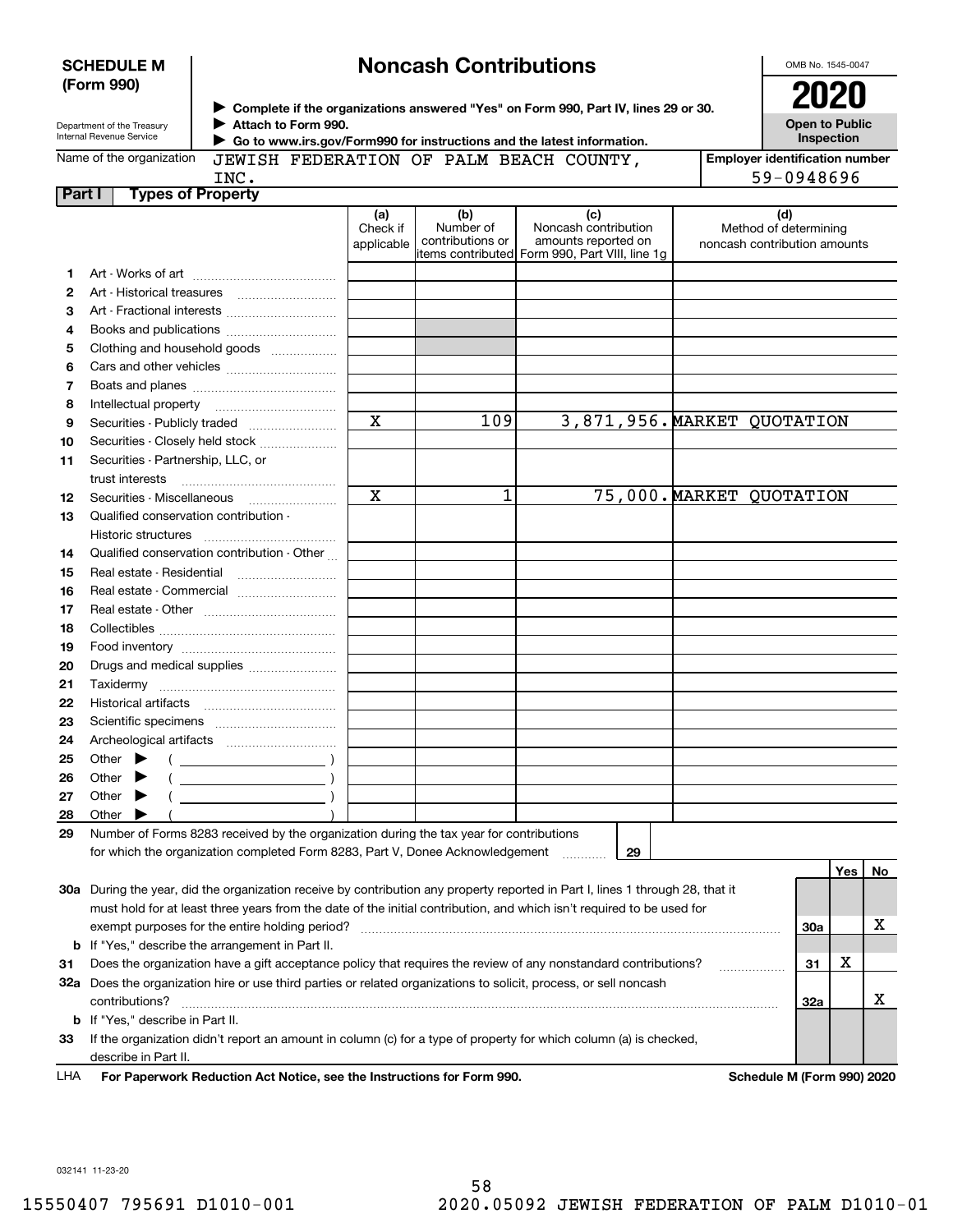| <b>SCHEDULE M</b> |  |
|-------------------|--|
| (Form 990)        |  |

# **Noncash Contributions**

OMB No. 1545-0047

| (Form 990)                 |
|----------------------------|
| Department of the Treasury |

# **Complete if the organizations answered "Yes" on Form 990, Part IV, lines 29 or 30.** <sup>J</sup>**2020 Attach to Form 990.** J

**Open to Public**

| Internal Revenue Service<br>► Go to www.irs.gov/Form990 for instructions and the latest information. |                          |                                         |                  |  |                             |  | <b>Inspection</b>                     |
|------------------------------------------------------------------------------------------------------|--------------------------|-----------------------------------------|------------------|--|-----------------------------|--|---------------------------------------|
| Name of the organization                                                                             |                          | JEWISH FEDERATION OF PALM BEACH COUNTY, |                  |  |                             |  | <b>Employer identification number</b> |
|                                                                                                      | INC.                     |                                         |                  |  |                             |  | 59-0948696                            |
| <b>Part I</b>                                                                                        | <b>Types of Property</b> |                                         |                  |  |                             |  |                                       |
|                                                                                                      |                          | (a)<br>Check if                         | (b)<br>Number of |  | (C)<br>Noncash contribution |  | (d)<br>Method of determining          |

|    |                                                                                                                                | UHUUN II<br>applicable  | ----------<br>contributions or | 1901 10831 1 001 161 10860 1<br>amounts reported on |                          | <u>Metriod of determining</u><br>noncash contribution amounts |     |    |
|----|--------------------------------------------------------------------------------------------------------------------------------|-------------------------|--------------------------------|-----------------------------------------------------|--------------------------|---------------------------------------------------------------|-----|----|
|    |                                                                                                                                |                         |                                | items contributed Form 990, Part VIII, line 1g      |                          |                                                               |     |    |
| 1  |                                                                                                                                |                         |                                |                                                     |                          |                                                               |     |    |
| 2  |                                                                                                                                |                         |                                |                                                     |                          |                                                               |     |    |
| 3  | Art - Fractional interests                                                                                                     |                         |                                |                                                     |                          |                                                               |     |    |
| 4  |                                                                                                                                |                         |                                |                                                     |                          |                                                               |     |    |
| 5  | Clothing and household goods                                                                                                   |                         |                                |                                                     |                          |                                                               |     |    |
| 6  |                                                                                                                                |                         |                                |                                                     |                          |                                                               |     |    |
| 7  |                                                                                                                                |                         |                                |                                                     |                          |                                                               |     |    |
| 8  |                                                                                                                                |                         |                                |                                                     |                          |                                                               |     |    |
| 9  |                                                                                                                                | $\overline{\mathbf{x}}$ | 109                            | 3,871,956. MARKET QUOTATION                         |                          |                                                               |     |    |
| 10 | Securities - Closely held stock                                                                                                |                         |                                |                                                     |                          |                                                               |     |    |
| 11 | Securities - Partnership, LLC, or                                                                                              |                         |                                |                                                     |                          |                                                               |     |    |
|    |                                                                                                                                |                         |                                |                                                     |                          |                                                               |     |    |
| 12 |                                                                                                                                | $\mathbf x$             | 1                              |                                                     | 75,000. MARKET QUOTATION |                                                               |     |    |
| 13 | Qualified conservation contribution -                                                                                          |                         |                                |                                                     |                          |                                                               |     |    |
|    | Historic structures                                                                                                            |                         |                                |                                                     |                          |                                                               |     |    |
| 14 | Qualified conservation contribution - Other                                                                                    |                         |                                |                                                     |                          |                                                               |     |    |
| 15 | Real estate - Residential                                                                                                      |                         |                                |                                                     |                          |                                                               |     |    |
| 16 | Real estate - Commercial                                                                                                       |                         |                                |                                                     |                          |                                                               |     |    |
| 17 |                                                                                                                                |                         |                                |                                                     |                          |                                                               |     |    |
| 18 |                                                                                                                                |                         |                                |                                                     |                          |                                                               |     |    |
| 19 |                                                                                                                                |                         |                                |                                                     |                          |                                                               |     |    |
| 20 | Drugs and medical supplies                                                                                                     |                         |                                |                                                     |                          |                                                               |     |    |
| 21 |                                                                                                                                |                         |                                |                                                     |                          |                                                               |     |    |
| 22 |                                                                                                                                |                         |                                |                                                     |                          |                                                               |     |    |
| 23 |                                                                                                                                |                         |                                |                                                     |                          |                                                               |     |    |
| 24 |                                                                                                                                |                         |                                |                                                     |                          |                                                               |     |    |
| 25 | Other $\blacktriangleright$<br>$($ )                                                                                           |                         |                                |                                                     |                          |                                                               |     |    |
| 26 | Other $\blacktriangleright$                                                                                                    |                         |                                |                                                     |                          |                                                               |     |    |
| 27 | $\left($ $\right)$<br>Other $\blacktriangleright$                                                                              |                         |                                |                                                     |                          |                                                               |     |    |
| 28 | Other $\blacktriangleright$                                                                                                    |                         |                                |                                                     |                          |                                                               |     |    |
| 29 | Number of Forms 8283 received by the organization during the tax year for contributions                                        |                         |                                |                                                     |                          |                                                               |     |    |
|    | for which the organization completed Form 8283, Part V, Donee Acknowledgement                                                  |                         |                                | 29                                                  |                          |                                                               |     |    |
|    |                                                                                                                                |                         |                                |                                                     |                          |                                                               | Yes | No |
|    | 30a During the year, did the organization receive by contribution any property reported in Part I, lines 1 through 28, that it |                         |                                |                                                     |                          |                                                               |     |    |
|    | must hold for at least three years from the date of the initial contribution, and which isn't required to be used for          |                         |                                |                                                     |                          |                                                               |     |    |
|    |                                                                                                                                |                         |                                |                                                     |                          | 30a                                                           |     | x  |
|    | <b>b</b> If "Yes," describe the arrangement in Part II.                                                                        |                         |                                |                                                     |                          |                                                               |     |    |
| 31 | Does the organization have a gift acceptance policy that requires the review of any nonstandard contributions?                 |                         |                                |                                                     | .                        | 31                                                            | x   |    |
|    | 32a Does the organization hire or use third parties or related organizations to solicit, process, or sell noncash              |                         |                                |                                                     |                          |                                                               |     |    |
|    | contributions?                                                                                                                 |                         |                                |                                                     |                          | 32a                                                           |     | X. |
|    | b If "Yes," describe in Part II.                                                                                               |                         |                                |                                                     |                          |                                                               |     |    |
|    |                                                                                                                                |                         |                                |                                                     |                          |                                                               |     |    |

**33**If the organization didn't report an amount in column (c) for a type of property for which column (a) is checked, describe in Part II.

**For Paperwork Reduction Act Notice, see the Instructions for Form 990. Schedule M (Form 990) 2020** LHA

032141 11-23-20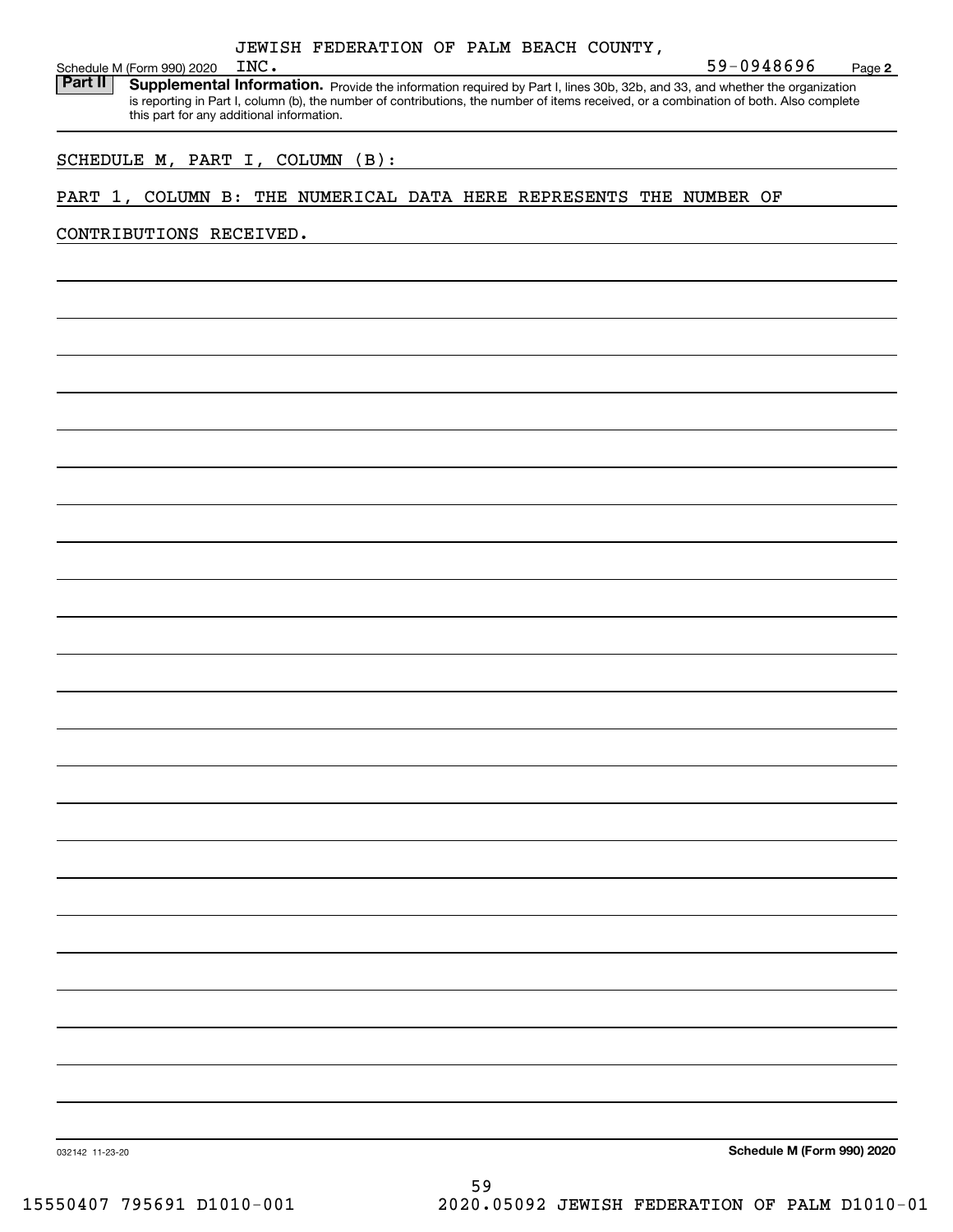|                 |                                 |                                           | JEWISH FEDERATION OF PALM BEACH COUNTY, |    |  |                                                                                                                                                                                                                                                                      |        |
|-----------------|---------------------------------|-------------------------------------------|-----------------------------------------|----|--|----------------------------------------------------------------------------------------------------------------------------------------------------------------------------------------------------------------------------------------------------------------------|--------|
|                 | Schedule M (Form 990) 2020      | INC.                                      |                                         |    |  | 59-0948696                                                                                                                                                                                                                                                           | Page 2 |
| <b>Part II</b>  |                                 | this part for any additional information. |                                         |    |  | Supplemental Information. Provide the information required by Part I, lines 30b, 32b, and 33, and whether the organization<br>is reporting in Part I, column (b), the number of contributions, the number of items received, or a combination of both. Also complete |        |
|                 | SCHEDULE M, PART I, COLUMN (B): |                                           |                                         |    |  |                                                                                                                                                                                                                                                                      |        |
|                 |                                 |                                           |                                         |    |  | PART 1, COLUMN B: THE NUMERICAL DATA HERE REPRESENTS THE NUMBER OF                                                                                                                                                                                                   |        |
|                 | CONTRIBUTIONS RECEIVED.         |                                           |                                         |    |  |                                                                                                                                                                                                                                                                      |        |
|                 |                                 |                                           |                                         |    |  |                                                                                                                                                                                                                                                                      |        |
|                 |                                 |                                           |                                         |    |  |                                                                                                                                                                                                                                                                      |        |
|                 |                                 |                                           |                                         |    |  |                                                                                                                                                                                                                                                                      |        |
|                 |                                 |                                           |                                         |    |  |                                                                                                                                                                                                                                                                      |        |
|                 |                                 |                                           |                                         |    |  |                                                                                                                                                                                                                                                                      |        |
|                 |                                 |                                           |                                         |    |  |                                                                                                                                                                                                                                                                      |        |
|                 |                                 |                                           |                                         |    |  |                                                                                                                                                                                                                                                                      |        |
|                 |                                 |                                           |                                         |    |  |                                                                                                                                                                                                                                                                      |        |
|                 |                                 |                                           |                                         |    |  |                                                                                                                                                                                                                                                                      |        |
|                 |                                 |                                           |                                         |    |  |                                                                                                                                                                                                                                                                      |        |
|                 |                                 |                                           |                                         |    |  |                                                                                                                                                                                                                                                                      |        |
|                 |                                 |                                           |                                         |    |  |                                                                                                                                                                                                                                                                      |        |
|                 |                                 |                                           |                                         |    |  |                                                                                                                                                                                                                                                                      |        |
|                 |                                 |                                           |                                         |    |  |                                                                                                                                                                                                                                                                      |        |
|                 |                                 |                                           |                                         |    |  |                                                                                                                                                                                                                                                                      |        |
|                 |                                 |                                           |                                         |    |  |                                                                                                                                                                                                                                                                      |        |
|                 |                                 |                                           |                                         |    |  |                                                                                                                                                                                                                                                                      |        |
|                 |                                 |                                           |                                         |    |  |                                                                                                                                                                                                                                                                      |        |
|                 |                                 |                                           |                                         |    |  |                                                                                                                                                                                                                                                                      |        |
|                 |                                 |                                           |                                         |    |  |                                                                                                                                                                                                                                                                      |        |
|                 |                                 |                                           |                                         |    |  |                                                                                                                                                                                                                                                                      |        |
|                 |                                 |                                           |                                         |    |  |                                                                                                                                                                                                                                                                      |        |
|                 |                                 |                                           |                                         |    |  |                                                                                                                                                                                                                                                                      |        |
|                 |                                 |                                           |                                         |    |  |                                                                                                                                                                                                                                                                      |        |
| 032142 11-23-20 |                                 |                                           |                                         |    |  | Schedule M (Form 990) 2020                                                                                                                                                                                                                                           |        |
|                 |                                 |                                           |                                         | 59 |  |                                                                                                                                                                                                                                                                      |        |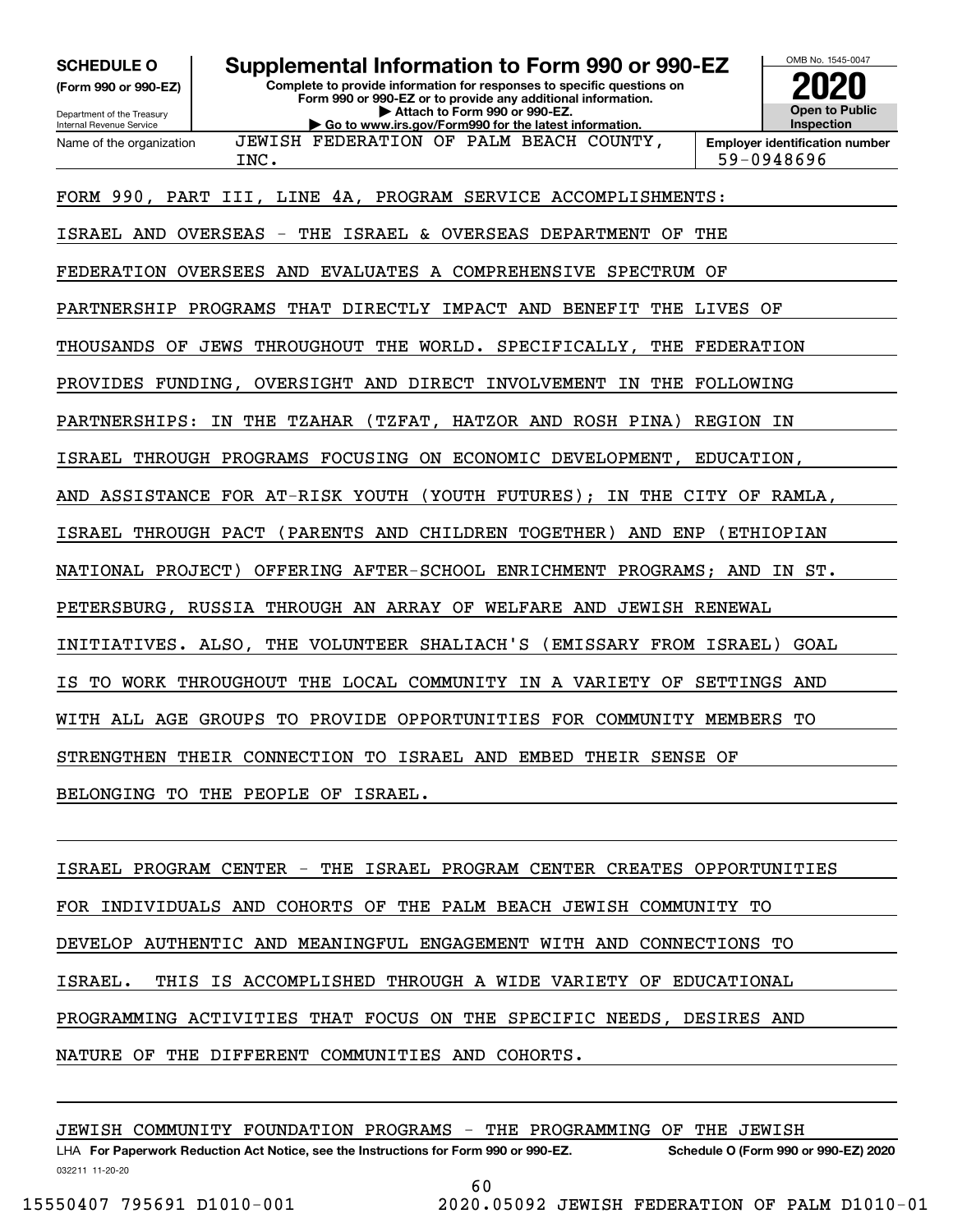**(Form 990 or 990-EZ)**

Department of the Treasury Internal Revenue Service Name of the organization

**SCHEDULE O Supplemental Information to Form 990 or 990-EZ**

**Complete to provide information for responses to specific questions on Form 990 or 990-EZ or to provide any additional information. | Attach to Form 990 or 990-EZ. | Go to www.irs.gov/Form990 for the latest information.**

JEWISH FEDERATION OF PALM BEACH COUNTY,



INC. 59-0948696

FORM 990, PART III, LINE 4A, PROGRAM SERVICE ACCOMPLISHMENTS:

ISRAEL AND OVERSEAS - THE ISRAEL & OVERSEAS DEPARTMENT OF THE

FEDERATION OVERSEES AND EVALUATES A COMPREHENSIVE SPECTRUM OF

PARTNERSHIP PROGRAMS THAT DIRECTLY IMPACT AND BENEFIT THE LIVES OF

THOUSANDS OF JEWS THROUGHOUT THE WORLD. SPECIFICALLY, THE FEDERATION

PROVIDES FUNDING, OVERSIGHT AND DIRECT INVOLVEMENT IN THE FOLLOWING

PARTNERSHIPS: IN THE TZAHAR (TZFAT, HATZOR AND ROSH PINA) REGION IN

ISRAEL THROUGH PROGRAMS FOCUSING ON ECONOMIC DEVELOPMENT, EDUCATION,

AND ASSISTANCE FOR AT-RISK YOUTH (YOUTH FUTURES); IN THE CITY OF RAMLA,

ISRAEL THROUGH PACT (PARENTS AND CHILDREN TOGETHER) AND ENP (ETHIOPIAN

NATIONAL PROJECT) OFFERING AFTER-SCHOOL ENRICHMENT PROGRAMS; AND IN ST.

PETERSBURG, RUSSIA THROUGH AN ARRAY OF WELFARE AND JEWISH RENEWAL

INITIATIVES. ALSO, THE VOLUNTEER SHALIACH'S (EMISSARY FROM ISRAEL) GOAL

IS TO WORK THROUGHOUT THE LOCAL COMMUNITY IN A VARIETY OF SETTINGS AND

WITH ALL AGE GROUPS TO PROVIDE OPPORTUNITIES FOR COMMUNITY MEMBERS TO

STRENGTHEN THEIR CONNECTION TO ISRAEL AND EMBED THEIR SENSE OF

BELONGING TO THE PEOPLE OF ISRAEL.

ISRAEL PROGRAM CENTER - THE ISRAEL PROGRAM CENTER CREATES OPPORTUNITIES FOR INDIVIDUALS AND COHORTS OF THE PALM BEACH JEWISH COMMUNITY TO DEVELOP AUTHENTIC AND MEANINGFUL ENGAGEMENT WITH AND CONNECTIONS TO ISRAEL. THIS IS ACCOMPLISHED THROUGH A WIDE VARIETY OF EDUCATIONAL PROGRAMMING ACTIVITIES THAT FOCUS ON THE SPECIFIC NEEDS, DESIRES AND NATURE OF THE DIFFERENT COMMUNITIES AND COHORTS.

032211 11-20-20 LHA For Paperwork Reduction Act Notice, see the Instructions for Form 990 or 990-EZ. Schedule O (Form 990 or 990-EZ) 2020 JEWISH COMMUNITY FOUNDATION PROGRAMS - THE PROGRAMMING OF THE JEWISH

60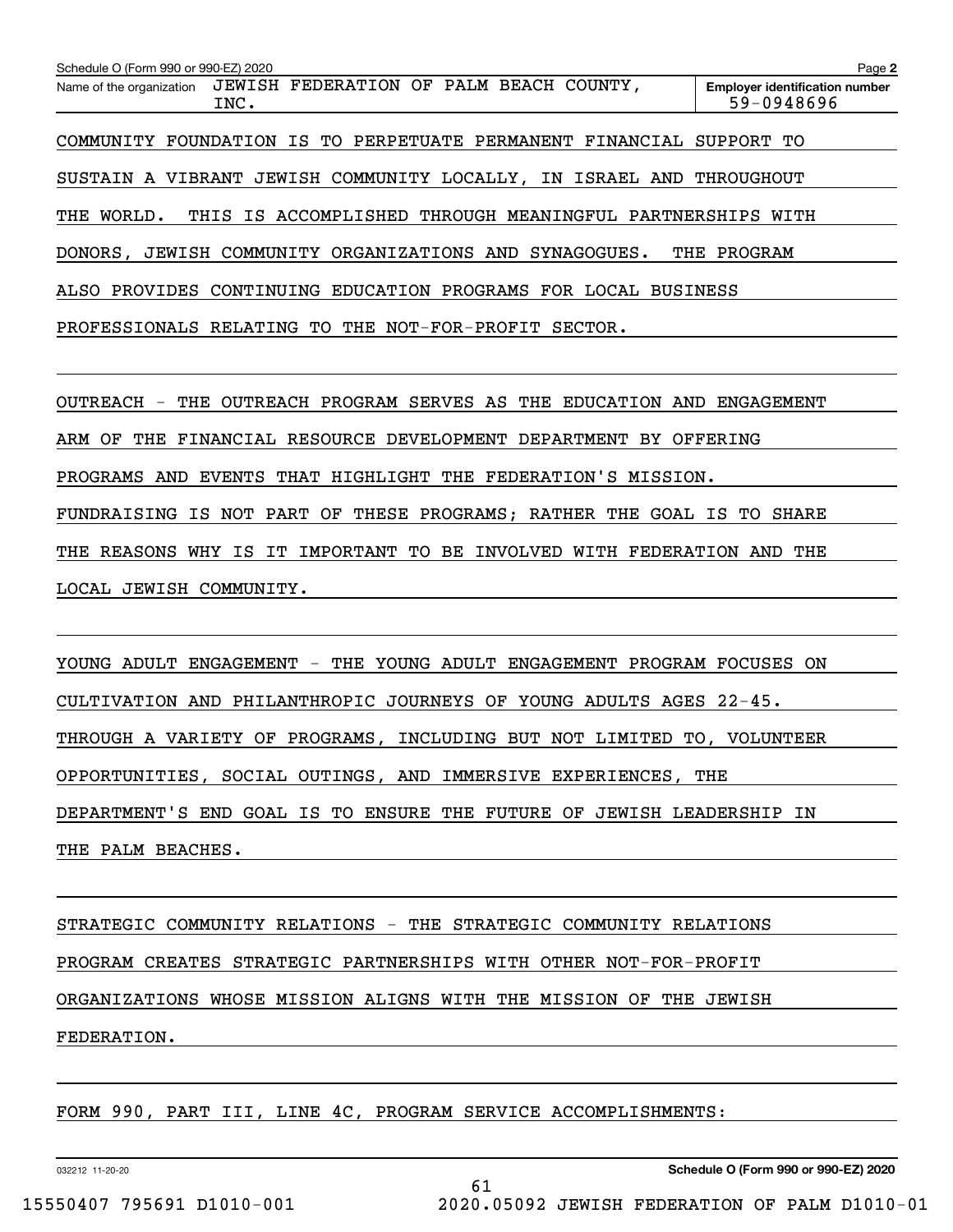| Schedule O (Form 990 or 990-EZ) 2020 |                                                                      | Page 2                                              |
|--------------------------------------|----------------------------------------------------------------------|-----------------------------------------------------|
| Name of the organization<br>INC.     | JEWISH FEDERATION OF PALM BEACH COUNTY.                              | <b>Employer identification number</b><br>59-0948696 |
|                                      | COMMUNITY FOUNDATION IS TO PERPETUATE PERMANENT FINANCIAL SUPPORT TO |                                                     |
|                                      | SUSTAIN A VIBRANT JEWISH COMMUNITY LOCALLY, IN ISRAEL AND THROUGHOUT |                                                     |
| THE WORLD.                           | THIS IS ACCOMPLISHED THROUGH MEANINGFUL PARTNERSHIPS WITH            |                                                     |
| DONORS.                              | JEWISH COMMUNITY ORGANIZATIONS AND<br>SYNAGOGUES.                    | THE PROGRAM                                         |
|                                      | ALSO PROVIDES CONTINUING EDUCATION PROGRAMS FOR LOCAL BUSINESS       |                                                     |
|                                      | PROFESSIONALS RELATING TO THE NOT-FOR-PROFIT SECTOR.                 |                                                     |

OUTREACH - THE OUTREACH PROGRAM SERVES AS THE EDUCATION AND ENGAGEMENT ARM OF THE FINANCIAL RESOURCE DEVELOPMENT DEPARTMENT BY OFFERING PROGRAMS AND EVENTS THAT HIGHLIGHT THE FEDERATION'S MISSION. FUNDRAISING IS NOT PART OF THESE PROGRAMS; RATHER THE GOAL IS TO SHARE THE REASONS WHY IS IT IMPORTANT TO BE INVOLVED WITH FEDERATION AND THE LOCAL JEWISH COMMUNITY.

YOUNG ADULT ENGAGEMENT - THE YOUNG ADULT ENGAGEMENT PROGRAM FOCUSES ON CULTIVATION AND PHILANTHROPIC JOURNEYS OF YOUNG ADULTS AGES 22-45. THROUGH A VARIETY OF PROGRAMS, INCLUDING BUT NOT LIMITED TO, VOLUNTEER OPPORTUNITIES, SOCIAL OUTINGS, AND IMMERSIVE EXPERIENCES, THE DEPARTMENT'S END GOAL IS TO ENSURE THE FUTURE OF JEWISH LEADERSHIP IN THE PALM BEACHES.

STRATEGIC COMMUNITY RELATIONS - THE STRATEGIC COMMUNITY RELATIONS PROGRAM CREATES STRATEGIC PARTNERSHIPS WITH OTHER NOT-FOR-PROFIT ORGANIZATIONS WHOSE MISSION ALIGNS WITH THE MISSION OF THE JEWISH FEDERATION.

FORM 990, PART III, LINE 4C, PROGRAM SERVICE ACCOMPLISHMENTS:

032212 11-20-20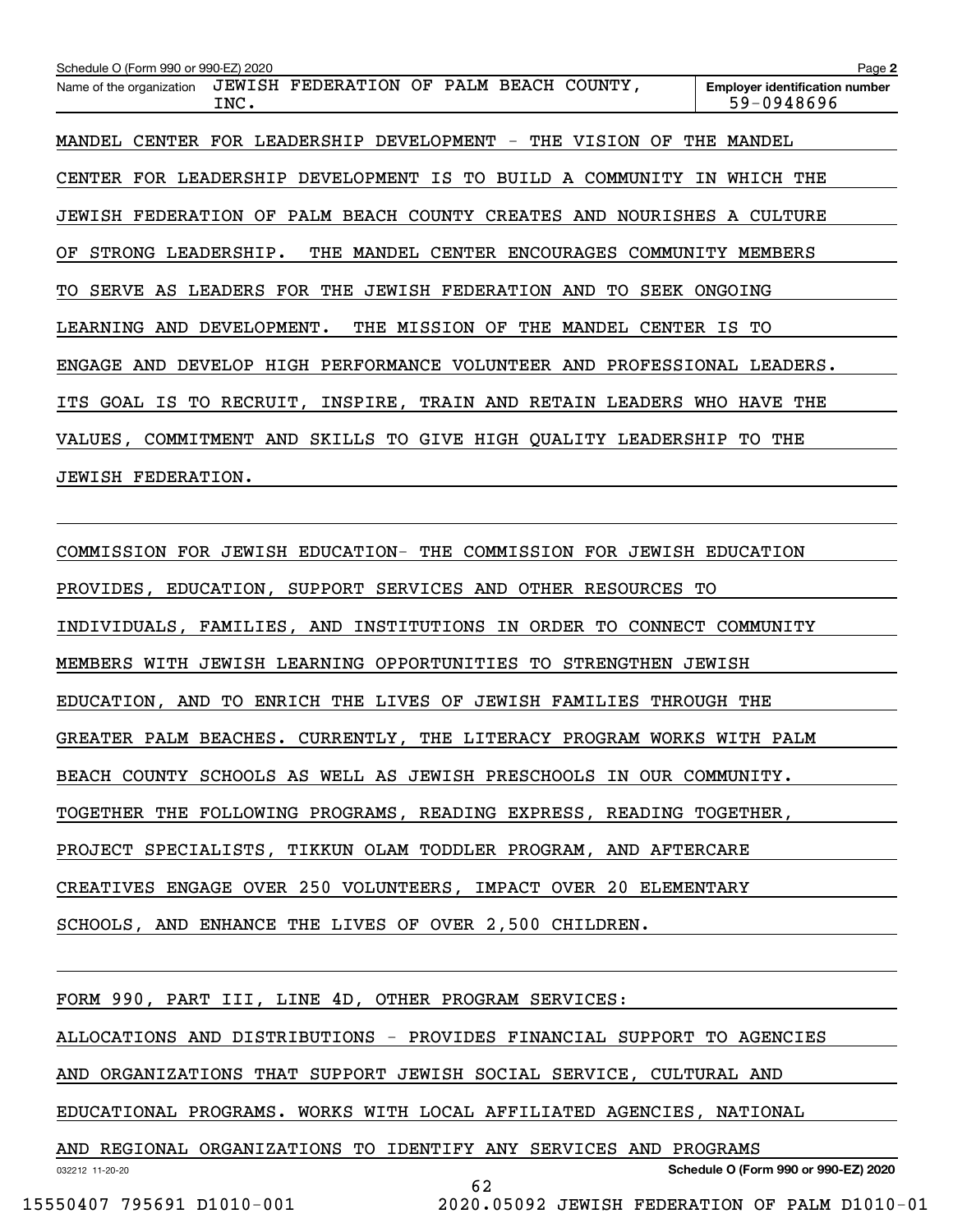| Schedule O (Form 990 or 990-EZ) 2020                                                                        | Page 2                                              |
|-------------------------------------------------------------------------------------------------------------|-----------------------------------------------------|
| FEDERATION OF<br>PALM BEACH COUNTY,<br>JEWISH<br>Name of the organization<br>INC.                           | <b>Employer identification number</b><br>59-0948696 |
| LEADERSHIP DEVELOPMENT<br>VISION<br>MANDEL<br><b>CENTER</b><br>FOR<br>THE<br>OF<br>$\overline{\phantom{m}}$ | THE<br>MANDEL                                       |
| FOR LEADERSHIP<br>DEVELOPMENT<br>IS<br>BUILD<br>COMMUNITY<br>CENTER<br>TO.<br>A                             | WHICH THE<br>ΙN                                     |
| BEACH COUNTY<br>JEWISH<br>OF<br>PALM<br><b>CREATES</b><br>AND<br>NOURISHES<br>FEDERATION                    | CULTURE<br>A                                        |
| CENTER ENCOURAGES<br><b>STRONG</b><br>LEADERSHIP.<br>THE<br>MANDEL<br>COMMUNITY<br>ОF                       | MEMBERS                                             |
| THE<br><b>JEWISH FEDERATION</b><br><b>SERVE</b><br>AS<br>LEADERS<br>FOR<br>AND<br>TО<br>SEEK<br>TO.         | ONGOING                                             |
| AND<br>MANDEL<br>LEARNING<br>DEVELOPMENT.<br>THE MISSION<br>OF<br>THE<br><b>CENTER</b>                      | TО<br>IS.                                           |
| HIGH PERFORMANCE VOLUNTEER AND<br>PROFESSIONAL<br>ENGAGE<br>AND<br>DEVELOP                                  | LEADERS.                                            |
| INSPIRE, TRAIN AND<br>GOAL<br>RECRUIT,<br>RETAIN<br>LEADERS<br>ITS<br>IS.<br>TO.                            | WHO<br>HAVE<br>THE                                  |
| COMMITMENT<br>AND<br>SKILLS<br>TO<br>GIVE<br>HIGH QUALITY LEADERSHIP<br>VALUES,                             | THE<br>TО                                           |
| JEWISH<br>FEDERATION.                                                                                       |                                                     |

COMMISSION FOR JEWISH EDUCATION- THE COMMISSION FOR JEWISH EDUCATION PROVIDES, EDUCATION, SUPPORT SERVICES AND OTHER RESOURCES TO INDIVIDUALS, FAMILIES, AND INSTITUTIONS IN ORDER TO CONNECT COMMUNITY MEMBERS WITH JEWISH LEARNING OPPORTUNITIES TO STRENGTHEN JEWISH EDUCATION, AND TO ENRICH THE LIVES OF JEWISH FAMILIES THROUGH THE GREATER PALM BEACHES. CURRENTLY, THE LITERACY PROGRAM WORKS WITH PALM BEACH COUNTY SCHOOLS AS WELL AS JEWISH PRESCHOOLS IN OUR COMMUNITY. TOGETHER THE FOLLOWING PROGRAMS, READING EXPRESS, READING TOGETHER, PROJECT SPECIALISTS, TIKKUN OLAM TODDLER PROGRAM, AND AFTERCARE CREATIVES ENGAGE OVER 250 VOLUNTEERS, IMPACT OVER 20 ELEMENTARY SCHOOLS, AND ENHANCE THE LIVES OF OVER 2,500 CHILDREN.

FORM 990, PART III, LINE 4D, OTHER PROGRAM SERVICES:

ALLOCATIONS AND DISTRIBUTIONS - PROVIDES FINANCIAL SUPPORT TO AGENCIES

AND ORGANIZATIONS THAT SUPPORT JEWISH SOCIAL SERVICE, CULTURAL AND

EDUCATIONAL PROGRAMS. WORKS WITH LOCAL AFFILIATED AGENCIES, NATIONAL

AND REGIONAL ORGANIZATIONS TO IDENTIFY ANY SERVICES AND PROGRAMS

62

032212 11-20-20

```
Schedule O (Form 990 or 990-EZ) 2020
```
15550407 795691 D1010-001 2020.05092 JEWISH FEDERATION OF PALM D1010-01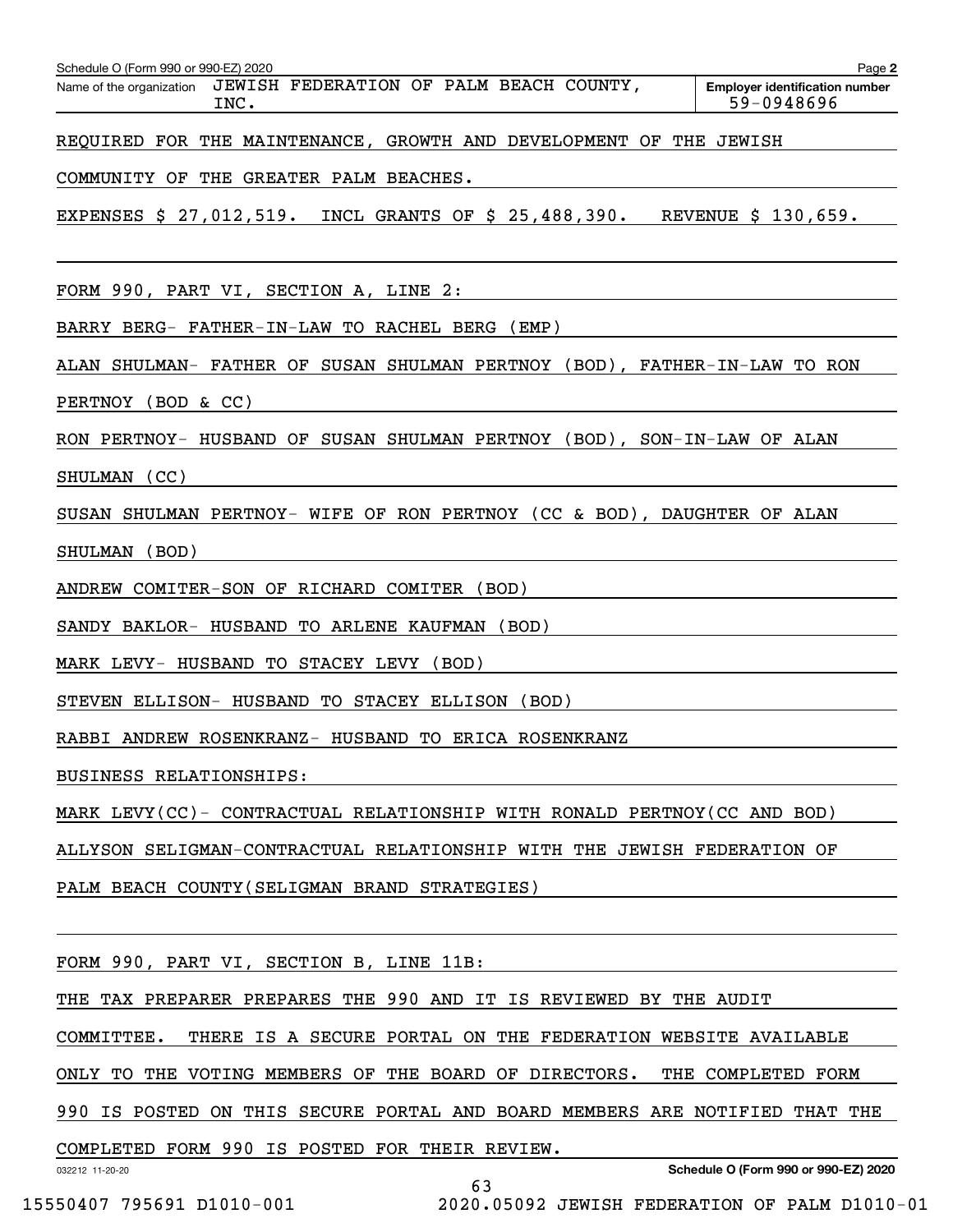| Schedule O (Form 990 or 990-EZ) 2020                                         | Page 2                                                                                                               |
|------------------------------------------------------------------------------|----------------------------------------------------------------------------------------------------------------------|
| Name of the organization JEWISH FEDERATION OF PALM BEACH COUNTY,<br>INC.     | <b>Employer identification number</b><br>59-0948696                                                                  |
| REQUIRED FOR THE MAINTENANCE, GROWTH AND DEVELOPMENT OF THE JEWISH           |                                                                                                                      |
| COMMUNITY OF THE GREATER PALM BEACHES.                                       |                                                                                                                      |
| EXPENSES \$ 27,012,519. INCL GRANTS OF \$ 25,488,390. REVENUE \$ 130,659.    |                                                                                                                      |
| FORM 990, PART VI, SECTION A, LINE 2:                                        |                                                                                                                      |
| BARRY BERG- FATHER-IN-LAW TO RACHEL BERG (EMP)                               |                                                                                                                      |
| ALAN SHULMAN- FATHER OF SUSAN SHULMAN PERTNOY (BOD), FATHER-IN-LAW TO RON    |                                                                                                                      |
| PERTNOY (BOD & CC)                                                           |                                                                                                                      |
| RON PERTNOY- HUSBAND OF SUSAN SHULMAN PERTNOY (BOD), SON-IN-LAW OF ALAN      |                                                                                                                      |
| SHULMAN (CC)                                                                 |                                                                                                                      |
| SUSAN SHULMAN PERTNOY- WIFE OF RON PERTNOY (CC & BOD), DAUGHTER OF ALAN      |                                                                                                                      |
| SHULMAN (BOD)<br><u> 1989 - Johann Stoff, amerikansk politiker (d. 1989)</u> |                                                                                                                      |
| ANDREW COMITER-SON OF RICHARD COMITER (BOD)                                  |                                                                                                                      |
|                                                                              |                                                                                                                      |
| MARK LEVY- HUSBAND TO STACEY LEVY (BOD)                                      | <u> 1989 - Johann Stein, synsk politik foar de oarnamme fan it ferstjer fan de oarnamme fan it ferstjer fan de o</u> |
|                                                                              |                                                                                                                      |
| RABBI ANDREW ROSENKRANZ- HUSBAND TO ERICA ROSENKRANZ                         |                                                                                                                      |
| BUSINESS RELATIONSHIPS:                                                      |                                                                                                                      |
| MARK LEVY(CC)- CONTRACTUAL RELATIONSHIP WITH RONALD PERTNOY(CC AND BOD)      |                                                                                                                      |
| ALLYSON SELIGMAN-CONTRACTUAL RELATIONSHIP WITH THE JEWISH FEDERATION OF      |                                                                                                                      |
| PALM BEACH COUNTY (SELIGMAN BRAND STRATEGIES)                                |                                                                                                                      |
|                                                                              |                                                                                                                      |
| FORM 990, PART VI, SECTION B, LINE 11B:                                      |                                                                                                                      |
| THE TAX PREPARER PREPARES THE 990 AND IT IS REVIEWED BY THE AUDIT            |                                                                                                                      |
| COMMITTEE.<br>THERE IS A SECURE PORTAL ON THE FEDERATION WEBSITE AVAILABLE   |                                                                                                                      |
| ONLY TO THE VOTING MEMBERS OF THE BOARD OF DIRECTORS.                        | THE COMPLETED FORM                                                                                                   |
| 990 IS POSTED ON THIS SECURE PORTAL AND BOARD MEMBERS ARE NOTIFIED THAT THE  |                                                                                                                      |

COMPLETED FORM 990 IS POSTED FOR THEIR REVIEW.

032212 11-20-20

**Schedule O (Form 990 or 990-EZ) 2020**

63

15550407 795691 D1010-001 2020.05092 JEWISH FEDERATION OF PALM D1010-01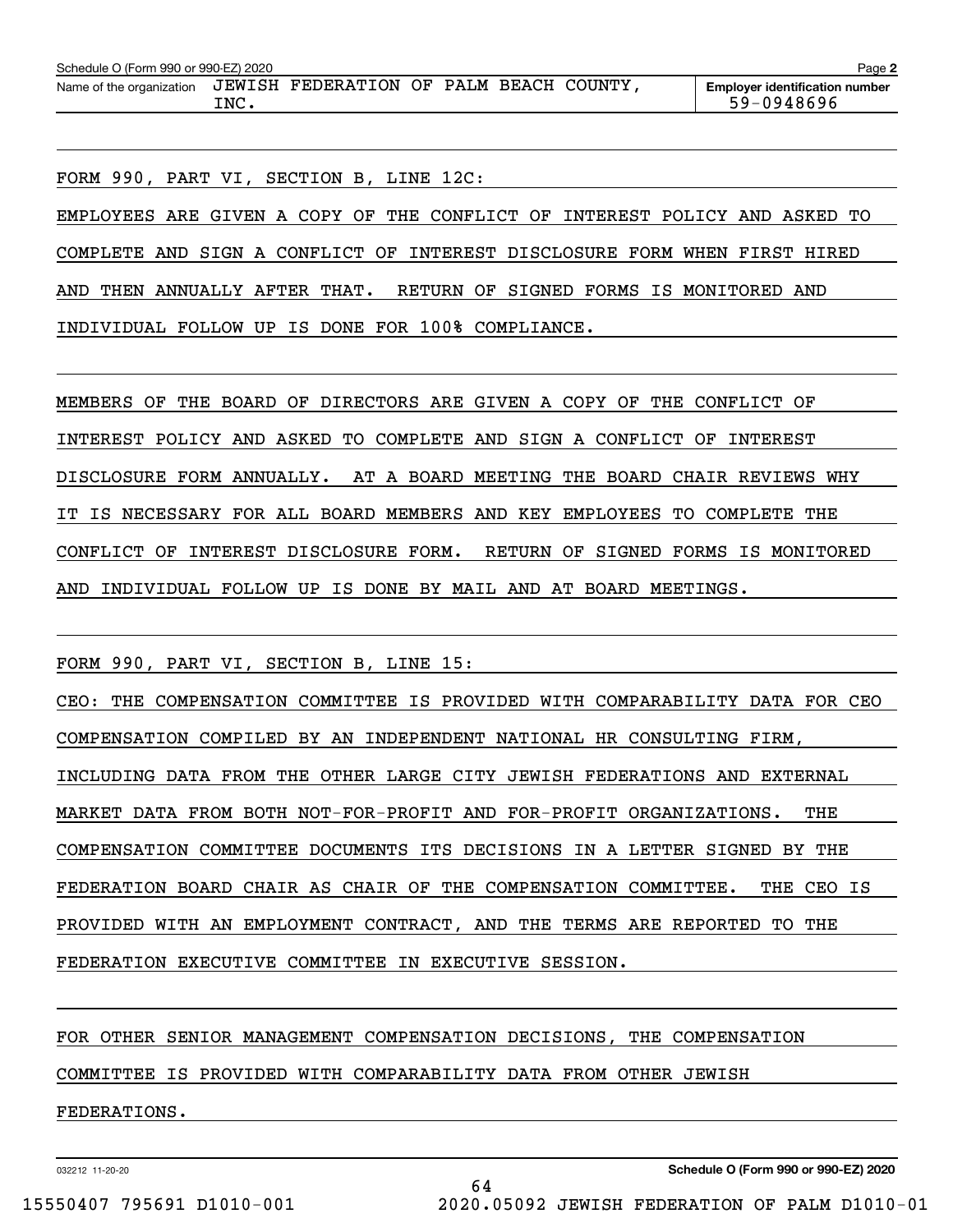| Schedule O (Form 990 or 990-EZ) 2020<br>Page 2                              |  |  |  |  |  |  |                                                     |
|-----------------------------------------------------------------------------|--|--|--|--|--|--|-----------------------------------------------------|
| JEWISH FEDERATION OF PALM BEACH COUNTY.<br>Name of the organization<br>INC. |  |  |  |  |  |  | <b>Employer identification number</b><br>59-0948696 |

FORM 990, PART VI, SECTION B, LINE 12C:

EMPLOYEES ARE GIVEN A COPY OF THE CONFLICT OF INTEREST POLICY AND ASKED TO COMPLETE AND SIGN A CONFLICT OF INTEREST DISCLOSURE FORM WHEN FIRST HIRED AND THEN ANNUALLY AFTER THAT. RETURN OF SIGNED FORMS IS MONITORED AND INDIVIDUAL FOLLOW UP IS DONE FOR 100% COMPLIANCE.

MEMBERS OF THE BOARD OF DIRECTORS ARE GIVEN A COPY OF THE CONFLICT OF INTEREST POLICY AND ASKED TO COMPLETE AND SIGN A CONFLICT OF INTEREST DISCLOSURE FORM ANNUALLY. AT A BOARD MEETING THE BOARD CHAIR REVIEWS WHY IT IS NECESSARY FOR ALL BOARD MEMBERS AND KEY EMPLOYEES TO COMPLETE THE CONFLICT OF INTEREST DISCLOSURE FORM. RETURN OF SIGNED FORMS IS MONITORED AND INDIVIDUAL FOLLOW UP IS DONE BY MAIL AND AT BOARD MEETINGS.

FORM 990, PART VI, SECTION B, LINE 15:

CEO: THE COMPENSATION COMMITTEE IS PROVIDED WITH COMPARABILITY DATA FOR CEO COMPENSATION COMPILED BY AN INDEPENDENT NATIONAL HR CONSULTING FIRM, INCLUDING DATA FROM THE OTHER LARGE CITY JEWISH FEDERATIONS AND EXTERNAL MARKET DATA FROM BOTH NOT-FOR-PROFIT AND FOR-PROFIT ORGANIZATIONS. THE COMPENSATION COMMITTEE DOCUMENTS ITS DECISIONS IN A LETTER SIGNED BY THE FEDERATION BOARD CHAIR AS CHAIR OF THE COMPENSATION COMMITTEE. THE CEO IS PROVIDED WITH AN EMPLOYMENT CONTRACT, AND THE TERMS ARE REPORTED TO THE FEDERATION EXECUTIVE COMMITTEE IN EXECUTIVE SESSION.

FOR OTHER SENIOR MANAGEMENT COMPENSATION DECISIONS, THE COMPENSATION COMMITTEE IS PROVIDED WITH COMPARABILITY DATA FROM OTHER JEWISH FEDERATIONS.

032212 11-20-20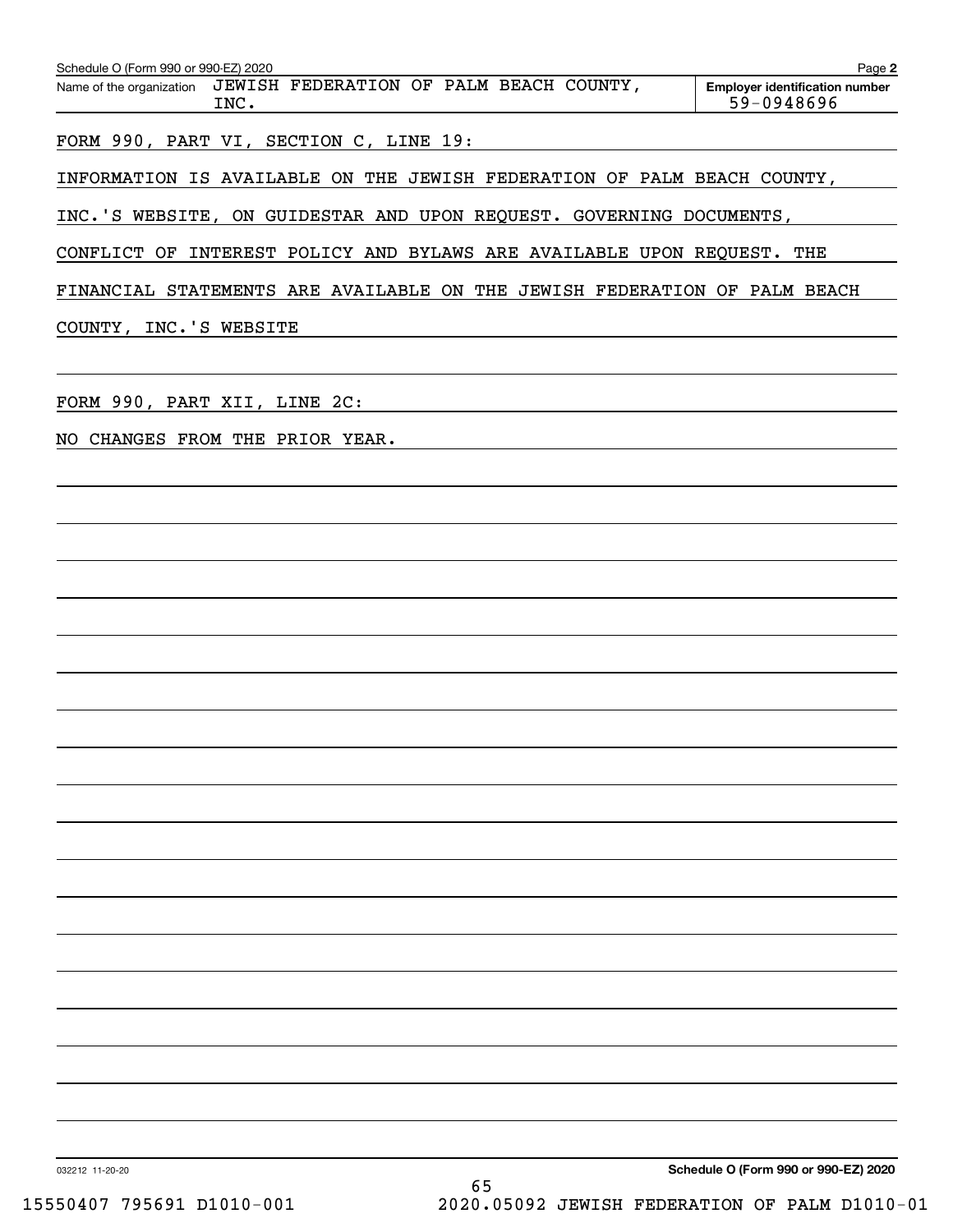| Schedule O (Form 990 or 990-EZ) 2020                                           | Page 2                                              |
|--------------------------------------------------------------------------------|-----------------------------------------------------|
| JEWISH FEDERATION OF PALM BEACH COUNTY,<br>Name of the organization<br>INC.    | <b>Employer identification number</b><br>59-0948696 |
| FORM 990, PART VI, SECTION C, LINE 19:                                         |                                                     |
| AVAILABLE ON THE JEWISH FEDERATION OF PALM BEACH COUNTY,<br>INFORMATION<br>IS. |                                                     |
| INC.'S WEBSITE, ON GUIDESTAR AND UPON REQUEST. GOVERNING DOCUMENTS,            |                                                     |
| INTEREST POLICY AND BYLAWS ARE AVAILABLE UPON REQUEST.<br>CONFLICT OF          | THE                                                 |
| STATEMENTS ARE AVAILABLE ON THE JEWISH FEDERATION<br>FINANCIAL                 | PALM<br><b>BEACH</b><br>OF                          |
| INC.'S WEBSITE<br>COUNTY,                                                      |                                                     |

FORM 990, PART XII, LINE 2C:

NO CHANGES FROM THE PRIOR YEAR.

**Schedule O (Form 990 or 990-EZ) 2020**

032212 11-20-20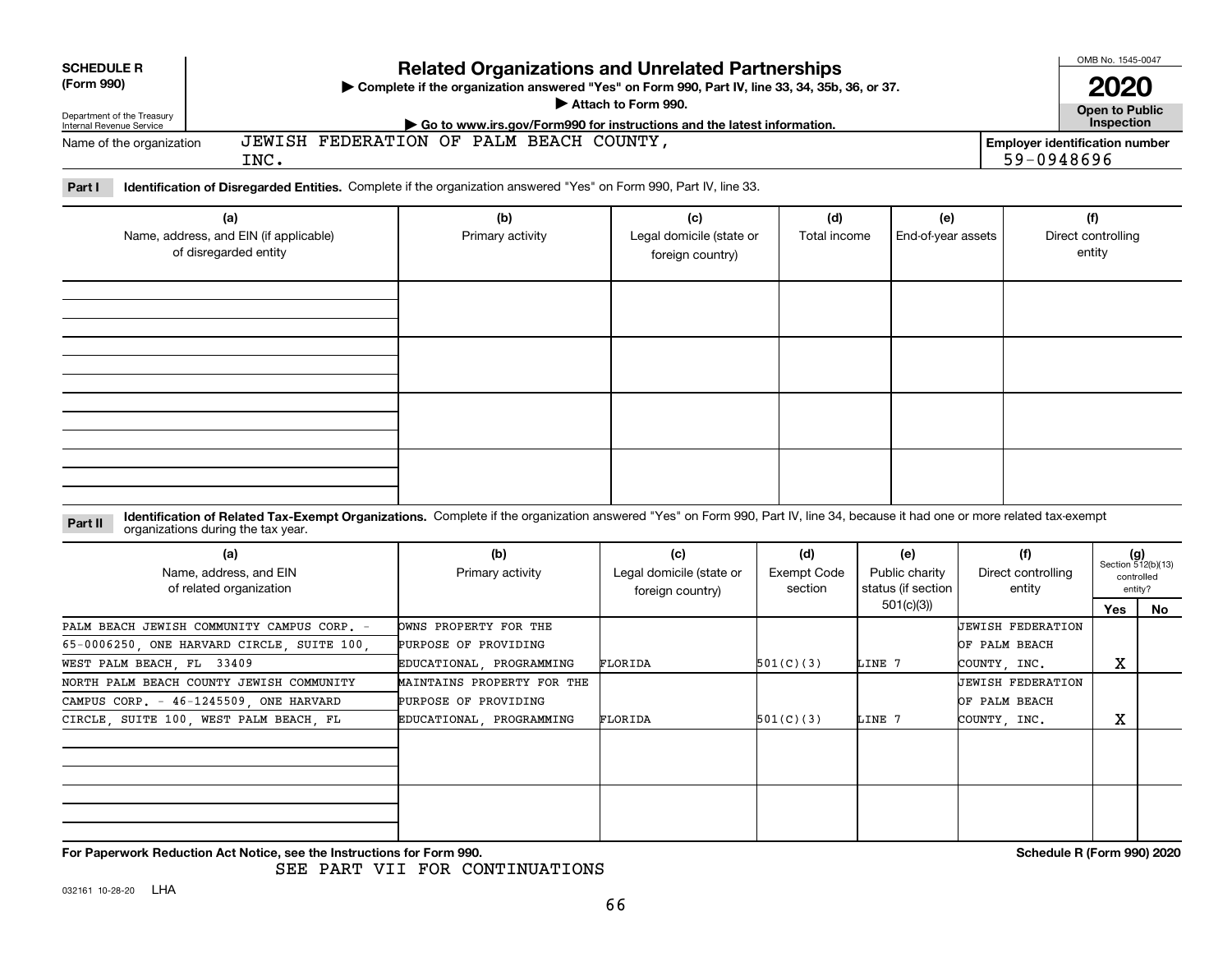| <b>SCHEDULE R</b><br>(Form 990)                        | <b>Related Organizations and Unrelated Partnerships</b><br>Complete if the organization answered "Yes" on Form 990, Part IV, line 33, 34, 35b, 36, or 37.<br>Attach to Form 990. | OMB No. 1545-0047<br>2020                           |
|--------------------------------------------------------|----------------------------------------------------------------------------------------------------------------------------------------------------------------------------------|-----------------------------------------------------|
| Department of the Treasury<br>Internal Revenue Service | $\triangleright$ Go to www.irs.gov/Form990 for instructions and the latest information.                                                                                          | Open to Public<br><b>Inspection</b>                 |
| Name of the organization                               | JEWISH FEDERATION OF PALM BEACH COUNTY.<br>INC.                                                                                                                                  | <b>Employer identification number</b><br>59-0948696 |

**Part I Identification of Disregarded Entities.**  Complete if the organization answered "Yes" on Form 990, Part IV, line 33.

| (a)<br>Name, address, and EIN (if applicable)<br>of disregarded entity | (b)<br>Primary activity | (c)<br>Legal domicile (state or<br>foreign country) | (d)<br>Total income | (e)<br>End-of-year assets | (f)<br>Direct controlling<br>entity |
|------------------------------------------------------------------------|-------------------------|-----------------------------------------------------|---------------------|---------------------------|-------------------------------------|
|                                                                        |                         |                                                     |                     |                           |                                     |
|                                                                        |                         |                                                     |                     |                           |                                     |
|                                                                        |                         |                                                     |                     |                           |                                     |
|                                                                        |                         |                                                     |                     |                           |                                     |

**Identification of Related Tax-Exempt Organizations.** Complete if the organization answered "Yes" on Form 990, Part IV, line 34, because it had one or more related tax-exempt **Part II** organizations during the tax year.

| (a)<br>Name, address, and EIN<br>of related organization | (b)<br>Primary activity    | (c)<br>Legal domicile (state or<br>foreign country) | (d)<br>Exempt Code<br>section | (e)<br>Public charity<br>status (if section | (f)<br>Direct controlling<br>entity | $(g)$<br>Section 512(b)(13)<br>controlled<br>entity? |    |
|----------------------------------------------------------|----------------------------|-----------------------------------------------------|-------------------------------|---------------------------------------------|-------------------------------------|------------------------------------------------------|----|
|                                                          |                            |                                                     |                               | 501(c)(3)                                   |                                     | Yes                                                  | No |
| PALM BEACH JEWISH COMMUNITY CAMPUS CORP. -               | OWNS PROPERTY FOR THE      |                                                     |                               |                                             | <b>JEWISH FEDERATION</b>            |                                                      |    |
| 65-0006250, ONE HARVARD CIRCLE, SUITE 100,               | PURPOSE OF PROVIDING       |                                                     |                               |                                             | OF PALM BEACH                       |                                                      |    |
| WEST PALM BEACH, FL 33409                                | EDUCATIONAL, PROGRAMMING   | FLORIDA                                             | 501(C)(3)                     | LINE 7                                      | COUNTY, INC.                        | х                                                    |    |
| NORTH PALM BEACH COUNTY JEWISH COMMUNITY                 | MAINTAINS PROPERTY FOR THE |                                                     |                               |                                             | <b>JEWISH FEDERATION</b>            |                                                      |    |
| CAMPUS CORP. - 46-1245509, ONE HARVARD                   | PURPOSE OF PROVIDING       |                                                     |                               |                                             | OF PALM BEACH                       |                                                      |    |
| CIRCLE, SUITE 100, WEST PALM BEACH, FL                   | EDUCATIONAL, PROGRAMMING   | FLORIDA                                             | 501(C)(3)                     | LINE 7                                      | COUNTY, INC.                        | х                                                    |    |
|                                                          |                            |                                                     |                               |                                             |                                     |                                                      |    |
|                                                          |                            |                                                     |                               |                                             |                                     |                                                      |    |

**For Paperwork Reduction Act Notice, see the Instructions for Form 990. Schedule R (Form 990) 2020**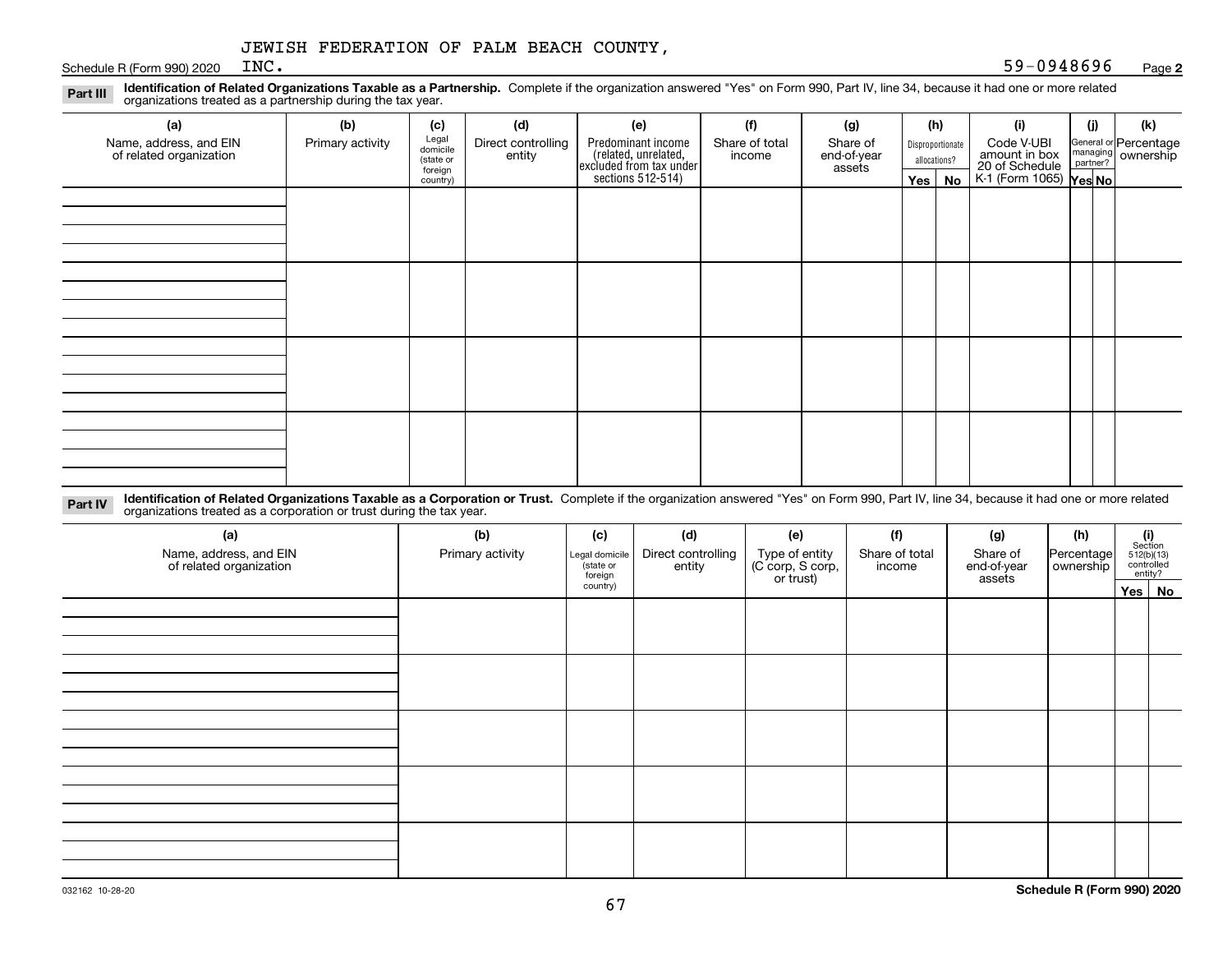Schedule R (Form 990) 2020  $INC$ .

**Identification of Related Organizations Taxable as a Partnership.** Complete if the organization answered "Yes" on Form 990, Part IV, line 34, because it had one or more related **Part III** organizations treated as a partnership during the tax year.

| (a)                                               | (b)              | (c)                  | (d)                          | (e)                                                                 | (f)                      | (g)                     |              | (h)              | (i)                                                              | (j)                                                     |  | (k) |  |  |  |  |  |  |  |  |
|---------------------------------------------------|------------------|----------------------|------------------------------|---------------------------------------------------------------------|--------------------------|-------------------------|--------------|------------------|------------------------------------------------------------------|---------------------------------------------------------|--|-----|--|--|--|--|--|--|--|--|
| Name, address, and EIN<br>of related organization | Primary activity | Legal<br>domicile    | Direct controlling<br>entity | Predominant income                                                  | Share of total<br>income | Share of<br>end-of-year |              | Disproportionate | Code V-UBI                                                       |                                                         |  |     |  |  |  |  |  |  |  |  |
|                                                   |                  | (state or<br>foreign |                              | related, unrelated,<br>excluded from tax under<br>sections 512-514) |                          | assets                  | allocations? |                  | amount in box<br>20 of Schedule<br>K-1 (Form 1065) <b>Yes No</b> | General or Percentage<br>managing ownership<br>partner? |  |     |  |  |  |  |  |  |  |  |
|                                                   |                  | country)             |                              |                                                                     |                          |                         | Yes $ $      | No               |                                                                  |                                                         |  |     |  |  |  |  |  |  |  |  |
|                                                   |                  |                      |                              |                                                                     |                          |                         |              |                  |                                                                  |                                                         |  |     |  |  |  |  |  |  |  |  |
|                                                   |                  |                      |                              |                                                                     |                          |                         |              |                  |                                                                  |                                                         |  |     |  |  |  |  |  |  |  |  |
|                                                   |                  |                      |                              |                                                                     |                          |                         |              |                  |                                                                  |                                                         |  |     |  |  |  |  |  |  |  |  |
|                                                   |                  |                      |                              |                                                                     |                          |                         |              |                  |                                                                  |                                                         |  |     |  |  |  |  |  |  |  |  |
|                                                   |                  |                      |                              |                                                                     |                          |                         |              |                  |                                                                  |                                                         |  |     |  |  |  |  |  |  |  |  |
|                                                   |                  |                      |                              |                                                                     |                          |                         |              |                  |                                                                  |                                                         |  |     |  |  |  |  |  |  |  |  |
|                                                   |                  |                      |                              |                                                                     |                          |                         |              |                  |                                                                  |                                                         |  |     |  |  |  |  |  |  |  |  |
|                                                   |                  |                      |                              |                                                                     |                          |                         |              |                  |                                                                  |                                                         |  |     |  |  |  |  |  |  |  |  |
|                                                   |                  |                      |                              |                                                                     |                          |                         |              |                  |                                                                  |                                                         |  |     |  |  |  |  |  |  |  |  |
|                                                   |                  |                      |                              |                                                                     |                          |                         |              |                  |                                                                  |                                                         |  |     |  |  |  |  |  |  |  |  |
|                                                   |                  |                      |                              |                                                                     |                          |                         |              |                  |                                                                  |                                                         |  |     |  |  |  |  |  |  |  |  |
|                                                   |                  |                      |                              |                                                                     |                          |                         |              |                  |                                                                  |                                                         |  |     |  |  |  |  |  |  |  |  |
|                                                   |                  |                      |                              |                                                                     |                          |                         |              |                  |                                                                  |                                                         |  |     |  |  |  |  |  |  |  |  |
|                                                   |                  |                      |                              |                                                                     |                          |                         |              |                  |                                                                  |                                                         |  |     |  |  |  |  |  |  |  |  |
|                                                   |                  |                      |                              |                                                                     |                          |                         |              |                  |                                                                  |                                                         |  |     |  |  |  |  |  |  |  |  |
|                                                   |                  |                      |                              |                                                                     |                          |                         |              |                  |                                                                  |                                                         |  |     |  |  |  |  |  |  |  |  |
|                                                   |                  |                      |                              |                                                                     |                          |                         |              |                  |                                                                  |                                                         |  |     |  |  |  |  |  |  |  |  |

**Identification of Related Organizations Taxable as a Corporation or Trust.** Complete if the organization answered "Yes" on Form 990, Part IV, line 34, because it had one or more related **Part IV** organizations treated as a corporation or trust during the tax year.

| (a)<br>Name, address, and EIN<br>of related organization | (b)<br>Primary activity | (c)<br>Legal domicile<br>(state or<br>foreign | (d)<br>Direct controlling<br>entity | (e)<br>Type of entity<br>(C corp, S corp,<br>or trust) | (f)<br>Share of total<br>income | (g)<br>Share of<br>end-of-year<br>assets | (h)<br>Percentage<br>ownership | $\begin{array}{c} \textbf{(i)}\\ \text{Section}\\ 512 \text{(b)} \text{(13)}\\ \text{controlled}\\ \text{entity?} \end{array}$ |  |  |
|----------------------------------------------------------|-------------------------|-----------------------------------------------|-------------------------------------|--------------------------------------------------------|---------------------------------|------------------------------------------|--------------------------------|--------------------------------------------------------------------------------------------------------------------------------|--|--|
|                                                          |                         | country)                                      |                                     |                                                        |                                 |                                          |                                | Yes No                                                                                                                         |  |  |
|                                                          |                         |                                               |                                     |                                                        |                                 |                                          |                                |                                                                                                                                |  |  |
|                                                          |                         |                                               |                                     |                                                        |                                 |                                          |                                |                                                                                                                                |  |  |
|                                                          |                         |                                               |                                     |                                                        |                                 |                                          |                                |                                                                                                                                |  |  |
|                                                          |                         |                                               |                                     |                                                        |                                 |                                          |                                |                                                                                                                                |  |  |
|                                                          |                         |                                               |                                     |                                                        |                                 |                                          |                                |                                                                                                                                |  |  |
|                                                          |                         |                                               |                                     |                                                        |                                 |                                          |                                |                                                                                                                                |  |  |
|                                                          |                         |                                               |                                     |                                                        |                                 |                                          |                                |                                                                                                                                |  |  |
|                                                          |                         |                                               |                                     |                                                        |                                 |                                          |                                |                                                                                                                                |  |  |
|                                                          |                         |                                               |                                     |                                                        |                                 |                                          |                                |                                                                                                                                |  |  |
|                                                          |                         |                                               |                                     |                                                        |                                 |                                          |                                |                                                                                                                                |  |  |
|                                                          |                         |                                               |                                     |                                                        |                                 |                                          |                                |                                                                                                                                |  |  |
|                                                          |                         |                                               |                                     |                                                        |                                 |                                          |                                |                                                                                                                                |  |  |
|                                                          |                         |                                               |                                     |                                                        |                                 |                                          |                                |                                                                                                                                |  |  |
|                                                          |                         |                                               |                                     |                                                        |                                 |                                          |                                |                                                                                                                                |  |  |
|                                                          |                         |                                               |                                     |                                                        |                                 |                                          |                                |                                                                                                                                |  |  |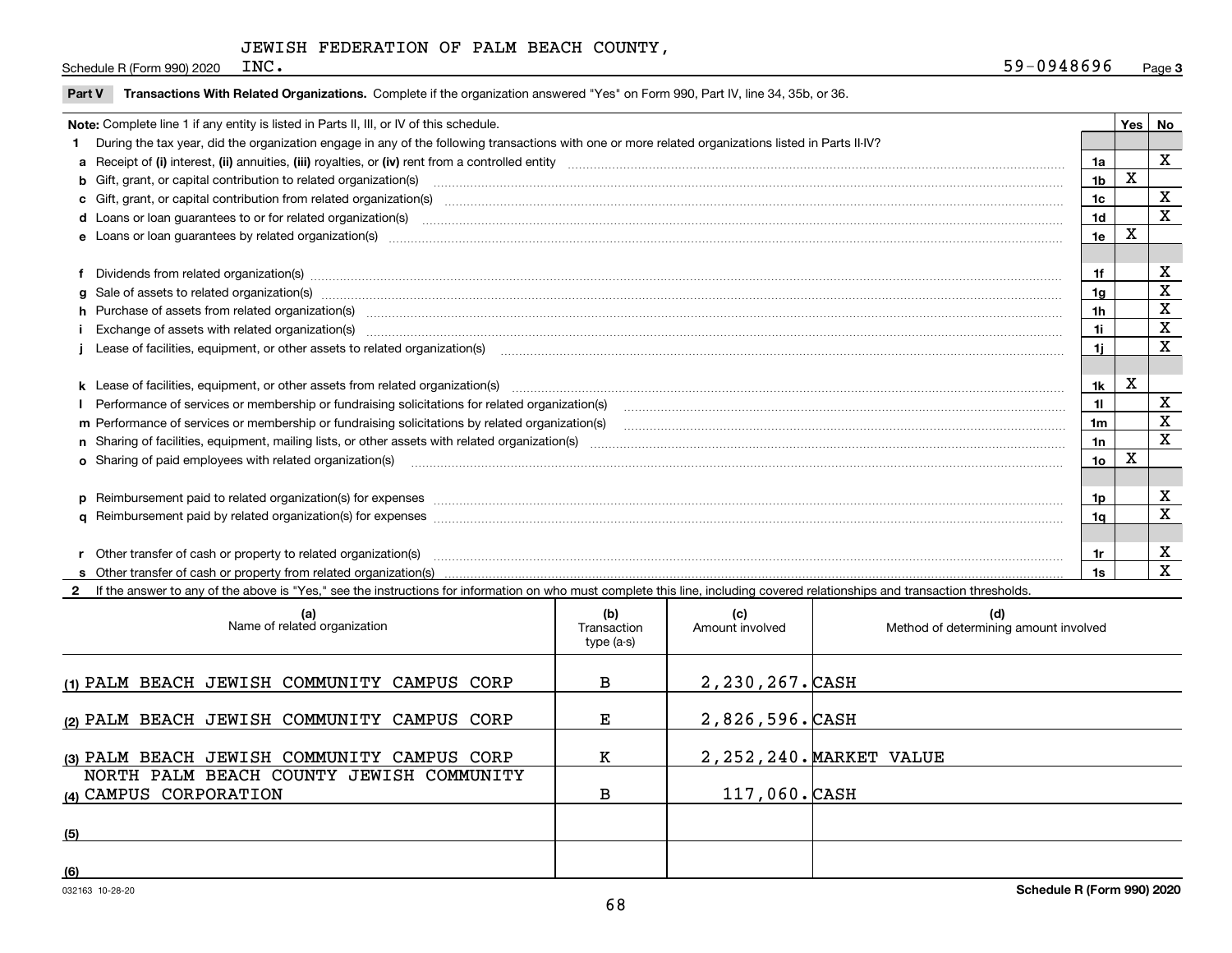Schedule R (Form 990) 2020  $INC$ .

|  | Part V Transactions With Related Organizations. Complete if the organization answered "Yes" on Form 990, Part IV, line 34, 35b, or 36. |  |  |
|--|----------------------------------------------------------------------------------------------------------------------------------------|--|--|
|--|----------------------------------------------------------------------------------------------------------------------------------------|--|--|

| Note: Complete line 1 if any entity is listed in Parts II, III, or IV of this schedule.                                                                                                                                        |                 | Yes | <b>No</b>               |
|--------------------------------------------------------------------------------------------------------------------------------------------------------------------------------------------------------------------------------|-----------------|-----|-------------------------|
| During the tax year, did the organization engage in any of the following transactions with one or more related organizations listed in Parts II-IV?                                                                            |                 |     |                         |
|                                                                                                                                                                                                                                | 1a              |     | $\mathbf X$             |
| b Gift, grant, or capital contribution to related organization(s) manufaction contracts and contribution to related organization(s) manufaction contribution to related organization(s)                                        | 1b              | X   |                         |
| c Gift, grant, or capital contribution from related organization(s) www.communities.com/www.communities.com/www.communities.com/www.communities.com/www.communities.com/www.communities.com/www.communities.com/www.communitie | 1 <sub>c</sub>  |     | х                       |
|                                                                                                                                                                                                                                | 1d              |     | X                       |
| d Loans or loan guarantees to or for related organization(s) www.communities.com/www.communities.com/www.communities.com/www.communities.com/www.communities.com/www.communities.com/www.communities.com/www.communities.com/w | 1e              | X   |                         |
|                                                                                                                                                                                                                                |                 |     |                         |
|                                                                                                                                                                                                                                |                 |     | X                       |
| Dividends from related organization(s) manufactured and contract and contract and contract and contract and contract and contract and contract and contract and contract and contract and contract and contract and contract a | 1f              |     |                         |
|                                                                                                                                                                                                                                | 1 <sub>q</sub>  |     | X                       |
| h Purchase of assets from related organization(s) manufactured and content to the content of the content of the content of the content of the content of the content of the content of the content of the content of the conte | 1 <sub>h</sub>  |     | $\mathbf X$             |
|                                                                                                                                                                                                                                | 1i              |     | X                       |
| Lease of facilities, equipment, or other assets to related organization(s) material content and content and content and content and content and content and content and content and content and content and content and conten | 1i              |     | X                       |
|                                                                                                                                                                                                                                |                 |     |                         |
|                                                                                                                                                                                                                                | 1k              | X   |                         |
|                                                                                                                                                                                                                                | 11              |     | X                       |
| m Performance of services or membership or fundraising solicitations by related organization(s)                                                                                                                                | 1 <sub>m</sub>  |     | X                       |
|                                                                                                                                                                                                                                | 1n              |     | $\overline{\mathbf{x}}$ |
| o Sharing of paid employees with related organization(s) manufactured and content to the content of the content of the content of the content of the content of the content of the content of the content of the content of th | 10 <sub>o</sub> | X   |                         |
|                                                                                                                                                                                                                                |                 |     |                         |
| p Reimbursement paid to related organization(s) for expenses [1111] and the content of the content of the content of the content of the content of the content of the content of the content of the content of the content of  | 1p              |     | X                       |
|                                                                                                                                                                                                                                | 1a              |     | $\mathbf X$             |
|                                                                                                                                                                                                                                |                 |     |                         |
| Other transfer of cash or property to related organization(s)                                                                                                                                                                  | 1r              |     | х                       |
|                                                                                                                                                                                                                                |                 |     | $\mathbf{x}$            |

**2**If the answer to any of the above is "Yes," see the instructions for information on who must complete this line, including covered relationships and transaction thresholds.

| (a)<br>Name of related organization                                | (b)<br>Transaction<br>type (a-s) | (c)<br>Amount involved | (d)<br>Method of determining amount involved |
|--------------------------------------------------------------------|----------------------------------|------------------------|----------------------------------------------|
| (1) PALM BEACH JEWISH COMMUNITY CAMPUS CORP                        | в                                | 2,230,267. CASH        |                                              |
| (2) PALM BEACH JEWISH COMMUNITY CAMPUS CORP                        | Е                                | $2,826,596.$ CASH      |                                              |
| (3) PALM BEACH JEWISH COMMUNITY CAMPUS CORP                        | К                                |                        | 2, 252, 240. MARKET VALUE                    |
| NORTH PALM BEACH COUNTY JEWISH COMMUNITY<br>(4) CAMPUS CORPORATION | в                                | $117,060.$ CASH        |                                              |
| (5)                                                                |                                  |                        |                                              |
| (6)                                                                |                                  |                        |                                              |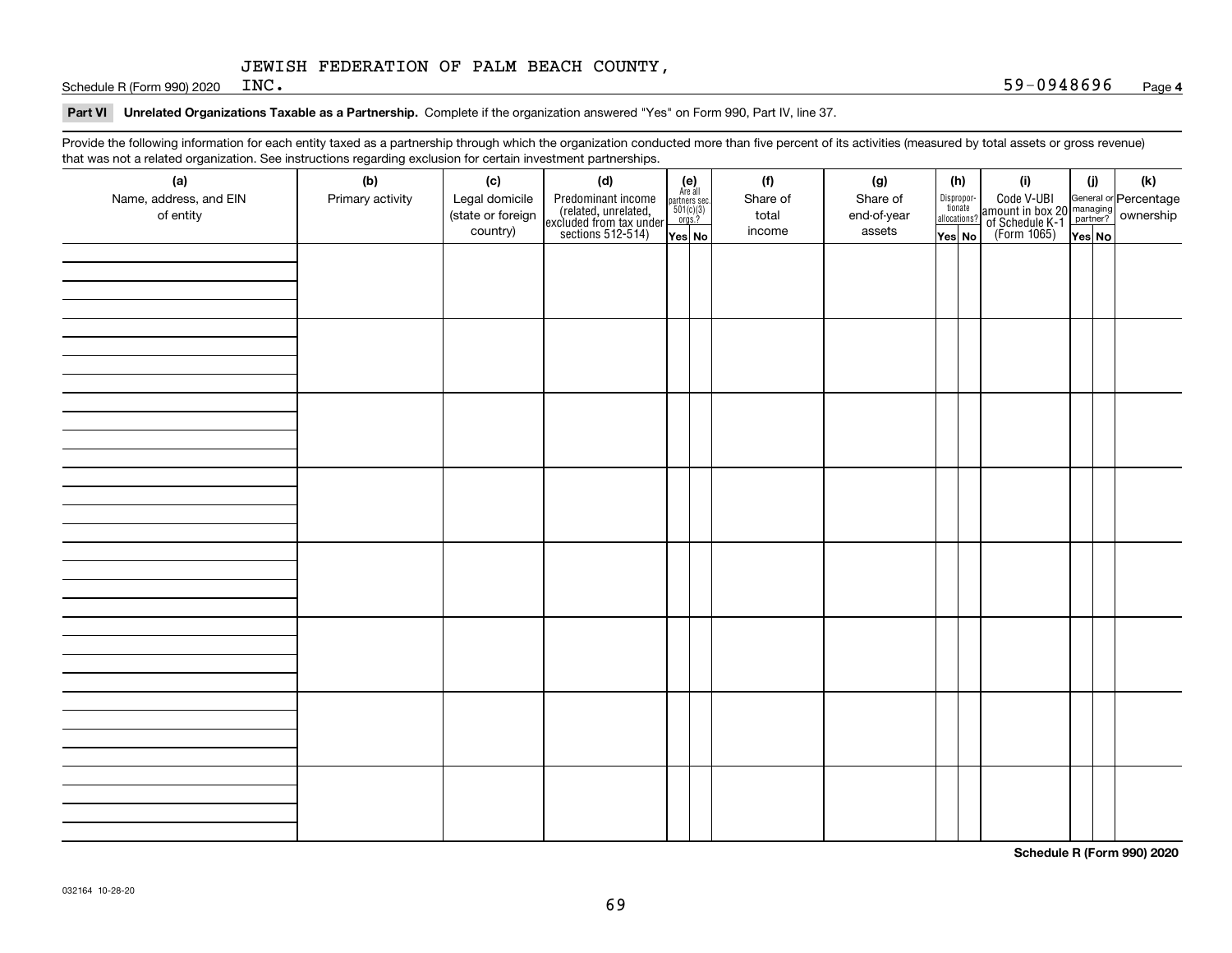Schedule R (Form 990) 2020  $INC$ .

#### **Part VI Unrelated Organizations Taxable as a Partnership. Complete if the organization answered "Yes" on Form 990, Part IV, line 37.**

Provide the following information for each entity taxed as a partnership through which the organization conducted more than five percent of its activities (measured by total assets or gross revenue) that was not a related organization. See instructions regarding exclusion for certain investment partnerships.

| that machieve a related erganization. See includitional regarding excludion for contain invectment partnerompe.<br>(a) | (b)              | (c)                                 | (d)                                                                                        |                                                                                                                  |  | (f)               | (g)                     |  | (h)                              | (i)                                                                                          | (i) | (k) |
|------------------------------------------------------------------------------------------------------------------------|------------------|-------------------------------------|--------------------------------------------------------------------------------------------|------------------------------------------------------------------------------------------------------------------|--|-------------------|-------------------------|--|----------------------------------|----------------------------------------------------------------------------------------------|-----|-----|
| Name, address, and EIN<br>of entity                                                                                    | Primary activity | Legal domicile<br>(state or foreign | Predominant income<br>(related, unrelated,<br>excluded from tax under<br>sections 512-514) | $\begin{array}{c} \textbf{(e)}\\ \text{Are all} \\ \text{partners sec.}\\ 501(c)(3)\\ \text{orgs.?} \end{array}$ |  | Share of<br>total | Share of<br>end-of-year |  | Disproportionate<br>allocations? | Code V-UBI<br>amount in box 20 managing<br>of Schedule K-1 partner?<br>(Form 1065)<br>ves No |     |     |
|                                                                                                                        |                  | country)                            |                                                                                            | Yes No                                                                                                           |  | income            | assets                  |  | Yes No                           |                                                                                              |     |     |
|                                                                                                                        |                  |                                     |                                                                                            |                                                                                                                  |  |                   |                         |  |                                  |                                                                                              |     |     |
|                                                                                                                        |                  |                                     |                                                                                            |                                                                                                                  |  |                   |                         |  |                                  |                                                                                              |     |     |
|                                                                                                                        |                  |                                     |                                                                                            |                                                                                                                  |  |                   |                         |  |                                  |                                                                                              |     |     |
|                                                                                                                        |                  |                                     |                                                                                            |                                                                                                                  |  |                   |                         |  |                                  |                                                                                              |     |     |
|                                                                                                                        |                  |                                     |                                                                                            |                                                                                                                  |  |                   |                         |  |                                  |                                                                                              |     |     |
|                                                                                                                        |                  |                                     |                                                                                            |                                                                                                                  |  |                   |                         |  |                                  |                                                                                              |     |     |
|                                                                                                                        |                  |                                     |                                                                                            |                                                                                                                  |  |                   |                         |  |                                  |                                                                                              |     |     |
|                                                                                                                        |                  |                                     |                                                                                            |                                                                                                                  |  |                   |                         |  |                                  |                                                                                              |     |     |
|                                                                                                                        |                  |                                     |                                                                                            |                                                                                                                  |  |                   |                         |  |                                  |                                                                                              |     |     |
|                                                                                                                        |                  |                                     |                                                                                            |                                                                                                                  |  |                   |                         |  |                                  |                                                                                              |     |     |
|                                                                                                                        |                  |                                     |                                                                                            |                                                                                                                  |  |                   |                         |  |                                  |                                                                                              |     |     |
|                                                                                                                        |                  |                                     |                                                                                            |                                                                                                                  |  |                   |                         |  |                                  |                                                                                              |     |     |
|                                                                                                                        |                  |                                     |                                                                                            |                                                                                                                  |  |                   |                         |  |                                  |                                                                                              |     |     |
|                                                                                                                        |                  |                                     |                                                                                            |                                                                                                                  |  |                   |                         |  |                                  |                                                                                              |     |     |
|                                                                                                                        |                  |                                     |                                                                                            |                                                                                                                  |  |                   |                         |  |                                  |                                                                                              |     |     |
|                                                                                                                        |                  |                                     |                                                                                            |                                                                                                                  |  |                   |                         |  |                                  |                                                                                              |     |     |
|                                                                                                                        |                  |                                     |                                                                                            |                                                                                                                  |  |                   |                         |  |                                  |                                                                                              |     |     |
|                                                                                                                        |                  |                                     |                                                                                            |                                                                                                                  |  |                   |                         |  |                                  |                                                                                              |     |     |
|                                                                                                                        |                  |                                     |                                                                                            |                                                                                                                  |  |                   |                         |  |                                  |                                                                                              |     |     |
|                                                                                                                        |                  |                                     |                                                                                            |                                                                                                                  |  |                   |                         |  |                                  |                                                                                              |     |     |
|                                                                                                                        |                  |                                     |                                                                                            |                                                                                                                  |  |                   |                         |  |                                  |                                                                                              |     |     |
|                                                                                                                        |                  |                                     |                                                                                            |                                                                                                                  |  |                   |                         |  |                                  |                                                                                              |     |     |
|                                                                                                                        |                  |                                     |                                                                                            |                                                                                                                  |  |                   |                         |  |                                  |                                                                                              |     |     |
|                                                                                                                        |                  |                                     |                                                                                            |                                                                                                                  |  |                   |                         |  |                                  |                                                                                              |     |     |
|                                                                                                                        |                  |                                     |                                                                                            |                                                                                                                  |  |                   |                         |  |                                  |                                                                                              |     |     |
|                                                                                                                        |                  |                                     |                                                                                            |                                                                                                                  |  |                   |                         |  |                                  |                                                                                              |     |     |
|                                                                                                                        |                  |                                     |                                                                                            |                                                                                                                  |  |                   |                         |  |                                  |                                                                                              |     |     |
|                                                                                                                        |                  |                                     |                                                                                            |                                                                                                                  |  |                   |                         |  |                                  |                                                                                              |     |     |
|                                                                                                                        |                  |                                     |                                                                                            |                                                                                                                  |  |                   |                         |  |                                  |                                                                                              |     |     |
|                                                                                                                        |                  |                                     |                                                                                            |                                                                                                                  |  |                   |                         |  |                                  |                                                                                              |     |     |
|                                                                                                                        |                  |                                     |                                                                                            |                                                                                                                  |  |                   |                         |  |                                  |                                                                                              |     |     |

**Schedule R (Form 990) 2020**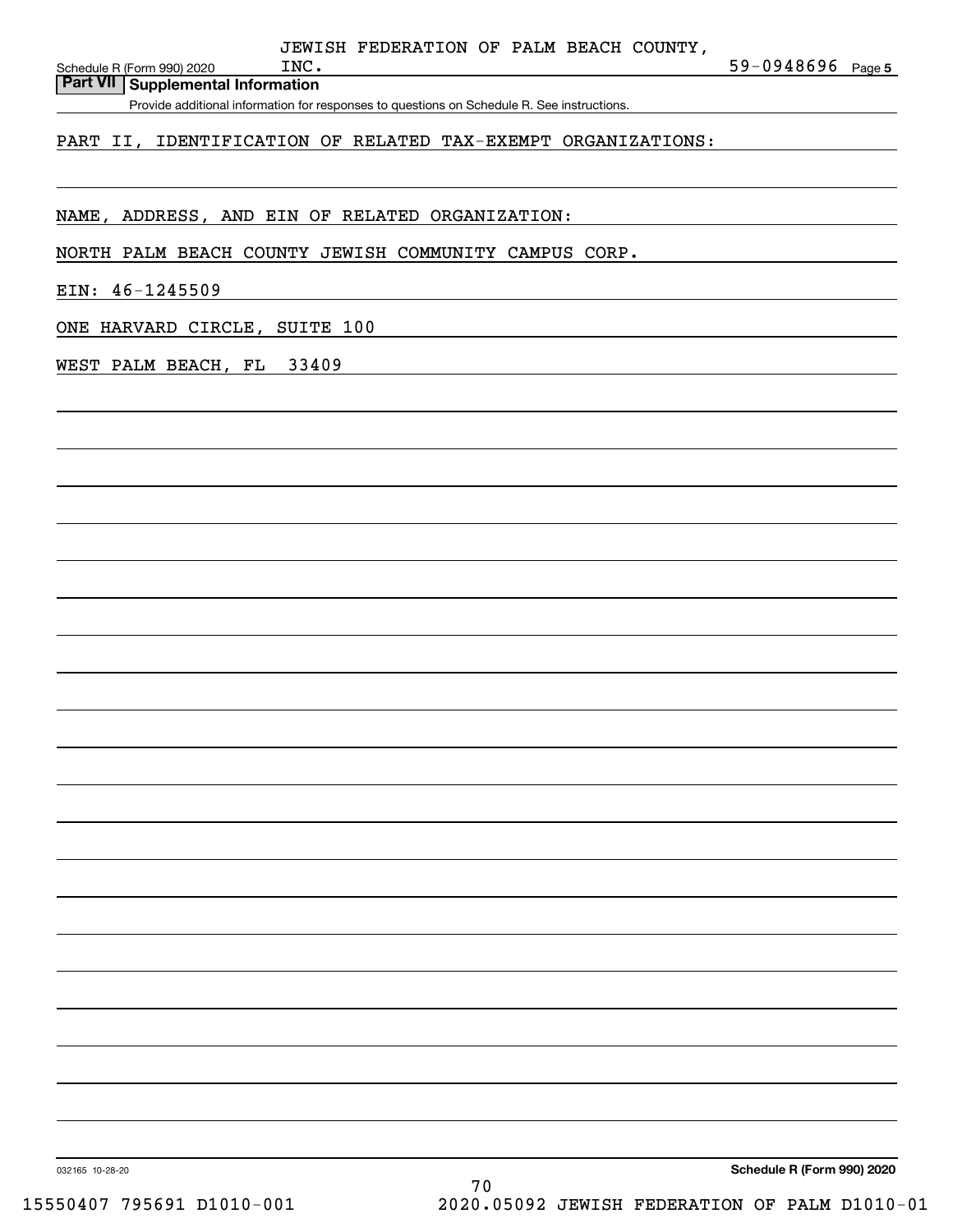Schedule R (Form 990) 2020  $N_{\text{C}}$ .

**Part VII Supplemental Information**

Provide additional information for responses to questions on Schedule R. See instructions.

#### PART II, IDENTIFICATION OF RELATED TAX-EXEMPT ORGANIZATIONS:

NAME, ADDRESS, AND EIN OF RELATED ORGANIZATION:

NORTH PALM BEACH COUNTY JEWISH COMMUNITY CAMPUS CORP.

EIN: 46-1245509

ONE HARVARD CIRCLE, SUITE 100

WEST PALM BEACH, FL 33409

**Schedule R (Form 990) 2020**

032165 10-28-20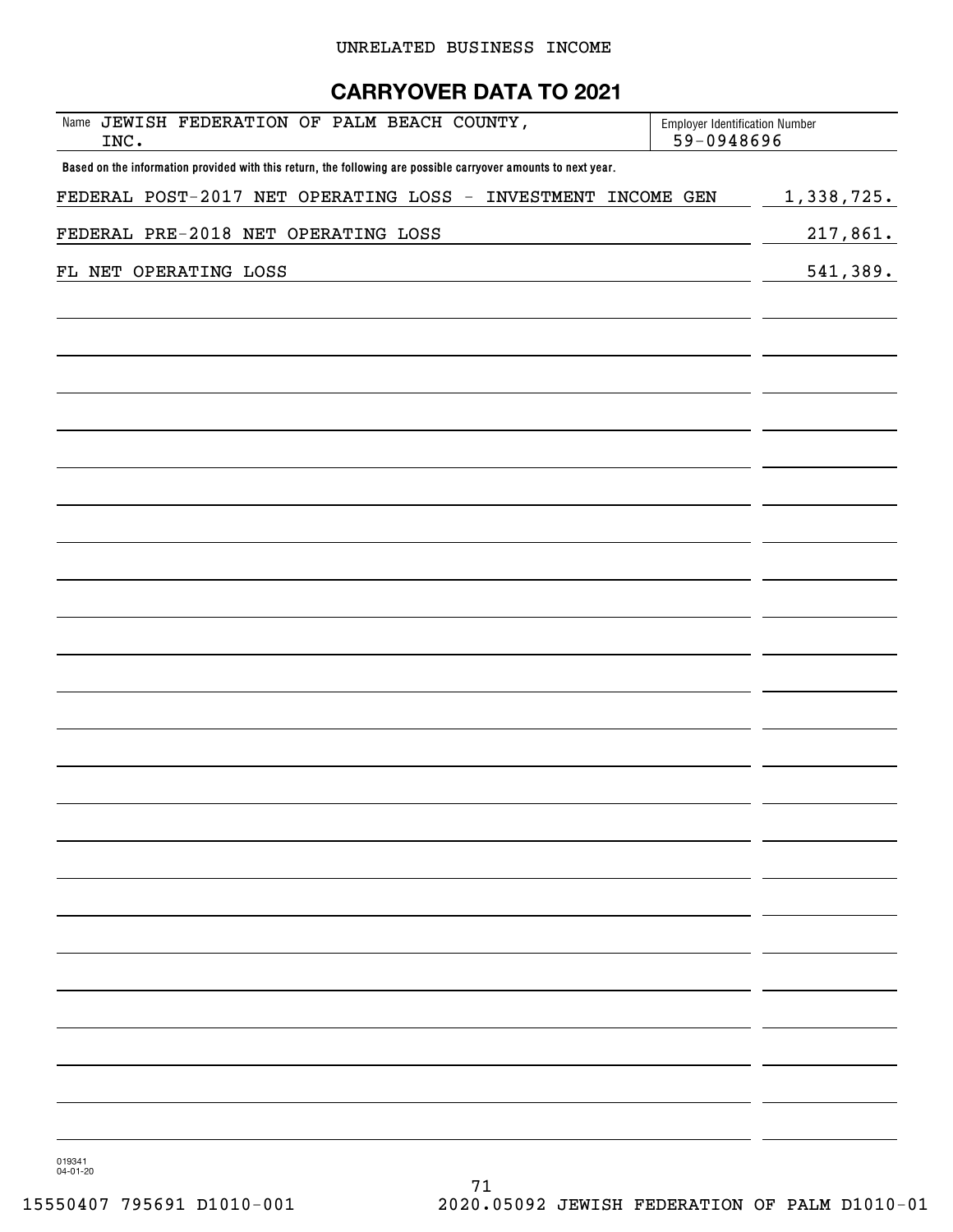#### UNRELATED BUSINESS INCOME

#### **CARRYOVER DATA TO 2021**

| Name JEWISH FEDERATION OF PALM BEACH COUNTY,<br>INC.                                                           | <b>Employer Identification Number</b><br>59-0948696 |            |
|----------------------------------------------------------------------------------------------------------------|-----------------------------------------------------|------------|
| Based on the information provided with this return, the following are possible carryover amounts to next year. |                                                     |            |
| FEDERAL POST-2017 NET OPERATING LOSS - INVESTMENT INCOME GEN                                                   |                                                     | 1,338,725. |
| FEDERAL PRE-2018 NET OPERATING LOSS                                                                            |                                                     | 217,861.   |
| FL NET OPERATING LOSS                                                                                          |                                                     | 541,389.   |
|                                                                                                                |                                                     |            |
|                                                                                                                |                                                     |            |
|                                                                                                                |                                                     |            |
|                                                                                                                |                                                     |            |
|                                                                                                                |                                                     |            |
|                                                                                                                |                                                     |            |
|                                                                                                                |                                                     |            |
|                                                                                                                |                                                     |            |
|                                                                                                                |                                                     |            |
|                                                                                                                |                                                     |            |
|                                                                                                                |                                                     |            |
|                                                                                                                |                                                     |            |
|                                                                                                                |                                                     |            |
|                                                                                                                |                                                     |            |
|                                                                                                                |                                                     |            |
|                                                                                                                |                                                     |            |
|                                                                                                                |                                                     |            |
|                                                                                                                |                                                     |            |
|                                                                                                                |                                                     |            |
|                                                                                                                |                                                     |            |
|                                                                                                                |                                                     |            |
|                                                                                                                |                                                     |            |
|                                                                                                                |                                                     |            |
|                                                                                                                |                                                     |            |
|                                                                                                                |                                                     |            |
|                                                                                                                |                                                     |            |
|                                                                                                                |                                                     |            |
|                                                                                                                |                                                     |            |
|                                                                                                                |                                                     |            |
|                                                                                                                |                                                     |            |

019341 04-01-20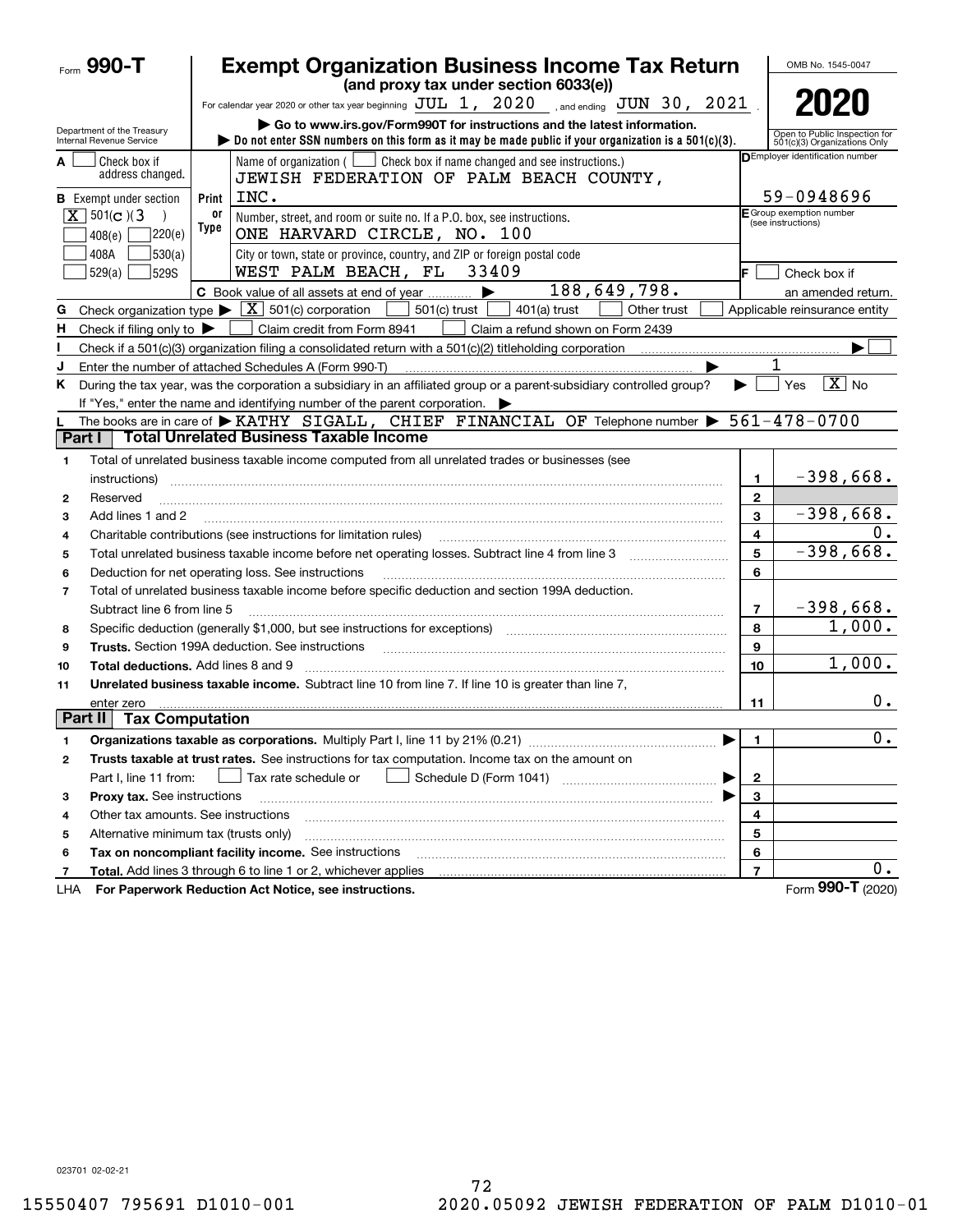|                | Form 990-T                                                        | <b>Exempt Organization Business Income Tax Return</b> | OMB No. 1545-0047                                                                                                                                                                 |                         |                                                               |
|----------------|-------------------------------------------------------------------|-------------------------------------------------------|-----------------------------------------------------------------------------------------------------------------------------------------------------------------------------------|-------------------------|---------------------------------------------------------------|
|                |                                                                   |                                                       | (and proxy tax under section 6033(e))                                                                                                                                             |                         |                                                               |
|                |                                                                   |                                                       | For calendar year 2020 or other tax year beginning $JUL$ 1, $2020$ , and ending $JUN$ 30, $2021$ .                                                                                |                         | 2020                                                          |
|                | Department of the Treasury<br>Internal Revenue Service            |                                                       | Go to www.irs.gov/Form990T for instructions and the latest information.<br>bo not enter SSN numbers on this form as it may be made public if your organization is a $501(c)(3)$ . |                         | Open to Public Inspection for<br>501(c)(3) Organizations Only |
| A              | Check box if<br>address changed.<br><b>B</b> Exempt under section | Print                                                 | Name of organization ( $\Box$ Check box if name changed and see instructions.)<br>JEWISH FEDERATION OF PALM BEACH COUNTY,<br>INC.                                                 |                         | DEmployer identification number<br>59-0948696                 |
|                | $\boxed{\mathbf{X}}$ 501(c)(3<br>7220(e)<br>408(e)                | 0ľ<br>Type                                            | Number, street, and room or suite no. If a P.O. box, see instructions.<br>ONE HARVARD CIRCLE, NO. 100                                                                             |                         | F Group exemption number<br>(see instructions)                |
|                | 530(a) <br>408A<br>529S<br>529(a)                                 |                                                       | City or town, state or province, country, and ZIP or foreign postal code<br>WEST PALM BEACH, FL 33409                                                                             |                         | Check box if                                                  |
|                |                                                                   |                                                       | 188,649,798.<br>C Book value of all assets at end of year                                                                                                                         |                         | an amended return.                                            |
| G              |                                                                   |                                                       | Check organization type $\triangleright \lfloor \underline{X} \rfloor$ 501(c) corporation<br>$501(c)$ trust<br>$401(a)$ trust<br>Other trust                                      |                         | Applicable reinsurance entity                                 |
| н.             | Check if filing only to $\blacktriangleright$                     |                                                       | Claim credit from Form 8941<br>Claim a refund shown on Form 2439                                                                                                                  |                         |                                                               |
|                |                                                                   |                                                       |                                                                                                                                                                                   |                         |                                                               |
|                |                                                                   |                                                       | Enter the number of attached Schedules A (Form 990-T)                                                                                                                             |                         |                                                               |
| K.             |                                                                   |                                                       | During the tax year, was the corporation a subsidiary in an affiliated group or a parent-subsidiary controlled group?                                                             |                         | $\boxed{\text{X}}$ No<br>Yes                                  |
|                |                                                                   |                                                       | If "Yes," enter the name and identifying number of the parent corporation.                                                                                                        |                         |                                                               |
|                |                                                                   |                                                       | The books are in care of $\triangleright$ KATHY SIGALL, CHIEF FINANCIAL OF Telephone number $\triangleright$ 561-478-0700                                                         |                         |                                                               |
| Part I         |                                                                   |                                                       | <b>Total Unrelated Business Taxable Income</b>                                                                                                                                    |                         |                                                               |
| 1              |                                                                   |                                                       | Total of unrelated business taxable income computed from all unrelated trades or businesses (see                                                                                  |                         |                                                               |
|                | instructions)                                                     |                                                       |                                                                                                                                                                                   | 1                       | $-398,668.$                                                   |
| $\mathbf{2}$   | Reserved                                                          |                                                       |                                                                                                                                                                                   | $\mathbf 2$             |                                                               |
| 3              | Add lines 1 and 2                                                 |                                                       |                                                                                                                                                                                   | 3                       | $-398,668.$                                                   |
| 4              |                                                                   |                                                       | Charitable contributions (see instructions for limitation rules)                                                                                                                  | 4                       | 0.                                                            |
| 5              |                                                                   |                                                       |                                                                                                                                                                                   | 5                       | $-398,668.$                                                   |
| 6              |                                                                   |                                                       | Deduction for net operating loss. See instructions                                                                                                                                | 6                       |                                                               |
| $\overline{7}$ |                                                                   |                                                       | Total of unrelated business taxable income before specific deduction and section 199A deduction.                                                                                  |                         |                                                               |
|                | Subtract line 6 from line 5                                       |                                                       |                                                                                                                                                                                   | $\overline{7}$          | $-398,668.$                                                   |
| 8              |                                                                   |                                                       | Specific deduction (generally \$1,000, but see instructions for exceptions) manufactured contains an exception of                                                                 | 8                       | 1,000.                                                        |
| 9              |                                                                   |                                                       | <b>Trusts.</b> Section 199A deduction. See instructions                                                                                                                           | 9                       |                                                               |
| 10             | Total deductions. Add lines 8 and 9                               |                                                       |                                                                                                                                                                                   | 10                      | 1,000.                                                        |
| 11             |                                                                   |                                                       | Unrelated business taxable income. Subtract line 10 from line 7. If line 10 is greater than line 7.                                                                               |                         |                                                               |
|                | enter zero                                                        |                                                       |                                                                                                                                                                                   | 11                      | $0$ .                                                         |
| <b>Part II</b> | <b>Tax Computation</b>                                            |                                                       |                                                                                                                                                                                   |                         |                                                               |
|                |                                                                   |                                                       | Organizations taxable as corporations. Multiply Part I, line 11 by 21% (0.21)                                                                                                     | 1                       | 0.                                                            |
| 2              |                                                                   |                                                       | Trusts taxable at trust rates. See instructions for tax computation. Income tax on the amount on                                                                                  |                         |                                                               |
|                | Part I, line 11 from:                                             |                                                       | Schedule D (Form 1041)<br>Tax rate schedule or                                                                                                                                    | $\mathbf{2}$            |                                                               |
| з              | Proxy tax. See instructions                                       |                                                       |                                                                                                                                                                                   | 3                       |                                                               |
| 4              | Other tax amounts. See instructions                               |                                                       |                                                                                                                                                                                   | 4                       |                                                               |
| 5              | Alternative minimum tax (trusts only)                             |                                                       |                                                                                                                                                                                   | 5                       |                                                               |
| 6              |                                                                   |                                                       | Tax on noncompliant facility income. See instructions                                                                                                                             | 6                       |                                                               |
| 7              |                                                                   |                                                       | Total. Add lines 3 through 6 to line 1 or 2, whichever applies                                                                                                                    | $\overline{\mathbf{r}}$ | $0 \cdot$                                                     |
| LHA            |                                                                   |                                                       | For Paperwork Reduction Act Notice, see instructions.                                                                                                                             |                         | Form 990-T (2020)                                             |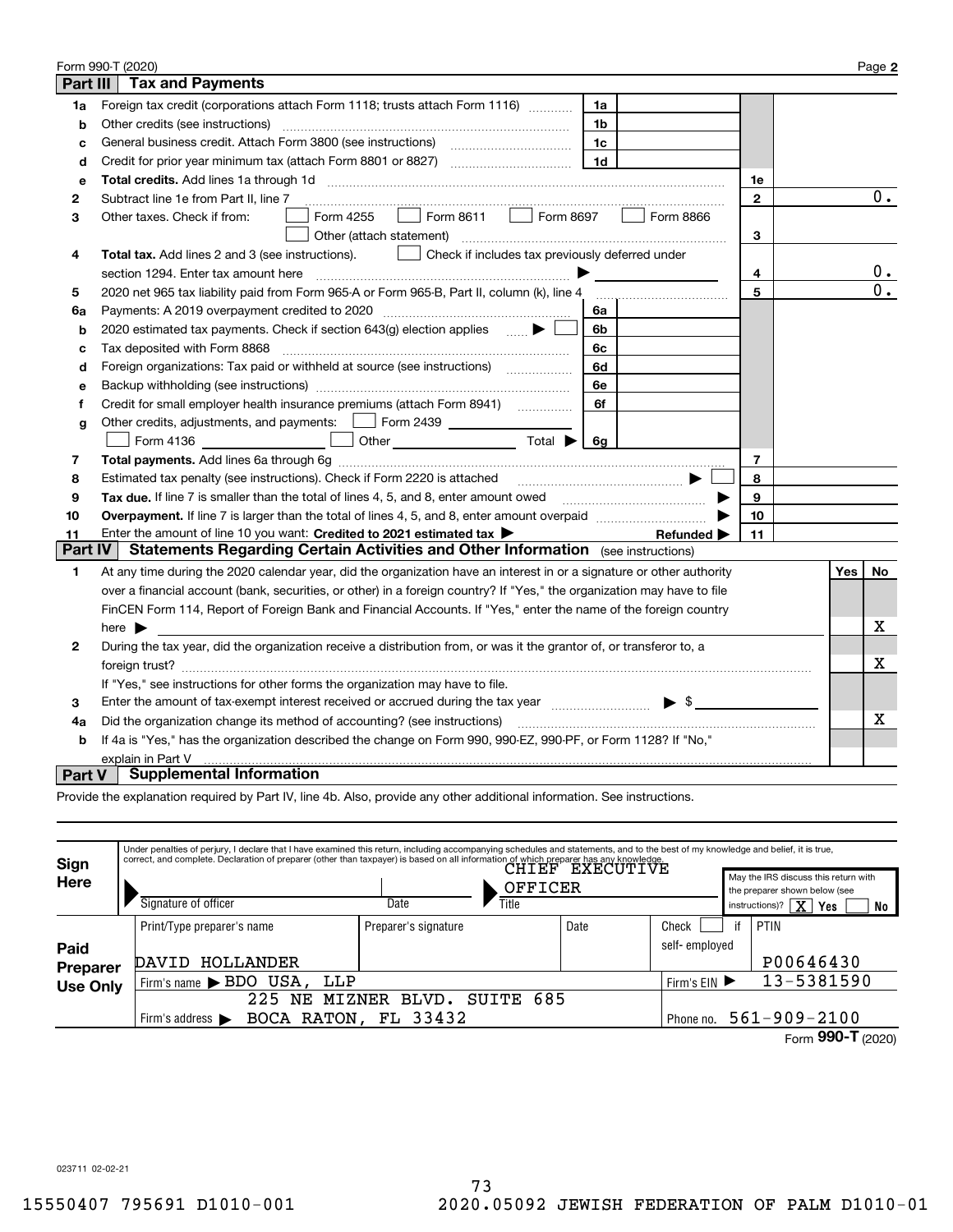|                 | Form 990-T (2020)                                                                                                                     |             |     | Page 2           |  |  |  |  |  |
|-----------------|---------------------------------------------------------------------------------------------------------------------------------------|-------------|-----|------------------|--|--|--|--|--|
| <b>Part III</b> | <b>Tax and Payments</b>                                                                                                               |             |     |                  |  |  |  |  |  |
| 1a              | Foreign tax credit (corporations attach Form 1118; trusts attach Form 1116)<br>1a                                                     |             |     |                  |  |  |  |  |  |
| b               | Other credits (see instructions)<br>1b                                                                                                |             |     |                  |  |  |  |  |  |
| C               | 1c                                                                                                                                    |             |     |                  |  |  |  |  |  |
| d               | 1 <sub>d</sub>                                                                                                                        |             |     |                  |  |  |  |  |  |
| e               |                                                                                                                                       | 1e          |     |                  |  |  |  |  |  |
| 2               | Subtract line 1e from Part II, line 7                                                                                                 | $\mathbf 2$ |     | $0$ .            |  |  |  |  |  |
| 3               | Form 8611<br>Form 8697<br>Form 4255<br>Form 8866<br>Other taxes. Check if from:<br>$\mathbf{1}$                                       |             |     |                  |  |  |  |  |  |
|                 | Other (attach statement)                                                                                                              | 3           |     |                  |  |  |  |  |  |
| 4               | Check if includes tax previously deferred under<br><b>Total tax.</b> Add lines 2 and 3 (see instructions).                            |             |     |                  |  |  |  |  |  |
|                 | section 1294. Enter tax amount here                                                                                                   | 4           |     | $0$ .            |  |  |  |  |  |
| 5               | 2020 net 965 tax liability paid from Form 965-A or Form 965-B, Part II, column (k), line 4                                            | 5           |     | $\overline{0}$ . |  |  |  |  |  |
| 6a              | Payments: A 2019 overpayment credited to 2020 [11] [11] maximum materials: A 2019 overpayment credited to 2020<br>6a                  |             |     |                  |  |  |  |  |  |
| b               | 2020 estimated tax payments. Check if section 643(g) election applies<br>6b                                                           |             |     |                  |  |  |  |  |  |
| c               | Tax deposited with Form 8868<br>6c                                                                                                    |             |     |                  |  |  |  |  |  |
| d               | Foreign organizations: Tax paid or withheld at source (see instructions) [<br>6d                                                      |             |     |                  |  |  |  |  |  |
| е               | 6e                                                                                                                                    |             |     |                  |  |  |  |  |  |
| f               | Credit for small employer health insurance premiums (attach Form 8941) [<br>6f                                                        |             |     |                  |  |  |  |  |  |
| g               | Other credits, adjustments, and payments:   Form 2439                                                                                 |             |     |                  |  |  |  |  |  |
|                 | Other $\overline{\hspace{1cm}}$ Total $\blacktriangleright$ $\begin{array}{ c c c c }\hline \hspace{1.2cm}6g\end{array}$<br>Form 4136 |             |     |                  |  |  |  |  |  |
| 7               |                                                                                                                                       | 7           |     |                  |  |  |  |  |  |
| 8               | Estimated tax penalty (see instructions). Check if Form 2220 is attached                                                              | 8           |     |                  |  |  |  |  |  |
| 9               | Tax due. If line 7 is smaller than the total of lines 4, 5, and 8, enter amount owed <i>manumenon containers</i>                      | 9           |     |                  |  |  |  |  |  |
| 10              |                                                                                                                                       | 10          |     |                  |  |  |  |  |  |
| 11              | Enter the amount of line 10 you want: Credited to 2021 estimated tax ><br>Refunded $\blacktriangleright$                              | 11          |     |                  |  |  |  |  |  |
| <b>Part IV</b>  | Statements Regarding Certain Activities and Other Information (see instructions)                                                      |             |     |                  |  |  |  |  |  |
| 1               | At any time during the 2020 calendar year, did the organization have an interest in or a signature or other authority                 |             | Yes | No               |  |  |  |  |  |
|                 | over a financial account (bank, securities, or other) in a foreign country? If "Yes," the organization may have to file               |             |     |                  |  |  |  |  |  |
|                 | FinCEN Form 114, Report of Foreign Bank and Financial Accounts. If "Yes," enter the name of the foreign country                       |             |     |                  |  |  |  |  |  |
|                 | here $\blacktriangleright$                                                                                                            |             |     | х                |  |  |  |  |  |
| 2               | During the tax year, did the organization receive a distribution from, or was it the grantor of, or transferor to, a                  |             |     |                  |  |  |  |  |  |
|                 |                                                                                                                                       |             |     | Х                |  |  |  |  |  |
|                 | If "Yes," see instructions for other forms the organization may have to file.                                                         |             |     |                  |  |  |  |  |  |
| 3               | Enter the amount of tax-exempt interest received or accrued during the tax year manufactured $\blacktriangleright$ \$                 |             |     |                  |  |  |  |  |  |
| 4a              | Did the organization change its method of accounting? (see instructions)                                                              |             |     |                  |  |  |  |  |  |
| b               | If 4a is "Yes," has the organization described the change on Form 990, 990-EZ, 990-PF, or Form 1128? If "No,"                         |             |     |                  |  |  |  |  |  |
|                 | explain in Part V                                                                                                                     |             |     |                  |  |  |  |  |  |
| <b>Part V</b>   | <b>Supplemental Information</b>                                                                                                       |             |     |                  |  |  |  |  |  |

Provide the explanation required by Part IV, line 4b. Also, provide any other additional information. See instructions.

| Sign             | Under penalties of perjury, I declare that I have examined this return, including accompanying schedules and statements, and to the best of my knowledge and belief, it is true,<br>correct, and complete. Declaration of preparer (other than taxpayer) is based on all information of which preparer has any knowledge.<br>CHIEF EXECUTIVE |                      |                  |      |               |    |                                                                                                                                 |
|------------------|----------------------------------------------------------------------------------------------------------------------------------------------------------------------------------------------------------------------------------------------------------------------------------------------------------------------------------------------|----------------------|------------------|------|---------------|----|---------------------------------------------------------------------------------------------------------------------------------|
| Here             | Signature of officer                                                                                                                                                                                                                                                                                                                         | Date                 | OFFICER<br>Title |      |               |    | May the IRS discuss this return with<br>the preparer shown below (see<br>$\overline{\mathbf{X}}$<br>instructions)?<br>Yes<br>No |
|                  | Print/Type preparer's name                                                                                                                                                                                                                                                                                                                   | Preparer's signature |                  | Date | Check         | if | PTIN                                                                                                                            |
| Paid<br>Preparer | HOLLANDER<br>DAVID                                                                                                                                                                                                                                                                                                                           |                      |                  |      | self-employed |    | P00646430                                                                                                                       |
| <b>Use Only</b>  | Firm's name > BDO USA, LLP<br>Firm's $EIN$                                                                                                                                                                                                                                                                                                   |                      |                  |      |               |    | 13-5381590                                                                                                                      |
|                  | 225<br>NF.                                                                                                                                                                                                                                                                                                                                   | MIZNER BLVD.         | SUITE 685        |      |               |    |                                                                                                                                 |
|                  | BOCA RATON, FL 33432<br>Firm's address $\blacktriangleright$                                                                                                                                                                                                                                                                                 |                      |                  |      |               |    | $561 - 909 - 2100$                                                                                                              |
|                  |                                                                                                                                                                                                                                                                                                                                              |                      |                  |      |               |    | Form 990-T (2020)                                                                                                               |

023711 02-02-21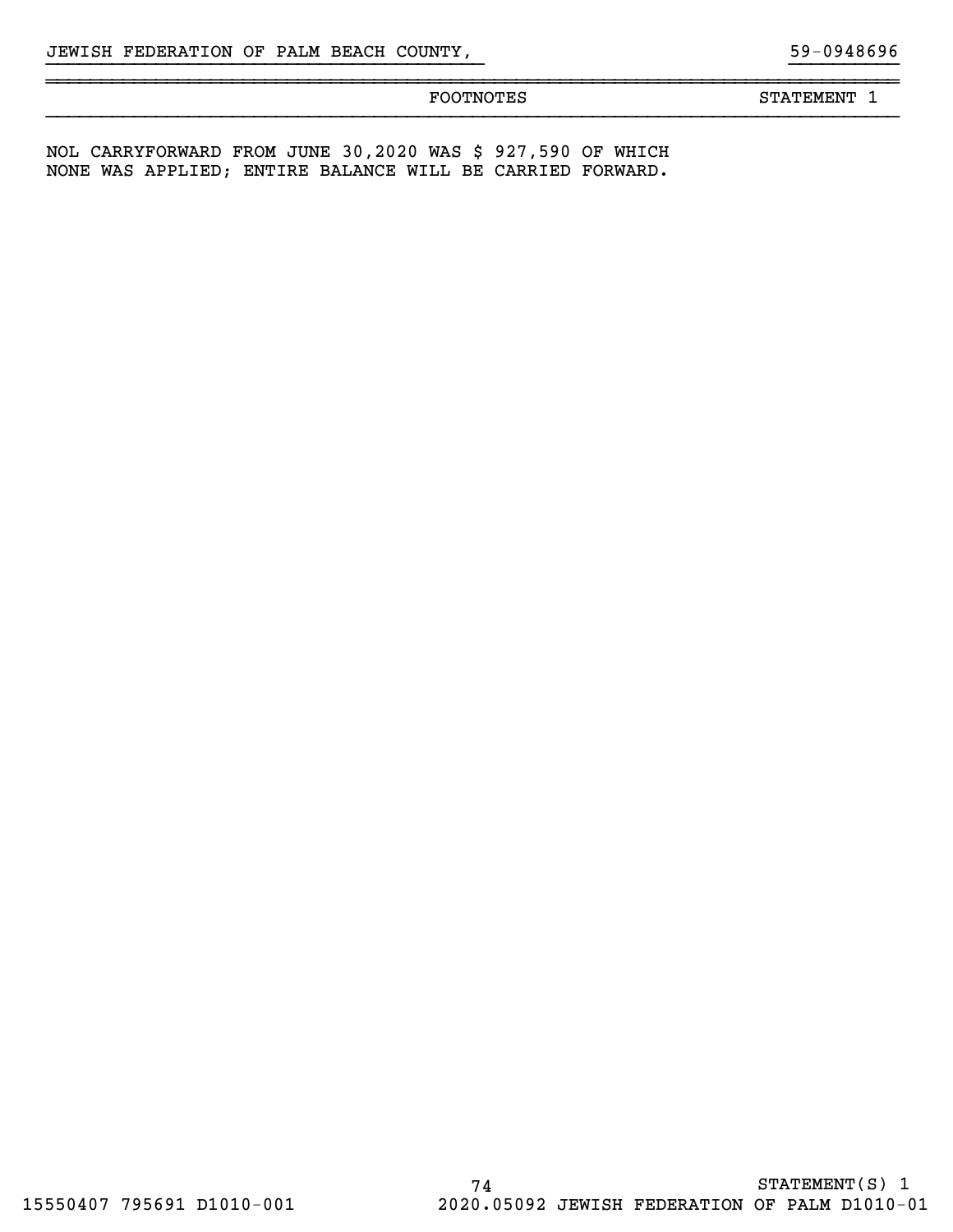| NOL CARRYFORWARD FROM JUNE 30,2020 WAS \$ 927,590 OF WHICH |  |  |  |  |  |
|------------------------------------------------------------|--|--|--|--|--|

NONE WAS APPLIED; ENTIRE BALANCE WILL BE CARRIED FORWARD.

}}}}}}}}}}}}}}}}}}}}}}}}}}}}}}}}}}}}}}}} }}}}}}}}}}

~~~~~~~~~~~~~~~~~~~~~~~~~~~~~~~~~~~~~~~~~~~~~~~~~~~~~~~~~~~~~~~~~~~~~~~~~~~~~~

#### FOOTNOTES STATEMENT 1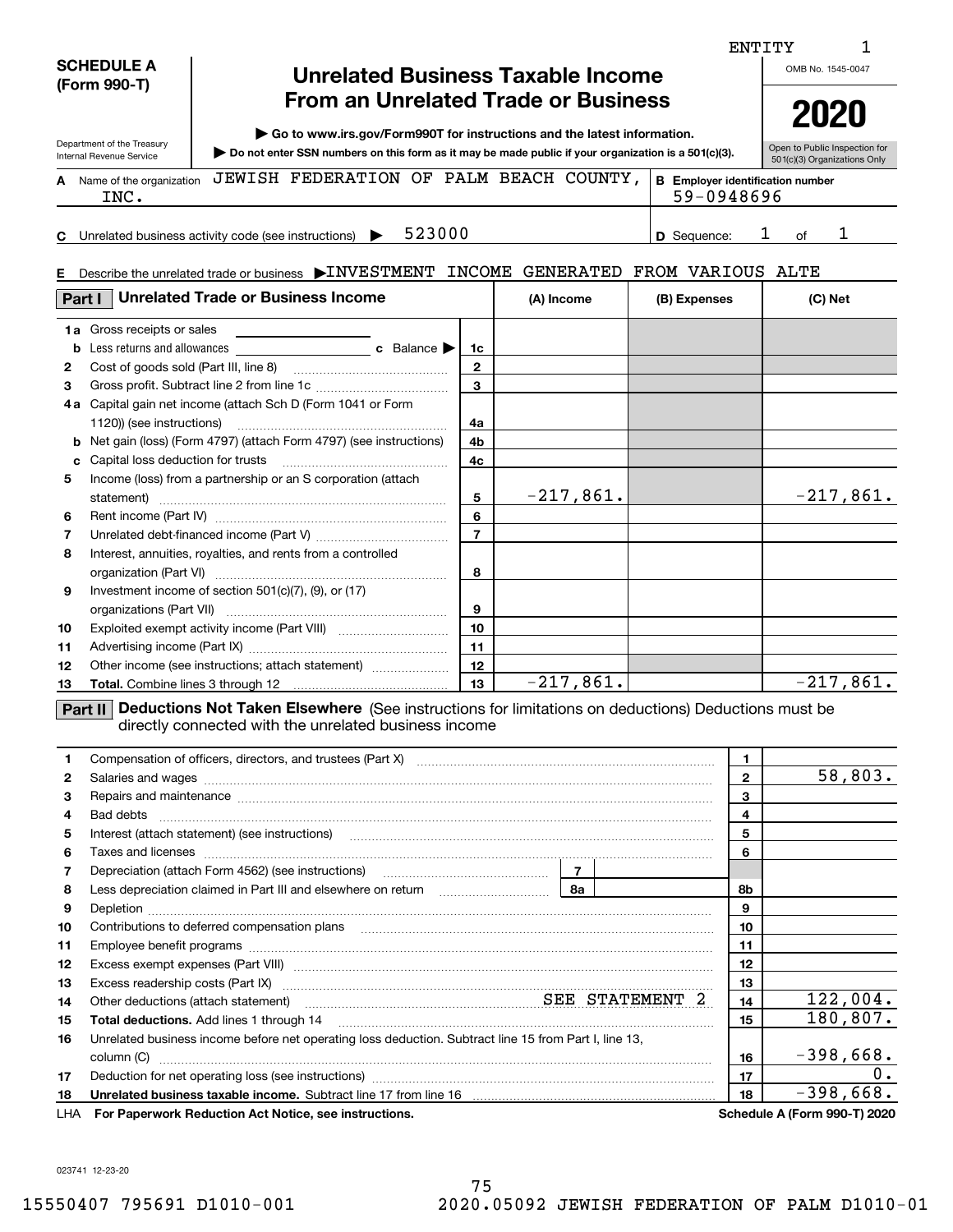|              |                                                        |                                                                                                                                                                                                                                |                  |                |              | <b>ENTITY</b> | 1                                                             |
|--------------|--------------------------------------------------------|--------------------------------------------------------------------------------------------------------------------------------------------------------------------------------------------------------------------------------|------------------|----------------|--------------|---------------|---------------------------------------------------------------|
|              | <b>SCHEDULE A</b>                                      | <b>Unrelated Business Taxable Income</b>                                                                                                                                                                                       |                  |                |              |               | OMB No. 1545-0047                                             |
|              | (Form 990-T)                                           |                                                                                                                                                                                                                                |                  |                |              |               |                                                               |
|              |                                                        | <b>From an Unrelated Trade or Business</b>                                                                                                                                                                                     |                  |                |              |               | 2020                                                          |
|              |                                                        | Go to www.irs.gov/Form990T for instructions and the latest information.                                                                                                                                                        |                  |                |              |               |                                                               |
|              | Department of the Treasury<br>Internal Revenue Service | Do not enter SSN numbers on this form as it may be made public if your organization is a 501(c)(3).                                                                                                                            |                  |                |              |               | Open to Public Inspection for<br>501(c)(3) Organizations Only |
|              | <b>A</b> Name of the organization                      | JEWISH FEDERATION OF PALM BEACH COUNTY,                                                                                                                                                                                        |                  |                |              |               | <b>B</b> Employer identification number                       |
|              | INC.                                                   |                                                                                                                                                                                                                                |                  |                |              | 59-0948696    |                                                               |
|              |                                                        |                                                                                                                                                                                                                                |                  |                |              |               |                                                               |
|              |                                                        | C Unrelated business activity code (see instructions) > 523000                                                                                                                                                                 |                  |                | D Sequence:  | ı.            | 1<br>of                                                       |
|              |                                                        |                                                                                                                                                                                                                                |                  |                |              |               |                                                               |
|              |                                                        | E Describe the unrelated trade or business <b>&gt;INVESTMENT</b> INCOME GENERATED FROM VARIOUS ALTE                                                                                                                            |                  |                |              |               |                                                               |
| Part I       |                                                        | <b>Unrelated Trade or Business Income</b>                                                                                                                                                                                      |                  | (A) Income     | (B) Expenses |               | (C) Net                                                       |
|              | 1a Gross receipts or sales                             |                                                                                                                                                                                                                                |                  |                |              |               |                                                               |
|              |                                                        |                                                                                                                                                                                                                                | 1c               |                |              |               |                                                               |
| 2            |                                                        |                                                                                                                                                                                                                                | $\overline{2}$   |                |              |               |                                                               |
| 3            |                                                        |                                                                                                                                                                                                                                | $\overline{3}$   |                |              |               |                                                               |
|              |                                                        | 4a Capital gain net income (attach Sch D (Form 1041 or Form                                                                                                                                                                    |                  |                |              |               |                                                               |
|              | 1120)) (see instructions)                              |                                                                                                                                                                                                                                | 4a               |                |              |               |                                                               |
|              |                                                        | <b>b</b> Net gain (loss) (Form 4797) (attach Form 4797) (see instructions)                                                                                                                                                     | 4b               |                |              |               |                                                               |
| c            | Capital loss deduction for trusts                      |                                                                                                                                                                                                                                | 4c               |                |              |               |                                                               |
| 5            |                                                        | Income (loss) from a partnership or an S corporation (attach                                                                                                                                                                   |                  |                |              |               |                                                               |
|              | statement)                                             |                                                                                                                                                                                                                                | 5                | $-217,861.$    |              |               | $-217,861.$                                                   |
| 6            |                                                        |                                                                                                                                                                                                                                | 6                |                |              |               |                                                               |
| 7            |                                                        |                                                                                                                                                                                                                                | $\overline{7}$   |                |              |               |                                                               |
| 8            |                                                        | Interest, annuities, royalties, and rents from a controlled                                                                                                                                                                    |                  |                |              |               |                                                               |
|              |                                                        |                                                                                                                                                                                                                                | 8                |                |              |               |                                                               |
| 9            |                                                        | Investment income of section $501(c)(7)$ , (9), or (17)                                                                                                                                                                        |                  |                |              |               |                                                               |
|              |                                                        |                                                                                                                                                                                                                                | 9                |                |              |               |                                                               |
| 10           |                                                        |                                                                                                                                                                                                                                | 10 <sup>10</sup> |                |              |               |                                                               |
| 11           |                                                        |                                                                                                                                                                                                                                | 11               |                |              |               |                                                               |
| 12           |                                                        | Other income (see instructions; attach statement)                                                                                                                                                                              | 12               |                |              |               |                                                               |
| 13           |                                                        |                                                                                                                                                                                                                                | 13               | $-217,861.$    |              |               | $-217,861.$                                                   |
|              | Part II                                                | Deductions Not Taken Elsewhere (See instructions for limitations on deductions) Deductions must be                                                                                                                             |                  |                |              |               |                                                               |
|              |                                                        | directly connected with the unrelated business income                                                                                                                                                                          |                  |                |              |               |                                                               |
| 1            |                                                        | Compensation of officers, directors, and trustees (Part X) [11] [2000] [2000] [2000] [2000] [2000] [2000] [2000] [3000] [2000] [2000] [3000] [3000] [3000] [3000] [3000] [3000] [3000] [3000] [3000] [3000] [3000] [3000] [300 |                  |                |              | 1.            |                                                               |
| $\mathbf{2}$ |                                                        |                                                                                                                                                                                                                                |                  |                |              | $\mathbf{2}$  | 58,803.                                                       |
| з            |                                                        |                                                                                                                                                                                                                                |                  |                |              | 3             |                                                               |
| 4            | Bad debts                                              | Repairs and maintenance material continuum contract and maintenance and maintenance material contract and maintenance                                                                                                          |                  |                |              | 4             |                                                               |
| 5            |                                                        | Interest (attach statement) (see instructions) [11] manufacture in the statement of the statement of the statement of the statement of the statement of the statement of the statement of the statement of the statement of th |                  |                |              | 5             |                                                               |
| 6            |                                                        |                                                                                                                                                                                                                                |                  |                |              | 6             |                                                               |
| 7            |                                                        | Depreciation (attach Form 4562) (see instructions) maturities and the contract of the Depreciation (attach Form                                                                                                                |                  | 7 <sup>1</sup> |              |               |                                                               |
| 8            |                                                        | Less depreciation claimed in Part III and elsewhere on return [11] [11] Less depreciation claimed in Part III and elsewhere on return                                                                                          |                  | 8a             |              | 8b            |                                                               |
| 9            |                                                        |                                                                                                                                                                                                                                |                  |                |              | 9             |                                                               |
| 10           |                                                        |                                                                                                                                                                                                                                |                  |                |              | 10            |                                                               |
| 11           |                                                        |                                                                                                                                                                                                                                |                  |                |              | 11            |                                                               |
| 12           |                                                        |                                                                                                                                                                                                                                |                  |                |              | 12            |                                                               |
| 13           |                                                        |                                                                                                                                                                                                                                |                  |                |              | 13            |                                                               |
| 14           |                                                        | Other deductions (attach statement) material material material SEE STATEMENT 2                                                                                                                                                 |                  |                |              | 14            | 122,004.                                                      |
| 15           |                                                        |                                                                                                                                                                                                                                |                  |                |              | 15            | 180,807.                                                      |
| 16           |                                                        | Unrelated business income before net operating loss deduction. Subtract line 15 from Part I, line 13,                                                                                                                          |                  |                |              |               |                                                               |
|              |                                                        |                                                                                                                                                                                                                                |                  |                |              | 16            | $-398,668.$                                                   |
| 17           |                                                        |                                                                                                                                                                                                                                |                  |                |              | 17            | 0.                                                            |
| 18           |                                                        |                                                                                                                                                                                                                                |                  |                |              | 18            | $-398,668$ .                                                  |
| LHA          |                                                        | For Paperwork Reduction Act Notice, see instructions.                                                                                                                                                                          |                  |                |              |               | <b>Schedule A (Form 990-T) 2020</b>                           |
|              |                                                        |                                                                                                                                                                                                                                |                  |                |              |               |                                                               |

023741 12-23-20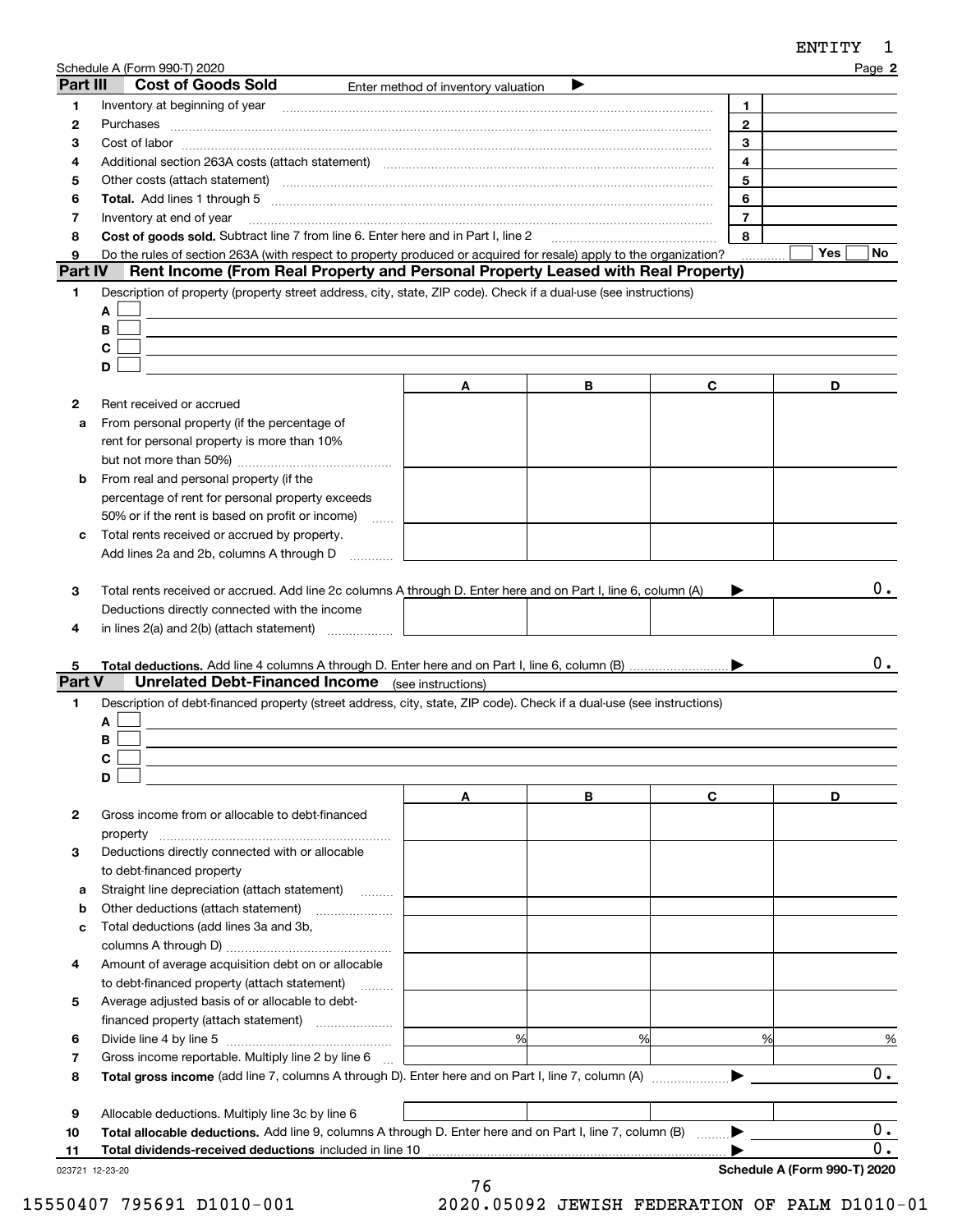|                | Schedule A (Form 990-T) 2020                                                                                                                                                                                                   |                                     |   |                | Page 2     |
|----------------|--------------------------------------------------------------------------------------------------------------------------------------------------------------------------------------------------------------------------------|-------------------------------------|---|----------------|------------|
| Part III       | <b>Cost of Goods Sold</b>                                                                                                                                                                                                      | Enter method of inventory valuation |   |                |            |
| 1              |                                                                                                                                                                                                                                |                                     |   | 1.             |            |
| 2              | Purchases                                                                                                                                                                                                                      |                                     |   | $\mathbf{2}$   |            |
| з              |                                                                                                                                                                                                                                |                                     |   | 3              |            |
| 4              |                                                                                                                                                                                                                                |                                     |   | 4              |            |
| 5              | Other costs (attach statement) manufactured and contract and contract and contract and contract and contract and contract and contract and contract and contract and contract and contract and contract and contract and contr |                                     |   | 5              |            |
| 6              |                                                                                                                                                                                                                                |                                     |   | 6              |            |
| 7              | Inventory at end of year                                                                                                                                                                                                       |                                     |   | $\overline{7}$ |            |
| 8              | Cost of goods sold. Subtract line 7 from line 6. Enter here and in Part I, line 2                                                                                                                                              |                                     |   | 8              |            |
| 9              | Do the rules of section 263A (with respect to property produced or acquired for resale) apply to the organization?                                                                                                             |                                     |   |                | Yes<br>No. |
| <b>Part IV</b> | Rent Income (From Real Property and Personal Property Leased with Real Property)                                                                                                                                               |                                     |   |                |            |
| 1              | Description of property (property street address, city, state, ZIP code). Check if a dual-use (see instructions)                                                                                                               |                                     |   |                |            |
|                | A                                                                                                                                                                                                                              |                                     |   |                |            |
|                | B                                                                                                                                                                                                                              |                                     |   |                |            |
|                | С                                                                                                                                                                                                                              |                                     |   |                |            |
|                | D                                                                                                                                                                                                                              |                                     |   |                |            |
|                |                                                                                                                                                                                                                                | A                                   | В | C              | D          |
| 2              | Rent received or accrued                                                                                                                                                                                                       |                                     |   |                |            |
| a              | From personal property (if the percentage of                                                                                                                                                                                   |                                     |   |                |            |
|                | rent for personal property is more than 10%                                                                                                                                                                                    |                                     |   |                |            |
|                |                                                                                                                                                                                                                                |                                     |   |                |            |
| b              | From real and personal property (if the                                                                                                                                                                                        |                                     |   |                |            |
|                | percentage of rent for personal property exceeds                                                                                                                                                                               |                                     |   |                |            |
|                | 50% or if the rent is based on profit or income)<br><b>Service</b>                                                                                                                                                             |                                     |   |                |            |
| с              | Total rents received or accrued by property.                                                                                                                                                                                   |                                     |   |                |            |
|                | Add lines 2a and 2b, columns A through D                                                                                                                                                                                       |                                     |   |                |            |
|                |                                                                                                                                                                                                                                |                                     |   |                |            |
| з              | Total rents received or accrued. Add line 2c columns A through D. Enter here and on Part I, line 6, column (A)                                                                                                                 |                                     |   |                | 0.         |
|                | Deductions directly connected with the income                                                                                                                                                                                  |                                     |   |                |            |
| 4              | in lines $2(a)$ and $2(b)$ (attach statement) $\ldots$                                                                                                                                                                         |                                     |   |                |            |
|                |                                                                                                                                                                                                                                |                                     |   |                |            |
| 5<br>Part V    |                                                                                                                                                                                                                                |                                     |   |                | 0.         |
|                | <b>Unrelated Debt-Financed Income</b> (see instructions)                                                                                                                                                                       |                                     |   |                |            |
| 1              | Description of debt-financed property (street address, city, state, ZIP code). Check if a dual-use (see instructions)                                                                                                          |                                     |   |                |            |
|                | A                                                                                                                                                                                                                              |                                     |   |                |            |
|                | В                                                                                                                                                                                                                              |                                     |   |                |            |
|                | C.                                                                                                                                                                                                                             |                                     |   |                |            |
|                | D                                                                                                                                                                                                                              |                                     |   |                |            |
|                |                                                                                                                                                                                                                                | A                                   | В | C              | D          |
| 2              | Gross income from or allocable to debt-financed                                                                                                                                                                                |                                     |   |                |            |
|                | property                                                                                                                                                                                                                       |                                     |   |                |            |
| 3              | Deductions directly connected with or allocable                                                                                                                                                                                |                                     |   |                |            |
|                | to debt-financed property                                                                                                                                                                                                      |                                     |   |                |            |
| а              | Straight line depreciation (attach statement)                                                                                                                                                                                  |                                     |   |                |            |
| b              | Other deductions (attach statement)                                                                                                                                                                                            |                                     |   |                |            |
| c              | Total deductions (add lines 3a and 3b,                                                                                                                                                                                         |                                     |   |                |            |
|                |                                                                                                                                                                                                                                |                                     |   |                |            |
| 4              | Amount of average acquisition debt on or allocable                                                                                                                                                                             |                                     |   |                |            |
|                | to debt-financed property (attach statement)                                                                                                                                                                                   |                                     |   |                |            |
| 5              | Average adjusted basis of or allocable to debt-                                                                                                                                                                                |                                     |   |                |            |
|                |                                                                                                                                                                                                                                |                                     |   |                |            |
| 6              |                                                                                                                                                                                                                                | %                                   | % | %              | %          |
| 7              | Gross income reportable. Multiply line 2 by line 6                                                                                                                                                                             |                                     |   |                |            |
| 8              |                                                                                                                                                                                                                                |                                     |   |                | 0.         |
|                |                                                                                                                                                                                                                                |                                     |   |                |            |
| 9              | Allocable deductions. Multiply line 3c by line 6                                                                                                                                                                               |                                     |   |                |            |
| 10             | Total allocable deductions. Add line 9, columns A through D. Enter here and on Part I, line 7, column (B)                                                                                                                      |                                     |   |                | 0.         |

#### 023721 12-23-20 **11 Total dividends-received deductions** included in line 10

**Schedule A (Form 990-T) 2020**

0.

ENTITY 1

 $\blacktriangleright$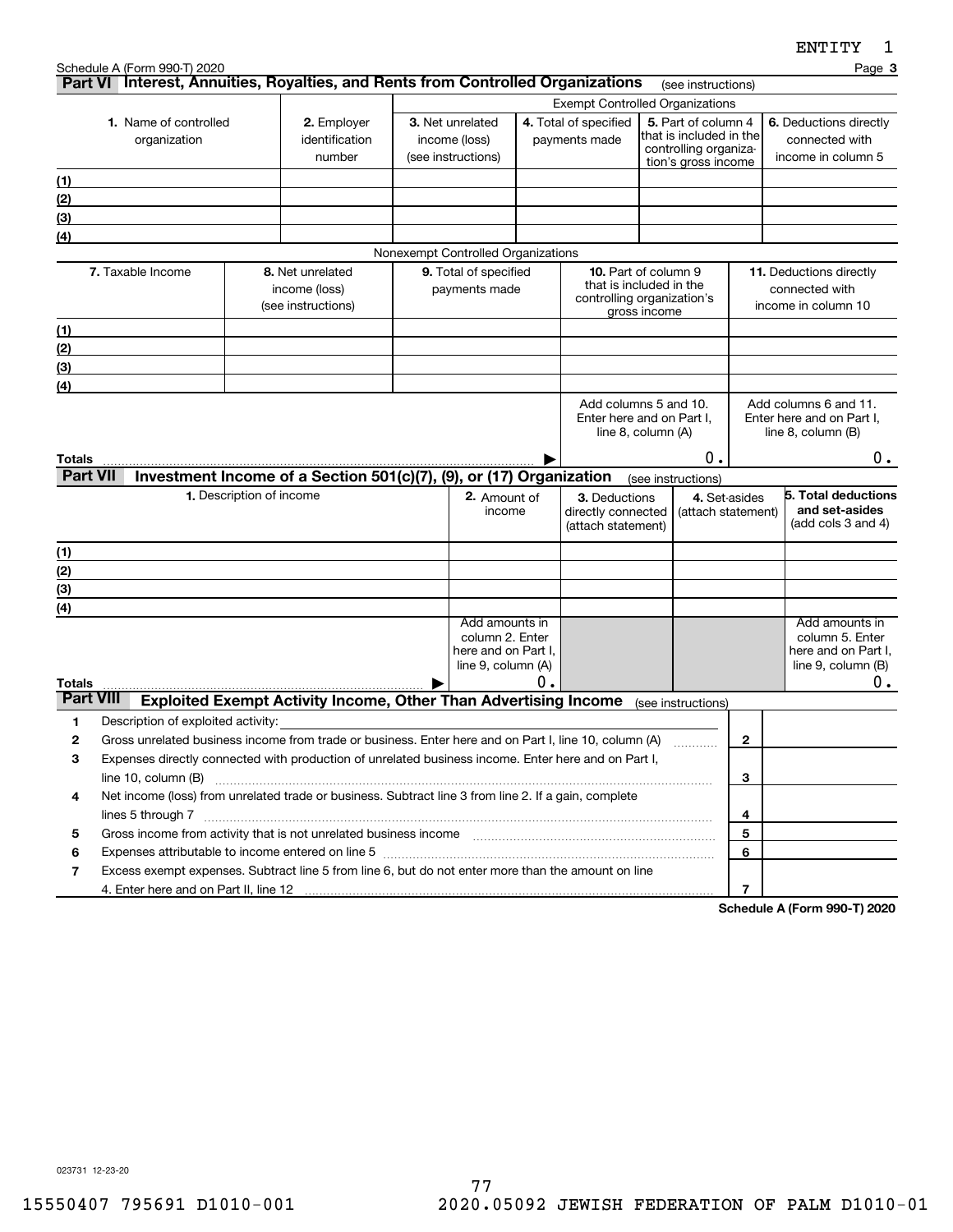|                  | Schedule A (Form 990-T) 2020                                                                                                                                                                                                                          |                          |                                                                        |                                           |    |                                                       |              |                                                |                                   |                         | Page 3                                             |
|------------------|-------------------------------------------------------------------------------------------------------------------------------------------------------------------------------------------------------------------------------------------------------|--------------------------|------------------------------------------------------------------------|-------------------------------------------|----|-------------------------------------------------------|--------------|------------------------------------------------|-----------------------------------|-------------------------|----------------------------------------------------|
|                  | Part VI Interest, Annuities, Royalties, and Rents from Controlled Organizations                                                                                                                                                                       |                          |                                                                        |                                           |    |                                                       |              | (see instructions)                             |                                   |                         |                                                    |
|                  |                                                                                                                                                                                                                                                       |                          |                                                                        |                                           |    | <b>Exempt Controlled Organizations</b>                |              |                                                |                                   |                         |                                                    |
|                  | 1. Name of controlled<br>organization                                                                                                                                                                                                                 |                          | 2. Employer<br>identification                                          | 3. Net unrelated<br>income (loss)         |    | 4. Total of specified<br>payments made                |              | 5. Part of column 4<br>that is included in the |                                   |                         | 6. Deductions directly<br>connected with           |
|                  |                                                                                                                                                                                                                                                       |                          | number                                                                 | (see instructions)                        |    |                                                       |              | controlling organiza-<br>tion's gross income   |                                   |                         | income in column 5                                 |
| (1)              |                                                                                                                                                                                                                                                       |                          |                                                                        |                                           |    |                                                       |              |                                                |                                   |                         |                                                    |
| (2)              |                                                                                                                                                                                                                                                       |                          |                                                                        |                                           |    |                                                       |              |                                                |                                   |                         |                                                    |
| (3)              |                                                                                                                                                                                                                                                       |                          |                                                                        |                                           |    |                                                       |              |                                                |                                   |                         |                                                    |
| (4)              |                                                                                                                                                                                                                                                       |                          |                                                                        |                                           |    |                                                       |              |                                                |                                   |                         |                                                    |
|                  |                                                                                                                                                                                                                                                       |                          |                                                                        | Nonexempt Controlled Organizations        |    |                                                       |              |                                                |                                   |                         |                                                    |
|                  | 7. Taxable Income                                                                                                                                                                                                                                     |                          | 8. Net unrelated                                                       | 9. Total of specified                     |    | <b>10.</b> Part of column 9                           |              |                                                |                                   |                         | 11. Deductions directly                            |
|                  |                                                                                                                                                                                                                                                       |                          | income (loss)                                                          | payments made                             |    | that is included in the<br>controlling organization's |              |                                                |                                   | connected with          |                                                    |
|                  |                                                                                                                                                                                                                                                       |                          | (see instructions)                                                     |                                           |    |                                                       | gross income |                                                |                                   |                         | income in column 10                                |
| (1)              |                                                                                                                                                                                                                                                       |                          |                                                                        |                                           |    |                                                       |              |                                                |                                   |                         |                                                    |
| (2)              |                                                                                                                                                                                                                                                       |                          |                                                                        |                                           |    |                                                       |              |                                                |                                   |                         |                                                    |
| (3)              |                                                                                                                                                                                                                                                       |                          |                                                                        |                                           |    |                                                       |              |                                                |                                   |                         |                                                    |
| (4)              |                                                                                                                                                                                                                                                       |                          |                                                                        |                                           |    | Add columns 5 and 10.                                 |              |                                                |                                   |                         |                                                    |
|                  |                                                                                                                                                                                                                                                       |                          |                                                                        |                                           |    | Enter here and on Part I,                             |              |                                                |                                   |                         | Add columns 6 and 11.<br>Enter here and on Part I, |
|                  |                                                                                                                                                                                                                                                       |                          |                                                                        |                                           |    | line 8, column (A)                                    |              |                                                |                                   | line $8$ , column $(B)$ |                                                    |
| Totals           |                                                                                                                                                                                                                                                       |                          |                                                                        |                                           |    |                                                       |              | О.                                             |                                   |                         | 0.                                                 |
| <b>Part VII</b>  |                                                                                                                                                                                                                                                       |                          | Investment Income of a Section 501(c)(7), (9), or (17) Organization    |                                           |    |                                                       |              | (see instructions)                             |                                   |                         |                                                    |
|                  |                                                                                                                                                                                                                                                       | 1. Description of income |                                                                        | 2. Amount of                              |    | 3. Deductions                                         |              |                                                | 4. Set-asides                     |                         | 5. Total deductions                                |
|                  |                                                                                                                                                                                                                                                       |                          |                                                                        | income                                    |    | directly connected                                    |              | (attach statement)                             |                                   |                         | and set-asides<br>(add cols 3 and 4)               |
|                  |                                                                                                                                                                                                                                                       |                          |                                                                        |                                           |    | (attach statement)                                    |              |                                                |                                   |                         |                                                    |
| (1)              |                                                                                                                                                                                                                                                       |                          |                                                                        |                                           |    |                                                       |              |                                                |                                   |                         |                                                    |
| (2)              |                                                                                                                                                                                                                                                       |                          |                                                                        |                                           |    |                                                       |              |                                                |                                   |                         |                                                    |
| (3)              |                                                                                                                                                                                                                                                       |                          |                                                                        |                                           |    |                                                       |              |                                                |                                   |                         |                                                    |
| (4)              |                                                                                                                                                                                                                                                       |                          |                                                                        | Add amounts in                            |    |                                                       |              |                                                |                                   |                         | Add amounts in                                     |
|                  |                                                                                                                                                                                                                                                       |                          |                                                                        | column 2. Enter                           |    |                                                       |              |                                                |                                   |                         | column 5. Enter                                    |
|                  |                                                                                                                                                                                                                                                       |                          |                                                                        | here and on Part I,<br>line 9, column (A) |    |                                                       |              |                                                |                                   |                         | here and on Part I,<br>line $9$ , column $(B)$     |
| Totals           |                                                                                                                                                                                                                                                       |                          |                                                                        |                                           | О. |                                                       |              |                                                |                                   |                         | 0.                                                 |
| <b>Part VIII</b> |                                                                                                                                                                                                                                                       |                          | <b>Exploited Exempt Activity Income, Other Than Advertising Income</b> |                                           |    |                                                       |              | (see instructions)                             |                                   |                         |                                                    |
| 1                | Description of exploited activity:                                                                                                                                                                                                                    |                          |                                                                        |                                           |    |                                                       |              |                                                |                                   |                         |                                                    |
| 2                | Gross unrelated business income from trade or business. Enter here and on Part I, line 10, column (A)                                                                                                                                                 |                          |                                                                        |                                           |    |                                                       |              |                                                | 2                                 |                         |                                                    |
| 3                | Expenses directly connected with production of unrelated business income. Enter here and on Part I,                                                                                                                                                   |                          |                                                                        |                                           |    |                                                       |              |                                                |                                   |                         |                                                    |
|                  | line 10, column (B)                                                                                                                                                                                                                                   |                          |                                                                        |                                           |    |                                                       |              |                                                | 3                                 |                         |                                                    |
| 4                | Net income (loss) from unrelated trade or business. Subtract line 3 from line 2. If a gain, complete                                                                                                                                                  |                          |                                                                        |                                           |    |                                                       |              |                                                |                                   |                         |                                                    |
|                  |                                                                                                                                                                                                                                                       |                          |                                                                        |                                           |    |                                                       |              |                                                | 4                                 |                         |                                                    |
| 5                | Gross income from activity that is not unrelated business income [11] [11] content material content from activity that is not unrelated business income [11] [11] [11] $\alpha$ [11] $\alpha$ [11] $\alpha$ [11] $\alpha$ [11] $\alpha$ [11] $\alpha$ |                          |                                                                        |                                           |    |                                                       |              |                                                | 5                                 |                         |                                                    |
| 6                | Expenses attributable to income entered on line 5 [[11] manufacture manufacture attributable to income entered on line 5 [[11] manufacture manufacture attributable to income entered on line 5 [[11] manufacture manufacture                         |                          |                                                                        |                                           |    |                                                       |              |                                                | 6                                 |                         |                                                    |
| 7                | Excess exempt expenses. Subtract line 5 from line 6, but do not enter more than the amount on line                                                                                                                                                    |                          |                                                                        |                                           |    |                                                       |              |                                                |                                   |                         |                                                    |
|                  |                                                                                                                                                                                                                                                       |                          |                                                                        |                                           |    |                                                       |              |                                                | $\overline{7}$<br><b>Cahadula</b> |                         | $A$ (F $=$ $=$ 000 T) 0000                         |

**Schedule A (Form 990-T) 2020**

023731 12-23-20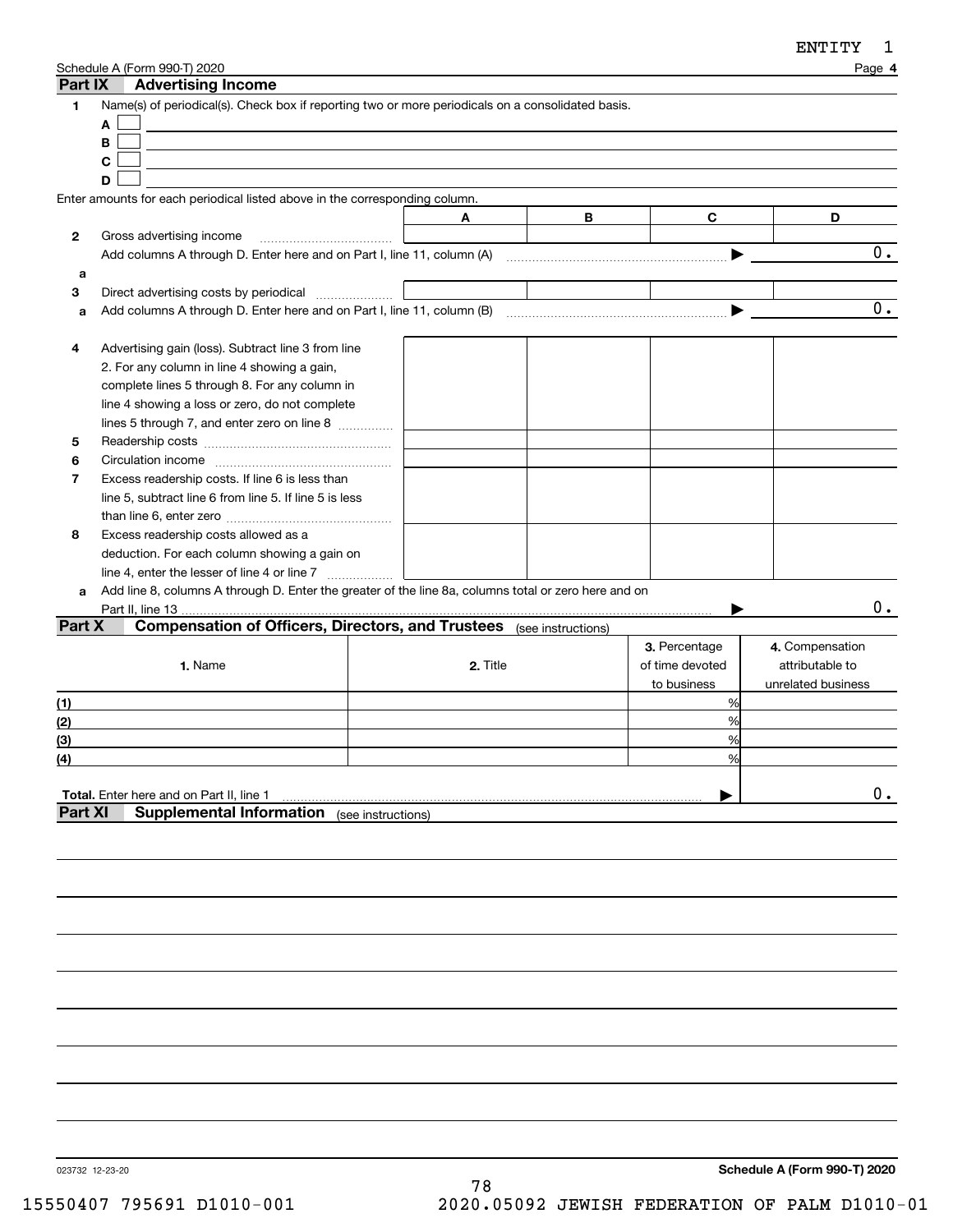| <b>Part IX</b>             | Schedule A (Form 990-T) 2020<br><b>Advertising Income</b>                                                                                                                                                                                                                                                                                                                                                                                                                                                                                                                                                                             |          |   |                                                 | Page 4                                                   |
|----------------------------|---------------------------------------------------------------------------------------------------------------------------------------------------------------------------------------------------------------------------------------------------------------------------------------------------------------------------------------------------------------------------------------------------------------------------------------------------------------------------------------------------------------------------------------------------------------------------------------------------------------------------------------|----------|---|-------------------------------------------------|----------------------------------------------------------|
| 1                          | Name(s) of periodical(s). Check box if reporting two or more periodicals on a consolidated basis.<br>A<br>в<br>C<br>D                                                                                                                                                                                                                                                                                                                                                                                                                                                                                                                 |          |   |                                                 |                                                          |
|                            | Enter amounts for each periodical listed above in the corresponding column.                                                                                                                                                                                                                                                                                                                                                                                                                                                                                                                                                           |          |   |                                                 |                                                          |
|                            |                                                                                                                                                                                                                                                                                                                                                                                                                                                                                                                                                                                                                                       | A        | В | C                                               | D                                                        |
| 2                          | Gross advertising income                                                                                                                                                                                                                                                                                                                                                                                                                                                                                                                                                                                                              |          |   |                                                 |                                                          |
|                            |                                                                                                                                                                                                                                                                                                                                                                                                                                                                                                                                                                                                                                       |          |   |                                                 | $\overline{0}$ .                                         |
| а                          |                                                                                                                                                                                                                                                                                                                                                                                                                                                                                                                                                                                                                                       |          |   |                                                 |                                                          |
| 3                          | Direct advertising costs by periodical                                                                                                                                                                                                                                                                                                                                                                                                                                                                                                                                                                                                |          |   |                                                 |                                                          |
| a                          |                                                                                                                                                                                                                                                                                                                                                                                                                                                                                                                                                                                                                                       |          |   |                                                 | 0.                                                       |
| 4<br>5<br>6<br>7<br>8<br>a | Advertising gain (loss). Subtract line 3 from line<br>2. For any column in line 4 showing a gain,<br>complete lines 5 through 8. For any column in<br>line 4 showing a loss or zero, do not complete<br>lines 5 through 7, and enter zero on line 8<br>Excess readership costs. If line 6 is less than<br>line 5, subtract line 6 from line 5. If line 5 is less<br>Excess readership costs allowed as a<br>deduction. For each column showing a gain on<br>line 4, enter the lesser of line 4 or line 7<br>Add line 8, columns A through D. Enter the greater of the line 8a, columns total or zero here and on<br>Part II, line 13. |          |   |                                                 | 0.                                                       |
| Part X                     | <b>Compensation of Officers, Directors, and Trustees</b> (see instructions)                                                                                                                                                                                                                                                                                                                                                                                                                                                                                                                                                           |          |   |                                                 |                                                          |
|                            | 1. Name                                                                                                                                                                                                                                                                                                                                                                                                                                                                                                                                                                                                                               | 2. Title |   | 3. Percentage<br>of time devoted<br>to business | 4. Compensation<br>attributable to<br>unrelated business |
| (1)                        |                                                                                                                                                                                                                                                                                                                                                                                                                                                                                                                                                                                                                                       |          |   | %                                               |                                                          |
| (2)                        |                                                                                                                                                                                                                                                                                                                                                                                                                                                                                                                                                                                                                                       |          |   | %                                               |                                                          |
| (3)                        |                                                                                                                                                                                                                                                                                                                                                                                                                                                                                                                                                                                                                                       |          |   | %                                               |                                                          |
| <u>(4)</u>                 |                                                                                                                                                                                                                                                                                                                                                                                                                                                                                                                                                                                                                                       |          |   | %                                               |                                                          |
| <b>Part XI</b>             | Total. Enter here and on Part II, line 1<br><b>Supplemental Information</b> (see instructions)                                                                                                                                                                                                                                                                                                                                                                                                                                                                                                                                        |          |   |                                                 | 0.                                                       |
|                            |                                                                                                                                                                                                                                                                                                                                                                                                                                                                                                                                                                                                                                       |          |   |                                                 |                                                          |

023732 12-23-20

**Schedule A (Form 990-T) 2020** 78 15550407 795691 D1010-001 2020.05092 JEWISH FEDERATION OF PALM D1010-01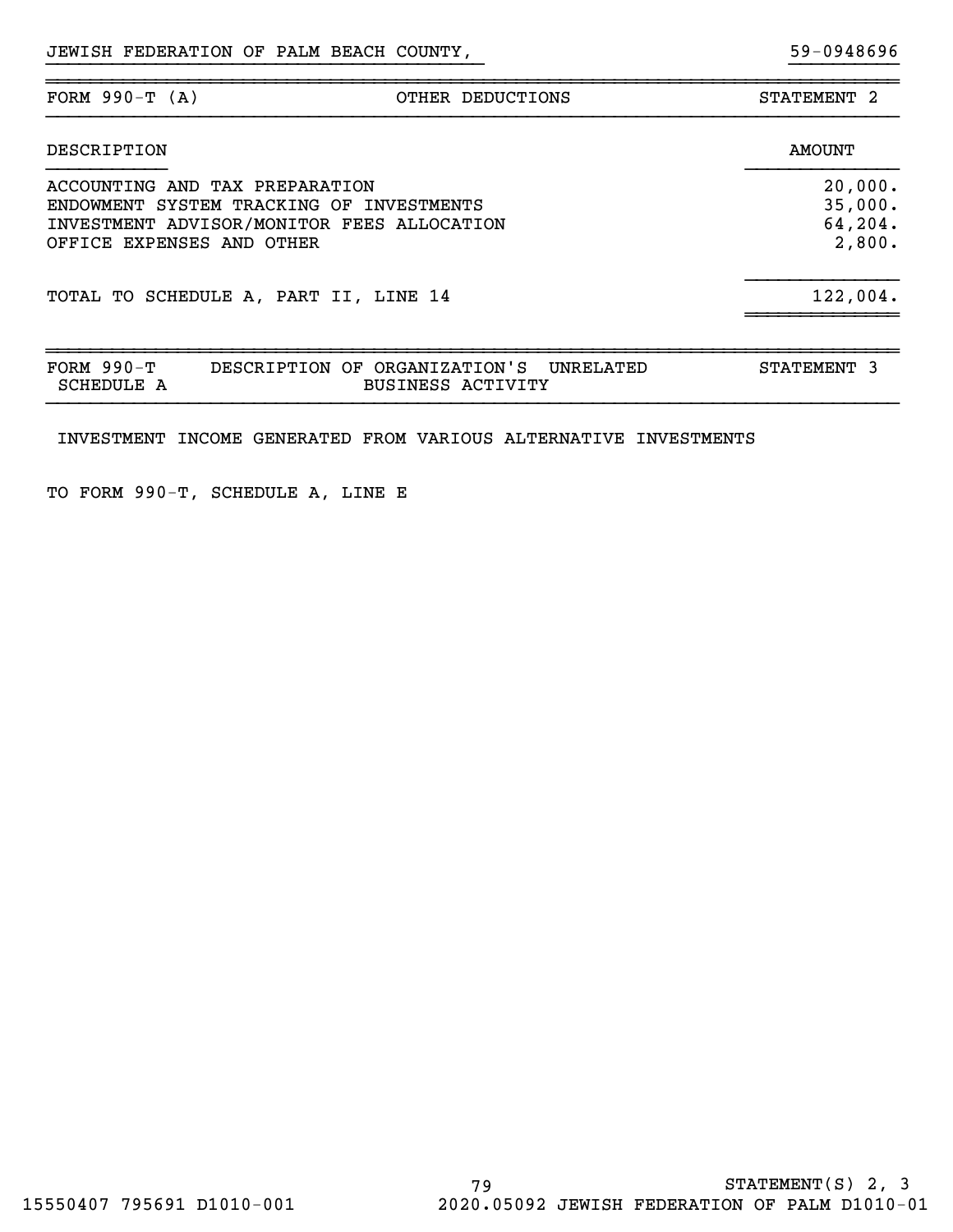| FORM $990-T (A)$                                                                                                                                      | OTHER DEDUCTIONS | STATEMENT <sub>2</sub>                  |
|-------------------------------------------------------------------------------------------------------------------------------------------------------|------------------|-----------------------------------------|
| DESCRIPTION                                                                                                                                           |                  | AMOUNT                                  |
| ACCOUNTING AND TAX PREPARATION<br>ENDOWMENT SYSTEM TRACKING OF INVESTMENTS<br>INVESTMENT ADVISOR/MONITOR FEES ALLOCATION<br>OFFICE EXPENSES AND OTHER |                  | 20,000.<br>35,000.<br>64,204.<br>2,800. |
| TOTAL TO SCHEDULE A, PART II, LINE 14                                                                                                                 |                  | 122,004.                                |
|                                                                                                                                                       |                  |                                         |

}}}}}}}}}}}}}}}}}}}}}}}}}}}}}}}}}}}}}}}} }}}}}}}}}}

~~~~~~~~~~~~~~~~~~~~~~~~~~~~~~~~~~~~~~~~~~~~~~~~~~~~~~~~~~~~~~~~~~~~~~~~~~~~~~

| FORM $990-T$    | DESCRIPTION OF ORGANIZATION'S | UNRELATED | <b>STATEMENT</b> |
|-----------------|-------------------------------|-----------|------------------|
| <b>SCHEDULE</b> | <b>BUSINESS ACTIVITY</b>      |           |                  |

INVESTMENT INCOME GENERATED FROM VARIOUS ALTERNATIVE INVESTMENTS

TO FORM 990-T, SCHEDULE A, LINE E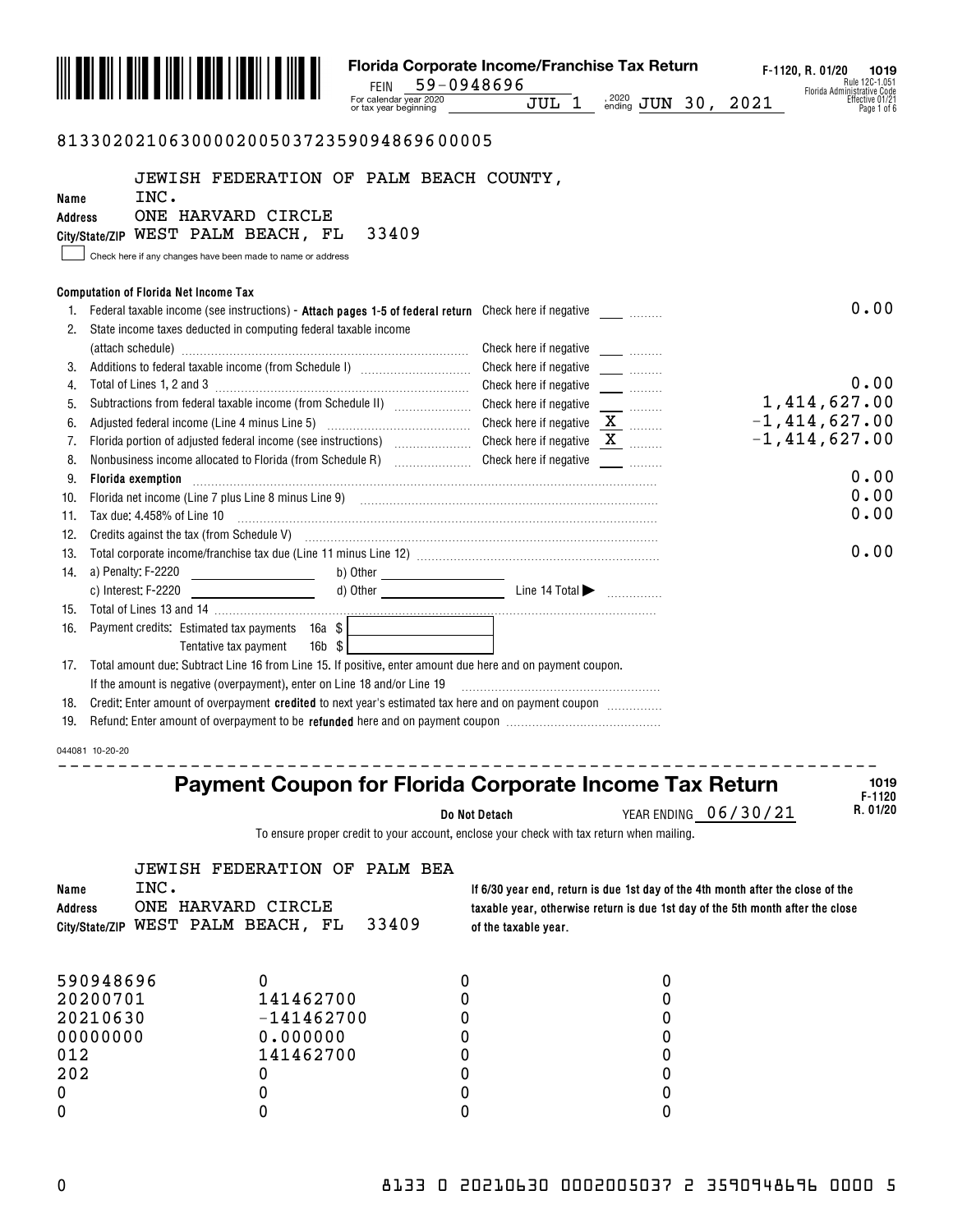

#### 813302021063000020050372359094869600005

| Name<br><b>Address</b> | JEWISH FEDERATION OF PALM BEACH COUNTY,<br>INC.<br>ONE HARVARD CIRCLE<br>33409<br>WEST PALM BEACH, FL<br>City/State/ZIP<br>Check here if any changes have been made to name or address                                                                                                                                                                                                                                                                          |                                                       |                 |
|------------------------|-----------------------------------------------------------------------------------------------------------------------------------------------------------------------------------------------------------------------------------------------------------------------------------------------------------------------------------------------------------------------------------------------------------------------------------------------------------------|-------------------------------------------------------|-----------------|
|                        | <b>Computation of Florida Net Income Tax</b>                                                                                                                                                                                                                                                                                                                                                                                                                    |                                                       |                 |
| 1.                     | Federal taxable income (see instructions) - Attach pages 1-5 of federal return Check here if negative                                                                                                                                                                                                                                                                                                                                                           |                                                       | 0.00            |
| 2.                     | State income taxes deducted in computing federal taxable income                                                                                                                                                                                                                                                                                                                                                                                                 |                                                       |                 |
|                        |                                                                                                                                                                                                                                                                                                                                                                                                                                                                 |                                                       |                 |
| 3.                     | Additions to federal taxable income (from Schedule I) [11] [12] [12] Additions to federal taxable income (from Schedule I)                                                                                                                                                                                                                                                                                                                                      | Check here if negative                                |                 |
| $\overline{4}$ .       | Total of Lines 1, 2 and 3                                                                                                                                                                                                                                                                                                                                                                                                                                       |                                                       | 0.00            |
| 5.                     | Subtractions from federal taxable income (from Schedule II) [[[[[[[[[[[[[[[[[[[[[[[]]]]]]]]]]]                                                                                                                                                                                                                                                                                                                                                                  | Check here if negative<br>$\mathcal{L} = \mathcal{L}$ | 1,414,627.00    |
| 6.                     | Adjusted federal income (Line 4 minus Line 5) [111] [12] manuscription of Adjusted federal income (Line 4 minus Line 5)                                                                                                                                                                                                                                                                                                                                         | $\underline{x}$<br>Check here if negative             | $-1,414,627.00$ |
| 7.                     | Florida portion of adjusted federal income (see instructions) [                                                                                                                                                                                                                                                                                                                                                                                                 | $\mathbf{X}_{\text{max}}$<br>Check here if negative   | $-1,414,627.00$ |
| 8.                     |                                                                                                                                                                                                                                                                                                                                                                                                                                                                 | Check here if negative                                |                 |
| 9.                     | <b>Florida exemption</b>                                                                                                                                                                                                                                                                                                                                                                                                                                        |                                                       | 0.00            |
| 10.                    | Florida net income (Line 7 plus Line 8 minus Line 9) [11] manufacture in the income (Line 7 plus Line 8 minus Line 9) [11] manufacture in the income contract to the state of the state of the state of the state of the state                                                                                                                                                                                                                                  |                                                       | 0.00            |
| 11.                    | $\begin{minipage}[b]{0.5\textwidth} \centering \begin{tabular}{ c c c c c } \hline \multicolumn{1}{ c }{\textbf{0.5}} \multicolumn{1}{ c }{\textbf{0.5}} \multicolumn{1}{ c }{\textbf{0.5}} \multicolumn{1}{ c }{\textbf{0.5}} \multicolumn{1}{ c }{\textbf{0.5}} \multicolumn{1}{ c }{\textbf{0.5}} \multicolumn{1}{ c }{\textbf{0.5}} \multicolumn{1}{ c }{\textbf{0.5}} \multicolumn{1}{ c }{\textbf{0.5}} \multicolumn{1}{ c$<br>Tax due: 4.458% of Line 10 |                                                       | 0.00            |
| 12.                    | Credits against the tax (from Schedule V) <b>manufacture and continuum contracts</b> against the tax (from Schedule V)                                                                                                                                                                                                                                                                                                                                          |                                                       |                 |
| 13.                    |                                                                                                                                                                                                                                                                                                                                                                                                                                                                 |                                                       | 0.00            |
| 14.                    | a) Penalty: F-2220<br>$\frac{1}{2}$ b) Other $\frac{1}{2}$ b) Other $\frac{1}{2}$                                                                                                                                                                                                                                                                                                                                                                               |                                                       |                 |
|                        | $\overline{\phantom{a}}$ d) Other $\overline{\phantom{a}}$ d) Other $\overline{\phantom{a}}$ Line 14 Total $\blacktriangleright$ $\overline{\phantom{a}}$<br>c) Interest: F-2220                                                                                                                                                                                                                                                                                |                                                       |                 |
| 15.                    |                                                                                                                                                                                                                                                                                                                                                                                                                                                                 |                                                       |                 |
| 16.                    | Payment credits: Estimated tax payments $16a \$                                                                                                                                                                                                                                                                                                                                                                                                                 |                                                       |                 |
|                        | 16b \$<br>Tentative tax payment                                                                                                                                                                                                                                                                                                                                                                                                                                 |                                                       |                 |
| 17.                    | Total amount due: Subtract Line 16 from Line 15. If positive, enter amount due here and on payment coupon.                                                                                                                                                                                                                                                                                                                                                      |                                                       |                 |
|                        | If the amount is negative (overpayment), enter on Line 18 and/or Line 19                                                                                                                                                                                                                                                                                                                                                                                        |                                                       |                 |
| 18.                    | Credit: Enter amount of overpayment credited to next year's estimated tax here and on payment coupon <i>management</i>                                                                                                                                                                                                                                                                                                                                          |                                                       |                 |
| 19.                    |                                                                                                                                                                                                                                                                                                                                                                                                                                                                 |                                                       |                 |
|                        | 044081 10-20-20                                                                                                                                                                                                                                                                                                                                                                                                                                                 |                                                       |                 |

### **Payment Coupon for Florida Corporate Income Tax Return**

**Do Not Detach**

YEAR ENDING 06/30/21

**F-1120 R. 01/20 1019**

To ensure proper credit to your account, enclose your check with tax return when mailing.

| Name<br>Address | INC.<br>ONE HARVARD CIRCLE<br>City/State/ZIP WEST PALM BEACH, FL | JEWISH FEDERATION OF PALM BEA<br>33409 | of the taxable year. | If 6/30 year end, return is due 1st day of the 4th month after the close of the<br>taxable year, otherwise return is due 1st day of the 5th month after the close |
|-----------------|------------------------------------------------------------------|----------------------------------------|----------------------|-------------------------------------------------------------------------------------------------------------------------------------------------------------------|
| 590948696       |                                                                  |                                        |                      |                                                                                                                                                                   |
| 20200701        |                                                                  | 141462700                              |                      |                                                                                                                                                                   |
| 20210630        |                                                                  | $-141462700$                           |                      |                                                                                                                                                                   |
| 00000000        |                                                                  | 0.000000                               |                      |                                                                                                                                                                   |
| 012             |                                                                  | 141462700                              |                      |                                                                                                                                                                   |
| 202             |                                                                  |                                        |                      |                                                                                                                                                                   |
| 0               |                                                                  |                                        |                      |                                                                                                                                                                   |
|                 |                                                                  |                                        |                      |                                                                                                                                                                   |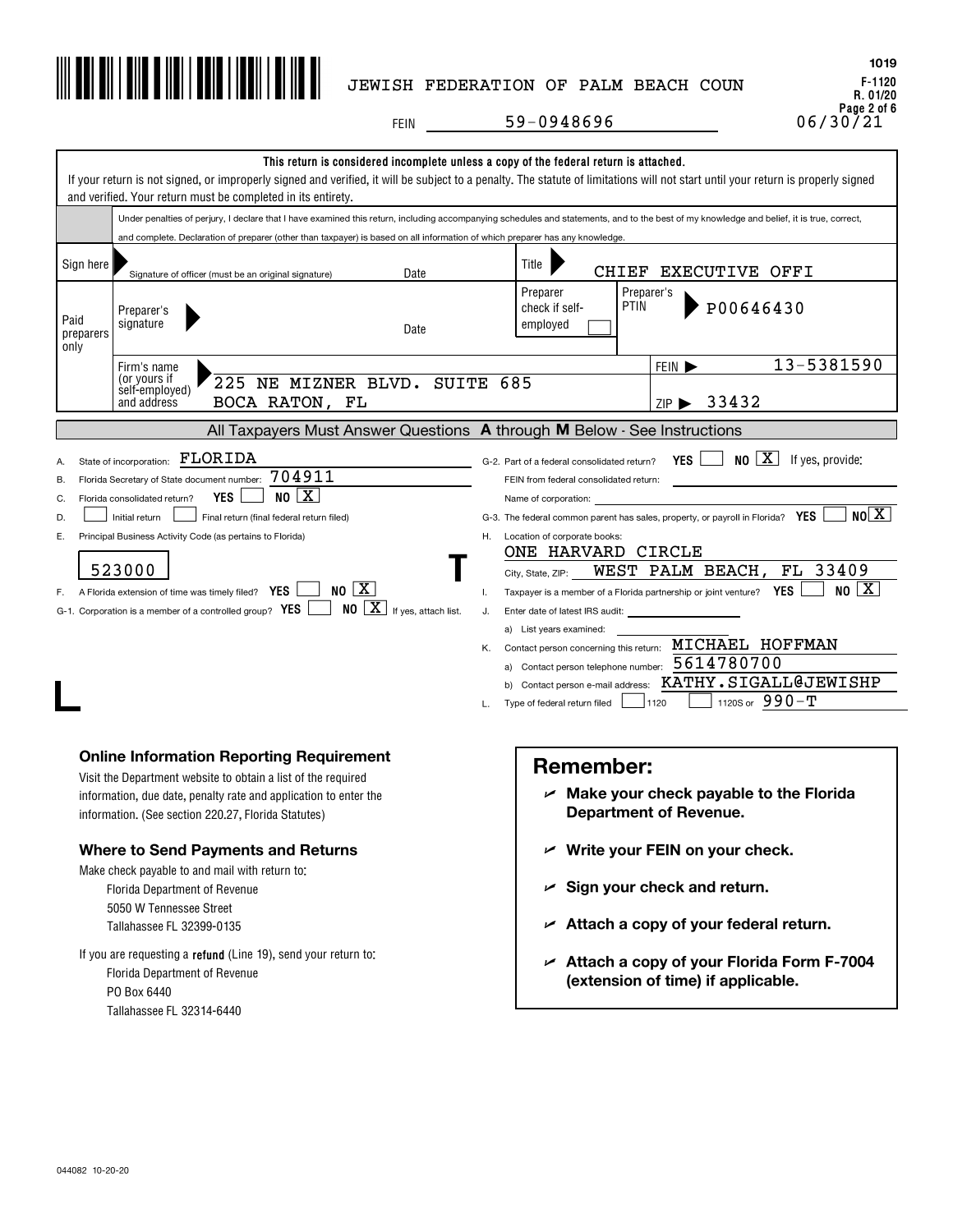

59-0948696

FEIN

Under penalties of perjury, I declare that I have examined this return, including accompanying schedules and statements, and to the best of my knowledge and belief, it is true, correct, and complete. Declaration of preparer (other than taxpayer) is based on all information of which preparer has any knowledge. Sign here<br>
Signature of officer (must be an original signature) Date<br>
Date A.B.C.D.E.F.G-1. Corporation is a member of a controlled group?  $YES$   $\Box$  **NO**  $\boxed{X}$  If yes, attach list. J. Enter date of latest IRS audit: State of incorporation:  $\, {\rm FLORIDA}$ Florida Secretary of State document number:  $\,7\,0\,4\,9\,1\,1$ Florida consolidated return? G-2. Part of a federal consolidated return? Initial return **Conservant Primal return (final federal return filed)** G-3. The federal common parent has sales, property, or payroll in Florida? YES **NO X** H. Location of corporate books: I.J.K. Contact person concerning this return:  $\rm\,MICHAEL$   $\rm\,HOFFMAN$ L. Type of federal return filed  $\boxed{\phantom{0}}$  1120  $\boxed{\phantom{0}}$  1120S or FEIN from federal consolidated return: Name of corporation: Principal Business Activity Code (as pertains to Florida)  $\,$   $\rm{S23000}$   $\,$   $\,$   $\rm{C}$   $\rm{C}$   $\rm{C}$   $\rm{C}$   $\rm{C}$   $\rm{C}$   $\rm{C}$   $\rm{C}$   $\rm{C}$   $\rm{C}$   $\rm{C}$   $\rm{C}$   $\rm{C}$   $\rm{C}$   $\rm{C}$   $\rm{C}$   $\rm{C}$   $\rm{C}$   $\rm{C}$   $\rm{C}$   $\rm{C}$   $\rm{C}$   $\rm{C}$   $\rm{C}$  A Florida extension of time was timely filed? YES **NO**  $\boxed{\textbf{X}}$  **NO**  $\boxed{\textbf{X}}$  1. Taxpayer is a member of a Florida partnership or joint venture? YES NO  $\boxed{\textbf{X}}$ a) List years examined: a)  $\,$  Contact person telephone number:  $\,5614780700$ b) Contact person e-mail address:  $\overline{\text{KATHY}}\centerdot \text{SIGALL@JEWISHP}$ **This return is considered incomplete unless a copy of the federal return is attached. YES**  $\Box$  **NO**  $\overline{\mathbf{X}}$  If yes, provide:  $YES$  **NO**  $X$ A Florida extension of time was timely filed? **YES** If your return is not signed, or improperly signed and verified, it will be subject to a penalty. The statute of limitations will not start until your return is properly signed and verified. Your return must be completed in its entirety. Date**Date** Preparer check if selfemployedPreparer'sPTINPreparer'sPaid signature preparersonlyFirm's name (or yours if self-employed) and address FEIN  $\blacktriangleright$ ZIP | 33432 Visit the Department website to obtain a list of the required All Taxpayers Must Answer Questions A through M Below - See Instructions **Online Information Reporting Requirement Remember:T**  $\mathcal{L}^{\text{max}}$  $\mathcal{L}^{\text{max}}$  $\Box$  NO  $\overline{\mathrm{X}}$  $\blacktriangleright$  $\blacktriangleright$  $\blacktriangleright$  $\blacktriangleright$ ONE HARVARD CIRCLE  $\Box$  NO  $\Box$ 1120S or  $990-T$ 225 NE MIZNER BLVD. SUITE 685 BOCA RATON, FL CHIEF EXECUTIVE OFFI  $NO[X]$ 13-5381590 P00646430

information, due date, penalty rate and application to enter the information. (See section 220.27, Florida Statutes)

#### **Where to Send Payments and Returns <b>WEIN CONSTRANT WAS A WRITE YOUR FEIN** on your check.

Make check payable to and mail with return to: Florida Department of Revenue

> 5050 W Tennessee Street Tallahassee FL 32399-0135

If you are requesting a **refund** (Line 19), send your return to: Florida Department of Revenue PO Box 6440 Tallahassee FL 32314-6440

**Make your check payable to the Florida** U**Department of Revenue.**

**F-1120 R. 01/20 Page 2 of 6**

06/30/21

**1019**

- U
- **Sign your check and return.** U
- **Attach a copy of your federal return.** U
- **Attach a copy of your Florida Form F-7004** U**(extension of time) if applicable.**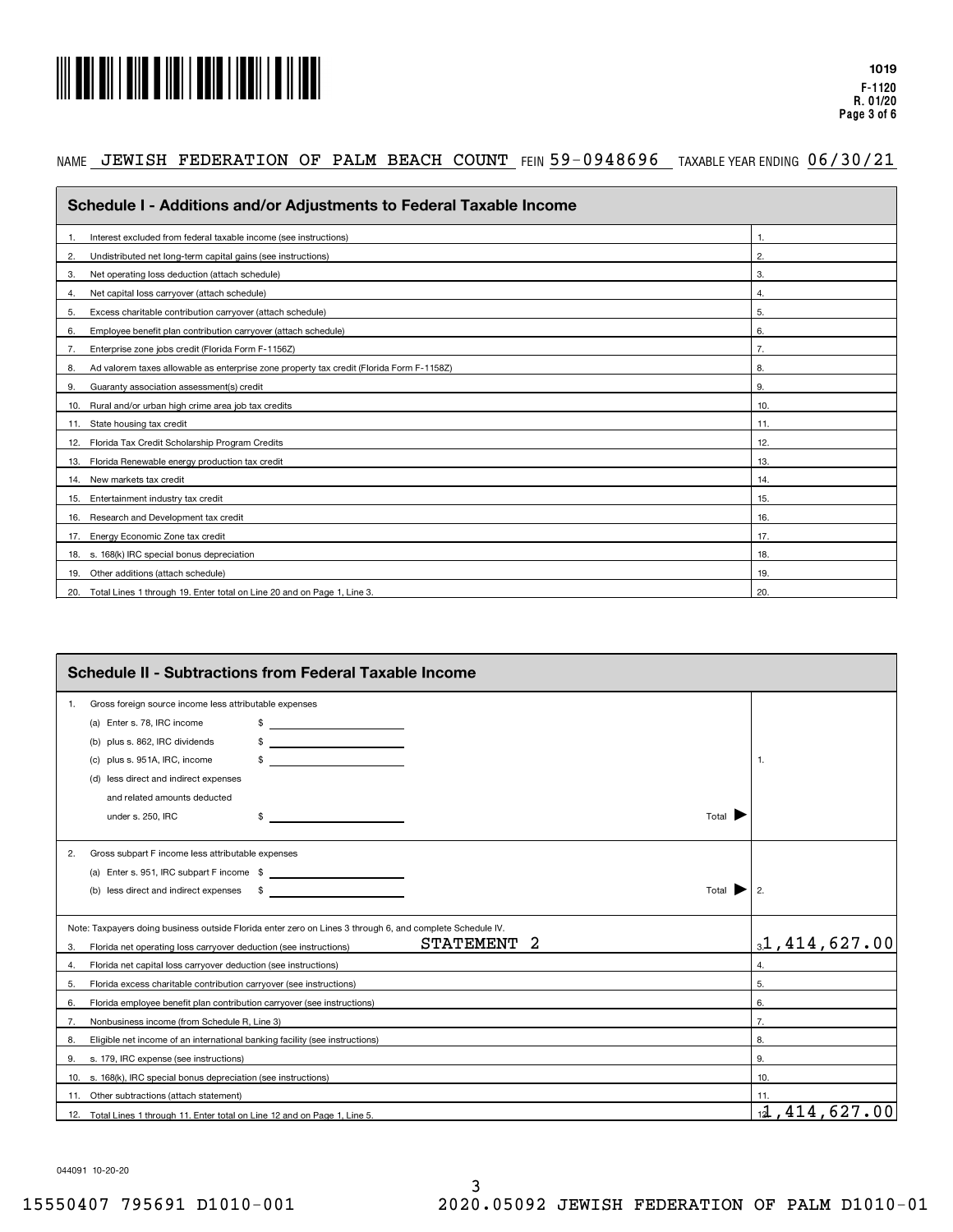## 

#### NAME JEWISH FEDERATION OF PALM BEACH COUNT FEIN 59-0948696 TAXABLEYEARENDING 06/30/21

| Schedule I - Additions and/or Adjustments to Federal Taxable Income                            |     |  |  |  |  |  |
|------------------------------------------------------------------------------------------------|-----|--|--|--|--|--|
| Interest excluded from federal taxable income (see instructions)                               | 1.  |  |  |  |  |  |
| Undistributed net long-term capital gains (see instructions)<br>2.                             | 2.  |  |  |  |  |  |
| Net operating loss deduction (attach schedule)<br>3.                                           | 3.  |  |  |  |  |  |
| Net capital loss carryover (attach schedule)<br>4.                                             | 4.  |  |  |  |  |  |
| Excess charitable contribution carryover (attach schedule)<br>5.                               | 5.  |  |  |  |  |  |
| Employee benefit plan contribution carryover (attach schedule)<br>6.                           | 6.  |  |  |  |  |  |
| Enterprise zone jobs credit (Florida Form F-1156Z)<br>7.                                       | 7.  |  |  |  |  |  |
| Ad valorem taxes allowable as enterprise zone property tax credit (Florida Form F-1158Z)<br>8. | 8.  |  |  |  |  |  |
| Guaranty association assessment(s) credit<br>9.                                                | 9.  |  |  |  |  |  |
| 10. Rural and/or urban high crime area job tax credits                                         | 10. |  |  |  |  |  |
| 11. State housing tax credit                                                                   | 11. |  |  |  |  |  |
| 12. Florida Tax Credit Scholarship Program Credits                                             | 12. |  |  |  |  |  |
| Florida Renewable energy production tax credit<br>13.                                          | 13. |  |  |  |  |  |
| 14. New markets tax credit                                                                     | 14. |  |  |  |  |  |
| 15. Entertainment industry tax credit                                                          | 15. |  |  |  |  |  |
| Research and Development tax credit<br>16.                                                     | 16. |  |  |  |  |  |
| 17. Energy Economic Zone tax credit                                                            | 17. |  |  |  |  |  |
| 18. s. 168(k) IRC special bonus depreciation                                                   | 18. |  |  |  |  |  |
| 19. Other additions (attach schedule)                                                          | 19. |  |  |  |  |  |
| 20. Total Lines 1 through 19. Enter total on Line 20 and on Page 1, Line 3.                    | 20. |  |  |  |  |  |

| <b>Schedule II - Subtractions from Federal Taxable Income</b> |                                                                                                           |                  |  |  |  |  |
|---------------------------------------------------------------|-----------------------------------------------------------------------------------------------------------|------------------|--|--|--|--|
| 1.                                                            | Gross foreign source income less attributable expenses                                                    |                  |  |  |  |  |
|                                                               | (a) Enter s. 78, IRC income<br>\$                                                                         |                  |  |  |  |  |
|                                                               | <u> 1989 - John Stein, mars and de Branden</u><br>(b) plus s. 862, IRC dividends                          |                  |  |  |  |  |
|                                                               | <u> 1989 - John Stein, Amerikaansk politiker</u><br>plus s. 951A, IRC, income<br>(c)                      | -1.              |  |  |  |  |
|                                                               | (d) less direct and indirect expenses                                                                     |                  |  |  |  |  |
|                                                               | and related amounts deducted                                                                              |                  |  |  |  |  |
|                                                               | under s. 250, IRC<br>\$<br>the company of the company of the company<br>Total I                           |                  |  |  |  |  |
| 2.                                                            | Gross subpart F income less attributable expenses                                                         |                  |  |  |  |  |
|                                                               |                                                                                                           |                  |  |  |  |  |
|                                                               | less direct and indirect expenses \$<br><u> 1989 - Andrea State Barbara, pre</u><br>Total                 | 2.               |  |  |  |  |
|                                                               | Note: Taxpayers doing business outside Florida enter zero on Lines 3 through 6, and complete Schedule IV. |                  |  |  |  |  |
| 3.                                                            | <b>STATEMENT</b><br>-2<br>Florida net operating loss carryover deduction (see instructions)               | $_31,414,627.00$ |  |  |  |  |
| 4.                                                            | Florida net capital loss carryover deduction (see instructions)                                           | 4.               |  |  |  |  |
| 5.                                                            | Florida excess charitable contribution carryover (see instructions)                                       | 5.               |  |  |  |  |
| 6.                                                            | Florida employee benefit plan contribution carryover (see instructions)                                   | 6.               |  |  |  |  |
| 7.                                                            | Nonbusiness income (from Schedule R, Line 3)                                                              | 7.               |  |  |  |  |
| 8.                                                            | Eligible net income of an international banking facility (see instructions)                               | 8.               |  |  |  |  |
| 9.                                                            | s. 179, IRC expense (see instructions)                                                                    | 9.               |  |  |  |  |
|                                                               | 10. s. 168(k), IRC special bonus depreciation (see instructions)                                          | 10.              |  |  |  |  |
|                                                               | 11. Other subtractions (attach statement)                                                                 | 11.              |  |  |  |  |
|                                                               | 12. Total Lines 1 through 11. Enter total on Line 12 and on Page 1, Line 5.                               | 11.414.627.00    |  |  |  |  |

044091 10-20-20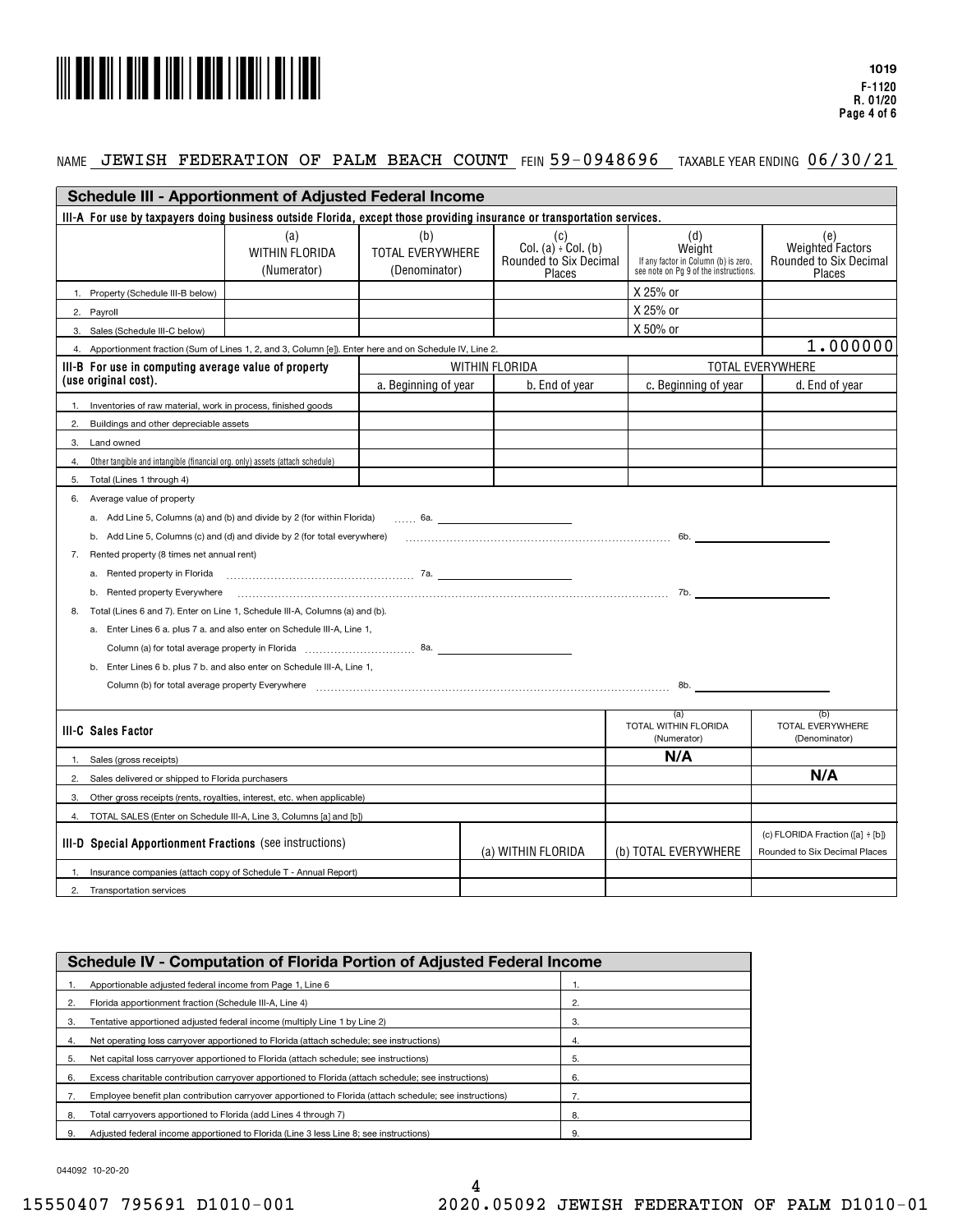

#### <code>name JEWISH FEDERATION OF PALM BEACH COUNT </code> FEIN <code>59-0948696</code>  $\,$  TAXABLE YEAR ENDING <code>06/30/21</code>

|                                                  | <b>Schedule III - Apportionment of Adjusted Federal Income</b>          |                                                                                                                                                                                                                                |                                          |                |                                                                                                      |                                                                                                                                                                                                                                |                                                                   |
|--------------------------------------------------|-------------------------------------------------------------------------|--------------------------------------------------------------------------------------------------------------------------------------------------------------------------------------------------------------------------------|------------------------------------------|----------------|------------------------------------------------------------------------------------------------------|--------------------------------------------------------------------------------------------------------------------------------------------------------------------------------------------------------------------------------|-------------------------------------------------------------------|
|                                                  |                                                                         | III-A For use by taxpayers doing business outside Florida, except those providing insurance or transportation services.                                                                                                        |                                          |                |                                                                                                      |                                                                                                                                                                                                                                |                                                                   |
|                                                  |                                                                         | (a)<br>WITHIN FLORIDA<br>(Numerator)                                                                                                                                                                                           | (b)<br>TOTAL EVERYWHERE<br>(Denominator) |                | $\begin{array}{c} (c) \\ \text{Col. (a) ÷ Col. (b)} \end{array}$<br>Rounded to Six Decimal<br>Places | (d)<br>Weight<br>If any factor in Column (b) is zero,<br>see note on Pg 9 of the instructions.                                                                                                                                 | (e)<br>Weighted Factors<br>Rounded to Six Decimal<br>Places       |
|                                                  | 1. Property (Schedule III-B below)                                      |                                                                                                                                                                                                                                |                                          |                |                                                                                                      | X 25% or                                                                                                                                                                                                                       |                                                                   |
| 2. Payroll                                       |                                                                         |                                                                                                                                                                                                                                |                                          |                |                                                                                                      | X 25% or                                                                                                                                                                                                                       |                                                                   |
| 3. Sales (Schedule III-C below)                  |                                                                         |                                                                                                                                                                                                                                |                                          |                |                                                                                                      | X 50% or                                                                                                                                                                                                                       |                                                                   |
|                                                  |                                                                         | 4. Apportionment fraction (Sum of Lines 1, 2, and 3, Column [e]). Enter here and on Schedule IV, Line 2.                                                                                                                       |                                          |                |                                                                                                      |                                                                                                                                                                                                                                | 1.000000                                                          |
|                                                  |                                                                         | III-B For use in computing average value of property                                                                                                                                                                           |                                          |                | <b>WITHIN FLORIDA</b>                                                                                |                                                                                                                                                                                                                                | <b>TOTAL EVERYWHERE</b>                                           |
| (use original cost).                             |                                                                         |                                                                                                                                                                                                                                | a. Beginning of year                     | b. End of year |                                                                                                      | c. Beginning of year                                                                                                                                                                                                           | d. End of year                                                    |
| 1                                                |                                                                         | Inventories of raw material, work in process, finished goods                                                                                                                                                                   |                                          |                |                                                                                                      |                                                                                                                                                                                                                                |                                                                   |
| 2.                                               | Buildings and other depreciable assets                                  |                                                                                                                                                                                                                                |                                          |                |                                                                                                      |                                                                                                                                                                                                                                |                                                                   |
| 3.<br>Land owned                                 |                                                                         |                                                                                                                                                                                                                                |                                          |                |                                                                                                      |                                                                                                                                                                                                                                |                                                                   |
|                                                  |                                                                         | Other tangible and intangible (financial org. only) assets (attach schedule)                                                                                                                                                   |                                          |                |                                                                                                      |                                                                                                                                                                                                                                |                                                                   |
| Total (Lines 1 through 4)<br>5.                  |                                                                         |                                                                                                                                                                                                                                |                                          |                |                                                                                                      |                                                                                                                                                                                                                                |                                                                   |
| 6. Average value of property                     |                                                                         |                                                                                                                                                                                                                                |                                          |                |                                                                                                      |                                                                                                                                                                                                                                |                                                                   |
|                                                  |                                                                         | a. Add Line 5, Columns (a) and (b) and divide by 2 (for within Florida)                                                                                                                                                        |                                          |                | 6a.                                                                                                  |                                                                                                                                                                                                                                |                                                                   |
|                                                  |                                                                         | b. Add Line 5, Columns (c) and (d) and divide by 2 (for total everywhere)                                                                                                                                                      |                                          |                |                                                                                                      | $\sim$ 6b.                                                                                                                                                                                                                     |                                                                   |
|                                                  | 7. Rented property (8 times net annual rent)                            |                                                                                                                                                                                                                                |                                          |                |                                                                                                      |                                                                                                                                                                                                                                |                                                                   |
|                                                  |                                                                         |                                                                                                                                                                                                                                |                                          |                |                                                                                                      |                                                                                                                                                                                                                                |                                                                   |
|                                                  | b. Rented property Everywhere                                           |                                                                                                                                                                                                                                |                                          |                |                                                                                                      |                                                                                                                                                                                                                                |                                                                   |
| 8.                                               |                                                                         | Total (Lines 6 and 7). Enter on Line 1, Schedule III-A, Columns (a) and (b).                                                                                                                                                   |                                          |                |                                                                                                      |                                                                                                                                                                                                                                |                                                                   |
|                                                  |                                                                         | a. Enter Lines 6 a. plus 7 a. and also enter on Schedule III-A, Line 1,                                                                                                                                                        |                                          |                |                                                                                                      |                                                                                                                                                                                                                                |                                                                   |
|                                                  |                                                                         | Column (a) for total average property in Florida (exceptional controller and the state of the state of the state of the state of the state of the state of the state of the state of the state of the state of the state of th |                                          |                |                                                                                                      |                                                                                                                                                                                                                                |                                                                   |
|                                                  |                                                                         | b. Enter Lines 6 b. plus 7 b. and also enter on Schedule III-A, Line 1,                                                                                                                                                        |                                          |                |                                                                                                      |                                                                                                                                                                                                                                |                                                                   |
|                                                  |                                                                         |                                                                                                                                                                                                                                |                                          |                |                                                                                                      | Column (b) for total average property Everywhere entity and the content of the column (b) for total average property Everywhere entity content to the content of the state of the state of the state of the state of the state |                                                                   |
|                                                  |                                                                         |                                                                                                                                                                                                                                |                                          |                |                                                                                                      |                                                                                                                                                                                                                                |                                                                   |
| III-C Sales Factor                               |                                                                         |                                                                                                                                                                                                                                |                                          |                |                                                                                                      | (a)<br>TOTAL WITHIN FLORIDA<br>(Numerator)                                                                                                                                                                                     | (b)<br>TOTAL EVERYWHERE<br>(Denominator)                          |
| 1                                                | N/A<br>Sales (gross receipts)                                           |                                                                                                                                                                                                                                |                                          |                |                                                                                                      |                                                                                                                                                                                                                                |                                                                   |
| Sales delivered or shipped to Florida purchasers |                                                                         |                                                                                                                                                                                                                                |                                          |                | N/A                                                                                                  |                                                                                                                                                                                                                                |                                                                   |
| 3.                                               | Other gross receipts (rents, royalties, interest, etc. when applicable) |                                                                                                                                                                                                                                |                                          |                |                                                                                                      |                                                                                                                                                                                                                                |                                                                   |
| 4.                                               |                                                                         | TOTAL SALES (Enter on Schedule III-A, Line 3, Columns [a] and [b])                                                                                                                                                             |                                          |                |                                                                                                      |                                                                                                                                                                                                                                |                                                                   |
|                                                  |                                                                         | III-D Special Apportionment Fractions (see instructions)                                                                                                                                                                       |                                          |                | (a) WITHIN FLORIDA                                                                                   | (b) TOTAL EVERYWHERE                                                                                                                                                                                                           | (c) FLORIDA Fraction ([a] ÷ [b])<br>Rounded to Six Decimal Places |
|                                                  |                                                                         | Insurance companies (attach copy of Schedule T - Annual Report)                                                                                                                                                                |                                          |                |                                                                                                      |                                                                                                                                                                                                                                |                                                                   |
| Transportation services<br>2.                    |                                                                         |                                                                                                                                                                                                                                |                                          |                |                                                                                                      |                                                                                                                                                                                                                                |                                                                   |

| Schedule IV - Computation of Florida Portion of Adjusted Federal Income |                                                                                                         |    |  |  |  |  |
|-------------------------------------------------------------------------|---------------------------------------------------------------------------------------------------------|----|--|--|--|--|
|                                                                         | Apportionable adjusted federal income from Page 1, Line 6                                               |    |  |  |  |  |
|                                                                         | Florida apportionment fraction (Schedule III-A, Line 4)                                                 | 2. |  |  |  |  |
| з                                                                       | Tentative apportioned adjusted federal income (multiply Line 1 by Line 2)                               | 3. |  |  |  |  |
| 4.                                                                      | Net operating loss carryover apportioned to Florida (attach schedule; see instructions)                 | 4. |  |  |  |  |
| 5.                                                                      | Net capital loss carryover apportioned to Florida (attach schedule; see instructions)                   | 5. |  |  |  |  |
| 6.                                                                      | Excess charitable contribution carryover apportioned to Florida (attach schedule; see instructions)     | 6. |  |  |  |  |
|                                                                         | Employee benefit plan contribution carryover apportioned to Florida (attach schedule; see instructions) |    |  |  |  |  |
| 8.                                                                      | Total carryovers apportioned to Florida (add Lines 4 through 7)                                         | 8. |  |  |  |  |
| 9                                                                       | Adjusted federal income apportioned to Florida (Line 3 less Line 8: see instructions)                   | 9. |  |  |  |  |
|                                                                         |                                                                                                         |    |  |  |  |  |

044092 10-20-20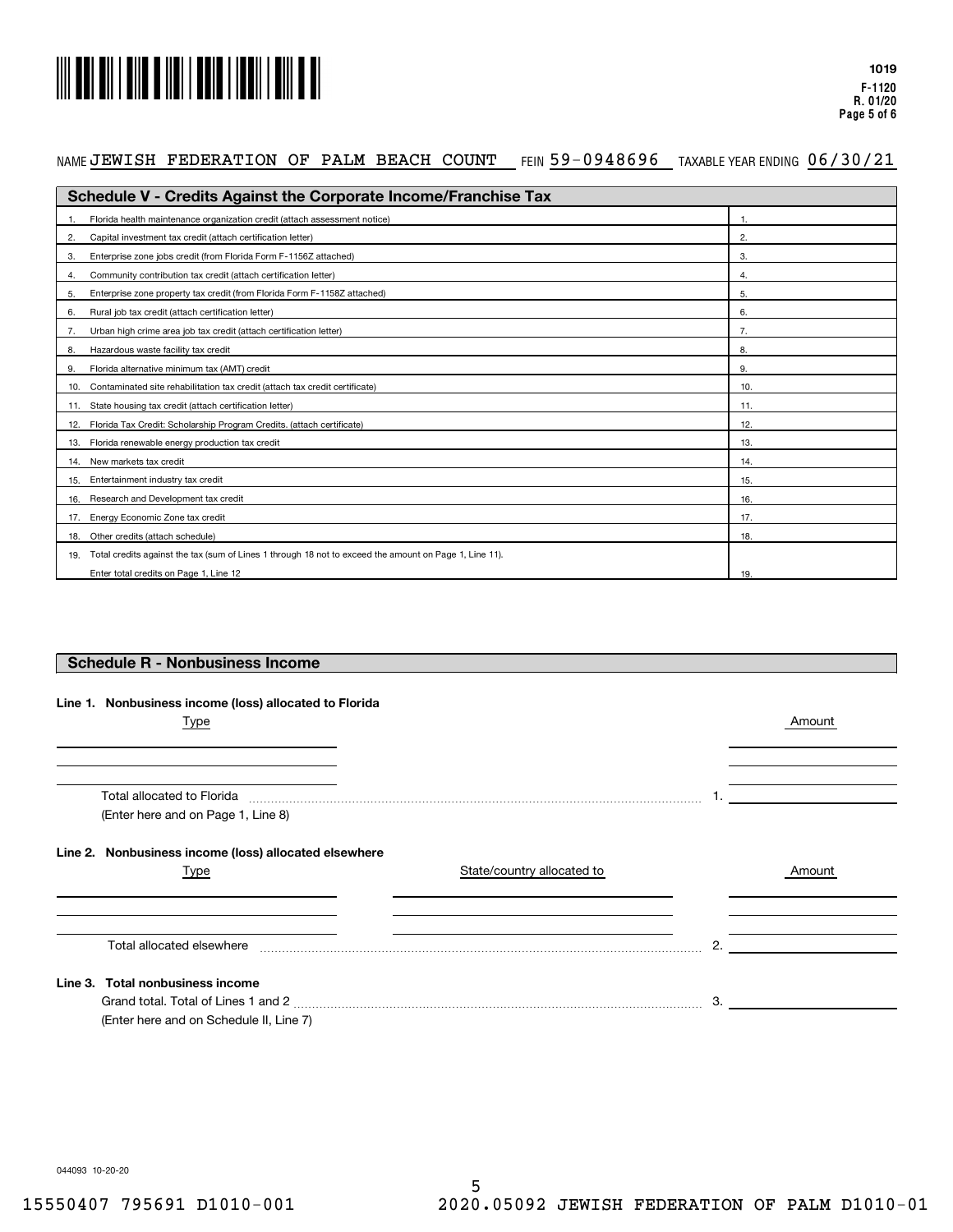# 

#### NAME JEWISH FEDERATION OF PALM BEACH COUNT FEIN 59-0948696 TAXABLEYEARENDING 06/30/21

| Schedule V - Credits Against the Corporate Income/Franchise Tax                                               |     |  |  |  |  |  |
|---------------------------------------------------------------------------------------------------------------|-----|--|--|--|--|--|
| Florida health maintenance organization credit (attach assessment notice)                                     |     |  |  |  |  |  |
| Capital investment tax credit (attach certification letter)<br>2.                                             | 2.  |  |  |  |  |  |
| Enterprise zone jobs credit (from Florida Form F-1156Z attached)<br>3.                                        | 3.  |  |  |  |  |  |
| Community contribution tax credit (attach certification letter)<br>4.                                         | 4.  |  |  |  |  |  |
| Enterprise zone property tax credit (from Florida Form F-1158Z attached)<br>5.                                | 5.  |  |  |  |  |  |
| Rural job tax credit (attach certification letter)<br>6.                                                      | 6.  |  |  |  |  |  |
| Urban high crime area job tax credit (attach certification letter)                                            | 7.  |  |  |  |  |  |
| Hazardous waste facility tax credit<br>8.                                                                     | 8.  |  |  |  |  |  |
| Florida alternative minimum tax (AMT) credit<br>9.                                                            | 9.  |  |  |  |  |  |
| Contaminated site rehabilitation tax credit (attach tax credit certificate)<br>10.                            | 10. |  |  |  |  |  |
| 11. State housing tax credit (attach certification letter)                                                    | 11. |  |  |  |  |  |
| 12. Florida Tax Credit: Scholarship Program Credits. (attach certificate)                                     | 12. |  |  |  |  |  |
| 13. Florida renewable energy production tax credit                                                            | 13. |  |  |  |  |  |
| 14. New markets tax credit                                                                                    | 14. |  |  |  |  |  |
| 15. Entertainment industry tax credit                                                                         | 15. |  |  |  |  |  |
| 16. Research and Development tax credit                                                                       | 16. |  |  |  |  |  |
| Energy Economic Zone tax credit<br>17.                                                                        | 17. |  |  |  |  |  |
| 18. Other credits (attach schedule)                                                                           | 18. |  |  |  |  |  |
| Total credits against the tax (sum of Lines 1 through 18 not to exceed the amount on Page 1, Line 11).<br>19. |     |  |  |  |  |  |
| Enter total credits on Page 1, Line 12                                                                        | 19. |  |  |  |  |  |

#### **Schedule R - Nonbusiness Income**

|  |  |  | Line 1. Nonbusiness income (loss) allocated to Florida |
|--|--|--|--------------------------------------------------------|
|--|--|--|--------------------------------------------------------|

| l ype                                                                                                                                                                                                                         |                            |              |        |
|-------------------------------------------------------------------------------------------------------------------------------------------------------------------------------------------------------------------------------|----------------------------|--------------|--------|
|                                                                                                                                                                                                                               |                            |              |        |
| Total allocated to Florida [11] manufactured and all of the state of the state of the state of the state of the state of the state of the state of the state of the state of the state of the state of the state of the state |                            |              |        |
| (Enter here and on Page 1, Line 8)                                                                                                                                                                                            |                            |              |        |
| Line 2. Nonbusiness income (loss) allocated elsewhere                                                                                                                                                                         |                            |              |        |
| Type                                                                                                                                                                                                                          | State/country allocated to |              | Amount |
|                                                                                                                                                                                                                               |                            |              |        |
| Total allocated elsewhere                                                                                                                                                                                                     |                            | $\mathbf{2}$ |        |
| Line 3. Total nonbusiness income                                                                                                                                                                                              |                            |              |        |
|                                                                                                                                                                                                                               |                            |              |        |
| (Enter here and on Schedule II, Line 7)                                                                                                                                                                                       |                            |              |        |

044093 10-20-20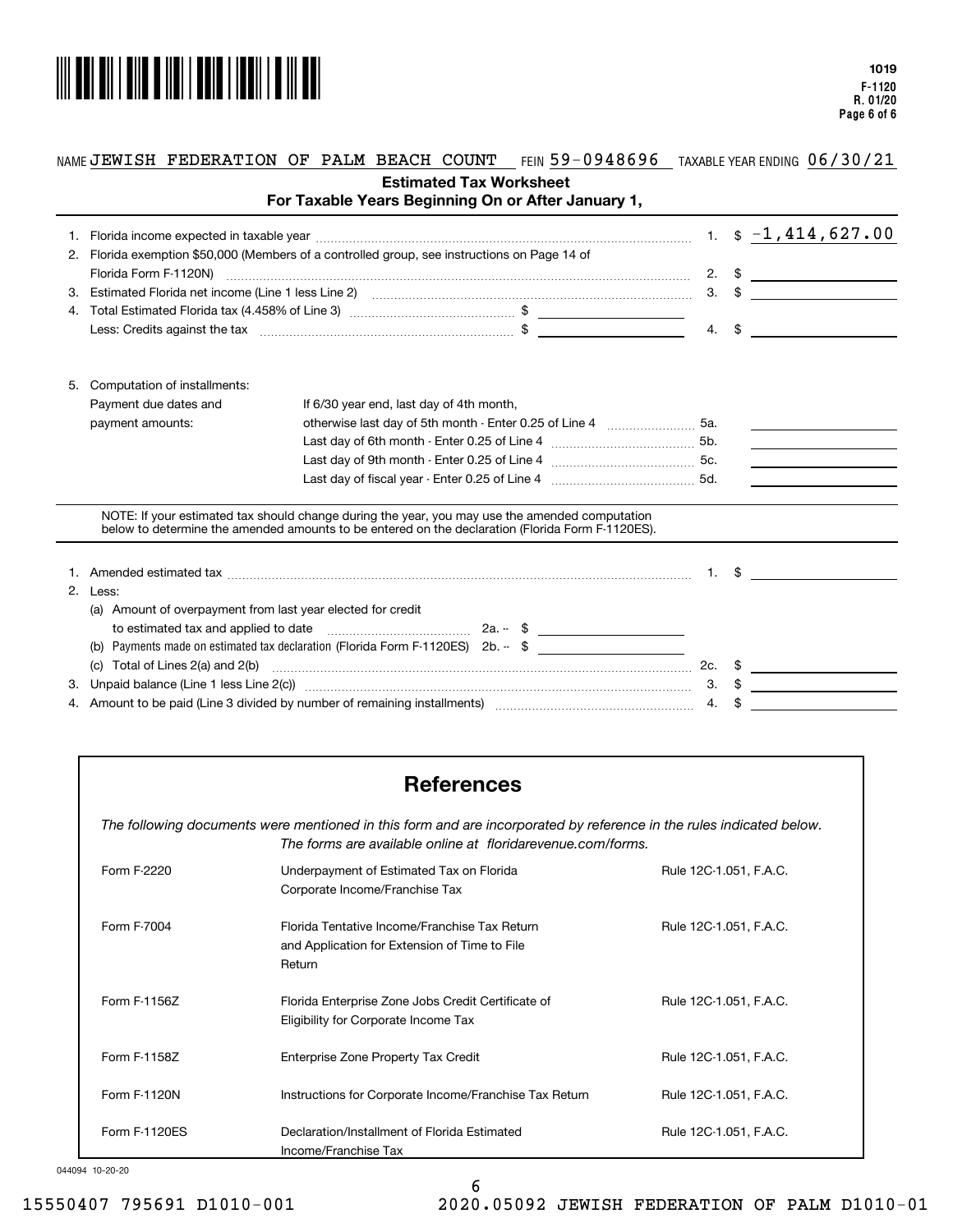

#### NAMEJEWISH FEDERATION OF PALM BEACH COUNT FEIN 59-0948696 TAXABLEYEARENDING 06/30/21

| <b>Estimated Tax Worksheet</b> |  |
|--------------------------------|--|
|--------------------------------|--|

|  |  |  |  |  | For Taxable Years Beginning On or After January 1, |  |
|--|--|--|--|--|----------------------------------------------------|--|
|--|--|--|--|--|----------------------------------------------------|--|

|    |                                                                                           |                                          |                                                                                                                                                                                                    |    |               | $1. \quad $-1,414,627.00$                               |
|----|-------------------------------------------------------------------------------------------|------------------------------------------|----------------------------------------------------------------------------------------------------------------------------------------------------------------------------------------------------|----|---------------|---------------------------------------------------------|
| 2. | Florida exemption \$50,000 (Members of a controlled group, see instructions on Page 14 of |                                          |                                                                                                                                                                                                    |    |               |                                                         |
|    |                                                                                           |                                          |                                                                                                                                                                                                    |    |               | 2. $\sqrt[6]{}$                                         |
| 3. |                                                                                           |                                          | Estimated Florida net income (Line 1 less Line 2) [11] [20] [11] [20] [20] [20] [20] [30] [30] [30] [30] [30] [                                                                                    |    | $3. \quad$ \$ |                                                         |
| 4. |                                                                                           |                                          |                                                                                                                                                                                                    |    |               |                                                         |
|    |                                                                                           |                                          |                                                                                                                                                                                                    |    |               | 4. $\frac{1}{2}$                                        |
|    |                                                                                           |                                          |                                                                                                                                                                                                    |    |               |                                                         |
| 5. | Computation of installments:                                                              |                                          |                                                                                                                                                                                                    |    |               |                                                         |
|    | Payment due dates and                                                                     | If 6/30 year end, last day of 4th month, |                                                                                                                                                                                                    |    |               |                                                         |
|    | payment amounts:                                                                          |                                          | otherwise last day of 5th month - Enter 0.25 of Line 4 5a.                                                                                                                                         |    |               |                                                         |
|    |                                                                                           |                                          |                                                                                                                                                                                                    |    |               | <u> 1989 - Johann Barn, fransk politik fotograf (</u>   |
|    |                                                                                           |                                          |                                                                                                                                                                                                    |    |               | <u> 1989 - Andrea State Barbara, política establece</u> |
|    |                                                                                           |                                          |                                                                                                                                                                                                    |    |               |                                                         |
|    |                                                                                           |                                          | NOTE: If your estimated tax should change during the year, you may use the amended computation<br>below to determine the amended amounts to be entered on the declaration (Florida Form F-1120ES). |    |               |                                                         |
|    |                                                                                           |                                          |                                                                                                                                                                                                    |    |               |                                                         |
| 2. | Less:                                                                                     |                                          |                                                                                                                                                                                                    |    |               |                                                         |
|    | (a) Amount of overpayment from last year elected for credit                               |                                          |                                                                                                                                                                                                    |    |               |                                                         |
|    |                                                                                           |                                          |                                                                                                                                                                                                    |    |               |                                                         |
|    | (b)                                                                                       |                                          | Payments made on estimated tax declaration (Florida Form F-1120ES) 2b. - \$                                                                                                                        |    |               |                                                         |
|    | Total of Lines 2(a) and 2(b)<br>(c)                                                       |                                          | <u>20.</u> 20.                                                                                                                                                                                     |    |               |                                                         |
| 3. |                                                                                           |                                          |                                                                                                                                                                                                    | 3. |               |                                                         |
|    |                                                                                           |                                          | 4. Amount to be paid (Line 3 divided by number of remaining installments) [110] [11] Amount to be paid (Line 3 divided by number of remaining installments) [11] [12] Amount to be paid            | 4. |               |                                                         |

### **References**

*The following documents were mentioned in this form and are incorporated by reference in the rules indicated below. The forms are available online at floridarevenue.com/forms.*

| Form F-2220   | Underpayment of Estimated Tax on Florida<br>Corporate Income/Franchise Tax                               | Rule 12C-1.051, F.A.C. |
|---------------|----------------------------------------------------------------------------------------------------------|------------------------|
| Form F-7004   | Florida Tentative Income/Franchise Tax Return<br>and Application for Extension of Time to File<br>Return | Rule 12C-1.051, F.A.C. |
| Form F-1156Z  | Florida Enterprise Zone Jobs Credit Certificate of<br>Eligibility for Corporate Income Tax               | Rule 12C-1.051, F.A.C. |
| Form F-1158Z  | Enterprise Zone Property Tax Credit                                                                      | Rule 12C-1.051, F.A.C. |
| Form F-1120N  | Instructions for Corporate Income/Franchise Tax Return                                                   | Rule 12C-1.051, F.A.C. |
| Form F-1120ES | Declaration/Installment of Florida Estimated<br>Income/Franchise Tax                                     | Rule 12C-1.051, F.A.C. |

<sup>044094 10-20-20</sup>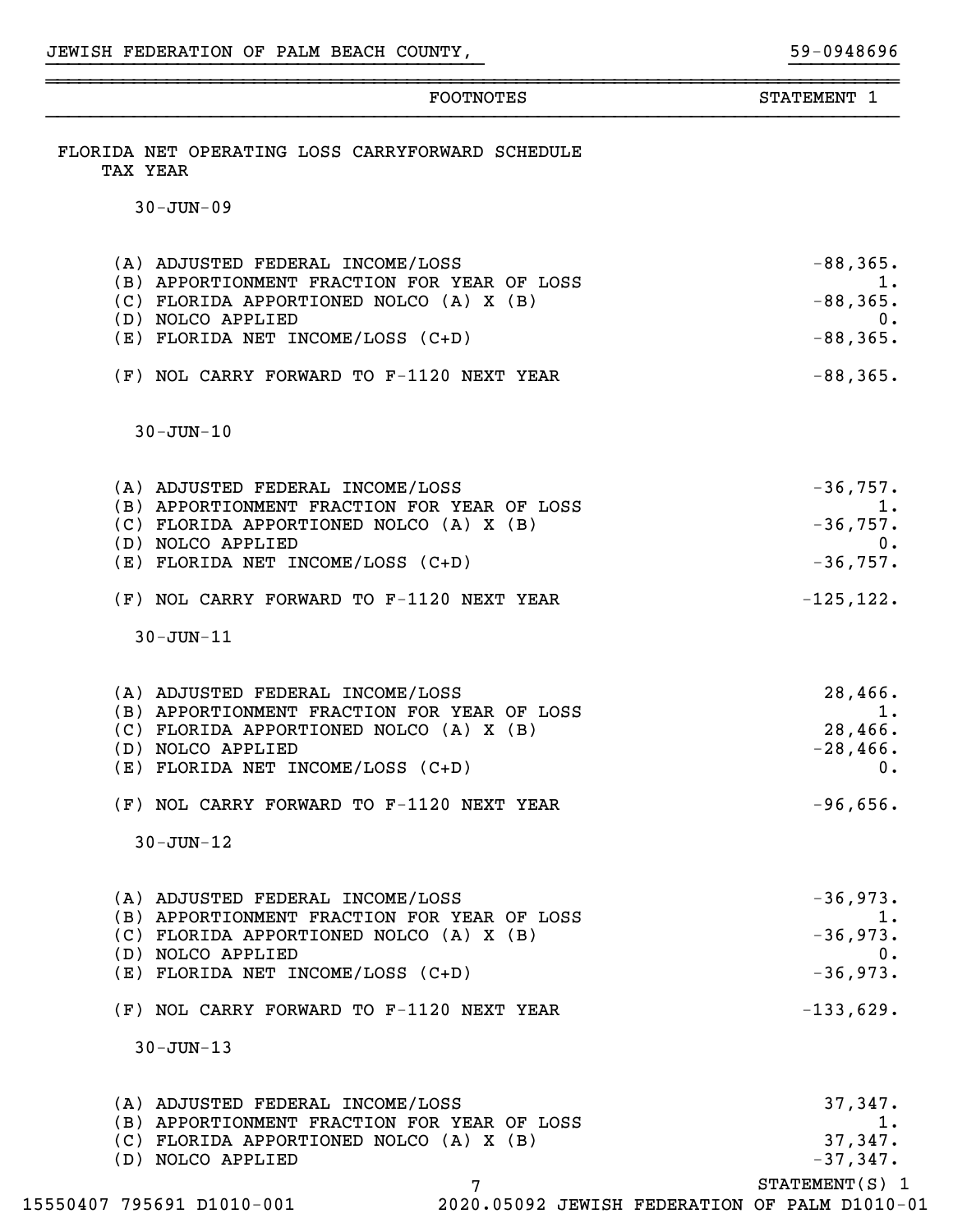| FLORIDA NET OPERATING LOSS CARRYFORWARD SCHEDULE<br>TAX YEAR                                                                                                                                                                      |                                                                                 |
|-----------------------------------------------------------------------------------------------------------------------------------------------------------------------------------------------------------------------------------|---------------------------------------------------------------------------------|
| $30 - JUN - 09$                                                                                                                                                                                                                   |                                                                                 |
| (A) ADJUSTED FEDERAL INCOME/LOSS<br>(B) APPORTIONMENT FRACTION FOR YEAR OF LOSS<br>(C) FLORIDA APPORTIONED NOLCO (A) X (B)<br>(D) NOLCO APPLIED<br>(E) FLORIDA NET INCOME/LOSS (C+D)<br>(F) NOL CARRY FORWARD TO F-1120 NEXT YEAR | $-88, 365.$<br>1.<br>$-88, 365.$<br>$\mathbf 0$ .<br>$-88, 365.$<br>$-88, 365.$ |
| $30 - JUN - 10$                                                                                                                                                                                                                   |                                                                                 |
| (A) ADJUSTED FEDERAL INCOME/LOSS<br>(B) APPORTIONMENT FRACTION FOR YEAR OF LOSS<br>(C) FLORIDA APPORTIONED NOLCO (A) X (B)<br>(D) NOLCO APPLIED<br>(E) FLORIDA NET INCOME/LOSS (C+D)                                              | $-36,757.$<br>1.<br>$-36,757.$<br>$\mathbf 0$ .<br>$-36,757.$                   |
| (F) NOL CARRY FORWARD TO F-1120 NEXT YEAR<br>$30 - JUN - 11$                                                                                                                                                                      | $-125, 122.$                                                                    |
| (A) ADJUSTED FEDERAL INCOME/LOSS<br>(B) APPORTIONMENT FRACTION FOR YEAR OF LOSS<br>(C) FLORIDA APPORTIONED NOLCO (A) X (B)<br>(D) NOLCO APPLIED<br>(E) FLORIDA NET INCOME/LOSS (C+D)                                              | 28,466.<br>1.<br>28,466.<br>$-28,466.$<br>$\mathbf 0$ .                         |
| (F) NOL CARRY FORWARD TO F-1120 NEXT YEAR                                                                                                                                                                                         | $-96,656.$                                                                      |

}}}}}}}}}}}}}}}}}}}}}}}}}}}}}}}}}}}}}}}} }}}}}}}}}}

~~~~~~~~~~~~~~~~~~~~~~~~~~~~~~~~~~~~~~~~~~~~~~~~~~~~~~~~~~~~~~~~~~~~~~~~~~~~~~

30-JUN-12

| (A) ADJUSTED FEDERAL INCOME/LOSS            | $-36,973.$  |
|---------------------------------------------|-------------|
| (B) APPORTIONMENT FRACTION FOR YEAR OF LOSS |             |
| (C) FLORIDA APPORTIONED NOLCO (A) X (B)     | $-36,973.$  |
| (D) NOLCO APPLIED                           |             |
| (E) FLORIDA NET INCOME/LOSS (C+D)           | $-36,973.$  |
| (F) NOL CARRY FORWARD TO F-1120 NEXT YEAR   | $-133,629.$ |

30-JUN-13

(A) ADJUSTED FEDERAL INCOME/LOSS 37,347. (B) APPORTIONMENT FRACTION FOR YEAR OF LOSS 1.<br>(C) FLORIDA APPORTIONED NOLCO (A) X (B) 37,347. (C) FLORIDA APPORTIONED NOLCO  $(A)$  X  $(B)$ (D) NOLCO APPLIED  $-37,347$ . 7 STATEMENT(S) 1

```
 15550407 795691 D1010-001 2020.05092 JEWISH FEDERATION OF PALM D1010-01
```
FOOTNOTES STATEMENT 1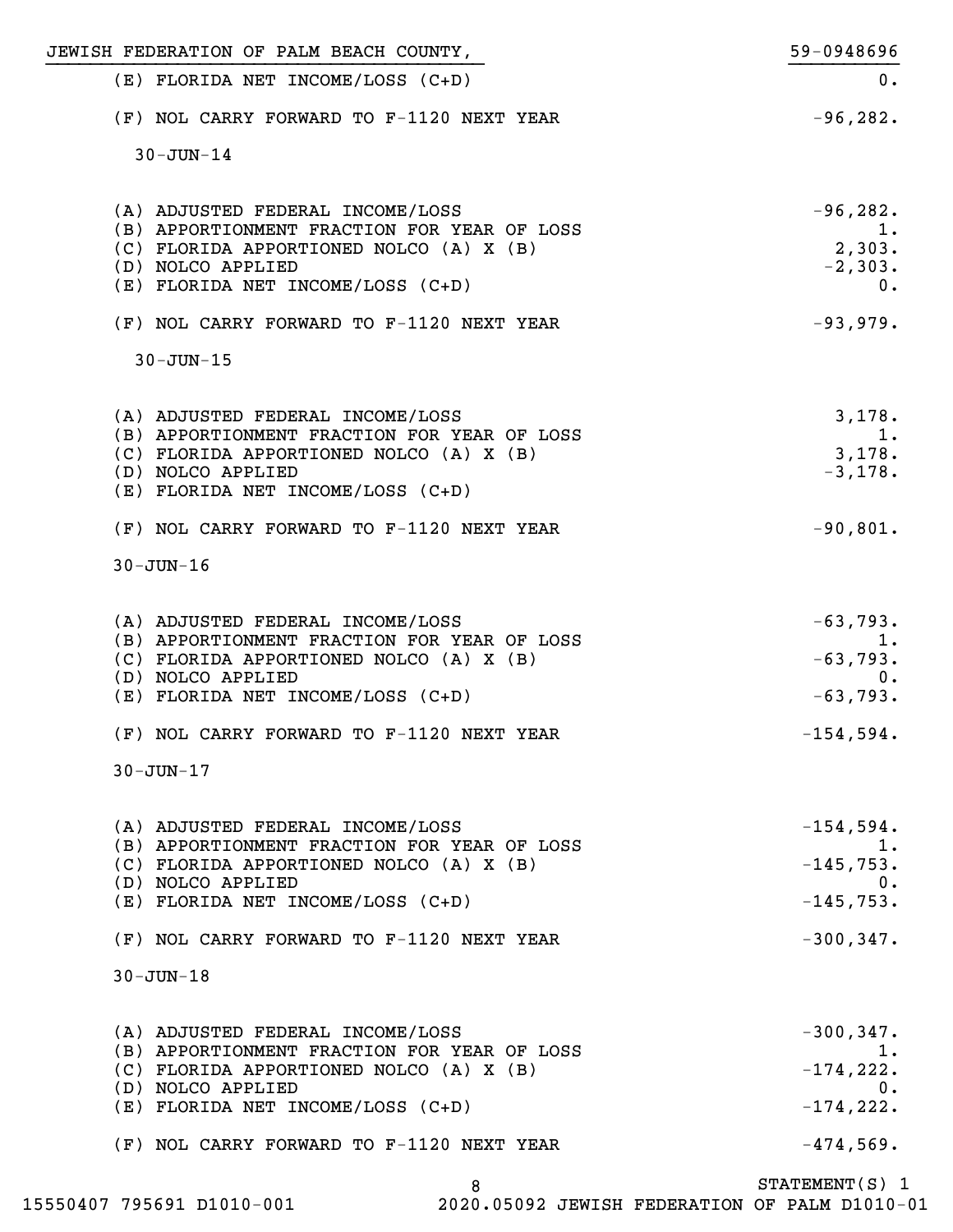| JEWISH FEDERATION OF PALM BEACH COUNTY,                                                | 59-0948696          |
|----------------------------------------------------------------------------------------|---------------------|
| (E) FLORIDA NET INCOME/LOSS (C+D)                                                      | $0 \cdot$           |
| (F) NOL CARRY FORWARD TO F-1120 NEXT YEAR                                              | $-96, 282.$         |
| $30 - JUN - 14$                                                                        |                     |
| (A) ADJUSTED FEDERAL INCOME/LOSS<br>(B) APPORTIONMENT FRACTION FOR YEAR OF LOSS        | $-96, 282.$<br>1.   |
| (C) FLORIDA APPORTIONED NOLCO (A) X (B)<br>(D) NOLCO APPLIED                           | 2,303.<br>$-2,303.$ |
| (E) FLORIDA NET INCOME/LOSS (C+D)                                                      | 0.                  |
| (F) NOL CARRY FORWARD TO F-1120 NEXT YEAR                                              | $-93,979.$          |
| $30 - JUN - 15$                                                                        |                     |
| (A) ADJUSTED FEDERAL INCOME/LOSS                                                       | 3,178.              |
| (B) APPORTIONMENT FRACTION FOR YEAR OF LOSS<br>(C) FLORIDA APPORTIONED NOLCO (A) X (B) | 1.<br>3,178.        |
| (D) NOLCO APPLIED                                                                      | $-3,178.$           |
| (E) FLORIDA NET INCOME/LOSS (C+D)                                                      |                     |
| (F) NOL CARRY FORWARD TO F-1120 NEXT YEAR                                              | $-90,801.$          |
| $30 - JUN - 16$                                                                        |                     |
| (A) ADJUSTED FEDERAL INCOME/LOSS                                                       | $-63,793.$          |
| (B) APPORTIONMENT FRACTION FOR YEAR OF LOSS<br>(C) FLORIDA APPORTIONED NOLCO (A) X (B) | 1.<br>$-63,793.$    |
| (D) NOLCO APPLIED                                                                      | 0.                  |
| (E) FLORIDA NET INCOME/LOSS (C+D)                                                      | $-63,793.$          |
| (F) NOL CARRY FORWARD TO F-1120 NEXT YEAR                                              | $-154,594.$         |
| $30 - JUN - 17$                                                                        |                     |
| (A) ADJUSTED FEDERAL INCOME/LOSS                                                       | $-154,594.$         |
| (B) APPORTIONMENT FRACTION FOR YEAR OF LOSS<br>(C) FLORIDA APPORTIONED NOLCO (A) X (B) | 1.<br>$-145,753.$   |
| (D) NOLCO APPLIED                                                                      | $0$ .               |
| (E) FLORIDA NET INCOME/LOSS (C+D)                                                      | $-145,753.$         |
| (F) NOL CARRY FORWARD TO F-1120 NEXT YEAR                                              | $-300, 347.$        |
| $30 - JUN - 18$                                                                        |                     |
| (A) ADJUSTED FEDERAL INCOME/LOSS                                                       | $-300, 347.$        |
| (B) APPORTIONMENT FRACTION FOR YEAR OF LOSS<br>(C) FLORIDA APPORTIONED NOLCO (A) X (B) | 1.<br>$-174, 222.$  |
| (D) NOLCO APPLIED                                                                      | $0$ .               |
| (E) FLORIDA NET INCOME/LOSS (C+D)                                                      | $-174, 222.$        |
| (F) NOL CARRY FORWARD TO F-1120 NEXT YEAR                                              | $-474,569.$         |
|                                                                                        |                     |

STATEMENT(S) 1

8

15550407 795691 D1010-001 2020.05092 JEWISH FEDERATION OF PALM D1010-01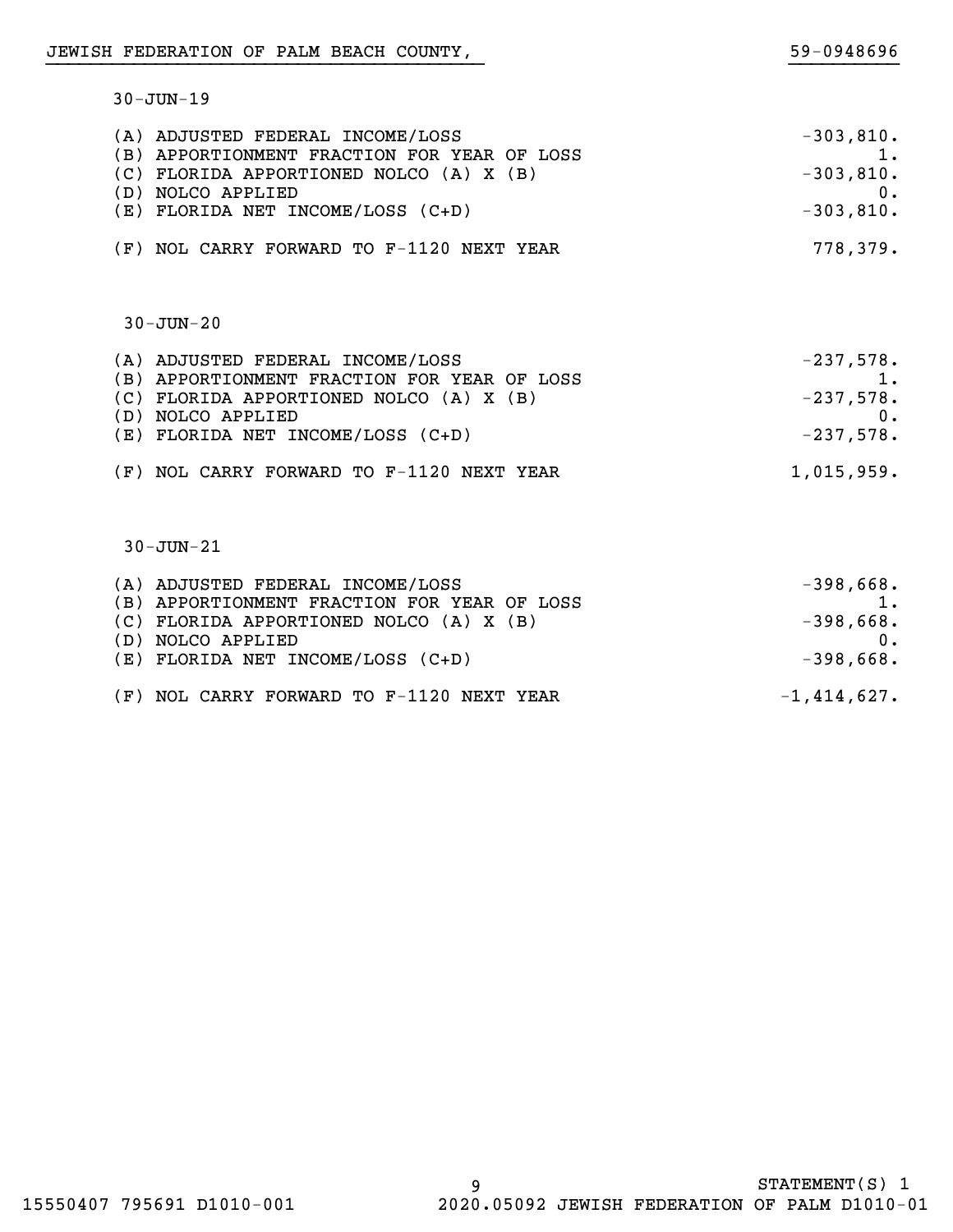30-JUN-19

| (A) ADJUSTED FEDERAL INCOME/LOSS            | $-303,810.$ |
|---------------------------------------------|-------------|
| (B) APPORTIONMENT FRACTION FOR YEAR OF LOSS |             |
| (C) FLORIDA APPORTIONED NOLCO (A) X (B)     | $-303,810.$ |
| (D) NOLCO APPLIED                           |             |
| (E) FLORIDA NET INCOME/LOSS (C+D)           | $-303,810.$ |
| (F) NOL CARRY FORWARD TO F-1120 NEXT YEAR   | 778,379.    |

}}}}}}}}}}}}}}}}}}}}}}}}}}}}}}}}}}}}}}}} }}}}}}}}}}

30-JUN-20

| (A) ADJUSTED FEDERAL INCOME/LOSS            | $-237,578.$ |
|---------------------------------------------|-------------|
| (B) APPORTIONMENT FRACTION FOR YEAR OF LOSS |             |
| (C) FLORIDA APPORTIONED NOLCO (A) X (B)     | $-237,578.$ |
| (D) NOLCO APPLIED                           |             |
| (E) FLORIDA NET INCOME/LOSS (C+D)           | $-237,578.$ |
| (F) NOL CARRY FORWARD TO F-1120 NEXT YEAR   | 1,015,959.  |

30-JUN-21

| (A) ADJUSTED FEDERAL INCOME/LOSS            | $-398,668$ .   |
|---------------------------------------------|----------------|
| (B) APPORTIONMENT FRACTION FOR YEAR OF LOSS |                |
| (C) FLORIDA APPORTIONED NOLCO (A) X (B)     | $-398,668$ .   |
| (D) NOLCO APPLIED                           | 0 <sub>1</sub> |
| (E) FLORIDA NET INCOME/LOSS (C+D)           | $-398,668.$    |
| (F) NOL CARRY FORWARD TO F-1120 NEXT YEAR   | $-1,414,627$ . |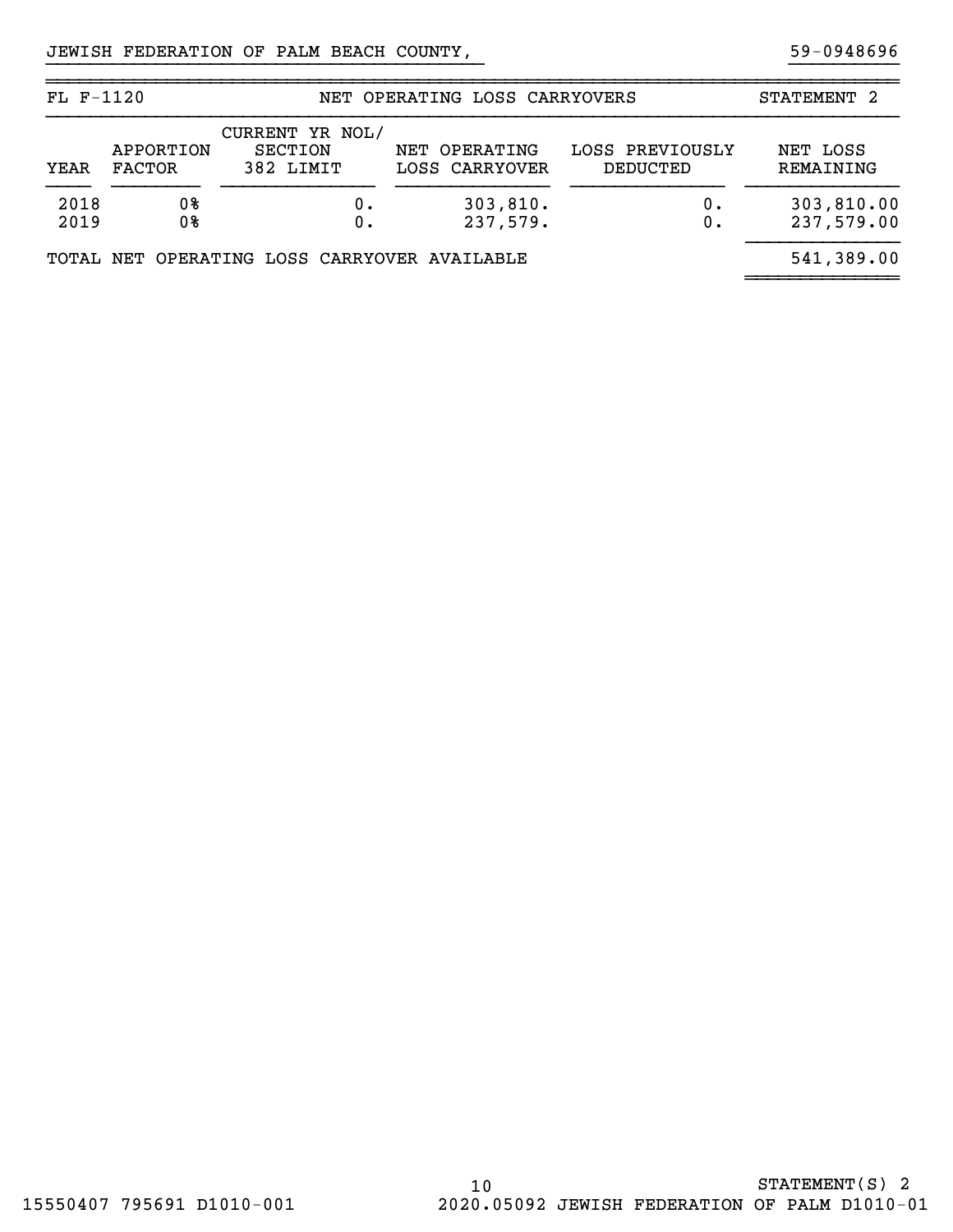| $FL F-1120$  |                            | NET OPERATING LOSS CARRYOVERS                | STATEMENT <sub>2</sub>          |                             |                          |
|--------------|----------------------------|----------------------------------------------|---------------------------------|-----------------------------|--------------------------|
| YEAR         | APPORTION<br><b>FACTOR</b> | CURRENT YR NOL/<br>SECTION<br>382 LIMIT      | NET OPERATING<br>LOSS CARRYOVER | LOSS PREVIOUSLY<br>DEDUCTED | NET LOSS<br>REMAINING    |
| 2018<br>2019 | 0%<br>0%                   | О.                                           | 303,810.<br>237,579.            | 0.<br>0.                    | 303,810.00<br>237,579.00 |
|              |                            | TOTAL NET OPERATING LOSS CARRYOVER AVAILABLE |                                 |                             | 541,389.00               |

}}}}}}}}}}}}}}}}}}}}}}}}}}}}}}}}}}}}}}}} }}}}}}}}}}

~~~~~~~~~~~~~~~~~~~~~~~~~~~~~~~~~~~~~~~~~~~~~~~~~~~~~~~~~~~~~~~~~~~~~~~~~~~~~~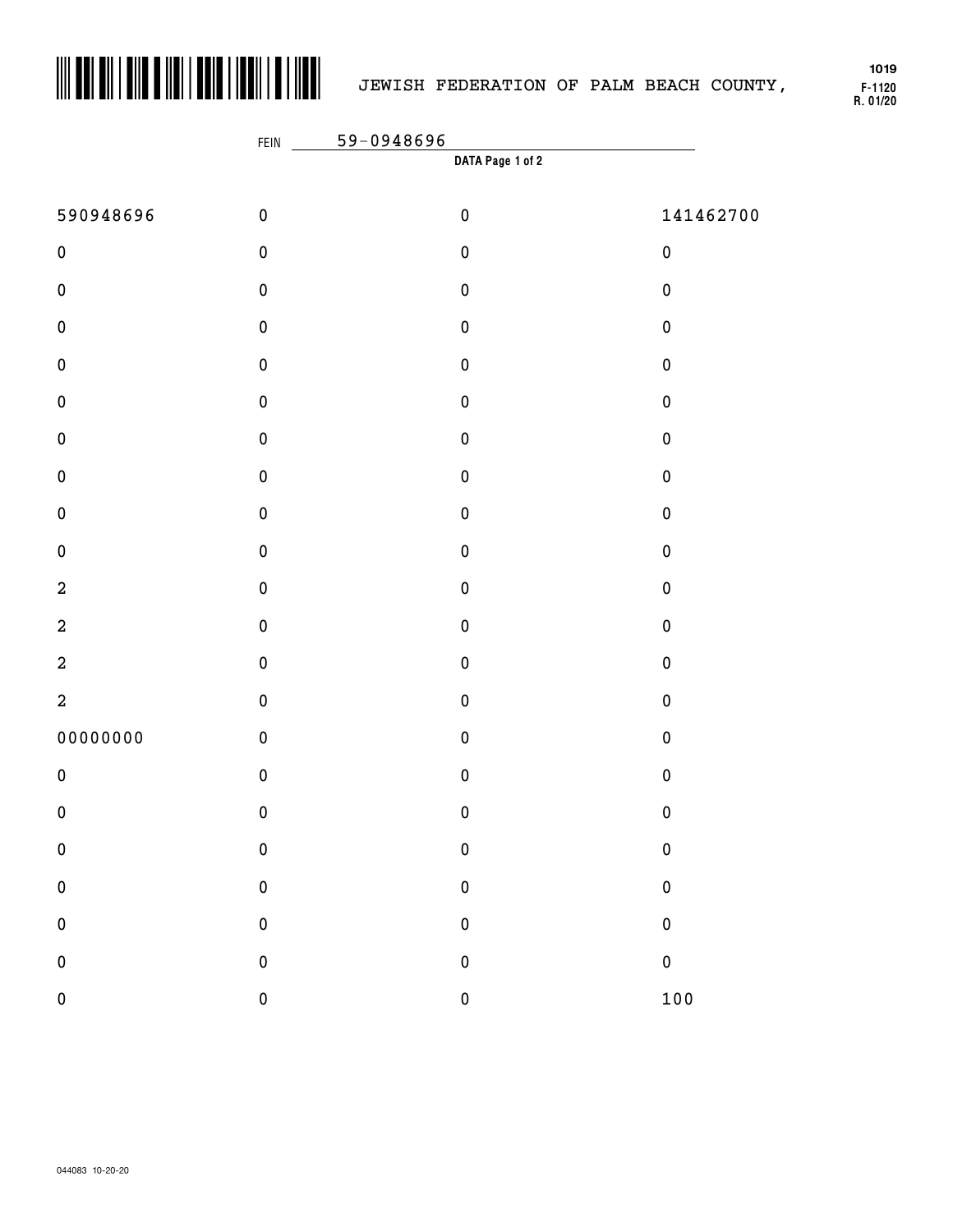

**F-1120 R. 01/20 1019**

|                  | FEIN      | 59-0948696       |           |
|------------------|-----------|------------------|-----------|
|                  |           | DATA Page 1 of 2 |           |
| 590948696        | $\pmb{0}$ | $\pmb{0}$        | 141462700 |
| $\pmb{0}$        | $\pmb{0}$ | $\pmb{0}$        | $\pmb{0}$ |
| $\pmb{0}$        | $\pmb{0}$ | $\pmb{0}$        | $\pmb{0}$ |
| $\pmb{0}$        | $\pmb{0}$ | $\pmb{0}$        | $\pmb{0}$ |
| $\pmb{0}$        | $\pmb{0}$ | $\pmb{0}$        | $\pmb{0}$ |
| $\pmb{0}$        | $\pmb{0}$ | $\pmb{0}$        | $\pmb{0}$ |
| $\pmb{0}$        | $\pmb{0}$ | $\pmb{0}$        | $\pmb{0}$ |
| $\pmb{0}$        | $\pmb{0}$ | $\pmb{0}$        | $\pmb{0}$ |
| $\pmb{0}$        | $\pmb{0}$ | $\pmb{0}$        | $\pmb{0}$ |
| $\pmb{0}$        | $\pmb{0}$ | $\pmb{0}$        | $\pmb{0}$ |
| $\boldsymbol{2}$ | $\pmb{0}$ | $\pmb{0}$        | $\pmb{0}$ |
| $\boldsymbol{2}$ | $\pmb{0}$ | $\pmb{0}$        | $\pmb{0}$ |
| $\overline{a}$   | $\pmb{0}$ | $\pmb{0}$        | $\pmb{0}$ |
| $\mathbf 2$      | $\pmb{0}$ | $\pmb{0}$        | $\pmb{0}$ |
| 00000000         | $\pmb{0}$ | $\pmb{0}$        | $\pmb{0}$ |
| $\pmb{0}$        | $\pmb{0}$ | $\pmb{0}$        | $\pmb{0}$ |
| $\pmb{0}$        | $\pmb{0}$ | $\pmb{0}$        | $\pmb{0}$ |
| $\pmb{0}$        | $\pmb{0}$ | $\pmb{0}$        | $\pmb{0}$ |
| $\pmb{0}$        | $\pmb{0}$ | $\pmb{0}$        | $\pmb{0}$ |
| $\pmb{0}$        | $\pmb{0}$ | $\pmb{0}$        | $\pmb{0}$ |
| $\pmb{0}$        | $\pmb{0}$ | $\pmb{0}$        | $\pmb{0}$ |
| $\pmb{0}$        | $\pmb{0}$ | $\pmb{0}$        | 100       |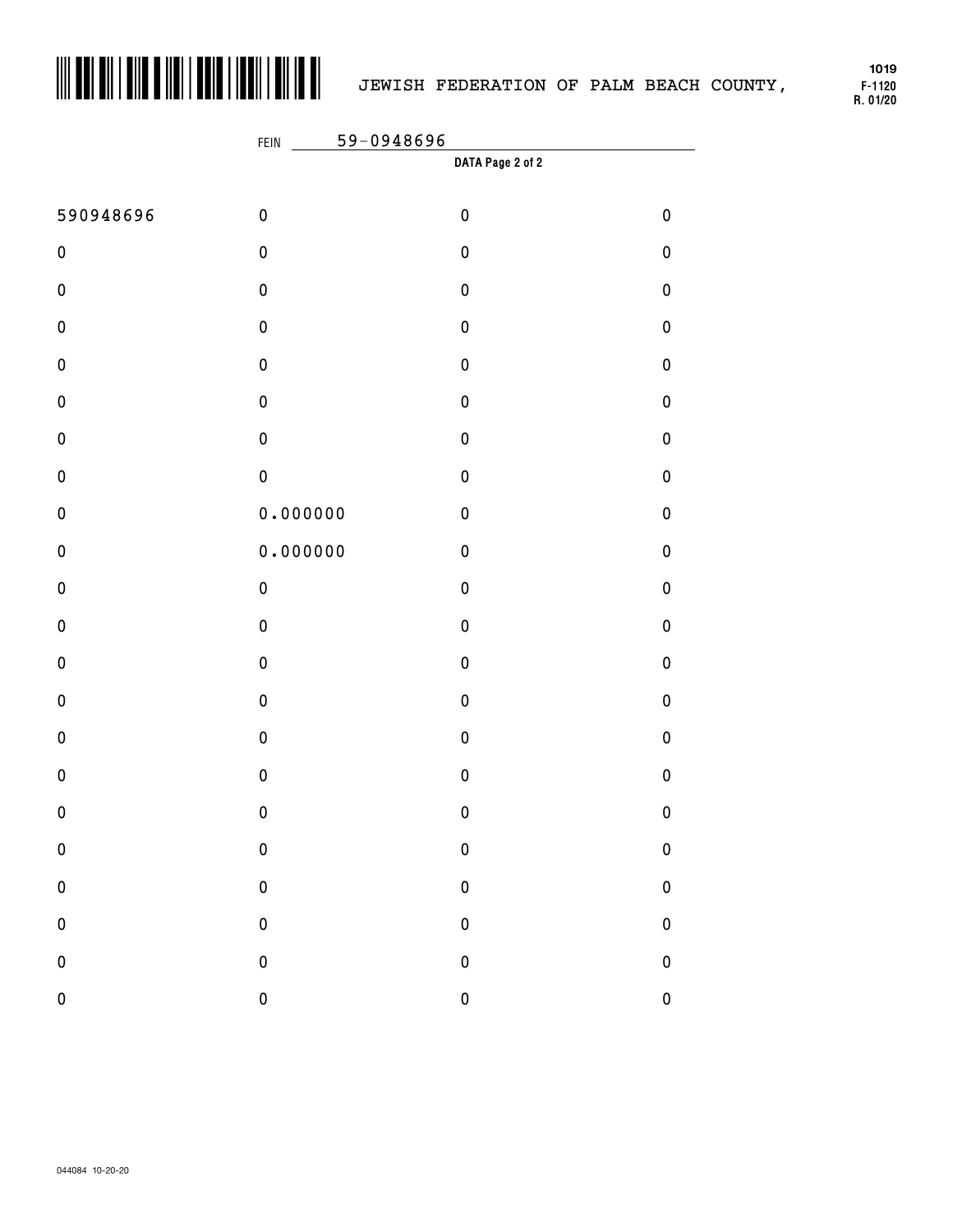

**F-1120 R. 01/20 1019**

|           | 59-0948696<br>FEIN |                  |           |
|-----------|--------------------|------------------|-----------|
|           |                    | DATA Page 2 of 2 |           |
| 590948696 | $\pmb{0}$          | $\pmb{0}$        | $\pmb{0}$ |
| $\pmb{0}$ | $\pmb{0}$          | $\pmb{0}$        | $\pmb{0}$ |
| $\pmb{0}$ | $\pmb{0}$          | $\pmb{0}$        | $\pmb{0}$ |
| $\pmb{0}$ | $\pmb{0}$          | $\pmb{0}$        | $\pmb{0}$ |
| $\pmb{0}$ | $\pmb{0}$          | $\pmb{0}$        | $\pmb{0}$ |
| $\pmb{0}$ | $\pmb{0}$          | $\pmb{0}$        | $\pmb{0}$ |
| $\pmb{0}$ | $\pmb{0}$          | $\pmb{0}$        | $\pmb{0}$ |
| $\pmb{0}$ | $\pmb{0}$          | $\pmb{0}$        | $\pmb{0}$ |
| $\pmb{0}$ | 0.000000           | $\pmb{0}$        | $\pmb{0}$ |
| $\pmb{0}$ | 0.000000           | $\pmb{0}$        | $\pmb{0}$ |
| $\pmb{0}$ | $\pmb{0}$          | $\pmb{0}$        | $\pmb{0}$ |
| $\pmb{0}$ | $\pmb{0}$          | $\pmb{0}$        | $\pmb{0}$ |
| $\pmb{0}$ | $\pmb{0}$          | $\pmb{0}$        | $\pmb{0}$ |
| $\pmb{0}$ | $\pmb{0}$          | $\pmb{0}$        | $\pmb{0}$ |
| $\pmb{0}$ | $\pmb{0}$          | $\pmb{0}$        | $\pmb{0}$ |
| $\pmb{0}$ | $\pmb{0}$          | $\pmb{0}$        | $\pmb{0}$ |
| $\pmb{0}$ | $\pmb{0}$          | $\pmb{0}$        | $\pmb{0}$ |
| $\pmb{0}$ | $\pmb{0}$          | $\pmb{0}$        | ${\bf 0}$ |
| $\pmb{0}$ | $\pmb{0}$          | $\mathbf 0$      | $\pmb{0}$ |
| $\pmb{0}$ | $\pmb{0}$          | $\mathbf 0$      | $\pmb{0}$ |
| ${\bf 0}$ | $\pmb{0}$          | $\mathbf 0$      | ${\bf 0}$ |
| $\pmb{0}$ | $\pmb{0}$          | $\mathbf 0$      | $\pmb{0}$ |